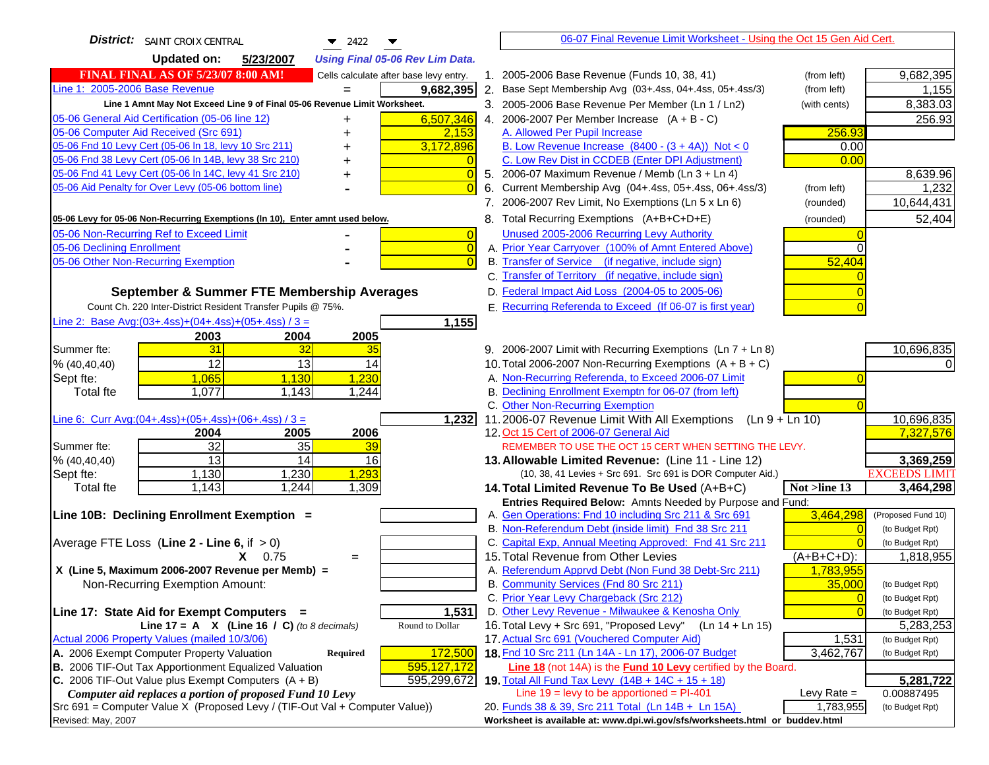| <b>District:</b> SAINT CROIX CENTRAL<br>$\blacktriangledown$ 2422<br>▼                            | 06-07 Final Revenue Limit Worksheet - Using the Oct 15 Gen Aid Cert.                                                                                               |
|---------------------------------------------------------------------------------------------------|--------------------------------------------------------------------------------------------------------------------------------------------------------------------|
| <b>Updated on:</b><br>5/23/2007<br><b>Using Final 05-06 Rev Lim Data.</b>                         |                                                                                                                                                                    |
| <b>FINAL FINAL AS OF 5/23/07 8:00 AM!</b><br>Cells calculate after base levy entry.               | 1. 2005-2006 Base Revenue (Funds 10, 38, 41)<br>(from left)<br>9,682,395                                                                                           |
| Line 1: 2005-2006 Base Revenue<br>9,682,395                                                       | 2. Base Sept Membership Avg (03+.4ss, 04+.4ss, 05+.4ss/3)<br>1,155<br>(from left)                                                                                  |
| Line 1 Amnt May Not Exceed Line 9 of Final 05-06 Revenue Limit Worksheet.                         | 3. 2005-2006 Base Revenue Per Member (Ln 1 / Ln2)<br>8,383.03<br>(with cents)                                                                                      |
| 6,507,346<br>05-06 General Aid Certification (05-06 line 12)<br>+                                 | 4. 2006-2007 Per Member Increase $(A + B - C)$<br>256.93                                                                                                           |
| 05-06 Computer Aid Received (Src 691)<br>2,153                                                    | 256.93<br>A. Allowed Per Pupil Increase                                                                                                                            |
| 05-06 Fnd 10 Levy Cert (05-06 In 18, levy 10 Src 211)<br>3,172,896                                | B. Low Revenue Increase $(8400 - (3 + 4A))$ Not < 0<br>0.00                                                                                                        |
| 05-06 Fnd 38 Levy Cert (05-06 In 14B, levy 38 Src 210)                                            | C. Low Rev Dist in CCDEB (Enter DPI Adjustment)<br>0.00                                                                                                            |
| 05-06 Fnd 41 Levy Cert (05-06 In 14C, levy 41 Src 210)<br>$\overline{0}$<br>+                     | 8,639.96<br>5. 2006-07 Maximum Revenue / Memb (Ln 3 + Ln 4)                                                                                                        |
| 05-06 Aid Penalty for Over Levy (05-06 bottom line)<br>$\overline{0}$                             | Current Membership Avg (04+.4ss, 05+.4ss, 06+.4ss/3)<br>(from left)<br>1,232<br>6.                                                                                 |
|                                                                                                   | 7. 2006-2007 Rev Limit, No Exemptions (Ln 5 x Ln 6)<br>10,644,431<br>(rounded)                                                                                     |
| 05-06 Levy for 05-06 Non-Recurring Exemptions (In 10), Enter amnt used below.                     | 52,404<br>8. Total Recurring Exemptions (A+B+C+D+E)<br>(rounded)                                                                                                   |
| 05-06 Non-Recurring Ref to Exceed Limit<br>$\overline{0}$                                         | Unused 2005-2006 Recurring Levy Authority                                                                                                                          |
| $\overline{0}$<br>05-06 Declining Enrollment                                                      | A. Prior Year Carryover (100% of Amnt Entered Above)                                                                                                               |
| 05-06 Other Non-Recurring Exemption<br>$\overline{0}$                                             | B. Transfer of Service (if negative, include sign)<br>52,404                                                                                                       |
|                                                                                                   | C. Transfer of Territory (if negative, include sign)                                                                                                               |
| September & Summer FTE Membership Averages                                                        | D. Federal Impact Aid Loss (2004-05 to 2005-06)                                                                                                                    |
| Count Ch. 220 Inter-District Resident Transfer Pupils @ 75%.                                      | E. Recurring Referenda to Exceed (If 06-07 is first year)                                                                                                          |
| Line 2: Base Avg: (03+.4ss) + (04+.4ss) + (05+.4ss) / 3 =<br>1,155                                |                                                                                                                                                                    |
| 2003<br>2004<br>2005                                                                              |                                                                                                                                                                    |
| 31<br>Summer fte:<br>32<br>35                                                                     | 10,696,835<br>9. 2006-2007 Limit with Recurring Exemptions (Ln 7 + Ln 8)                                                                                           |
| 12<br>13<br>14<br>% (40, 40, 40)                                                                  | 10. Total 2006-2007 Non-Recurring Exemptions $(A + B + C)$                                                                                                         |
| Sept fte:<br>1,230<br>1,065<br>1,130                                                              | A. Non-Recurring Referenda, to Exceed 2006-07 Limit                                                                                                                |
| Total fte<br>1,077<br>1,143<br>1,244                                                              | B. Declining Enrollment Exemptn for 06-07 (from left)                                                                                                              |
|                                                                                                   | C. Other Non-Recurring Exemption                                                                                                                                   |
| Line 6: Curr Avg: $(04+.4ss)+(05+.4ss)+(06+.4ss)/3 =$<br>1,232                                    | 10,696,835<br>11.2006-07 Revenue Limit With All Exemptions<br>(Ln 9 + Ln 10)                                                                                       |
| 2006<br>2005<br>2004                                                                              | 7,327,576<br>12. Oct 15 Cert of 2006-07 General Aid                                                                                                                |
| 32<br>Summer fte:<br>35<br>39                                                                     | REMEMBER TO USE THE OCT 15 CERT WHEN SETTING THE LEVY.                                                                                                             |
| $\overline{a}$<br>14<br>16<br>% (40, 40, 40)                                                      | 3,369,259<br>13. Allowable Limited Revenue: (Line 11 - Line 12)                                                                                                    |
| 1,293<br>1,130<br>1,230<br>Sept fte:<br>1,143<br>1,244<br>Total fte<br>1,309                      | <b>EXCEEDS LIMIT</b><br>(10, 38, 41 Levies + Src 691. Src 691 is DOR Computer Aid.)<br>14. Total Limited Revenue To Be Used (A+B+C)<br>Not >line 13<br>3,464,298   |
|                                                                                                   | Entries Required Below: Amnts Needed by Purpose and Fund:                                                                                                          |
| Line 10B: Declining Enrollment Exemption =                                                        | A. Gen Operations: Fnd 10 including Src 211 & Src 691<br>3,464,298<br>(Proposed Fund 10)                                                                           |
|                                                                                                   | B. Non-Referendum Debt (inside limit) Fnd 38 Src 211<br>(to Budget Rpt)                                                                                            |
| Average FTE Loss (Line $2 -$ Line 6, if $> 0$ )                                                   | C. Capital Exp, Annual Meeting Approved: Fnd 41 Src 211<br>(to Budget Rpt)                                                                                         |
| $X = 0.75$<br>$=$                                                                                 | 15. Total Revenue from Other Levies<br>$(A+B+C+D)$ :<br>1,818,955                                                                                                  |
| X (Line 5, Maximum 2006-2007 Revenue per Memb) =                                                  | A. Referendum Apprvd Debt (Non Fund 38 Debt-Src 211)<br>1,783,955                                                                                                  |
| Non-Recurring Exemption Amount:                                                                   | B. Community Services (Fnd 80 Src 211)<br>35,000<br>(to Budget Rpt)                                                                                                |
|                                                                                                   | C. Prior Year Levy Chargeback (Src 212)<br>$\overline{0}$<br>(to Budget Rpt)                                                                                       |
| 1,531<br>Line 17: State Aid for Exempt Computers =                                                | D. Other Levy Revenue - Milwaukee & Kenosha Only<br>(to Budget Rpt)                                                                                                |
| Round to Dollar<br>Line 17 = A $X$ (Line 16 / C) (to 8 decimals)                                  | 16. Total Levy + Src 691, "Proposed Levy"<br>(Ln 14 + Ln 15)<br>5,283,253                                                                                          |
| Actual 2006 Property Values (mailed 10/3/06)                                                      | 17. Actual Src 691 (Vouchered Computer Aid)<br>1,531<br>(to Budget Rpt)                                                                                            |
| A. 2006 Exempt Computer Property Valuation<br>172,500<br><b>Required</b>                          | 18. Fnd 10 Src 211 (Ln 14A - Ln 17), 2006-07 Budget<br>3,462,767<br>(to Budget Rpt)                                                                                |
| B. 2006 TIF-Out Tax Apportionment Equalized Valuation<br>595,127,172                              | Line 18 (not 14A) is the <b>Fund 10 Levy</b> certified by the Board.                                                                                               |
| C. 2006 TIF-Out Value plus Exempt Computers $(A + B)$<br>595,299,672                              | 19. Total All Fund Tax Levy (14B + 14C + 15 + 18)<br>5,281,722                                                                                                     |
| Computer aid replaces a portion of proposed Fund 10 Levy                                          | Line $19 = \text{levy}$ to be apportioned = PI-401<br>Levy Rate $=$<br>0.00887495                                                                                  |
| Src 691 = Computer Value X (Proposed Levy / (TIF-Out Val + Computer Value))<br>Revised: May, 2007 | 20. Funds 38 & 39, Src 211 Total (Ln 14B + Ln 15A)<br>1,783,955<br>(to Budget Rpt)<br>Worksheet is available at: www.dpi.wi.gov/sfs/worksheets.html or buddev.html |
|                                                                                                   |                                                                                                                                                                    |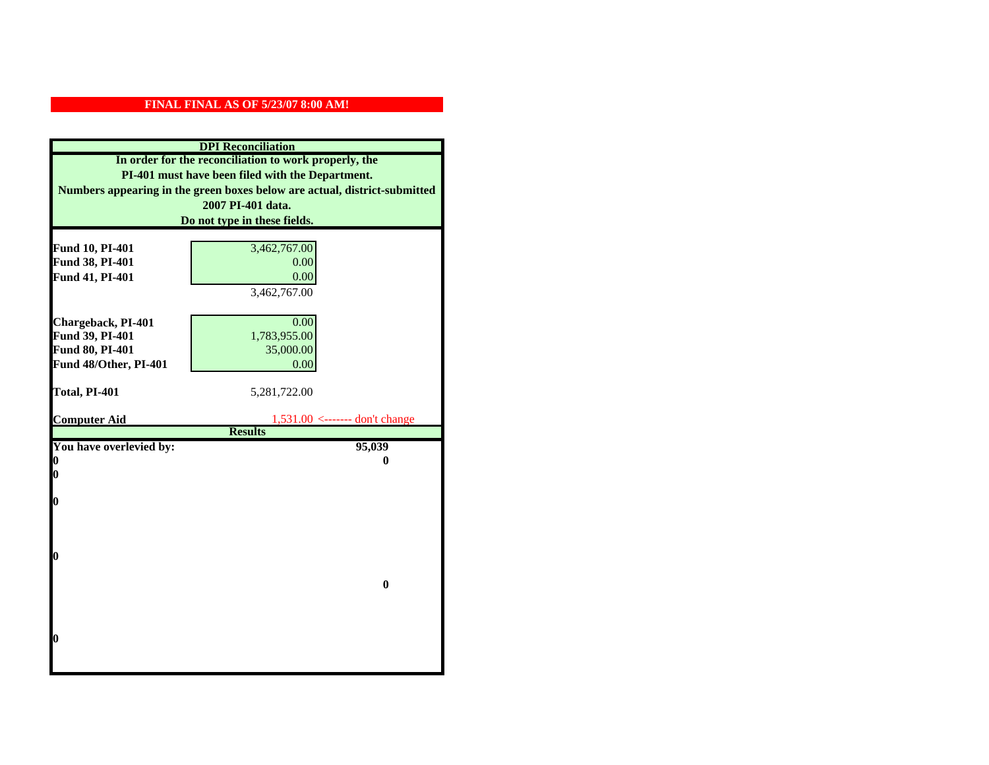| <b>DPI</b> Reconciliation                                                 |                                                    |  |
|---------------------------------------------------------------------------|----------------------------------------------------|--|
| In order for the reconciliation to work properly, the                     |                                                    |  |
| PI-401 must have been filed with the Department.                          |                                                    |  |
| Numbers appearing in the green boxes below are actual, district-submitted |                                                    |  |
|                                                                           | 2007 PI-401 data.                                  |  |
|                                                                           | Do not type in these fields.                       |  |
|                                                                           |                                                    |  |
| Fund 10, PI-401                                                           | 3,462,767.00                                       |  |
| Fund 38, PI-401                                                           | 0.00                                               |  |
| Fund 41, PI-401                                                           | 0.00                                               |  |
|                                                                           | 3,462,767.00                                       |  |
|                                                                           |                                                    |  |
| Chargeback, PI-401                                                        | 0.00                                               |  |
| Fund 39, PI-401                                                           | 1,783,955.00                                       |  |
| Fund 80, PI-401                                                           | 35,000.00                                          |  |
| Fund 48/Other, PI-401                                                     | 0.00                                               |  |
|                                                                           |                                                    |  |
| Total, PI-401                                                             | 5,281,722.00                                       |  |
|                                                                           |                                                    |  |
| <b>Computer Aid</b>                                                       | $1,531.00$ <------- don't change<br><b>Results</b> |  |
| You have overlevied by:                                                   | 95,039                                             |  |
| 0                                                                         | 0                                                  |  |
| 0                                                                         |                                                    |  |
|                                                                           |                                                    |  |
| O                                                                         |                                                    |  |
|                                                                           |                                                    |  |
|                                                                           |                                                    |  |
|                                                                           |                                                    |  |
| $\boldsymbol{0}$                                                          |                                                    |  |
|                                                                           |                                                    |  |
|                                                                           | $\bf{0}$                                           |  |
|                                                                           |                                                    |  |
|                                                                           |                                                    |  |
|                                                                           |                                                    |  |
| 0                                                                         |                                                    |  |
|                                                                           |                                                    |  |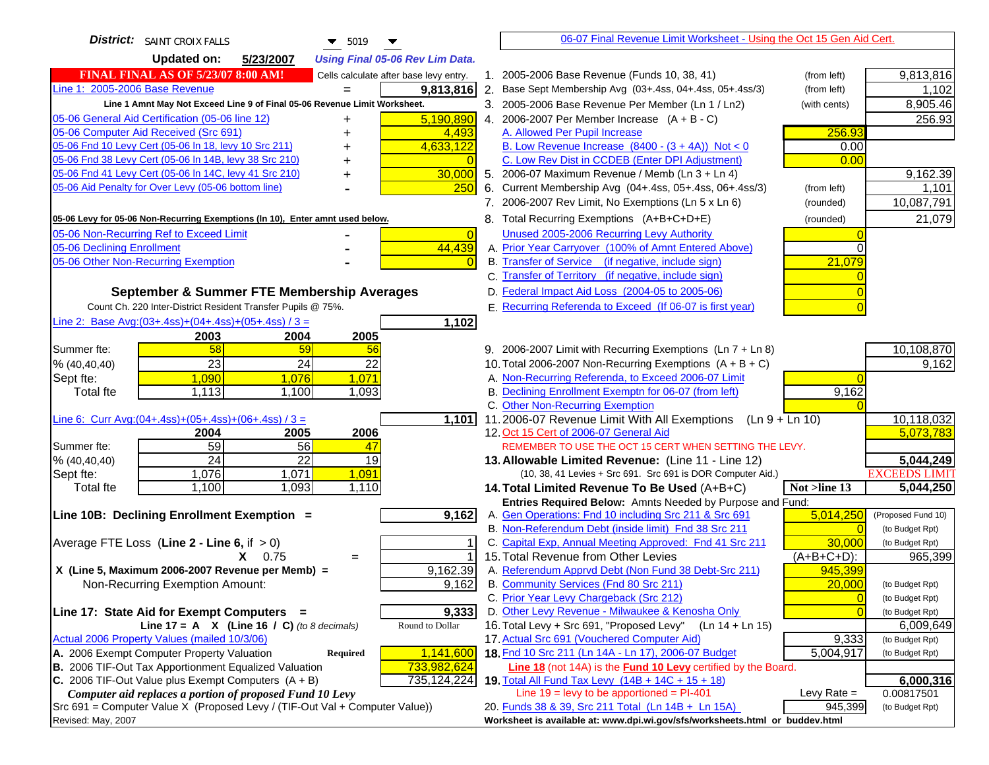| <b>District:</b> SAINT CROIX FALLS<br>$\blacktriangledown$ 5019                                                                              | 06-07 Final Revenue Limit Worksheet - Using the Oct 15 Gen Aid Cert.                                               |                         |
|----------------------------------------------------------------------------------------------------------------------------------------------|--------------------------------------------------------------------------------------------------------------------|-------------------------|
| <b>Updated on:</b><br>5/23/2007<br><b>Using Final 05-06 Rev Lim Data.</b>                                                                    |                                                                                                                    |                         |
| <b>FINAL FINAL AS OF 5/23/07 8:00 AM!</b><br>Cells calculate after base levy entry.                                                          | 1. 2005-2006 Base Revenue (Funds 10, 38, 41)<br>(from left)                                                        | 9,813,816               |
| Line 1: 2005-2006 Base Revenue<br>9,813,816                                                                                                  | 2. Base Sept Membership Avg (03+.4ss, 04+.4ss, 05+.4ss/3)<br>(from left)                                           | 1,102                   |
| Line 1 Amnt May Not Exceed Line 9 of Final 05-06 Revenue Limit Worksheet.                                                                    | 3. 2005-2006 Base Revenue Per Member (Ln 1 / Ln2)<br>(with cents)                                                  | 8,905.46                |
| 5,190,890<br>05-06 General Aid Certification (05-06 line 12)                                                                                 | 4. 2006-2007 Per Member Increase $(A + B - C)$                                                                     | 256.93                  |
| 05-06 Computer Aid Received (Src 691)<br>4,493                                                                                               | 256.93<br>A. Allowed Per Pupil Increase                                                                            |                         |
| 05-06 Fnd 10 Levy Cert (05-06 In 18, levy 10 Src 211)<br>4,633,122                                                                           | B. Low Revenue Increase $(8400 - (3 + 4A))$ Not < 0<br>0.00                                                        |                         |
| 05-06 Fnd 38 Levy Cert (05-06 In 14B, levy 38 Src 210)                                                                                       | C. Low Rev Dist in CCDEB (Enter DPI Adjustment)<br>0.00                                                            |                         |
| 05-06 Fnd 41 Levy Cert (05-06 In 14C, levy 41 Src 210)<br>30,000<br>٠                                                                        | 5. 2006-07 Maximum Revenue / Memb (Ln $3 + \text{Ln } 4$ )                                                         | 9,162.39                |
| 05-06 Aid Penalty for Over Levy (05-06 bottom line)<br>250                                                                                   | Current Membership Avg (04+.4ss, 05+.4ss, 06+.4ss/3)<br>6.<br>(from left)                                          | 1,101                   |
|                                                                                                                                              | 7. 2006-2007 Rev Limit, No Exemptions (Ln 5 x Ln 6)<br>(rounded)                                                   | 10,087,791              |
| 05-06 Levy for 05-06 Non-Recurring Exemptions (In 10), Enter amnt used below.                                                                | 8. Total Recurring Exemptions (A+B+C+D+E)<br>(rounded)                                                             | 21,079                  |
| 05-06 Non-Recurring Ref to Exceed Limit<br>$\overline{0}$                                                                                    | Unused 2005-2006 Recurring Levy Authority                                                                          |                         |
| 44,439<br>05-06 Declining Enrollment                                                                                                         | A. Prior Year Carryover (100% of Amnt Entered Above)<br>$\Omega$                                                   |                         |
| 05-06 Other Non-Recurring Exemption                                                                                                          | B. Transfer of Service (if negative, include sign)<br>21,079                                                       |                         |
|                                                                                                                                              | C. Transfer of Territory (if negative, include sign)                                                               |                         |
| September & Summer FTE Membership Averages                                                                                                   | D. Federal Impact Aid Loss (2004-05 to 2005-06)                                                                    |                         |
| Count Ch. 220 Inter-District Resident Transfer Pupils @ 75%.                                                                                 | E. Recurring Referenda to Exceed (If 06-07 is first year)                                                          |                         |
| Line 2: Base Avg: (03+.4ss) + (04+.4ss) + (05+.4ss) / 3 =<br>1,102                                                                           |                                                                                                                    |                         |
| 2003<br>2004<br>2005                                                                                                                         |                                                                                                                    |                         |
| 58<br>59<br>Summer fte:<br>56                                                                                                                | 9. 2006-2007 Limit with Recurring Exemptions (Ln 7 + Ln 8)                                                         | 10,108,870              |
| 23<br>24<br>22<br>% (40, 40, 40)                                                                                                             | 10. Total 2006-2007 Non-Recurring Exemptions $(A + B + C)$                                                         | 9,162                   |
| 1,090<br>1,076<br>1,071<br>Sept fte:                                                                                                         | A. Non-Recurring Referenda, to Exceed 2006-07 Limit                                                                |                         |
| Total fte<br>1,113<br>1,100<br>1,093                                                                                                         | B. Declining Enrollment Exemptn for 06-07 (from left)<br>9,162                                                     |                         |
|                                                                                                                                              | C. Other Non-Recurring Exemption                                                                                   |                         |
| Line 6: Curr Avg: $(04+.4ss)+(05+.4ss)+(06+.4ss)/3 =$<br>1,101                                                                               | 11.2006-07 Revenue Limit With All Exemptions<br>$(Ln 9 + Ln 10)$                                                   | 10,118,032              |
| 2006<br>2005<br>2004                                                                                                                         | 12. Oct 15 Cert of 2006-07 General Aid                                                                             | 5,073,783               |
| 59<br>Summer fte:<br>56<br>47<br>$\overline{24}$<br>$\overline{22}$<br>19<br>% (40, 40, 40)                                                  | REMEMBER TO USE THE OCT 15 CERT WHEN SETTING THE LEVY.<br>13. Allowable Limited Revenue: (Line 11 - Line 12)       | 5,044,249               |
| 1,076<br>1,071<br>1,091<br>Sept fte:                                                                                                         | (10, 38, 41 Levies + Src 691. Src 691 is DOR Computer Aid.)                                                        | <b>EXCEEDS LIMIT</b>    |
| 1,093<br>Total fte<br>1,100<br>1,110                                                                                                         | 14. Total Limited Revenue To Be Used (A+B+C)<br>Not >line 13                                                       | 5,044,250               |
|                                                                                                                                              | Entries Required Below: Amnts Needed by Purpose and Fund:                                                          |                         |
| 9,162<br>Line 10B: Declining Enrollment Exemption =                                                                                          | A. Gen Operations: Fnd 10 including Src 211 & Src 691<br>5,014,250                                                 | (Proposed Fund 10)      |
|                                                                                                                                              | B. Non-Referendum Debt (inside limit) Fnd 38 Src 211<br>$\Omega$                                                   | (to Budget Rpt)         |
| Average FTE Loss (Line $2 -$ Line 6, if $> 0$ )                                                                                              | C. Capital Exp, Annual Meeting Approved: Fnd 41 Src 211<br>30,000                                                  | (to Budget Rpt)         |
| $X = 0.75$<br>$=$                                                                                                                            | 15. Total Revenue from Other Levies<br>$(A+B+C+D)$ :                                                               | 965,399                 |
| X (Line 5, Maximum 2006-2007 Revenue per Memb) =<br>9,162.39                                                                                 | A. Referendum Apprvd Debt (Non Fund 38 Debt-Src 211)<br>945,399                                                    |                         |
| 9,162<br>Non-Recurring Exemption Amount:                                                                                                     | B. Community Services (Fnd 80 Src 211)<br>20,000                                                                   | (to Budget Rpt)         |
|                                                                                                                                              | C. Prior Year Levy Chargeback (Src 212)<br>$\overline{0}$                                                          | (to Budget Rpt)         |
| 9,333<br>Line 17: State Aid for Exempt Computers =                                                                                           | D. Other Levy Revenue - Milwaukee & Kenosha Only<br>$\Omega$                                                       | (to Budget Rpt)         |
| Round to Dollar<br>Line 17 = A $X$ (Line 16 / C) (to 8 decimals)                                                                             | 16. Total Levy + Src 691, "Proposed Levy"<br>$(Ln 14 + Ln 15)$                                                     | 6,009,649               |
| Actual 2006 Property Values (mailed 10/3/06)                                                                                                 | 17. Actual Src 691 (Vouchered Computer Aid)<br>9,333                                                               | (to Budget Rpt)         |
| A. 2006 Exempt Computer Property Valuation<br>1,141,600<br><b>Required</b>                                                                   | 18. Fnd 10 Src 211 (Ln 14A - Ln 17), 2006-07 Budget<br>5,004,917                                                   | (to Budget Rpt)         |
| B. 2006 TIF-Out Tax Apportionment Equalized Valuation<br>733,982,624<br>C. 2006 TIF-Out Value plus Exempt Computers $(A + B)$<br>735,124,224 | Line 18 (not 14A) is the Fund 10 Levy certified by the Board.<br>19. Total All Fund Tax Levy (14B + 14C + 15 + 18) |                         |
| Computer aid replaces a portion of proposed Fund 10 Levy                                                                                     | Line $19$ = levy to be apportioned = PI-401<br>Levy Rate $=$                                                       | 6,000,316<br>0.00817501 |
| Src 691 = Computer Value X (Proposed Levy / (TIF-Out Val + Computer Value))                                                                  | 20. Funds 38 & 39, Src 211 Total (Ln 14B + Ln 15A)<br>945,399                                                      | (to Budget Rpt)         |
| Revised: May, 2007                                                                                                                           | Worksheet is available at: www.dpi.wi.gov/sfs/worksheets.html or buddev.html                                       |                         |
|                                                                                                                                              |                                                                                                                    |                         |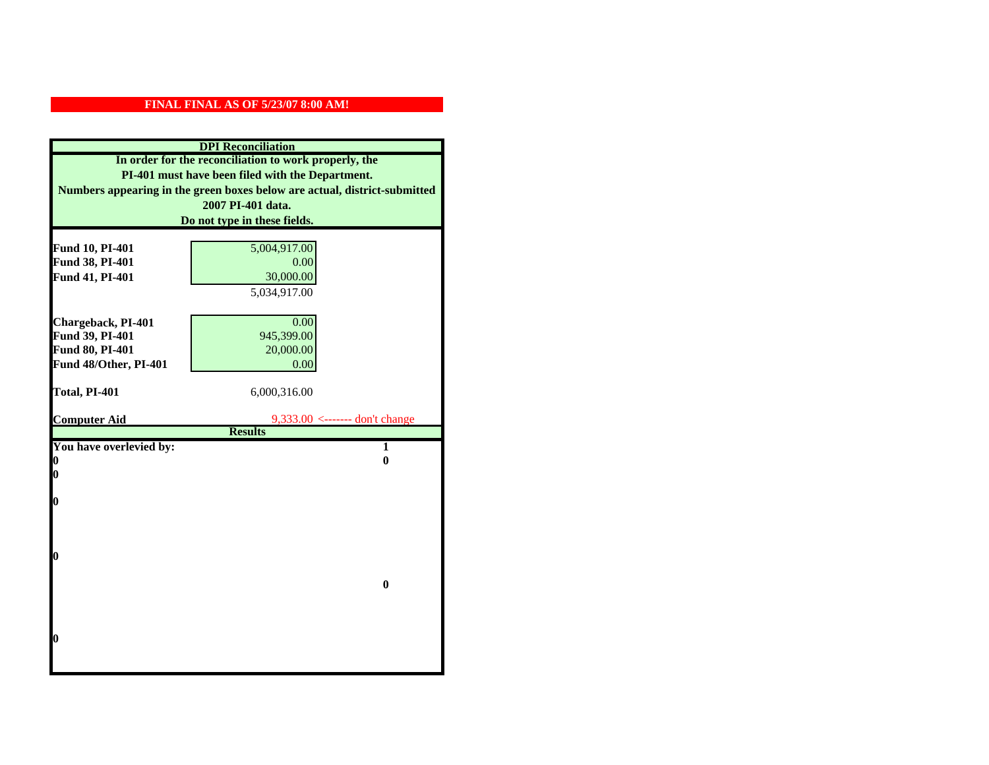| <b>DPI</b> Reconciliation                                                 |                                               |
|---------------------------------------------------------------------------|-----------------------------------------------|
| In order for the reconciliation to work properly, the                     |                                               |
| PI-401 must have been filed with the Department.                          |                                               |
| Numbers appearing in the green boxes below are actual, district-submitted |                                               |
|                                                                           | 2007 PI-401 data.                             |
|                                                                           | Do not type in these fields.                  |
|                                                                           |                                               |
| Fund 10, PI-401                                                           | 5,004,917.00                                  |
| Fund 38, PI-401                                                           | 0.00                                          |
| Fund 41, PI-401                                                           | 30,000.00                                     |
|                                                                           | 5,034,917.00                                  |
|                                                                           |                                               |
| Chargeback, PI-401                                                        | 0.00                                          |
| Fund 39, PI-401                                                           | 945,399.00                                    |
| Fund 80, PI-401                                                           | 20,000.00                                     |
| Fund 48/Other, PI-401                                                     | 0.00                                          |
| Total, PI-401                                                             | 6,000,316.00                                  |
|                                                                           |                                               |
|                                                                           |                                               |
| <b>Computer Aid</b>                                                       | $9,333.00 \leftarrow \text{---}$ don't change |
|                                                                           | <b>Results</b>                                |
| You have overlevied by:                                                   | 1                                             |
| 0                                                                         | $\bf{0}$                                      |
| 0                                                                         |                                               |
|                                                                           |                                               |
| O                                                                         |                                               |
|                                                                           |                                               |
|                                                                           |                                               |
| $\boldsymbol{0}$                                                          |                                               |
|                                                                           |                                               |
|                                                                           | $\bf{0}$                                      |
|                                                                           |                                               |
|                                                                           |                                               |
|                                                                           |                                               |
| O                                                                         |                                               |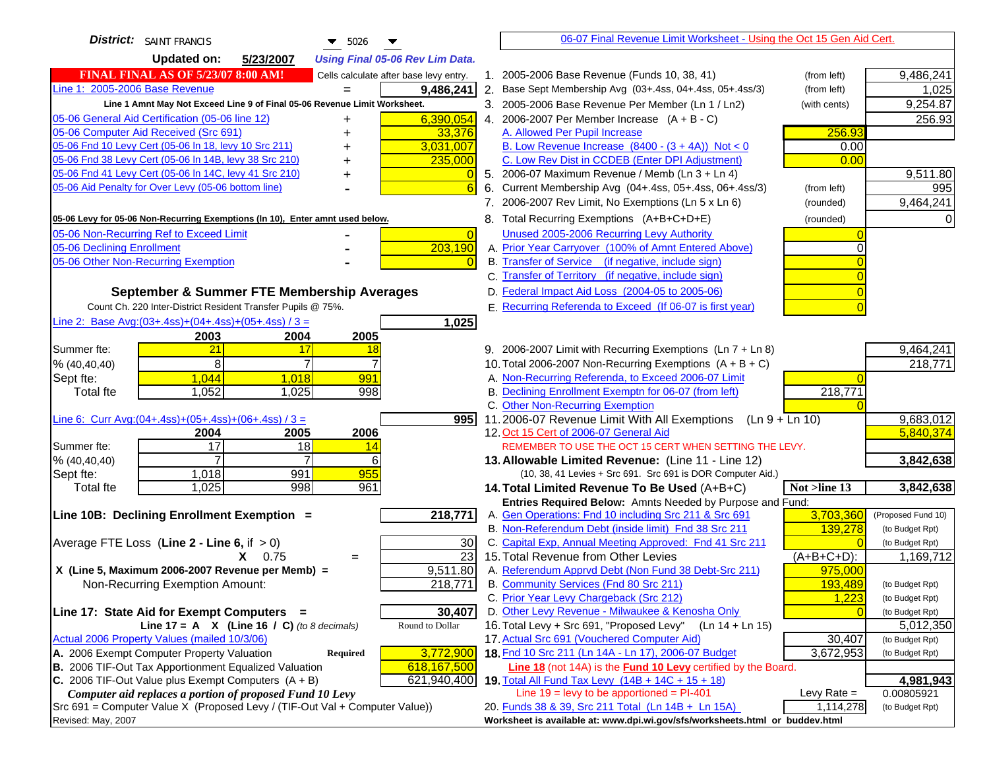| <b>District:</b> SAINT FRANCIS<br>$\blacktriangledown$ 5026                                                                                 |                | 06-07 Final Revenue Limit Worksheet - Using the Oct 15 Gen Aid Cert.                                                               |               |                    |
|---------------------------------------------------------------------------------------------------------------------------------------------|----------------|------------------------------------------------------------------------------------------------------------------------------------|---------------|--------------------|
| <b>Updated on:</b><br>5/23/2007<br><b>Using Final 05-06 Rev Lim Data.</b>                                                                   |                |                                                                                                                                    |               |                    |
| <b>FINAL FINAL AS OF 5/23/07 8:00 AM!</b><br>Cells calculate after base levy entry.                                                         |                | 1. 2005-2006 Base Revenue (Funds 10, 38, 41)                                                                                       | (from left)   | 9,486,241          |
| Line 1: 2005-2006 Base Revenue<br>9,486,241<br>$=$                                                                                          |                | 2. Base Sept Membership Avg (03+.4ss, 04+.4ss, 05+.4ss/3)                                                                          | (from left)   | 1,025              |
| Line 1 Amnt May Not Exceed Line 9 of Final 05-06 Revenue Limit Worksheet.                                                                   |                | 3. 2005-2006 Base Revenue Per Member (Ln 1 / Ln2)                                                                                  | (with cents)  | 9,254.87           |
| 6,390,054<br>05-06 General Aid Certification (05-06 line 12)                                                                                |                | 4. 2006-2007 Per Member Increase $(A + B - C)$                                                                                     |               | 256.93             |
| 05-06 Computer Aid Received (Src 691)<br>33,376                                                                                             |                | A. Allowed Per Pupil Increase                                                                                                      | 256.93        |                    |
| 05-06 Fnd 10 Levy Cert (05-06 In 18, levy 10 Src 211)<br>3,031,007                                                                          |                | B. Low Revenue Increase $(8400 - (3 + 4A))$ Not < 0                                                                                | 0.00          |                    |
| 05-06 Fnd 38 Levy Cert (05-06 In 14B, levy 38 Src 210)<br>235,000                                                                           |                | C. Low Rev Dist in CCDEB (Enter DPI Adjustment)                                                                                    | 0.00          |                    |
| 05-06 Fnd 41 Levy Cert (05-06 In 14C, levy 41 Src 210)<br>+                                                                                 | $\overline{0}$ | 5. 2006-07 Maximum Revenue / Memb (Ln 3 + Ln 4)                                                                                    |               | 9,511.80           |
| 05-06 Aid Penalty for Over Levy (05-06 bottom line)                                                                                         | 6<br>6.        | Current Membership Avg (04+.4ss, 05+.4ss, 06+.4ss/3)                                                                               | (from left)   | 995                |
|                                                                                                                                             |                | 7. 2006-2007 Rev Limit, No Exemptions (Ln 5 x Ln 6)                                                                                | (rounded)     | 9,464,241          |
| 05-06 Levy for 05-06 Non-Recurring Exemptions (In 10), Enter amnt used below.                                                               |                | 8. Total Recurring Exemptions (A+B+C+D+E)                                                                                          | (rounded)     |                    |
| 05-06 Non-Recurring Ref to Exceed Limit                                                                                                     | $\overline{0}$ | Unused 2005-2006 Recurring Levy Authority                                                                                          |               |                    |
| 203,190<br>05-06 Declining Enrollment                                                                                                       |                | A. Prior Year Carryover (100% of Amnt Entered Above)                                                                               | 0             |                    |
| 05-06 Other Non-Recurring Exemption                                                                                                         |                | B. Transfer of Service (if negative, include sign)                                                                                 |               |                    |
|                                                                                                                                             |                | C. Transfer of Territory (if negative, include sign)                                                                               |               |                    |
| September & Summer FTE Membership Averages                                                                                                  |                | D. Federal Impact Aid Loss (2004-05 to 2005-06)                                                                                    |               |                    |
| Count Ch. 220 Inter-District Resident Transfer Pupils @ 75%.                                                                                |                | E. Recurring Referenda to Exceed (If 06-07 is first year)                                                                          |               |                    |
| Line 2: Base Avg: (03+.4ss) + (04+.4ss) + (05+.4ss) / 3 =<br>1,025                                                                          |                |                                                                                                                                    |               |                    |
| 2003<br>2004<br>2005                                                                                                                        |                |                                                                                                                                    |               |                    |
| 21<br>Summer fte:<br>17<br>18                                                                                                               |                | 9. 2006-2007 Limit with Recurring Exemptions (Ln 7 + Ln 8)                                                                         |               | 9,464,241          |
| 8 <sup>1</sup><br>$\overline{7}$<br>$\overline{7}$<br>% (40, 40, 40)                                                                        |                | 10. Total 2006-2007 Non-Recurring Exemptions $(A + B + C)$                                                                         |               | 218,771            |
| 1,044<br>1,018<br>991<br>Sept fte:                                                                                                          |                | A. Non-Recurring Referenda, to Exceed 2006-07 Limit                                                                                |               |                    |
| Total fte<br>1,052<br>1,025<br>998                                                                                                          |                | B. Declining Enrollment Exemptn for 06-07 (from left)                                                                              | 218,771       |                    |
|                                                                                                                                             |                | C. Other Non-Recurring Exemption                                                                                                   |               |                    |
| Line 6: Curr Avg: $(04+.4ss)+(05+.4ss)+(06+.4ss)$ / 3 =<br>9951                                                                             |                | 11.2006-07 Revenue Limit With All Exemptions $(Ln 9 + Ln 10)$                                                                      |               | 9,683,012          |
| 2006<br>2004<br>2005<br>$\overline{17}$<br>18<br>Summer fte:<br>14                                                                          |                | 12. Oct 15 Cert of 2006-07 General Aid<br>REMEMBER TO USE THE OCT 15 CERT WHEN SETTING THE LEVY.                                   |               | 5,840,374          |
| % (40, 40, 40)<br>6                                                                                                                         |                | 13. Allowable Limited Revenue: (Line 11 - Line 12)                                                                                 |               | 3,842,638          |
| 991<br>955<br>1,018<br>Sept fte:                                                                                                            |                | (10, 38, 41 Levies + Src 691. Src 691 is DOR Computer Aid.)                                                                        |               |                    |
| 1,025<br>998<br>961<br><b>Total fte</b>                                                                                                     |                | 14. Total Limited Revenue To Be Used (A+B+C)                                                                                       | Not >line 13  | 3,842,638          |
|                                                                                                                                             |                | Entries Required Below: Amnts Needed by Purpose and Fund:                                                                          |               |                    |
| Line 10B: Declining Enrollment Exemption =<br>218,771                                                                                       |                | A. Gen Operations: Fnd 10 including Src 211 & Src 691                                                                              | 3,703,360     | (Proposed Fund 10) |
|                                                                                                                                             |                | B. Non-Referendum Debt (inside limit) Fnd 38 Src 211                                                                               | 139,278       | (to Budget Rpt)    |
| Average FTE Loss (Line $2 -$ Line 6, if $> 0$ )<br>30                                                                                       |                | C. Capital Exp, Annual Meeting Approved: Fnd 41 Src 211                                                                            | $\Omega$      | (to Budget Rpt)    |
| $\overline{23}$<br>$X = 0.75$<br>$=$                                                                                                        |                | 15. Total Revenue from Other Levies                                                                                                | $(A+B+C+D)$ : | 1,169,712          |
| X (Line 5, Maximum 2006-2007 Revenue per Memb) =<br>9,511.80                                                                                |                | A. Referendum Apprvd Debt (Non Fund 38 Debt-Src 211)                                                                               | 975,000       |                    |
| 218,771<br>Non-Recurring Exemption Amount:                                                                                                  |                | B. Community Services (Fnd 80 Src 211)                                                                                             | 193,489       | (to Budget Rpt)    |
|                                                                                                                                             |                | C. Prior Year Levy Chargeback (Src 212)                                                                                            | 1,223         | (to Budget Rpt)    |
| 30,407<br>Line 17: State Aid for Exempt Computers =                                                                                         |                | D. Other Levy Revenue - Milwaukee & Kenosha Only                                                                                   |               | (to Budget Rpt)    |
| Round to Dollar<br>Line 17 = A $X$ (Line 16 / C) (to 8 decimals)                                                                            |                | 16. Total Levy + Src 691, "Proposed Levy"<br>(Ln 14 + Ln 15)                                                                       |               | 5,012,350          |
| Actual 2006 Property Values (mailed 10/3/06)                                                                                                |                | 17. Actual Src 691 (Vouchered Computer Aid)                                                                                        | 30,407        | (to Budget Rpt)    |
| A. 2006 Exempt Computer Property Valuation<br>3,772,900<br>Required<br>B. 2006 TIF-Out Tax Apportionment Equalized Valuation<br>618,167,500 |                | 18. Fnd 10 Src 211 (Ln 14A - Ln 17), 2006-07 Budget<br><b>Line 18</b> (not 14A) is the <b>Fund 10 Levy</b> certified by the Board. | 3,672,953     | (to Budget Rpt)    |
| C. 2006 TIF-Out Value plus Exempt Computers $(A + B)$<br>621,940,400                                                                        |                | 19. Total All Fund Tax Levy $(14B + 14C + 15 + 18)$                                                                                |               | 4,981,943          |
| Computer aid replaces a portion of proposed Fund 10 Levy                                                                                    |                | Line $19 = \text{levy}$ to be apportioned = PI-401                                                                                 | Levy Rate $=$ | 0.00805921         |
| Src 691 = Computer Value X (Proposed Levy / (TIF-Out Val + Computer Value))                                                                 |                | 20. Funds 38 & 39, Src 211 Total (Ln 14B + Ln 15A)                                                                                 | 1,114,278     | (to Budget Rpt)    |
| Revised: May, 2007                                                                                                                          |                | Worksheet is available at: www.dpi.wi.gov/sfs/worksheets.html or buddev.html                                                       |               |                    |
|                                                                                                                                             |                |                                                                                                                                    |               |                    |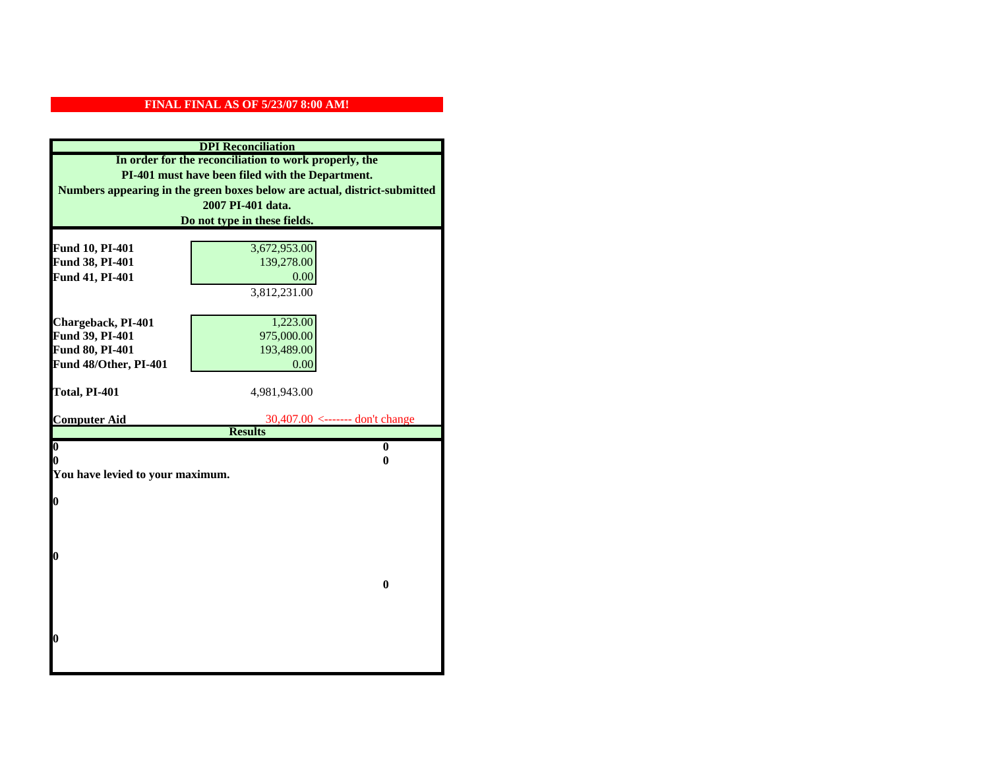| <b>DPI</b> Reconciliation                                                 |                                   |  |  |
|---------------------------------------------------------------------------|-----------------------------------|--|--|
| In order for the reconciliation to work properly, the                     |                                   |  |  |
| PI-401 must have been filed with the Department.                          |                                   |  |  |
| Numbers appearing in the green boxes below are actual, district-submitted |                                   |  |  |
|                                                                           | 2007 PI-401 data.                 |  |  |
|                                                                           | Do not type in these fields.      |  |  |
|                                                                           |                                   |  |  |
| Fund 10, PI-401                                                           | 3,672,953.00                      |  |  |
| Fund 38, PI-401                                                           | 139,278.00                        |  |  |
| Fund 41, PI-401                                                           | 0.00                              |  |  |
|                                                                           | 3,812,231.00                      |  |  |
|                                                                           |                                   |  |  |
| Chargeback, PI-401                                                        | 1,223.00                          |  |  |
| Fund 39, PI-401                                                           | 975,000.00                        |  |  |
| Fund 80, PI-401                                                           | 193,489.00                        |  |  |
| Fund 48/Other, PI-401                                                     | 0.00                              |  |  |
| Total, PI-401                                                             | 4,981,943.00                      |  |  |
|                                                                           |                                   |  |  |
| <b>Computer Aid</b>                                                       | $30,407.00$ <------- don't change |  |  |
|                                                                           | <b>Results</b>                    |  |  |
| $\overline{\mathbf{0}}$                                                   | $\bf{0}$                          |  |  |
| 0<br>0                                                                    |                                   |  |  |
| You have levied to your maximum.                                          |                                   |  |  |
| $\bf{0}$                                                                  |                                   |  |  |
|                                                                           |                                   |  |  |
|                                                                           |                                   |  |  |
|                                                                           |                                   |  |  |
| l0                                                                        |                                   |  |  |
|                                                                           |                                   |  |  |
|                                                                           | $\bf{0}$                          |  |  |
|                                                                           |                                   |  |  |
|                                                                           |                                   |  |  |
|                                                                           |                                   |  |  |
| $\boldsymbol{0}$                                                          |                                   |  |  |
|                                                                           |                                   |  |  |
|                                                                           |                                   |  |  |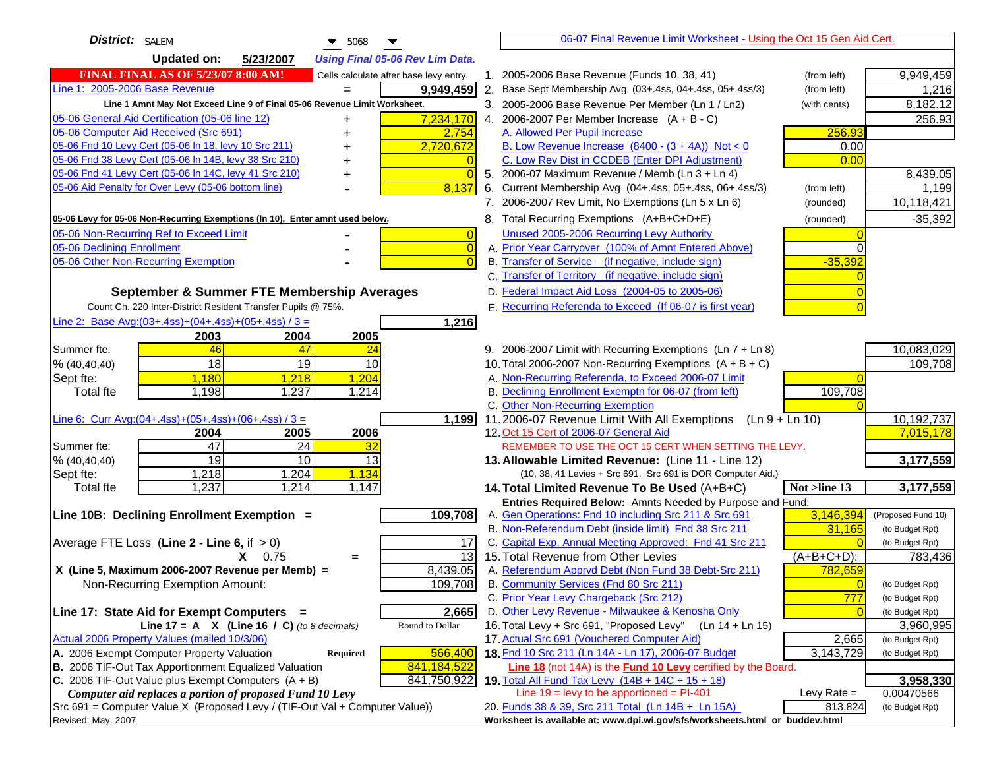| District: SALEM<br>$\blacktriangledown$ 5068                                                                                            | 06-07 Final Revenue Limit Worksheet - Using the Oct 15 Gen Aid Cert.                                                                 |                    |
|-----------------------------------------------------------------------------------------------------------------------------------------|--------------------------------------------------------------------------------------------------------------------------------------|--------------------|
| <b>Updated on:</b><br>5/23/2007<br><b>Using Final 05-06 Rev Lim Data.</b>                                                               |                                                                                                                                      |                    |
| <b>FINAL FINAL AS OF 5/23/07 8:00 AM!</b><br>Cells calculate after base levy entry.                                                     | 1. 2005-2006 Base Revenue (Funds 10, 38, 41)<br>(from left)                                                                          | 9,949,459          |
| Line 1: 2005-2006 Base Revenue<br>9,949,459<br>$=$                                                                                      | 2. Base Sept Membership Avg (03+.4ss, 04+.4ss, 05+.4ss/3)<br>(from left)                                                             | 1,216              |
| Line 1 Amnt May Not Exceed Line 9 of Final 05-06 Revenue Limit Worksheet.                                                               | 3. 2005-2006 Base Revenue Per Member (Ln 1 / Ln2)<br>(with cents)                                                                    | 8,182.12           |
| 7,234,170<br>05-06 General Aid Certification (05-06 line 12)                                                                            | 4. 2006-2007 Per Member Increase $(A + B - C)$                                                                                       | 256.93             |
| 05-06 Computer Aid Received (Src 691)<br>2,754                                                                                          | A. Allowed Per Pupil Increase<br>256.93                                                                                              |                    |
| 05-06 Fnd 10 Levy Cert (05-06 In 18, levy 10 Src 211)<br>2,720,672                                                                      | B. Low Revenue Increase $(8400 - (3 + 4A))$ Not < 0<br>0.00                                                                          |                    |
| 05-06 Fnd 38 Levy Cert (05-06 In 14B, levy 38 Src 210)                                                                                  | C. Low Rev Dist in CCDEB (Enter DPI Adjustment)<br>0.00                                                                              |                    |
| 05-06 Fnd 41 Levy Cert (05-06 In 14C, levy 41 Src 210)<br>$\Omega$<br>+                                                                 | 5. 2006-07 Maximum Revenue / Memb (Ln 3 + Ln 4)                                                                                      | 8,439.05           |
| 05-06 Aid Penalty for Over Levy (05-06 bottom line)<br>8,137                                                                            | Current Membership Avg (04+.4ss, 05+.4ss, 06+.4ss/3)<br>(from left)<br>6.                                                            | 1,199              |
|                                                                                                                                         | 7. 2006-2007 Rev Limit, No Exemptions (Ln 5 x Ln 6)<br>(rounded)                                                                     | 10,118,421         |
| 05-06 Levy for 05-06 Non-Recurring Exemptions (In 10), Enter amnt used below.                                                           | 8. Total Recurring Exemptions (A+B+C+D+E)<br>(rounded)                                                                               | $-35,392$          |
| 05-06 Non-Recurring Ref to Exceed Limit<br>$\overline{0}$                                                                               | Unused 2005-2006 Recurring Levy Authority                                                                                            |                    |
| 05-06 Declining Enrollment<br>$\overline{0}$                                                                                            | A. Prior Year Carryover (100% of Amnt Entered Above)<br>0                                                                            |                    |
| 05-06 Other Non-Recurring Exemption<br>$\Omega$                                                                                         | B. Transfer of Service (if negative, include sign)<br>$-35,392$                                                                      |                    |
|                                                                                                                                         | C. Transfer of Territory (if negative, include sign)                                                                                 |                    |
| September & Summer FTE Membership Averages                                                                                              | D. Federal Impact Aid Loss (2004-05 to 2005-06)                                                                                      |                    |
| Count Ch. 220 Inter-District Resident Transfer Pupils @ 75%.                                                                            | E. Recurring Referenda to Exceed (If 06-07 is first year)                                                                            |                    |
| Line 2: Base Avg: (03+.4ss) + (04+.4ss) + (05+.4ss) / 3 =<br>1,216                                                                      |                                                                                                                                      |                    |
| 2003<br>2004<br>2005                                                                                                                    |                                                                                                                                      |                    |
| 46<br>47<br>Summer fte:<br>24                                                                                                           | 9. 2006-2007 Limit with Recurring Exemptions (Ln 7 + Ln 8)                                                                           | 10,083,029         |
| 18<br>19<br>10<br>% (40, 40, 40)                                                                                                        | 10. Total 2006-2007 Non-Recurring Exemptions $(A + B + C)$                                                                           | 109,708            |
| 1,180<br>1,218<br>1,204<br>Sept fte:                                                                                                    | A. Non-Recurring Referenda, to Exceed 2006-07 Limit                                                                                  |                    |
| 1,198<br>1,237<br>1,214<br>Total fte                                                                                                    | B. Declining Enrollment Exemptn for 06-07 (from left)<br>109,708                                                                     |                    |
|                                                                                                                                         | C. Other Non-Recurring Exemption                                                                                                     |                    |
| Line 6: Curr Avg: $(04+.4ss)+(05+.4ss)+(06+.4ss)$ / 3 =<br>1,199                                                                        | 11.2006-07 Revenue Limit With All Exemptions<br>$(Ln 9 + Ln 10)$                                                                     | 10,192,737         |
| 2006<br>2004<br>2005                                                                                                                    | 12. Oct 15 Cert of 2006-07 General Aid                                                                                               | 7,015,178          |
| 47<br>24<br>Summer fte:<br>32<br>19<br>10<br>13                                                                                         | REMEMBER TO USE THE OCT 15 CERT WHEN SETTING THE LEVY.                                                                               |                    |
| % (40, 40, 40)<br>1,204<br>1,134<br>1,218<br>Sept fte:                                                                                  | 13. Allowable Limited Revenue: (Line 11 - Line 12)<br>(10, 38, 41 Levies + Src 691. Src 691 is DOR Computer Aid.)                    | 3,177,559          |
| 1,237<br>1,214<br>1,147<br><b>Total fte</b>                                                                                             | Not >line 13<br>14. Total Limited Revenue To Be Used (A+B+C)                                                                         | 3,177,559          |
|                                                                                                                                         | Entries Required Below: Amnts Needed by Purpose and Fund:                                                                            |                    |
| Line 10B: Declining Enrollment Exemption =<br>109,708                                                                                   | 3,146,394<br>A. Gen Operations: Fnd 10 including Src 211 & Src 691                                                                   | (Proposed Fund 10) |
|                                                                                                                                         | B. Non-Referendum Debt (inside limit) Fnd 38 Src 211<br>31,165                                                                       | (to Budget Rpt)    |
| Average FTE Loss (Line $2 -$ Line 6, if $> 0$ )<br>17                                                                                   | C. Capital Exp, Annual Meeting Approved: Fnd 41 Src 211<br>$\Omega$                                                                  | (to Budget Rpt)    |
| 13<br>$X = 0.75$<br>$=$                                                                                                                 | 15. Total Revenue from Other Levies<br>(A+B+C+D):                                                                                    | 783,436            |
| X (Line 5, Maximum 2006-2007 Revenue per Memb) =<br>8,439.05                                                                            | A. Referendum Apprvd Debt (Non Fund 38 Debt-Src 211)<br>782,659                                                                      |                    |
| 109,708<br>Non-Recurring Exemption Amount:                                                                                              | B. Community Services (Fnd 80 Src 211)<br>$\overline{0}$                                                                             | (to Budget Rpt)    |
|                                                                                                                                         | C. Prior Year Levy Chargeback (Src 212)<br>777                                                                                       | (to Budget Rpt)    |
| 2,665<br>Line 17: State Aid for Exempt Computers =                                                                                      | D. Other Levy Revenue - Milwaukee & Kenosha Only                                                                                     | (to Budget Rpt)    |
| Round to Dollar<br>Line 17 = A $X$ (Line 16 / C) (to 8 decimals)                                                                        | 16. Total Levy + Src 691, "Proposed Levy"<br>(Ln 14 + Ln 15)                                                                         | 3,960,995          |
| Actual 2006 Property Values (mailed 10/3/06)                                                                                            | 17. Actual Src 691 (Vouchered Computer Aid)<br>2,665                                                                                 | (to Budget Rpt)    |
| A. 2006 Exempt Computer Property Valuation<br>566,400<br>Required                                                                       | 18. Fnd 10 Src 211 (Ln 14A - Ln 17), 2006-07 Budget<br>3,143,729                                                                     | (to Budget Rpt)    |
| B. 2006 TIF-Out Tax Apportionment Equalized Valuation<br>841,184,522                                                                    | <b>Line 18</b> (not 14A) is the <b>Fund 10 Levy</b> certified by the Board.                                                          |                    |
| C. 2006 TIF-Out Value plus Exempt Computers $(A + B)$<br>841,750,922                                                                    | 19. Total All Fund Tax Levy $(14B + 14C + 15 + 18)$                                                                                  | 3,958,330          |
| Computer aid replaces a portion of proposed Fund 10 Levy<br>Src 691 = Computer Value X (Proposed Levy / (TIF-Out Val + Computer Value)) | Line $19 = \text{levy}$ to be apportioned = PI-401<br>Levy Rate $=$<br>20. Funds 38 & 39, Src 211 Total (Ln 14B + Ln 15A)<br>813,824 | 0.00470566         |
| Revised: May, 2007                                                                                                                      | Worksheet is available at: www.dpi.wi.gov/sfs/worksheets.html or buddev.html                                                         | (to Budget Rpt)    |
|                                                                                                                                         |                                                                                                                                      |                    |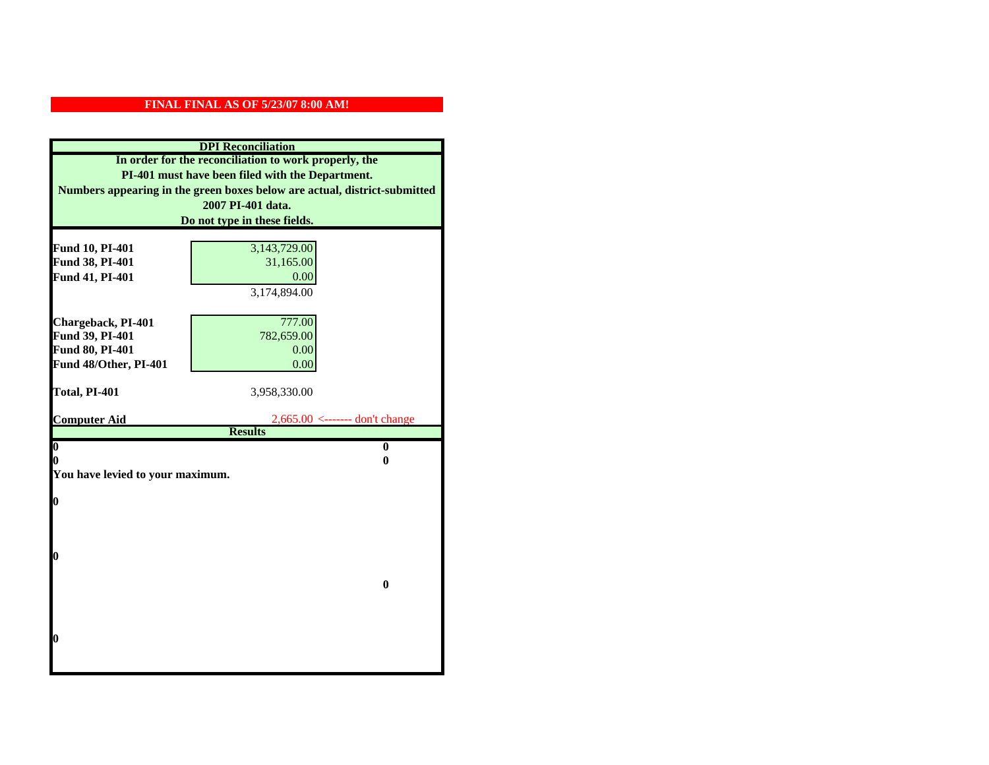| In order for the reconciliation to work properly, the<br>PI-401 must have been filed with the Department.<br>Numbers appearing in the green boxes below are actual, district-submitted<br>2007 PI-401 data.<br>Do not type in these fields.<br>3,143,729.00<br>Fund 10, PI-401<br>Fund 38, PI-401<br>31,165.00<br>Fund 41, PI-401<br>0.00<br>3,174,894.00 |  |  |
|-----------------------------------------------------------------------------------------------------------------------------------------------------------------------------------------------------------------------------------------------------------------------------------------------------------------------------------------------------------|--|--|
|                                                                                                                                                                                                                                                                                                                                                           |  |  |
|                                                                                                                                                                                                                                                                                                                                                           |  |  |
|                                                                                                                                                                                                                                                                                                                                                           |  |  |
|                                                                                                                                                                                                                                                                                                                                                           |  |  |
|                                                                                                                                                                                                                                                                                                                                                           |  |  |
|                                                                                                                                                                                                                                                                                                                                                           |  |  |
|                                                                                                                                                                                                                                                                                                                                                           |  |  |
|                                                                                                                                                                                                                                                                                                                                                           |  |  |
|                                                                                                                                                                                                                                                                                                                                                           |  |  |
|                                                                                                                                                                                                                                                                                                                                                           |  |  |
|                                                                                                                                                                                                                                                                                                                                                           |  |  |
| 777.00<br>Chargeback, PI-401                                                                                                                                                                                                                                                                                                                              |  |  |
| Fund 39, PI-401<br>782,659.00                                                                                                                                                                                                                                                                                                                             |  |  |
| Fund 80, PI-401<br>0.00                                                                                                                                                                                                                                                                                                                                   |  |  |
| Fund 48/Other, PI-401<br>0.00                                                                                                                                                                                                                                                                                                                             |  |  |
| Total, PI-401<br>3,958,330.00                                                                                                                                                                                                                                                                                                                             |  |  |
|                                                                                                                                                                                                                                                                                                                                                           |  |  |
| <b>Computer Aid</b><br>$2,665.00 \le$ ------- don't change                                                                                                                                                                                                                                                                                                |  |  |
| <b>Results</b>                                                                                                                                                                                                                                                                                                                                            |  |  |
| $\overline{\mathbf{0}}$<br>$\mathbf{0}$                                                                                                                                                                                                                                                                                                                   |  |  |
| 0<br>0                                                                                                                                                                                                                                                                                                                                                    |  |  |
| You have levied to your maximum.                                                                                                                                                                                                                                                                                                                          |  |  |
| $\bf{0}$                                                                                                                                                                                                                                                                                                                                                  |  |  |
|                                                                                                                                                                                                                                                                                                                                                           |  |  |
|                                                                                                                                                                                                                                                                                                                                                           |  |  |
|                                                                                                                                                                                                                                                                                                                                                           |  |  |
| 0                                                                                                                                                                                                                                                                                                                                                         |  |  |
|                                                                                                                                                                                                                                                                                                                                                           |  |  |
| $\bf{0}$                                                                                                                                                                                                                                                                                                                                                  |  |  |
|                                                                                                                                                                                                                                                                                                                                                           |  |  |
|                                                                                                                                                                                                                                                                                                                                                           |  |  |
|                                                                                                                                                                                                                                                                                                                                                           |  |  |
| 0                                                                                                                                                                                                                                                                                                                                                         |  |  |
|                                                                                                                                                                                                                                                                                                                                                           |  |  |
|                                                                                                                                                                                                                                                                                                                                                           |  |  |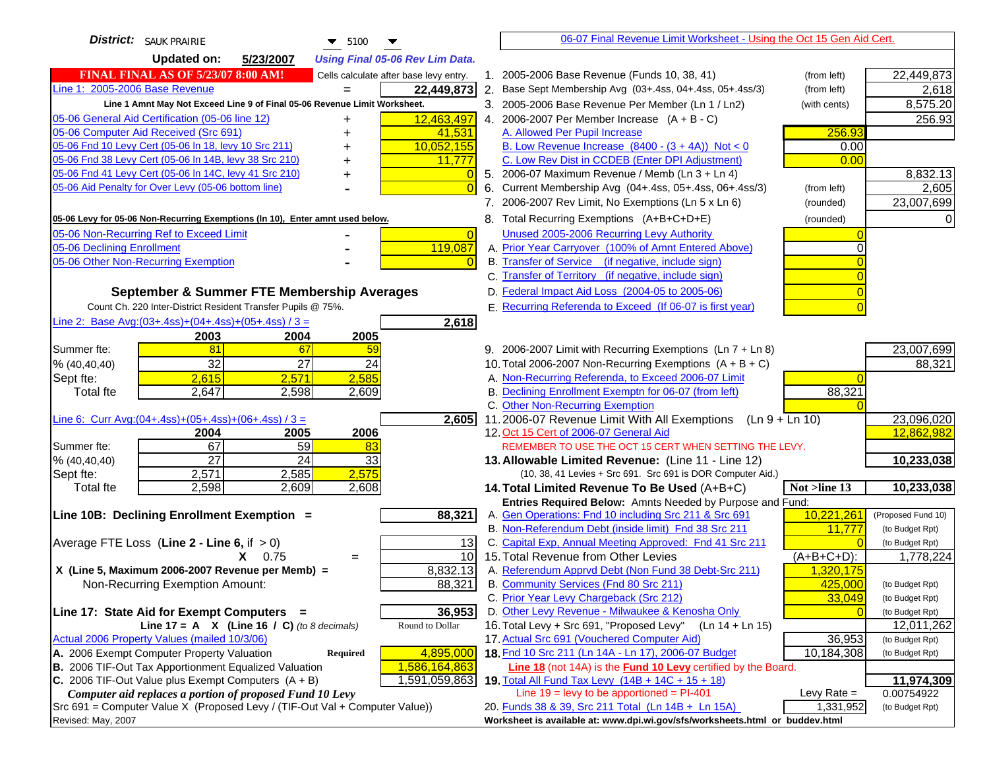| <b>District:</b> SAUK PRAIRIE<br>$\blacktriangledown$ 5100<br>▼                                                         | 06-07 Final Revenue Limit Worksheet - Using the Oct 15 Gen Aid Cert.                                             |                               |
|-------------------------------------------------------------------------------------------------------------------------|------------------------------------------------------------------------------------------------------------------|-------------------------------|
| <b>Updated on:</b><br>5/23/2007<br><b>Using Final 05-06 Rev Lim Data.</b>                                               |                                                                                                                  |                               |
| <b>FINAL FINAL AS OF 5/23/07 8:00 AM!</b><br>Cells calculate after base levy entry.                                     | 1. 2005-2006 Base Revenue (Funds 10, 38, 41)<br>(from left)                                                      | 22,449,873                    |
| Line 1: 2005-2006 Base Revenue<br>22,449,873<br>$=$                                                                     | 2. Base Sept Membership Avg (03+.4ss, 04+.4ss, 05+.4ss/3)<br>(from left)                                         | 2,618                         |
| Line 1 Amnt May Not Exceed Line 9 of Final 05-06 Revenue Limit Worksheet.                                               | 3. 2005-2006 Base Revenue Per Member (Ln 1 / Ln2)<br>(with cents)                                                | 8,575.20                      |
| 05-06 General Aid Certification (05-06 line 12)<br>12,463,497                                                           | 4. 2006-2007 Per Member Increase $(A + B - C)$                                                                   | 256.93                        |
| 05-06 Computer Aid Received (Src 691)<br>41,531                                                                         | A. Allowed Per Pupil Increase<br>256.93                                                                          |                               |
| 05-06 Fnd 10 Levy Cert (05-06 ln 18, levy 10 Src 211)<br>10,052,155                                                     | B. Low Revenue Increase $(8400 - (3 + 4A))$ Not < 0<br>0.00                                                      |                               |
| 05-06 Fnd 38 Levy Cert (05-06 In 14B, levy 38 Src 210)<br>11,777                                                        | C. Low Rev Dist in CCDEB (Enter DPI Adjustment)<br>0.00                                                          |                               |
| 05-06 Fnd 41 Levy Cert (05-06 In 14C, levy 41 Src 210)<br>$\Omega$<br>+                                                 | 5. 2006-07 Maximum Revenue / Memb (Ln 3 + Ln 4)                                                                  | 8,832.13                      |
| 05-06 Aid Penalty for Over Levy (05-06 bottom line)                                                                     | Current Membership Avg (04+.4ss, 05+.4ss, 06+.4ss/3)<br>6.<br>(from left)                                        | 2,605                         |
|                                                                                                                         | 7. 2006-2007 Rev Limit, No Exemptions (Ln 5 x Ln 6)<br>(rounded)                                                 | 23,007,699                    |
| 05-06 Levy for 05-06 Non-Recurring Exemptions (In 10), Enter amnt used below.                                           | 8. Total Recurring Exemptions (A+B+C+D+E)<br>(rounded)                                                           |                               |
| 05-06 Non-Recurring Ref to Exceed Limit<br>$\overline{0}$                                                               | Unused 2005-2006 Recurring Levy Authority                                                                        |                               |
| 119,087<br>05-06 Declining Enrollment                                                                                   | A. Prior Year Carryover (100% of Amnt Entered Above)                                                             |                               |
| 05-06 Other Non-Recurring Exemption                                                                                     | B. Transfer of Service (if negative, include sign)                                                               |                               |
|                                                                                                                         | C. Transfer of Territory (if negative, include sign)                                                             |                               |
| September & Summer FTE Membership Averages                                                                              | D. Federal Impact Aid Loss (2004-05 to 2005-06)                                                                  |                               |
| Count Ch. 220 Inter-District Resident Transfer Pupils @ 75%.                                                            | E. Recurring Referenda to Exceed (If 06-07 is first year)                                                        |                               |
| Line 2: Base Avg: $(03+.4ss)+(04+.4ss)+(05+.4ss)/3 =$<br>2,618                                                          |                                                                                                                  |                               |
| 2003<br>2004<br>2005                                                                                                    |                                                                                                                  |                               |
| 81<br>67<br>Summer fte:<br>59                                                                                           | 9. 2006-2007 Limit with Recurring Exemptions (Ln 7 + Ln 8)                                                       | 23,007,699                    |
| 32<br>27<br>24<br>% (40, 40, 40)                                                                                        | 10. Total 2006-2007 Non-Recurring Exemptions $(A + B + C)$                                                       | 88,321                        |
| 2,585<br>2,615<br>2,571<br>Sept fte:                                                                                    | A. Non-Recurring Referenda, to Exceed 2006-07 Limit                                                              |                               |
| <b>Total fte</b><br>2,647<br>2,598<br>2,609                                                                             | B. Declining Enrollment Exemptn for 06-07 (from left)<br>88,321                                                  |                               |
|                                                                                                                         | C. Other Non-Recurring Exemption                                                                                 |                               |
| Line 6: Curr Avg: $(04+.4ss)+(05+.4ss)+(06+.4ss)/3 =$<br>2,605<br>2006<br>2004                                          | 11.2006-07 Revenue Limit With All Exemptions<br>$(Ln 9 + Ln 10)$<br>12. Oct 15 Cert of 2006-07 General Aid       | 23,096,020<br>12,862,982      |
| 2005<br>67<br>59<br>Summer fte:<br>83                                                                                   | REMEMBER TO USE THE OCT 15 CERT WHEN SETTING THE LEVY.                                                           |                               |
| $\overline{27}$<br>24<br>33<br>% (40, 40, 40)                                                                           | 13. Allowable Limited Revenue: (Line 11 - Line 12)                                                               | 10,233,038                    |
| 2,575<br>2,571<br>2,585<br>Sept fte:                                                                                    | (10, 38, 41 Levies + Src 691. Src 691 is DOR Computer Aid.)                                                      |                               |
| 2,598<br>2,609<br>2,608<br><b>Total fte</b>                                                                             | Not >line 13<br>14. Total Limited Revenue To Be Used (A+B+C)                                                     | 10,233,038                    |
|                                                                                                                         | Entries Required Below: Amnts Needed by Purpose and Fund:                                                        |                               |
| 88,321<br>Line 10B: Declining Enrollment Exemption =                                                                    | A. Gen Operations: Fnd 10 including Src 211 & Src 691<br>10,221,261                                              | (Proposed Fund 10)            |
|                                                                                                                         | B. Non-Referendum Debt (inside limit) Fnd 38 Src 211<br>11,777                                                   | (to Budget Rpt)               |
| Average FTE Loss (Line $2 -$ Line 6, if $> 0$ )<br>13                                                                   | C. Capital Exp, Annual Meeting Approved: Fnd 41 Src 211                                                          | (to Budget Rpt)               |
| 10<br>$X = 0.75$<br>$=$                                                                                                 | 15. Total Revenue from Other Levies<br>$(A+B+C+D)$ :                                                             | 1,778,224                     |
| X (Line 5, Maximum 2006-2007 Revenue per Memb) =<br>8,832.13                                                            | A. Referendum Apprvd Debt (Non Fund 38 Debt-Src 211)<br>1,320,175                                                |                               |
| 88,321<br>Non-Recurring Exemption Amount:                                                                               | B. Community Services (Fnd 80 Src 211)<br>425,000                                                                | (to Budget Rpt)               |
|                                                                                                                         | C. Prior Year Levy Chargeback (Src 212)<br>33,049                                                                | (to Budget Rpt)               |
| 36,953<br>Line 17: State Aid for Exempt Computers =<br>Line 17 = A $X$ (Line 16 / C) (to 8 decimals)<br>Round to Dollar | D. Other Levy Revenue - Milwaukee & Kenosha Only<br>16. Total Levy + Src 691, "Proposed Levy"<br>(Ln 14 + Ln 15) | (to Budget Rpt)<br>12,011,262 |
| Actual 2006 Property Values (mailed 10/3/06)                                                                            | 17. Actual Src 691 (Vouchered Computer Aid)<br>36,953                                                            | (to Budget Rpt)               |
| A. 2006 Exempt Computer Property Valuation<br>4,895,000<br>Required                                                     | 18. Fnd 10 Src 211 (Ln 14A - Ln 17), 2006-07 Budget<br>10,184,308                                                | (to Budget Rpt)               |
| B. 2006 TIF-Out Tax Apportionment Equalized Valuation<br>1,586,164,863                                                  | Line 18 (not 14A) is the Fund 10 Levy certified by the Board.                                                    |                               |
| C. 2006 TIF-Out Value plus Exempt Computers $(A + B)$<br>1,591,059,863                                                  | 19. Total All Fund Tax Levy $(14B + 14C + 15 + 18)$                                                              | 11,974,309                    |
| Computer aid replaces a portion of proposed Fund 10 Levy                                                                | Line $19 = \text{levy}$ to be apportioned = PI-401<br>Levy Rate $=$                                              | 0.00754922                    |
| Src 691 = Computer Value X (Proposed Levy / (TIF-Out Val + Computer Value))                                             | 20. Funds 38 & 39, Src 211 Total (Ln 14B + Ln 15A)<br>1,331,952                                                  | (to Budget Rpt)               |
| Revised: May, 2007                                                                                                      | Worksheet is available at: www.dpi.wi.gov/sfs/worksheets.html or buddev.html                                     |                               |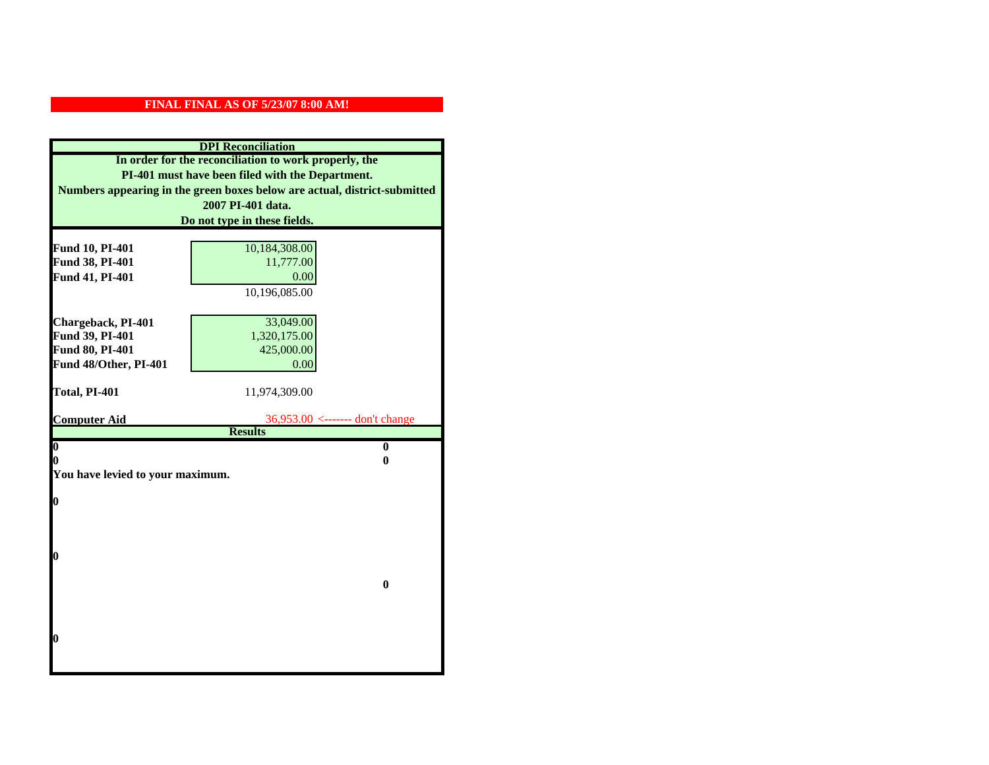| <b>DPI</b> Reconciliation                                                 |                                   |  |  |
|---------------------------------------------------------------------------|-----------------------------------|--|--|
| In order for the reconciliation to work properly, the                     |                                   |  |  |
| PI-401 must have been filed with the Department.                          |                                   |  |  |
| Numbers appearing in the green boxes below are actual, district-submitted |                                   |  |  |
|                                                                           | 2007 PI-401 data.                 |  |  |
|                                                                           | Do not type in these fields.      |  |  |
|                                                                           |                                   |  |  |
| Fund 10, PI-401                                                           | 10,184,308.00                     |  |  |
| Fund 38, PI-401                                                           | 11,777.00                         |  |  |
| Fund 41, PI-401                                                           | 0.00                              |  |  |
|                                                                           | 10,196,085.00                     |  |  |
|                                                                           |                                   |  |  |
| Chargeback, PI-401                                                        | 33,049.00                         |  |  |
| Fund 39, PI-401                                                           | 1,320,175.00                      |  |  |
| Fund 80, PI-401                                                           | 425,000.00                        |  |  |
| Fund 48/Other, PI-401                                                     | 0.00                              |  |  |
|                                                                           |                                   |  |  |
| Total, PI-401                                                             | 11,974,309.00                     |  |  |
| <b>Computer Aid</b>                                                       | $36,953.00$ <------- don't change |  |  |
|                                                                           | <b>Results</b>                    |  |  |
| $\overline{\mathbf{0}}$                                                   | $\bf{0}$                          |  |  |
| 0<br>0                                                                    |                                   |  |  |
| You have levied to your maximum.                                          |                                   |  |  |
|                                                                           |                                   |  |  |
| $\bf{0}$                                                                  |                                   |  |  |
|                                                                           |                                   |  |  |
|                                                                           |                                   |  |  |
| l0                                                                        |                                   |  |  |
|                                                                           |                                   |  |  |
|                                                                           | $\bf{0}$                          |  |  |
|                                                                           |                                   |  |  |
|                                                                           |                                   |  |  |
|                                                                           |                                   |  |  |
| $\boldsymbol{0}$                                                          |                                   |  |  |
|                                                                           |                                   |  |  |
|                                                                           |                                   |  |  |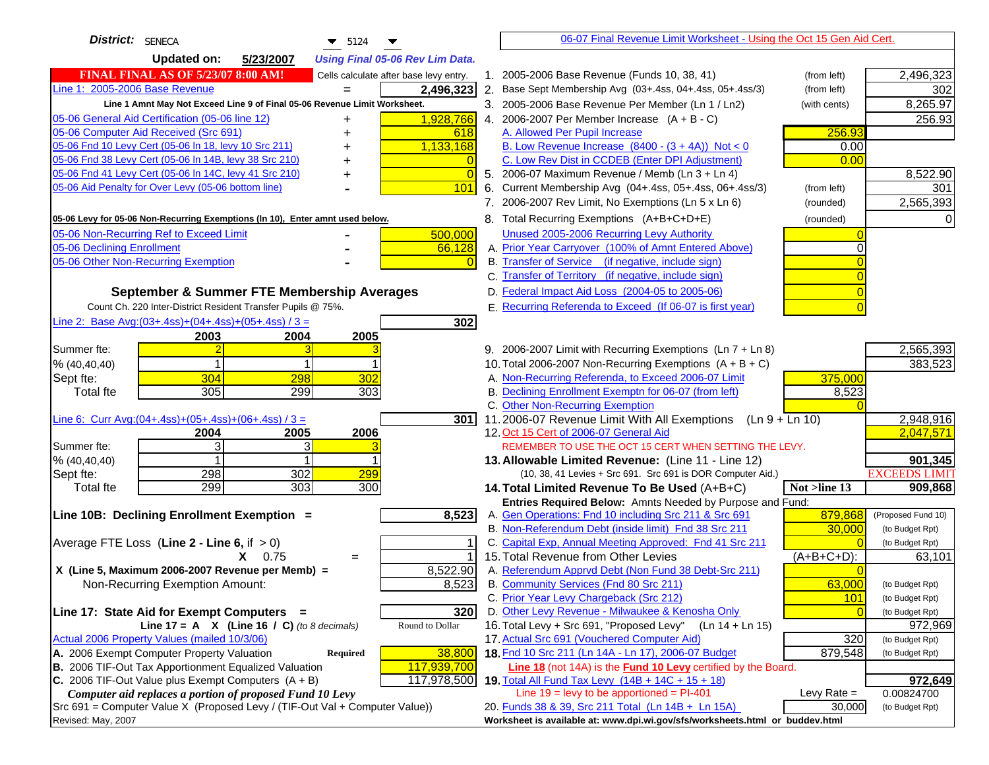| District: SENECA<br>$\blacktriangledown$ 5124                                                                                           | 06-07 Final Revenue Limit Worksheet - Using the Oct 15 Gen Aid Cert.                                              |                                                          |
|-----------------------------------------------------------------------------------------------------------------------------------------|-------------------------------------------------------------------------------------------------------------------|----------------------------------------------------------|
| <b>Updated on:</b><br>5/23/2007<br><b>Using Final 05-06 Rev Lim Data.</b>                                                               |                                                                                                                   |                                                          |
| <b>FINAL FINAL AS OF 5/23/07 8:00 AM!</b><br>Cells calculate after base levy entry.                                                     | 1. 2005-2006 Base Revenue (Funds 10, 38, 41)                                                                      | 2,496,323<br>(from left)                                 |
| Line 1: 2005-2006 Base Revenue<br>2,496,323                                                                                             | 2. Base Sept Membership Avg (03+.4ss, 04+.4ss, 05+.4ss/3)                                                         | 302<br>(from left)                                       |
| Line 1 Amnt May Not Exceed Line 9 of Final 05-06 Revenue Limit Worksheet.                                                               | 3. 2005-2006 Base Revenue Per Member (Ln 1 / Ln2)                                                                 | 8,265.97<br>(with cents)                                 |
| 1,928,766<br>05-06 General Aid Certification (05-06 line 12)                                                                            | 4. 2006-2007 Per Member Increase $(A + B - C)$                                                                    | 256.93                                                   |
| 05-06 Computer Aid Received (Src 691)<br>618                                                                                            | A. Allowed Per Pupil Increase                                                                                     | 256.93                                                   |
| 05-06 Fnd 10 Levy Cert (05-06 In 18, levy 10 Src 211)<br>1,133,168                                                                      | B. Low Revenue Increase $(8400 - (3 + 4A))$ Not < 0                                                               | 0.00                                                     |
| 05-06 Fnd 38 Levy Cert (05-06 In 14B, levy 38 Src 210)<br>$\Omega$                                                                      | C. Low Rev Dist in CCDEB (Enter DPI Adjustment)                                                                   | 0.00                                                     |
| 05-06 Fnd 41 Levy Cert (05-06 In 14C, levy 41 Src 210)<br>$\Omega$<br>٠                                                                 | 5. 2006-07 Maximum Revenue / Memb (Ln 3 + Ln 4)                                                                   | 8,522.90                                                 |
| 05-06 Aid Penalty for Over Levy (05-06 bottom line)<br>101                                                                              | Current Membership Avg (04+.4ss, 05+.4ss, 06+.4ss/3)<br>6.                                                        | (from left)<br>301                                       |
|                                                                                                                                         | 7. 2006-2007 Rev Limit, No Exemptions (Ln 5 x Ln 6)                                                               | 2,565,393<br>(rounded)                                   |
| 05-06 Levy for 05-06 Non-Recurring Exemptions (In 10), Enter amnt used below.                                                           | 8. Total Recurring Exemptions (A+B+C+D+E)                                                                         | (rounded)<br>0                                           |
| 05-06 Non-Recurring Ref to Exceed Limit<br>500,000                                                                                      | Unused 2005-2006 Recurring Levy Authority                                                                         |                                                          |
| 05-06 Declining Enrollment<br>66,128                                                                                                    | A. Prior Year Carryover (100% of Amnt Entered Above)                                                              | ∩                                                        |
| 05-06 Other Non-Recurring Exemption<br>$\Omega$                                                                                         | B. Transfer of Service (if negative, include sign)                                                                |                                                          |
|                                                                                                                                         | C. Transfer of Territory (if negative, include sign)                                                              |                                                          |
| September & Summer FTE Membership Averages                                                                                              | D. Federal Impact Aid Loss (2004-05 to 2005-06)                                                                   |                                                          |
| Count Ch. 220 Inter-District Resident Transfer Pupils @ 75%.                                                                            | E. Recurring Referenda to Exceed (If 06-07 is first year)                                                         |                                                          |
| Line 2: Base Avg: (03+.4ss) + (04+.4ss) + (05+.4ss) / 3 =<br>302                                                                        |                                                                                                                   |                                                          |
| 2003<br>2004<br>2005                                                                                                                    |                                                                                                                   |                                                          |
| Summer fte:<br>3                                                                                                                        | 9. 2006-2007 Limit with Recurring Exemptions (Ln 7 + Ln 8)                                                        | 2,565,393                                                |
| % (40, 40, 40)                                                                                                                          | 10. Total 2006-2007 Non-Recurring Exemptions $(A + B + C)$                                                        | 383,523                                                  |
| 304<br>298<br>302<br>Sept fte:                                                                                                          | A. Non-Recurring Referenda, to Exceed 2006-07 Limit                                                               | 375,000                                                  |
| 305<br>299<br>303<br>Total fte                                                                                                          | B. Declining Enrollment Exemptn for 06-07 (from left)                                                             | 8,523                                                    |
|                                                                                                                                         | C. Other Non-Recurring Exemption                                                                                  |                                                          |
| Line 6: Curr Avg: $(04+.4ss)+(05+.4ss)+(06+.4ss)/3 =$<br><b>3011</b>                                                                    | 11.2006-07 Revenue Limit With All Exemptions (Ln $9 + \overline{\text{Ln }10}$ )                                  | 2,948,916                                                |
| 2006<br>2005<br>2004                                                                                                                    | 12. Oct 15 Cert of 2006-07 General Aid                                                                            | 2,047,571                                                |
| 3<br>Summer fte:<br>3<br>% (40, 40, 40)                                                                                                 | REMEMBER TO USE THE OCT 15 CERT WHEN SETTING THE LEVY.                                                            | 901,345                                                  |
| 302<br>298<br>299<br>Sept fte:                                                                                                          | 13. Allowable Limited Revenue: (Line 11 - Line 12)<br>(10, 38, 41 Levies + Src 691. Src 691 is DOR Computer Aid.) | <b>EXCEEDS LIMIT</b>                                     |
| 299<br>303<br>Total fte<br>300                                                                                                          | 14. Total Limited Revenue To Be Used (A+B+C)                                                                      | Not >line 13<br>909,868                                  |
|                                                                                                                                         | Entries Required Below: Amnts Needed by Purpose and Fund:                                                         |                                                          |
| 8,523<br>Line 10B: Declining Enrollment Exemption =                                                                                     | A. Gen Operations: Fnd 10 including Src 211 & Src 691                                                             | 879,868<br>(Proposed Fund 10)                            |
|                                                                                                                                         | B. Non-Referendum Debt (inside limit) Fnd 38 Src 211                                                              | 30,000<br>(to Budget Rpt)                                |
| Average FTE Loss (Line $2 -$ Line 6, if $> 0$ )                                                                                         | C. Capital Exp, Annual Meeting Approved: Fnd 41 Src 211                                                           | (to Budget Rpt)                                          |
| $X = 0.75$<br>$=$                                                                                                                       | 15. Total Revenue from Other Levies                                                                               | $(A+B+C+D)$ :<br>63,101                                  |
| X (Line 5, Maximum 2006-2007 Revenue per Memb) =<br>8,522.90                                                                            | A. Referendum Apprvd Debt (Non Fund 38 Debt-Src 211)                                                              |                                                          |
| 8,523<br>Non-Recurring Exemption Amount:                                                                                                | B. Community Services (Fnd 80 Src 211)                                                                            | 63,000<br>(to Budget Rpt)                                |
|                                                                                                                                         | C. Prior Year Levy Chargeback (Src 212)                                                                           | 101<br>(to Budget Rpt)                                   |
| Line 17: State Aid for Exempt Computers =<br>320                                                                                        | D. Other Levy Revenue - Milwaukee & Kenosha Only                                                                  | (to Budget Rpt)                                          |
| Line 17 = A $X$ (Line 16 / C) (to 8 decimals)<br>Round to Dollar                                                                        | 16. Total Levy + Src 691, "Proposed Levy"<br>(Ln 14 + Ln 15)                                                      | 972,969                                                  |
| Actual 2006 Property Values (mailed 10/3/06)                                                                                            | 17. Actual Src 691 (Vouchered Computer Aid)                                                                       | 320<br>(to Budget Rpt)                                   |
| A. 2006 Exempt Computer Property Valuation<br>38,800<br><b>Required</b>                                                                 | 18. Fnd 10 Src 211 (Ln 14A - Ln 17), 2006-07 Budget                                                               | 879,548<br>(to Budget Rpt)                               |
| B. 2006 TIF-Out Tax Apportionment Equalized Valuation<br>117,939,700                                                                    | Line 18 (not 14A) is the Fund 10 Levy certified by the Board.                                                     |                                                          |
| C. 2006 TIF-Out Value plus Exempt Computers $(A + B)$<br>117,978,500                                                                    | 19. Total All Fund Tax Levy (14B + 14C + 15 + 18)<br>Line $19$ = levy to be apportioned = PI-401                  | 972,649                                                  |
| Computer aid replaces a portion of proposed Fund 10 Levy<br>Src 691 = Computer Value X (Proposed Levy / (TIF-Out Val + Computer Value)) | 20. Funds 38 & 39, Src 211 Total (Ln 14B + Ln 15A)                                                                | Levy Rate $=$<br>0.00824700<br>30,000<br>(to Budget Rpt) |
| Revised: May, 2007                                                                                                                      | Worksheet is available at: www.dpi.wi.gov/sfs/worksheets.html or buddev.html                                      |                                                          |
|                                                                                                                                         |                                                                                                                   |                                                          |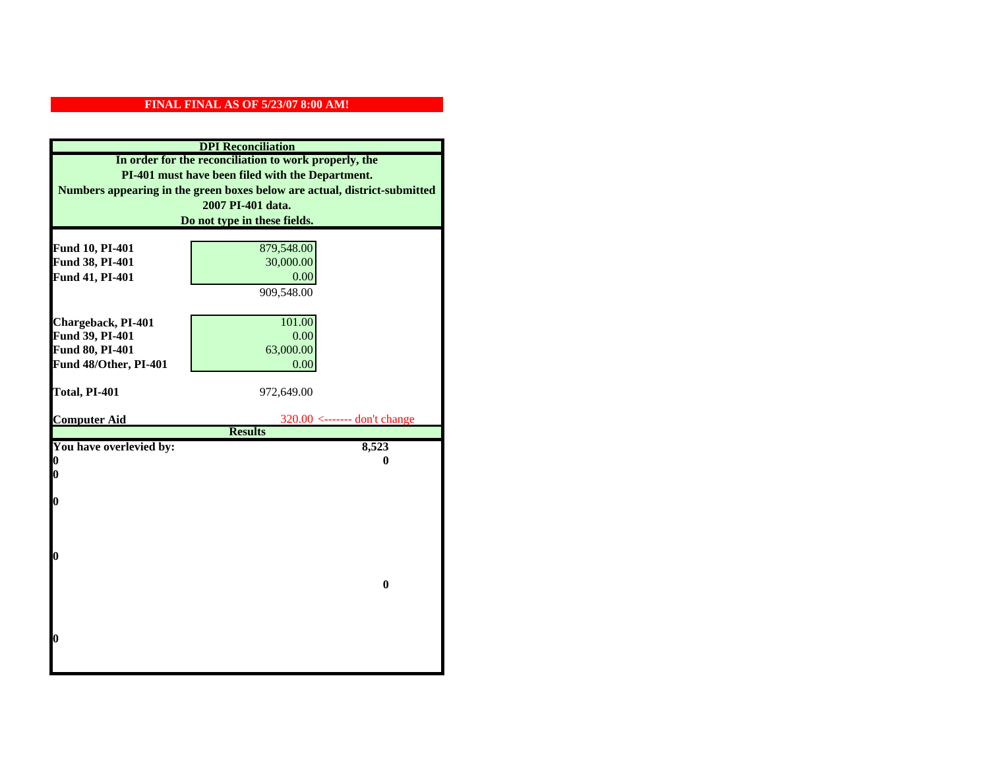| <b>DPI</b> Reconciliation                             |                                                                           |  |  |
|-------------------------------------------------------|---------------------------------------------------------------------------|--|--|
| In order for the reconciliation to work properly, the |                                                                           |  |  |
| PI-401 must have been filed with the Department.      |                                                                           |  |  |
|                                                       | Numbers appearing in the green boxes below are actual, district-submitted |  |  |
|                                                       | 2007 PI-401 data.                                                         |  |  |
|                                                       | Do not type in these fields.                                              |  |  |
|                                                       |                                                                           |  |  |
| Fund 10, PI-401                                       | 879,548.00                                                                |  |  |
| Fund 38, PI-401                                       | 30,000.00                                                                 |  |  |
| Fund 41, PI-401                                       | 0.00                                                                      |  |  |
|                                                       | 909,548.00                                                                |  |  |
|                                                       |                                                                           |  |  |
| Chargeback, PI-401                                    | 101.00                                                                    |  |  |
| Fund 39, PI-401                                       | 0.00                                                                      |  |  |
| Fund 80, PI-401                                       | 63,000.00                                                                 |  |  |
| Fund 48/Other, PI-401                                 | 0.00                                                                      |  |  |
|                                                       |                                                                           |  |  |
| Total, PI-401                                         | 972,649.00                                                                |  |  |
|                                                       |                                                                           |  |  |
| <b>Computer Aid</b>                                   | $320.00$ <------- don't change<br><b>Results</b>                          |  |  |
| You have overlevied by:                               | 8,523                                                                     |  |  |
| 0                                                     | 0                                                                         |  |  |
| 0                                                     |                                                                           |  |  |
|                                                       |                                                                           |  |  |
| 0                                                     |                                                                           |  |  |
|                                                       |                                                                           |  |  |
|                                                       |                                                                           |  |  |
|                                                       |                                                                           |  |  |
| $\boldsymbol{0}$                                      |                                                                           |  |  |
|                                                       |                                                                           |  |  |
|                                                       | $\bf{0}$                                                                  |  |  |
|                                                       |                                                                           |  |  |
|                                                       |                                                                           |  |  |
| 0                                                     |                                                                           |  |  |
|                                                       |                                                                           |  |  |
|                                                       |                                                                           |  |  |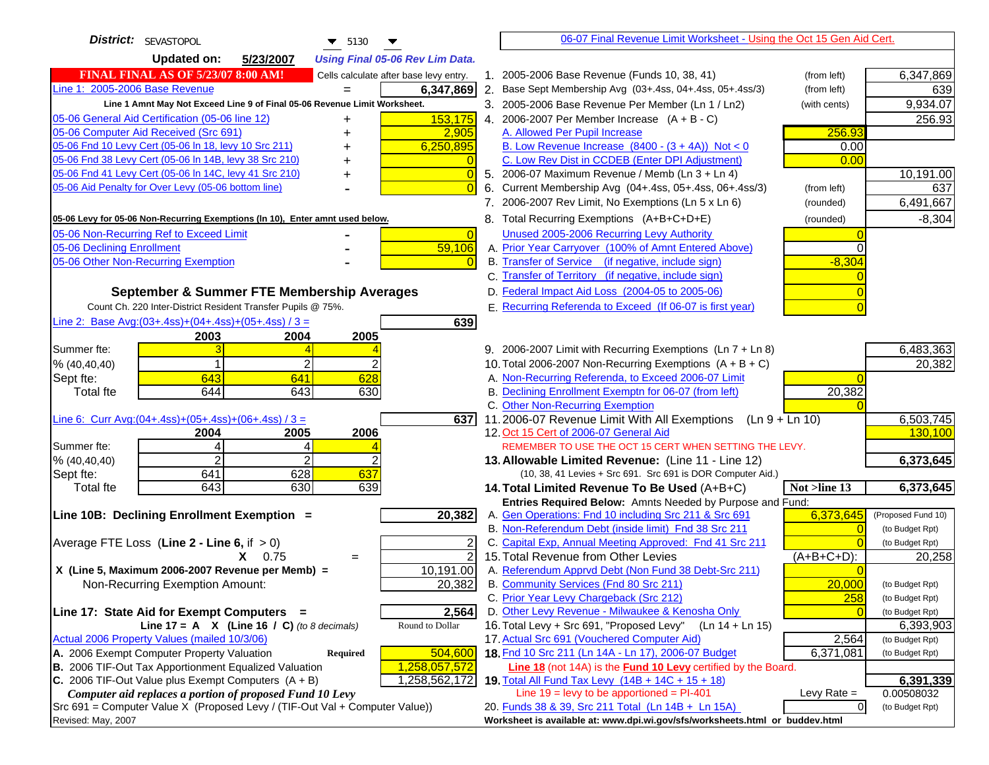| <b>District:</b> SEVASTOPOL<br>$\blacktriangledown$ 5130                                                         | 06-07 Final Revenue Limit Worksheet - Using the Oct 15 Gen Aid Cert.                                          |                      |
|------------------------------------------------------------------------------------------------------------------|---------------------------------------------------------------------------------------------------------------|----------------------|
| <b>Updated on:</b><br>5/23/2007<br><b>Using Final 05-06 Rev Lim Data.</b>                                        |                                                                                                               |                      |
| <b>FINAL FINAL AS OF 5/23/07 8:00 AM!</b><br>Cells calculate after base levy entry.                              | 1. 2005-2006 Base Revenue (Funds 10, 38, 41)<br>(from left)                                                   | 6,347,869            |
| Line 1: 2005-2006 Base Revenue<br>6,347,869<br>$=$                                                               | 2. Base Sept Membership Avg (03+.4ss, 04+.4ss, 05+.4ss/3)<br>(from left)                                      | 639                  |
| Line 1 Amnt May Not Exceed Line 9 of Final 05-06 Revenue Limit Worksheet.                                        | 3. 2005-2006 Base Revenue Per Member (Ln 1 / Ln2)<br>(with cents)                                             | 9,934.07             |
| 05-06 General Aid Certification (05-06 line 12)<br>153,175                                                       | 4. 2006-2007 Per Member Increase $(A + B - C)$                                                                | 256.93               |
| 05-06 Computer Aid Received (Src 691)<br>2,905                                                                   | A. Allowed Per Pupil Increase<br>256.93                                                                       |                      |
| 05-06 Fnd 10 Levy Cert (05-06 In 18, levy 10 Src 211)<br>6,250,895                                               | B. Low Revenue Increase $(8400 - (3 + 4A))$ Not < 0<br>0.00                                                   |                      |
| 05-06 Fnd 38 Levy Cert (05-06 In 14B, levy 38 Src 210)                                                           | C. Low Rev Dist in CCDEB (Enter DPI Adjustment)<br>0.00                                                       |                      |
| 05-06 Fnd 41 Levy Cert (05-06 In 14C, levy 41 Src 210)<br>0<br>+                                                 | 5. 2006-07 Maximum Revenue / Memb (Ln 3 + Ln 4)                                                               | 10,191.00            |
| 05-06 Aid Penalty for Over Levy (05-06 bottom line)                                                              | 6. Current Membership Avg (04+.4ss, 05+.4ss, 06+.4ss/3)<br>(from left)                                        | 637                  |
|                                                                                                                  | 7. 2006-2007 Rev Limit, No Exemptions (Ln 5 x Ln 6)<br>(rounded)                                              | 6,491,667            |
| 05-06 Levy for 05-06 Non-Recurring Exemptions (In 10), Enter amnt used below.                                    | 8. Total Recurring Exemptions (A+B+C+D+E)<br>(rounded)                                                        | $-8,304$             |
| 05-06 Non-Recurring Ref to Exceed Limit<br>$\overline{0}$                                                        | Unused 2005-2006 Recurring Levy Authority                                                                     |                      |
| 59,106<br>05-06 Declining Enrollment                                                                             | A. Prior Year Carryover (100% of Amnt Entered Above)                                                          |                      |
| 05-06 Other Non-Recurring Exemption                                                                              | B. Transfer of Service (if negative, include sign)<br>$-8,304$                                                |                      |
|                                                                                                                  | C. Transfer of Territory (if negative, include sign)                                                          |                      |
| September & Summer FTE Membership Averages                                                                       | D. Federal Impact Aid Loss (2004-05 to 2005-06)                                                               |                      |
| Count Ch. 220 Inter-District Resident Transfer Pupils @ 75%.                                                     | E. Recurring Referenda to Exceed (If 06-07 is first year)                                                     |                      |
| Line 2: Base Avg: $(03+.4ss)+(04+.4ss)+(05+.4ss)/3 =$<br>639                                                     |                                                                                                               |                      |
| 2003<br>2004<br>2005                                                                                             |                                                                                                               |                      |
| Summer fte:                                                                                                      | 9. 2006-2007 Limit with Recurring Exemptions (Ln 7 + Ln 8)                                                    | 6,483,363            |
| $\overline{2}$<br>% (40, 40, 40)                                                                                 | 10. Total 2006-2007 Non-Recurring Exemptions $(A + B + C)$                                                    | 20,382               |
| 628<br>643<br>641<br>Sept fte:                                                                                   | A. Non-Recurring Referenda, to Exceed 2006-07 Limit                                                           |                      |
| 644<br>630<br><b>Total fte</b><br>643                                                                            | B. Declining Enrollment Exemptn for 06-07 (from left)<br>20,382                                               |                      |
|                                                                                                                  | C. Other Non-Recurring Exemption                                                                              |                      |
| Line 6: Curr Avg: $(04+.4ss)+(05+.4ss)+(06+.4ss)/3 =$<br>6371                                                    | 11.2006-07 Revenue Limit With All Exemptions (Ln 9 + Ln 10)                                                   | 6,503,745<br>130,100 |
| 2005<br>2006<br>2004<br>Summer fte:<br>$\overline{4}$<br>Δ                                                       | 12. Oct 15 Cert of 2006-07 General Aid<br>REMEMBER TO USE THE OCT 15 CERT WHEN SETTING THE LEVY.              |                      |
| $\overline{2}$<br>% (40, 40, 40)<br>2                                                                            | 13. Allowable Limited Revenue: (Line 11 - Line 12)                                                            | 6,373,645            |
| 628<br>637<br>641<br>Sept fte:                                                                                   | (10, 38, 41 Levies + Src 691. Src 691 is DOR Computer Aid.)                                                   |                      |
| 643<br>630<br>639<br><b>Total fte</b>                                                                            | 14. Total Limited Revenue To Be Used (A+B+C)<br>Not >line 13                                                  | 6,373,645            |
|                                                                                                                  | Entries Required Below: Amnts Needed by Purpose and Fund:                                                     |                      |
| 20,382<br>Line 10B: Declining Enrollment Exemption =                                                             | A. Gen Operations: Fnd 10 including Src 211 & Src 691<br>6,373,645                                            | (Proposed Fund 10)   |
|                                                                                                                  | B. Non-Referendum Debt (inside limit) Fnd 38 Src 211                                                          | (to Budget Rpt)      |
| Average FTE Loss (Line $2 -$ Line 6, if $> 0$ )                                                                  | C. Capital Exp, Annual Meeting Approved: Fnd 41 Src 211                                                       | (to Budget Rpt)      |
| $\overline{2}$<br>$X = 0.75$<br>$=$                                                                              | 15. Total Revenue from Other Levies<br>$(A+B+C+D)$ :                                                          | 20,258               |
| X (Line 5, Maximum 2006-2007 Revenue per Memb) =<br>10,191.00                                                    | A. Referendum Apprvd Debt (Non Fund 38 Debt-Src 211)                                                          |                      |
| 20,382<br>Non-Recurring Exemption Amount:                                                                        | 20,000<br>B. Community Services (Fnd 80 Src 211)                                                              | (to Budget Rpt)      |
|                                                                                                                  | C. Prior Year Levy Chargeback (Src 212)<br>258                                                                | (to Budget Rpt)      |
| 2,564<br>Line 17: State Aid for Exempt Computers =                                                               | D. Other Levy Revenue - Milwaukee & Kenosha Only                                                              | (to Budget Rpt)      |
| Round to Dollar<br>Line 17 = A $X$ (Line 16 / C) (to 8 decimals)<br>Actual 2006 Property Values (mailed 10/3/06) | 16. Total Levy + Src 691, "Proposed Levy"<br>$(Ln 14 + Ln 15)$<br>17. Actual Src 691 (Vouchered Computer Aid) | 6,393,903            |
| A. 2006 Exempt Computer Property Valuation                                                                       | 2,564<br>18. Fnd 10 Src 211 (Ln 14A - Ln 17), 2006-07 Budget                                                  | (to Budget Rpt)      |
| 504,600<br>Required<br>B. 2006 TIF-Out Tax Apportionment Equalized Valuation<br>1,258,057,572                    | 6,371,081<br><b>Line 18</b> (not 14A) is the <b>Fund 10 Levy</b> certified by the Board.                      | (to Budget Rpt)      |
| C. 2006 TIF-Out Value plus Exempt Computers $(A + B)$<br>1,258,562,172                                           | 19. Total All Fund Tax Levy $(14B + 14C + 15 + 18)$                                                           | 6,391,339            |
| Computer aid replaces a portion of proposed Fund 10 Levy                                                         | Line $19 = \text{levy}$ to be apportioned = PI-401<br>Levy Rate $=$                                           | 0.00508032           |
| Src 691 = Computer Value X (Proposed Levy / (TIF-Out Val + Computer Value))                                      | $\overline{0}$<br>20. Funds 38 & 39, Src 211 Total (Ln 14B + Ln 15A)                                          | (to Budget Rpt)      |
| Revised: May, 2007                                                                                               | Worksheet is available at: www.dpi.wi.gov/sfs/worksheets.html or buddev.html                                  |                      |
|                                                                                                                  |                                                                                                               |                      |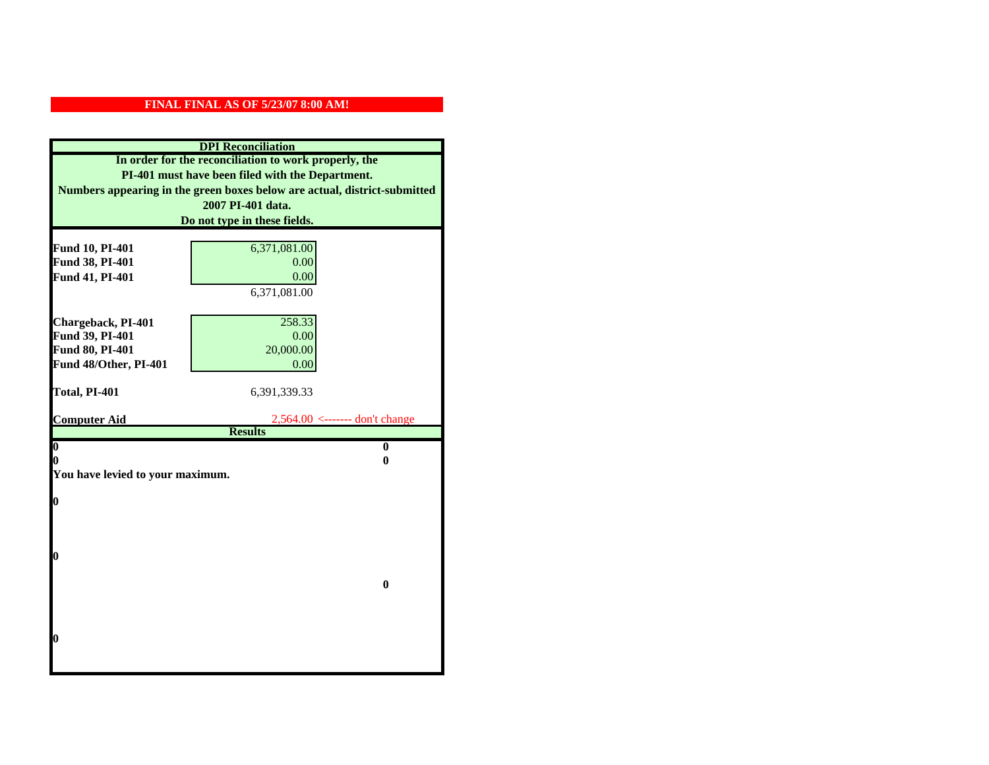| <b>DPI</b> Reconciliation                                                 |                                     |  |
|---------------------------------------------------------------------------|-------------------------------------|--|
| In order for the reconciliation to work properly, the                     |                                     |  |
| PI-401 must have been filed with the Department.                          |                                     |  |
| Numbers appearing in the green boxes below are actual, district-submitted |                                     |  |
|                                                                           | 2007 PI-401 data.                   |  |
|                                                                           | Do not type in these fields.        |  |
|                                                                           |                                     |  |
| Fund 10, PI-401                                                           | 6,371,081.00                        |  |
| Fund 38, PI-401                                                           | 0.00                                |  |
| Fund 41, PI-401                                                           | 0.00                                |  |
|                                                                           | 6,371,081.00                        |  |
|                                                                           |                                     |  |
| Chargeback, PI-401                                                        | 258.33                              |  |
| Fund 39, PI-401                                                           | 0.00                                |  |
| Fund 80, PI-401                                                           | 20,000.00                           |  |
| Fund 48/Other, PI-401                                                     | 0.00                                |  |
| Total, PI-401                                                             | 6,391,339.33                        |  |
|                                                                           |                                     |  |
|                                                                           |                                     |  |
| <b>Computer Aid</b>                                                       | $2,564.00 \le$ ------- don't change |  |
|                                                                           | <b>Results</b>                      |  |
| $\overline{\mathbf{0}}$                                                   | $\mathbf{0}$                        |  |
| 0                                                                         | 0                                   |  |
| You have levied to your maximum.                                          |                                     |  |
|                                                                           |                                     |  |
| $\bf{0}$                                                                  |                                     |  |
|                                                                           |                                     |  |
|                                                                           |                                     |  |
| 0                                                                         |                                     |  |
|                                                                           |                                     |  |
|                                                                           | $\bf{0}$                            |  |
|                                                                           |                                     |  |
|                                                                           |                                     |  |
|                                                                           |                                     |  |
| 0                                                                         |                                     |  |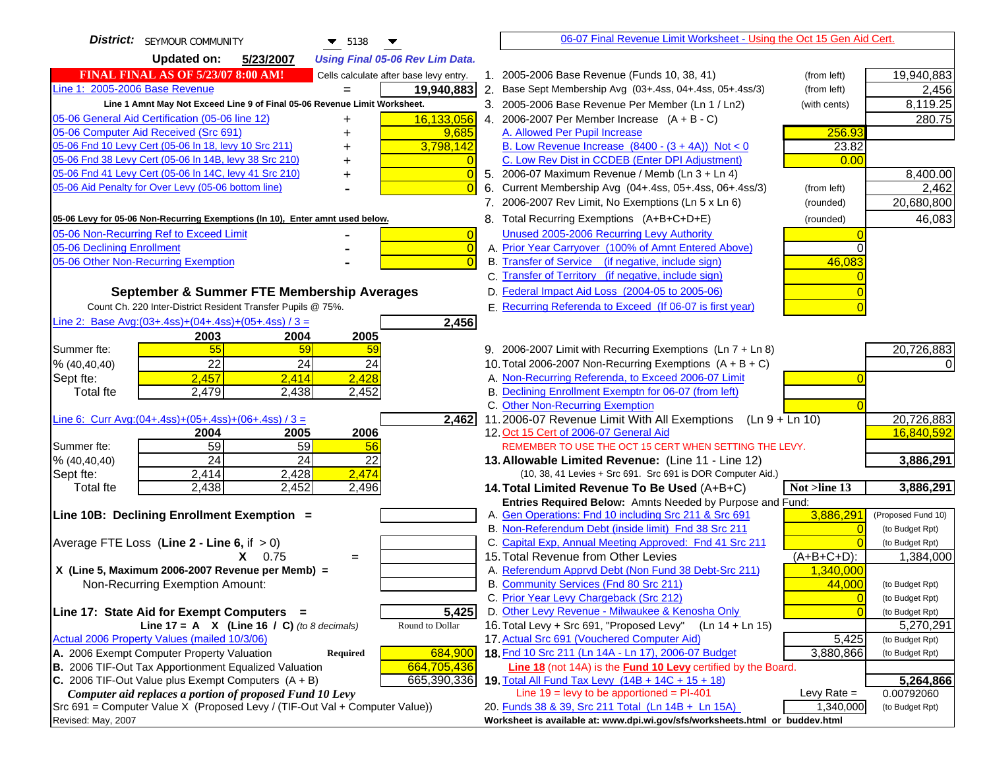| <b>District:</b> SEYMOUR COMMUNITY<br>$\blacktriangledown$ 5138                     | 06-07 Final Revenue Limit Worksheet - Using the Oct 15 Gen Aid Cert.                                                                            |                    |
|-------------------------------------------------------------------------------------|-------------------------------------------------------------------------------------------------------------------------------------------------|--------------------|
| <b>Updated on:</b><br>5/23/2007<br><b>Using Final 05-06 Rev Lim Data.</b>           |                                                                                                                                                 |                    |
| <b>FINAL FINAL AS OF 5/23/07 8:00 AM!</b><br>Cells calculate after base levy entry. | 1. 2005-2006 Base Revenue (Funds 10, 38, 41)<br>(from left)                                                                                     | 19,940,883         |
| Line 1: 2005-2006 Base Revenue<br>19,940,883                                        | 2. Base Sept Membership Avg (03+.4ss, 04+.4ss, 05+.4ss/3)<br>(from left)                                                                        | 2,456              |
| Line 1 Amnt May Not Exceed Line 9 of Final 05-06 Revenue Limit Worksheet.           | 3. 2005-2006 Base Revenue Per Member (Ln 1 / Ln2)<br>(with cents)                                                                               | 8,119.25           |
| 16,133,056<br>05-06 General Aid Certification (05-06 line 12)                       | 4. 2006-2007 Per Member Increase $(A + B - C)$                                                                                                  | 280.75             |
| 05-06 Computer Aid Received (Src 691)<br>9,685                                      | 256.93<br>A. Allowed Per Pupil Increase                                                                                                         |                    |
| 05-06 Fnd 10 Levy Cert (05-06 ln 18, levy 10 Src 211)<br>3,798,142                  | B. Low Revenue Increase $(8400 - (3 + 4A))$ Not < 0<br>23.82                                                                                    |                    |
| 05-06 Fnd 38 Levy Cert (05-06 In 14B, levy 38 Src 210)                              | C. Low Rev Dist in CCDEB (Enter DPI Adjustment)<br>0.00                                                                                         |                    |
| 05-06 Fnd 41 Levy Cert (05-06 In 14C, levy 41 Src 210)<br>$\overline{0}$<br>+       | 5. 2006-07 Maximum Revenue / Memb (Ln $3 + \text{Ln } 4$ )                                                                                      | 8,400.00           |
| 05-06 Aid Penalty for Over Levy (05-06 bottom line)<br>$\Omega$                     | Current Membership Avg (04+.4ss, 05+.4ss, 06+.4ss/3)<br>6.<br>(from left)                                                                       | 2,462              |
|                                                                                     | 7. 2006-2007 Rev Limit, No Exemptions (Ln 5 x Ln 6)<br>(rounded)                                                                                | 20,680,800         |
| 05-06 Levy for 05-06 Non-Recurring Exemptions (In 10), Enter amnt used below.       | 8. Total Recurring Exemptions (A+B+C+D+E)<br>(rounded)                                                                                          | 46,083             |
| 05-06 Non-Recurring Ref to Exceed Limit<br>$\overline{0}$                           | Unused 2005-2006 Recurring Levy Authority                                                                                                       |                    |
| 05-06 Declining Enrollment<br>$\overline{0}$                                        | A. Prior Year Carryover (100% of Amnt Entered Above)                                                                                            |                    |
| 05-06 Other Non-Recurring Exemption<br>$\Omega$                                     | B. Transfer of Service (if negative, include sign)<br>46,083                                                                                    |                    |
|                                                                                     | C. Transfer of Territory (if negative, include sign)                                                                                            |                    |
| September & Summer FTE Membership Averages                                          | D. Federal Impact Aid Loss (2004-05 to 2005-06)                                                                                                 |                    |
| Count Ch. 220 Inter-District Resident Transfer Pupils @ 75%.                        | E. Recurring Referenda to Exceed (If 06-07 is first year)                                                                                       |                    |
| Line 2: Base Avg:(03+.4ss)+(04+.4ss)+(05+.4ss) / 3 =<br>2,456                       |                                                                                                                                                 |                    |
| 2003<br>2004<br>2005                                                                |                                                                                                                                                 |                    |
| 55<br>59<br>Summer fte:<br>59                                                       | 9. 2006-2007 Limit with Recurring Exemptions (Ln 7 + Ln 8)                                                                                      | 20,726,883         |
| 22<br>24<br>24<br>% (40, 40, 40)                                                    | 10. Total 2006-2007 Non-Recurring Exemptions $(A + B + C)$                                                                                      |                    |
| 2,428<br>2,457<br>Sept fte:<br>2.414                                                | A. Non-Recurring Referenda, to Exceed 2006-07 Limit                                                                                             |                    |
| <b>Total fte</b><br>2,479<br>2,438<br>2,452                                         | B. Declining Enrollment Exemptn for 06-07 (from left)                                                                                           |                    |
|                                                                                     | C. Other Non-Recurring Exemption                                                                                                                |                    |
| Line 6: Curr Avg: $(04+.4ss)+(05+.4ss)+(06+.4ss)/3 =$<br>2,462                      | 11.2006-07 Revenue Limit With All Exemptions (Ln $9 + \overline{\text{Ln }10}$ )                                                                | 20,726,883         |
| 2006<br>2005<br>2004                                                                | 12. Oct 15 Cert of 2006-07 General Aid                                                                                                          | 16,840,592         |
| 59<br>59<br>Summer fte:<br>56                                                       | REMEMBER TO USE THE OCT 15 CERT WHEN SETTING THE LEVY.                                                                                          |                    |
| $\overline{24}$<br>$\overline{24}$<br>22<br>% (40, 40, 40)                          | 13. Allowable Limited Revenue: (Line 11 - Line 12)                                                                                              | 3,886,291          |
| 2,428<br>2,474<br>2,414<br>Sept fte:<br>2,438<br>2,452<br>2,496                     | (10, 38, 41 Levies + Src 691. Src 691 is DOR Computer Aid.)                                                                                     | 3,886,291          |
| <b>Total fte</b>                                                                    | Not >line 13<br>14. Total Limited Revenue To Be Used (A+B+C)<br>Entries Required Below: Amnts Needed by Purpose and Fund:                       |                    |
| Line 10B: Declining Enrollment Exemption =                                          | 3,886,291<br>A. Gen Operations: Fnd 10 including Src 211 & Src 691                                                                              | (Proposed Fund 10) |
|                                                                                     | B. Non-Referendum Debt (inside limit) Fnd 38 Src 211                                                                                            | (to Budget Rpt)    |
| Average FTE Loss (Line $2 -$ Line 6, if $> 0$ )                                     | C. Capital Exp, Annual Meeting Approved: Fnd 41 Src 211                                                                                         | (to Budget Rpt)    |
| $X = 0.75$<br>$=$                                                                   | 15. Total Revenue from Other Levies<br>$(A+B+C+D)$ :                                                                                            | 1,384,000          |
| X (Line 5, Maximum 2006-2007 Revenue per Memb) =                                    | A. Referendum Apprvd Debt (Non Fund 38 Debt-Src 211)<br>1,340,000                                                                               |                    |
| Non-Recurring Exemption Amount:                                                     | B. Community Services (Fnd 80 Src 211)<br>44,000                                                                                                | (to Budget Rpt)    |
|                                                                                     | C. Prior Year Levy Chargeback (Src 212)<br>$\overline{0}$                                                                                       | (to Budget Rpt)    |
| 5,425<br>Line 17: State Aid for Exempt Computers =                                  | D. Other Levy Revenue - Milwaukee & Kenosha Only                                                                                                | (to Budget Rpt)    |
| Line 17 = A $X$ (Line 16 / C) (to 8 decimals)<br>Round to Dollar                    | 16. Total Levy + Src 691, "Proposed Levy" (Ln 14 + Ln 15)                                                                                       | 5,270,291          |
| Actual 2006 Property Values (mailed 10/3/06)                                        | 17. Actual Src 691 (Vouchered Computer Aid)<br>5,425                                                                                            | (to Budget Rpt)    |
| A. 2006 Exempt Computer Property Valuation<br>684,900<br><b>Required</b>            | 18. Fnd 10 Src 211 (Ln 14A - Ln 17), 2006-07 Budget<br>3,880,866                                                                                | (to Budget Rpt)    |
| B. 2006 TIF-Out Tax Apportionment Equalized Valuation<br>664,705,436                | Line 18 (not 14A) is the Fund 10 Levy certified by the Board.                                                                                   |                    |
| C. 2006 TIF-Out Value plus Exempt Computers $(A + B)$<br>665,390,336                | 19. Total All Fund Tax Levy (14B + 14C + 15 + 18)                                                                                               | 5,264,866          |
| Computer aid replaces a portion of proposed Fund 10 Levy                            | Line $19 = \text{levy}$ to be apportioned = PI-401<br>Levy Rate $=$                                                                             | 0.00792060         |
| Src 691 = Computer Value X (Proposed Levy / (TIF-Out Val + Computer Value))         | 20. Funds 38 & 39, Src 211 Total (Ln 14B + Ln 15A)<br>1,340,000<br>Worksheet is available at: www.dpi.wi.gov/sfs/worksheets.html or buddev.html | (to Budget Rpt)    |
| Revised: May, 2007                                                                  |                                                                                                                                                 |                    |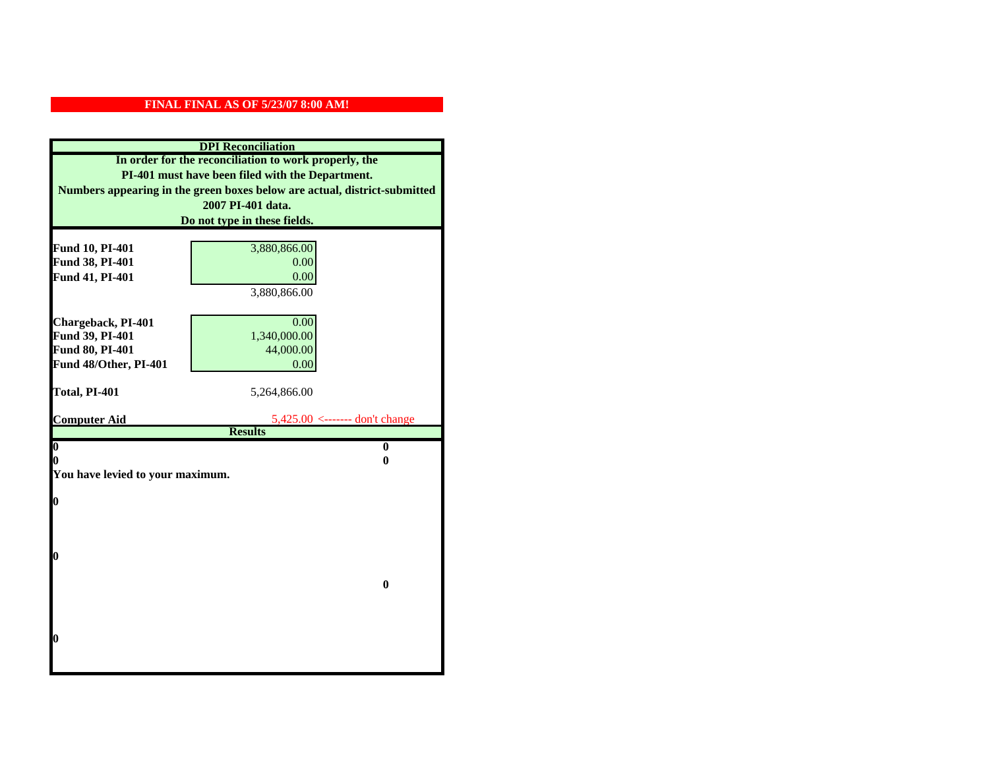| <b>DPI</b> Reconciliation                                                                                                                                                              |                                                                 |  |  |                              |
|----------------------------------------------------------------------------------------------------------------------------------------------------------------------------------------|-----------------------------------------------------------------|--|--|------------------------------|
| In order for the reconciliation to work properly, the<br>PI-401 must have been filed with the Department.<br>Numbers appearing in the green boxes below are actual, district-submitted |                                                                 |  |  |                              |
|                                                                                                                                                                                        |                                                                 |  |  | 2007 PI-401 data.            |
|                                                                                                                                                                                        |                                                                 |  |  | Do not type in these fields. |
|                                                                                                                                                                                        |                                                                 |  |  |                              |
| Fund 10, PI-401                                                                                                                                                                        | 3,880,866.00                                                    |  |  |                              |
| Fund 38, PI-401                                                                                                                                                                        | 0.00                                                            |  |  |                              |
| Fund 41, PI-401                                                                                                                                                                        | 0.00                                                            |  |  |                              |
|                                                                                                                                                                                        | 3,880,866.00                                                    |  |  |                              |
| Chargeback, PI-401                                                                                                                                                                     | 0.00                                                            |  |  |                              |
| Fund 39, PI-401                                                                                                                                                                        | 1,340,000.00                                                    |  |  |                              |
| Fund 80, PI-401                                                                                                                                                                        | 44,000.00                                                       |  |  |                              |
| Fund 48/Other, PI-401                                                                                                                                                                  | 0.00                                                            |  |  |                              |
|                                                                                                                                                                                        |                                                                 |  |  |                              |
| Total, PI-401                                                                                                                                                                          | 5,264,866.00                                                    |  |  |                              |
|                                                                                                                                                                                        |                                                                 |  |  |                              |
| <b>Computer Aid</b>                                                                                                                                                                    | $5,425.00 \leftarrow \text{---}$ don't change<br><b>Results</b> |  |  |                              |
| $\overline{\mathbf{0}}$                                                                                                                                                                | $\bf{0}$                                                        |  |  |                              |
| 0                                                                                                                                                                                      | 0                                                               |  |  |                              |
| You have levied to your maximum.                                                                                                                                                       |                                                                 |  |  |                              |
|                                                                                                                                                                                        |                                                                 |  |  |                              |
| $\bf{0}$                                                                                                                                                                               |                                                                 |  |  |                              |
|                                                                                                                                                                                        |                                                                 |  |  |                              |
|                                                                                                                                                                                        |                                                                 |  |  |                              |
|                                                                                                                                                                                        |                                                                 |  |  |                              |
| l0                                                                                                                                                                                     |                                                                 |  |  |                              |
|                                                                                                                                                                                        | $\bf{0}$                                                        |  |  |                              |
|                                                                                                                                                                                        |                                                                 |  |  |                              |
|                                                                                                                                                                                        |                                                                 |  |  |                              |
|                                                                                                                                                                                        |                                                                 |  |  |                              |
| $\boldsymbol{0}$                                                                                                                                                                       |                                                                 |  |  |                              |
|                                                                                                                                                                                        |                                                                 |  |  |                              |
|                                                                                                                                                                                        |                                                                 |  |  |                              |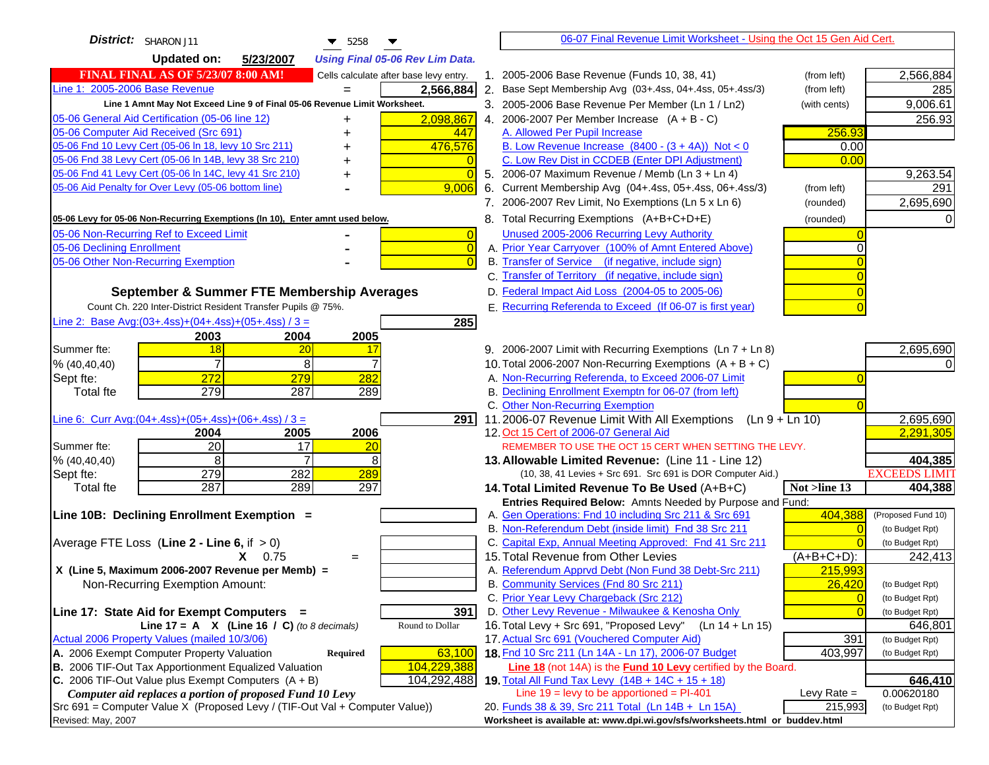| District: SHARON J11<br>$\blacktriangledown$ 5258                                   | 06-07 Final Revenue Limit Worksheet - Using the Oct 15 Gen Aid Cert.                                                    |                      |
|-------------------------------------------------------------------------------------|-------------------------------------------------------------------------------------------------------------------------|----------------------|
| <b>Updated on:</b><br>5/23/2007<br><b>Using Final 05-06 Rev Lim Data.</b>           |                                                                                                                         |                      |
| <b>FINAL FINAL AS OF 5/23/07 8:00 AM!</b><br>Cells calculate after base levy entry. | 1. 2005-2006 Base Revenue (Funds 10, 38, 41)<br>(from left)                                                             | 2,566,884            |
| Line 1: 2005-2006 Base Revenue<br>2,566,884                                         | 2. Base Sept Membership Avg (03+.4ss, 04+.4ss, 05+.4ss/3)<br>(from left)                                                | 285                  |
| Line 1 Amnt May Not Exceed Line 9 of Final 05-06 Revenue Limit Worksheet.           | 3. 2005-2006 Base Revenue Per Member (Ln 1 / Ln2)<br>(with cents)                                                       | 9,006.61             |
| 05-06 General Aid Certification (05-06 line 12)<br>2,098,867<br>+                   | 4. 2006-2007 Per Member Increase $(A + B - C)$                                                                          | 256.93               |
| 05-06 Computer Aid Received (Src 691)<br>447                                        | 256.93<br>A. Allowed Per Pupil Increase                                                                                 |                      |
| 05-06 Fnd 10 Levy Cert (05-06 In 18, levy 10 Src 211)<br>476,576                    | B. Low Revenue Increase $(8400 - (3 + 4A))$ Not < 0<br>0.00                                                             |                      |
| 05-06 Fnd 38 Levy Cert (05-06 In 14B, levy 38 Src 210)                              | C. Low Rev Dist in CCDEB (Enter DPI Adjustment)<br>0.00                                                                 |                      |
| 05-06 Fnd 41 Levy Cert (05-06 In 14C, levy 41 Src 210)<br>+                         | 5. 2006-07 Maximum Revenue / Memb (Ln 3 + Ln 4)                                                                         | 9,263.54             |
| 05-06 Aid Penalty for Over Levy (05-06 bottom line)<br>9,006                        | 6. Current Membership Avg (04+.4ss, 05+.4ss, 06+.4ss/3)<br>(from left)                                                  | 291                  |
|                                                                                     | 7. 2006-2007 Rev Limit, No Exemptions (Ln 5 x Ln 6)<br>(rounded)                                                        | 2,695,690            |
| 05-06 Levy for 05-06 Non-Recurring Exemptions (In 10), Enter amnt used below.       | 8. Total Recurring Exemptions (A+B+C+D+E)<br>(rounded)                                                                  |                      |
| 05-06 Non-Recurring Ref to Exceed Limit<br>$\overline{0}$                           | Unused 2005-2006 Recurring Levy Authority                                                                               |                      |
| 05-06 Declining Enrollment<br>$\Omega$                                              | A. Prior Year Carryover (100% of Amnt Entered Above)                                                                    |                      |
| 05-06 Other Non-Recurring Exemption                                                 | B. Transfer of Service (if negative, include sign)                                                                      |                      |
|                                                                                     | C. Transfer of Territory (if negative, include sign)                                                                    |                      |
| September & Summer FTE Membership Averages                                          | D. Federal Impact Aid Loss (2004-05 to 2005-06)                                                                         |                      |
| Count Ch. 220 Inter-District Resident Transfer Pupils @ 75%.                        | E. Recurring Referenda to Exceed (If 06-07 is first year)                                                               |                      |
| Line 2: Base Avg: $(03+.4ss)+(04+.4ss)+(05+.4ss)/3 =$<br>285                        |                                                                                                                         |                      |
| 2004<br>2003<br>2005                                                                |                                                                                                                         |                      |
| Summer fte:<br>18<br>20<br>-17                                                      | 9. 2006-2007 Limit with Recurring Exemptions (Ln 7 + Ln 8)                                                              | 2,695,690            |
| $\overline{7}$<br>8<br>% (40, 40, 40)                                               | 10. Total 2006-2007 Non-Recurring Exemptions $(A + B + C)$                                                              |                      |
| 272<br>279<br>282<br>Sept fte:<br>279                                               | A. Non-Recurring Referenda, to Exceed 2006-07 Limit<br>B. Declining Enrollment Exemptn for 06-07 (from left)            |                      |
| 287<br>289<br><b>Total fte</b>                                                      | C. Other Non-Recurring Exemption                                                                                        |                      |
| Line 6: Curr Avg: $(04+.4ss)+(05+.4ss)+(06+.4ss)/3 =$<br>291 I                      | 11.2006-07 Revenue Limit With All Exemptions (Ln $9 + \overline{\text{Ln }10}$ )                                        | 2,695,690            |
| 2004<br>2005<br>2006                                                                | 12. Oct 15 Cert of 2006-07 General Aid                                                                                  | 2,291,305            |
| $\overline{20}$<br>17<br>Summer fte:<br>20                                          | REMEMBER TO USE THE OCT 15 CERT WHEN SETTING THE LEVY.                                                                  |                      |
| 8<br>8<br>% (40, 40, 40)                                                            | 13. Allowable Limited Revenue: (Line 11 - Line 12)                                                                      | 404,385              |
| 279<br>282<br>289<br>Sept fte:                                                      | (10, 38, 41 Levies + Src 691. Src 691 is DOR Computer Aid.)                                                             | <b>EXCEEDS LIMIT</b> |
| 287<br>289<br><b>Total fte</b><br>297                                               | Not >line 13<br>14. Total Limited Revenue To Be Used (A+B+C)                                                            | 404,388              |
|                                                                                     | Entries Required Below: Amnts Needed by Purpose and Fund:                                                               |                      |
| Line 10B: Declining Enrollment Exemption =                                          | A. Gen Operations: Fnd 10 including Src 211 & Src 691<br>404,388                                                        | (Proposed Fund 10)   |
|                                                                                     | B. Non-Referendum Debt (inside limit) Fnd 38 Src 211                                                                    | (to Budget Rpt)      |
| Average FTE Loss (Line $2 -$ Line 6, if $> 0$ )                                     | C. Capital Exp, Annual Meeting Approved: Fnd 41 Src 211                                                                 | (to Budget Rpt)      |
| $X = 0.75$<br>$=$<br>X (Line 5, Maximum 2006-2007 Revenue per Memb) =               | 15. Total Revenue from Other Levies<br>$(A+B+C+D)$ :<br>A. Referendum Apprvd Debt (Non Fund 38 Debt-Src 211)<br>215,993 | 242,413              |
| Non-Recurring Exemption Amount:                                                     | B. Community Services (Fnd 80 Src 211)<br>26,420                                                                        | (to Budget Rpt)      |
|                                                                                     | C. Prior Year Levy Chargeback (Src 212)<br>$\overline{0}$                                                               | (to Budget Rpt)      |
| Line 17: State Aid for Exempt Computers =<br>391                                    | D. Other Levy Revenue - Milwaukee & Kenosha Only<br>$\sqrt{ }$                                                          | (to Budget Rpt)      |
| Line 17 = A $X$ (Line 16 / C) (to 8 decimals)<br>Round to Dollar                    | 16. Total Levy + Src 691, "Proposed Levy"<br>$(Ln 14 + Ln 15)$                                                          | 646,801              |
| Actual 2006 Property Values (mailed 10/3/06)                                        | 17. Actual Src 691 (Vouchered Computer Aid)<br>391                                                                      | (to Budget Rpt)      |
| A. 2006 Exempt Computer Property Valuation<br>Required<br>63,100                    | 18. Fnd 10 Src 211 (Ln 14A - Ln 17), 2006-07 Budget<br>403,997                                                          | (to Budget Rpt)      |
| B. 2006 TIF-Out Tax Apportionment Equalized Valuation<br>104,229,388                | Line 18 (not 14A) is the <b>Fund 10 Levy</b> certified by the Board.                                                    |                      |
| C. 2006 TIF-Out Value plus Exempt Computers $(A + B)$<br>104,292,488                | 19. Total All Fund Tax Levy (14B + 14C + 15 + 18)                                                                       | 646,410              |
| Computer aid replaces a portion of proposed Fund 10 Levy                            | Line $19 = \text{levy}$ to be apportioned = PI-401<br>Levy Rate $=$                                                     | 0.00620180           |
| Src 691 = Computer Value X (Proposed Levy / (TIF-Out Val + Computer Value))         | 20. Funds 38 & 39, Src 211 Total (Ln 14B + Ln 15A)<br>215,993                                                           | (to Budget Rpt)      |
| Revised: May, 2007                                                                  | Worksheet is available at: www.dpi.wi.gov/sfs/worksheets.html or buddev.html                                            |                      |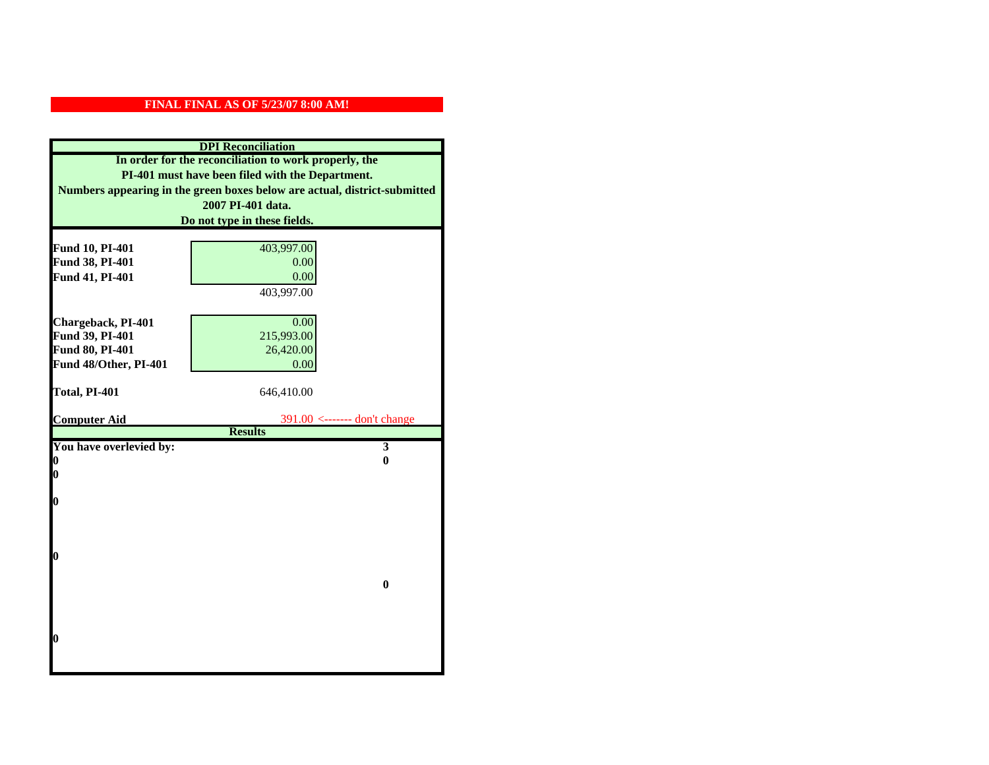| <b>DPI</b> Reconciliation                                                 |                              |  |
|---------------------------------------------------------------------------|------------------------------|--|
| In order for the reconciliation to work properly, the                     |                              |  |
| PI-401 must have been filed with the Department.                          |                              |  |
| Numbers appearing in the green boxes below are actual, district-submitted |                              |  |
|                                                                           | 2007 PI-401 data.            |  |
|                                                                           | Do not type in these fields. |  |
|                                                                           |                              |  |
| Fund 10, PI-401                                                           | 403,997.00                   |  |
| Fund 38, PI-401                                                           | 0.00                         |  |
| Fund 41, PI-401                                                           | 0.00                         |  |
|                                                                           | 403,997.00                   |  |
|                                                                           |                              |  |
| Chargeback, PI-401                                                        | 0.00                         |  |
| Fund 39, PI-401                                                           | 215,993.00                   |  |
| Fund 80, PI-401                                                           | 26,420.00                    |  |
| Fund 48/Other, PI-401                                                     | 0.00                         |  |
| Total, PI-401                                                             |                              |  |
|                                                                           | 646,410.00                   |  |
| <b>Computer Aid</b>                                                       | 391.00 <------- don't change |  |
|                                                                           | <b>Results</b>               |  |
| You have overlevied by:                                                   | $\overline{\mathbf{3}}$      |  |
| 0                                                                         | 0                            |  |
| $\bf{0}$                                                                  |                              |  |
|                                                                           |                              |  |
| O                                                                         |                              |  |
|                                                                           |                              |  |
|                                                                           |                              |  |
| $\bf{0}$                                                                  |                              |  |
|                                                                           |                              |  |
|                                                                           | $\bf{0}$                     |  |
|                                                                           |                              |  |
|                                                                           |                              |  |
|                                                                           |                              |  |
| 0                                                                         |                              |  |
|                                                                           |                              |  |
|                                                                           |                              |  |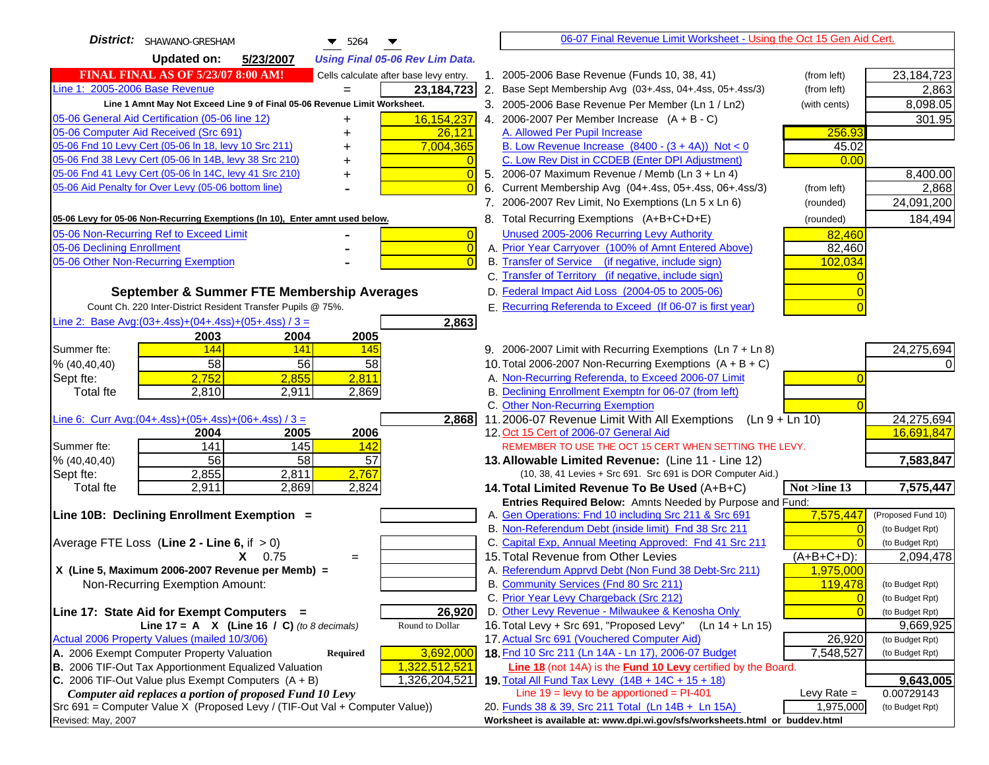| District: SHAWANO-GRESHAM<br>$\blacktriangledown$ 5264<br>▼                         |    | 06-07 Final Revenue Limit Worksheet - Using the Oct 15 Gen Aid Cert.                                         |                |                                    |
|-------------------------------------------------------------------------------------|----|--------------------------------------------------------------------------------------------------------------|----------------|------------------------------------|
| <b>Updated on:</b><br>5/23/2007<br><b>Using Final 05-06 Rev Lim Data.</b>           |    |                                                                                                              |                |                                    |
| <b>FINAL FINAL AS OF 5/23/07 8:00 AM!</b><br>Cells calculate after base levy entry. |    | 1. 2005-2006 Base Revenue (Funds 10, 38, 41)                                                                 | (from left)    | 23, 184, 723                       |
| Line 1: 2005-2006 Base Revenue<br>23, 184, 723                                      | 2. | Base Sept Membership Avg (03+.4ss, 04+.4ss, 05+.4ss/3)                                                       | (from left)    | 2,863                              |
| Line 1 Amnt May Not Exceed Line 9 of Final 05-06 Revenue Limit Worksheet.           |    | 3. 2005-2006 Base Revenue Per Member (Ln 1 / Ln2)                                                            | (with cents)   | 8,098.05                           |
| 16,154,237<br>05-06 General Aid Certification (05-06 line 12)                       |    | 4. 2006-2007 Per Member Increase $(A + B - C)$                                                               |                | 301.95                             |
| 05-06 Computer Aid Received (Src 691)<br>26,121                                     |    | A. Allowed Per Pupil Increase                                                                                | 256.93         |                                    |
| 05-06 Fnd 10 Levy Cert (05-06 ln 18, levy 10 Src 211)<br>7,004,365                  |    | B. Low Revenue Increase $(8400 - (3 + 4A))$ Not < 0                                                          | 45.02          |                                    |
| 05-06 Fnd 38 Levy Cert (05-06 In 14B, levy 38 Src 210)                              |    | C. Low Rev Dist in CCDEB (Enter DPI Adjustment)                                                              | 0.00           |                                    |
| 05-06 Fnd 41 Levy Cert (05-06 In 14C, levy 41 Src 210)<br>$\overline{0}$<br>+       |    | 5. 2006-07 Maximum Revenue / Memb (Ln 3 + Ln 4)                                                              |                | 8,400.00                           |
| 05-06 Aid Penalty for Over Levy (05-06 bottom line)<br>$\Omega$                     | 6. | Current Membership Avg (04+.4ss, 05+.4ss, 06+.4ss/3)                                                         | (from left)    | 2,868                              |
|                                                                                     |    | 7. 2006-2007 Rev Limit, No Exemptions (Ln 5 x Ln 6)                                                          | (rounded)      | 24,091,200                         |
| 05-06 Levy for 05-06 Non-Recurring Exemptions (In 10), Enter amnt used below.       |    | 8. Total Recurring Exemptions (A+B+C+D+E)                                                                    | (rounded)      | 184,494                            |
| 05-06 Non-Recurring Ref to Exceed Limit<br>$\overline{0}$                           |    | Unused 2005-2006 Recurring Levy Authority                                                                    | 82,460         |                                    |
| 05-06 Declining Enrollment<br>$\overline{0}$                                        |    | A. Prior Year Carryover (100% of Amnt Entered Above)                                                         | 82,460         |                                    |
| 05-06 Other Non-Recurring Exemption<br>$\Omega$                                     |    | B. Transfer of Service (if negative, include sign)                                                           | 102,034        |                                    |
|                                                                                     |    | C. Transfer of Territory (if negative, include sign)                                                         |                |                                    |
| September & Summer FTE Membership Averages                                          |    | D. Federal Impact Aid Loss (2004-05 to 2005-06)                                                              |                |                                    |
| Count Ch. 220 Inter-District Resident Transfer Pupils @ 75%.                        |    | E. Recurring Referenda to Exceed (If 06-07 is first year)                                                    |                |                                    |
| Line 2: Base Avg: $(03+.4ss)+(04+.4ss)+(05+.4ss)/3 =$<br>2,863                      |    |                                                                                                              |                |                                    |
| 2003<br>2004<br>2005                                                                |    |                                                                                                              |                |                                    |
| 144<br>141<br>Summer fte:<br>145                                                    |    | 9. 2006-2007 Limit with Recurring Exemptions (Ln 7 + Ln 8)                                                   |                | 24,275,694                         |
| 58<br>56<br>58<br>% (40, 40, 40)                                                    |    | 10. Total 2006-2007 Non-Recurring Exemptions $(A + B + C)$                                                   |                |                                    |
| 2,752<br>2,811<br>2,855<br>Sept fte:<br>2,810<br>2,869<br>Total fte<br>2,911        |    | A. Non-Recurring Referenda, to Exceed 2006-07 Limit<br>B. Declining Enrollment Exemptn for 06-07 (from left) |                |                                    |
|                                                                                     |    | C. Other Non-Recurring Exemption                                                                             |                |                                    |
| Line 6: Curr Avg: $(04+.4ss)+(05+.4ss)+(06+.4ss)/3 =$<br>2,868                      |    | 11.2006-07 Revenue Limit With All Exemptions (Ln $9 + \overline{\text{Ln }10}$ )                             |                | 24,275,694                         |
| 2004<br>2005<br>2006                                                                |    | 12. Oct 15 Cert of 2006-07 General Aid                                                                       |                | 16,691,847                         |
| 141<br>145<br>Summer fte:<br><b>142</b>                                             |    | REMEMBER TO USE THE OCT 15 CERT WHEN SETTING THE LEVY.                                                       |                |                                    |
| 56<br>58<br>57<br>% (40, 40, 40)                                                    |    | 13. Allowable Limited Revenue: (Line 11 - Line 12)                                                           |                | 7,583,847                          |
| 2,767<br>2,855<br>2,811<br>Sept fte:                                                |    | (10, 38, 41 Levies + Src 691. Src 691 is DOR Computer Aid.)                                                  |                |                                    |
| 2,911<br>2,869<br>2,824<br>Total fte                                                |    | 14. Total Limited Revenue To Be Used (A+B+C)                                                                 | Not >line 13   | 7,575,447                          |
|                                                                                     |    | Entries Required Below: Amnts Needed by Purpose and Fund:                                                    |                |                                    |
| Line 10B: Declining Enrollment Exemption =                                          |    | A. Gen Operations: Fnd 10 including Src 211 & Src 691                                                        | 7,575,447      | (Proposed Fund 10)                 |
|                                                                                     |    | B. Non-Referendum Debt (inside limit) Fnd 38 Src 211                                                         |                | (to Budget Rpt)<br>(to Budget Rpt) |
| Average FTE Loss (Line $2 -$ Line 6, if $> 0$ )<br>$X = 0.75$                       |    | C. Capital Exp, Annual Meeting Approved: Fnd 41 Src 211<br>15. Total Revenue from Other Levies               | $(A+B+C+D)$ :  | 2,094,478                          |
| $=$<br>X (Line 5, Maximum 2006-2007 Revenue per Memb) =                             |    | A. Referendum Apprvd Debt (Non Fund 38 Debt-Src 211)                                                         | 1,975,000      |                                    |
| Non-Recurring Exemption Amount:                                                     |    | B. Community Services (Fnd 80 Src 211)                                                                       | 119,478        | (to Budget Rpt)                    |
|                                                                                     |    | C. Prior Year Levy Chargeback (Src 212)                                                                      | $\overline{0}$ | (to Budget Rpt)                    |
| 26,920<br>Line 17: State Aid for Exempt Computers =                                 |    | D. Other Levy Revenue - Milwaukee & Kenosha Only                                                             |                | (to Budget Rpt)                    |
| Round to Dollar<br>Line 17 = A $X$ (Line 16 / C) (to 8 decimals)                    |    | 16. Total Levy + Src 691, "Proposed Levy" (Ln 14 + Ln 15)                                                    |                | 9,669,925                          |
| Actual 2006 Property Values (mailed 10/3/06)                                        |    | 17. Actual Src 691 (Vouchered Computer Aid)                                                                  | 26,920         | (to Budget Rpt)                    |
| A. 2006 Exempt Computer Property Valuation<br>3,692,000<br><b>Required</b>          |    | 18. Fnd 10 Src 211 (Ln 14A - Ln 17), 2006-07 Budget                                                          | 7,548,527      | (to Budget Rpt)                    |
| B. 2006 TIF-Out Tax Apportionment Equalized Valuation<br>1,322,512,521              |    | Line 18 (not 14A) is the Fund 10 Levy certified by the Board.                                                |                |                                    |
| C. 2006 TIF-Out Value plus Exempt Computers $(A + B)$<br>1,326,204,521              |    | 19. Total All Fund Tax Levy $(14B + 14C + 15 + 18)$                                                          |                | 9,643,005                          |
| Computer aid replaces a portion of proposed Fund 10 Levy                            |    | Line $19 = \text{levy}$ to be apportioned = PI-401                                                           | Levy Rate $=$  | 0.00729143                         |
| Src 691 = Computer Value X (Proposed Levy / (TIF-Out Val + Computer Value))         |    | 20. Funds 38 & 39, Src 211 Total (Ln 14B + Ln 15A)                                                           | 1,975,000      | (to Budget Rpt)                    |
| Revised: May, 2007                                                                  |    | Worksheet is available at: www.dpi.wi.gov/sfs/worksheets.html or buddev.html                                 |                |                                    |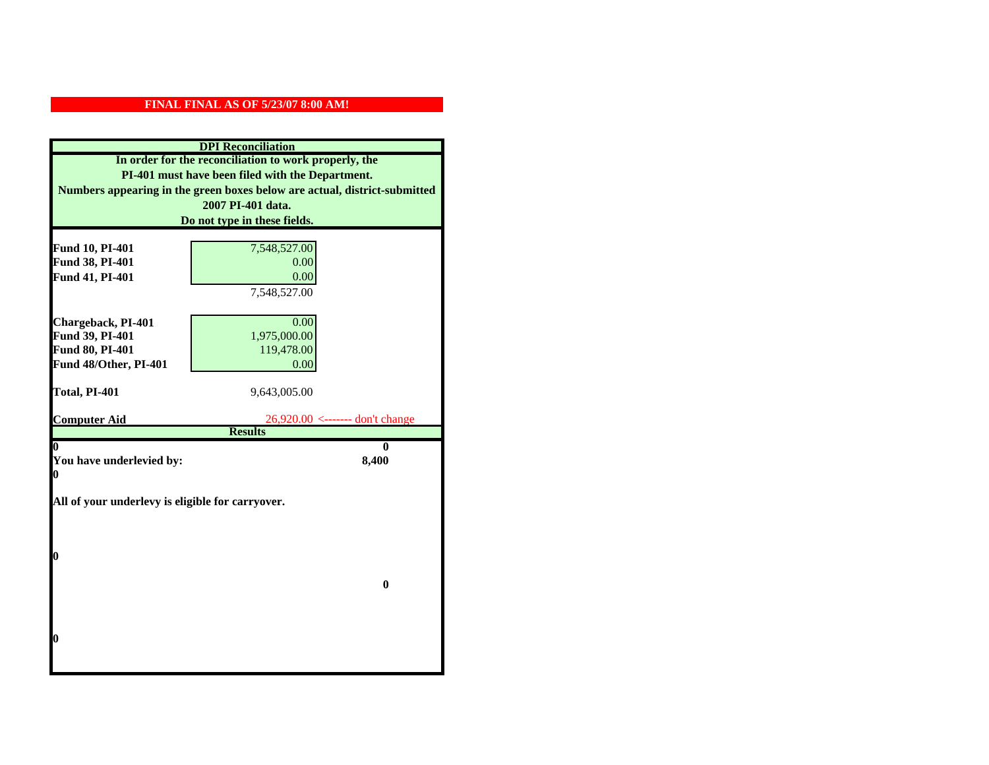| <b>DPI</b> Reconciliation                                                                                 |                                      |  |                                                                           |  |
|-----------------------------------------------------------------------------------------------------------|--------------------------------------|--|---------------------------------------------------------------------------|--|
| In order for the reconciliation to work properly, the<br>PI-401 must have been filed with the Department. |                                      |  |                                                                           |  |
|                                                                                                           |                                      |  | Numbers appearing in the green boxes below are actual, district-submitted |  |
|                                                                                                           | 2007 PI-401 data.                    |  |                                                                           |  |
|                                                                                                           | Do not type in these fields.         |  |                                                                           |  |
|                                                                                                           |                                      |  |                                                                           |  |
| Fund 10, PI-401                                                                                           | 7,548,527.00                         |  |                                                                           |  |
| Fund 38, PI-401                                                                                           | 0.00                                 |  |                                                                           |  |
| Fund 41, PI-401                                                                                           | 0.00                                 |  |                                                                           |  |
|                                                                                                           | 7,548,527.00                         |  |                                                                           |  |
|                                                                                                           |                                      |  |                                                                           |  |
| Chargeback, PI-401                                                                                        | 0.00                                 |  |                                                                           |  |
| Fund 39, PI-401                                                                                           | 1,975,000.00                         |  |                                                                           |  |
| Fund 80, PI-401                                                                                           | 119,478.00                           |  |                                                                           |  |
| Fund 48/Other, PI-401                                                                                     | 0.00                                 |  |                                                                           |  |
|                                                                                                           |                                      |  |                                                                           |  |
| Total, PI-401                                                                                             | 9,643,005.00                         |  |                                                                           |  |
| <b>Computer Aid</b>                                                                                       | $26,920.00 \le$ ------- don't change |  |                                                                           |  |
|                                                                                                           | <b>Results</b>                       |  |                                                                           |  |
| 0                                                                                                         | 0                                    |  |                                                                           |  |
|                                                                                                           | 8,400<br>You have underlevied by:    |  |                                                                           |  |
| 0                                                                                                         |                                      |  |                                                                           |  |
|                                                                                                           |                                      |  |                                                                           |  |
| All of your underlevy is eligible for carryover.                                                          |                                      |  |                                                                           |  |
|                                                                                                           |                                      |  |                                                                           |  |
|                                                                                                           |                                      |  |                                                                           |  |
| 0                                                                                                         |                                      |  |                                                                           |  |
|                                                                                                           |                                      |  |                                                                           |  |
|                                                                                                           | $\bf{0}$                             |  |                                                                           |  |
|                                                                                                           |                                      |  |                                                                           |  |
|                                                                                                           |                                      |  |                                                                           |  |
|                                                                                                           |                                      |  |                                                                           |  |
| 0                                                                                                         |                                      |  |                                                                           |  |
|                                                                                                           |                                      |  |                                                                           |  |
|                                                                                                           |                                      |  |                                                                           |  |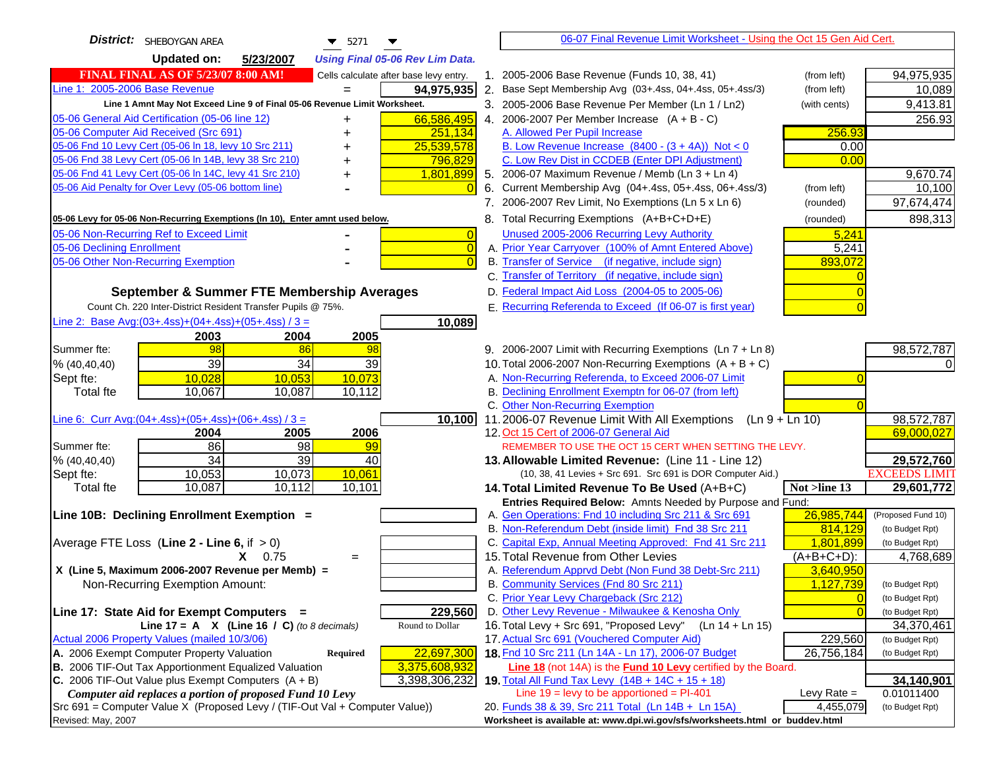| District: SHEBOYGAN AREA<br>$\blacktriangledown$ 5271<br>▼                          |    | 06-07 Final Revenue Limit Worksheet - Using the Oct 15 Gen Aid Cert.                                          |                      |                                    |
|-------------------------------------------------------------------------------------|----|---------------------------------------------------------------------------------------------------------------|----------------------|------------------------------------|
| <b>Updated on:</b><br>5/23/2007<br><b>Using Final 05-06 Rev Lim Data.</b>           |    |                                                                                                               |                      |                                    |
| <b>FINAL FINAL AS OF 5/23/07 8:00 AM!</b><br>Cells calculate after base levy entry. |    | 1. 2005-2006 Base Revenue (Funds 10, 38, 41)                                                                  | (from left)          | 94,975,935                         |
| Line 1: 2005-2006 Base Revenue<br>94,975,935                                        | 2. | Base Sept Membership Avg (03+.4ss, 04+.4ss, 05+.4ss/3)                                                        | (from left)          | 10,089                             |
| Line 1 Amnt May Not Exceed Line 9 of Final 05-06 Revenue Limit Worksheet.           |    | 3. 2005-2006 Base Revenue Per Member (Ln 1 / Ln2)                                                             | (with cents)         | 9,413.81                           |
| 66,586,495<br>05-06 General Aid Certification (05-06 line 12)<br>+                  |    | 4. 2006-2007 Per Member Increase $(A + B - C)$                                                                |                      | 256.93                             |
| 05-06 Computer Aid Received (Src 691)<br>251,134                                    |    | A. Allowed Per Pupil Increase                                                                                 | 256.93               |                                    |
| 05-06 Fnd 10 Levy Cert (05-06 ln 18, levy 10 Src 211)<br>25,539,578                 |    | B. Low Revenue Increase $(8400 - (3 + 4A))$ Not < 0                                                           | 0.00                 |                                    |
| 05-06 Fnd 38 Levy Cert (05-06 In 14B, levy 38 Src 210)<br>796,829                   |    | C. Low Rev Dist in CCDEB (Enter DPI Adjustment)                                                               | 0.00                 |                                    |
| 05-06 Fnd 41 Levy Cert (05-06 In 14C, levy 41 Src 210)<br>1,801,899                 |    | 5. 2006-07 Maximum Revenue / Memb (Ln 3 + Ln 4)                                                               |                      | 9,670.74                           |
| 05-06 Aid Penalty for Over Levy (05-06 bottom line)<br>$\Omega$                     | 6. | Current Membership Avg (04+.4ss, 05+.4ss, 06+.4ss/3)                                                          | (from left)          | 10,100                             |
|                                                                                     |    | 7. 2006-2007 Rev Limit, No Exemptions (Ln 5 x Ln 6)                                                           | (rounded)            | 97,674,474                         |
| 05-06 Levy for 05-06 Non-Recurring Exemptions (In 10), Enter amnt used below.       |    | 8. Total Recurring Exemptions (A+B+C+D+E)                                                                     | (rounded)            | 898,313                            |
| 05-06 Non-Recurring Ref to Exceed Limit<br>$\vert 0 \vert$                          |    | Unused 2005-2006 Recurring Levy Authority                                                                     | 5,241                |                                    |
| 05-06 Declining Enrollment<br>$\overline{0}$                                        |    | A. Prior Year Carryover (100% of Amnt Entered Above)                                                          | 5,241                |                                    |
| 05-06 Other Non-Recurring Exemption<br>$\Omega$                                     |    | B. Transfer of Service (if negative, include sign)                                                            | 893,072              |                                    |
|                                                                                     |    | C. Transfer of Territory (if negative, include sign)                                                          |                      |                                    |
| September & Summer FTE Membership Averages                                          |    | D. Federal Impact Aid Loss (2004-05 to 2005-06)                                                               |                      |                                    |
| Count Ch. 220 Inter-District Resident Transfer Pupils @ 75%.                        |    | E. Recurring Referenda to Exceed (If 06-07 is first year)                                                     |                      |                                    |
| Line 2: Base Avg:(03+.4ss)+(04+.4ss)+(05+.4ss) / 3 =<br>10,089                      |    |                                                                                                               |                      |                                    |
| 2003<br>2004<br>2005                                                                |    |                                                                                                               |                      |                                    |
| 98<br>Summer fte:<br>86<br>98                                                       |    | 9. 2006-2007 Limit with Recurring Exemptions (Ln 7 + Ln 8)                                                    |                      | 98,572,787                         |
| 39<br>34<br>39<br>% (40, 40, 40)                                                    |    | 10. Total 2006-2007 Non-Recurring Exemptions $(A + B + C)$                                                    |                      |                                    |
| $\overline{10,053}$<br>10,073<br>10,028<br>Sept fte:                                |    | A. Non-Recurring Referenda, to Exceed 2006-07 Limit                                                           |                      |                                    |
| 10,067<br>10,087<br>10,112<br><b>Total fte</b>                                      |    | B. Declining Enrollment Exemptn for 06-07 (from left)                                                         |                      |                                    |
|                                                                                     |    | C. Other Non-Recurring Exemption                                                                              |                      |                                    |
| Line 6: Curr Avg: $(04+.4ss)+(05+.4ss)+(06+.4ss)/3=$<br>10,100                      |    | 11.2006-07 Revenue Limit With All Exemptions (Ln $9 + \overline{\text{Ln }10}$ )                              |                      | 98,572,787                         |
| 2005<br>2006<br>2004                                                                |    | 12. Oct 15 Cert of 2006-07 General Aid                                                                        |                      | 69,000,027                         |
| 86<br>$\overline{98}$<br>Summer fte:<br>99                                          |    | REMEMBER TO USE THE OCT 15 CERT WHEN SETTING THE LEVY.                                                        |                      |                                    |
| $\overline{34}$<br>$\overline{39}$<br>40<br>% (40, 40, 40)                          |    | 13. Allowable Limited Revenue: (Line 11 - Line 12)                                                            |                      | 29,572,760                         |
| 10,061<br>10,053<br>10,073<br>Sept fte:                                             |    | (10, 38, 41 Levies + Src 691. Src 691 is DOR Computer Aid.)                                                   |                      | <b>EXCEEDS LIMIT</b>               |
| 10,112<br>10,087<br>10,101<br><b>Total fte</b>                                      |    | 14. Total Limited Revenue To Be Used (A+B+C)                                                                  | Not >line 13         | 29,601,772                         |
|                                                                                     |    | Entries Required Below: Amnts Needed by Purpose and Fund:                                                     |                      |                                    |
| Line 10B: Declining Enrollment Exemption =                                          |    | A. Gen Operations: Fnd 10 including Src 211 & Src 691<br>B. Non-Referendum Debt (inside limit) Fnd 38 Src 211 | 26,985,744           | (Proposed Fund 10)                 |
| Average FTE Loss (Line $2 -$ Line 6, if $> 0$ )                                     |    | C. Capital Exp, Annual Meeting Approved: Fnd 41 Src 211                                                       | 814,129<br>1.801.899 | (to Budget Rpt)<br>(to Budget Rpt) |
| $X = 0.75$                                                                          |    | 15. Total Revenue from Other Levies                                                                           | $(A+B+C+D)$ :        | 4,768,689                          |
| $\qquad \qquad =$<br>X (Line 5, Maximum 2006-2007 Revenue per Memb) =               |    | A. Referendum Apprvd Debt (Non Fund 38 Debt-Src 211)                                                          | 3,640,950            |                                    |
| Non-Recurring Exemption Amount:                                                     |    | B. Community Services (Fnd 80 Src 211)                                                                        | 1,127,739            | (to Budget Rpt)                    |
|                                                                                     |    | C. Prior Year Levy Chargeback (Src 212)                                                                       | $\overline{0}$       | (to Budget Rpt)                    |
| 229,560<br>Line 17: State Aid for Exempt Computers =                                |    | D. Other Levy Revenue - Milwaukee & Kenosha Only                                                              |                      | (to Budget Rpt)                    |
| Round to Dollar<br>Line 17 = A $X$ (Line 16 / C) (to 8 decimals)                    |    | 16. Total Levy + Src 691, "Proposed Levy" (Ln 14 + Ln 15)                                                     |                      | 34,370,461                         |
| Actual 2006 Property Values (mailed 10/3/06)                                        |    | 17. Actual Src 691 (Vouchered Computer Aid)                                                                   | 229,560              | (to Budget Rpt)                    |
| A. 2006 Exempt Computer Property Valuation<br>22,697,300<br><b>Required</b>         |    | 18. Fnd 10 Src 211 (Ln 14A - Ln 17), 2006-07 Budget                                                           | 26,756,184           | (to Budget Rpt)                    |
| B. 2006 TIF-Out Tax Apportionment Equalized Valuation<br>3,375,608,932              |    | Line 18 (not 14A) is the <b>Fund 10 Levy</b> certified by the Board.                                          |                      |                                    |
| C. 2006 TIF-Out Value plus Exempt Computers $(A + B)$<br>3,398,306,232              |    | 19. Total All Fund Tax Levy (14B + 14C + 15 + 18)                                                             |                      | 34,140,901                         |
| Computer aid replaces a portion of proposed Fund 10 Levy                            |    | Line $19 = \text{levy}$ to be apportioned = PI-401                                                            | Levy Rate $=$        | 0.01011400                         |
| Src 691 = Computer Value X (Proposed Levy / (TIF-Out Val + Computer Value))         |    | 20. Funds 38 & 39, Src 211 Total (Ln 14B + Ln 15A)                                                            | 4,455,079            | (to Budget Rpt)                    |
| Revised: May, 2007                                                                  |    | Worksheet is available at: www.dpi.wi.gov/sfs/worksheets.html or buddev.html                                  |                      |                                    |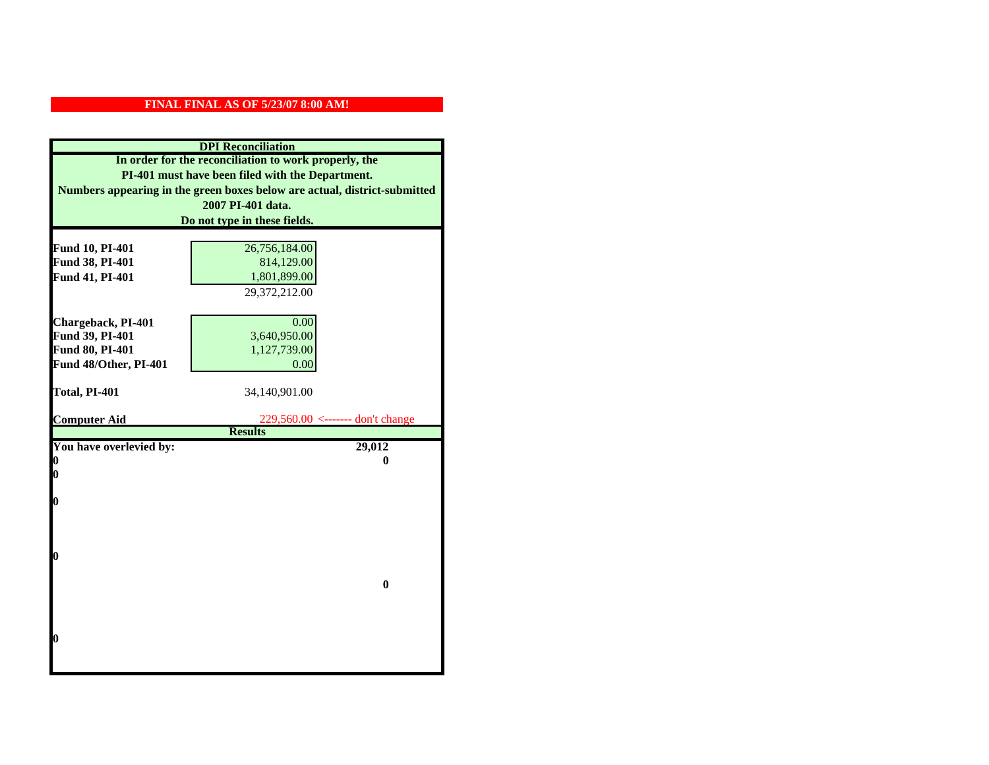| <b>DPI</b> Reconciliation                                                 |                                                    |  |
|---------------------------------------------------------------------------|----------------------------------------------------|--|
| In order for the reconciliation to work properly, the                     |                                                    |  |
| PI-401 must have been filed with the Department.                          |                                                    |  |
| Numbers appearing in the green boxes below are actual, district-submitted |                                                    |  |
| 2007 PI-401 data.                                                         |                                                    |  |
|                                                                           | Do not type in these fields.                       |  |
|                                                                           |                                                    |  |
| Fund 10, PI-401                                                           | 26,756,184.00                                      |  |
| Fund 38, PI-401                                                           | 814,129.00                                         |  |
| Fund 41, PI-401                                                           | 1,801,899.00                                       |  |
|                                                                           | 29,372,212.00                                      |  |
|                                                                           |                                                    |  |
| Chargeback, PI-401                                                        | 0.00                                               |  |
| Fund 39, PI-401                                                           | 3,640,950.00                                       |  |
| Fund 80, PI-401                                                           | 1,127,739.00                                       |  |
| Fund 48/Other, PI-401                                                     | 0.00                                               |  |
|                                                                           |                                                    |  |
| Total, PI-401                                                             | 34,140,901.00                                      |  |
| <b>Computer Aid</b>                                                       |                                                    |  |
|                                                                           | 229,560.00 <------- don't change<br><b>Results</b> |  |
| You have overlevied by:                                                   | 29,012                                             |  |
| N                                                                         | 0                                                  |  |
| 0                                                                         |                                                    |  |
|                                                                           |                                                    |  |
| 0                                                                         |                                                    |  |
|                                                                           |                                                    |  |
|                                                                           |                                                    |  |
|                                                                           |                                                    |  |
| O                                                                         |                                                    |  |
|                                                                           | $\bf{0}$                                           |  |
|                                                                           |                                                    |  |
|                                                                           |                                                    |  |
|                                                                           |                                                    |  |
|                                                                           |                                                    |  |
| 0                                                                         |                                                    |  |
|                                                                           |                                                    |  |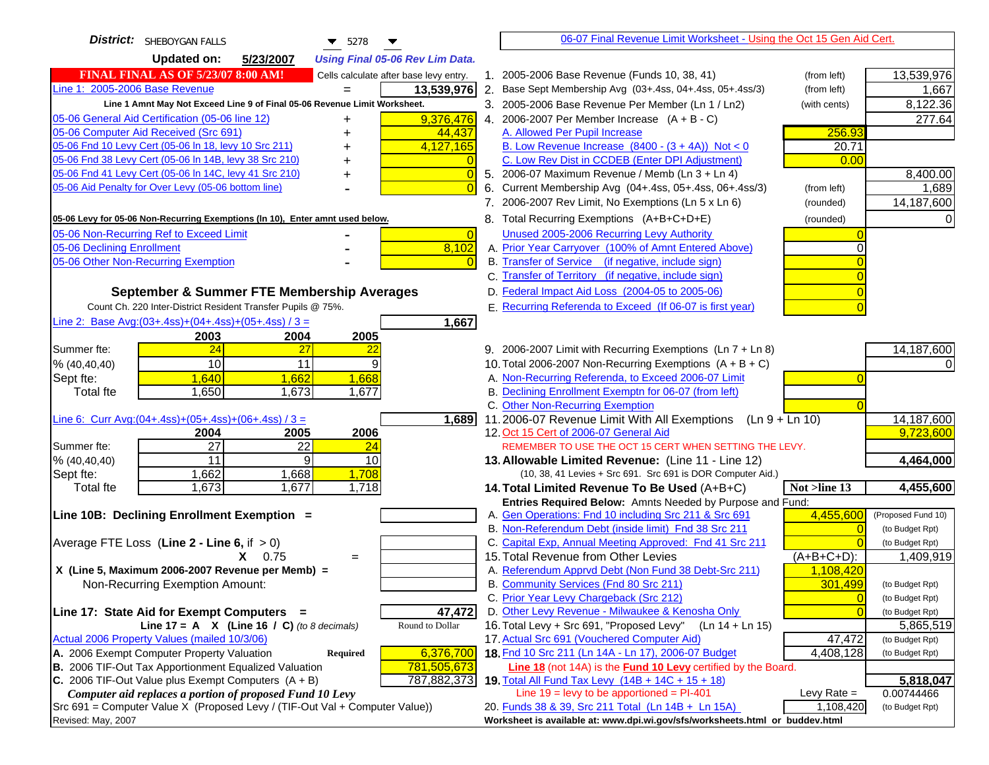| District: SHEBOYGAN FALLS<br>$\blacktriangledown$ 5278                                            |                                                                                                                                    | 06-07 Final Revenue Limit Worksheet - Using the Oct 15 Gen Aid Cert. |                                    |
|---------------------------------------------------------------------------------------------------|------------------------------------------------------------------------------------------------------------------------------------|----------------------------------------------------------------------|------------------------------------|
| <b>Updated on:</b><br>5/23/2007<br><b>Using Final 05-06 Rev Lim Data.</b>                         |                                                                                                                                    |                                                                      |                                    |
| <b>FINAL FINAL AS OF 5/23/07 8:00 AM!</b><br>Cells calculate after base levy entry.               | 1. 2005-2006 Base Revenue (Funds 10, 38, 41)                                                                                       | (from left)                                                          | 13,539,976                         |
| Line 1: 2005-2006 Base Revenue<br>13,539,976                                                      | 2. Base Sept Membership Avg (03+.4ss, 04+.4ss, 05+.4ss/3)                                                                          | (from left)                                                          | 1,667                              |
| Line 1 Amnt May Not Exceed Line 9 of Final 05-06 Revenue Limit Worksheet.                         | 3. 2005-2006 Base Revenue Per Member (Ln 1 / Ln2)                                                                                  | (with cents)                                                         | 8,122.36                           |
| 05-06 General Aid Certification (05-06 line 12)<br>9,376,476                                      | 4. 2006-2007 Per Member Increase $(A + B - C)$                                                                                     |                                                                      | 277.64                             |
| 05-06 Computer Aid Received (Src 691)<br>44,437                                                   | A. Allowed Per Pupil Increase                                                                                                      | 256.93                                                               |                                    |
| 05-06 Fnd 10 Levy Cert (05-06 In 18, levy 10 Src 211)<br>4,127,165                                | B. Low Revenue Increase $(8400 - (3 + 4A))$ Not < 0                                                                                | 20.71                                                                |                                    |
| 05-06 Fnd 38 Levy Cert (05-06 In 14B, levy 38 Src 210)                                            | C. Low Rev Dist in CCDEB (Enter DPI Adjustment)                                                                                    | 0.00                                                                 |                                    |
| 05-06 Fnd 41 Levy Cert (05-06 In 14C, levy 41 Src 210)<br>$\overline{0}$<br>٠                     | 5. 2006-07 Maximum Revenue / Memb (Ln $3 + \text{Ln } 4$ )                                                                         |                                                                      | 8,400.00                           |
| 05-06 Aid Penalty for Over Levy (05-06 bottom line)<br>$\Omega$                                   | Current Membership Avg (04+.4ss, 05+.4ss, 06+.4ss/3)                                                                               | (from left)                                                          | 1,689                              |
|                                                                                                   | 7. 2006-2007 Rev Limit, No Exemptions (Ln 5 x Ln 6)                                                                                | (rounded)                                                            | 14,187,600                         |
| 05-06 Levy for 05-06 Non-Recurring Exemptions (In 10), Enter amnt used below.                     | 8. Total Recurring Exemptions (A+B+C+D+E)                                                                                          | (rounded)                                                            | 0                                  |
| 05-06 Non-Recurring Ref to Exceed Limit<br>$\overline{0}$                                         | Unused 2005-2006 Recurring Levy Authority                                                                                          |                                                                      |                                    |
| 8,102<br>05-06 Declining Enrollment                                                               | A. Prior Year Carryover (100% of Amnt Entered Above)                                                                               | ∩                                                                    |                                    |
| 05-06 Other Non-Recurring Exemption                                                               | B. Transfer of Service (if negative, include sign)                                                                                 |                                                                      |                                    |
|                                                                                                   | C. Transfer of Territory (if negative, include sign)                                                                               |                                                                      |                                    |
| September & Summer FTE Membership Averages                                                        | D. Federal Impact Aid Loss (2004-05 to 2005-06)                                                                                    |                                                                      |                                    |
| Count Ch. 220 Inter-District Resident Transfer Pupils @ 75%.                                      | E. Recurring Referenda to Exceed (If 06-07 is first year)                                                                          |                                                                      |                                    |
| Line 2: Base Avg: (03+.4ss) + (04+.4ss) + (05+.4ss) / 3 =<br>1,667                                |                                                                                                                                    |                                                                      |                                    |
| 2003<br>2004<br>2005                                                                              |                                                                                                                                    |                                                                      |                                    |
| 24<br>27<br>Summer fte:<br><u>22</u><br>10<br>11                                                  | 9. 2006-2007 Limit with Recurring Exemptions (Ln 7 + Ln 8)                                                                         |                                                                      | 14,187,600                         |
| 9<br>% (40, 40, 40)<br>1,640<br>1,662<br>1,668<br>Sept fte:                                       | 10. Total 2006-2007 Non-Recurring Exemptions $(A + B + C)$<br>A. Non-Recurring Referenda, to Exceed 2006-07 Limit                  |                                                                      |                                    |
| 1,650<br>Total fte<br>1,673<br>1,677                                                              | B. Declining Enrollment Exemptn for 06-07 (from left)                                                                              |                                                                      |                                    |
|                                                                                                   | C. Other Non-Recurring Exemption                                                                                                   |                                                                      |                                    |
| Line 6: Curr Avg: $(04+.4ss)+(05+.4ss)+(06+.4ss)/3 =$<br>1,689                                    | 11.2006-07 Revenue Limit With All Exemptions $(Ln 9 + Ln 10)$                                                                      |                                                                      | 14,187,600                         |
| 2006<br>2005<br>2004                                                                              | 12. Oct 15 Cert of 2006-07 General Aid                                                                                             |                                                                      | 9,723,600                          |
| 27<br>22<br>Summer fte:<br>24                                                                     | REMEMBER TO USE THE OCT 15 CERT WHEN SETTING THE LEVY.                                                                             |                                                                      |                                    |
| 11<br>9<br>10<br>% (40, 40, 40)                                                                   | 13. Allowable Limited Revenue: (Line 11 - Line 12)                                                                                 |                                                                      | 4,464,000                          |
| 1,662<br>1,668<br>1,708<br>Sept fte:                                                              | (10, 38, 41 Levies + Src 691. Src 691 is DOR Computer Aid.)                                                                        |                                                                      |                                    |
| 1,677<br>Total fte<br>1,673<br>1,718                                                              | 14. Total Limited Revenue To Be Used (A+B+C)                                                                                       | Not >line 13                                                         | 4,455,600                          |
|                                                                                                   | Entries Required Below: Amnts Needed by Purpose and Fund:                                                                          |                                                                      |                                    |
| Line 10B: Declining Enrollment Exemption =                                                        | A. Gen Operations: Fnd 10 including Src 211 & Src 691                                                                              | 4,455,600                                                            | (Proposed Fund 10)                 |
|                                                                                                   | B. Non-Referendum Debt (inside limit) Fnd 38 Src 211<br>C. Capital Exp, Annual Meeting Approved: Fnd 41 Src 211                    | $\Omega$                                                             | (to Budget Rpt)<br>(to Budget Rpt) |
| Average FTE Loss (Line $2 -$ Line 6, if $> 0$ )<br>$X = 0.75$<br>$=$                              | 15. Total Revenue from Other Levies                                                                                                | $(A+B+C+D)$ :                                                        | 1,409,919                          |
| X (Line 5, Maximum 2006-2007 Revenue per Memb) =                                                  | A. Referendum Apprvd Debt (Non Fund 38 Debt-Src 211)                                                                               | 1,108,420                                                            |                                    |
| Non-Recurring Exemption Amount:                                                                   | B. Community Services (Fnd 80 Src 211)                                                                                             | 301,499                                                              | (to Budget Rpt)                    |
|                                                                                                   | C. Prior Year Levy Chargeback (Src 212)                                                                                            | $\overline{0}$                                                       | (to Budget Rpt)                    |
| 47,472<br>Line 17: State Aid for Exempt Computers =                                               | D. Other Levy Revenue - Milwaukee & Kenosha Only                                                                                   | $\Omega$                                                             | (to Budget Rpt)                    |
| Line 17 = A $X$ (Line 16 / C) (to 8 decimals)<br>Round to Dollar                                  | 16. Total Levy + Src 691, "Proposed Levy"                                                                                          | (Ln 14 + Ln 15)                                                      | 5,865,519                          |
| Actual 2006 Property Values (mailed 10/3/06)                                                      | 17. Actual Src 691 (Vouchered Computer Aid)                                                                                        | 47,472                                                               | (to Budget Rpt)                    |
| 6,376,700<br>A. 2006 Exempt Computer Property Valuation<br><b>Required</b>                        | 18. Fnd 10 Src 211 (Ln 14A - Ln 17), 2006-07 Budget                                                                                | 4,408,128                                                            | (to Budget Rpt)                    |
| B. 2006 TIF-Out Tax Apportionment Equalized Valuation<br>781,505,673                              | Line 18 (not 14A) is the Fund 10 Levy certified by the Board.                                                                      |                                                                      |                                    |
| C. 2006 TIF-Out Value plus Exempt Computers $(A + B)$<br>787,882,373                              | 19. Total All Fund Tax Levy (14B + 14C + 15 + 18)                                                                                  |                                                                      | 5,818,047                          |
| Computer aid replaces a portion of proposed Fund 10 Levy                                          | Line $19$ = levy to be apportioned = PI-401                                                                                        | Levy Rate $=$                                                        | 0.00744466                         |
| Src 691 = Computer Value X (Proposed Levy / (TIF-Out Val + Computer Value))<br>Revised: May, 2007 | 20. Funds 38 & 39, Src 211 Total (Ln 14B + Ln 15A)<br>Worksheet is available at: www.dpi.wi.gov/sfs/worksheets.html or buddev.html | 1,108,420                                                            | (to Budget Rpt)                    |
|                                                                                                   |                                                                                                                                    |                                                                      |                                    |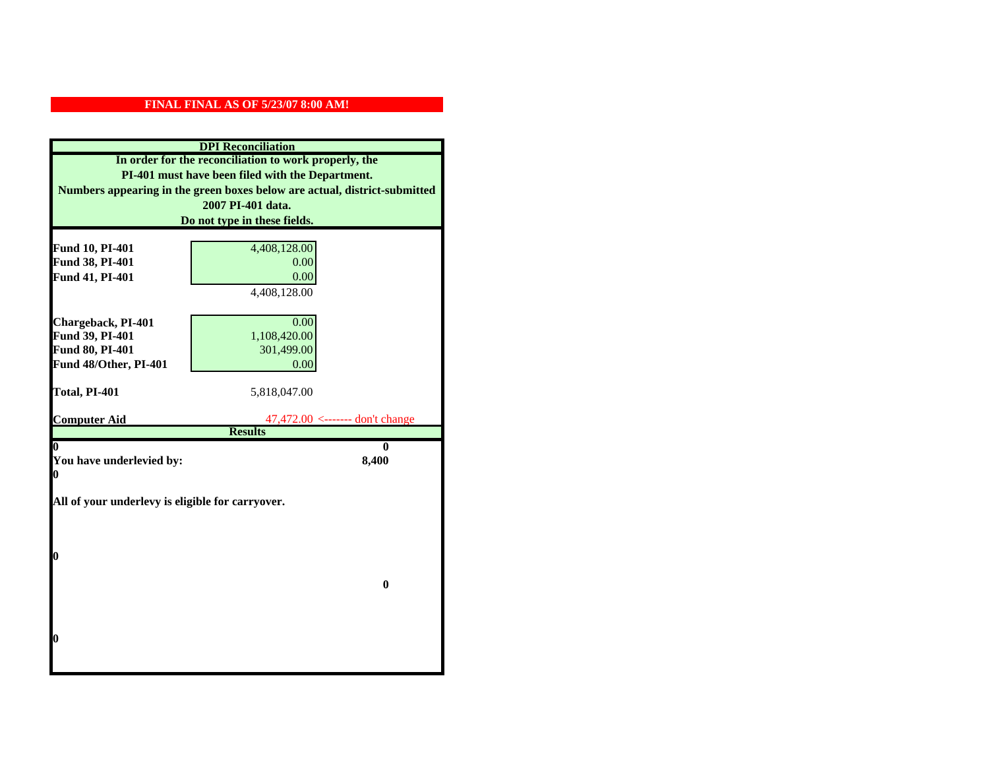| <b>DPI</b> Reconciliation                                                 |                                                        |  |
|---------------------------------------------------------------------------|--------------------------------------------------------|--|
| In order for the reconciliation to work properly, the                     |                                                        |  |
| PI-401 must have been filed with the Department.                          |                                                        |  |
| Numbers appearing in the green boxes below are actual, district-submitted |                                                        |  |
|                                                                           | 2007 PI-401 data.                                      |  |
|                                                                           | Do not type in these fields.                           |  |
|                                                                           |                                                        |  |
| Fund 10, PI-401                                                           | 4,408,128.00                                           |  |
| Fund 38, PI-401                                                           | 0.00                                                   |  |
| Fund 41, PI-401                                                           | 0.00                                                   |  |
|                                                                           | 4,408,128.00                                           |  |
|                                                                           |                                                        |  |
| Chargeback, PI-401                                                        | 0.00                                                   |  |
| Fund 39, PI-401                                                           | 1,108,420.00                                           |  |
| <b>Fund 80, PI-401</b>                                                    | 301,499.00                                             |  |
| Fund 48/Other, PI-401                                                     | 0.00                                                   |  |
| Total, PI-401                                                             | 5,818,047.00                                           |  |
|                                                                           |                                                        |  |
| <b>Computer Aid</b>                                                       | $47,472.00 \le$ ------- don't change<br><b>Results</b> |  |
| 0                                                                         | 0                                                      |  |
| You have underlevied by:                                                  | 8,400                                                  |  |
| 0                                                                         |                                                        |  |
|                                                                           |                                                        |  |
| All of your underlevy is eligible for carryover.                          |                                                        |  |
|                                                                           |                                                        |  |
|                                                                           |                                                        |  |
| 0                                                                         |                                                        |  |
|                                                                           |                                                        |  |
|                                                                           | $\bf{0}$                                               |  |
|                                                                           |                                                        |  |
|                                                                           |                                                        |  |
|                                                                           |                                                        |  |
| 0                                                                         |                                                        |  |
|                                                                           |                                                        |  |
|                                                                           |                                                        |  |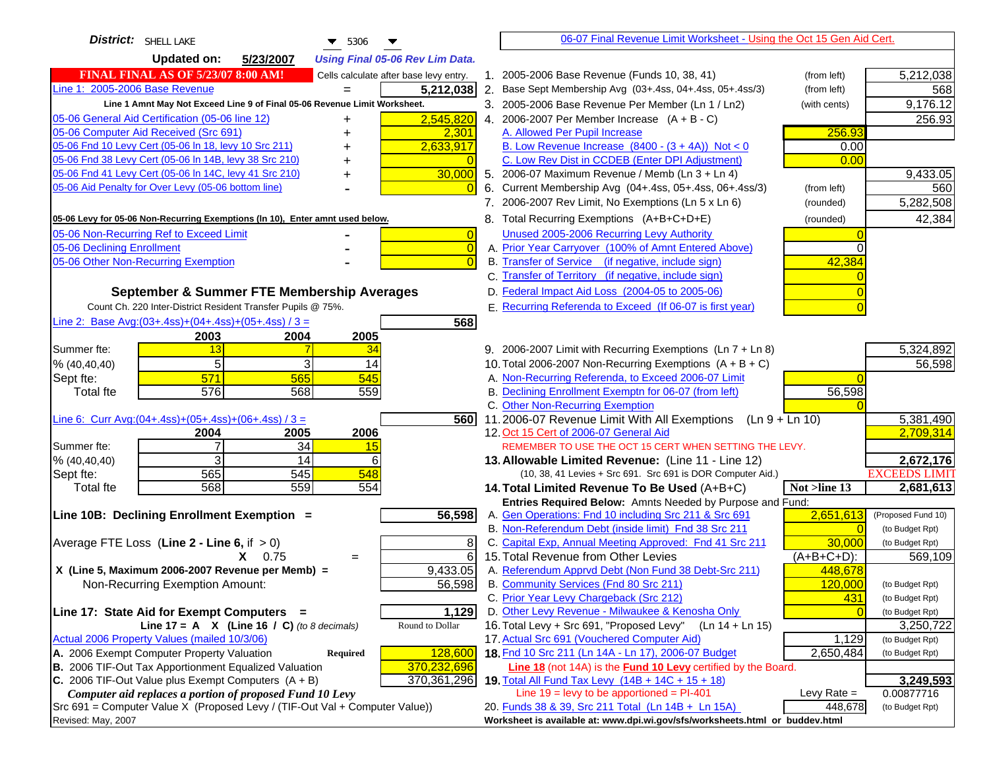| District: SHELL LAKE<br>$\blacktriangledown$ 5306                                                 | 06-07 Final Revenue Limit Worksheet - Using the Oct 15 Gen Aid Cert.                                                                          |                            |
|---------------------------------------------------------------------------------------------------|-----------------------------------------------------------------------------------------------------------------------------------------------|----------------------------|
| <b>Updated on:</b><br>5/23/2007<br><b>Using Final 05-06 Rev Lim Data.</b>                         |                                                                                                                                               |                            |
| <b>FINAL FINAL AS OF 5/23/07 8:00 AM!</b><br>Cells calculate after base levy entry.               | 1. 2005-2006 Base Revenue (Funds 10, 38, 41)<br>(from left)                                                                                   | 5,212,038                  |
| Line 1: 2005-2006 Base Revenue<br>5,212,038                                                       | 2. Base Sept Membership Avg (03+.4ss, 04+.4ss, 05+.4ss/3)<br>(from left)                                                                      | 568                        |
| Line 1 Amnt May Not Exceed Line 9 of Final 05-06 Revenue Limit Worksheet.                         | 3. 2005-2006 Base Revenue Per Member (Ln 1 / Ln2)<br>(with cents)                                                                             | 9,176.12                   |
| 2,545,820<br>05-06 General Aid Certification (05-06 line 12)<br>+                                 | 4. 2006-2007 Per Member Increase $(A + B - C)$                                                                                                | 256.93                     |
| 05-06 Computer Aid Received (Src 691)<br>2,301                                                    | 256.93<br>A. Allowed Per Pupil Increase                                                                                                       |                            |
| 05-06 Fnd 10 Levy Cert (05-06 In 18, levy 10 Src 211)<br>2,633,917                                | B. Low Revenue Increase $(8400 - (3 + 4A))$ Not < 0<br>0.00                                                                                   |                            |
| 05-06 Fnd 38 Levy Cert (05-06 In 14B, levy 38 Src 210)<br>+                                       | C. Low Rev Dist in CCDEB (Enter DPI Adjustment)<br>0.00                                                                                       |                            |
| 05-06 Fnd 41 Levy Cert (05-06 In 14C, levy 41 Src 210)<br>30,000<br>+                             | 5. 2006-07 Maximum Revenue / Memb (Ln 3 + Ln 4)                                                                                               | 9,433.05                   |
| 05-06 Aid Penalty for Over Levy (05-06 bottom line)                                               | 6. Current Membership Avg (04+.4ss, 05+.4ss, 06+.4ss/3)<br>(from left)                                                                        | 560                        |
|                                                                                                   | 7. 2006-2007 Rev Limit, No Exemptions (Ln 5 x Ln 6)<br>(rounded)                                                                              | 5,282,508                  |
| 05-06 Levy for 05-06 Non-Recurring Exemptions (In 10), Enter amnt used below.                     | 8. Total Recurring Exemptions (A+B+C+D+E)<br>(rounded)                                                                                        | 42,384                     |
| 05-06 Non-Recurring Ref to Exceed Limit<br>$\overline{0}$                                         | Unused 2005-2006 Recurring Levy Authority                                                                                                     |                            |
| 05-06 Declining Enrollment<br>$\overline{0}$                                                      | A. Prior Year Carryover (100% of Amnt Entered Above)                                                                                          |                            |
| 05-06 Other Non-Recurring Exemption                                                               | B. Transfer of Service (if negative, include sign)<br>42,384                                                                                  |                            |
|                                                                                                   | C. Transfer of Territory (if negative, include sign)                                                                                          |                            |
| September & Summer FTE Membership Averages                                                        | D. Federal Impact Aid Loss (2004-05 to 2005-06)                                                                                               |                            |
| Count Ch. 220 Inter-District Resident Transfer Pupils @ 75%.                                      | E. Recurring Referenda to Exceed (If 06-07 is first year)                                                                                     |                            |
| Line 2: Base Avg: (03+.4ss) + (04+.4ss) + (05+.4ss) / 3 =<br>568                                  |                                                                                                                                               |                            |
| 2004<br>2005<br>2003                                                                              |                                                                                                                                               |                            |
| 13<br>34<br>Summer fte:                                                                           | 9. 2006-2007 Limit with Recurring Exemptions (Ln 7 + Ln 8)                                                                                    | 5,324,892                  |
| 5<br>3<br>14<br>% (40, 40, 40)                                                                    | 10. Total 2006-2007 Non-Recurring Exemptions $(A + B + C)$                                                                                    | 56,598                     |
| 571<br>545<br>565<br>Sept fte:<br>576<br>559<br>568                                               | A. Non-Recurring Referenda, to Exceed 2006-07 Limit<br>B. Declining Enrollment Exemptn for 06-07 (from left)<br>56,598                        |                            |
| <b>Total fte</b>                                                                                  | C. Other Non-Recurring Exemption                                                                                                              |                            |
| Line 6: Curr Avg: $(04+.4ss)+(05+.4ss)+(06+.4ss)/3 =$<br>560I                                     | 11.2006-07 Revenue Limit With All Exemptions (Ln $9 + \overline{\text{Ln }10}$ )                                                              | 5,381,490                  |
| 2004<br>2005<br>2006                                                                              | 12. Oct 15 Cert of 2006-07 General Aid                                                                                                        | 2,709,314                  |
| 34<br>Summer fte:<br>7<br>15                                                                      | REMEMBER TO USE THE OCT 15 CERT WHEN SETTING THE LEVY.                                                                                        |                            |
| 3<br>14<br>% (40, 40, 40)<br>6                                                                    | 13. Allowable Limited Revenue: (Line 11 - Line 12)                                                                                            | 2,672,176                  |
| 565<br>545<br>548<br>Sept fte:                                                                    | (10, 38, 41 Levies + Src 691. Src 691 is DOR Computer Aid.)                                                                                   | <b>EXCEEDS LIMIT</b>       |
| 568<br>559<br>554<br><b>Total fte</b>                                                             | Not >line 13<br>14. Total Limited Revenue To Be Used (A+B+C)                                                                                  | 2,681,613                  |
|                                                                                                   | Entries Required Below: Amnts Needed by Purpose and Fund:                                                                                     |                            |
| 56,598<br>Line 10B: Declining Enrollment Exemption =                                              | A. Gen Operations: Fnd 10 including Src 211 & Src 691<br>2,651,613                                                                            | (Proposed Fund 10)         |
|                                                                                                   | B. Non-Referendum Debt (inside limit) Fnd 38 Src 211<br>$\sqrt{ }$<br>C. Capital Exp, Annual Meeting Approved: Fnd 41 Src 211<br>30,000       | (to Budget Rpt)            |
| Average FTE Loss (Line $2 -$ Line 6, if $> 0$ )<br>8<br>6<br>$X = 0.75$<br>$=$                    | 15. Total Revenue from Other Levies<br>$(A+B+C+D)$ :                                                                                          | (to Budget Rpt)<br>569,109 |
| X (Line 5, Maximum 2006-2007 Revenue per Memb) =<br>9,433.05                                      | A. Referendum Apprvd Debt (Non Fund 38 Debt-Src 211)<br>448,678                                                                               |                            |
| Non-Recurring Exemption Amount:<br>56,598                                                         | B. Community Services (Fnd 80 Src 211)<br>120,000                                                                                             | (to Budget Rpt)            |
|                                                                                                   | C. Prior Year Levy Chargeback (Src 212)<br>431                                                                                                | (to Budget Rpt)            |
| Line 17: State Aid for Exempt Computers =<br>1,129                                                | D. Other Levy Revenue - Milwaukee & Kenosha Only                                                                                              | (to Budget Rpt)            |
| Line $17 = A \times (Line 16 / C)$ (to 8 decimals)<br>Round to Dollar                             | 16. Total Levy + Src 691, "Proposed Levy"<br>$(Ln 14 + Ln 15)$                                                                                | 3,250,722                  |
| Actual 2006 Property Values (mailed 10/3/06)                                                      | 17. Actual Src 691 (Vouchered Computer Aid)<br>1,129                                                                                          | (to Budget Rpt)            |
| A. 2006 Exempt Computer Property Valuation<br>Required<br>128,600                                 | 18. Fnd 10 Src 211 (Ln 14A - Ln 17), 2006-07 Budget<br>2,650,484                                                                              | (to Budget Rpt)            |
| B. 2006 TIF-Out Tax Apportionment Equalized Valuation<br>370,232,696                              | <b>Line 18</b> (not 14A) is the <b>Fund 10 Levy</b> certified by the Board.                                                                   |                            |
| C. 2006 TIF-Out Value plus Exempt Computers $(A + B)$<br>370,361,296                              | 19. Total All Fund Tax Levy (14B + 14C + 15 + 18)                                                                                             | 3,249,593                  |
| Computer aid replaces a portion of proposed Fund 10 Levy                                          | Line $19 = \text{levy}$ to be apportioned = PI-401<br>Levy Rate $=$                                                                           | 0.00877716                 |
| Src 691 = Computer Value X (Proposed Levy / (TIF-Out Val + Computer Value))<br>Revised: May, 2007 | 20. Funds 38 & 39, Src 211 Total (Ln 14B + Ln 15A)<br>448,678<br>Worksheet is available at: www.dpi.wi.gov/sfs/worksheets.html or buddev.html | (to Budget Rpt)            |
|                                                                                                   |                                                                                                                                               |                            |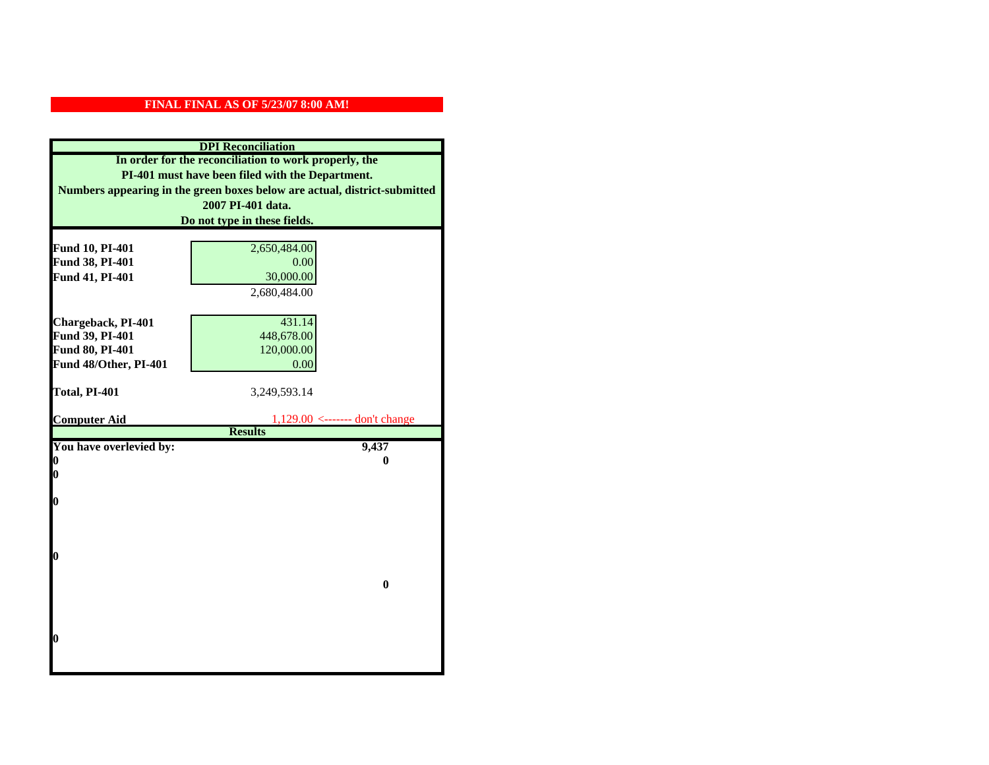| <b>DPI</b> Reconciliation                                                 |                                                       |
|---------------------------------------------------------------------------|-------------------------------------------------------|
| In order for the reconciliation to work properly, the                     |                                                       |
| PI-401 must have been filed with the Department.                          |                                                       |
| Numbers appearing in the green boxes below are actual, district-submitted |                                                       |
|                                                                           | 2007 PI-401 data.                                     |
|                                                                           | Do not type in these fields.                          |
|                                                                           |                                                       |
| Fund 10, PI-401                                                           | 2,650,484.00                                          |
| Fund 38, PI-401                                                           | 0.00                                                  |
| Fund 41, PI-401                                                           | 30,000.00                                             |
|                                                                           | 2,680,484.00                                          |
|                                                                           |                                                       |
| Chargeback, PI-401                                                        | 431.14                                                |
| Fund 39, PI-401                                                           | 448,678.00                                            |
| Fund 80, PI-401                                                           | 120,000.00                                            |
| Fund 48/Other, PI-401                                                     | 0.00                                                  |
|                                                                           |                                                       |
| Total, PI-401                                                             | 3,249,593.14                                          |
|                                                                           |                                                       |
| <b>Computer Aid</b>                                                       | $1,129.00 \le$ ------- don't change<br><b>Results</b> |
| You have overlevied by:                                                   | 9,437                                                 |
| 0                                                                         | 0                                                     |
| 0                                                                         |                                                       |
|                                                                           |                                                       |
| O                                                                         |                                                       |
|                                                                           |                                                       |
|                                                                           |                                                       |
|                                                                           |                                                       |
| $\boldsymbol{0}$                                                          |                                                       |
|                                                                           |                                                       |
|                                                                           | $\bf{0}$                                              |
|                                                                           |                                                       |
|                                                                           |                                                       |
| 0                                                                         |                                                       |
|                                                                           |                                                       |
|                                                                           |                                                       |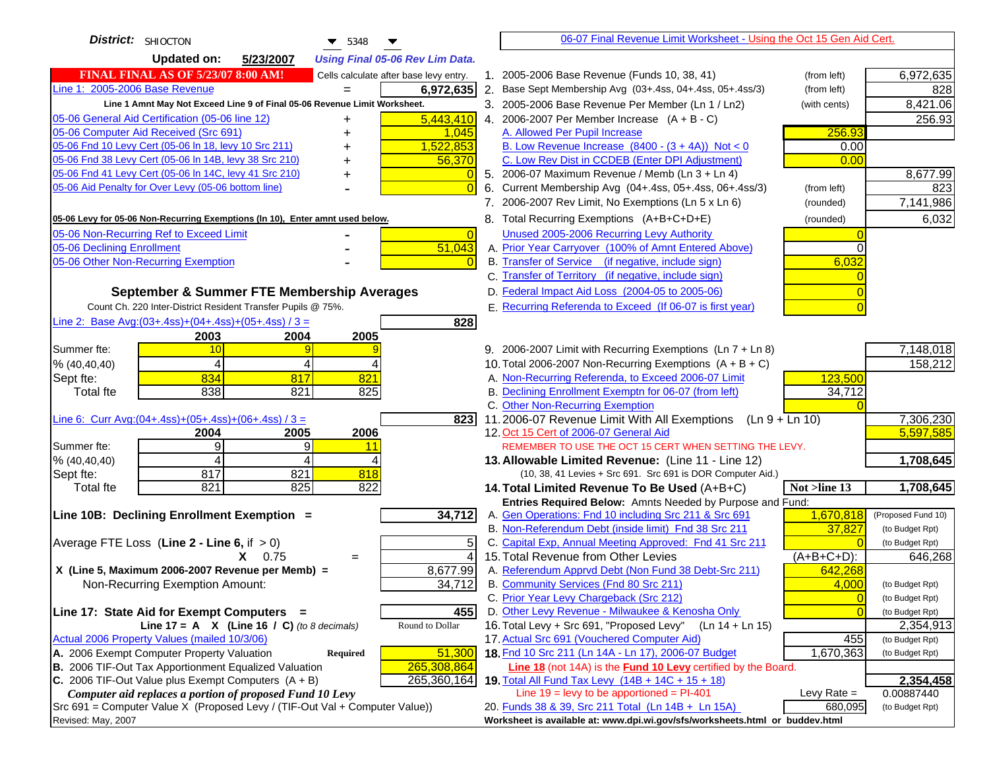| District: SHIOCTON<br>$\blacktriangledown$ 5348                                                                |                                        | 06-07 Final Revenue Limit Worksheet - Using the Oct 15 Gen Aid Cert.                                                        |                    |
|----------------------------------------------------------------------------------------------------------------|----------------------------------------|-----------------------------------------------------------------------------------------------------------------------------|--------------------|
| <b>Updated on:</b><br>5/23/2007                                                                                | <b>Using Final 05-06 Rev Lim Data.</b> |                                                                                                                             |                    |
| <b>FINAL FINAL AS OF 5/23/07 8:00 AM!</b>                                                                      | Cells calculate after base levy entry. | 1. 2005-2006 Base Revenue (Funds 10, 38, 41)<br>(from left)                                                                 | 6,972,635          |
| Line 1: 2005-2006 Base Revenue<br>$=$                                                                          | 6,972,635                              | 2. Base Sept Membership Avg (03+.4ss, 04+.4ss, 05+.4ss/3)<br>(from left)                                                    | 828                |
| Line 1 Amnt May Not Exceed Line 9 of Final 05-06 Revenue Limit Worksheet.                                      |                                        | 3. 2005-2006 Base Revenue Per Member (Ln 1 / Ln2)<br>(with cents)                                                           | 8,421.06           |
| 05-06 General Aid Certification (05-06 line 12)<br>+                                                           | 5,443,410                              | 4. 2006-2007 Per Member Increase $(A + B - C)$                                                                              | 256.93             |
| 05-06 Computer Aid Received (Src 691)                                                                          | 1,045                                  | A. Allowed Per Pupil Increase<br>256.93                                                                                     |                    |
| 05-06 Fnd 10 Levy Cert (05-06 In 18, levy 10 Src 211)                                                          | 1,522,853                              | B. Low Revenue Increase $(8400 - (3 + 4A))$ Not < 0<br>0.00                                                                 |                    |
| 05-06 Fnd 38 Levy Cert (05-06 In 14B, levy 38 Src 210)                                                         | 56,370                                 | C. Low Rev Dist in CCDEB (Enter DPI Adjustment)<br>0.00                                                                     |                    |
| 05-06 Fnd 41 Levy Cert (05-06 In 14C, levy 41 Src 210)<br>+                                                    |                                        | 5. 2006-07 Maximum Revenue / Memb (Ln 3 + Ln 4)                                                                             | 8,677.99           |
| 05-06 Aid Penalty for Over Levy (05-06 bottom line)                                                            |                                        | 6. Current Membership Avg (04+.4ss, 05+.4ss, 06+.4ss/3)<br>(from left)                                                      | 823                |
|                                                                                                                |                                        | 7. 2006-2007 Rev Limit, No Exemptions (Ln 5 x Ln 6)<br>(rounded)                                                            | 7,141,986          |
| 05-06 Levy for 05-06 Non-Recurring Exemptions (In 10), Enter amnt used below.                                  |                                        | 8. Total Recurring Exemptions (A+B+C+D+E)<br>(rounded)                                                                      | 6,032              |
| 05-06 Non-Recurring Ref to Exceed Limit                                                                        | $\overline{0}$                         | Unused 2005-2006 Recurring Levy Authority                                                                                   |                    |
| 05-06 Declining Enrollment                                                                                     | 51,043                                 | A. Prior Year Carryover (100% of Amnt Entered Above)                                                                        |                    |
| 05-06 Other Non-Recurring Exemption                                                                            |                                        | B. Transfer of Service (if negative, include sign)<br>6,032                                                                 |                    |
|                                                                                                                |                                        | C. Transfer of Territory (if negative, include sign)                                                                        |                    |
| September & Summer FTE Membership Averages                                                                     |                                        | D. Federal Impact Aid Loss (2004-05 to 2005-06)                                                                             |                    |
| Count Ch. 220 Inter-District Resident Transfer Pupils @ 75%.                                                   |                                        | E. Recurring Referenda to Exceed (If 06-07 is first year)                                                                   |                    |
| Line 2: Base Avg: $(03+.4ss)+(04+.4ss)+(05+.4ss)/3 =$                                                          | 828                                    |                                                                                                                             |                    |
| 2003<br>2004<br>2005                                                                                           |                                        |                                                                                                                             |                    |
| Summer fte:<br>10                                                                                              |                                        | 9. 2006-2007 Limit with Recurring Exemptions (Ln 7 + Ln 8)                                                                  | 7,148,018          |
| 4<br>% (40, 40, 40)<br>$\boldsymbol{\Delta}$                                                                   |                                        | 10. Total 2006-2007 Non-Recurring Exemptions $(A + B + C)$                                                                  | 158,212            |
| 834<br>817<br>821<br>Sept fte:                                                                                 |                                        | A. Non-Recurring Referenda, to Exceed 2006-07 Limit<br>123,500                                                              |                    |
| 838<br><b>Total fte</b><br>821<br>825                                                                          |                                        | B. Declining Enrollment Exemptn for 06-07 (from left)<br>34,712                                                             |                    |
|                                                                                                                |                                        | C. Other Non-Recurring Exemption                                                                                            |                    |
| Line 6: Curr Avg: $(04+.4ss)+(05+.4ss)+(06+.4ss)/3 =$                                                          | 823                                    | 11.2006-07 Revenue Limit With All Exemptions (Ln 9 + Ln 10)                                                                 | 7,306,230          |
| 2005<br>2006<br>2004<br>9<br>Summer fte:                                                                       |                                        | 12. Oct 15 Cert of 2006-07 General Aid<br>REMEMBER TO USE THE OCT 15 CERT WHEN SETTING THE LEVY.                            | 5,597,585          |
| 9<br>11<br>% (40, 40, 40)<br>4<br>4                                                                            |                                        | 13. Allowable Limited Revenue: (Line 11 - Line 12)                                                                          | 1,708,645          |
| 817<br>821<br>818<br>Sept fte:                                                                                 |                                        | (10, 38, 41 Levies + Src 691. Src 691 is DOR Computer Aid.)                                                                 |                    |
| 821<br>825<br>822<br><b>Total fte</b>                                                                          |                                        | 14. Total Limited Revenue To Be Used (A+B+C)<br>Not >line 13                                                                | 1,708,645          |
|                                                                                                                |                                        | Entries Required Below: Amnts Needed by Purpose and Fund:                                                                   |                    |
| Line 10B: Declining Enrollment Exemption =                                                                     | 34,712                                 | 1,670,818<br>A. Gen Operations: Fnd 10 including Src 211 & Src 691                                                          | (Proposed Fund 10) |
|                                                                                                                |                                        | B. Non-Referendum Debt (inside limit) Fnd 38 Src 211<br>37,827                                                              | (to Budget Rpt)    |
| Average FTE Loss (Line $2 -$ Line 6, if $> 0$ )                                                                | 5                                      | C. Capital Exp, Annual Meeting Approved: Fnd 41 Src 211                                                                     | (to Budget Rpt)    |
| $X = 0.75$<br>$=$                                                                                              | $\overline{4}$                         | 15. Total Revenue from Other Levies<br>(A+B+C+D):                                                                           | 646,268            |
| X (Line 5, Maximum 2006-2007 Revenue per Memb) =                                                               | 8,677.99                               | A. Referendum Apprvd Debt (Non Fund 38 Debt-Src 211)<br>642,268                                                             |                    |
| Non-Recurring Exemption Amount:                                                                                | 34,712                                 | B. Community Services (Fnd 80 Src 211)<br>4,000                                                                             | (to Budget Rpt)    |
|                                                                                                                |                                        | C. Prior Year Levy Chargeback (Src 212)<br>$\overline{0}$                                                                   | (to Budget Rpt)    |
| Line 17: State Aid for Exempt Computers =                                                                      | 455                                    | D. Other Levy Revenue - Milwaukee & Kenosha Only                                                                            | (to Budget Rpt)    |
| Line 17 = A $X$ (Line 16 / C) (to 8 decimals)                                                                  | Round to Dollar                        | 16. Total Levy + Src 691, "Proposed Levy"<br>(Ln 14 + Ln 15)                                                                | 2,354,913          |
| Actual 2006 Property Values (mailed 10/3/06)                                                                   |                                        | 17. Actual Src 691 (Vouchered Computer Aid)<br>455                                                                          | (to Budget Rpt)    |
| A. 2006 Exempt Computer Property Valuation<br>Required                                                         | 51,300                                 | 18. Fnd 10 Src 211 (Ln 14A - Ln 17), 2006-07 Budget<br>1,670,363                                                            | (to Budget Rpt)    |
| B. 2006 TIF-Out Tax Apportionment Equalized Valuation<br>C. 2006 TIF-Out Value plus Exempt Computers $(A + B)$ | 265,308,864<br>265,360,164             | Line 18 (not 14A) is the <b>Fund 10 Levy</b> certified by the Board.<br>19. Total All Fund Tax Levy $(14B + 14C + 15 + 18)$ | 2,354,458          |
| Computer aid replaces a portion of proposed Fund 10 Levy                                                       |                                        | Line $19 = \text{levy}$ to be apportioned = PI-401<br>Levy Rate $=$                                                         | 0.00887440         |
| Src 691 = Computer Value X (Proposed Levy / (TIF-Out Val + Computer Value))                                    |                                        | 20. Funds 38 & 39, Src 211 Total (Ln 14B + Ln 15A)<br>680,095                                                               | (to Budget Rpt)    |
| Revised: May, 2007                                                                                             |                                        | Worksheet is available at: www.dpi.wi.gov/sfs/worksheets.html or buddev.html                                                |                    |
|                                                                                                                |                                        |                                                                                                                             |                    |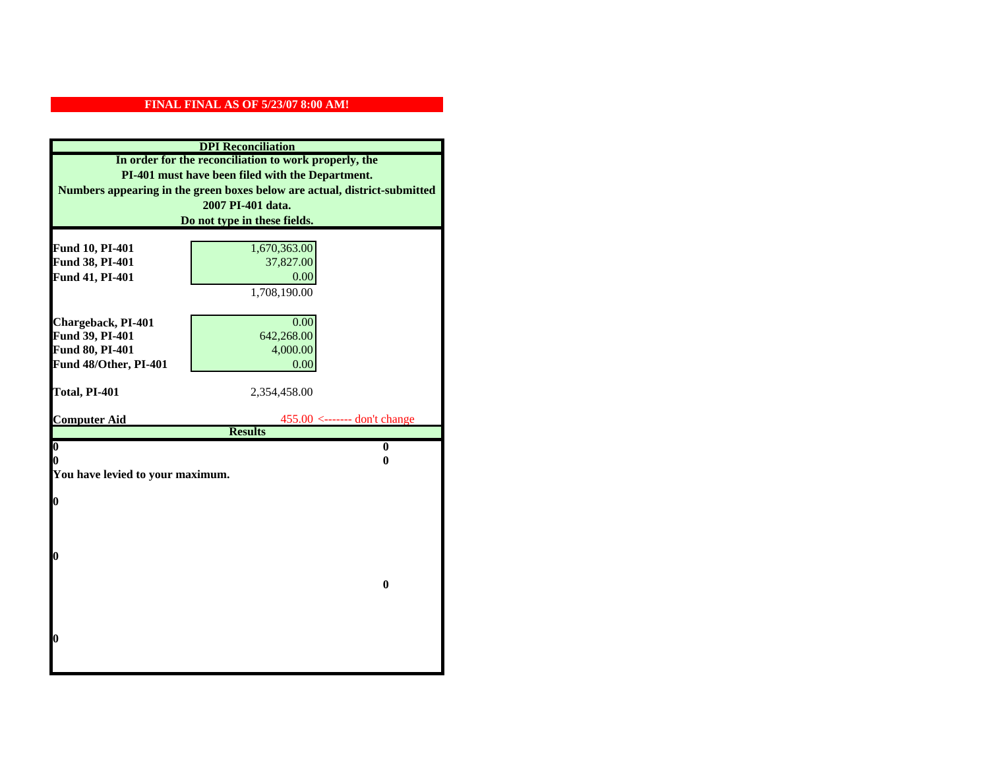| <b>DPI</b> Reconciliation                             |                                                                           |  |
|-------------------------------------------------------|---------------------------------------------------------------------------|--|
| In order for the reconciliation to work properly, the |                                                                           |  |
| PI-401 must have been filed with the Department.      |                                                                           |  |
|                                                       | Numbers appearing in the green boxes below are actual, district-submitted |  |
|                                                       | 2007 PI-401 data.                                                         |  |
|                                                       | Do not type in these fields.                                              |  |
|                                                       |                                                                           |  |
| Fund 10, PI-401                                       | 1,670,363.00                                                              |  |
| Fund 38, PI-401                                       | 37,827.00                                                                 |  |
| Fund 41, PI-401                                       | 0.00                                                                      |  |
|                                                       | 1,708,190.00                                                              |  |
|                                                       |                                                                           |  |
| Chargeback, PI-401                                    | 0.00                                                                      |  |
| Fund 39, PI-401                                       | 642,268.00                                                                |  |
| Fund 80, PI-401                                       | 4,000.00                                                                  |  |
| Fund 48/Other, PI-401                                 | 0.00                                                                      |  |
| Total, PI-401                                         | 2,354,458.00                                                              |  |
|                                                       |                                                                           |  |
| <b>Computer Aid</b>                                   | $455.00$ <------- don't change                                            |  |
|                                                       | <b>Results</b>                                                            |  |
| $\overline{\mathbf{0}}$                               | $\mathbf{0}$                                                              |  |
| 0                                                     | 0                                                                         |  |
| You have levied to your maximum.                      |                                                                           |  |
| $\bf{0}$                                              |                                                                           |  |
|                                                       |                                                                           |  |
|                                                       |                                                                           |  |
|                                                       |                                                                           |  |
| 0                                                     |                                                                           |  |
|                                                       |                                                                           |  |
|                                                       | $\bf{0}$                                                                  |  |
|                                                       |                                                                           |  |
|                                                       |                                                                           |  |
|                                                       |                                                                           |  |
| 0                                                     |                                                                           |  |
|                                                       |                                                                           |  |
|                                                       |                                                                           |  |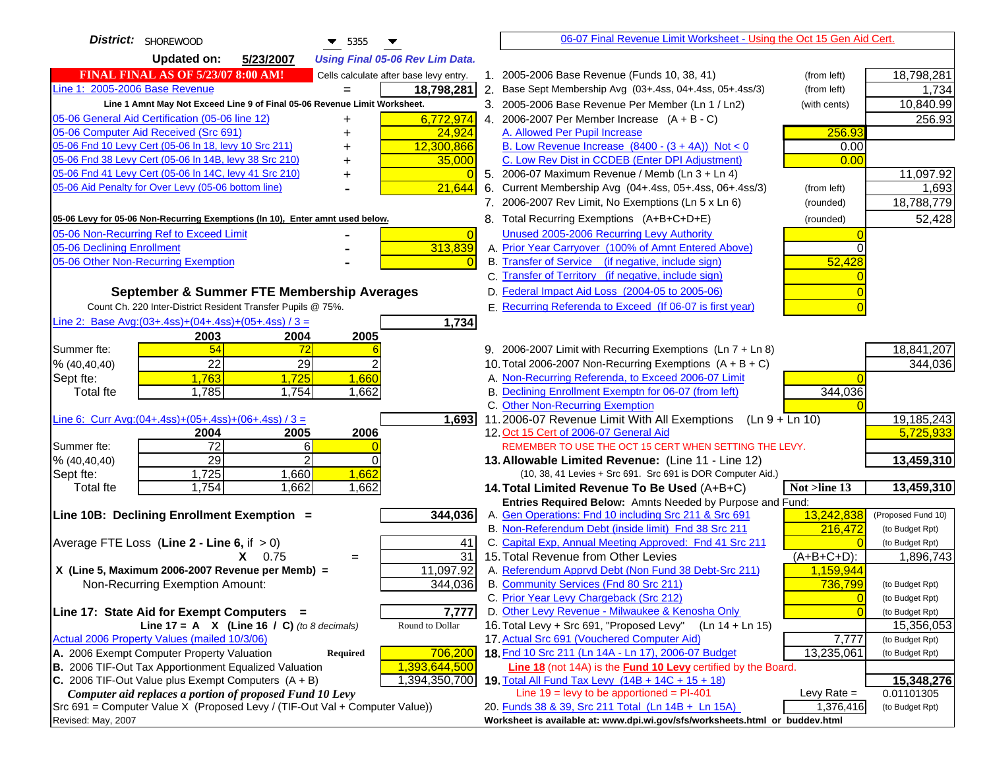| District: SHOREWOOD<br>$\blacktriangledown$ 5355<br>▼                               |                | 06-07 Final Revenue Limit Worksheet - Using the Oct 15 Gen Aid Cert.                        |                      |                    |
|-------------------------------------------------------------------------------------|----------------|---------------------------------------------------------------------------------------------|----------------------|--------------------|
| <b>Updated on:</b><br>5/23/2007<br><b>Using Final 05-06 Rev Lim Data.</b>           |                |                                                                                             |                      |                    |
| <b>FINAL FINAL AS OF 5/23/07 8:00 AM!</b><br>Cells calculate after base levy entry. |                | 1. 2005-2006 Base Revenue (Funds 10, 38, 41)                                                | (from left)          | 18,798,281         |
| Line 1: 2005-2006 Base Revenue<br>18,798,281                                        |                | 2. Base Sept Membership Avg (03+.4ss, 04+.4ss, 05+.4ss/3)                                   | (from left)          | 1,734              |
| Line 1 Amnt May Not Exceed Line 9 of Final 05-06 Revenue Limit Worksheet.           |                | 3. 2005-2006 Base Revenue Per Member (Ln 1 / Ln2)                                           | (with cents)         | 10,840.99          |
| 05-06 General Aid Certification (05-06 line 12)<br>6,772,974<br>+                   |                | 4. 2006-2007 Per Member Increase $(A + B - C)$                                              |                      | 256.93             |
| 05-06 Computer Aid Received (Src 691)<br>24,924                                     |                | A. Allowed Per Pupil Increase                                                               | 256.93               |                    |
| 05-06 Fnd 10 Levy Cert (05-06 In 18, levy 10 Src 211)<br>12,300,866                 |                | B. Low Revenue Increase $(8400 - (3 + 4A))$ Not < 0                                         | 0.00                 |                    |
| 05-06 Fnd 38 Levy Cert (05-06 In 14B, levy 38 Src 210)<br>35,000                    |                | C. Low Rev Dist in CCDEB (Enter DPI Adjustment)                                             | 0.00                 |                    |
| 05-06 Fnd 41 Levy Cert (05-06 In 14C, levy 41 Src 210)                              |                | 5. 2006-07 Maximum Revenue / Memb (Ln 3 + Ln 4)                                             |                      | 11,097.92          |
| 05-06 Aid Penalty for Over Levy (05-06 bottom line)<br>21,644                       |                | 6. Current Membership Avg (04+.4ss, 05+.4ss, 06+.4ss/3)                                     | (from left)          | 1,693              |
|                                                                                     |                | 7. 2006-2007 Rev Limit, No Exemptions (Ln 5 x Ln 6)                                         | (rounded)            | 18,788,779         |
| 05-06 Levy for 05-06 Non-Recurring Exemptions (In 10), Enter amnt used below.       |                | 8. Total Recurring Exemptions (A+B+C+D+E)                                                   | (rounded)            | 52,428             |
| 05-06 Non-Recurring Ref to Exceed Limit                                             | $\overline{0}$ | Unused 2005-2006 Recurring Levy Authority                                                   |                      |                    |
| 313,839<br>05-06 Declining Enrollment                                               |                | A. Prior Year Carryover (100% of Amnt Entered Above)                                        | $\Omega$             |                    |
| 05-06 Other Non-Recurring Exemption                                                 |                | B. Transfer of Service (if negative, include sign)                                          | 52,428               |                    |
|                                                                                     |                | C. Transfer of Territory (if negative, include sign)                                        |                      |                    |
| September & Summer FTE Membership Averages                                          |                | D. Federal Impact Aid Loss (2004-05 to 2005-06)                                             |                      |                    |
| Count Ch. 220 Inter-District Resident Transfer Pupils @ 75%.                        |                | E. Recurring Referenda to Exceed (If 06-07 is first year)                                   |                      |                    |
| Line 2: Base Avg: $(03+.4ss)+(04+.4ss)+(05+.4ss)/3 =$                               | 1,734          |                                                                                             |                      |                    |
| 2003<br>2004<br>2005                                                                |                |                                                                                             |                      |                    |
| 54<br>Summer fte:<br>72                                                             |                | 9. 2006-2007 Limit with Recurring Exemptions (Ln 7 + Ln 8)                                  |                      | 18,841,207         |
| 22<br>29<br>% (40, 40, 40)                                                          |                | 10. Total 2006-2007 Non-Recurring Exemptions $(A + B + C)$                                  |                      | 344,036            |
| 1,763<br>1,660<br>Sept fte:<br>1,725                                                |                | A. Non-Recurring Referenda, to Exceed 2006-07 Limit                                         |                      |                    |
| 1,785<br>1,754<br>1,662<br><b>Total fte</b>                                         |                | B. Declining Enrollment Exemptn for 06-07 (from left)                                       | 344,036              |                    |
|                                                                                     |                | C. Other Non-Recurring Exemption                                                            |                      |                    |
| Line 6: Curr Avg: $(04+.4ss)+(05+.4ss)+(06+.4ss)/3 =$                               | 1,693          | 11.2006-07 Revenue Limit With All Exemptions<br>(Ln 9 + Ln 10)                              |                      | 19,185,243         |
| 2005<br>2006<br>2004                                                                |                | 12. Oct 15 Cert of 2006-07 General Aid                                                      |                      | 5,725,933          |
| $\overline{72}$<br>6<br>Summer fte:                                                 |                | REMEMBER TO USE THE OCT 15 CERT WHEN SETTING THE LEVY.                                      |                      |                    |
| 29<br>2<br>% (40, 40, 40)<br>$\Omega$                                               |                | 13. Allowable Limited Revenue: (Line 11 - Line 12)                                          |                      | 13,459,310         |
| 1,662<br>1,725<br>1,660<br>Sept fte:                                                |                | (10, 38, 41 Levies + Src 691. Src 691 is DOR Computer Aid.)                                 |                      |                    |
| 1,754<br>1,662<br>1,662<br><b>Total fte</b>                                         |                | 14. Total Limited Revenue To Be Used (A+B+C)                                                | Not >line 13         | 13,459,310         |
|                                                                                     |                | Entries Required Below: Amnts Needed by Purpose and Fund:                                   |                      |                    |
| Line 10B: Declining Enrollment Exemption =<br>344,036                               |                | A. Gen Operations: Fnd 10 including Src 211 & Src 691                                       | 13,242,838           | (Proposed Fund 10) |
|                                                                                     |                | B. Non-Referendum Debt (inside limit) Fnd 38 Src 211                                        | 216,472              | (to Budget Rpt)    |
| Average FTE Loss (Line $2 -$ Line 6, if $> 0$ )                                     | 41             | C. Capital Exp, Annual Meeting Approved: Fnd 41 Src 211                                     |                      | (to Budget Rpt)    |
| $X = 0.75$<br>$=$<br>11,097.92<br>X (Line 5, Maximum 2006-2007 Revenue per Memb) =  | 31             | 15. Total Revenue from Other Levies<br>A. Referendum Apprvd Debt (Non Fund 38 Debt-Src 211) | $(A+B+C+D)$ :        | 1,896,743          |
| 344,036<br>Non-Recurring Exemption Amount:                                          |                | B. Community Services (Fnd 80 Src 211)                                                      | 1,159,944<br>736,799 | (to Budget Rpt)    |
|                                                                                     |                | C. Prior Year Levy Chargeback (Src 212)                                                     | $\overline{0}$       | (to Budget Rpt)    |
| Line 17: State Aid for Exempt Computers =                                           | 7,777          | D. Other Levy Revenue - Milwaukee & Kenosha Only                                            | $\Omega$             | (to Budget Rpt)    |
| Line 17 = A $X$ (Line 16 / C) (to 8 decimals)<br>Round to Dollar                    |                | 16. Total Levy + Src 691, "Proposed Levy"<br>$(Ln 14 + Ln 15)$                              |                      | 15,356,053         |
| Actual 2006 Property Values (mailed 10/3/06)                                        |                | 17. Actual Src 691 (Vouchered Computer Aid)                                                 | 7,777                | (to Budget Rpt)    |
| A. 2006 Exempt Computer Property Valuation<br>706,200<br><b>Required</b>            |                | 18. Fnd 10 Src 211 (Ln 14A - Ln 17), 2006-07 Budget                                         | 13,235,061           | (to Budget Rpt)    |
| <b>B.</b> 2006 TIF-Out Tax Apportionment Equalized Valuation<br>1,393,644,500       |                | Line 18 (not 14A) is the <b>Fund 10 Levy</b> certified by the Board.                        |                      |                    |
| C. 2006 TIF-Out Value plus Exempt Computers $(A + B)$<br>1,394,350,700              |                | 19. Total All Fund Tax Levy (14B + 14C + 15 + 18)                                           |                      | 15,348,276         |
| Computer aid replaces a portion of proposed Fund 10 Levy                            |                | Line $19 = \text{levy}$ to be apportioned = PI-401                                          | Levy Rate $=$        | 0.01101305         |
| Src 691 = Computer Value X (Proposed Levy / (TIF-Out Val + Computer Value))         |                | 20. Funds 38 & 39, Src 211 Total (Ln 14B + Ln 15A)                                          | 1,376,416            | (to Budget Rpt)    |
| Revised: May, 2007                                                                  |                | Worksheet is available at: www.dpi.wi.gov/sfs/worksheets.html or buddev.html                |                      |                    |
|                                                                                     |                |                                                                                             |                      |                    |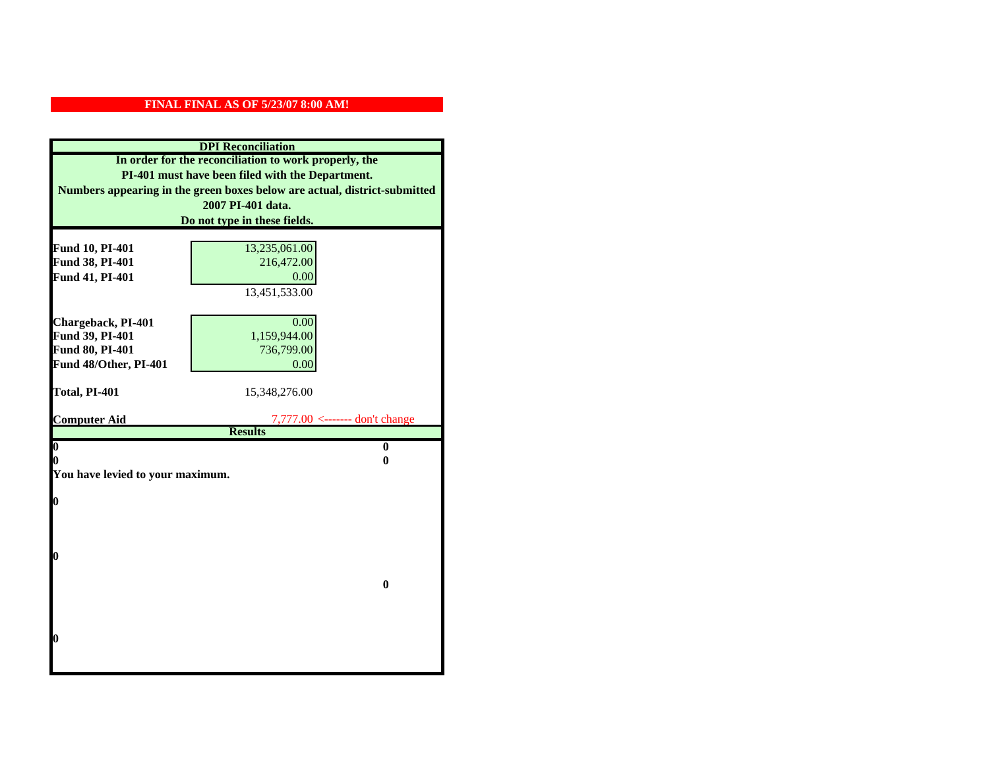| <b>DPI</b> Reconciliation                                                 |                                               |  |
|---------------------------------------------------------------------------|-----------------------------------------------|--|
| In order for the reconciliation to work properly, the                     |                                               |  |
| PI-401 must have been filed with the Department.                          |                                               |  |
| Numbers appearing in the green boxes below are actual, district-submitted |                                               |  |
|                                                                           | 2007 PI-401 data.                             |  |
|                                                                           | Do not type in these fields.                  |  |
|                                                                           |                                               |  |
| Fund 10, PI-401                                                           | 13,235,061.00                                 |  |
| Fund 38, PI-401                                                           | 216,472.00                                    |  |
| Fund 41, PI-401                                                           | 0.00                                          |  |
|                                                                           | 13,451,533.00                                 |  |
|                                                                           | 0.00                                          |  |
| Chargeback, PI-401<br>Fund 39, PI-401                                     | 1,159,944.00                                  |  |
| Fund 80, PI-401                                                           | 736,799.00                                    |  |
| Fund 48/Other, PI-401                                                     | 0.00                                          |  |
|                                                                           |                                               |  |
| Total, PI-401                                                             | 15,348,276.00                                 |  |
|                                                                           |                                               |  |
| <b>Computer Aid</b>                                                       | $7,777.00 \leftarrow \text{---}$ don't change |  |
|                                                                           | <b>Results</b>                                |  |
| $\overline{\mathbf{0}}$<br>0                                              | $\bf{0}$<br>0                                 |  |
| You have levied to your maximum.                                          |                                               |  |
|                                                                           |                                               |  |
| $\bf{0}$                                                                  |                                               |  |
|                                                                           |                                               |  |
|                                                                           |                                               |  |
|                                                                           |                                               |  |
| l0                                                                        |                                               |  |
|                                                                           |                                               |  |
|                                                                           | $\bf{0}$                                      |  |
|                                                                           |                                               |  |
|                                                                           |                                               |  |
| $\boldsymbol{0}$                                                          |                                               |  |
|                                                                           |                                               |  |
|                                                                           |                                               |  |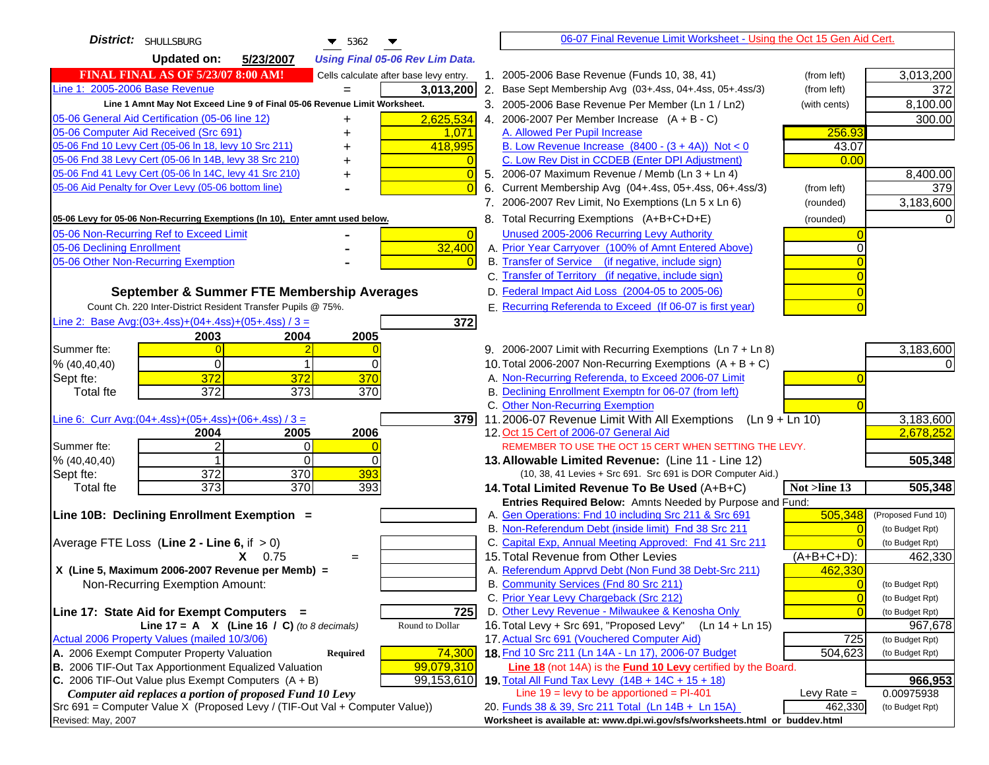| District: SHULLSBURG<br>$\blacktriangledown$ 5362                                                                            | 06-07 Final Revenue Limit Worksheet - Using the Oct 15 Gen Aid Cert.                                                      |                       |
|------------------------------------------------------------------------------------------------------------------------------|---------------------------------------------------------------------------------------------------------------------------|-----------------------|
| <b>Updated on:</b><br>5/23/2007<br><b>Using Final 05-06 Rev Lim Data.</b>                                                    |                                                                                                                           |                       |
| <b>FINAL FINAL AS OF 5/23/07 8:00 AM!</b><br>Cells calculate after base levy entry.                                          | 1. 2005-2006 Base Revenue (Funds 10, 38, 41)<br>(from left)                                                               | 3,013,200             |
| Line 1: 2005-2006 Base Revenue<br>3,013,200                                                                                  | 2. Base Sept Membership Avg (03+.4ss, 04+.4ss, 05+.4ss/3)<br>(from left)                                                  | 372                   |
| Line 1 Amnt May Not Exceed Line 9 of Final 05-06 Revenue Limit Worksheet.                                                    | 3. 2005-2006 Base Revenue Per Member (Ln 1 / Ln2)<br>(with cents)                                                         | 8,100.00              |
| 2,625,534<br>05-06 General Aid Certification (05-06 line 12)<br>+                                                            | 4. 2006-2007 Per Member Increase $(A + B - C)$                                                                            | 300.00                |
| 05-06 Computer Aid Received (Src 691)<br>1,071                                                                               | 256.93<br>A. Allowed Per Pupil Increase                                                                                   |                       |
| 05-06 Fnd 10 Levy Cert (05-06 In 18, levy 10 Src 211)<br>418,995                                                             | B. Low Revenue Increase $(8400 - (3 + 4A))$ Not < 0<br>43.07                                                              |                       |
| 05-06 Fnd 38 Levy Cert (05-06 In 14B, levy 38 Src 210)                                                                       | C. Low Rev Dist in CCDEB (Enter DPI Adjustment)<br>0.00                                                                   |                       |
| 05-06 Fnd 41 Levy Cert (05-06 In 14C, levy 41 Src 210)<br>+                                                                  | 5. 2006-07 Maximum Revenue / Memb (Ln 3 + Ln 4)                                                                           | 8,400.00              |
| 05-06 Aid Penalty for Over Levy (05-06 bottom line)                                                                          | 6. Current Membership Avg (04+.4ss, 05+.4ss, 06+.4ss/3)<br>(from left)                                                    | 379                   |
|                                                                                                                              | 7. 2006-2007 Rev Limit, No Exemptions (Ln 5 x Ln 6)<br>(rounded)                                                          | 3,183,600             |
| 05-06 Levy for 05-06 Non-Recurring Exemptions (In 10), Enter amnt used below.                                                | 8. Total Recurring Exemptions (A+B+C+D+E)<br>(rounded)                                                                    |                       |
| 05-06 Non-Recurring Ref to Exceed Limit<br>$\overline{0}$                                                                    | Unused 2005-2006 Recurring Levy Authority                                                                                 |                       |
| 32,400<br>05-06 Declining Enrollment                                                                                         | A. Prior Year Carryover (100% of Amnt Entered Above)                                                                      |                       |
| 05-06 Other Non-Recurring Exemption                                                                                          | B. Transfer of Service (if negative, include sign)                                                                        |                       |
|                                                                                                                              | C. Transfer of Territory (if negative, include sign)                                                                      |                       |
| September & Summer FTE Membership Averages                                                                                   | D. Federal Impact Aid Loss (2004-05 to 2005-06)                                                                           |                       |
| Count Ch. 220 Inter-District Resident Transfer Pupils @ 75%.                                                                 | E. Recurring Referenda to Exceed (If 06-07 is first year)                                                                 |                       |
| Line 2: Base Avg:(03+.4ss)+(04+.4ss)+(05+.4ss) / 3 =<br>372                                                                  |                                                                                                                           |                       |
| 2004<br>2005<br>2003                                                                                                         |                                                                                                                           |                       |
| Summer fte:                                                                                                                  | 9. 2006-2007 Limit with Recurring Exemptions (Ln 7 + Ln 8)                                                                | 3,183,600             |
| % (40, 40, 40)<br>$\Omega$<br>0                                                                                              | 10. Total 2006-2007 Non-Recurring Exemptions $(A + B + C)$                                                                |                       |
| 372<br>372<br>370<br>Sept fte:                                                                                               | A. Non-Recurring Referenda, to Exceed 2006-07 Limit                                                                       |                       |
| 372<br>$\overline{373}$<br>370<br>Total fte                                                                                  | B. Declining Enrollment Exemptn for 06-07 (from left)                                                                     |                       |
|                                                                                                                              | C. Other Non-Recurring Exemption                                                                                          |                       |
| Line 6: Curr Avg: $(04+.4ss)+(05+.4ss)+(06+.4ss)/3 =$<br>379                                                                 | 11.2006-07 Revenue Limit With All Exemptions (Ln 9 + Ln 10)                                                               | 3,183,600             |
| 2004<br>2005<br>2006<br>Summer fte:<br>0                                                                                     | 12. Oct 15 Cert of 2006-07 General Aid<br>REMEMBER TO USE THE OCT 15 CERT WHEN SETTING THE LEVY.                          | 2,678,252             |
| 0<br>% (40, 40, 40)<br>0                                                                                                     | 13. Allowable Limited Revenue: (Line 11 - Line 12)                                                                        | 505,348               |
| 372<br>370<br>393<br>Sept fte:                                                                                               | (10, 38, 41 Levies + Src 691. Src 691 is DOR Computer Aid.)                                                               |                       |
| 373<br>370<br>393<br><b>Total fte</b>                                                                                        | 14. Total Limited Revenue To Be Used (A+B+C)<br>Not >line 13                                                              | 505,348               |
|                                                                                                                              | Entries Required Below: Amnts Needed by Purpose and Fund:                                                                 |                       |
| Line 10B: Declining Enrollment Exemption =                                                                                   | 505,348<br>A. Gen Operations: Fnd 10 including Src 211 & Src 691                                                          | (Proposed Fund 10)    |
|                                                                                                                              | B. Non-Referendum Debt (inside limit) Fnd 38 Src 211<br>$\sqrt{ }$                                                        | (to Budget Rpt)       |
| Average FTE Loss (Line $2 -$ Line 6, if $> 0$ )                                                                              | C. Capital Exp, Annual Meeting Approved: Fnd 41 Src 211                                                                   | (to Budget Rpt)       |
| $X = 0.75$<br>$=$                                                                                                            | 15. Total Revenue from Other Levies<br>$(A+B+C+D)$ :                                                                      | 462,330               |
| X (Line 5, Maximum 2006-2007 Revenue per Memb) =                                                                             | A. Referendum Apprvd Debt (Non Fund 38 Debt-Src 211)<br>462,330                                                           |                       |
| Non-Recurring Exemption Amount:                                                                                              | B. Community Services (Fnd 80 Src 211)                                                                                    | (to Budget Rpt)       |
|                                                                                                                              | C. Prior Year Levy Chargeback (Src 212)<br>$\overline{0}$                                                                 | (to Budget Rpt)       |
| 725<br>Line 17: State Aid for Exempt Computers =                                                                             | D. Other Levy Revenue - Milwaukee & Kenosha Only<br>$\overline{0}$                                                        | (to Budget Rpt)       |
| Line 17 = A $X$ (Line 16 / C) (to 8 decimals)<br>Round to Dollar                                                             | 16. Total Levy + Src 691, "Proposed Levy"<br>(Ln 14 + Ln 15)                                                              | 967,678               |
| Actual 2006 Property Values (mailed 10/3/06)                                                                                 | 17. Actual Src 691 (Vouchered Computer Aid)<br>725                                                                        | (to Budget Rpt)       |
| A. 2006 Exempt Computer Property Valuation<br>74,300<br>Required                                                             | 18. Fnd 10 Src 211 (Ln 14A - Ln 17), 2006-07 Budget<br>504,623                                                            | (to Budget Rpt)       |
| B. 2006 TIF-Out Tax Apportionment Equalized Valuation<br>99,079,310<br>C. 2006 TIF-Out Value plus Exempt Computers $(A + B)$ | Line 18 (not 14A) is the <b>Fund 10 Levy</b> certified by the Board.<br>19. Total All Fund Tax Levy (14B + 14C + 15 + 18) |                       |
| 99,153,610<br>Computer aid replaces a portion of proposed Fund 10 Levy                                                       | Line $19 = \text{levy}$ to be apportioned = PI-401<br>Levy Rate $=$                                                       | 966,953<br>0.00975938 |
| Src 691 = Computer Value X (Proposed Levy / (TIF-Out Val + Computer Value))                                                  | 20. Funds 38 & 39, Src 211 Total (Ln 14B + Ln 15A)<br>462,330                                                             | (to Budget Rpt)       |
| Revised: May, 2007                                                                                                           | Worksheet is available at: www.dpi.wi.gov/sfs/worksheets.html or buddev.html                                              |                       |
|                                                                                                                              |                                                                                                                           |                       |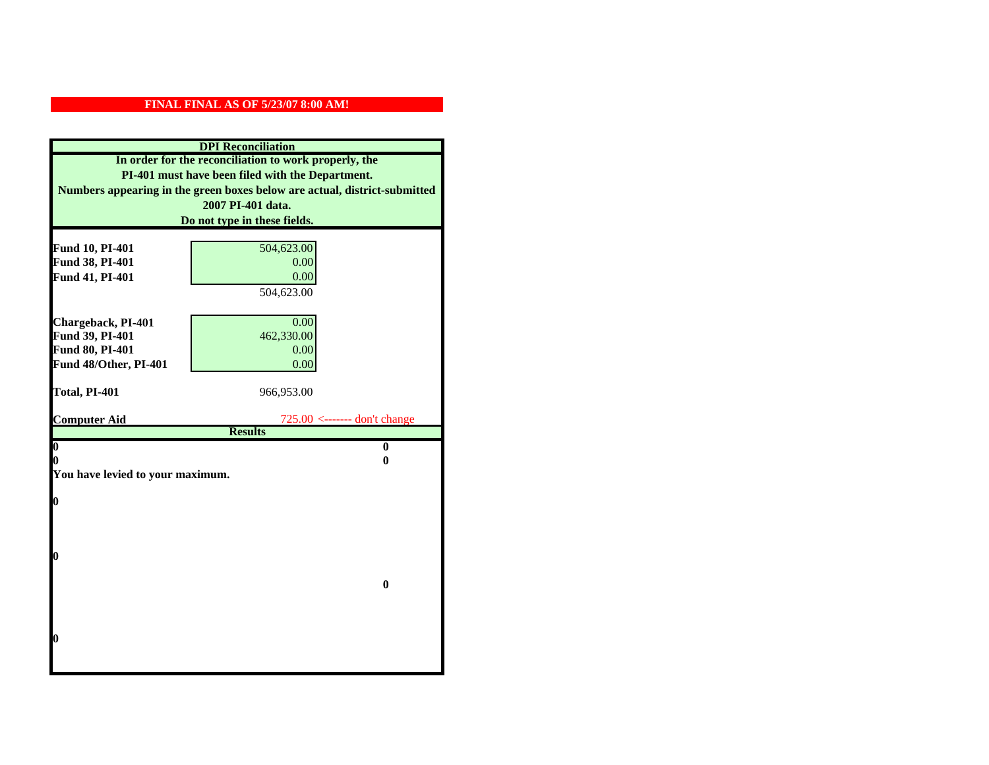| <b>DPI</b> Reconciliation                             |                                                                           |  |
|-------------------------------------------------------|---------------------------------------------------------------------------|--|
| In order for the reconciliation to work properly, the |                                                                           |  |
| PI-401 must have been filed with the Department.      |                                                                           |  |
|                                                       | Numbers appearing in the green boxes below are actual, district-submitted |  |
|                                                       | 2007 PI-401 data.                                                         |  |
|                                                       | Do not type in these fields.                                              |  |
|                                                       |                                                                           |  |
| Fund 10, PI-401                                       | 504,623.00                                                                |  |
| Fund 38, PI-401                                       | 0.00                                                                      |  |
| Fund 41, PI-401                                       | 0.00                                                                      |  |
|                                                       | 504,623.00                                                                |  |
|                                                       | 0.00                                                                      |  |
| Chargeback, PI-401<br>Fund 39, PI-401                 | 462,330.00                                                                |  |
| Fund 80, PI-401                                       | 0.00                                                                      |  |
| Fund 48/Other, PI-401                                 | 0.00                                                                      |  |
|                                                       |                                                                           |  |
| Total, PI-401                                         | 966,953.00                                                                |  |
|                                                       |                                                                           |  |
| <b>Computer Aid</b>                                   | $725.00$ <------- don't change                                            |  |
| $\boldsymbol{0}$                                      | <b>Results</b><br>$\bf{0}$                                                |  |
| 0                                                     | 0                                                                         |  |
| You have levied to your maximum.                      |                                                                           |  |
|                                                       |                                                                           |  |
| $\bf{0}$                                              |                                                                           |  |
|                                                       |                                                                           |  |
|                                                       |                                                                           |  |
|                                                       |                                                                           |  |
| 0                                                     |                                                                           |  |
|                                                       |                                                                           |  |
|                                                       | $\bf{0}$                                                                  |  |
|                                                       |                                                                           |  |
|                                                       |                                                                           |  |
| 0                                                     |                                                                           |  |
|                                                       |                                                                           |  |
|                                                       |                                                                           |  |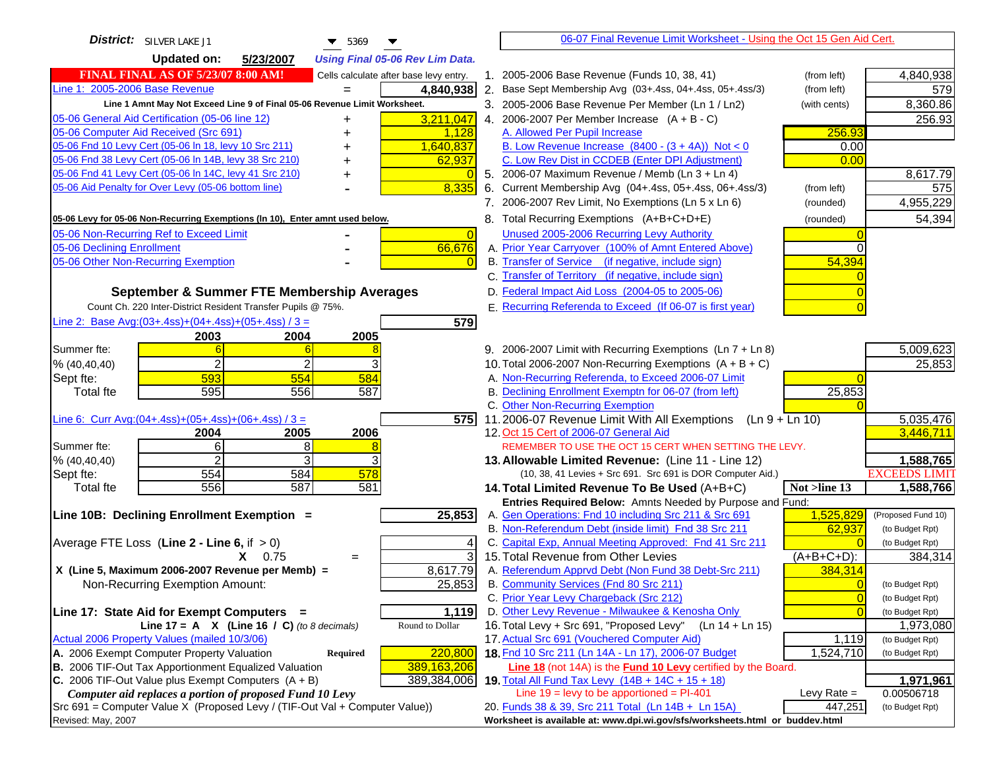| District: SILVER LAKE J1<br>▼<br>5369                                                                                            | 06-07 Final Revenue Limit Worksheet - Using the Oct 15 Gen Aid Cert.                                                                                  |
|----------------------------------------------------------------------------------------------------------------------------------|-------------------------------------------------------------------------------------------------------------------------------------------------------|
| <b>Updated on:</b><br>5/23/2007<br><b>Using Final 05-06 Rev Lim Data.</b>                                                        |                                                                                                                                                       |
| <b>FINAL FINAL AS OF 5/23/07 8:00 AM!</b><br>Cells calculate after base levy entry.                                              | 1. 2005-2006 Base Revenue (Funds 10, 38, 41)<br>(from left)<br>4,840,938                                                                              |
| Line 1: 2005-2006 Base Revenue<br>4,840,938                                                                                      | 2. Base Sept Membership Avg (03+.4ss, 04+.4ss, 05+.4ss/3)<br>579<br>(from left)                                                                       |
| Line 1 Amnt May Not Exceed Line 9 of Final 05-06 Revenue Limit Worksheet.                                                        | 8,360.86<br>3. 2005-2006 Base Revenue Per Member (Ln 1 / Ln2)<br>(with cents)                                                                         |
| 3,211,047<br>05-06 General Aid Certification (05-06 line 12)<br>+                                                                | 4. 2006-2007 Per Member Increase $(A + B - C)$<br>256.93                                                                                              |
| 05-06 Computer Aid Received (Src 691)<br>1,128                                                                                   | 256.93<br>A. Allowed Per Pupil Increase                                                                                                               |
| 05-06 Fnd 10 Levy Cert (05-06 In 18, levy 10 Src 211)<br>1,640,837                                                               | B. Low Revenue Increase $(8400 - (3 + 4A))$ Not < 0<br>0.00                                                                                           |
| 05-06 Fnd 38 Levy Cert (05-06 In 14B, levy 38 Src 210)<br>62,937                                                                 | C. Low Rev Dist in CCDEB (Enter DPI Adjustment)<br>0.00                                                                                               |
| 05-06 Fnd 41 Levy Cert (05-06 In 14C, levy 41 Src 210)                                                                           | 8,617.79<br>5. 2006-07 Maximum Revenue / Memb (Ln 3 + Ln 4)                                                                                           |
| 8,335<br>05-06 Aid Penalty for Over Levy (05-06 bottom line)                                                                     | 6. Current Membership Avg (04+.4ss, 05+.4ss, 06+.4ss/3)<br>(from left)<br>575                                                                         |
|                                                                                                                                  | 7. 2006-2007 Rev Limit, No Exemptions (Ln 5 x Ln 6)<br>4,955,229<br>(rounded)                                                                         |
| 05-06 Levy for 05-06 Non-Recurring Exemptions (In 10), Enter amnt used below.                                                    | 54,394<br>8. Total Recurring Exemptions (A+B+C+D+E)<br>(rounded)                                                                                      |
| 05-06 Non-Recurring Ref to Exceed Limit<br>$\overline{0}$                                                                        | Unused 2005-2006 Recurring Levy Authority                                                                                                             |
| 66,676<br>05-06 Declining Enrollment                                                                                             | A. Prior Year Carryover (100% of Amnt Entered Above)                                                                                                  |
| 05-06 Other Non-Recurring Exemption                                                                                              | B. Transfer of Service (if negative, include sign)<br>54,394                                                                                          |
|                                                                                                                                  | C. Transfer of Territory (if negative, include sign)                                                                                                  |
| September & Summer FTE Membership Averages                                                                                       | D. Federal Impact Aid Loss (2004-05 to 2005-06)                                                                                                       |
| Count Ch. 220 Inter-District Resident Transfer Pupils @ 75%.                                                                     | E. Recurring Referenda to Exceed (If 06-07 is first year)                                                                                             |
| Line 2: Base Avg: $(03+.4ss)+(04+.4ss)+(05+.4ss)/3 =$<br>579                                                                     |                                                                                                                                                       |
| 2003<br>2004<br>2005                                                                                                             |                                                                                                                                                       |
| Summer fte:<br>6<br>$\overline{2}$<br>2                                                                                          | 9. 2006-2007 Limit with Recurring Exemptions (Ln 7 + Ln 8)<br>5,009,623<br>25,853<br>10. Total 2006-2007 Non-Recurring Exemptions (A + B + C)         |
| % (40, 40, 40)<br>593<br>584<br>554<br>Sept fte:                                                                                 | A. Non-Recurring Referenda, to Exceed 2006-07 Limit                                                                                                   |
| 595<br>556<br>587<br><b>Total fte</b>                                                                                            | B. Declining Enrollment Exemptn for 06-07 (from left)<br>25,853                                                                                       |
|                                                                                                                                  | C. Other Non-Recurring Exemption                                                                                                                      |
| Line 6: Curr Avg: $(04+.4ss)+(05+.4ss)+(06+.4ss)/3 =$<br>575I                                                                    | 5,035,476<br>11.2006-07 Revenue Limit With All Exemptions $(Ln 9 + Ln 10)$                                                                            |
| 2006<br>2005<br>2004                                                                                                             | 3,446,711<br>12. Oct 15 Cert of 2006-07 General Aid                                                                                                   |
| 6<br>Summer fte:<br>8                                                                                                            | REMEMBER TO USE THE OCT 15 CERT WHEN SETTING THE LEVY.                                                                                                |
| $\overline{2}$<br>3<br>% (40, 40, 40)                                                                                            | 1,588,765<br>13. Allowable Limited Revenue: (Line 11 - Line 12)                                                                                       |
| 554<br>584<br>578<br>Sept fte:                                                                                                   | <b>EXCEEDS LIMIT</b><br>(10, 38, 41 Levies + Src 691. Src 691 is DOR Computer Aid.)                                                                   |
| 581<br>556<br>587<br><b>Total fte</b>                                                                                            | 1,588,766<br>14. Total Limited Revenue To Be Used (A+B+C)<br>Not >line 13                                                                             |
| 25,853                                                                                                                           | Entries Required Below: Amnts Needed by Purpose and Fund:<br>1,525,829<br>A. Gen Operations: Fnd 10 including Src 211 & Src 691<br>(Proposed Fund 10) |
| Line 10B: Declining Enrollment Exemption =                                                                                       | B. Non-Referendum Debt (inside limit) Fnd 38 Src 211<br>62,937<br>(to Budget Rpt)                                                                     |
| Average FTE Loss (Line $2 -$ Line 6, if $> 0$ )<br>4                                                                             | C. Capital Exp, Annual Meeting Approved: Fnd 41 Src 211<br>(to Budget Rpt)                                                                            |
| 3<br>$X = 0.75$<br>$=$                                                                                                           | 15. Total Revenue from Other Levies<br>$(A+B+C+D)$ :<br>384,314                                                                                       |
| X (Line 5, Maximum 2006-2007 Revenue per Memb) =<br>8,617.79                                                                     | A. Referendum Apprvd Debt (Non Fund 38 Debt-Src 211)<br>384,314                                                                                       |
| 25,853<br>Non-Recurring Exemption Amount:                                                                                        | B. Community Services (Fnd 80 Src 211)<br>(to Budget Rpt)                                                                                             |
|                                                                                                                                  | C. Prior Year Levy Chargeback (Src 212)<br>$\overline{0}$<br>(to Budget Rpt)                                                                          |
| 1,119<br>Line 17: State Aid for Exempt Computers =                                                                               | D. Other Levy Revenue - Milwaukee & Kenosha Only<br>(to Budget Rpt)                                                                                   |
| Round to Dollar<br>Line 17 = A $X$ (Line 16 / C) (to 8 decimals)                                                                 | 16. Total Levy + Src 691, "Proposed Levy"<br>(Ln 14 + Ln 15)<br>1,973,080                                                                             |
| Actual 2006 Property Values (mailed 10/3/06)                                                                                     | 17. Actual Src 691 (Vouchered Computer Aid)<br>1,119<br>(to Budget Rpt)                                                                               |
| A. 2006 Exempt Computer Property Valuation<br>220,800<br>Required                                                                | 18. Fnd 10 Src 211 (Ln 14A - Ln 17), 2006-07 Budget<br>1,524,710<br>(to Budget Rpt)                                                                   |
| B. 2006 TIF-Out Tax Apportionment Equalized Valuation<br>389,163,206                                                             | Line 18 (not 14A) is the <b>Fund 10 Levy</b> certified by the Board.                                                                                  |
| C. 2006 TIF-Out Value plus Exempt Computers $(A + B)$<br>389,384,006<br>Computer aid replaces a portion of proposed Fund 10 Levy | 19. Total All Fund Tax Levy (14B + 14C + 15 + 18)<br>1,971,961<br>Line $19 = \text{levy}$ to be apportioned = PI-401<br>Levy Rate $=$<br>0.00506718   |
| Src 691 = Computer Value X (Proposed Levy / (TIF-Out Val + Computer Value))                                                      | 20. Funds 38 & 39, Src 211 Total (Ln 14B + Ln 15A)<br>447,251<br>(to Budget Rpt)                                                                      |
| Revised: May, 2007                                                                                                               | Worksheet is available at: www.dpi.wi.gov/sfs/worksheets.html or buddev.html                                                                          |
|                                                                                                                                  |                                                                                                                                                       |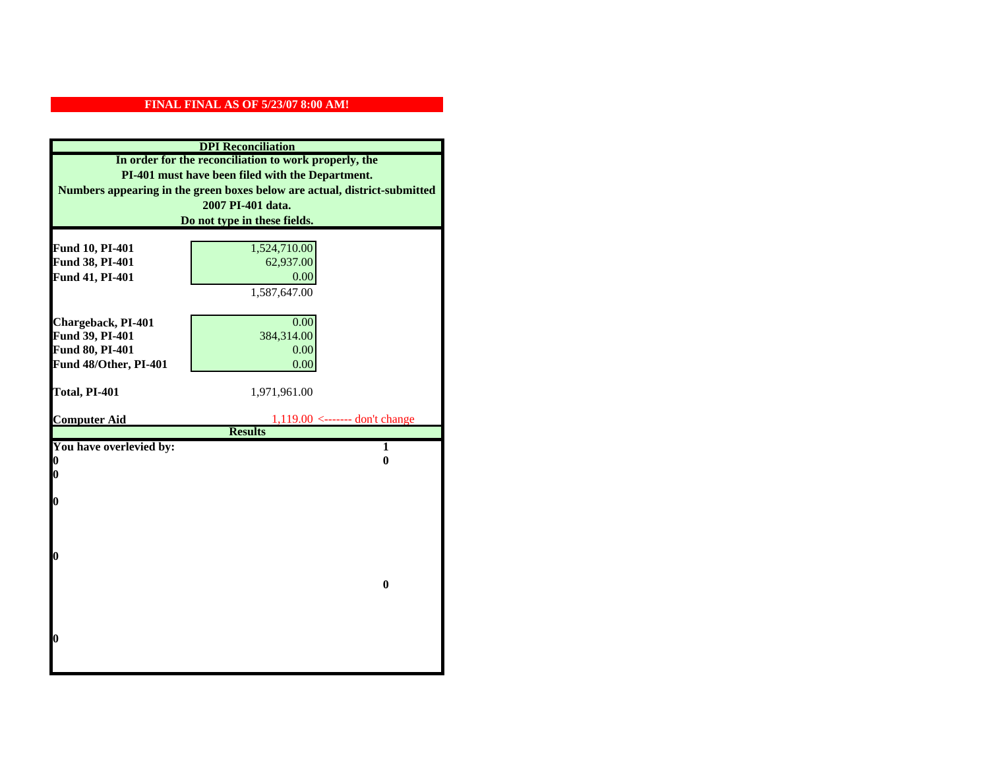| <b>DPI</b> Reconciliation                             |                                                                           |
|-------------------------------------------------------|---------------------------------------------------------------------------|
| In order for the reconciliation to work properly, the |                                                                           |
| PI-401 must have been filed with the Department.      |                                                                           |
|                                                       | Numbers appearing in the green boxes below are actual, district-submitted |
|                                                       | 2007 PI-401 data.                                                         |
|                                                       | Do not type in these fields.                                              |
|                                                       |                                                                           |
| Fund 10, PI-401                                       | 1,524,710.00                                                              |
| Fund 38, PI-401                                       | 62,937.00                                                                 |
| Fund 41, PI-401                                       | 0.00                                                                      |
|                                                       | 1,587,647.00                                                              |
|                                                       |                                                                           |
| Chargeback, PI-401                                    | 0.00                                                                      |
| Fund 39, PI-401                                       | 384,314.00                                                                |
| Fund 80, PI-401                                       | 0.00                                                                      |
| Fund 48/Other, PI-401                                 | 0.00                                                                      |
| Total, PI-401                                         | 1,971,961.00                                                              |
|                                                       |                                                                           |
| <b>Computer Aid</b>                                   | $1,119.00$ <------- don't change                                          |
|                                                       | <b>Results</b>                                                            |
| You have overlevied by:                               | $\overline{1}$                                                            |
| 0                                                     | $\bf{0}$                                                                  |
| 0                                                     |                                                                           |
| 0                                                     |                                                                           |
|                                                       |                                                                           |
|                                                       |                                                                           |
|                                                       |                                                                           |
| 0                                                     |                                                                           |
|                                                       |                                                                           |
|                                                       | $\bf{0}$                                                                  |
|                                                       |                                                                           |
|                                                       |                                                                           |
| O                                                     |                                                                           |
|                                                       |                                                                           |
|                                                       |                                                                           |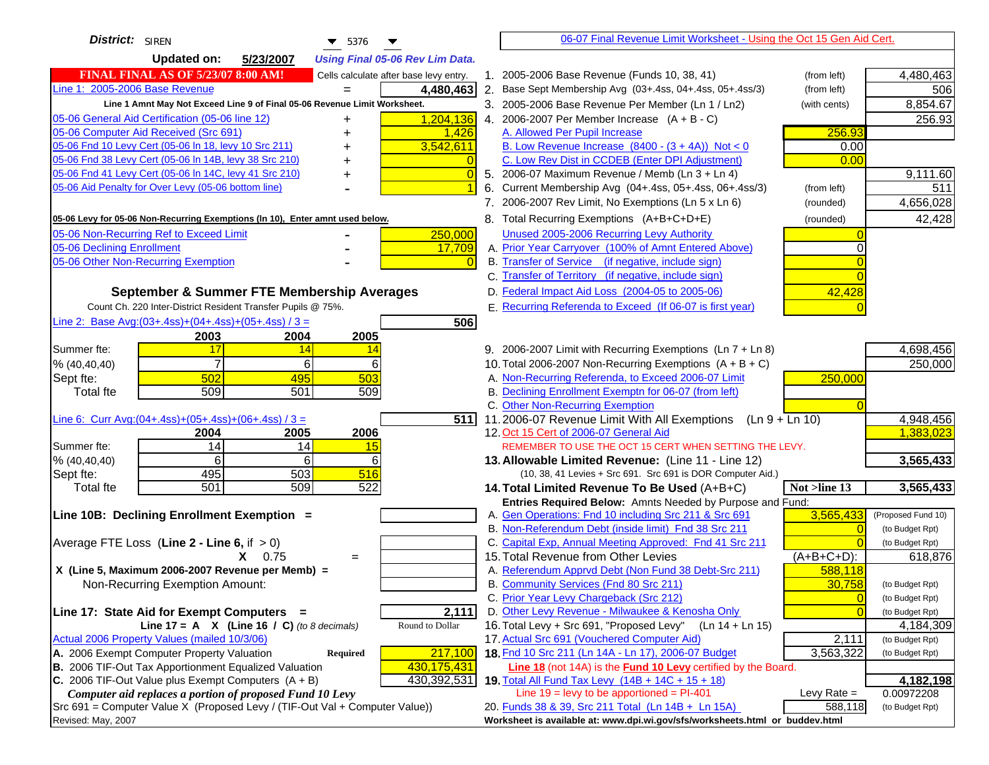| District: SIREN<br>$\blacktriangledown$ 5376                                        | 06-07 Final Revenue Limit Worksheet - Using the Oct 15 Gen Aid Cert.                                                                                  |
|-------------------------------------------------------------------------------------|-------------------------------------------------------------------------------------------------------------------------------------------------------|
| <b>Updated on:</b><br>5/23/2007<br><b>Using Final 05-06 Rev Lim Data.</b>           |                                                                                                                                                       |
| <b>FINAL FINAL AS OF 5/23/07 8:00 AM!</b><br>Cells calculate after base levy entry. | 1. 2005-2006 Base Revenue (Funds 10, 38, 41)<br>4,480,463<br>(from left)                                                                              |
| Line 1: 2005-2006 Base Revenue<br>4,480,463                                         | 2. Base Sept Membership Avg (03+.4ss, 04+.4ss, 05+.4ss/3)<br>506<br>(from left)                                                                       |
| Line 1 Amnt May Not Exceed Line 9 of Final 05-06 Revenue Limit Worksheet.           | 8,854.67<br>3. 2005-2006 Base Revenue Per Member (Ln 1 / Ln2)<br>(with cents)                                                                         |
| 1,204,136<br>05-06 General Aid Certification (05-06 line 12)<br>+                   | 4. 2006-2007 Per Member Increase $(A + B - C)$<br>256.93                                                                                              |
| 05-06 Computer Aid Received (Src 691)<br>1,426                                      | 256.93<br>A. Allowed Per Pupil Increase                                                                                                               |
| 05-06 Fnd 10 Levy Cert (05-06 In 18, levy 10 Src 211)<br>3,542,611                  | B. Low Revenue Increase $(8400 - (3 + 4A))$ Not < 0<br>0.00                                                                                           |
| 05-06 Fnd 38 Levy Cert (05-06 In 14B, levy 38 Src 210)                              | C. Low Rev Dist in CCDEB (Enter DPI Adjustment)<br>0.00                                                                                               |
| 05-06 Fnd 41 Levy Cert (05-06 In 14C, levy 41 Src 210)                              | 5. 2006-07 Maximum Revenue / Memb (Ln 3 + Ln 4)<br>9,111.60<br>$\sqrt{ }$                                                                             |
| 05-06 Aid Penalty for Over Levy (05-06 bottom line)                                 | Current Membership Avg (04+.4ss, 05+.4ss, 06+.4ss/3)<br>6.<br>(from left)<br>511                                                                      |
|                                                                                     | 7. 2006-2007 Rev Limit, No Exemptions (Ln 5 x Ln 6)<br>4,656,028<br>(rounded)                                                                         |
| 05-06 Levy for 05-06 Non-Recurring Exemptions (In 10), Enter amnt used below.       | 42,428<br>8. Total Recurring Exemptions (A+B+C+D+E)<br>(rounded)                                                                                      |
| 05-06 Non-Recurring Ref to Exceed Limit<br>250,000                                  | Unused 2005-2006 Recurring Levy Authority                                                                                                             |
| 05-06 Declining Enrollment<br>17,709                                                | A. Prior Year Carryover (100% of Amnt Entered Above)                                                                                                  |
| 05-06 Other Non-Recurring Exemption                                                 | B. Transfer of Service (if negative, include sign)                                                                                                    |
|                                                                                     | C. Transfer of Territory (if negative, include sign)                                                                                                  |
| September & Summer FTE Membership Averages                                          | D. Federal Impact Aid Loss (2004-05 to 2005-06)<br>42,428                                                                                             |
| Count Ch. 220 Inter-District Resident Transfer Pupils @ 75%.                        | E. Recurring Referenda to Exceed (If 06-07 is first year)                                                                                             |
| Line 2: Base Avg: $(03+.4ss)+(04+.4ss)+(05+.4ss)/3 =$                               | 506                                                                                                                                                   |
| 2003<br>2004<br>2005                                                                |                                                                                                                                                       |
| 17<br>Summer fte:<br>14<br>$\frac{14}{2}$                                           | 9. 2006-2007 Limit with Recurring Exemptions (Ln 7 + Ln 8)<br>4,698,456                                                                               |
| 6<br>6<br>% (40, 40, 40)                                                            | 250,000<br>10. Total 2006-2007 Non-Recurring Exemptions $(A + B + C)$                                                                                 |
| Sept fte:<br>502<br>495<br>503                                                      | A. Non-Recurring Referenda, to Exceed 2006-07 Limit<br>250,000                                                                                        |
| 509<br>501<br>509<br><b>Total fte</b>                                               | B. Declining Enrollment Exemptn for 06-07 (from left)                                                                                                 |
|                                                                                     | C. Other Non-Recurring Exemption                                                                                                                      |
| Line 6: Curr Avg: $(04+.4ss)+(05+.4ss)+(06+.4ss)/3 =$                               | 4,948,456<br>5111<br>11.2006-07 Revenue Limit With All Exemptions $(Ln 9 + Ln 10)$                                                                    |
| 2006<br>2005<br>2004                                                                | 1,383,023<br>12. Oct 15 Cert of 2006-07 General Aid                                                                                                   |
| 14<br>Summer fte:<br>14<br>15                                                       | REMEMBER TO USE THE OCT 15 CERT WHEN SETTING THE LEVY.                                                                                                |
| 6<br>6<br>% (40, 40, 40)<br>6                                                       | 3,565,433<br>13. Allowable Limited Revenue: (Line 11 - Line 12)                                                                                       |
| 503<br>495<br>516<br>Sept fte:                                                      | (10, 38, 41 Levies + Src 691. Src 691 is DOR Computer Aid.)                                                                                           |
| 522<br>501<br>509<br><b>Total fte</b>                                               | 3,565,433<br>14. Total Limited Revenue To Be Used (A+B+C)<br>Not >line 13                                                                             |
| Line 10B: Declining Enrollment Exemption =                                          | Entries Required Below: Amnts Needed by Purpose and Fund:<br>A. Gen Operations: Fnd 10 including Src 211 & Src 691<br>3,565,433<br>(Proposed Fund 10) |
|                                                                                     | B. Non-Referendum Debt (inside limit) Fnd 38 Src 211<br>(to Budget Rpt)                                                                               |
| Average FTE Loss (Line $2 -$ Line 6, if $> 0$ )                                     | C. Capital Exp, Annual Meeting Approved: Fnd 41 Src 211<br>(to Budget Rpt)                                                                            |
| $X = 0.75$<br>$=$                                                                   | 15. Total Revenue from Other Levies<br>$(A+B+C+D)$ :<br>618,876                                                                                       |
| X (Line 5, Maximum 2006-2007 Revenue per Memb) =                                    | A. Referendum Apprvd Debt (Non Fund 38 Debt-Src 211)<br>588,118                                                                                       |
| Non-Recurring Exemption Amount:                                                     | B. Community Services (Fnd 80 Src 211)<br>30,758<br>(to Budget Rpt)                                                                                   |
|                                                                                     | C. Prior Year Levy Chargeback (Src 212)<br>$\overline{0}$<br>(to Budget Rpt)                                                                          |
| 2,111<br>Line 17: State Aid for Exempt Computers =                                  | D. Other Levy Revenue - Milwaukee & Kenosha Only<br>(to Budget Rpt)                                                                                   |
| Line 17 = A $X$ (Line 16 / C) (to 8 decimals)<br>Round to Dollar                    | 16. Total Levy + Src 691, "Proposed Levy"<br>(Ln 14 + Ln 15)<br>4,184,309                                                                             |
| Actual 2006 Property Values (mailed 10/3/06)                                        | 17. Actual Src 691 (Vouchered Computer Aid)<br>2,111<br>(to Budget Rpt)                                                                               |
| A. 2006 Exempt Computer Property Valuation<br>217,100<br>Required                   | 18. Fnd 10 Src 211 (Ln 14A - Ln 17), 2006-07 Budget<br>3,563,322<br>(to Budget Rpt)                                                                   |
| B. 2006 TIF-Out Tax Apportionment Equalized Valuation<br>430,175,431                | Line 18 (not 14A) is the <b>Fund 10 Levy</b> certified by the Board.                                                                                  |
| C. 2006 TIF-Out Value plus Exempt Computers $(A + B)$<br>430,392,531                | 19. Total All Fund Tax Levy (14B + 14C + 15 + 18)<br>4,182,198                                                                                        |
| Computer aid replaces a portion of proposed Fund 10 Levy                            | Line $19 = \text{levy}$ to be apportioned = PI-401<br>Levy Rate $=$<br>0.00972208                                                                     |
| Src 691 = Computer Value X (Proposed Levy / (TIF-Out Val + Computer Value))         | 20. Funds 38 & 39, Src 211 Total (Ln 14B + Ln 15A)<br>588,118<br>(to Budget Rpt)                                                                      |
| Revised: May, 2007                                                                  | Worksheet is available at: www.dpi.wi.gov/sfs/worksheets.html or buddev.html                                                                          |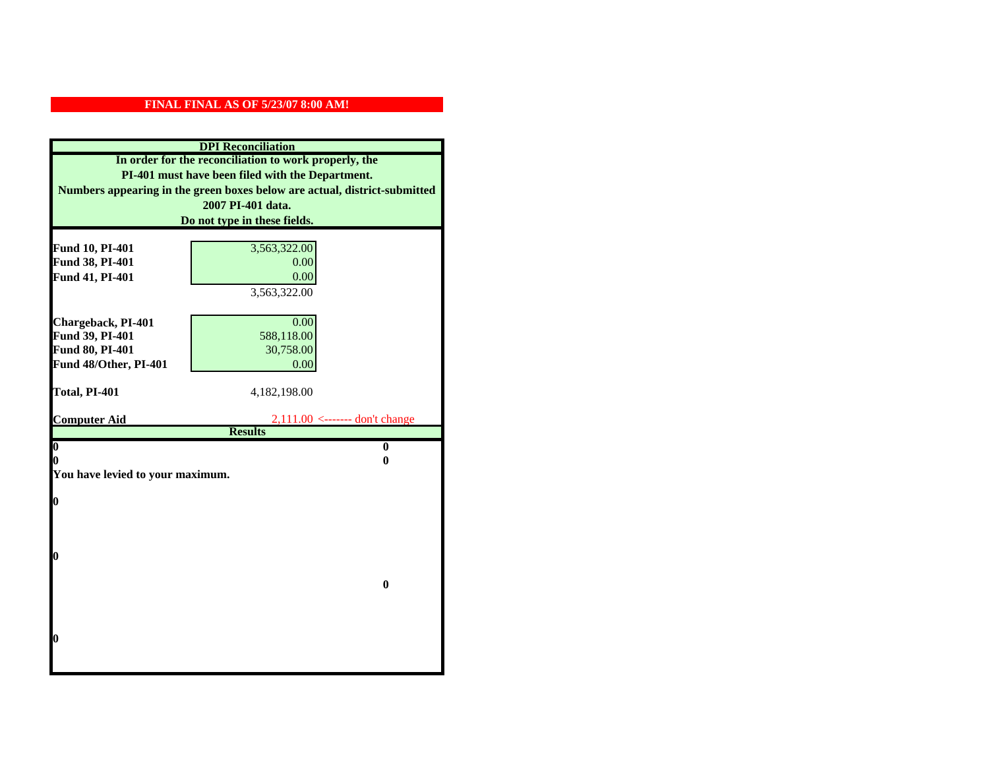| <b>DPI</b> Reconciliation<br>In order for the reconciliation to work properly, the |                                                                           |                                                  |
|------------------------------------------------------------------------------------|---------------------------------------------------------------------------|--------------------------------------------------|
|                                                                                    |                                                                           | PI-401 must have been filed with the Department. |
|                                                                                    | Numbers appearing in the green boxes below are actual, district-submitted |                                                  |
|                                                                                    | 2007 PI-401 data.                                                         |                                                  |
|                                                                                    | Do not type in these fields.                                              |                                                  |
|                                                                                    |                                                                           |                                                  |
| Fund 10, PI-401                                                                    | 3,563,322.00                                                              |                                                  |
| Fund 38, PI-401                                                                    | 0.00<br>0.00                                                              |                                                  |
| Fund 41, PI-401                                                                    | 3,563,322.00                                                              |                                                  |
|                                                                                    |                                                                           |                                                  |
| Chargeback, PI-401                                                                 | 0.00                                                                      |                                                  |
| Fund 39, PI-401                                                                    | 588,118.00                                                                |                                                  |
| Fund 80, PI-401                                                                    | 30,758.00                                                                 |                                                  |
| Fund 48/Other, PI-401                                                              | 0.00                                                                      |                                                  |
|                                                                                    |                                                                           |                                                  |
| Total, PI-401                                                                      | 4,182,198.00                                                              |                                                  |
|                                                                                    |                                                                           |                                                  |
| <b>Computer Aid</b>                                                                | $2,111.00 \leftarrow \text{---}$ don't change<br><b>Results</b>           |                                                  |
| $\boldsymbol{0}$                                                                   | $\bf{0}$                                                                  |                                                  |
| 0                                                                                  | 0                                                                         |                                                  |
| You have levied to your maximum.                                                   |                                                                           |                                                  |
|                                                                                    |                                                                           |                                                  |
| $\bf{0}$                                                                           |                                                                           |                                                  |
|                                                                                    |                                                                           |                                                  |
|                                                                                    |                                                                           |                                                  |
|                                                                                    |                                                                           |                                                  |
| 0                                                                                  |                                                                           |                                                  |
|                                                                                    | $\bf{0}$                                                                  |                                                  |
|                                                                                    |                                                                           |                                                  |
|                                                                                    |                                                                           |                                                  |
|                                                                                    |                                                                           |                                                  |
| 0                                                                                  |                                                                           |                                                  |
|                                                                                    |                                                                           |                                                  |
|                                                                                    |                                                                           |                                                  |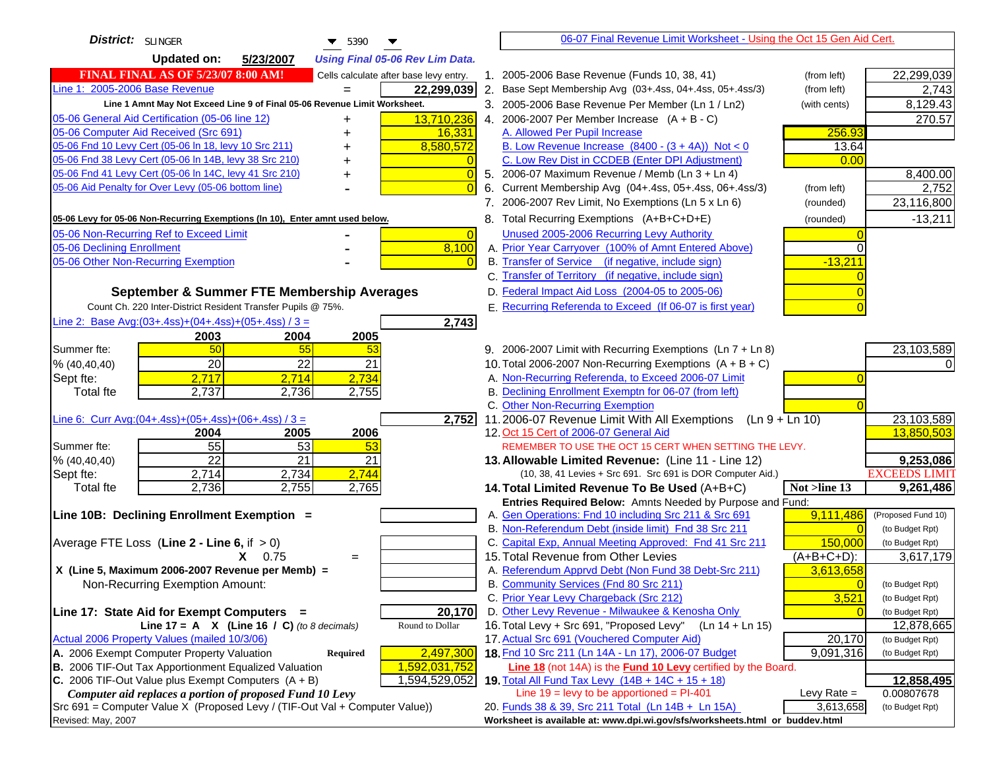| District: SLINGER<br>$\blacktriangledown$ 5390                                         | 06-07 Final Revenue Limit Worksheet - Using the Oct 15 Gen Aid Cert.                                       |                                    |
|----------------------------------------------------------------------------------------|------------------------------------------------------------------------------------------------------------|------------------------------------|
| <b>Updated on:</b><br>5/23/2007<br><b>Using Final 05-06 Rev Lim Data.</b>              |                                                                                                            |                                    |
| <b>FINAL FINAL AS OF 5/23/07 8:00 AM!</b><br>Cells calculate after base levy entry.    | 1. 2005-2006 Base Revenue (Funds 10, 38, 41)<br>(from left)                                                | 22,299,039                         |
| Line 1: 2005-2006 Base Revenue<br>22,299,039<br>$=$                                    | 2. Base Sept Membership Avg (03+.4ss, 04+.4ss, 05+.4ss/3)<br>(from left)                                   | 2,743                              |
| Line 1 Amnt May Not Exceed Line 9 of Final 05-06 Revenue Limit Worksheet.              | 3. 2005-2006 Base Revenue Per Member (Ln 1 / Ln2)<br>(with cents)                                          | 8,129.43                           |
| 13,710,236<br>05-06 General Aid Certification (05-06 line 12)                          | 4. 2006-2007 Per Member Increase $(A + B - C)$                                                             | 270.57                             |
| 05-06 Computer Aid Received (Src 691)<br>16,331                                        | A. Allowed Per Pupil Increase<br>256.93                                                                    |                                    |
| 05-06 Fnd 10 Levy Cert (05-06 ln 18, levy 10 Src 211)<br>8,580,572                     | B. Low Revenue Increase $(8400 - (3 + 4A))$ Not < 0<br>13.64                                               |                                    |
| 05-06 Fnd 38 Levy Cert (05-06 In 14B, levy 38 Src 210)                                 | C. Low Rev Dist in CCDEB (Enter DPI Adjustment)<br>0.00                                                    |                                    |
| 05-06 Fnd 41 Levy Cert (05-06 In 14C, levy 41 Src 210)<br>$\overline{0}$<br>+          | 5. 2006-07 Maximum Revenue / Memb (Ln 3 + Ln 4)                                                            | 8,400.00                           |
| 05-06 Aid Penalty for Over Levy (05-06 bottom line)<br>$\Omega$                        | Current Membership Avg (04+.4ss, 05+.4ss, 06+.4ss/3)<br>6.<br>(from left)                                  | 2,752                              |
|                                                                                        | 7. 2006-2007 Rev Limit, No Exemptions (Ln 5 x Ln 6)<br>(rounded)                                           | 23,116,800                         |
| 05-06 Levy for 05-06 Non-Recurring Exemptions (In 10), Enter amnt used below.          | 8. Total Recurring Exemptions (A+B+C+D+E)<br>(rounded)                                                     | $-13,211$                          |
| 05-06 Non-Recurring Ref to Exceed Limit<br>$\overline{0}$                              | Unused 2005-2006 Recurring Levy Authority                                                                  |                                    |
| 8,100<br>05-06 Declining Enrollment                                                    | A. Prior Year Carryover (100% of Amnt Entered Above)                                                       |                                    |
| 05-06 Other Non-Recurring Exemption                                                    | B. Transfer of Service (if negative, include sign)<br>$-13,211$                                            |                                    |
|                                                                                        | C. Transfer of Territory (if negative, include sign)                                                       |                                    |
| September & Summer FTE Membership Averages                                             | D. Federal Impact Aid Loss (2004-05 to 2005-06)                                                            |                                    |
| Count Ch. 220 Inter-District Resident Transfer Pupils @ 75%.                           | E. Recurring Referenda to Exceed (If 06-07 is first year)                                                  |                                    |
| Line 2: Base Avg: $(03+.4ss)+(04+.4ss)+(05+.4ss)/3 =$<br>2,743                         |                                                                                                            |                                    |
| 2003<br>2004<br>2005                                                                   |                                                                                                            |                                    |
| 50<br>55<br>Summer fte:<br>53                                                          | 9. 2006-2007 Limit with Recurring Exemptions (Ln 7 + Ln 8)                                                 | 23,103,589                         |
| 20<br>22<br>21<br>% (40, 40, 40)                                                       | 10. Total 2006-2007 Non-Recurring Exemptions $(A + B + C)$                                                 |                                    |
| 2,734<br>2,717<br>2,714<br>Sept fte:                                                   | A. Non-Recurring Referenda, to Exceed 2006-07 Limit                                                        |                                    |
| 2,737<br><b>Total fte</b><br>2,736<br>2,755                                            | B. Declining Enrollment Exemptn for 06-07 (from left)                                                      |                                    |
|                                                                                        | C. Other Non-Recurring Exemption                                                                           |                                    |
| Line 6: Curr Avg: $(04+.4ss)+(05+.4ss)+(06+.4ss)/3 =$<br>2,752<br>2006<br>2004<br>2005 | 11.2006-07 Revenue Limit With All Exemptions<br>$(Ln 9 + Ln 10)$<br>12. Oct 15 Cert of 2006-07 General Aid | 23,103,589<br>13,850,503           |
| 55<br>53<br>Summer fte:<br>53                                                          | REMEMBER TO USE THE OCT 15 CERT WHEN SETTING THE LEVY.                                                     |                                    |
| $\overline{22}$<br>21<br>21<br>% (40, 40, 40)                                          | 13. Allowable Limited Revenue: (Line 11 - Line 12)                                                         | 9,253,086                          |
| 2,744<br>2,714<br>2,734<br>Sept fte:                                                   | (10, 38, 41 Levies + Src 691. Src 691 is DOR Computer Aid.)                                                | <b>EXCEEDS LIMIT</b>               |
| 2,736<br>2,755<br>2,765<br><b>Total fte</b>                                            | Not >line 13<br>14. Total Limited Revenue To Be Used (A+B+C)                                               | 9,261,486                          |
|                                                                                        | Entries Required Below: Amnts Needed by Purpose and Fund:                                                  |                                    |
| Line 10B: Declining Enrollment Exemption =                                             | A. Gen Operations: Fnd 10 including Src 211 & Src 691<br>9,111,486                                         | (Proposed Fund 10)                 |
|                                                                                        | B. Non-Referendum Debt (inside limit) Fnd 38 Src 211<br>$\Omega$                                           | (to Budget Rpt)                    |
| Average FTE Loss (Line $2 -$ Line 6, if $> 0$ )                                        | C. Capital Exp, Annual Meeting Approved: Fnd 41 Src 211<br>150,000                                         | (to Budget Rpt)                    |
| $X = 0.75$<br>$=$                                                                      | 15. Total Revenue from Other Levies<br>$(A+B+C+D)$ :                                                       | 3,617,179                          |
| X (Line 5, Maximum 2006-2007 Revenue per Memb) =                                       | A. Referendum Apprvd Debt (Non Fund 38 Debt-Src 211)<br>3,613,658                                          |                                    |
| Non-Recurring Exemption Amount:                                                        | B. Community Services (Fnd 80 Src 211)<br>$\overline{0}$                                                   | (to Budget Rpt)                    |
| 20,170<br>Line 17: State Aid for Exempt Computers =                                    | 3,521<br>C. Prior Year Levy Chargeback (Src 212)<br>D. Other Levy Revenue - Milwaukee & Kenosha Only       | (to Budget Rpt)<br>(to Budget Rpt) |
| Round to Dollar<br>Line 17 = A $X$ (Line 16 / C) (to 8 decimals)                       | 16. Total Levy + Src 691, "Proposed Levy"<br>$(Ln 14 + Ln 15)$                                             | 12,878,665                         |
| Actual 2006 Property Values (mailed 10/3/06)                                           | 17. Actual Src 691 (Vouchered Computer Aid)<br>20,170                                                      | (to Budget Rpt)                    |
| A. 2006 Exempt Computer Property Valuation<br>2,497,300<br>Required                    | 18. Fnd 10 Src 211 (Ln 14A - Ln 17), 2006-07 Budget<br>9,091,316                                           | (to Budget Rpt)                    |
| B. 2006 TIF-Out Tax Apportionment Equalized Valuation<br>1,592,031,752                 | Line 18 (not 14A) is the Fund 10 Levy certified by the Board.                                              |                                    |
| C. 2006 TIF-Out Value plus Exempt Computers $(A + B)$<br>1,594,529,052                 | 19. Total All Fund Tax Levy $(14B + 14C + 15 + 18)$                                                        | 12,858,495                         |
| Computer aid replaces a portion of proposed Fund 10 Levy                               | Line $19 = \text{levy}$ to be apportioned = PI-401<br>Levy Rate $=$                                        | 0.00807678                         |
| Src 691 = Computer Value X (Proposed Levy / (TIF-Out Val + Computer Value))            | 3,613,658<br>20. Funds 38 & 39, Src 211 Total (Ln 14B + Ln 15A)                                            | (to Budget Rpt)                    |
| Revised: May, 2007                                                                     | Worksheet is available at: www.dpi.wi.gov/sfs/worksheets.html or buddev.html                               |                                    |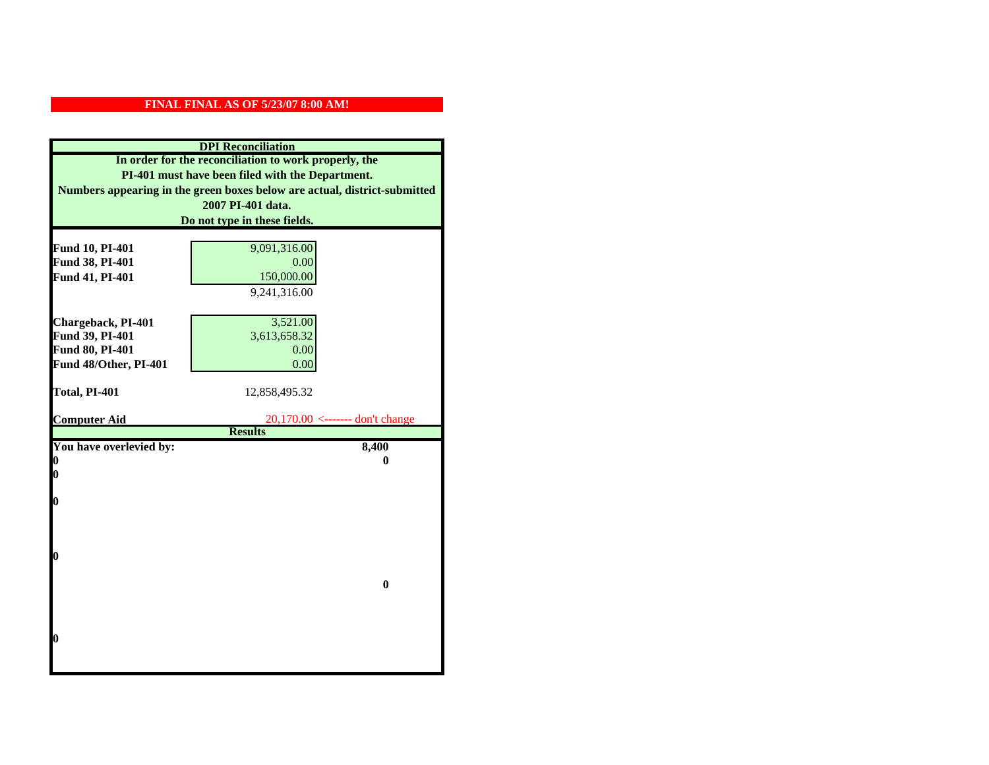|                                                                           | <b>DPI</b> Reconciliation |  |
|---------------------------------------------------------------------------|---------------------------|--|
| In order for the reconciliation to work properly, the                     |                           |  |
| PI-401 must have been filed with the Department.                          |                           |  |
| Numbers appearing in the green boxes below are actual, district-submitted |                           |  |
| 2007 PI-401 data.                                                         |                           |  |
| Do not type in these fields.                                              |                           |  |
|                                                                           |                           |  |
| 9,091,316.00<br>Fund 10, PI-401                                           |                           |  |
| Fund 38, PI-401<br>0.00                                                   |                           |  |
| Fund 41, PI-401<br>150,000.00                                             |                           |  |
| 9,241,316.00                                                              |                           |  |
|                                                                           |                           |  |
| Chargeback, PI-401<br>3,521.00                                            |                           |  |
| Fund 39, PI-401<br>3,613,658.32                                           |                           |  |
| Fund 80, PI-401<br>0.00                                                   |                           |  |
| Fund 48/Other, PI-401<br>0.00                                             |                           |  |
|                                                                           |                           |  |
|                                                                           |                           |  |
| Total, PI-401<br>12,858,495.32                                            |                           |  |
| <b>Computer Aid</b><br>$20,170.00$ <------- don't change                  |                           |  |
| <b>Results</b>                                                            |                           |  |
| You have overlevied by:<br>8,400                                          |                           |  |
| 0<br>0                                                                    |                           |  |
| 0                                                                         |                           |  |
|                                                                           |                           |  |
| $\boldsymbol{0}$                                                          |                           |  |
|                                                                           |                           |  |
|                                                                           |                           |  |
| 0                                                                         |                           |  |
|                                                                           |                           |  |
| $\bf{0}$                                                                  |                           |  |
|                                                                           |                           |  |
|                                                                           |                           |  |
|                                                                           |                           |  |
| 0                                                                         |                           |  |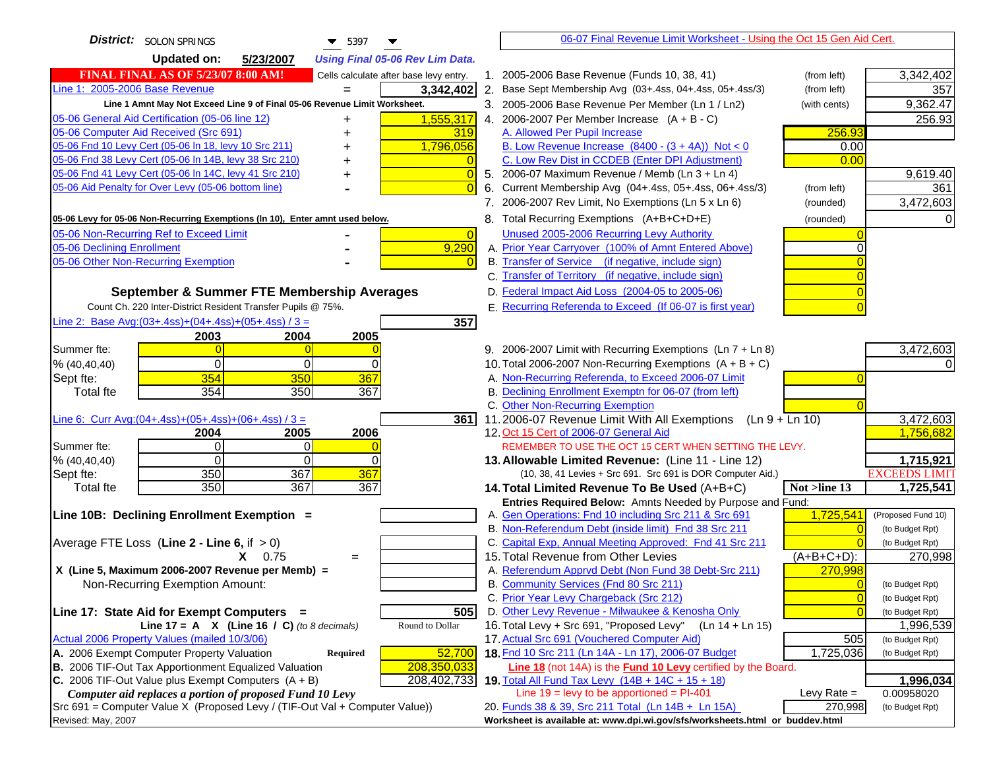| District: SOLON SPRINGS<br>$\blacktriangledown$ 5397                                          | 06-07 Final Revenue Limit Worksheet - Using the Oct 15 Gen Aid Cert.                                                     |
|-----------------------------------------------------------------------------------------------|--------------------------------------------------------------------------------------------------------------------------|
| <b>Updated on:</b><br>5/23/2007<br><b>Using Final 05-06 Rev Lim Data.</b>                     |                                                                                                                          |
| <b>FINAL FINAL AS OF 5/23/07 8:00 AM!</b><br>Cells calculate after base levy entry.           | 1. 2005-2006 Base Revenue (Funds 10, 38, 41)<br>3,342,402<br>(from left)                                                 |
| Line 1: 2005-2006 Base Revenue<br>3,342,402                                                   | 2. Base Sept Membership Avg (03+.4ss, 04+.4ss, 05+.4ss/3)<br>(from left)<br>357                                          |
| Line 1 Amnt May Not Exceed Line 9 of Final 05-06 Revenue Limit Worksheet.                     | 9,362.47<br>3. 2005-2006 Base Revenue Per Member (Ln 1 / Ln2)<br>(with cents)                                            |
| 1,555,317<br>05-06 General Aid Certification (05-06 line 12)<br>+                             | 4. 2006-2007 Per Member Increase $(A + B - C)$<br>256.93                                                                 |
| 05-06 Computer Aid Received (Src 691)<br>319                                                  | A. Allowed Per Pupil Increase<br>256.93                                                                                  |
| 05-06 Fnd 10 Levy Cert (05-06 ln 18, levy 10 Src 211)<br>1,796,056                            | B. Low Revenue Increase $(8400 - (3 + 4A))$ Not < 0<br>0.00                                                              |
| 05-06 Fnd 38 Levy Cert (05-06 In 14B, levy 38 Src 210)                                        | C. Low Rev Dist in CCDEB (Enter DPI Adjustment)<br>0.00                                                                  |
| 05-06 Fnd 41 Levy Cert (05-06 In 14C, levy 41 Src 210)<br>+                                   | 9,619.40<br>5. 2006-07 Maximum Revenue / Memb (Ln 3 + Ln 4)                                                              |
| 05-06 Aid Penalty for Over Levy (05-06 bottom line)                                           | 6. Current Membership Avg (04+.4ss, 05+.4ss, 06+.4ss/3)<br>361<br>(from left)                                            |
|                                                                                               | 3,472,603<br>7. 2006-2007 Rev Limit, No Exemptions (Ln 5 x Ln 6)<br>(rounded)                                            |
| 05-06 Levy for 05-06 Non-Recurring Exemptions (In 10), Enter amnt used below.                 | 8. Total Recurring Exemptions (A+B+C+D+E)<br>(rounded)                                                                   |
| 05-06 Non-Recurring Ref to Exceed Limit<br>$\overline{0}$                                     | Unused 2005-2006 Recurring Levy Authority                                                                                |
| 05-06 Declining Enrollment<br>9,290                                                           | A. Prior Year Carryover (100% of Amnt Entered Above)                                                                     |
| 05-06 Other Non-Recurring Exemption                                                           | B. Transfer of Service (if negative, include sign)                                                                       |
|                                                                                               | C. Transfer of Territory (if negative, include sign)                                                                     |
| September & Summer FTE Membership Averages                                                    | D. Federal Impact Aid Loss (2004-05 to 2005-06)                                                                          |
| Count Ch. 220 Inter-District Resident Transfer Pupils @ 75%.                                  | E. Recurring Referenda to Exceed (If 06-07 is first year)                                                                |
| Line 2: Base Avg: $(03+.4ss)+(04+.4ss)+(05+.4ss)/3 =$<br>357                                  |                                                                                                                          |
| 2003<br>2004<br>2005                                                                          |                                                                                                                          |
| Summer fte:                                                                                   | 3,472,603<br>9. 2006-2007 Limit with Recurring Exemptions (Ln 7 + Ln 8)                                                  |
| $\Omega$<br>0<br>% (40, 40, 40)<br>0                                                          | 10. Total 2006-2007 Non-Recurring Exemptions $(A + B + C)$                                                               |
| 354<br>367<br>350<br>Sept fte:                                                                | A. Non-Recurring Referenda, to Exceed 2006-07 Limit                                                                      |
| 354<br>350<br>367<br><b>Total fte</b>                                                         | B. Declining Enrollment Exemptn for 06-07 (from left)                                                                    |
|                                                                                               | C. Other Non-Recurring Exemption                                                                                         |
| Line 6: Curr Avg: $(04+.4ss)+(05+.4ss)+(06+.4ss)/3 =$<br>361 I                                | 3,472,603<br>11.2006-07 Revenue Limit With All Exemptions (Ln $9 + \overline{\text{Ln }10}$ )<br>1,756,682               |
| 2005<br>2006<br>2004<br>Summer fte:<br>$\Omega$<br>0                                          | 12. Oct 15 Cert of 2006-07 General Aid<br>REMEMBER TO USE THE OCT 15 CERT WHEN SETTING THE LEVY.                         |
| $\Omega$<br>$\Omega$<br>% (40, 40, 40)<br><sup>0</sup>                                        | 1,715,921<br>13. Allowable Limited Revenue: (Line 11 - Line 12)                                                          |
| 350<br>367<br>367<br>Sept fte:                                                                | <b>EXCEEDS LIMIT</b><br>(10, 38, 41 Levies + Src 691. Src 691 is DOR Computer Aid.)                                      |
| 350<br>367<br><b>Total fte</b><br>367                                                         | 1,725,541<br>14. Total Limited Revenue To Be Used (A+B+C)<br>Not >line 13                                                |
|                                                                                               | Entries Required Below: Amnts Needed by Purpose and Fund:                                                                |
| Line 10B: Declining Enrollment Exemption =                                                    | 1,725,541<br>A. Gen Operations: Fnd 10 including Src 211 & Src 691<br>(Proposed Fund 10)                                 |
|                                                                                               | B. Non-Referendum Debt (inside limit) Fnd 38 Src 211<br>(to Budget Rpt)                                                  |
| Average FTE Loss (Line $2 -$ Line 6, if $> 0$ )                                               | C. Capital Exp, Annual Meeting Approved: Fnd 41 Src 211<br>(to Budget Rpt)                                               |
| $X = 0.75$<br>$=$                                                                             | 15. Total Revenue from Other Levies<br>(A+B+C+D):<br>270,998                                                             |
| X (Line 5, Maximum 2006-2007 Revenue per Memb) =                                              | A. Referendum Apprvd Debt (Non Fund 38 Debt-Src 211)<br>270,998                                                          |
| Non-Recurring Exemption Amount:                                                               | B. Community Services (Fnd 80 Src 211)<br>(to Budget Rpt)                                                                |
|                                                                                               | C. Prior Year Levy Chargeback (Src 212)<br>$\overline{0}$<br>(to Budget Rpt)                                             |
| 505<br>Line 17: State Aid for Exempt Computers =<br>Round to Dollar                           | D. Other Levy Revenue - Milwaukee & Kenosha Only<br>(to Budget Rpt)                                                      |
| Line 17 = A $X$ (Line 16 / C) (to 8 decimals)<br>Actual 2006 Property Values (mailed 10/3/06) | 16. Total Levy + Src 691, "Proposed Levy"<br>(Ln 14 + Ln 15)<br>1,996,539<br>17. Actual Src 691 (Vouchered Computer Aid) |
| A. 2006 Exempt Computer Property Valuation<br>52,700<br>Required                              | 505<br>(to Budget Rpt)<br>18. Fnd 10 Src 211 (Ln 14A - Ln 17), 2006-07 Budget<br>1,725,036<br>(to Budget Rpt)            |
| B. 2006 TIF-Out Tax Apportionment Equalized Valuation<br>208,350,033                          | <b>Line 18</b> (not 14A) is the <b>Fund 10 Levy</b> certified by the Board.                                              |
| C. 2006 TIF-Out Value plus Exempt Computers $(A + B)$<br>208,402,733                          | 19. Total All Fund Tax Levy (14B + 14C + 15 + 18)<br>1,996,034                                                           |
| Computer aid replaces a portion of proposed Fund 10 Levy                                      | Line $19 = \text{levy}$ to be apportioned = PI-401<br>Levy Rate $=$<br>0.00958020                                        |
| Src 691 = Computer Value X (Proposed Levy / (TIF-Out Val + Computer Value))                   | 20. Funds 38 & 39, Src 211 Total (Ln 14B + Ln 15A)<br>270,998<br>(to Budget Rpt)                                         |
| Revised: May, 2007                                                                            | Worksheet is available at: www.dpi.wi.gov/sfs/worksheets.html or buddev.html                                             |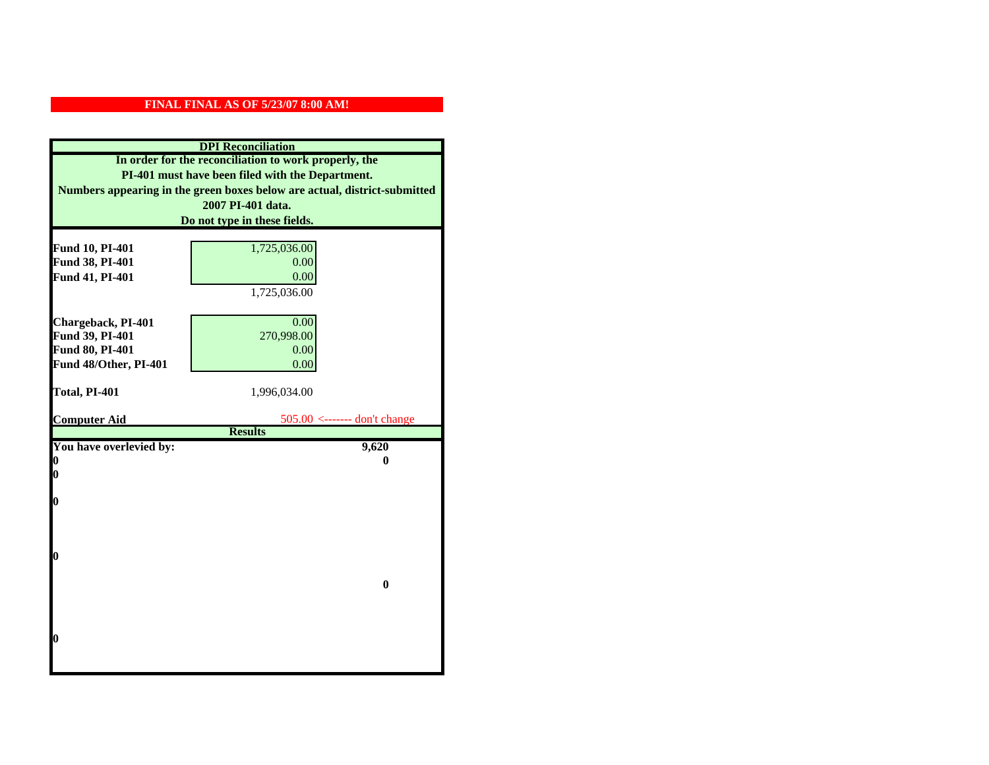| <b>DPI</b> Reconciliation                             |                                                                           |  |
|-------------------------------------------------------|---------------------------------------------------------------------------|--|
| In order for the reconciliation to work properly, the |                                                                           |  |
| PI-401 must have been filed with the Department.      |                                                                           |  |
|                                                       | Numbers appearing in the green boxes below are actual, district-submitted |  |
|                                                       | 2007 PI-401 data.                                                         |  |
|                                                       | Do not type in these fields.                                              |  |
|                                                       |                                                                           |  |
| Fund 10, PI-401                                       | 1,725,036.00                                                              |  |
| Fund 38, PI-401                                       | 0.00                                                                      |  |
| Fund 41, PI-401                                       | 0.00                                                                      |  |
|                                                       | 1,725,036.00                                                              |  |
|                                                       |                                                                           |  |
| Chargeback, PI-401                                    | 0.00                                                                      |  |
| Fund 39, PI-401                                       | 270,998.00                                                                |  |
| Fund 80, PI-401                                       | 0.00                                                                      |  |
| Fund 48/Other, PI-401                                 | 0.00                                                                      |  |
|                                                       |                                                                           |  |
| Total, PI-401                                         | 1,996,034.00                                                              |  |
| <b>Computer Aid</b>                                   | $505.00$ <------- don't change                                            |  |
|                                                       | <b>Results</b>                                                            |  |
| You have overlevied by:                               | 9,620                                                                     |  |
| 0                                                     | 0                                                                         |  |
| 0                                                     |                                                                           |  |
|                                                       |                                                                           |  |
| $\boldsymbol{0}$                                      |                                                                           |  |
|                                                       |                                                                           |  |
|                                                       |                                                                           |  |
| $\bf{0}$                                              |                                                                           |  |
|                                                       |                                                                           |  |
|                                                       | $\bf{0}$                                                                  |  |
|                                                       |                                                                           |  |
|                                                       |                                                                           |  |
|                                                       |                                                                           |  |
| 0                                                     |                                                                           |  |
|                                                       |                                                                           |  |
|                                                       |                                                                           |  |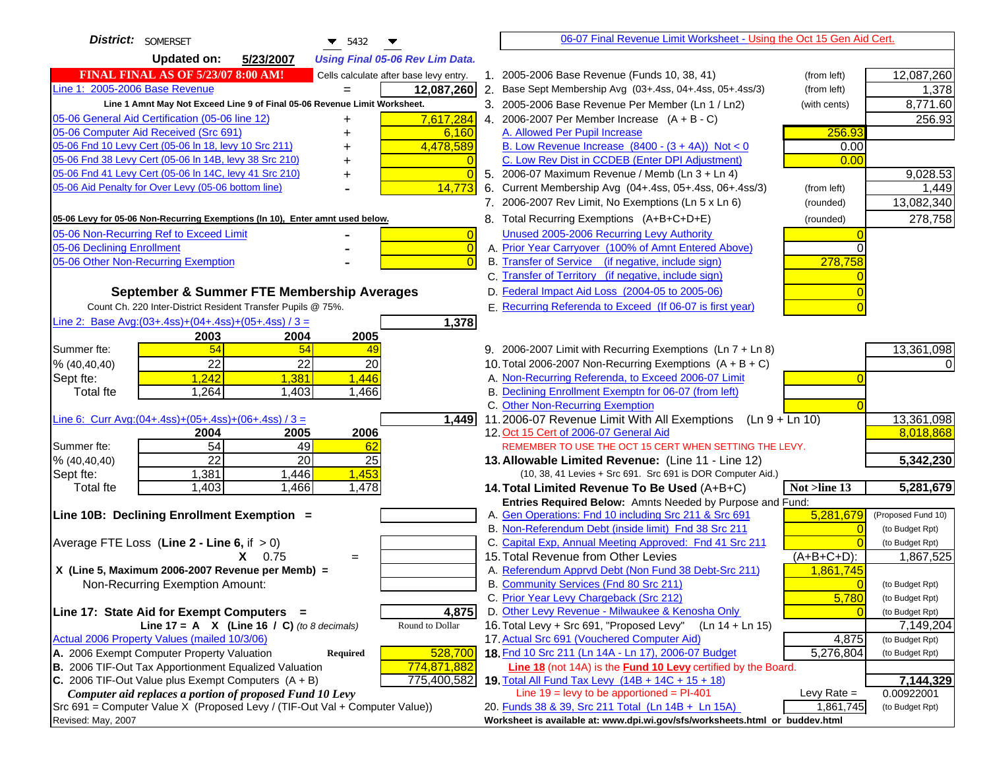| District: SOMERSET<br>$\blacktriangledown$ 5432                                     | 06-07 Final Revenue Limit Worksheet - Using the Oct 15 Gen Aid Cert.                                                            |                    |
|-------------------------------------------------------------------------------------|---------------------------------------------------------------------------------------------------------------------------------|--------------------|
| <b>Updated on:</b><br>5/23/2007<br><b>Using Final 05-06 Rev Lim Data.</b>           |                                                                                                                                 |                    |
| <b>FINAL FINAL AS OF 5/23/07 8:00 AM!</b><br>Cells calculate after base levy entry. | 1. 2005-2006 Base Revenue (Funds 10, 38, 41)<br>(from left)                                                                     | 12,087,260         |
| Line 1: 2005-2006 Base Revenue<br>12,087,260                                        | 2. Base Sept Membership Avg (03+.4ss, 04+.4ss, 05+.4ss/3)<br>(from left)                                                        | 1,378              |
| Line 1 Amnt May Not Exceed Line 9 of Final 05-06 Revenue Limit Worksheet.           | 3. 2005-2006 Base Revenue Per Member (Ln 1 / Ln2)<br>(with cents)                                                               | 8,771.60           |
| 05-06 General Aid Certification (05-06 line 12)<br>7,617,284<br>+                   | 4. 2006-2007 Per Member Increase $(A + B - C)$                                                                                  | 256.93             |
| 05-06 Computer Aid Received (Src 691)<br>6,160                                      | 256.93<br>A. Allowed Per Pupil Increase                                                                                         |                    |
| 05-06 Fnd 10 Levy Cert (05-06 ln 18, levy 10 Src 211)<br>4,478,589                  | B. Low Revenue Increase $(8400 - (3 + 4A))$ Not < 0<br>0.00                                                                     |                    |
| 05-06 Fnd 38 Levy Cert (05-06 In 14B, levy 38 Src 210)                              | C. Low Rev Dist in CCDEB (Enter DPI Adjustment)<br>0.00                                                                         |                    |
| 05-06 Fnd 41 Levy Cert (05-06 In 14C, levy 41 Src 210)<br>$\Omega$                  | 5. 2006-07 Maximum Revenue / Memb (Ln 3 + Ln 4)                                                                                 | 9,028.53           |
| 05-06 Aid Penalty for Over Levy (05-06 bottom line)<br>14,773                       | 6. Current Membership Avg (04+.4ss, 05+.4ss, 06+.4ss/3)<br>(from left)                                                          | 1,449              |
|                                                                                     | 7. 2006-2007 Rev Limit, No Exemptions (Ln 5 x Ln 6)<br>(rounded)                                                                | 13,082,340         |
| 05-06 Levy for 05-06 Non-Recurring Exemptions (In 10), Enter amnt used below.       | 8. Total Recurring Exemptions (A+B+C+D+E)<br>(rounded)                                                                          | 278,758            |
| 05-06 Non-Recurring Ref to Exceed Limit<br>$\overline{0}$                           | Unused 2005-2006 Recurring Levy Authority                                                                                       |                    |
| 05-06 Declining Enrollment<br>$\overline{0}$                                        | A. Prior Year Carryover (100% of Amnt Entered Above)                                                                            |                    |
| 05-06 Other Non-Recurring Exemption<br>$\Omega$                                     | B. Transfer of Service (if negative, include sign)<br>278,758                                                                   |                    |
|                                                                                     | C. Transfer of Territory (if negative, include sign)                                                                            |                    |
| September & Summer FTE Membership Averages                                          | D. Federal Impact Aid Loss (2004-05 to 2005-06)                                                                                 |                    |
| Count Ch. 220 Inter-District Resident Transfer Pupils @ 75%.                        | E. Recurring Referenda to Exceed (If 06-07 is first year)                                                                       |                    |
| Line 2: Base Avg:(03+.4ss)+(04+.4ss)+(05+.4ss) / 3 =<br>1,378                       |                                                                                                                                 |                    |
| 2003<br>2004<br>2005                                                                |                                                                                                                                 |                    |
| 54<br>54<br>Summer fte:<br>49                                                       | 9. 2006-2007 Limit with Recurring Exemptions (Ln 7 + Ln 8)                                                                      | 13,361,098         |
| 22<br>22<br>20<br>% (40, 40, 40)                                                    | 10. Total 2006-2007 Non-Recurring Exemptions (A + B + C)                                                                        |                    |
| 1,242<br>1,446<br>1,381<br>Sept fte:                                                | A. Non-Recurring Referenda, to Exceed 2006-07 Limit                                                                             |                    |
| 1,264<br>1,403<br>1,466<br><b>Total fte</b>                                         | B. Declining Enrollment Exemptn for 06-07 (from left)                                                                           |                    |
|                                                                                     | C. Other Non-Recurring Exemption                                                                                                |                    |
| Line 6: Curr Avg: $(04+.4ss)+(05+.4ss)+(06+.4ss)/3=$<br>1,449                       | 11.2006-07 Revenue Limit With All Exemptions<br>$(Ln 9 + Ln 10)$                                                                | 13,361,098         |
| 2005<br>2006<br>2004                                                                | 12. Oct 15 Cert of 2006-07 General Aid                                                                                          | 8,018,868          |
| 54<br>49<br>62<br>Summer fte:                                                       | REMEMBER TO USE THE OCT 15 CERT WHEN SETTING THE LEVY.                                                                          |                    |
| $\overline{22}$<br>20<br>25<br>% (40, 40, 40)                                       | 13. Allowable Limited Revenue: (Line 11 - Line 12)                                                                              | 5,342,230          |
| ,446<br>1,453<br>1,381<br>Sept fte:                                                 | (10, 38, 41 Levies + Src 691. Src 691 is DOR Computer Aid.)                                                                     |                    |
| 1,466<br>1,403<br>1,478<br><b>Total fte</b>                                         | 14. Total Limited Revenue To Be Used (A+B+C)<br>Not >line 13                                                                    | 5,281,679          |
| Line 10B: Declining Enrollment Exemption =                                          | Entries Required Below: Amnts Needed by Purpose and Fund:<br>5,281,679<br>A. Gen Operations: Fnd 10 including Src 211 & Src 691 | (Proposed Fund 10) |
|                                                                                     | B. Non-Referendum Debt (inside limit) Fnd 38 Src 211<br>$\Omega$                                                                | (to Budget Rpt)    |
| Average FTE Loss (Line $2 -$ Line 6, if $> 0$ )                                     | C. Capital Exp, Annual Meeting Approved: Fnd 41 Src 211                                                                         | (to Budget Rpt)    |
| $X = 0.75$<br>$=$                                                                   | 15. Total Revenue from Other Levies<br>$(A+B+C+D)$ :                                                                            | 1,867,525          |
| X (Line 5, Maximum 2006-2007 Revenue per Memb) =                                    | A. Referendum Apprvd Debt (Non Fund 38 Debt-Src 211)<br>1,861,745                                                               |                    |
| Non-Recurring Exemption Amount:                                                     | B. Community Services (Fnd 80 Src 211)<br>$\overline{0}$                                                                        | (to Budget Rpt)    |
|                                                                                     | C. Prior Year Levy Chargeback (Src 212)<br>5,780                                                                                | (to Budget Rpt)    |
| Line 17: State Aid for Exempt Computers =<br>4,875                                  | D. Other Levy Revenue - Milwaukee & Kenosha Only                                                                                | (to Budget Rpt)    |
| Line 17 = A $X$ (Line 16 / C) (to 8 decimals)<br>Round to Dollar                    | 16. Total Levy + Src 691, "Proposed Levy"<br>$(Ln 14 + Ln 15)$                                                                  | 7,149,204          |
| Actual 2006 Property Values (mailed 10/3/06)                                        | 17. Actual Src 691 (Vouchered Computer Aid)<br>4,875                                                                            | (to Budget Rpt)    |
| A. 2006 Exempt Computer Property Valuation<br>528,700<br><b>Required</b>            | 18. Fnd 10 Src 211 (Ln 14A - Ln 17), 2006-07 Budget<br>5,276,804                                                                | (to Budget Rpt)    |
| B. 2006 TIF-Out Tax Apportionment Equalized Valuation<br>774,871,882                | Line 18 (not 14A) is the <b>Fund 10 Levy</b> certified by the Board.                                                            |                    |
| C. 2006 TIF-Out Value plus Exempt Computers $(A + B)$<br>775,400,582                | 19. Total All Fund Tax Levy (14B + 14C + 15 + 18)                                                                               | 7,144,329          |
| Computer aid replaces a portion of proposed Fund 10 Levy                            | Line $19 = \text{levy}$ to be apportioned = PI-401<br>Levy Rate $=$                                                             | 0.00922001         |
| Src 691 = Computer Value X (Proposed Levy / (TIF-Out Val + Computer Value))         | 20. Funds 38 & 39, Src 211 Total (Ln 14B + Ln 15A)<br>1,861,745                                                                 | (to Budget Rpt)    |
| Revised: May, 2007                                                                  | Worksheet is available at: www.dpi.wi.gov/sfs/worksheets.html or buddev.html                                                    |                    |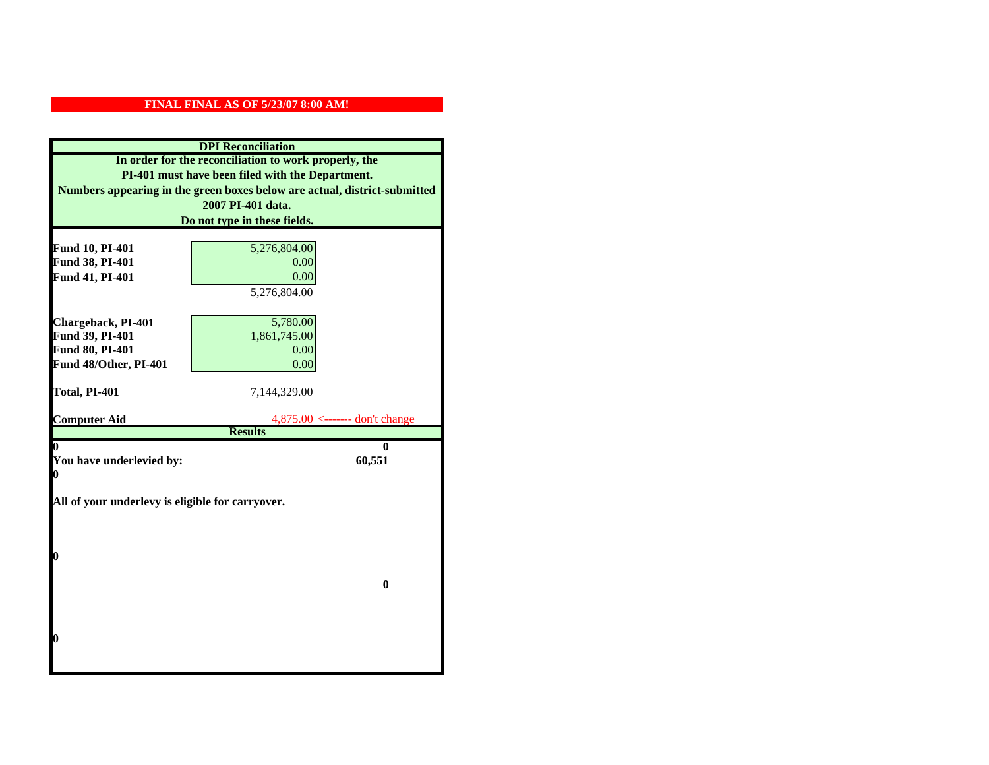| <b>DPI</b> Reconciliation                                                 |                                  |
|---------------------------------------------------------------------------|----------------------------------|
| In order for the reconciliation to work properly, the                     |                                  |
| PI-401 must have been filed with the Department.                          |                                  |
| Numbers appearing in the green boxes below are actual, district-submitted |                                  |
|                                                                           | 2007 PI-401 data.                |
|                                                                           | Do not type in these fields.     |
|                                                                           |                                  |
| <b>Fund 10, PI-401</b>                                                    | 5,276,804.00                     |
| Fund 38, PI-401                                                           | 0.00                             |
| Fund 41, PI-401                                                           | 0.00                             |
|                                                                           | 5,276,804.00                     |
|                                                                           |                                  |
| Chargeback, PI-401                                                        | 5,780.00                         |
| Fund 39, PI-401                                                           | 1,861,745.00                     |
| Fund 80, PI-401                                                           | 0.00                             |
| Fund 48/Other, PI-401                                                     | 0.00                             |
|                                                                           |                                  |
| Total, PI-401                                                             | 7,144,329.00                     |
| <b>Computer Aid</b>                                                       | $4,875.00$ <------- don't change |
|                                                                           | <b>Results</b>                   |
| 0                                                                         | 0                                |
| You have underlevied by:                                                  | 60,551                           |
| 0                                                                         |                                  |
|                                                                           |                                  |
| All of your underlevy is eligible for carryover.                          |                                  |
|                                                                           |                                  |
|                                                                           |                                  |
| 0                                                                         |                                  |
|                                                                           |                                  |
|                                                                           | $\bf{0}$                         |
|                                                                           |                                  |
|                                                                           |                                  |
|                                                                           |                                  |
| 0                                                                         |                                  |
|                                                                           |                                  |
|                                                                           |                                  |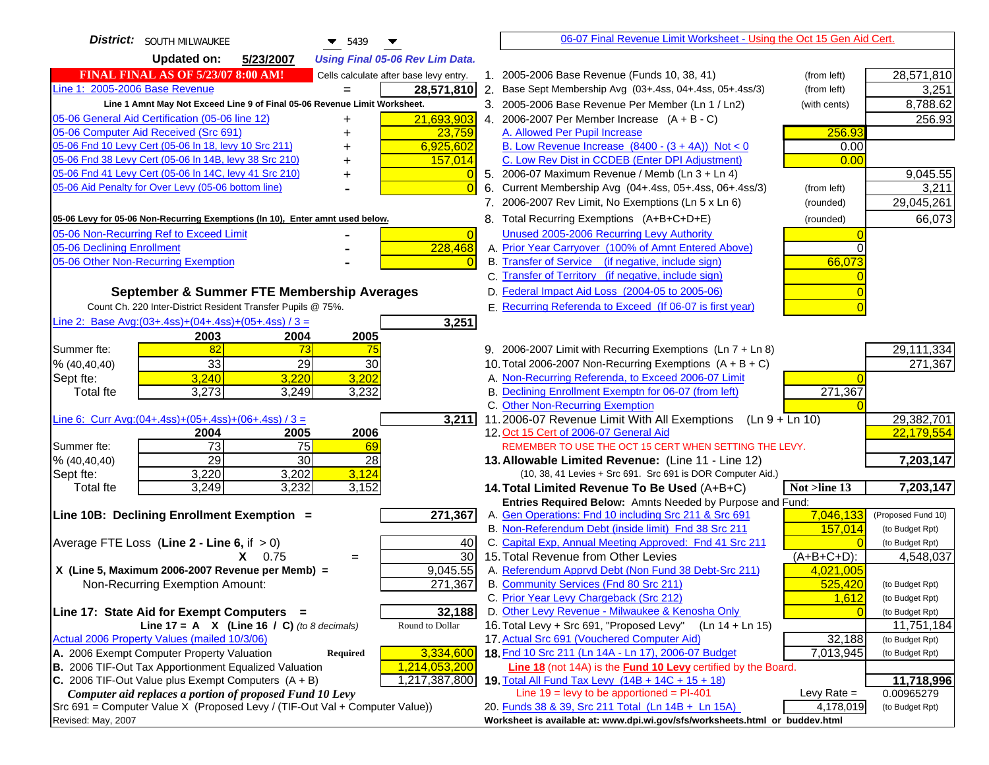| District:<br><b>SOUTH MILWAUKEE</b><br>5439                                         |    | 06-07 Final Revenue Limit Worksheet - Using the Oct 15 Gen Aid Cert.                                      |                  |                    |
|-------------------------------------------------------------------------------------|----|-----------------------------------------------------------------------------------------------------------|------------------|--------------------|
| <b>Updated on:</b><br>5/23/2007<br><b>Using Final 05-06 Rev Lim Data.</b>           |    |                                                                                                           |                  |                    |
| <b>FINAL FINAL AS OF 5/23/07 8:00 AM!</b><br>Cells calculate after base levy entry. |    | 1. 2005-2006 Base Revenue (Funds 10, 38, 41)                                                              | (from left)      | 28,571,810         |
| Line 1: 2005-2006 Base Revenue<br>28,571,810                                        |    | 2. Base Sept Membership Avg (03+.4ss, 04+.4ss, 05+.4ss/3)                                                 | (from left)      | 3,251              |
| Line 1 Amnt May Not Exceed Line 9 of Final 05-06 Revenue Limit Worksheet.           |    | 3. 2005-2006 Base Revenue Per Member (Ln 1 / Ln2)                                                         | (with cents)     | 8,788.62           |
| 21,693,903<br>05-06 General Aid Certification (05-06 line 12)<br>+                  |    | 4. 2006-2007 Per Member Increase $(A + B - C)$                                                            |                  | 256.93             |
| 05-06 Computer Aid Received (Src 691)<br>23,759                                     |    | A. Allowed Per Pupil Increase                                                                             | 256.93           |                    |
| 05-06 Fnd 10 Levy Cert (05-06 ln 18, levy 10 Src 211)<br>6,925,602                  |    | B. Low Revenue Increase $(8400 - (3 + 4A))$ Not < 0                                                       | 0.00             |                    |
| 05-06 Fnd 38 Levy Cert (05-06 In 14B, levy 38 Src 210)<br>157,014                   |    | C. Low Rev Dist in CCDEB (Enter DPI Adjustment)                                                           | 0.00             |                    |
| 05-06 Fnd 41 Levy Cert (05-06 In 14C, levy 41 Src 210)                              |    | 5. 2006-07 Maximum Revenue / Memb (Ln 3 + Ln 4)                                                           |                  | 9,045.55           |
| 05-06 Aid Penalty for Over Levy (05-06 bottom line)<br>$\Omega$                     | 6. | Current Membership Avg (04+.4ss, 05+.4ss, 06+.4ss/3)                                                      | (from left)      | 3,211              |
|                                                                                     |    | 7. 2006-2007 Rev Limit, No Exemptions (Ln 5 x Ln 6)                                                       | (rounded)        | 29,045,261         |
| 05-06 Levy for 05-06 Non-Recurring Exemptions (In 10), Enter amnt used below.       |    | 8. Total Recurring Exemptions (A+B+C+D+E)                                                                 | (rounded)        | 66,073             |
| 05-06 Non-Recurring Ref to Exceed Limit<br>$\overline{0}$                           |    | Unused 2005-2006 Recurring Levy Authority                                                                 |                  |                    |
| 228,468<br>05-06 Declining Enrollment                                               |    | A. Prior Year Carryover (100% of Amnt Entered Above)                                                      | 0                |                    |
| 05-06 Other Non-Recurring Exemption<br>$\overline{0}$                               |    | B. Transfer of Service (if negative, include sign)                                                        | 66,073           |                    |
|                                                                                     |    | C. Transfer of Territory (if negative, include sign)                                                      |                  |                    |
| September & Summer FTE Membership Averages                                          |    | D. Federal Impact Aid Loss (2004-05 to 2005-06)                                                           |                  |                    |
| Count Ch. 220 Inter-District Resident Transfer Pupils @ 75%.                        |    | E. Recurring Referenda to Exceed (If 06-07 is first year)                                                 |                  |                    |
| Line 2: Base Avg: (03+.4ss) + (04+.4ss) + (05+.4ss) / 3 =<br>3,251                  |    |                                                                                                           |                  |                    |
| 2003<br>2004<br>2005                                                                |    |                                                                                                           |                  |                    |
| 82<br>73<br>Summer fte:<br>75                                                       |    | 9. 2006-2007 Limit with Recurring Exemptions (Ln 7 + Ln 8)                                                |                  | 29,111,334         |
| $\overline{33}$<br>29<br>30<br>% (40, 40, 40)                                       |    | 10. Total 2006-2007 Non-Recurring Exemptions $(A + B + C)$                                                |                  | 271,367            |
| 3,240<br>3,220<br>3,202<br>Sept fte:                                                |    | A. Non-Recurring Referenda, to Exceed 2006-07 Limit                                                       |                  |                    |
| 3,273<br>3,249<br>3,232<br><b>Total</b> fte                                         |    | B. Declining Enrollment Exemptn for 06-07 (from left)                                                     | 271,367          |                    |
|                                                                                     |    | C. Other Non-Recurring Exemption                                                                          |                  |                    |
| 3,211<br>Line 6: Curr Avg: $(04+.4ss)+(05+.4ss)+(06+.4ss)/3 =$                      |    | 11.2006-07 Revenue Limit With All Exemptions                                                              | $(Ln 9 + Ln 10)$ | 29,382,701         |
| 2006<br>2004<br>2005                                                                |    | 12. Oct 15 Cert of 2006-07 General Aid                                                                    |                  | 22,179,554         |
| $\overline{73}$<br>$\overline{75}$<br>Summer fte:<br>69                             |    | REMEMBER TO USE THE OCT 15 CERT WHEN SETTING THE LEVY.                                                    |                  |                    |
| 29<br>$\overline{30}$<br>28<br>% (40, 40, 40)                                       |    | 13. Allowable Limited Revenue: (Line 11 - Line 12)                                                        |                  | 7,203,147          |
| 3,124<br>3,220<br>3,202<br>Sept fte:                                                |    | (10, 38, 41 Levies + Src 691. Src 691 is DOR Computer Aid.)                                               |                  |                    |
| 3,249<br>3,232<br>3,152<br>Total fte                                                |    | 14. Total Limited Revenue To Be Used (A+B+C)<br>Entries Required Below: Amnts Needed by Purpose and Fund: | Not $>$ line 13  | 7,203,147          |
| 271,367<br>Line 10B: Declining Enrollment Exemption =                               |    | A. Gen Operations: Fnd 10 including Src 211 & Src 691                                                     | 7,046,133        | (Proposed Fund 10) |
|                                                                                     |    | B. Non-Referendum Debt (inside limit) Fnd 38 Src 211                                                      | 157,014          | (to Budget Rpt)    |
| Average FTE Loss (Line $2 -$ Line 6, if $> 0$ )<br>40                               |    | C. Capital Exp, Annual Meeting Approved: Fnd 41 Src 211                                                   |                  | (to Budget Rpt)    |
| 30<br>$X = 0.75$<br>$=$                                                             |    | 15. Total Revenue from Other Levies                                                                       | $(A+B+C+D)$ :    | 4,548,037          |
| X (Line 5, Maximum 2006-2007 Revenue per Memb) =<br>9,045.55                        |    | A. Referendum Apprvd Debt (Non Fund 38 Debt-Src 211)                                                      | 4,021,005        |                    |
| Non-Recurring Exemption Amount:<br>271,367                                          |    | B. Community Services (Fnd 80 Src 211)                                                                    | 525,420          | (to Budget Rpt)    |
|                                                                                     |    | C. Prior Year Levy Chargeback (Src 212)                                                                   | 1,612            | (to Budget Rpt)    |
| 32,188<br>Line 17: State Aid for Exempt Computers =                                 |    | D. Other Levy Revenue - Milwaukee & Kenosha Only                                                          |                  | (to Budget Rpt)    |
| Round to Dollar<br>Line 17 = A $X$ (Line 16 / C) (to 8 decimals)                    |    | 16. Total Levy + Src 691, "Proposed Levy"<br>(Ln 14 + Ln 15)                                              |                  | 11,751,184         |
| Actual 2006 Property Values (mailed 10/3/06)                                        |    | 17. Actual Src 691 (Vouchered Computer Aid)                                                               | 32,188           | (to Budget Rpt)    |
| 3,334,600<br>A. 2006 Exempt Computer Property Valuation<br><b>Required</b>          |    | 18. Fnd 10 Src 211 (Ln 14A - Ln 17), 2006-07 Budget                                                       | 7,013,945        | (to Budget Rpt)    |
| B. 2006 TIF-Out Tax Apportionment Equalized Valuation<br>1,214,053,200              |    | Line 18 (not 14A) is the Fund 10 Levy certified by the Board.                                             |                  |                    |
| C. 2006 TIF-Out Value plus Exempt Computers $(A + B)$<br>1,217,387,800              |    | 19. Total All Fund Tax Levy (14B + 14C + 15 + 18)                                                         |                  | 11,718,996         |
| Computer aid replaces a portion of proposed Fund 10 Levy                            |    | Line $19 = \text{levy}$ to be apportioned = PI-401                                                        | Levy Rate $=$    | 0.00965279         |
| Src 691 = Computer Value X (Proposed Levy / (TIF-Out Val + Computer Value))         |    | 20. Funds 38 & 39, Src 211 Total (Ln 14B + Ln 15A)                                                        | 4,178,019        | (to Budget Rpt)    |
| Revised: May, 2007                                                                  |    | Worksheet is available at: www.dpi.wi.gov/sfs/worksheets.html or buddev.html                              |                  |                    |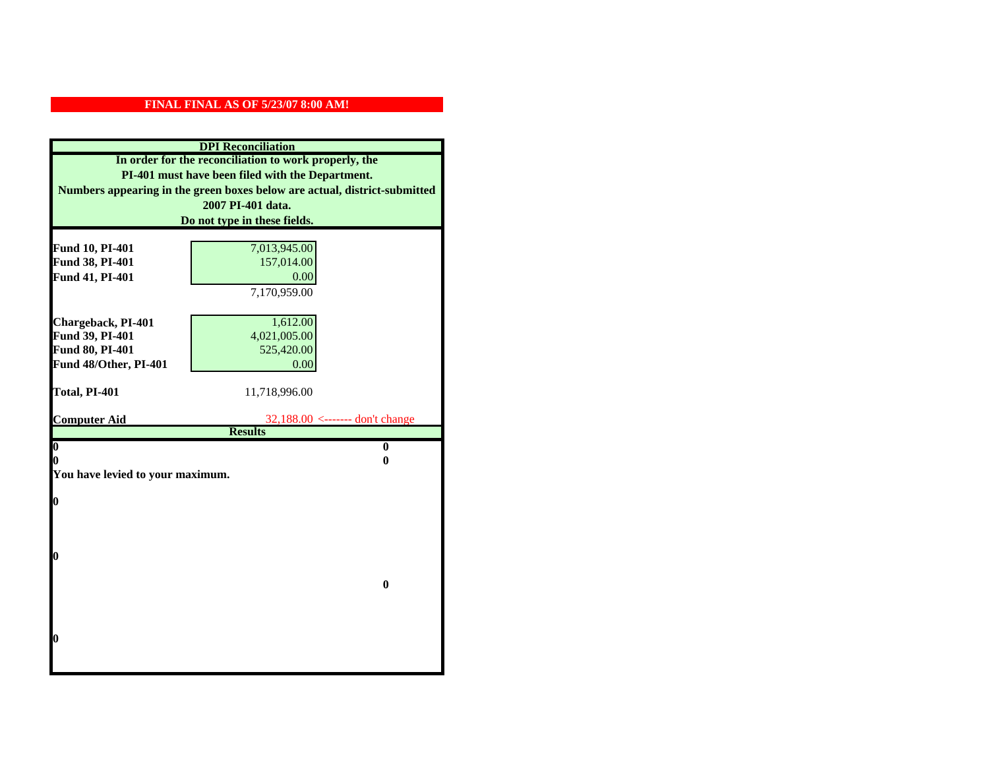| <b>DPI</b> Reconciliation                             |                                                                           |
|-------------------------------------------------------|---------------------------------------------------------------------------|
| In order for the reconciliation to work properly, the |                                                                           |
| PI-401 must have been filed with the Department.      |                                                                           |
|                                                       | Numbers appearing in the green boxes below are actual, district-submitted |
|                                                       | 2007 PI-401 data.                                                         |
|                                                       | Do not type in these fields.                                              |
|                                                       |                                                                           |
| Fund 10, PI-401                                       | 7,013,945.00                                                              |
| Fund 38, PI-401                                       | 157,014.00                                                                |
| Fund 41, PI-401                                       | 0.00                                                                      |
|                                                       | 7,170,959.00                                                              |
|                                                       |                                                                           |
| Chargeback, PI-401                                    | 1,612.00                                                                  |
| Fund 39, PI-401                                       | 4,021,005.00                                                              |
| Fund 80, PI-401                                       | 525,420.00                                                                |
| Fund 48/Other, PI-401                                 | 0.00                                                                      |
| Total, PI-401                                         | 11,718,996.00                                                             |
|                                                       |                                                                           |
| <b>Computer Aid</b>                                   | 32,188.00 <------- don't change                                           |
|                                                       | <b>Results</b>                                                            |
| $\overline{\mathbf{0}}$                               | $\bf{0}$                                                                  |
| 0                                                     | 0                                                                         |
| You have levied to your maximum.                      |                                                                           |
| $\bf{0}$                                              |                                                                           |
|                                                       |                                                                           |
|                                                       |                                                                           |
|                                                       |                                                                           |
| l0                                                    |                                                                           |
|                                                       |                                                                           |
|                                                       | $\bf{0}$                                                                  |
|                                                       |                                                                           |
|                                                       |                                                                           |
|                                                       |                                                                           |
| l0                                                    |                                                                           |
|                                                       |                                                                           |
|                                                       |                                                                           |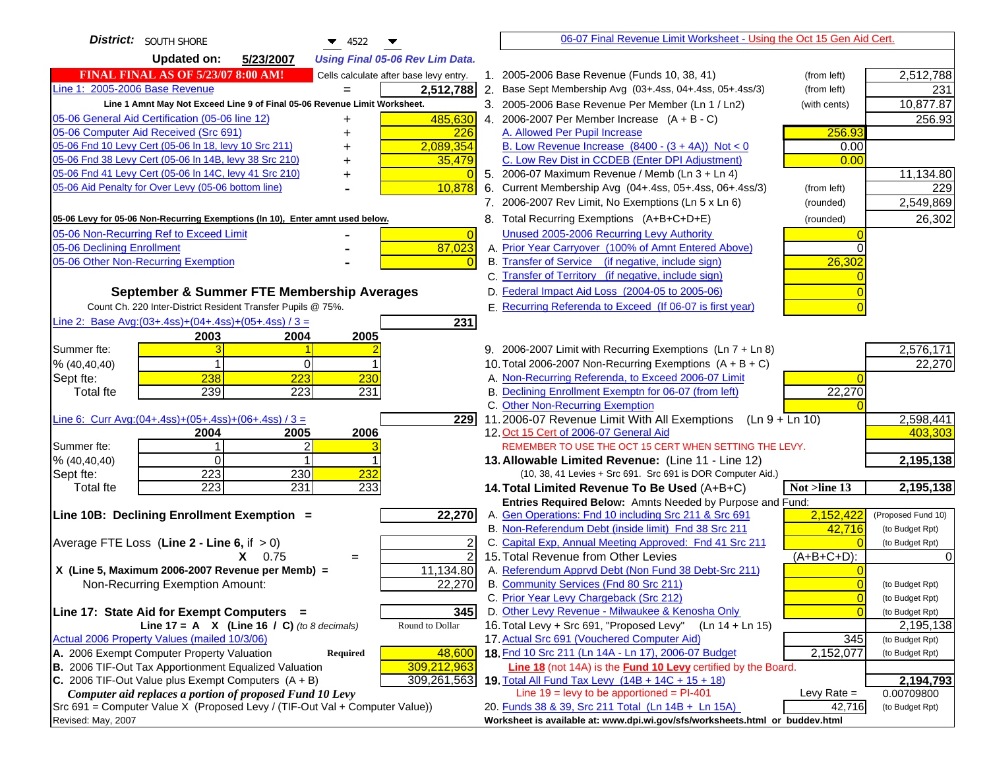| <b>District:</b> SOUTH SHORE<br>▼<br>4522                                                                        | 06-07 Final Revenue Limit Worksheet - Using the Oct 15 Gen Aid Cert.                                        |                                    |
|------------------------------------------------------------------------------------------------------------------|-------------------------------------------------------------------------------------------------------------|------------------------------------|
| <b>Updated on:</b><br>5/23/2007<br><b>Using Final 05-06 Rev Lim Data.</b>                                        |                                                                                                             |                                    |
| <b>FINAL FINAL AS OF 5/23/07 8:00 AM!</b><br>Cells calculate after base levy entry.                              | 1. 2005-2006 Base Revenue (Funds 10, 38, 41)<br>(from left)                                                 | 2,512,788                          |
| Line 1: 2005-2006 Base Revenue<br>2,512,788                                                                      | 2. Base Sept Membership Avg (03+.4ss, 04+.4ss, 05+.4ss/3)<br>(from left)                                    | 231                                |
| Line 1 Amnt May Not Exceed Line 9 of Final 05-06 Revenue Limit Worksheet.                                        | 3. 2005-2006 Base Revenue Per Member (Ln 1 / Ln2)<br>(with cents)                                           | 10,877.87                          |
| 485,630<br>05-06 General Aid Certification (05-06 line 12)                                                       | 4. 2006-2007 Per Member Increase $(A + B - C)$                                                              | 256.93                             |
| 05-06 Computer Aid Received (Src 691)<br>226                                                                     | 256.93<br>A. Allowed Per Pupil Increase                                                                     |                                    |
| 05-06 Fnd 10 Levy Cert (05-06 In 18, levy 10 Src 211)<br>2,089,354                                               | B. Low Revenue Increase $(8400 - (3 + 4A))$ Not < 0<br>0.00                                                 |                                    |
| 05-06 Fnd 38 Levy Cert (05-06 In 14B, levy 38 Src 210)<br>35,479                                                 | C. Low Rev Dist in CCDEB (Enter DPI Adjustment)<br>0.00                                                     |                                    |
| 05-06 Fnd 41 Levy Cert (05-06 In 14C, levy 41 Src 210)                                                           | 5. 2006-07 Maximum Revenue / Memb (Ln 3 + Ln 4)                                                             | 11,134.80                          |
| 10,878<br>05-06 Aid Penalty for Over Levy (05-06 bottom line)                                                    | 6. Current Membership Avg (04+.4ss, 05+.4ss, 06+.4ss/3)<br>(from left)                                      | 229                                |
|                                                                                                                  | 7. 2006-2007 Rev Limit, No Exemptions (Ln 5 x Ln 6)<br>(rounded)                                            | 2,549,869                          |
| 05-06 Levy for 05-06 Non-Recurring Exemptions (In 10), Enter amnt used below.                                    | 8. Total Recurring Exemptions (A+B+C+D+E)<br>(rounded)                                                      | 26,302                             |
| 05-06 Non-Recurring Ref to Exceed Limit<br>$\Omega$                                                              | Unused 2005-2006 Recurring Levy Authority                                                                   |                                    |
| 87,023<br>05-06 Declining Enrollment                                                                             | A. Prior Year Carryover (100% of Amnt Entered Above)                                                        |                                    |
| 05-06 Other Non-Recurring Exemption                                                                              | B. Transfer of Service (if negative, include sign)<br>26,302                                                |                                    |
|                                                                                                                  | C. Transfer of Territory (if negative, include sign)                                                        |                                    |
| September & Summer FTE Membership Averages                                                                       | D. Federal Impact Aid Loss (2004-05 to 2005-06)                                                             |                                    |
| Count Ch. 220 Inter-District Resident Transfer Pupils @ 75%.                                                     | E. Recurring Referenda to Exceed (If 06-07 is first year)                                                   |                                    |
| Line 2: Base Avg: $(03+.4ss)+(04+.4ss)+(05+.4ss)/3 =$<br>231                                                     |                                                                                                             |                                    |
| 2003<br>2004<br>2005                                                                                             |                                                                                                             |                                    |
| Summer fte:                                                                                                      | 9. 2006-2007 Limit with Recurring Exemptions (Ln 7 + Ln 8)                                                  | 2,576,171                          |
| % (40, 40, 40)<br>0                                                                                              | 10. Total 2006-2007 Non-Recurring Exemptions (A + B + C)                                                    | 22,270                             |
| 238<br>223<br>Sept fte:<br>230                                                                                   | A. Non-Recurring Referenda, to Exceed 2006-07 Limit                                                         |                                    |
| 239<br>223<br>231<br><b>Total fte</b>                                                                            | B. Declining Enrollment Exemptn for 06-07 (from left)<br>22,270                                             |                                    |
|                                                                                                                  | C. Other Non-Recurring Exemption                                                                            |                                    |
| Line 6: Curr Avg: $(04+.4ss)+(05+.4ss)+(06+.4ss)/3 =$<br>2291<br>2006<br>2005<br>2004                            | 11.2006-07 Revenue Limit With All Exemptions $(Ln 9 + Ln 10)$<br>12. Oct 15 Cert of 2006-07 General Aid     | 2,598,441<br>403,303               |
| Summer fte:<br>2                                                                                                 | REMEMBER TO USE THE OCT 15 CERT WHEN SETTING THE LEVY.                                                      |                                    |
| $\Omega$<br>% (40, 40, 40)                                                                                       | 13. Allowable Limited Revenue: (Line 11 - Line 12)                                                          | 2,195,138                          |
| 223<br>232<br>230<br>Sept fte:                                                                                   | (10, 38, 41 Levies + Src 691. Src 691 is DOR Computer Aid.)                                                 |                                    |
| 223<br>231<br>233<br><b>Total fte</b>                                                                            | 14. Total Limited Revenue To Be Used (A+B+C)<br>Not >line 13                                                | 2,195,138                          |
|                                                                                                                  | Entries Required Below: Amnts Needed by Purpose and Fund:                                                   |                                    |
| 22,270<br>Line 10B: Declining Enrollment Exemption =                                                             | A. Gen Operations: Fnd 10 including Src 211 & Src 691<br>2,152,422                                          | (Proposed Fund 10)                 |
|                                                                                                                  | B. Non-Referendum Debt (inside limit) Fnd 38 Src 211<br>42,716                                              | (to Budget Rpt)                    |
| Average FTE Loss (Line $2 -$ Line 6, if $> 0$ )<br>2                                                             | C. Capital Exp, Annual Meeting Approved: Fnd 41 Src 211                                                     | (to Budget Rpt)                    |
| $\overline{2}$<br>$X = 0.75$<br>$=$                                                                              | 15. Total Revenue from Other Levies<br>$(A+B+C+D)$ :                                                        |                                    |
| X (Line 5, Maximum 2006-2007 Revenue per Memb) =<br>11,134.80                                                    | A. Referendum Apprvd Debt (Non Fund 38 Debt-Src 211)                                                        |                                    |
| 22,270<br>Non-Recurring Exemption Amount:                                                                        | B. Community Services (Fnd 80 Src 211)<br>0                                                                 | (to Budget Rpt)                    |
|                                                                                                                  | C. Prior Year Levy Chargeback (Src 212)<br>$\overline{0}$                                                   | (to Budget Rpt)                    |
| 345<br>Line 17: State Aid for Exempt Computers =                                                                 | D. Other Levy Revenue - Milwaukee & Kenosha Only                                                            | (to Budget Rpt)                    |
| Line 17 = A $X$ (Line 16 / C) (to 8 decimals)<br>Round to Dollar<br>Actual 2006 Property Values (mailed 10/3/06) | 16. Total Levy + Src 691, "Proposed Levy"<br>(Ln 14 + Ln 15)<br>17. Actual Src 691 (Vouchered Computer Aid) | 2,195,138                          |
| A. 2006 Exempt Computer Property Valuation<br>48,600<br>Required                                                 | 345<br>18. Fnd 10 Src 211 (Ln 14A - Ln 17), 2006-07 Budget<br>2,152,077                                     | (to Budget Rpt)<br>(to Budget Rpt) |
| B. 2006 TIF-Out Tax Apportionment Equalized Valuation<br>309,212,963                                             | Line 18 (not 14A) is the <b>Fund 10 Levy</b> certified by the Board.                                        |                                    |
| C. 2006 TIF-Out Value plus Exempt Computers $(A + B)$<br>309,261,563                                             | 19. Total All Fund Tax Levy (14B + 14C + 15 + 18)                                                           | 2,194,793                          |
| Computer aid replaces a portion of proposed Fund 10 Levy                                                         | Line $19 = \text{levy}$ to be apportioned = PI-401<br>Levy Rate $=$                                         | 0.00709800                         |
| Src 691 = Computer Value X (Proposed Levy / (TIF-Out Val + Computer Value))                                      | 20. Funds 38 & 39, Src 211 Total (Ln 14B + Ln 15A)<br>42,716                                                | (to Budget Rpt)                    |
| Revised: May, 2007                                                                                               | Worksheet is available at: www.dpi.wi.gov/sfs/worksheets.html or buddev.html                                |                                    |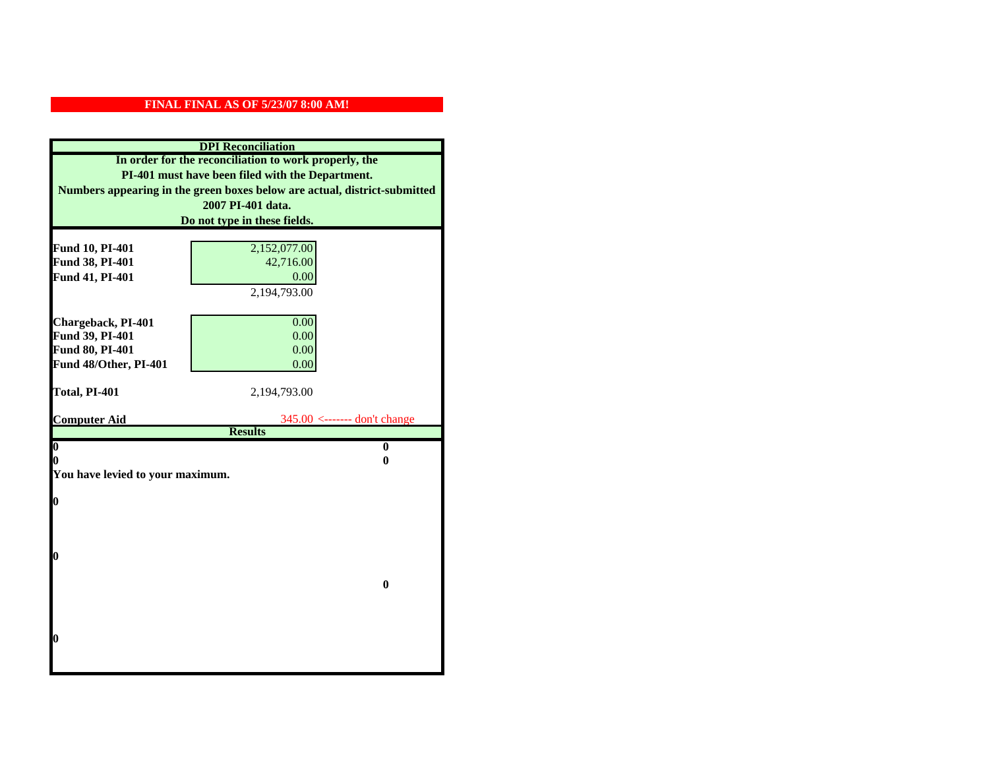| <b>DPI</b> Reconciliation                             |                                                                           |  |  |
|-------------------------------------------------------|---------------------------------------------------------------------------|--|--|
| In order for the reconciliation to work properly, the |                                                                           |  |  |
| PI-401 must have been filed with the Department.      |                                                                           |  |  |
|                                                       | Numbers appearing in the green boxes below are actual, district-submitted |  |  |
|                                                       | 2007 PI-401 data.                                                         |  |  |
|                                                       | Do not type in these fields.                                              |  |  |
|                                                       |                                                                           |  |  |
| Fund 10, PI-401<br>Fund 38, PI-401                    | 2,152,077.00<br>42,716.00                                                 |  |  |
| Fund 41, PI-401                                       | 0.00                                                                      |  |  |
|                                                       | 2,194,793.00                                                              |  |  |
|                                                       |                                                                           |  |  |
| Chargeback, PI-401                                    | 0.00                                                                      |  |  |
| Fund 39, PI-401                                       | 0.00                                                                      |  |  |
| Fund 80, PI-401                                       | 0.00                                                                      |  |  |
| Fund 48/Other, PI-401                                 | 0.00                                                                      |  |  |
|                                                       |                                                                           |  |  |
| Total, PI-401                                         | 2,194,793.00                                                              |  |  |
|                                                       |                                                                           |  |  |
| <b>Computer Aid</b>                                   | $345.00$ <------- don't change<br><b>Results</b>                          |  |  |
| $\overline{\mathbf{0}}$                               | $\bf{0}$                                                                  |  |  |
| 0                                                     | 0                                                                         |  |  |
| You have levied to your maximum.                      |                                                                           |  |  |
|                                                       |                                                                           |  |  |
| $\bf{0}$                                              |                                                                           |  |  |
|                                                       |                                                                           |  |  |
|                                                       |                                                                           |  |  |
| l0                                                    |                                                                           |  |  |
|                                                       |                                                                           |  |  |
|                                                       | $\mathbf{0}$                                                              |  |  |
|                                                       |                                                                           |  |  |
|                                                       |                                                                           |  |  |
|                                                       |                                                                           |  |  |
| $\boldsymbol{0}$                                      |                                                                           |  |  |
|                                                       |                                                                           |  |  |
|                                                       |                                                                           |  |  |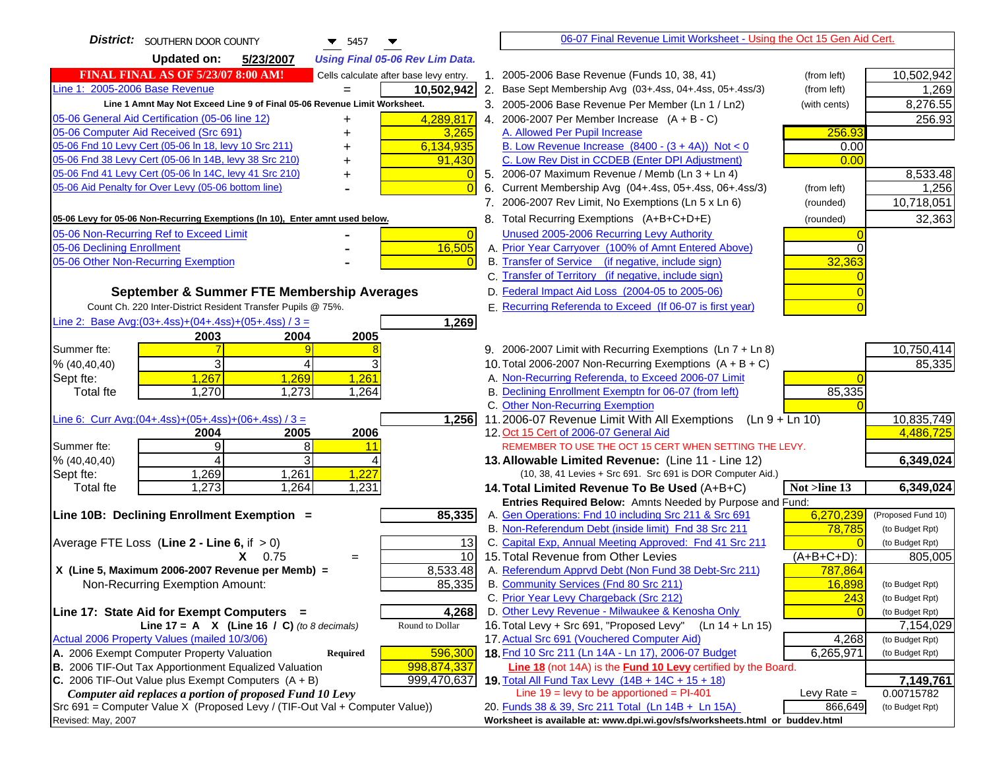| <b>District:</b> SOUTHERN DOOR COUNTY<br>$\blacktriangledown$ 5457<br>▼                                                                   | 06-07 Final Revenue Limit Worksheet - Using the Oct 15 Gen Aid Cert.                                                              |                         |
|-------------------------------------------------------------------------------------------------------------------------------------------|-----------------------------------------------------------------------------------------------------------------------------------|-------------------------|
| <b>Updated on:</b><br>5/23/2007<br><b>Using Final 05-06 Rev Lim Data.</b>                                                                 |                                                                                                                                   |                         |
| <b>FINAL FINAL AS OF 5/23/07 8:00 AM!</b><br>Cells calculate after base levy entry.                                                       | 1. 2005-2006 Base Revenue (Funds 10, 38, 41)<br>(from left)                                                                       | 10,502,942              |
| Line 1: 2005-2006 Base Revenue<br>10,502,942                                                                                              | 2. Base Sept Membership Avg (03+.4ss, 04+.4ss, 05+.4ss/3)<br>(from left)                                                          | 1,269                   |
| Line 1 Amnt May Not Exceed Line 9 of Final 05-06 Revenue Limit Worksheet.                                                                 | 3. 2005-2006 Base Revenue Per Member (Ln 1 / Ln2)<br>(with cents)                                                                 | 8,276.55                |
| 4,289,817<br>05-06 General Aid Certification (05-06 line 12)<br>+                                                                         | 4. 2006-2007 Per Member Increase $(A + B - C)$                                                                                    | 256.93                  |
| 05-06 Computer Aid Received (Src 691)<br>3,265                                                                                            | A. Allowed Per Pupil Increase<br>256.93                                                                                           |                         |
| 05-06 Fnd 10 Levy Cert (05-06 In 18, levy 10 Src 211)<br>6,134,935                                                                        | B. Low Revenue Increase $(8400 - (3 + 4A))$ Not < 0<br>0.00                                                                       |                         |
| 05-06 Fnd 38 Levy Cert (05-06 In 14B, levy 38 Src 210)<br>91,430                                                                          | C. Low Rev Dist in CCDEB (Enter DPI Adjustment)<br>0.00                                                                           |                         |
| 05-06 Fnd 41 Levy Cert (05-06 In 14C, levy 41 Src 210)<br>$\overline{0}$<br>+                                                             | 5. 2006-07 Maximum Revenue / Memb (Ln 3 + Ln 4)                                                                                   | 8,533.48                |
| 05-06 Aid Penalty for Over Levy (05-06 bottom line)<br>$\Omega$                                                                           | Current Membership Avg (04+.4ss, 05+.4ss, 06+.4ss/3)<br>6.<br>(from left)                                                         | 1,256                   |
|                                                                                                                                           | 7. 2006-2007 Rev Limit, No Exemptions (Ln 5 x Ln 6)<br>(rounded)                                                                  | 10,718,051              |
| 05-06 Levy for 05-06 Non-Recurring Exemptions (In 10), Enter amnt used below.                                                             | 8. Total Recurring Exemptions (A+B+C+D+E)<br>(rounded)                                                                            | 32,363                  |
| 05-06 Non-Recurring Ref to Exceed Limit<br>$\vert 0 \vert$                                                                                | Unused 2005-2006 Recurring Levy Authority                                                                                         |                         |
| 16,505<br>05-06 Declining Enrollment                                                                                                      | A. Prior Year Carryover (100% of Amnt Entered Above)                                                                              |                         |
| 05-06 Other Non-Recurring Exemption                                                                                                       | B. Transfer of Service (if negative, include sign)<br>32,363                                                                      |                         |
|                                                                                                                                           | C. Transfer of Territory (if negative, include sign)                                                                              |                         |
| September & Summer FTE Membership Averages                                                                                                | D. Federal Impact Aid Loss (2004-05 to 2005-06)                                                                                   |                         |
| Count Ch. 220 Inter-District Resident Transfer Pupils @ 75%.                                                                              | E. Recurring Referenda to Exceed (If 06-07 is first year)                                                                         |                         |
| Line 2: Base Avg: (03+.4ss) + (04+.4ss) + (05+.4ss) / 3 =<br>1,269                                                                        |                                                                                                                                   |                         |
| 2003<br>2004<br>2005                                                                                                                      |                                                                                                                                   |                         |
| Summer fte:<br>9                                                                                                                          | 9. 2006-2007 Limit with Recurring Exemptions (Ln 7 + Ln 8)                                                                        | 10,750,414              |
| 3<br>3<br>4<br>% (40,40,40)                                                                                                               | 10. Total 2006-2007 Non-Recurring Exemptions $(A + B + C)$                                                                        | 85,335                  |
| 1,267<br>1,261<br>1,269<br>Sept fte:                                                                                                      | A. Non-Recurring Referenda, to Exceed 2006-07 Limit                                                                               |                         |
| 1,270<br>1,273<br>1,264<br><b>Total fte</b>                                                                                               | B. Declining Enrollment Exemptn for 06-07 (from left)<br>85,335                                                                   |                         |
|                                                                                                                                           | C. Other Non-Recurring Exemption                                                                                                  |                         |
| Line 6: Curr Avg: $(04+.4ss)+(05+.4ss)+(06+.4ss)/3 =$<br>1,256                                                                            | 11.2006-07 Revenue Limit With All Exemptions (Ln $9 + \overline{\text{Ln }10}$ )                                                  | 10,835,749<br>4,486,725 |
| 2006<br>2004<br>2005<br>9<br>8<br>Summer fte:<br>11                                                                                       | 12. Oct 15 Cert of 2006-07 General Aid<br>REMEMBER TO USE THE OCT 15 CERT WHEN SETTING THE LEVY.                                  |                         |
| 3<br>% (40, 40, 40)<br>4                                                                                                                  | 13. Allowable Limited Revenue: (Line 11 - Line 12)                                                                                | 6,349,024               |
| 1,269<br>1,261<br>1,227<br>Sept fte:                                                                                                      | (10, 38, 41 Levies + Src 691. Src 691 is DOR Computer Aid.)                                                                       |                         |
| 1,273<br>1,231<br>1,264<br><b>Total fte</b>                                                                                               | 14. Total Limited Revenue To Be Used (A+B+C)<br>Not >line 13                                                                      | 6,349,024               |
|                                                                                                                                           | Entries Required Below: Amnts Needed by Purpose and Fund:                                                                         |                         |
| 85,335<br>Line 10B: Declining Enrollment Exemption =                                                                                      | 6,270,239<br>A. Gen Operations: Fnd 10 including Src 211 & Src 691                                                                | (Proposed Fund 10)      |
|                                                                                                                                           | B. Non-Referendum Debt (inside limit) Fnd 38 Src 211<br>78,785                                                                    | (to Budget Rpt)         |
| Average FTE Loss (Line $2 -$ Line 6, if $> 0$ )<br>13                                                                                     | C. Capital Exp, Annual Meeting Approved: Fnd 41 Src 211                                                                           | (to Budget Rpt)         |
| 10<br>$X = 0.75$<br>$=$                                                                                                                   | 15. Total Revenue from Other Levies<br>(A+B+C+D):                                                                                 | 805,005                 |
| X (Line 5, Maximum 2006-2007 Revenue per Memb) =<br>8,533.48                                                                              | A. Referendum Apprvd Debt (Non Fund 38 Debt-Src 211)<br>787,864                                                                   |                         |
| 85,335<br>Non-Recurring Exemption Amount:                                                                                                 | B. Community Services (Fnd 80 Src 211)<br>16,898                                                                                  | (to Budget Rpt)         |
|                                                                                                                                           | C. Prior Year Levy Chargeback (Src 212)<br>243                                                                                    | (to Budget Rpt)         |
| 4,268<br>Line 17: State Aid for Exempt Computers =                                                                                        | D. Other Levy Revenue - Milwaukee & Kenosha Only                                                                                  | (to Budget Rpt)         |
| Round to Dollar<br>Line 17 = A $X$ (Line 16 / C) (to 8 decimals)                                                                          | 16. Total Levy + Src 691, "Proposed Levy"<br>$(Ln 14 + Ln 15)$                                                                    | 7,154,029               |
| Actual 2006 Property Values (mailed 10/3/06)                                                                                              | 17. Actual Src 691 (Vouchered Computer Aid)<br>4,268                                                                              | (to Budget Rpt)         |
| A. 2006 Exempt Computer Property Valuation<br>596,300<br>Required<br>B. 2006 TIF-Out Tax Apportionment Equalized Valuation<br>998,874,337 | 18. Fnd 10 Src 211 (Ln 14A - Ln 17), 2006-07 Budget<br>6,265,971<br>Line 18 (not 14A) is the Fund 10 Levy certified by the Board. | (to Budget Rpt)         |
| C. 2006 TIF-Out Value plus Exempt Computers $(A + B)$<br>999,470,637                                                                      | 19. Total All Fund Tax Levy $(14B + 14C + 15 + 18)$                                                                               | 7,149,761               |
| Computer aid replaces a portion of proposed Fund 10 Levy                                                                                  | Line $19 = \text{levy}$ to be apportioned = PI-401<br>Levy Rate $=$                                                               | 0.00715782              |
| Src 691 = Computer Value X (Proposed Levy / (TIF-Out Val + Computer Value))                                                               | 20. Funds 38 & 39, Src 211 Total (Ln 14B + Ln 15A)<br>866,649                                                                     | (to Budget Rpt)         |
| Revised: May, 2007                                                                                                                        | Worksheet is available at: www.dpi.wi.gov/sfs/worksheets.html or buddev.html                                                      |                         |
|                                                                                                                                           |                                                                                                                                   |                         |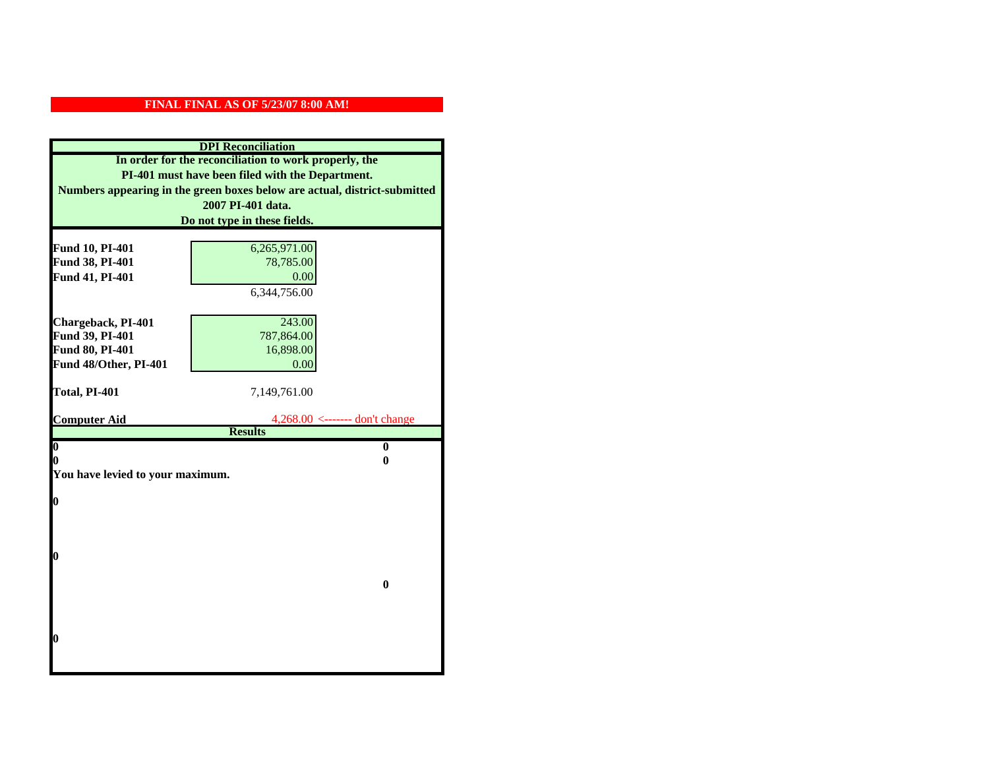| <b>DPI</b> Reconciliation                             |                                                                           |
|-------------------------------------------------------|---------------------------------------------------------------------------|
| In order for the reconciliation to work properly, the |                                                                           |
| PI-401 must have been filed with the Department.      |                                                                           |
|                                                       | Numbers appearing in the green boxes below are actual, district-submitted |
|                                                       | 2007 PI-401 data.                                                         |
|                                                       | Do not type in these fields.                                              |
|                                                       |                                                                           |
| Fund 10, PI-401                                       | 6,265,971.00                                                              |
| Fund 38, PI-401                                       | 78,785.00                                                                 |
| Fund 41, PI-401                                       | 0.00                                                                      |
|                                                       | 6,344,756.00                                                              |
|                                                       |                                                                           |
| Chargeback, PI-401                                    | 243.00                                                                    |
| Fund 39, PI-401                                       | 787,864.00                                                                |
| Fund 80, PI-401                                       | 16,898.00                                                                 |
| Fund 48/Other, PI-401                                 | 0.00                                                                      |
| Total, PI-401                                         | 7,149,761.00                                                              |
|                                                       |                                                                           |
| <b>Computer Aid</b>                                   | $4,268.00 \le$ ------- don't change                                       |
|                                                       | <b>Results</b>                                                            |
| $\overline{\mathbf{0}}$                               | $\bf{0}$                                                                  |
| 0                                                     | 0                                                                         |
| You have levied to your maximum.                      |                                                                           |
| $\bf{0}$                                              |                                                                           |
|                                                       |                                                                           |
|                                                       |                                                                           |
|                                                       |                                                                           |
| l0                                                    |                                                                           |
|                                                       |                                                                           |
|                                                       | $\bf{0}$                                                                  |
|                                                       |                                                                           |
|                                                       |                                                                           |
|                                                       |                                                                           |
| $\boldsymbol{0}$                                      |                                                                           |
|                                                       |                                                                           |
|                                                       |                                                                           |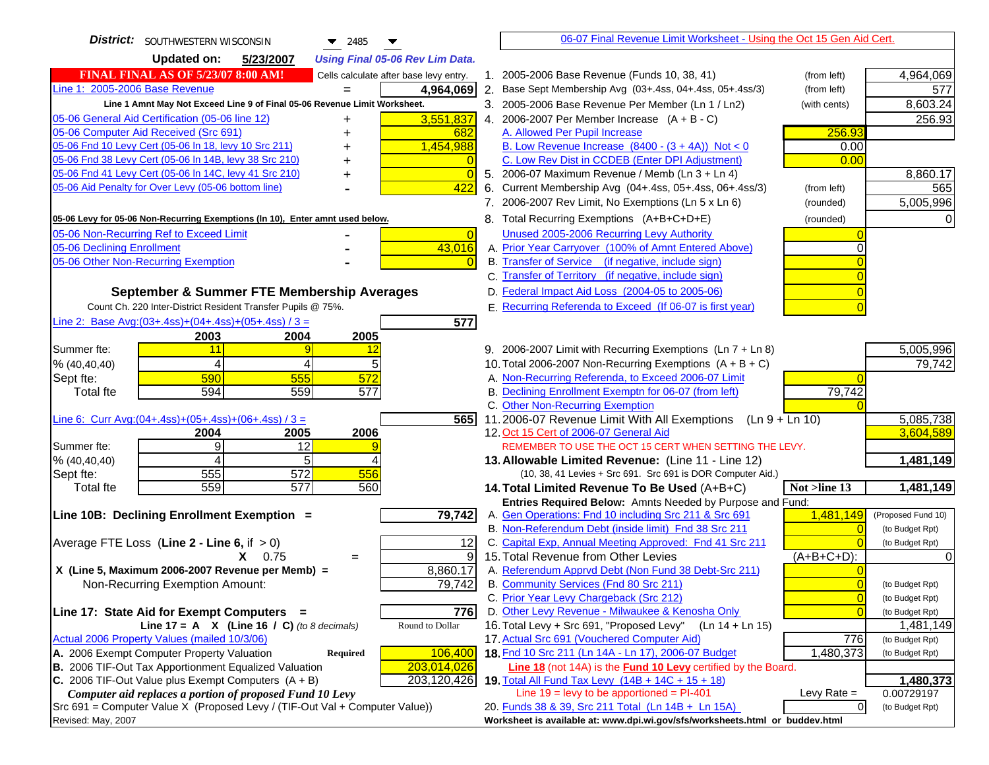| <b>District:</b> SOUTHWESTERN WISCONSIN<br>▼<br>2485                                                                                      | 06-07 Final Revenue Limit Worksheet - Using the Oct 15 Gen Aid Cert.                               |                  |                    |
|-------------------------------------------------------------------------------------------------------------------------------------------|----------------------------------------------------------------------------------------------------|------------------|--------------------|
| <b>Updated on:</b><br><b>Using Final 05-06 Rev Lim Data.</b><br>5/23/2007                                                                 |                                                                                                    |                  |                    |
| <b>FINAL FINAL AS OF 5/23/07 8:00 AM!</b><br>Cells calculate after base levy entry.                                                       | 1. 2005-2006 Base Revenue (Funds 10, 38, 41)                                                       | (from left)      | 4,964,069          |
| Line 1: 2005-2006 Base Revenue<br>4,964,069                                                                                               | 2. Base Sept Membership Avg (03+.4ss, 04+.4ss, 05+.4ss/3)                                          | (from left)      | 577                |
| Line 1 Amnt May Not Exceed Line 9 of Final 05-06 Revenue Limit Worksheet.                                                                 | 3. 2005-2006 Base Revenue Per Member (Ln 1 / Ln2)                                                  | (with cents)     | 8,603.24           |
| 3,551,837<br>05-06 General Aid Certification (05-06 line 12)<br>+                                                                         | 4. 2006-2007 Per Member Increase $(A + B - C)$                                                     |                  | 256.93             |
| 05-06 Computer Aid Received (Src 691)<br>682                                                                                              | A. Allowed Per Pupil Increase                                                                      | 256.93           |                    |
| 05-06 Fnd 10 Levy Cert (05-06 In 18, levy 10 Src 211)<br>1,454,988                                                                        | B. Low Revenue Increase $(8400 - (3 + 4A))$ Not < 0                                                | 0.00             |                    |
| 05-06 Fnd 38 Levy Cert (05-06 In 14B, levy 38 Src 210)<br>$\overline{0}$<br>+                                                             | C. Low Rev Dist in CCDEB (Enter DPI Adjustment)                                                    | 0.00             |                    |
| 05-06 Fnd 41 Levy Cert (05-06 In 14C, levy 41 Src 210)<br>$\overline{0}$<br>+                                                             | 5. 2006-07 Maximum Revenue / Memb (Ln 3 + Ln 4)                                                    |                  | 8,860.17           |
| 05-06 Aid Penalty for Over Levy (05-06 bottom line)<br>422                                                                                | 6. Current Membership Avg (04+.4ss, 05+.4ss, 06+.4ss/3)                                            | (from left)      | 565                |
|                                                                                                                                           | 7. 2006-2007 Rev Limit, No Exemptions (Ln 5 x Ln 6)                                                | (rounded)        | 5,005,996          |
| 05-06 Levy for 05-06 Non-Recurring Exemptions (In 10), Enter amnt used below.                                                             | 8. Total Recurring Exemptions (A+B+C+D+E)                                                          | (rounded)        |                    |
| 05-06 Non-Recurring Ref to Exceed Limit<br>$\overline{0}$                                                                                 | Unused 2005-2006 Recurring Levy Authority                                                          |                  |                    |
| 05-06 Declining Enrollment<br>43,016                                                                                                      | A. Prior Year Carryover (100% of Amnt Entered Above)                                               | 0                |                    |
| 05-06 Other Non-Recurring Exemption<br>$\Omega$                                                                                           | B. Transfer of Service (if negative, include sign)                                                 |                  |                    |
|                                                                                                                                           | C. Transfer of Territory (if negative, include sign)                                               | $\overline{0}$   |                    |
| September & Summer FTE Membership Averages                                                                                                | D. Federal Impact Aid Loss (2004-05 to 2005-06)                                                    | $\overline{0}$   |                    |
| Count Ch. 220 Inter-District Resident Transfer Pupils @ 75%.                                                                              | E. Recurring Referenda to Exceed (If 06-07 is first year)                                          |                  |                    |
| Line 2: Base Avg:(03+.4ss)+(04+.4ss)+(05+.4ss) / 3 =<br>577                                                                               |                                                                                                    |                  |                    |
| 2003<br>2004<br>2005                                                                                                                      |                                                                                                    |                  |                    |
| Summer fte:<br>11<br>12<br>9                                                                                                              | 9. 2006-2007 Limit with Recurring Exemptions (Ln 7 + Ln 8)                                         |                  | 5,005,996          |
| 5<br>% (40, 40, 40)<br>4                                                                                                                  | 10. Total 2006-2007 Non-Recurring Exemptions $(A + B + C)$                                         |                  | 79,742             |
| 572<br>590<br>555<br>Sept fte:                                                                                                            | A. Non-Recurring Referenda, to Exceed 2006-07 Limit                                                |                  |                    |
| 577<br>594<br>559<br>Total fte                                                                                                            | B. Declining Enrollment Exemptn for 06-07 (from left)                                              | 79,742           |                    |
|                                                                                                                                           | C. Other Non-Recurring Exemption                                                                   |                  |                    |
| Line 6: Curr Avg: $(04+.4ss)+(05+.4ss)+(06+.4ss)/3 =$<br>565 <sup>I</sup>                                                                 | 11.2006-07 Revenue Limit With All Exemptions $(Ln 9 + Ln 10)$                                      |                  | 5,085,738          |
| 2004<br>2005<br>2006<br>9<br>12<br>Summer fte:                                                                                            | 12. Oct 15 Cert of 2006-07 General Aid<br>REMEMBER TO USE THE OCT 15 CERT WHEN SETTING THE LEVY.   |                  | 3,604,589          |
| 5<br>% (40,40,40)                                                                                                                         | 13. Allowable Limited Revenue: (Line 11 - Line 12)                                                 |                  | 1,481,149          |
| 555<br>572<br>556<br>Sept fte:                                                                                                            | (10, 38, 41 Levies + Src 691. Src 691 is DOR Computer Aid.)                                        |                  |                    |
| 559<br>$\overline{577}$<br>560<br><b>Total fte</b>                                                                                        | 14. Total Limited Revenue To Be Used (A+B+C)                                                       | Not >line 13     | 1,481,149          |
|                                                                                                                                           | Entries Required Below: Amnts Needed by Purpose and Fund:                                          |                  |                    |
| 79,742<br>Line 10B: Declining Enrollment Exemption =                                                                                      | A. Gen Operations: Fnd 10 including Src 211 & Src 691                                              | 1,481,149        | (Proposed Fund 10) |
|                                                                                                                                           | B. Non-Referendum Debt (inside limit) Fnd 38 Src 211                                               | $\overline{0}$   | (to Budget Rpt)    |
| Average FTE Loss (Line $2 -$ Line 6, if $> 0$ )<br>12                                                                                     | C. Capital Exp, Annual Meeting Approved: Fnd 41 Src 211                                            |                  | (to Budget Rpt)    |
| 9<br>$X = 0.75$<br>$=$                                                                                                                    | 15. Total Revenue from Other Levies                                                                | $(A+B+C+D)$ :    |                    |
| X (Line 5, Maximum 2006-2007 Revenue per Memb) =<br>8,860.17                                                                              | A. Referendum Apprvd Debt (Non Fund 38 Debt-Src 211)                                               |                  |                    |
| 79,742<br>Non-Recurring Exemption Amount:                                                                                                 | B. Community Services (Fnd 80 Src 211)                                                             | $\overline{0}$   | (to Budget Rpt)    |
|                                                                                                                                           | C. Prior Year Levy Chargeback (Src 212)                                                            | $\overline{0}$   | (to Budget Rpt)    |
| Line 17: State Aid for Exempt Computers =<br>776                                                                                          | D. Other Levy Revenue - Milwaukee & Kenosha Only                                                   | $\Omega$         | (to Budget Rpt)    |
| Line 17 = A $X$ (Line 16 / C) (to 8 decimals)<br>Round to Dollar                                                                          | 16. Total Levy + Src 691, "Proposed Levy"<br>(Ln 14 + Ln 15)                                       |                  | 1,481,149          |
| Actual 2006 Property Values (mailed 10/3/06)                                                                                              | 17. Actual Src 691 (Vouchered Computer Aid)<br>18. Fnd 10 Src 211 (Ln 14A - Ln 17), 2006-07 Budget | 776<br>1,480,373 | (to Budget Rpt)    |
| A. 2006 Exempt Computer Property Valuation<br>106,400<br>Required<br>B. 2006 TIF-Out Tax Apportionment Equalized Valuation<br>203,014,026 | Line 18 (not 14A) is the Fund 10 Levy certified by the Board.                                      |                  | (to Budget Rpt)    |
| $ C. 2006$ TIF-Out Value plus Exempt Computers $(A + B)$<br>203,120,426                                                                   | 19. Total All Fund Tax Levy (14B + 14C + 15 + 18)                                                  |                  | 1,480,373          |
| Computer aid replaces a portion of proposed Fund 10 Levy                                                                                  | Line $19 = \text{levy}$ to be apportioned = PI-401                                                 | Levy Rate $=$    | 0.00729197         |
| Src 691 = Computer Value X (Proposed Levy / (TIF-Out Val + Computer Value))                                                               | 20. Funds 38 & 39, Src 211 Total (Ln 14B + Ln 15A)                                                 | $\overline{O}$   | (to Budget Rpt)    |
| Revised: May, 2007                                                                                                                        | Worksheet is available at: www.dpi.wi.gov/sfs/worksheets.html or buddev.html                       |                  |                    |
|                                                                                                                                           |                                                                                                    |                  |                    |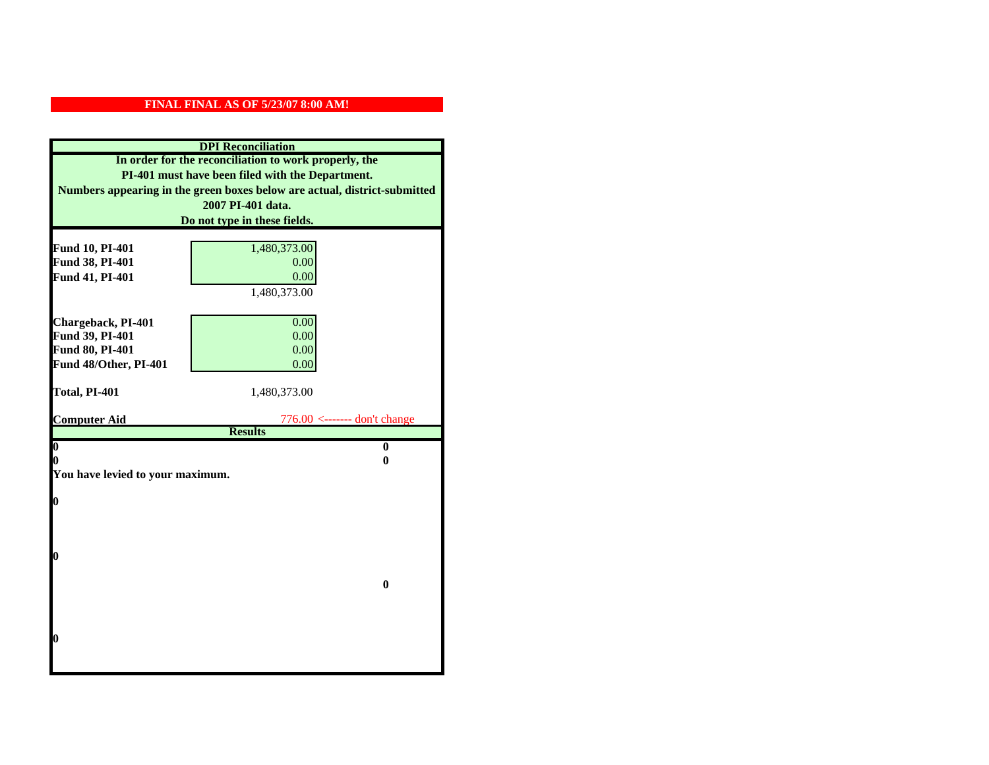| <b>DPI</b> Reconciliation                                                 |                                                  |  |
|---------------------------------------------------------------------------|--------------------------------------------------|--|
| In order for the reconciliation to work properly, the                     |                                                  |  |
| PI-401 must have been filed with the Department.                          |                                                  |  |
| Numbers appearing in the green boxes below are actual, district-submitted |                                                  |  |
| 2007 PI-401 data.                                                         |                                                  |  |
| Do not type in these fields.                                              |                                                  |  |
|                                                                           |                                                  |  |
| Fund 10, PI-401<br>Fund 38, PI-401                                        | 1,480,373.00<br>0.00                             |  |
| Fund 41, PI-401                                                           | 0.00                                             |  |
|                                                                           | 1,480,373.00                                     |  |
|                                                                           |                                                  |  |
| Chargeback, PI-401                                                        | 0.00                                             |  |
| Fund 39, PI-401                                                           | 0.00                                             |  |
| Fund 80, PI-401                                                           | 0.00                                             |  |
| Fund 48/Other, PI-401                                                     | 0.00                                             |  |
|                                                                           |                                                  |  |
| Total, PI-401                                                             | 1,480,373.00                                     |  |
|                                                                           |                                                  |  |
| <b>Computer Aid</b>                                                       | $776.00$ <------- don't change<br><b>Results</b> |  |
| $\overline{\mathbf{0}}$                                                   | $\bf{0}$                                         |  |
| 0                                                                         | 0                                                |  |
| You have levied to your maximum.                                          |                                                  |  |
|                                                                           |                                                  |  |
| $\bf{0}$                                                                  |                                                  |  |
|                                                                           |                                                  |  |
|                                                                           |                                                  |  |
|                                                                           |                                                  |  |
| l0                                                                        |                                                  |  |
|                                                                           |                                                  |  |
|                                                                           | $\mathbf{0}$                                     |  |
|                                                                           |                                                  |  |
|                                                                           |                                                  |  |
| $\boldsymbol{0}$                                                          |                                                  |  |
|                                                                           |                                                  |  |
|                                                                           |                                                  |  |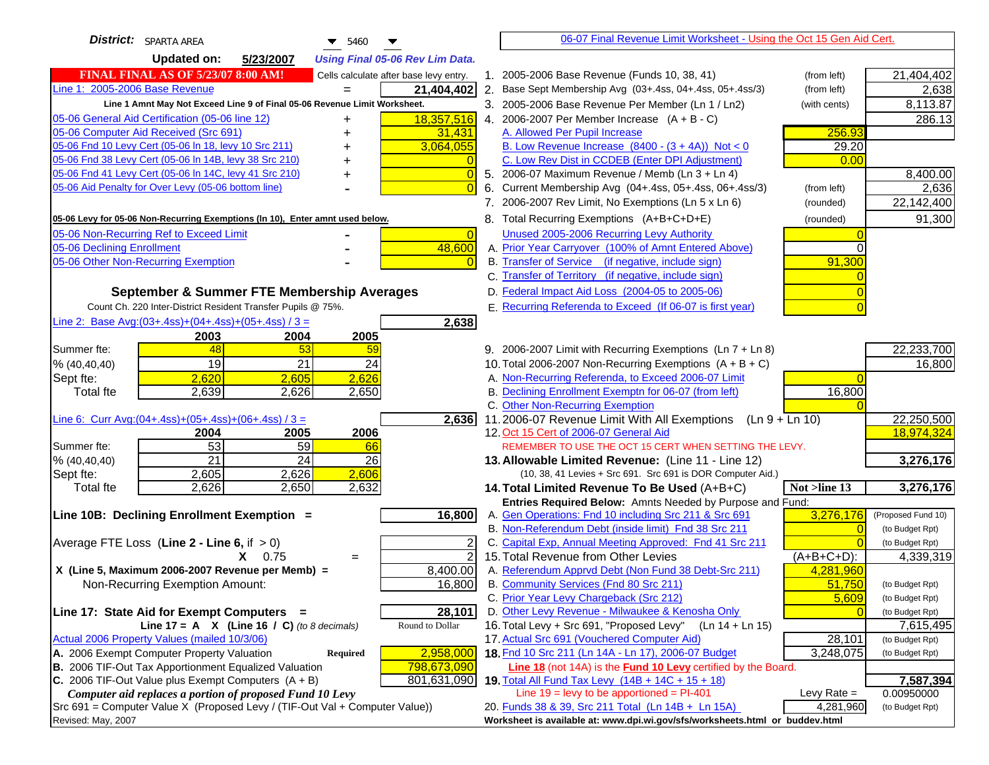| <b>District:</b> SPARTA AREA<br>$\blacktriangledown$ 5460                                                               | 06-07 Final Revenue Limit Worksheet - Using the Oct 15 Gen Aid Cert.                                 |                              |
|-------------------------------------------------------------------------------------------------------------------------|------------------------------------------------------------------------------------------------------|------------------------------|
| <b>Updated on:</b><br>5/23/2007<br><b>Using Final 05-06 Rev Lim Data.</b>                                               |                                                                                                      |                              |
| <b>FINAL FINAL AS OF 5/23/07 8:00 AM!</b><br>Cells calculate after base levy entry.                                     | 1. 2005-2006 Base Revenue (Funds 10, 38, 41)<br>(from left)                                          | 21,404,402                   |
| Line 1: 2005-2006 Base Revenue<br>21,404,402<br>$=$                                                                     | 2. Base Sept Membership Avg (03+.4ss, 04+.4ss, 05+.4ss/3)<br>(from left)                             | 2,638                        |
| Line 1 Amnt May Not Exceed Line 9 of Final 05-06 Revenue Limit Worksheet.                                               | 3. 2005-2006 Base Revenue Per Member (Ln 1 / Ln2)<br>(with cents)                                    | 8,113.87                     |
| 18,357,516<br>05-06 General Aid Certification (05-06 line 12)                                                           | 4. 2006-2007 Per Member Increase $(A + B - C)$                                                       | 286.13                       |
| 05-06 Computer Aid Received (Src 691)<br>31,431                                                                         | A. Allowed Per Pupil Increase<br>256.93                                                              |                              |
| 05-06 Fnd 10 Levy Cert (05-06 In 18, levy 10 Src 211)<br>3,064,055                                                      | B. Low Revenue Increase $(8400 - (3 + 4A))$ Not < 0<br>29.20                                         |                              |
| 05-06 Fnd 38 Levy Cert (05-06 In 14B, levy 38 Src 210)                                                                  | C. Low Rev Dist in CCDEB (Enter DPI Adjustment)<br>0.00                                              |                              |
| 05-06 Fnd 41 Levy Cert (05-06 In 14C, levy 41 Src 210)<br>$\overline{0}$<br>+                                           | 5. 2006-07 Maximum Revenue / Memb (Ln 3 + Ln 4)                                                      | 8,400.00                     |
| 05-06 Aid Penalty for Over Levy (05-06 bottom line)<br>$\Omega$                                                         | Current Membership Avg (04+.4ss, 05+.4ss, 06+.4ss/3)<br>6.<br>(from left)                            | 2,636                        |
|                                                                                                                         | 7. 2006-2007 Rev Limit, No Exemptions (Ln 5 x Ln 6)<br>(rounded)                                     | 22,142,400                   |
| 05-06 Levy for 05-06 Non-Recurring Exemptions (In 10), Enter amnt used below.                                           | 8. Total Recurring Exemptions (A+B+C+D+E)<br>(rounded)                                               | 91,300                       |
| 05-06 Non-Recurring Ref to Exceed Limit<br>$\overline{0}$                                                               | Unused 2005-2006 Recurring Levy Authority                                                            |                              |
| 48,600<br>05-06 Declining Enrollment                                                                                    | A. Prior Year Carryover (100% of Amnt Entered Above)<br>$\Omega$                                     |                              |
| 05-06 Other Non-Recurring Exemption                                                                                     | B. Transfer of Service (if negative, include sign)<br>91,300                                         |                              |
|                                                                                                                         | C. Transfer of Territory (if negative, include sign)                                                 |                              |
| September & Summer FTE Membership Averages                                                                              | D. Federal Impact Aid Loss (2004-05 to 2005-06)                                                      |                              |
| Count Ch. 220 Inter-District Resident Transfer Pupils @ 75%.                                                            | E. Recurring Referenda to Exceed (If 06-07 is first year)                                            |                              |
| Line 2: Base Avg: (03+.4ss) + (04+.4ss) + (05+.4ss) / 3 =<br>2,638                                                      |                                                                                                      |                              |
| 2003<br>2004<br>2005                                                                                                    |                                                                                                      |                              |
| 48<br>Summer fte:<br>53<br>59                                                                                           | 9. 2006-2007 Limit with Recurring Exemptions (Ln 7 + Ln 8)                                           | 22,233,700                   |
| 19<br>21<br>24<br>% (40, 40, 40)                                                                                        | 10. Total 2006-2007 Non-Recurring Exemptions $(A + B + C)$                                           | 16,800                       |
| 2,620<br>2,626<br>Sept fte:<br>2,605                                                                                    | A. Non-Recurring Referenda, to Exceed 2006-07 Limit                                                  |                              |
| 2,639<br>2,626<br>Total fte<br>2,650                                                                                    | B. Declining Enrollment Exemptn for 06-07 (from left)<br>16,800                                      |                              |
| Line 6: Curr Avg: $(04+.4ss)+(05+.4ss)+(06+.4ss)$ / 3 =<br>2,636                                                        | C. Other Non-Recurring Exemption<br>11.2006-07 Revenue Limit With All Exemptions<br>$(Ln 9 + Ln 10)$ | 22,250,500                   |
| 2006<br>2004<br>2005                                                                                                    | 12. Oct 15 Cert of 2006-07 General Aid                                                               | 18,974,324                   |
| 53<br>59<br>Summer fte:<br>66                                                                                           | REMEMBER TO USE THE OCT 15 CERT WHEN SETTING THE LEVY.                                               |                              |
| $\overline{21}$<br>24<br>26<br>% (40, 40, 40)                                                                           | 13. Allowable Limited Revenue: (Line 11 - Line 12)                                                   | 3,276,176                    |
| 2,606<br>2,605<br>2,626<br>Sept fte:                                                                                    | (10, 38, 41 Levies + Src 691. Src 691 is DOR Computer Aid.)                                          |                              |
| 2,626<br>2,650<br>2,632<br><b>Total fte</b>                                                                             | Not >line 13<br>14. Total Limited Revenue To Be Used (A+B+C)                                         | 3,276,176                    |
|                                                                                                                         | Entries Required Below: Amnts Needed by Purpose and Fund:                                            |                              |
| Line 10B: Declining Enrollment Exemption =<br>16,800                                                                    | 3,276,176<br>A. Gen Operations: Fnd 10 including Src 211 & Src 691                                   | (Proposed Fund 10)           |
|                                                                                                                         | B. Non-Referendum Debt (inside limit) Fnd 38 Src 211<br>$\Omega$                                     | (to Budget Rpt)              |
| Average FTE Loss (Line $2 -$ Line 6, if $> 0$ )                                                                         | C. Capital Exp, Annual Meeting Approved: Fnd 41 Src 211                                              | (to Budget Rpt)              |
| $\overline{2}$<br>$X = 0.75$<br>$=$                                                                                     | 15. Total Revenue from Other Levies<br>$(A+B+C+D)$ :                                                 | 4,339,319                    |
| X (Line 5, Maximum 2006-2007 Revenue per Memb) =<br>8,400.00                                                            | A. Referendum Apprvd Debt (Non Fund 38 Debt-Src 211)<br>4,281,960                                    |                              |
| 16,800<br>Non-Recurring Exemption Amount:                                                                               | B. Community Services (Fnd 80 Src 211)<br>51,750                                                     | (to Budget Rpt)              |
|                                                                                                                         | C. Prior Year Levy Chargeback (Src 212)<br>5,609<br>D. Other Levy Revenue - Milwaukee & Kenosha Only | (to Budget Rpt)              |
| 28,101<br>Line 17: State Aid for Exempt Computers =<br>Round to Dollar<br>Line 17 = A $X$ (Line 16 / C) (to 8 decimals) | 16. Total Levy + Src 691, "Proposed Levy"<br>(Ln 14 + Ln 15)                                         | (to Budget Rpt)<br>7,615,495 |
| Actual 2006 Property Values (mailed 10/3/06)                                                                            | 17. Actual Src 691 (Vouchered Computer Aid)<br>28,101                                                | (to Budget Rpt)              |
| A. 2006 Exempt Computer Property Valuation<br>2,958,000<br>Required                                                     | 18. Fnd 10 Src 211 (Ln 14A - Ln 17), 2006-07 Budget<br>3,248,075                                     | (to Budget Rpt)              |
| B. 2006 TIF-Out Tax Apportionment Equalized Valuation<br>798,673,090                                                    | <b>Line 18</b> (not 14A) is the <b>Fund 10 Levy</b> certified by the Board.                          |                              |
| C. 2006 TIF-Out Value plus Exempt Computers $(A + B)$<br>801,631,090                                                    | 19. Total All Fund Tax Levy $(14B + 14C + 15 + 18)$                                                  | 7,587,394                    |
| Computer aid replaces a portion of proposed Fund 10 Levy                                                                | Line $19 = \text{levy}$ to be apportioned = PI-401<br>Levy Rate $=$                                  | 0.00950000                   |
| Src 691 = Computer Value X (Proposed Levy / (TIF-Out Val + Computer Value))                                             | 20. Funds 38 & 39, Src 211 Total (Ln 14B + Ln 15A)<br>4,281,960                                      | (to Budget Rpt)              |
| Revised: May, 2007                                                                                                      | Worksheet is available at: www.dpi.wi.gov/sfs/worksheets.html or buddev.html                         |                              |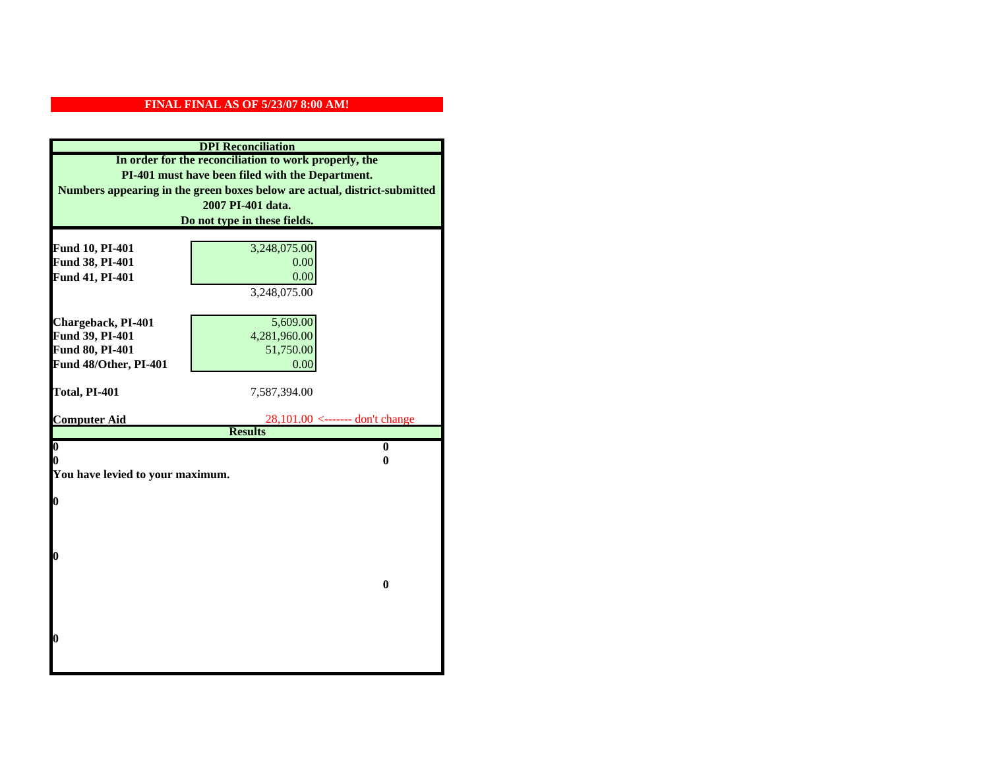|                                                                           | <b>DPI</b> Reconciliation         |  |  |
|---------------------------------------------------------------------------|-----------------------------------|--|--|
| In order for the reconciliation to work properly, the                     |                                   |  |  |
| PI-401 must have been filed with the Department.                          |                                   |  |  |
| Numbers appearing in the green boxes below are actual, district-submitted |                                   |  |  |
| 2007 PI-401 data.                                                         |                                   |  |  |
| Do not type in these fields.                                              |                                   |  |  |
|                                                                           |                                   |  |  |
| Fund 10, PI-401                                                           | 3,248,075.00                      |  |  |
| Fund 38, PI-401                                                           | 0.00                              |  |  |
| Fund 41, PI-401                                                           | 0.00                              |  |  |
|                                                                           | 3,248,075.00                      |  |  |
|                                                                           |                                   |  |  |
| Chargeback, PI-401                                                        | 5,609.00                          |  |  |
| Fund 39, PI-401                                                           | 4,281,960.00                      |  |  |
| Fund 80, PI-401                                                           | 51,750.00                         |  |  |
| Fund 48/Other, PI-401                                                     | 0.00                              |  |  |
| Total, PI-401                                                             | 7,587,394.00                      |  |  |
|                                                                           |                                   |  |  |
| <b>Computer Aid</b>                                                       | $28,101.00$ <------- don't change |  |  |
|                                                                           |                                   |  |  |
|                                                                           | <b>Results</b>                    |  |  |
| $\overline{\mathbf{0}}$                                                   | $\bf{0}$                          |  |  |
| 0                                                                         | 0                                 |  |  |
| You have levied to your maximum.                                          |                                   |  |  |
|                                                                           |                                   |  |  |
| $\bf{0}$                                                                  |                                   |  |  |
|                                                                           |                                   |  |  |
|                                                                           |                                   |  |  |
| l0                                                                        |                                   |  |  |
|                                                                           |                                   |  |  |
|                                                                           | $\bf{0}$                          |  |  |
|                                                                           |                                   |  |  |
|                                                                           |                                   |  |  |
|                                                                           |                                   |  |  |
| $\boldsymbol{0}$                                                          |                                   |  |  |
|                                                                           |                                   |  |  |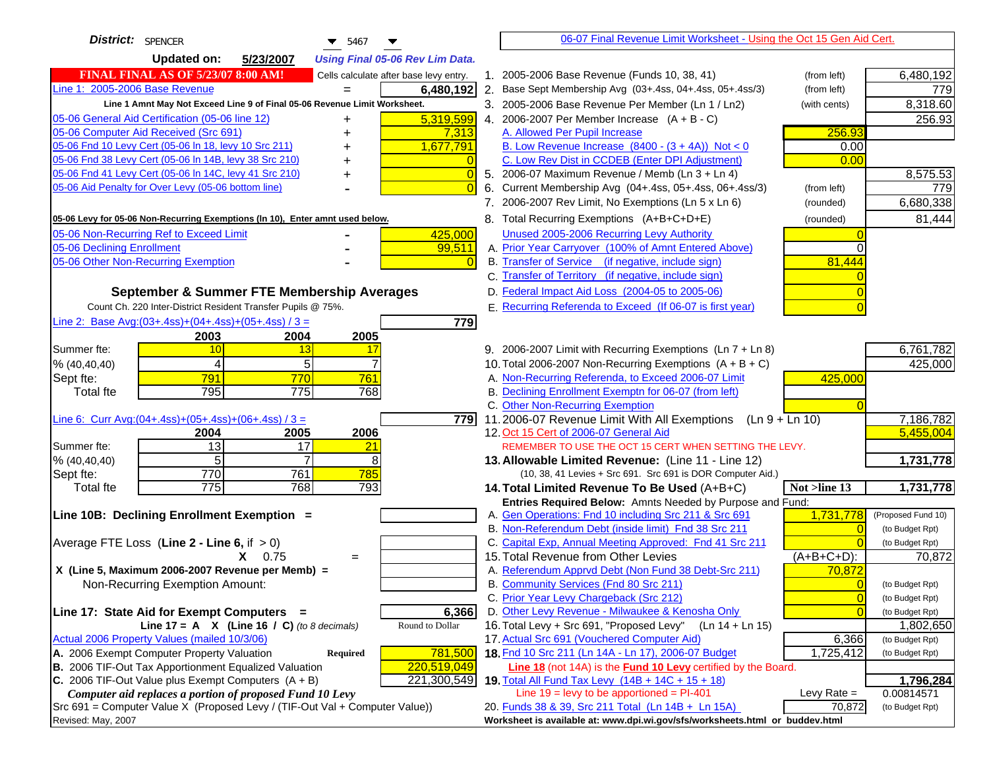| District: SPENCER<br>$\blacktriangledown$ 5467                                      | 06-07 Final Revenue Limit Worksheet - Using the Oct 15 Gen Aid Cert.                                                            |                    |
|-------------------------------------------------------------------------------------|---------------------------------------------------------------------------------------------------------------------------------|--------------------|
| <b>Updated on:</b><br>5/23/2007<br><b>Using Final 05-06 Rev Lim Data.</b>           |                                                                                                                                 |                    |
| <b>FINAL FINAL AS OF 5/23/07 8:00 AM!</b><br>Cells calculate after base levy entry. | 1. 2005-2006 Base Revenue (Funds 10, 38, 41)<br>(from left)                                                                     | 6,480,192          |
| Line 1: 2005-2006 Base Revenue<br>6,480,192                                         | 2. Base Sept Membership Avg (03+.4ss, 04+.4ss, 05+.4ss/3)<br>(from left)                                                        | 779                |
| Line 1 Amnt May Not Exceed Line 9 of Final 05-06 Revenue Limit Worksheet.           | 3. 2005-2006 Base Revenue Per Member (Ln 1 / Ln2)<br>(with cents)                                                               | 8,318.60           |
| 5,319,599<br>05-06 General Aid Certification (05-06 line 12)                        | 4. 2006-2007 Per Member Increase $(A + B - C)$                                                                                  | 256.93             |
| 05-06 Computer Aid Received (Src 691)<br>7,313                                      | 256.93<br>A. Allowed Per Pupil Increase                                                                                         |                    |
| 05-06 Fnd 10 Levy Cert (05-06 In 18, levy 10 Src 211)<br>1,677,791                  | B. Low Revenue Increase $(8400 - (3 + 4A))$ Not < 0<br>0.00                                                                     |                    |
| 05-06 Fnd 38 Levy Cert (05-06 In 14B, levy 38 Src 210)                              | C. Low Rev Dist in CCDEB (Enter DPI Adjustment)<br>0.00                                                                         |                    |
| 05-06 Fnd 41 Levy Cert (05-06 In 14C, levy 41 Src 210)<br>$\overline{0}$<br>+       | 5. 2006-07 Maximum Revenue / Memb (Ln $3 + \text{Ln } 4$ )                                                                      | 8,575.53           |
| 05-06 Aid Penalty for Over Levy (05-06 bottom line)<br>$\overline{0}$               | Current Membership Avg (04+.4ss, 05+.4ss, 06+.4ss/3)<br>6.<br>(from left)                                                       | 779                |
|                                                                                     | 7. 2006-2007 Rev Limit, No Exemptions (Ln 5 x Ln 6)<br>(rounded)                                                                | 6,680,338          |
| 05-06 Levy for 05-06 Non-Recurring Exemptions (In 10), Enter amnt used below.       | 8. Total Recurring Exemptions (A+B+C+D+E)<br>(rounded)                                                                          | 81,444             |
| 05-06 Non-Recurring Ref to Exceed Limit<br>425,000                                  | Unused 2005-2006 Recurring Levy Authority                                                                                       |                    |
| 05-06 Declining Enrollment<br>99,511                                                | A. Prior Year Carryover (100% of Amnt Entered Above)<br>∩                                                                       |                    |
| 05-06 Other Non-Recurring Exemption<br>$\Omega$                                     | B. Transfer of Service (if negative, include sign)<br>81,444                                                                    |                    |
|                                                                                     | C. Transfer of Territory (if negative, include sign)                                                                            |                    |
| September & Summer FTE Membership Averages                                          | D. Federal Impact Aid Loss (2004-05 to 2005-06)                                                                                 |                    |
| Count Ch. 220 Inter-District Resident Transfer Pupils @ 75%.                        | E. Recurring Referenda to Exceed (If 06-07 is first year)                                                                       |                    |
| Line 2: Base Avg: (03+.4ss) + (04+.4ss) + (05+.4ss) / 3 =<br>779                    |                                                                                                                                 |                    |
| 2003<br>2004<br>2005                                                                |                                                                                                                                 |                    |
| Summer fte:<br>10<br>13<br>17                                                       | 9. 2006-2007 Limit with Recurring Exemptions (Ln 7 + Ln 8)                                                                      | 6,761,782          |
| 5<br>$\overline{7}$<br>4<br>% (40, 40, 40)                                          | 10. Total 2006-2007 Non-Recurring Exemptions $(A + B + C)$                                                                      | 425,000            |
| 791<br>770<br>761<br>Sept fte:                                                      | A. Non-Recurring Referenda, to Exceed 2006-07 Limit<br>425,000                                                                  |                    |
| 795<br>775<br>Total fte<br>768                                                      | B. Declining Enrollment Exemptn for 06-07 (from left)                                                                           |                    |
|                                                                                     | C. Other Non-Recurring Exemption                                                                                                |                    |
| Line 6: Curr Avg: $(04+.4ss)+(05+.4ss)+(06+.4ss)/3 =$<br>7791                       | 11.2006-07 Revenue Limit With All Exemptions (Ln $9 + \overline{\text{Ln }10}$ )                                                | 7,186,782          |
| 2005<br>2006<br>2004                                                                | 12. Oct 15 Cert of 2006-07 General Aid                                                                                          | 5,455,004          |
| 13<br>17<br>Summer fte:<br>21                                                       | REMEMBER TO USE THE OCT 15 CERT WHEN SETTING THE LEVY.                                                                          |                    |
| 5<br>8<br>$\overline{7}$<br>% (40, 40, 40)                                          | 13. Allowable Limited Revenue: (Line 11 - Line 12)                                                                              | 1,731,778          |
| 770<br>761<br>785<br>Sept fte:<br>775                                               | (10, 38, 41 Levies + Src 691. Src 691 is DOR Computer Aid.)                                                                     |                    |
| 768<br>793<br><b>Total fte</b>                                                      | 14. Total Limited Revenue To Be Used (A+B+C)<br>Not >line 13                                                                    | 1,731,778          |
| Line 10B: Declining Enrollment Exemption =                                          | Entries Required Below: Amnts Needed by Purpose and Fund:<br>A. Gen Operations: Fnd 10 including Src 211 & Src 691<br>1,731,778 | (Proposed Fund 10) |
|                                                                                     | B. Non-Referendum Debt (inside limit) Fnd 38 Src 211<br>$\Omega$                                                                | (to Budget Rpt)    |
| Average FTE Loss (Line $2 -$ Line 6, if $> 0$ )                                     | C. Capital Exp, Annual Meeting Approved: Fnd 41 Src 211                                                                         | (to Budget Rpt)    |
| $X = 0.75$<br>$=$                                                                   | 15. Total Revenue from Other Levies<br>$(A+B+C+D)$ :                                                                            | 70,872             |
| X (Line 5, Maximum 2006-2007 Revenue per Memb) =                                    | A. Referendum Apprvd Debt (Non Fund 38 Debt-Src 211)<br>70,872                                                                  |                    |
| Non-Recurring Exemption Amount:                                                     | B. Community Services (Fnd 80 Src 211)<br>$\Omega$                                                                              | (to Budget Rpt)    |
|                                                                                     | C. Prior Year Levy Chargeback (Src 212)<br>$\overline{0}$                                                                       | (to Budget Rpt)    |
| 6,366<br>Line 17: State Aid for Exempt Computers =                                  | D. Other Levy Revenue - Milwaukee & Kenosha Only<br>$\Omega$                                                                    | (to Budget Rpt)    |
| Line 17 = A $X$ (Line 16 / C) (to 8 decimals)<br>Round to Dollar                    | 16. Total Levy + Src 691, "Proposed Levy"<br>(Ln 14 + Ln 15)                                                                    | 1,802,650          |
| Actual 2006 Property Values (mailed 10/3/06)                                        | 17. Actual Src 691 (Vouchered Computer Aid)<br>6,366                                                                            | (to Budget Rpt)    |
| A. 2006 Exempt Computer Property Valuation<br>781,500<br><b>Required</b>            | 18. Fnd 10 Src 211 (Ln 14A - Ln 17), 2006-07 Budget<br>1,725,412                                                                | (to Budget Rpt)    |
| B. 2006 TIF-Out Tax Apportionment Equalized Valuation<br>220,519,049                | Line 18 (not 14A) is the <b>Fund 10 Levy</b> certified by the Board.                                                            |                    |
| C. 2006 TIF-Out Value plus Exempt Computers $(A + B)$<br>221,300,549                | 19. Total All Fund Tax Levy (14B + 14C + 15 + 18)                                                                               | 1,796,284          |
| Computer aid replaces a portion of proposed Fund 10 Levy                            | Line $19$ = levy to be apportioned = PI-401<br>Levy Rate $=$                                                                    | 0.00814571         |
| Src 691 = Computer Value X (Proposed Levy / (TIF-Out Val + Computer Value))         | 20. Funds 38 & 39, Src 211 Total (Ln 14B + Ln 15A)<br>70,872                                                                    | (to Budget Rpt)    |
| Revised: May, 2007                                                                  | Worksheet is available at: www.dpi.wi.gov/sfs/worksheets.html or buddev.html                                                    |                    |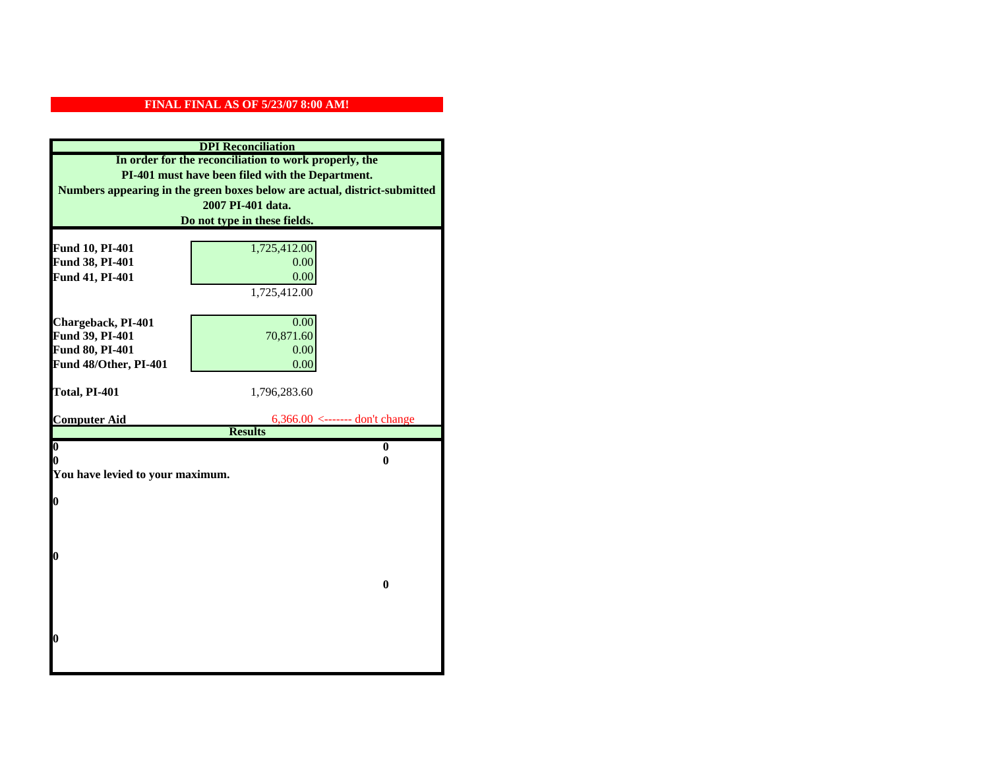| <b>DPI</b> Reconciliation                                                 |                                |  |  |
|---------------------------------------------------------------------------|--------------------------------|--|--|
| In order for the reconciliation to work properly, the                     |                                |  |  |
| PI-401 must have been filed with the Department.                          |                                |  |  |
| Numbers appearing in the green boxes below are actual, district-submitted |                                |  |  |
|                                                                           | 2007 PI-401 data.              |  |  |
| Do not type in these fields.                                              |                                |  |  |
|                                                                           |                                |  |  |
| Fund 10, PI-401                                                           | 1,725,412.00                   |  |  |
| Fund 38, PI-401                                                           | 0.00                           |  |  |
| Fund 41, PI-401                                                           | 0.00                           |  |  |
|                                                                           | 1,725,412.00                   |  |  |
|                                                                           |                                |  |  |
| Chargeback, PI-401                                                        | 0.00                           |  |  |
| Fund 39, PI-401                                                           | 70,871.60                      |  |  |
| Fund 80, PI-401                                                           | 0.00                           |  |  |
| Fund 48/Other, PI-401                                                     | 0.00                           |  |  |
| Total, PI-401                                                             | 1,796,283.60                   |  |  |
|                                                                           |                                |  |  |
| <b>Computer Aid</b>                                                       | 6,366.00 <------- don't change |  |  |
|                                                                           | <b>Results</b>                 |  |  |
| $\boldsymbol{0}$                                                          | $\mathbf{0}$                   |  |  |
| 0                                                                         | 0                              |  |  |
| You have levied to your maximum.                                          |                                |  |  |
| $\bf{0}$                                                                  |                                |  |  |
|                                                                           |                                |  |  |
|                                                                           |                                |  |  |
|                                                                           |                                |  |  |
|                                                                           |                                |  |  |
| 0                                                                         |                                |  |  |
|                                                                           |                                |  |  |
|                                                                           | $\bf{0}$                       |  |  |
|                                                                           |                                |  |  |
|                                                                           |                                |  |  |
|                                                                           |                                |  |  |
| 0                                                                         |                                |  |  |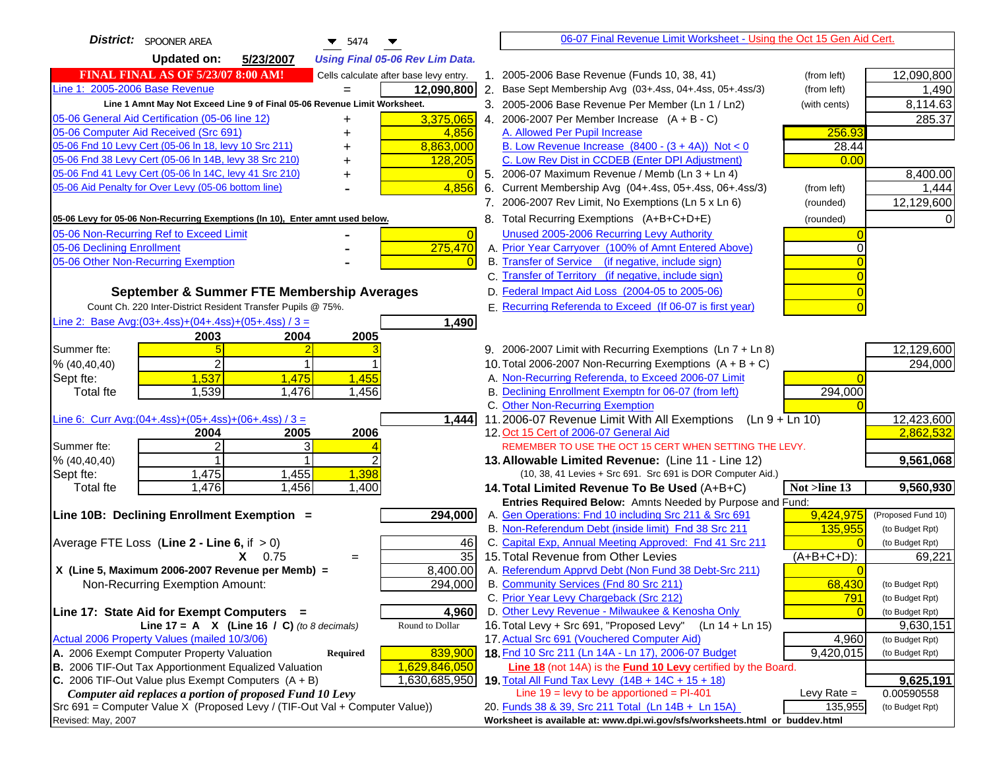| <b>District:</b> SPOONER AREA<br>$\blacktriangledown$ 5474                          |                | 06-07 Final Revenue Limit Worksheet - Using the Oct 15 Gen Aid Cert.                                            |           |                           |
|-------------------------------------------------------------------------------------|----------------|-----------------------------------------------------------------------------------------------------------------|-----------|---------------------------|
| <b>Updated on:</b><br>5/23/2007<br><b>Using Final 05-06 Rev Lim Data.</b>           |                |                                                                                                                 |           |                           |
| <b>FINAL FINAL AS OF 5/23/07 8:00 AM!</b><br>Cells calculate after base levy entry. |                | 1. 2005-2006 Base Revenue (Funds 10, 38, 41)<br>(from left)                                                     |           | 12,090,800                |
| Line 1: 2005-2006 Base Revenue<br>12,090,800                                        |                | 2. Base Sept Membership Avg (03+.4ss, 04+.4ss, 05+.4ss/3)<br>(from left)                                        |           | 1,490                     |
| Line 1 Amnt May Not Exceed Line 9 of Final 05-06 Revenue Limit Worksheet.           |                | 3. 2005-2006 Base Revenue Per Member (Ln 1 / Ln2)<br>(with cents)                                               |           | 8,114.63                  |
| 05-06 General Aid Certification (05-06 line 12)<br>3,375,065<br>+                   |                | 4. 2006-2007 Per Member Increase $(A + B - C)$                                                                  |           | 285.37                    |
| 05-06 Computer Aid Received (Src 691)<br>4,856                                      |                | A. Allowed Per Pupil Increase                                                                                   | 256.93    |                           |
| 8,863,000<br>05-06 Fnd 10 Levy Cert (05-06 ln 18, levy 10 Src 211)                  |                | B. Low Revenue Increase $(8400 - (3 + 4A))$ Not < 0                                                             | 28.44     |                           |
| 05-06 Fnd 38 Levy Cert (05-06 In 14B, levy 38 Src 210)<br>128,205                   |                | C. Low Rev Dist in CCDEB (Enter DPI Adjustment)                                                                 | 0.00      |                           |
| 05-06 Fnd 41 Levy Cert (05-06 In 14C, levy 41 Src 210)                              |                | 5. 2006-07 Maximum Revenue / Memb (Ln 3 + Ln 4)                                                                 |           | 8,400.00                  |
| 05-06 Aid Penalty for Over Levy (05-06 bottom line)<br>4,856                        |                | 6. Current Membership Avg (04+.4ss, 05+.4ss, 06+.4ss/3)<br>(from left)                                          |           | 1,444                     |
|                                                                                     |                | 7. 2006-2007 Rev Limit, No Exemptions (Ln 5 x Ln 6)<br>(rounded)                                                |           | 12,129,600                |
| 05-06 Levy for 05-06 Non-Recurring Exemptions (In 10), Enter amnt used below.       |                | 8. Total Recurring Exemptions (A+B+C+D+E)<br>(rounded)                                                          |           |                           |
| 05-06 Non-Recurring Ref to Exceed Limit                                             | $\overline{0}$ | Unused 2005-2006 Recurring Levy Authority                                                                       |           |                           |
| 275,470<br>05-06 Declining Enrollment                                               |                | A. Prior Year Carryover (100% of Amnt Entered Above)                                                            |           |                           |
| 05-06 Other Non-Recurring Exemption                                                 |                | B. Transfer of Service (if negative, include sign)                                                              |           |                           |
|                                                                                     |                | C. Transfer of Territory (if negative, include sign)                                                            |           |                           |
| September & Summer FTE Membership Averages                                          |                | D. Federal Impact Aid Loss (2004-05 to 2005-06)                                                                 |           |                           |
| Count Ch. 220 Inter-District Resident Transfer Pupils @ 75%.                        |                | E. Recurring Referenda to Exceed (If 06-07 is first year)                                                       |           |                           |
| Line 2: Base Avg:(03+.4ss)+(04+.4ss)+(05+.4ss) / 3 =<br>1,490                       |                |                                                                                                                 |           |                           |
| 2003<br>2004<br>2005                                                                |                |                                                                                                                 |           |                           |
| Summer fte:                                                                         |                | 9. 2006-2007 Limit with Recurring Exemptions (Ln 7 + Ln 8)                                                      |           | 12,129,600                |
| 2<br>% (40, 40, 40)                                                                 |                | 10. Total 2006-2007 Non-Recurring Exemptions $(A + B + C)$                                                      |           | 294,000                   |
| 1,537<br>1,475<br>1,455<br>Sept fte:                                                |                | A. Non-Recurring Referenda, to Exceed 2006-07 Limit                                                             |           |                           |
| 1,539<br>1,476<br>1,456<br><b>Total fte</b>                                         |                | B. Declining Enrollment Exemptn for 06-07 (from left)                                                           | 294,000   |                           |
|                                                                                     |                | C. Other Non-Recurring Exemption                                                                                |           |                           |
| Line 6: Curr Avg: $(04+.4ss)+(05+.4ss)+(06+.4ss)/3=$<br>1,444                       |                | 11.2006-07 Revenue Limit With All Exemptions<br>$(Ln 9 + Ln 10)$                                                |           | 12,423,600                |
| 2005<br>2006<br>2004                                                                |                | 12. Oct 15 Cert of 2006-07 General Aid                                                                          |           | 2,862,532                 |
| $\overline{2}$<br>3<br>Summer fte:                                                  |                | REMEMBER TO USE THE OCT 15 CERT WHEN SETTING THE LEVY.                                                          |           |                           |
| % (40, 40, 40)                                                                      |                | 13. Allowable Limited Revenue: (Line 11 - Line 12)                                                              |           | 9,561,068                 |
| 1,398<br>1,475<br>1,455<br>Sept fte:                                                |                | (10, 38, 41 Levies + Src 691. Src 691 is DOR Computer Aid.)                                                     |           |                           |
| 1,456<br>1,476<br>1,400<br><b>Total fte</b>                                         |                | 14. Total Limited Revenue To Be Used (A+B+C)<br>Not >line 13                                                    |           | 9,560,930                 |
|                                                                                     |                | Entries Required Below: Amnts Needed by Purpose and Fund:                                                       |           |                           |
| Line 10B: Declining Enrollment Exemption =<br>294,000                               |                | A. Gen Operations: Fnd 10 including Src 211 & Src 691                                                           | 9,424,975 | (Proposed Fund 10)        |
|                                                                                     |                | B. Non-Referendum Debt (inside limit) Fnd 38 Src 211<br>C. Capital Exp, Annual Meeting Approved: Fnd 41 Src 211 | 135,955   | (to Budget Rpt)           |
| Average FTE Loss (Line $2 -$ Line 6, if $> 0$ )<br>$X = 0.75$                       | 46<br>35       | 15. Total Revenue from Other Levies<br>$(A+B+C+D)$ :                                                            |           | (to Budget Rpt)<br>69,221 |
| $=$<br>X (Line 5, Maximum 2006-2007 Revenue per Memb) =<br>8,400.00                 |                | A. Referendum Apprvd Debt (Non Fund 38 Debt-Src 211)                                                            |           |                           |
| 294,000<br>Non-Recurring Exemption Amount:                                          |                | B. Community Services (Fnd 80 Src 211)                                                                          | 68,430    | (to Budget Rpt)           |
|                                                                                     |                | C. Prior Year Levy Chargeback (Src 212)                                                                         | 791       | (to Budget Rpt)           |
| Line 17: State Aid for Exempt Computers =<br>4,960                                  |                | D. Other Levy Revenue - Milwaukee & Kenosha Only                                                                |           | (to Budget Rpt)           |
| Line 17 = A $X$ (Line 16 / C) (to 8 decimals)<br>Round to Dollar                    |                | 16. Total Levy + Src 691, "Proposed Levy"<br>$(Ln 14 + Ln 15)$                                                  |           | 9,630,151                 |
| Actual 2006 Property Values (mailed 10/3/06)                                        |                | 17. Actual Src 691 (Vouchered Computer Aid)                                                                     | 4,960     | (to Budget Rpt)           |
| A. 2006 Exempt Computer Property Valuation<br>839,900<br><b>Required</b>            |                | 18. Fnd 10 Src 211 (Ln 14A - Ln 17), 2006-07 Budget                                                             | 9,420,015 | (to Budget Rpt)           |
| B. 2006 TIF-Out Tax Apportionment Equalized Valuation<br>1,629,846,050              |                | Line 18 (not 14A) is the <b>Fund 10 Levy</b> certified by the Board.                                            |           |                           |
| C. 2006 TIF-Out Value plus Exempt Computers $(A + B)$<br>1,630,685,950              |                | 19. Total All Fund Tax Levy (14B + 14C + 15 + 18)                                                               |           | 9,625,191                 |
| Computer aid replaces a portion of proposed Fund 10 Levy                            |                | Line $19 = \text{levy}$ to be apportioned = PI-401<br>Levy Rate $=$                                             |           | 0.00590558                |
| Src 691 = Computer Value X (Proposed Levy / (TIF-Out Val + Computer Value))         |                | 20. Funds 38 & 39, Src 211 Total (Ln 14B + Ln 15A)                                                              | 135,955   | (to Budget Rpt)           |
| Revised: May, 2007                                                                  |                | Worksheet is available at: www.dpi.wi.gov/sfs/worksheets.html or buddev.html                                    |           |                           |
|                                                                                     |                |                                                                                                                 |           |                           |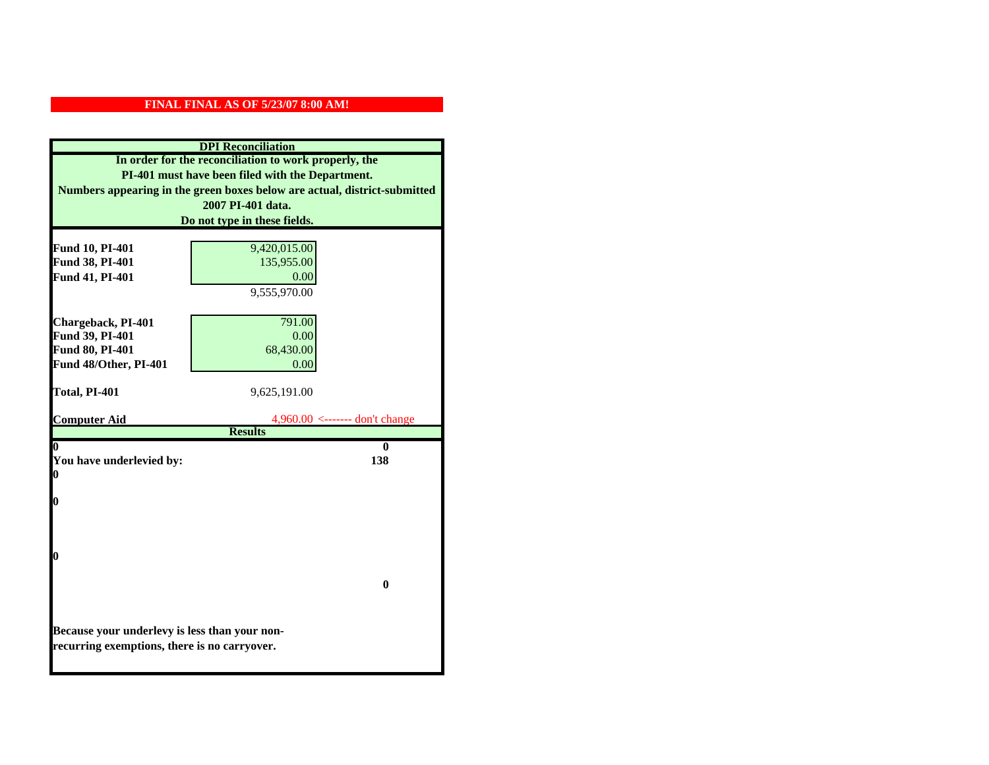| <b>DPI</b> Reconciliation                                                 |                                     |
|---------------------------------------------------------------------------|-------------------------------------|
| In order for the reconciliation to work properly, the                     |                                     |
| PI-401 must have been filed with the Department.                          |                                     |
| Numbers appearing in the green boxes below are actual, district-submitted |                                     |
| 2007 PI-401 data.                                                         |                                     |
| Do not type in these fields.                                              |                                     |
| Fund 10, PI-401                                                           | 9,420,015.00                        |
| Fund 38, PI-401                                                           | 135,955.00                          |
| Fund 41, PI-401                                                           | 0.00                                |
|                                                                           | 9,555,970.00                        |
|                                                                           |                                     |
| Chargeback, PI-401                                                        | 791.00                              |
| Fund 39, PI-401                                                           | 0.00                                |
| Fund 80, PI-401                                                           | 68,430.00                           |
| Fund 48/Other, PI-401                                                     | 0.00                                |
|                                                                           |                                     |
| Total, PI-401                                                             | 9,625,191.00                        |
| <b>Computer Aid</b>                                                       | $4.960.00 \le$ ------- don't change |
|                                                                           | <b>Results</b>                      |
| 0                                                                         | 0                                   |
| You have underlevied by:<br>0                                             | 138                                 |
|                                                                           |                                     |
| 0                                                                         |                                     |
|                                                                           |                                     |
|                                                                           |                                     |
|                                                                           |                                     |
| 0                                                                         |                                     |
|                                                                           | $\mathbf{0}$                        |
|                                                                           |                                     |
|                                                                           |                                     |
| Because your underlevy is less than your non-                             |                                     |
| recurring exemptions, there is no carryover.                              |                                     |
|                                                                           |                                     |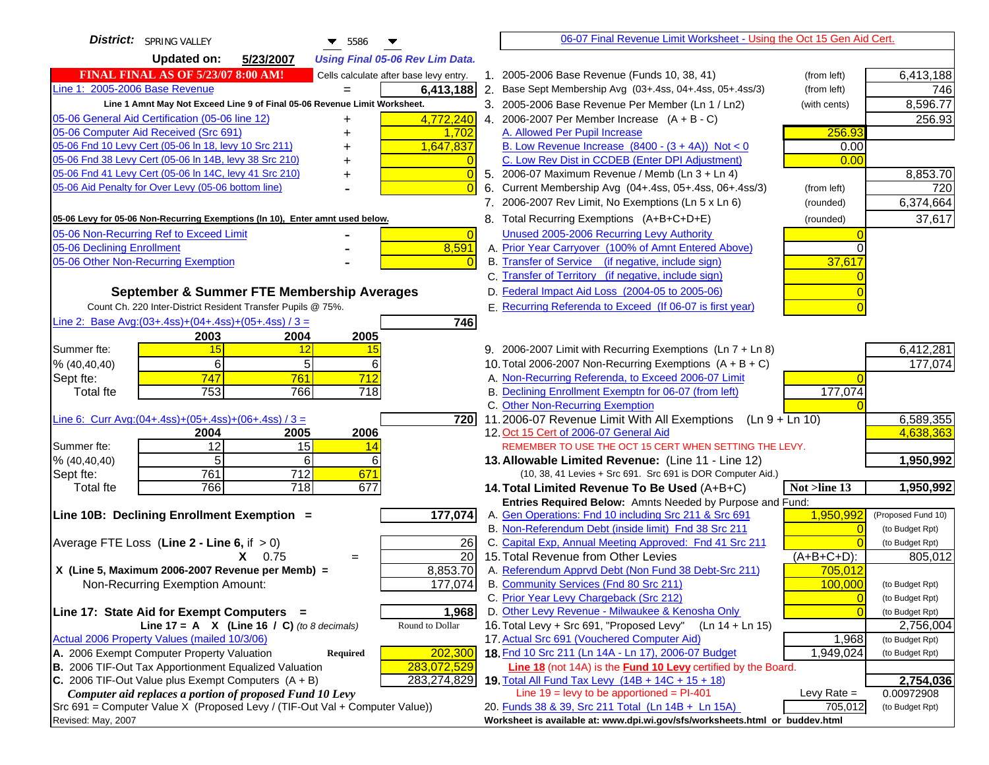| District:   SPRING VALLEY<br>$\blacktriangledown$ 5586                                 | 06-07 Final Revenue Limit Worksheet - Using the Oct 15 Gen Aid Cert.                                         |                            |
|----------------------------------------------------------------------------------------|--------------------------------------------------------------------------------------------------------------|----------------------------|
| <b>Updated on:</b><br>5/23/2007<br><b>Using Final 05-06 Rev Lim Data.</b>              |                                                                                                              |                            |
| <b>FINAL FINAL AS OF 5/23/07 8:00 AM!</b><br>Cells calculate after base levy entry.    | 1. 2005-2006 Base Revenue (Funds 10, 38, 41)<br>(from left)                                                  | 6,413,188                  |
| Line 1: 2005-2006 Base Revenue<br>6,413,188                                            | 2. Base Sept Membership Avg (03+.4ss, 04+.4ss, 05+.4ss/3)<br>(from left)                                     | 746                        |
| Line 1 Amnt May Not Exceed Line 9 of Final 05-06 Revenue Limit Worksheet.              | 3. 2005-2006 Base Revenue Per Member (Ln 1 / Ln2)<br>(with cents)                                            | 8,596.77                   |
| 4,772,240<br>05-06 General Aid Certification (05-06 line 12)<br>+                      | 4. 2006-2007 Per Member Increase $(A + B - C)$                                                               | 256.93                     |
| 05-06 Computer Aid Received (Src 691)<br>1,702<br>+                                    | A. Allowed Per Pupil Increase<br>256.93                                                                      |                            |
| 05-06 Fnd 10 Levy Cert (05-06 In 18, levy 10 Src 211)<br>1,647,837                     | B. Low Revenue Increase $(8400 - (3 + 4A))$ Not < 0<br>0.00                                                  |                            |
| 05-06 Fnd 38 Levy Cert (05-06 In 14B, levy 38 Src 210)                                 | C. Low Rev Dist in CCDEB (Enter DPI Adjustment)<br>0.00                                                      |                            |
| 05-06 Fnd 41 Levy Cert (05-06 In 14C, levy 41 Src 210)<br>$\overline{0}$<br>+          | 5. 2006-07 Maximum Revenue / Memb (Ln 3 + Ln 4)                                                              | 8,853.70                   |
| 05-06 Aid Penalty for Over Levy (05-06 bottom line)                                    | 6. Current Membership Avg (04+.4ss, 05+.4ss, 06+.4ss/3)<br>(from left)                                       | 720                        |
|                                                                                        | 7. 2006-2007 Rev Limit, No Exemptions (Ln 5 x Ln 6)<br>(rounded)                                             | 6,374,664                  |
| 05-06 Levy for 05-06 Non-Recurring Exemptions (In 10), Enter amnt used below.          | 8. Total Recurring Exemptions (A+B+C+D+E)<br>(rounded)                                                       | 37,617                     |
| 05-06 Non-Recurring Ref to Exceed Limit<br>$\overline{0}$                              | Unused 2005-2006 Recurring Levy Authority                                                                    |                            |
| 05-06 Declining Enrollment<br>8,591                                                    | A. Prior Year Carryover (100% of Amnt Entered Above)                                                         |                            |
| 05-06 Other Non-Recurring Exemption                                                    | B. Transfer of Service (if negative, include sign)<br>37,617                                                 |                            |
|                                                                                        | C. Transfer of Territory (if negative, include sign)                                                         |                            |
| September & Summer FTE Membership Averages                                             | D. Federal Impact Aid Loss (2004-05 to 2005-06)                                                              |                            |
| Count Ch. 220 Inter-District Resident Transfer Pupils @ 75%.                           | E. Recurring Referenda to Exceed (If 06-07 is first year)                                                    |                            |
| Line 2: Base Avg: (03+.4ss) + (04+.4ss) + (05+.4ss) / 3 =<br>746                       |                                                                                                              |                            |
| 2003<br>2004<br>2005                                                                   |                                                                                                              |                            |
| Summer fte:<br>15<br>12<br>15                                                          | 9. 2006-2007 Limit with Recurring Exemptions (Ln 7 + Ln 8)                                                   | 6,412,281                  |
| 6<br>5<br>6<br>% (40, 40, 40)                                                          | 10. Total 2006-2007 Non-Recurring Exemptions $(A + B + C)$                                                   | 177,074                    |
| 747<br>761<br>712<br>Sept fte:                                                         | A. Non-Recurring Referenda, to Exceed 2006-07 Limit                                                          |                            |
| 753<br>766<br>718<br>Total fte                                                         | B. Declining Enrollment Exemptn for 06-07 (from left)<br>177,074                                             |                            |
|                                                                                        | C. Other Non-Recurring Exemption                                                                             |                            |
| Line 6: Curr Avg: $(04+.4ss)+(05+.4ss)+(06+.4ss)$ / 3 =<br>$\overline{7}20$            | 11.2006-07 Revenue Limit With All Exemptions (Ln $9 + \overline{\text{Ln }10}$ )                             | 6,589,355                  |
| 2004<br>2005<br>2006                                                                   | 12. Oct 15 Cert of 2006-07 General Aid                                                                       | 4,638,363                  |
| 12<br>Summer fte:<br>15<br>14                                                          | REMEMBER TO USE THE OCT 15 CERT WHEN SETTING THE LEVY.                                                       |                            |
| 5<br>6<br>61<br>% (40, 40, 40)                                                         | 13. Allowable Limited Revenue: (Line 11 - Line 12)                                                           | 1,950,992                  |
| 761<br>712<br>671<br>Sept fte:                                                         | (10, 38, 41 Levies + Src 691. Src 691 is DOR Computer Aid.)                                                  |                            |
| 766<br>$\overline{718}$<br>677<br><b>Total fte</b>                                     | 14. Total Limited Revenue To Be Used (A+B+C)<br>Not >line 13                                                 | 1,950,992                  |
|                                                                                        | Entries Required Below: Amnts Needed by Purpose and Fund:                                                    |                            |
| 177,074<br>Line 10B: Declining Enrollment Exemption =                                  | A. Gen Operations: Fnd 10 including Src 211 & Src 691<br>1,950,992                                           | (Proposed Fund 10)         |
|                                                                                        | B. Non-Referendum Debt (inside limit) Fnd 38 Src 211<br>$\Omega$                                             | (to Budget Rpt)            |
| Average FTE Loss (Line $2 -$ Line 6, if $> 0$ )<br>26<br>$\overline{20}$<br>$X = 0.75$ | C. Capital Exp, Annual Meeting Approved: Fnd 41 Src 211<br>15. Total Revenue from Other Levies<br>(A+B+C+D): | (to Budget Rpt)<br>805,012 |
| $=$<br>8,853.70<br>X (Line 5, Maximum 2006-2007 Revenue per Memb) =                    | A. Referendum Apprvd Debt (Non Fund 38 Debt-Src 211)<br>705,012                                              |                            |
| Non-Recurring Exemption Amount:<br>177,074                                             | B. Community Services (Fnd 80 Src 211)<br>100,000                                                            | (to Budget Rpt)            |
|                                                                                        | C. Prior Year Levy Chargeback (Src 212)<br>$\overline{0}$                                                    | (to Budget Rpt)            |
| Line 17: State Aid for Exempt Computers =<br>1,968                                     | D. Other Levy Revenue - Milwaukee & Kenosha Only<br>$\overline{0}$                                           | (to Budget Rpt)            |
| Line 17 = A $X$ (Line 16 / C) (to 8 decimals)<br>Round to Dollar                       | 16. Total Levy + Src 691, "Proposed Levy"<br>(Ln 14 + Ln 15)                                                 | 2,756,004                  |
| Actual 2006 Property Values (mailed 10/3/06)                                           | 17. Actual Src 691 (Vouchered Computer Aid)<br>1,968                                                         | (to Budget Rpt)            |
| A. 2006 Exempt Computer Property Valuation<br>202,300<br>Required                      | 18. Fnd 10 Src 211 (Ln 14A - Ln 17), 2006-07 Budget<br>1,949,024                                             | (to Budget Rpt)            |
| <b>B.</b> 2006 TIF-Out Tax Apportionment Equalized Valuation<br>283,072,529            | <b>Line 18</b> (not 14A) is the <b>Fund 10 Levy</b> certified by the Board.                                  |                            |
| C. 2006 TIF-Out Value plus Exempt Computers $(A + B)$<br>283,274,829                   | 19. Total All Fund Tax Levy (14B + 14C + 15 + 18)                                                            | 2,754,036                  |
| Computer aid replaces a portion of proposed Fund 10 Levy                               | Line $19 = \text{levy}$ to be apportioned = PI-401<br>Levy Rate $=$                                          | 0.00972908                 |
| Src 691 = Computer Value X (Proposed Levy / (TIF-Out Val + Computer Value))            | 20. Funds 38 & 39, Src 211 Total (Ln 14B + Ln 15A)<br>705,012                                                | (to Budget Rpt)            |
| Revised: May, 2007                                                                     | Worksheet is available at: www.dpi.wi.gov/sfs/worksheets.html or buddev.html                                 |                            |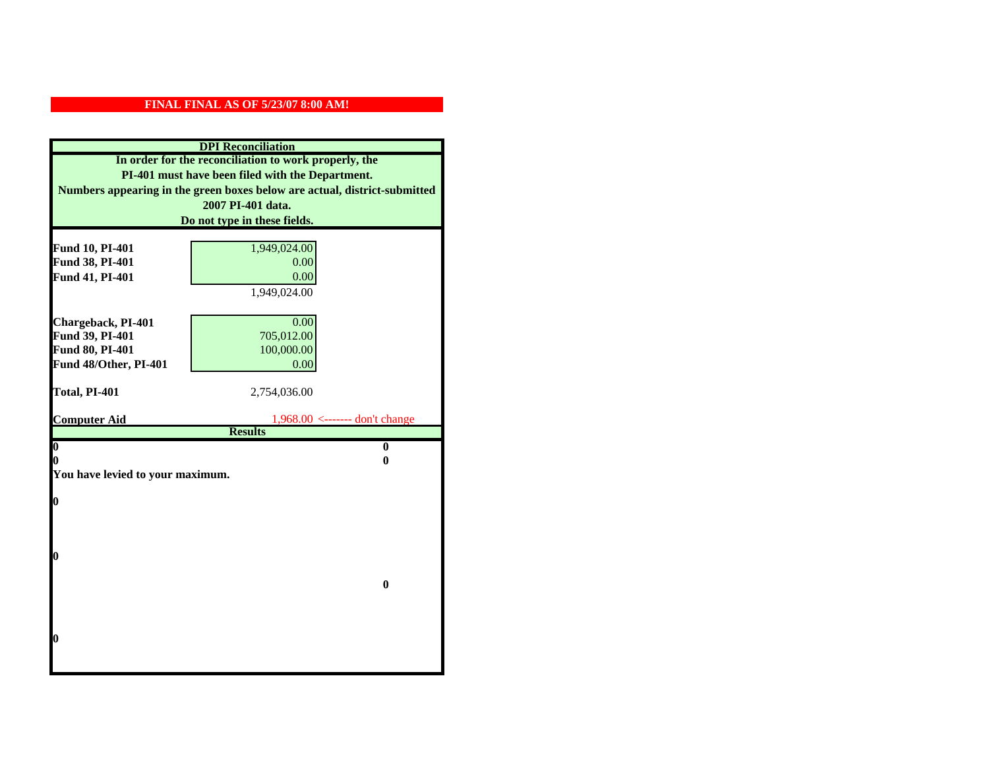| <b>DPI</b> Reconciliation                                                 |                                                       |  |
|---------------------------------------------------------------------------|-------------------------------------------------------|--|
| In order for the reconciliation to work properly, the                     |                                                       |  |
| PI-401 must have been filed with the Department.                          |                                                       |  |
| Numbers appearing in the green boxes below are actual, district-submitted |                                                       |  |
| 2007 PI-401 data.                                                         |                                                       |  |
| Do not type in these fields.                                              |                                                       |  |
|                                                                           |                                                       |  |
| Fund 10, PI-401<br>Fund 38, PI-401                                        | 1,949,024.00<br>0.00                                  |  |
| Fund 41, PI-401                                                           | 0.00                                                  |  |
|                                                                           | 1,949,024.00                                          |  |
|                                                                           |                                                       |  |
| Chargeback, PI-401                                                        | 0.00                                                  |  |
| Fund 39, PI-401                                                           | 705,012.00                                            |  |
| Fund 80, PI-401                                                           | 100,000.00                                            |  |
| Fund 48/Other, PI-401                                                     | 0.00                                                  |  |
|                                                                           |                                                       |  |
| Total, PI-401                                                             | 2,754,036.00                                          |  |
|                                                                           |                                                       |  |
| <b>Computer Aid</b>                                                       | $1,968.00 \le$ ------- don't change<br><b>Results</b> |  |
| $\boldsymbol{0}$                                                          | $\bf{0}$                                              |  |
| 0                                                                         | 0                                                     |  |
| You have levied to your maximum.                                          |                                                       |  |
|                                                                           |                                                       |  |
| 0                                                                         |                                                       |  |
|                                                                           |                                                       |  |
|                                                                           |                                                       |  |
| 0                                                                         |                                                       |  |
|                                                                           |                                                       |  |
|                                                                           | $\bf{0}$                                              |  |
|                                                                           |                                                       |  |
|                                                                           |                                                       |  |
|                                                                           |                                                       |  |
| 0                                                                         |                                                       |  |
|                                                                           |                                                       |  |
|                                                                           |                                                       |  |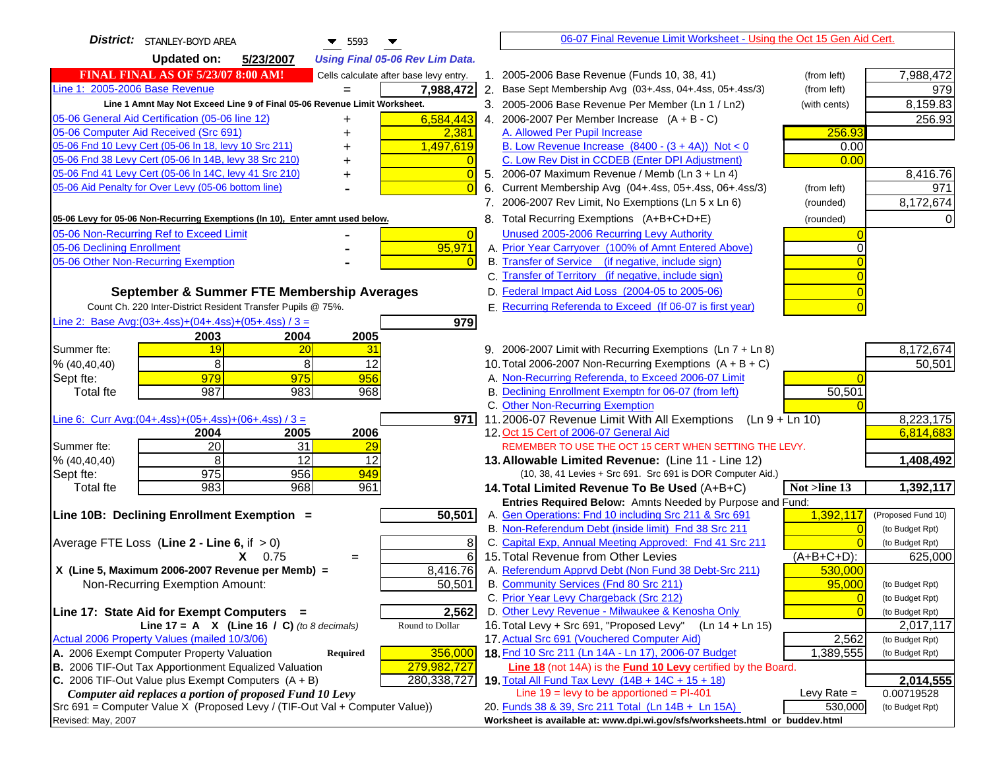| District: STANLEY-BOYD AREA<br>$\blacktriangledown$ 5593                                                                                | 06-07 Final Revenue Limit Worksheet - Using the Oct 15 Gen Aid Cert.                                                               |                               |
|-----------------------------------------------------------------------------------------------------------------------------------------|------------------------------------------------------------------------------------------------------------------------------------|-------------------------------|
| <b>Updated on:</b><br>5/23/2007<br><b>Using Final 05-06 Rev Lim Data.</b>                                                               |                                                                                                                                    |                               |
| <b>FINAL FINAL AS OF 5/23/07 8:00 AM!</b><br>Cells calculate after base levy entry.                                                     | 1. 2005-2006 Base Revenue (Funds 10, 38, 41)<br>(from left)                                                                        | 7,988,472                     |
| Line 1: 2005-2006 Base Revenue<br>7,988,472                                                                                             | 2. Base Sept Membership Avg (03+.4ss, 04+.4ss, 05+.4ss/3)<br>(from left)                                                           | 979                           |
| Line 1 Amnt May Not Exceed Line 9 of Final 05-06 Revenue Limit Worksheet.                                                               | 3. 2005-2006 Base Revenue Per Member (Ln 1 / Ln2)<br>(with cents)                                                                  | 8,159.83                      |
| 6,584,443<br>05-06 General Aid Certification (05-06 line 12)<br>+                                                                       | 4. 2006-2007 Per Member Increase $(A + B - C)$                                                                                     | 256.93                        |
| 05-06 Computer Aid Received (Src 691)<br>2,381<br>+                                                                                     | A. Allowed Per Pupil Increase<br>256.93                                                                                            |                               |
| 05-06 Fnd 10 Levy Cert (05-06 ln 18, levy 10 Src 211)<br>1,497,619                                                                      | B. Low Revenue Increase $(8400 - (3 + 4A))$ Not < 0<br>0.00                                                                        |                               |
| 05-06 Fnd 38 Levy Cert (05-06 In 14B, levy 38 Src 210)                                                                                  | C. Low Rev Dist in CCDEB (Enter DPI Adjustment)<br>0.00                                                                            |                               |
| 05-06 Fnd 41 Levy Cert (05-06 In 14C, levy 41 Src 210)<br>+                                                                             | 5. 2006-07 Maximum Revenue / Memb (Ln 3 + Ln 4)                                                                                    | 8,416.76                      |
| 05-06 Aid Penalty for Over Levy (05-06 bottom line)                                                                                     | Current Membership Avg (04+.4ss, 05+.4ss, 06+.4ss/3)<br>6.<br>(from left)                                                          | 971                           |
|                                                                                                                                         | 7. 2006-2007 Rev Limit, No Exemptions (Ln 5 x Ln 6)<br>(rounded)                                                                   | 8,172,674                     |
| 05-06 Levy for 05-06 Non-Recurring Exemptions (In 10), Enter amnt used below.                                                           | 8. Total Recurring Exemptions (A+B+C+D+E)<br>(rounded)                                                                             |                               |
| 05-06 Non-Recurring Ref to Exceed Limit<br>$\overline{0}$                                                                               | Unused 2005-2006 Recurring Levy Authority                                                                                          |                               |
| 05-06 Declining Enrollment<br>95,971                                                                                                    | A. Prior Year Carryover (100% of Amnt Entered Above)                                                                               |                               |
| 05-06 Other Non-Recurring Exemption                                                                                                     | B. Transfer of Service (if negative, include sign)                                                                                 |                               |
|                                                                                                                                         | C. Transfer of Territory (if negative, include sign)                                                                               |                               |
| September & Summer FTE Membership Averages                                                                                              | D. Federal Impact Aid Loss (2004-05 to 2005-06)                                                                                    |                               |
| Count Ch. 220 Inter-District Resident Transfer Pupils @ 75%.                                                                            | E. Recurring Referenda to Exceed (If 06-07 is first year)                                                                          |                               |
| Line 2: Base Avg: $(03+.4ss)+(04+.4ss)+(05+.4ss)/3 =$<br>979                                                                            |                                                                                                                                    |                               |
| 2003<br>2004<br>2005                                                                                                                    |                                                                                                                                    |                               |
| Summer fte:<br>19<br>20<br>31                                                                                                           | 9. 2006-2007 Limit with Recurring Exemptions (Ln 7 + Ln 8)                                                                         | 8,172,674                     |
| 8<br>8<br>12<br>% (40, 40, 40)                                                                                                          | 10. Total 2006-2007 Non-Recurring Exemptions $(A + B + C)$                                                                         | 50,501                        |
| 979<br>975<br>956<br>Sept fte:                                                                                                          | A. Non-Recurring Referenda, to Exceed 2006-07 Limit                                                                                |                               |
| 987<br>983<br>968<br><b>Total fte</b>                                                                                                   | B. Declining Enrollment Exemptn for 06-07 (from left)<br>50,501                                                                    |                               |
|                                                                                                                                         | C. Other Non-Recurring Exemption                                                                                                   |                               |
| Line 6: Curr Avg: $(04+.4ss)+(05+.4ss)+(06+.4ss)/3 =$<br>971                                                                            | 11.2006-07 Revenue Limit With All Exemptions (Ln $9 + \overline{\text{Ln }10}$ )                                                   | 8,223,175                     |
| 2006<br>2004<br>2005                                                                                                                    | 12. Oct 15 Cert of 2006-07 General Aid                                                                                             | 6,814,683                     |
| 20<br>31<br>Summer fte:<br><u>29</u>                                                                                                    | REMEMBER TO USE THE OCT 15 CERT WHEN SETTING THE LEVY.                                                                             |                               |
| 8<br>12<br>12<br>% (40, 40, 40)<br>975                                                                                                  | 13. Allowable Limited Revenue: (Line 11 - Line 12)                                                                                 | 1,408,492                     |
| 956<br>949<br>Sept fte:<br>983<br><b>Total fte</b><br>968<br>961                                                                        | (10, 38, 41 Levies + Src 691. Src 691 is DOR Computer Aid.)<br>14. Total Limited Revenue To Be Used (A+B+C)<br>Not >line 13        | 1,392,117                     |
|                                                                                                                                         | Entries Required Below: Amnts Needed by Purpose and Fund:                                                                          |                               |
| 50,501<br>Line 10B: Declining Enrollment Exemption =                                                                                    | A. Gen Operations: Fnd 10 including Src 211 & Src 691<br>1,392,117                                                                 | (Proposed Fund 10)            |
|                                                                                                                                         | B. Non-Referendum Debt (inside limit) Fnd 38 Src 211                                                                               | (to Budget Rpt)               |
| Average FTE Loss (Line $2 -$ Line 6, if $> 0$ )<br>8                                                                                    | C. Capital Exp, Annual Meeting Approved: Fnd 41 Src 211                                                                            | (to Budget Rpt)               |
| 6<br>$X = 0.75$<br>$=$                                                                                                                  | 15. Total Revenue from Other Levies<br>$(A+B+C+D)$ :                                                                               | 625,000                       |
| X (Line 5, Maximum 2006-2007 Revenue per Memb) =<br>8,416.76                                                                            | A. Referendum Apprvd Debt (Non Fund 38 Debt-Src 211)<br>530,000                                                                    |                               |
| Non-Recurring Exemption Amount:<br>50,501                                                                                               | B. Community Services (Fnd 80 Src 211)<br>95,000                                                                                   | (to Budget Rpt)               |
|                                                                                                                                         | C. Prior Year Levy Chargeback (Src 212)<br>$\overline{0}$                                                                          | (to Budget Rpt)               |
| 2,562<br>Line 17: State Aid for Exempt Computers =                                                                                      | D. Other Levy Revenue - Milwaukee & Kenosha Only                                                                                   | (to Budget Rpt)               |
| Line 17 = A $X$ (Line 16 / C) (to 8 decimals)<br>Round to Dollar                                                                        | 16. Total Levy + Src 691, "Proposed Levy"<br>(Ln 14 + Ln 15)                                                                       | 2,017,117                     |
| Actual 2006 Property Values (mailed 10/3/06)                                                                                            | 17. Actual Src 691 (Vouchered Computer Aid)<br>2,562                                                                               | (to Budget Rpt)               |
| A. 2006 Exempt Computer Property Valuation<br>Required<br>356,000                                                                       | 18. Fnd 10 Src 211 (Ln 14A - Ln 17), 2006-07 Budget<br>1,389,555                                                                   | (to Budget Rpt)               |
| B. 2006 TIF-Out Tax Apportionment Equalized Valuation<br>279,982,727                                                                    | <b>Line 18</b> (not 14A) is the <b>Fund 10 Levy</b> certified by the Board.                                                        |                               |
| C. 2006 TIF-Out Value plus Exempt Computers $(A + B)$<br>280, 338, 727                                                                  | 19. Total All Fund Tax Levy (14B + 14C + 15 + 18)                                                                                  | 2,014,555                     |
| Computer aid replaces a portion of proposed Fund 10 Levy<br>Src 691 = Computer Value X (Proposed Levy / (TIF-Out Val + Computer Value)) | Line $19 = \text{levy}$ to be apportioned = PI-401<br>Levy Rate $=$<br>530,000                                                     | 0.00719528<br>(to Budget Rpt) |
| Revised: May, 2007                                                                                                                      | 20. Funds 38 & 39, Src 211 Total (Ln 14B + Ln 15A)<br>Worksheet is available at: www.dpi.wi.gov/sfs/worksheets.html or buddev.html |                               |
|                                                                                                                                         |                                                                                                                                    |                               |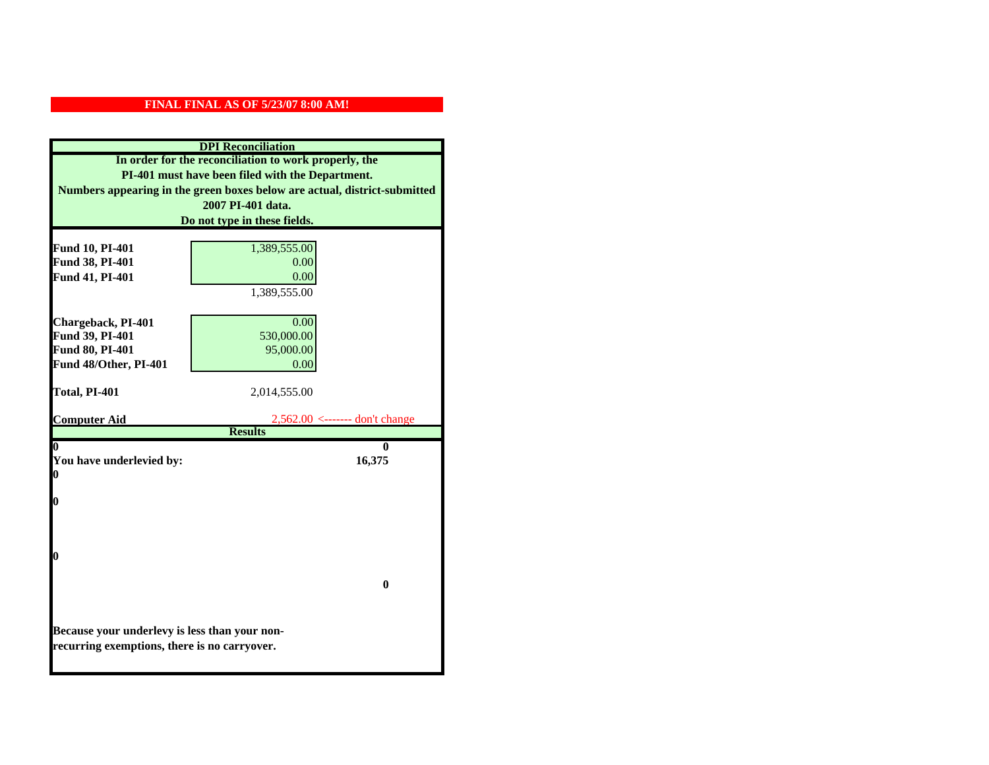| <b>DPI</b> Reconciliation                                                 |                                               |
|---------------------------------------------------------------------------|-----------------------------------------------|
| In order for the reconciliation to work properly, the                     |                                               |
| PI-401 must have been filed with the Department.                          |                                               |
| Numbers appearing in the green boxes below are actual, district-submitted |                                               |
| 2007 PI-401 data.                                                         |                                               |
| Do not type in these fields.                                              |                                               |
|                                                                           |                                               |
| Fund 10, PI-401                                                           | 1,389,555.00                                  |
| Fund 38, PI-401                                                           | 0.00                                          |
| Fund 41, PI-401                                                           | 0.00                                          |
|                                                                           | 1,389,555.00                                  |
|                                                                           |                                               |
| Chargeback, PI-401<br>Fund 39, PI-401                                     | 0.00<br>530,000.00                            |
| Fund 80, PI-401                                                           | 95,000.00                                     |
| Fund 48/Other, PI-401                                                     | 0.00                                          |
|                                                                           |                                               |
| Total, PI-401                                                             | 2,014,555.00                                  |
|                                                                           |                                               |
| <b>Computer Aid</b>                                                       | $2,562.00 \leftarrow \text{---}$ don't change |
|                                                                           | <b>Results</b>                                |
|                                                                           | 0                                             |
| You have underlevied by:<br>0                                             | 16,375                                        |
|                                                                           |                                               |
| 0                                                                         |                                               |
|                                                                           |                                               |
|                                                                           |                                               |
|                                                                           |                                               |
| 0                                                                         |                                               |
|                                                                           |                                               |
|                                                                           | 0                                             |
|                                                                           |                                               |
|                                                                           |                                               |
| Because your underlevy is less than your non-                             |                                               |
| recurring exemptions, there is no carryover.                              |                                               |
|                                                                           |                                               |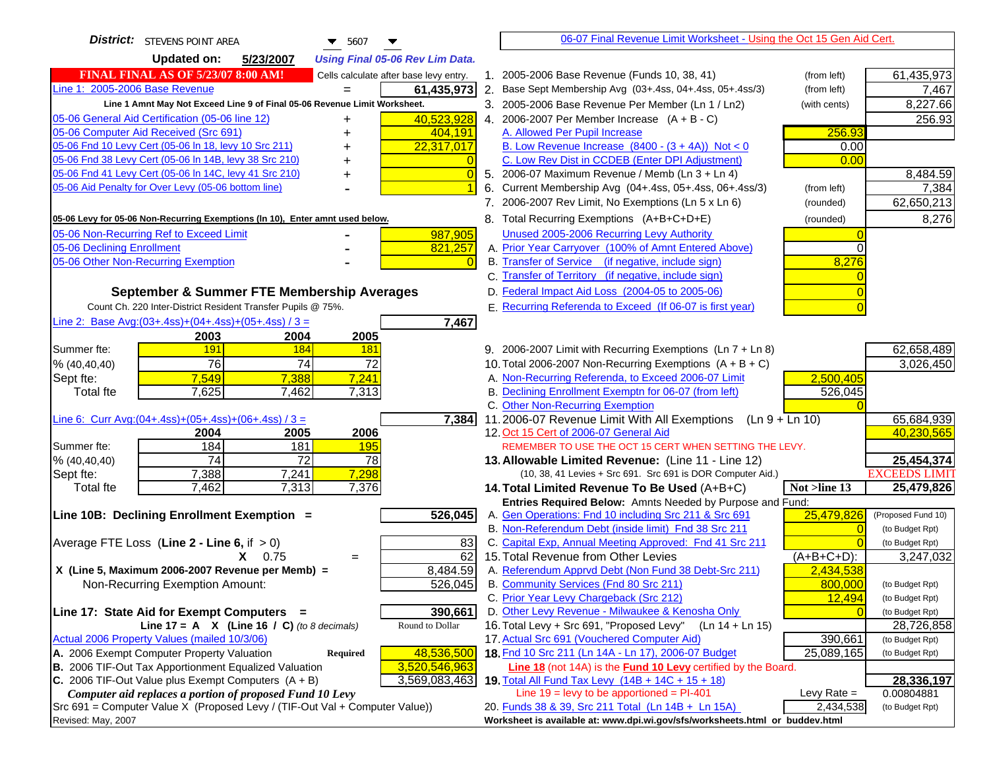| District: STEVENS POINT AREA<br>▼<br>$\blacktriangledown$ 5607                      |                | 06-07 Final Revenue Limit Worksheet - Using the Oct 15 Gen Aid Cert.                                               |                |                      |
|-------------------------------------------------------------------------------------|----------------|--------------------------------------------------------------------------------------------------------------------|----------------|----------------------|
| <b>Updated on:</b><br>5/23/2007<br><b>Using Final 05-06 Rev Lim Data.</b>           |                |                                                                                                                    |                |                      |
| <b>FINAL FINAL AS OF 5/23/07 8:00 AM!</b><br>Cells calculate after base levy entry. |                | 1. 2005-2006 Base Revenue (Funds 10, 38, 41)                                                                       | (from left)    | 61,435,973           |
| Line 1: 2005-2006 Base Revenue<br>61,435,973                                        |                | 2. Base Sept Membership Avg (03+.4ss, 04+.4ss, 05+.4ss/3)                                                          | (from left)    | 7,467                |
| Line 1 Amnt May Not Exceed Line 9 of Final 05-06 Revenue Limit Worksheet.           |                | 3. 2005-2006 Base Revenue Per Member (Ln 1 / Ln2)                                                                  | (with cents)   | 8,227.66             |
| 05-06 General Aid Certification (05-06 line 12)<br>40,523,928<br>+                  |                | 4. 2006-2007 Per Member Increase $(A + B - C)$                                                                     |                | 256.93               |
| 05-06 Computer Aid Received (Src 691)<br>404,191                                    |                | A. Allowed Per Pupil Increase                                                                                      | 256.93         |                      |
| 05-06 Fnd 10 Levy Cert (05-06 ln 18, levy 10 Src 211)<br>22,317,017                 |                | B. Low Revenue Increase $(8400 - (3 + 4A))$ Not < 0                                                                | 0.00           |                      |
| 05-06 Fnd 38 Levy Cert (05-06 In 14B, levy 38 Src 210)                              |                | C. Low Rev Dist in CCDEB (Enter DPI Adjustment)                                                                    | 0.00           |                      |
| 05-06 Fnd 41 Levy Cert (05-06 In 14C, levy 41 Src 210)                              | $\overline{0}$ | 5. 2006-07 Maximum Revenue / Memb (Ln 3 + Ln 4)                                                                    |                | 8,484.59             |
| 05-06 Aid Penalty for Over Levy (05-06 bottom line)                                 |                | Current Membership Avg (04+.4ss, 05+.4ss, 06+.4ss/3)<br>6.                                                         | (from left)    | 7,384                |
|                                                                                     |                | 7. 2006-2007 Rev Limit, No Exemptions (Ln 5 x Ln 6)                                                                | (rounded)      | 62,650,213           |
| 05-06 Levy for 05-06 Non-Recurring Exemptions (In 10), Enter amnt used below.       |                | 8. Total Recurring Exemptions (A+B+C+D+E)                                                                          | (rounded)      | 8,276                |
| 05-06 Non-Recurring Ref to Exceed Limit<br>987,905                                  |                | Unused 2005-2006 Recurring Levy Authority                                                                          |                |                      |
| 05-06 Declining Enrollment<br>821,257                                               |                | A. Prior Year Carryover (100% of Amnt Entered Above)                                                               | 0              |                      |
| 05-06 Other Non-Recurring Exemption                                                 | $\Omega$       | B. Transfer of Service (if negative, include sign)                                                                 | 8,276          |                      |
|                                                                                     |                | C. Transfer of Territory (if negative, include sign)                                                               |                |                      |
| September & Summer FTE Membership Averages                                          |                | D. Federal Impact Aid Loss (2004-05 to 2005-06)                                                                    |                |                      |
| Count Ch. 220 Inter-District Resident Transfer Pupils @ 75%.                        |                | E. Recurring Referenda to Exceed (If 06-07 is first year)                                                          |                |                      |
| Line 2: Base Avg:(03+.4ss)+(04+.4ss)+(05+.4ss) / 3 =<br>7,467                       |                |                                                                                                                    |                |                      |
| 2003<br>2004<br>2005                                                                |                |                                                                                                                    |                |                      |
| 191<br>184<br>Summer fte:<br>181                                                    |                | 9. 2006-2007 Limit with Recurring Exemptions (Ln 7 + Ln 8)                                                         |                | 62,658,489           |
| $\overline{74}$<br>76<br>72<br>% (40, 40, 40)                                       |                | 10. Total 2006-2007 Non-Recurring Exemptions $(A + B + C)$                                                         |                | 3,026,450            |
| 7,549<br>$\overline{7,241}$<br>7,388<br>Sept fte:                                   |                | A. Non-Recurring Referenda, to Exceed 2006-07 Limit                                                                | 2,500,405      |                      |
| 7,625<br>7,462<br>7,313<br><b>Total fte</b>                                         |                | B. Declining Enrollment Exemptn for 06-07 (from left)                                                              | 526,045        |                      |
|                                                                                     |                | C. Other Non-Recurring Exemption                                                                                   |                |                      |
| Line 6: Curr Avg: $(04+.4ss)+(05+.4ss)+(06+.4ss)/3=$<br>7,384                       |                | 11.2006-07 Revenue Limit With All Exemptions<br>$(Ln 9 + Ln 10)$                                                   |                | 65,684,939           |
| 2005<br>2006<br>2004                                                                |                | 12. Oct 15 Cert of 2006-07 General Aid                                                                             |                | 40,230,565           |
| 184<br>181<br><b>195</b><br>Summer fte:                                             |                | REMEMBER TO USE THE OCT 15 CERT WHEN SETTING THE LEVY.                                                             |                |                      |
| 74<br>72<br>78<br>% (40, 40, 40)                                                    |                | 13. Allowable Limited Revenue: (Line 11 - Line 12)                                                                 |                | 25,454,374           |
| 7,298<br>7,388<br>7,241<br>Sept fte:                                                |                | (10, 38, 41 Levies + Src 691. Src 691 is DOR Computer Aid.)                                                        |                | <b>EXCEEDS LIMIT</b> |
| 7,462<br>7,313<br>7,376<br><b>Total fte</b>                                         |                | 14. Total Limited Revenue To Be Used (A+B+C)                                                                       | $Not$ >line 13 | 25,479,826           |
| Line 10B: Declining Enrollment Exemption =<br>526,045                               |                | Entries Required Below: Amnts Needed by Purpose and Fund:<br>A. Gen Operations: Fnd 10 including Src 211 & Src 691 | 25,479,826     | (Proposed Fund 10)   |
|                                                                                     |                | B. Non-Referendum Debt (inside limit) Fnd 38 Src 211                                                               | $\Omega$       | (to Budget Rpt)      |
| Average FTE Loss (Line $2 -$ Line 6, if $> 0$ )                                     | 83             | C. Capital Exp, Annual Meeting Approved: Fnd 41 Src 211                                                            |                | (to Budget Rpt)      |
| $X = 0.75$<br>$=$                                                                   | 62             | 15. Total Revenue from Other Levies                                                                                | $(A+B+C+D)$ :  | 3,247,032            |
| 8,484.59<br>X (Line 5, Maximum 2006-2007 Revenue per Memb) =                        |                | A. Referendum Apprvd Debt (Non Fund 38 Debt-Src 211)                                                               | 2,434,538      |                      |
| 526,045<br>Non-Recurring Exemption Amount:                                          |                | B. Community Services (Fnd 80 Src 211)                                                                             | 800.000        | (to Budget Rpt)      |
|                                                                                     |                | C. Prior Year Levy Chargeback (Src 212)                                                                            | 12,494         | (to Budget Rpt)      |
| 390,661<br>Line 17: State Aid for Exempt Computers =                                |                | D. Other Levy Revenue - Milwaukee & Kenosha Only                                                                   |                | (to Budget Rpt)      |
| Line 17 = A $X$ (Line 16 / C) (to 8 decimals)<br>Round to Dollar                    |                | 16. Total Levy + Src 691, "Proposed Levy"<br>$(Ln 14 + Ln 15)$                                                     |                | 28,726,858           |
| Actual 2006 Property Values (mailed 10/3/06)                                        |                | 17. Actual Src 691 (Vouchered Computer Aid)                                                                        | 390,661        | (to Budget Rpt)      |
| A. 2006 Exempt Computer Property Valuation<br>48,536,500<br><b>Required</b>         |                | 18. Fnd 10 Src 211 (Ln 14A - Ln 17), 2006-07 Budget                                                                | 25,089,165     | (to Budget Rpt)      |
| B. 2006 TIF-Out Tax Apportionment Equalized Valuation<br>3,520,546,963              |                | Line 18 (not 14A) is the <b>Fund 10 Levy</b> certified by the Board.                                               |                |                      |
| C. 2006 TIF-Out Value plus Exempt Computers $(A + B)$<br>3,569,083,463              |                | 19. Total All Fund Tax Levy (14B + 14C + 15 + 18)                                                                  |                | 28,336,197           |
| Computer aid replaces a portion of proposed Fund 10 Levy                            |                | Line $19 = \text{levy}$ to be apportioned = PI-401                                                                 | Levy Rate $=$  | 0.00804881           |
| Src 691 = Computer Value X (Proposed Levy / (TIF-Out Val + Computer Value))         |                | 20. Funds 38 & 39, Src 211 Total (Ln 14B + Ln 15A)                                                                 | 2,434,538      | (to Budget Rpt)      |
| Revised: May, 2007                                                                  |                | Worksheet is available at: www.dpi.wi.gov/sfs/worksheets.html or buddev.html                                       |                |                      |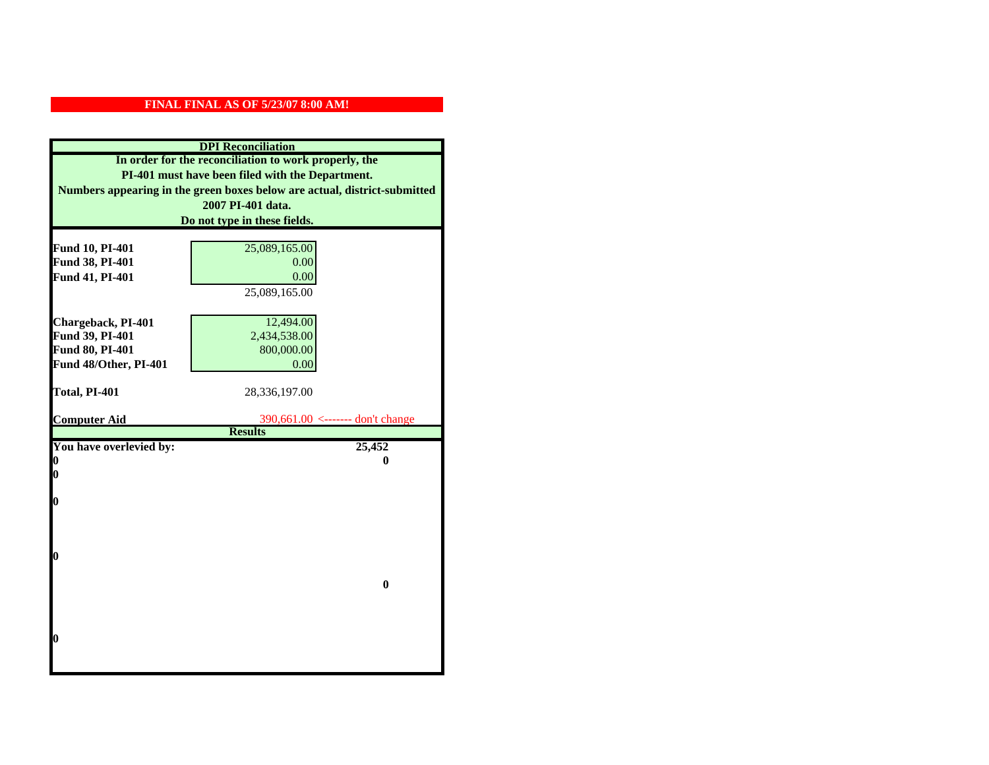| <b>DPI</b> Reconciliation                                                                                                                                                              |                                                 |  |                              |
|----------------------------------------------------------------------------------------------------------------------------------------------------------------------------------------|-------------------------------------------------|--|------------------------------|
| In order for the reconciliation to work properly, the<br>PI-401 must have been filed with the Department.<br>Numbers appearing in the green boxes below are actual, district-submitted |                                                 |  |                              |
|                                                                                                                                                                                        |                                                 |  | 2007 PI-401 data.            |
|                                                                                                                                                                                        |                                                 |  | Do not type in these fields. |
|                                                                                                                                                                                        |                                                 |  |                              |
| Fund 10, PI-401                                                                                                                                                                        | 25,089,165.00                                   |  |                              |
| Fund 38, PI-401                                                                                                                                                                        | 0.00                                            |  |                              |
| Fund 41, PI-401                                                                                                                                                                        | 0.00                                            |  |                              |
|                                                                                                                                                                                        | 25,089,165.00                                   |  |                              |
|                                                                                                                                                                                        |                                                 |  |                              |
| Chargeback, PI-401                                                                                                                                                                     | 12,494.00                                       |  |                              |
| Fund 39, PI-401                                                                                                                                                                        | 2,434,538.00                                    |  |                              |
| Fund 80, PI-401                                                                                                                                                                        | 800,000.00                                      |  |                              |
| Fund 48/Other, PI-401                                                                                                                                                                  | 0.00                                            |  |                              |
|                                                                                                                                                                                        |                                                 |  |                              |
| Total, PI-401                                                                                                                                                                          | 28,336,197.00                                   |  |                              |
| <b>Computer Aid</b>                                                                                                                                                                    | $390,661.00 \leftarrow \text{---}$ don't change |  |                              |
|                                                                                                                                                                                        | <b>Results</b>                                  |  |                              |
| You have overlevied by:                                                                                                                                                                | 25,452                                          |  |                              |
| 0                                                                                                                                                                                      | 0                                               |  |                              |
| 0                                                                                                                                                                                      |                                                 |  |                              |
|                                                                                                                                                                                        |                                                 |  |                              |
| $\boldsymbol{0}$                                                                                                                                                                       |                                                 |  |                              |
|                                                                                                                                                                                        |                                                 |  |                              |
|                                                                                                                                                                                        |                                                 |  |                              |
| 0                                                                                                                                                                                      |                                                 |  |                              |
|                                                                                                                                                                                        |                                                 |  |                              |
|                                                                                                                                                                                        | $\bf{0}$                                        |  |                              |
|                                                                                                                                                                                        |                                                 |  |                              |
|                                                                                                                                                                                        |                                                 |  |                              |
|                                                                                                                                                                                        |                                                 |  |                              |
| 0                                                                                                                                                                                      |                                                 |  |                              |
|                                                                                                                                                                                        |                                                 |  |                              |
|                                                                                                                                                                                        |                                                 |  |                              |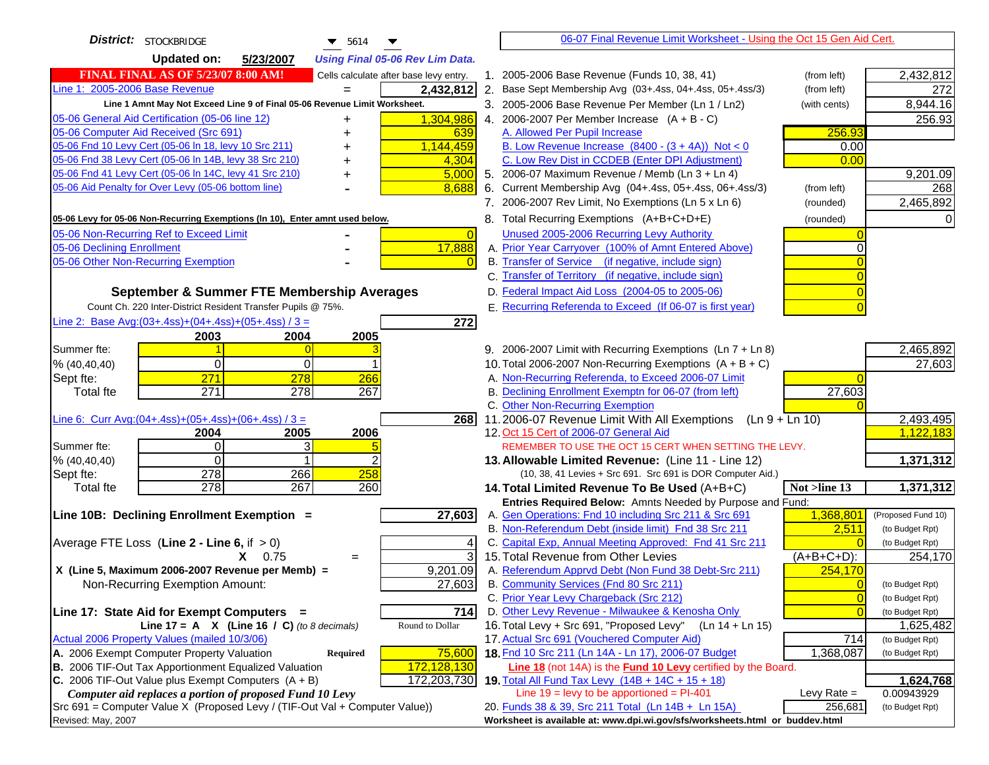| District: STOCKBRIDGE<br>$\blacktriangledown$ 5614                                                                                        |                | 06-07 Final Revenue Limit Worksheet - Using the Oct 15 Gen Aid Cert.                                                     |                                   |
|-------------------------------------------------------------------------------------------------------------------------------------------|----------------|--------------------------------------------------------------------------------------------------------------------------|-----------------------------------|
| <b>Updated on:</b><br>5/23/2007<br><b>Using Final 05-06 Rev Lim Data.</b>                                                                 |                |                                                                                                                          |                                   |
| <b>FINAL FINAL AS OF 5/23/07 8:00 AM!</b><br>Cells calculate after base levy entry.                                                       |                | 1. 2005-2006 Base Revenue (Funds 10, 38, 41)<br>(from left)                                                              | 2,432,812                         |
| Line 1: 2005-2006 Base Revenue<br>2,432,812                                                                                               |                | 2. Base Sept Membership Avg (03+.4ss, 04+.4ss, 05+.4ss/3)<br>(from left)                                                 | 272                               |
| Line 1 Amnt May Not Exceed Line 9 of Final 05-06 Revenue Limit Worksheet.                                                                 |                | 3. 2005-2006 Base Revenue Per Member (Ln 1 / Ln2)<br>(with cents)                                                        | 8,944.16                          |
| 1,304,986<br>05-06 General Aid Certification (05-06 line 12)                                                                              |                | 4. 2006-2007 Per Member Increase $(A + B - C)$                                                                           | 256.93                            |
| 05-06 Computer Aid Received (Src 691)<br>639                                                                                              |                | A. Allowed Per Pupil Increase<br>256.93                                                                                  |                                   |
| 05-06 Fnd 10 Levy Cert (05-06 In 18, levy 10 Src 211)<br>1,144,459                                                                        |                | B. Low Revenue Increase $(8400 - (3 + 4A))$ Not < 0                                                                      | 0.00                              |
| 05-06 Fnd 38 Levy Cert (05-06 In 14B, levy 38 Src 210)<br>4,304                                                                           |                | C. Low Rev Dist in CCDEB (Enter DPI Adjustment)                                                                          | 0.00                              |
| 05-06 Fnd 41 Levy Cert (05-06 In 14C, levy 41 Src 210)<br>5,000<br>+                                                                      |                | 5. 2006-07 Maximum Revenue / Memb (Ln 3 + Ln 4)                                                                          | 9,201.09                          |
| 05-06 Aid Penalty for Over Levy (05-06 bottom line)<br>8,688                                                                              |                | 6. Current Membership Avg (04+.4ss, 05+.4ss, 06+.4ss/3)<br>(from left)                                                   | 268                               |
|                                                                                                                                           |                | 7. 2006-2007 Rev Limit, No Exemptions (Ln 5 x Ln 6)<br>(rounded)                                                         | 2,465,892                         |
| 05-06 Levy for 05-06 Non-Recurring Exemptions (In 10), Enter amnt used below.                                                             |                | 8. Total Recurring Exemptions (A+B+C+D+E)<br>(rounded)                                                                   |                                   |
| 05-06 Non-Recurring Ref to Exceed Limit                                                                                                   | $\overline{0}$ | Unused 2005-2006 Recurring Levy Authority                                                                                |                                   |
| 17,888<br>05-06 Declining Enrollment                                                                                                      |                | A. Prior Year Carryover (100% of Amnt Entered Above)                                                                     |                                   |
| 05-06 Other Non-Recurring Exemption                                                                                                       |                | B. Transfer of Service (if negative, include sign)                                                                       |                                   |
|                                                                                                                                           |                | C. Transfer of Territory (if negative, include sign)                                                                     |                                   |
| September & Summer FTE Membership Averages                                                                                                |                | D. Federal Impact Aid Loss (2004-05 to 2005-06)                                                                          |                                   |
| Count Ch. 220 Inter-District Resident Transfer Pupils @ 75%.                                                                              |                | E. Recurring Referenda to Exceed (If 06-07 is first year)                                                                |                                   |
| Line 2: Base Avg: (03+.4ss) + (04+.4ss) + (05+.4ss) / 3 =                                                                                 | 272            |                                                                                                                          |                                   |
| 2003<br>2004<br>2005                                                                                                                      |                |                                                                                                                          |                                   |
| Summer fte:                                                                                                                               |                | 9. 2006-2007 Limit with Recurring Exemptions (Ln 7 + Ln 8)                                                               | 2,465,892                         |
| $\Omega$<br>% (40, 40, 40)<br>0                                                                                                           |                | 10. Total 2006-2007 Non-Recurring Exemptions $(A + B + C)$                                                               | 27,603                            |
| 271<br>278<br>266<br>Sept fte:                                                                                                            |                | A. Non-Recurring Referenda, to Exceed 2006-07 Limit                                                                      |                                   |
| $\overline{271}$<br>$\overline{278}$<br>267<br><b>Total fte</b>                                                                           |                | B. Declining Enrollment Exemptn for 06-07 (from left)<br>27,603                                                          |                                   |
|                                                                                                                                           |                | C. Other Non-Recurring Exemption                                                                                         |                                   |
| Line 6: Curr Avg: $(04+.4ss)+(05+.4ss)+(06+.4ss)/3 =$                                                                                     | <b>268</b>     | 11.2006-07 Revenue Limit With All Exemptions (Ln 9 + Ln 10)                                                              | 2,493,495                         |
| 2005<br>2006<br>2004<br>$\Omega$<br>3<br>Summer fte:                                                                                      |                | 12. Oct 15 Cert of 2006-07 General Aid<br>REMEMBER TO USE THE OCT 15 CERT WHEN SETTING THE LEVY.                         | 1,122,183                         |
| % (40, 40, 40)<br>$\Omega$                                                                                                                |                | 13. Allowable Limited Revenue: (Line 11 - Line 12)                                                                       | 1,371,312                         |
| 278<br>266<br>258<br>Sept fte:                                                                                                            |                | (10, 38, 41 Levies + Src 691. Src 691 is DOR Computer Aid.)                                                              |                                   |
| 278<br>267<br>260<br><b>Total fte</b>                                                                                                     |                | 14. Total Limited Revenue To Be Used (A+B+C)<br>Not >line 13                                                             | 1,371,312                         |
|                                                                                                                                           |                | Entries Required Below: Amnts Needed by Purpose and Fund:                                                                |                                   |
| 27,603<br>Line 10B: Declining Enrollment Exemption =                                                                                      |                | A. Gen Operations: Fnd 10 including Src 211 & Src 691<br>1,368,801                                                       | (Proposed Fund 10)                |
|                                                                                                                                           |                | B. Non-Referendum Debt (inside limit) Fnd 38 Src 211                                                                     | 2,511<br>(to Budget Rpt)          |
| Average FTE Loss (Line $2 -$ Line 6, if $> 0$ )                                                                                           |                | C. Capital Exp, Annual Meeting Approved: Fnd 41 Src 211                                                                  | (to Budget Rpt)                   |
| $X = 0.75$<br>$=$                                                                                                                         | 3              | 15. Total Revenue from Other Levies<br>(A+B+C+D):                                                                        | 254,170                           |
| X (Line 5, Maximum 2006-2007 Revenue per Memb) =<br>9,201.09                                                                              |                | A. Referendum Apprvd Debt (Non Fund 38 Debt-Src 211)<br>254,170                                                          |                                   |
| 27,603<br>Non-Recurring Exemption Amount:                                                                                                 |                | B. Community Services (Fnd 80 Src 211)                                                                                   | $\overline{0}$<br>(to Budget Rpt) |
|                                                                                                                                           |                | C. Prior Year Levy Chargeback (Src 212)                                                                                  | $\overline{0}$<br>(to Budget Rpt) |
| Line 17: State Aid for Exempt Computers =                                                                                                 | 714            | D. Other Levy Revenue - Milwaukee & Kenosha Only                                                                         | $\overline{0}$<br>(to Budget Rpt) |
| Round to Dollar<br>Line 17 = A $X$ (Line 16 / C) (to 8 decimals)                                                                          |                | 16. Total Levy + Src 691, "Proposed Levy"<br>(Ln 14 + Ln 15)                                                             | 1,625,482                         |
| Actual 2006 Property Values (mailed 10/3/06)                                                                                              |                | 17. Actual Src 691 (Vouchered Computer Aid)                                                                              | 714<br>(to Budget Rpt)            |
| A. 2006 Exempt Computer Property Valuation<br>75,600<br>Required                                                                          |                | 18. Fnd 10 Src 211 (Ln 14A - Ln 17), 2006-07 Budget<br>1,368,087                                                         | (to Budget Rpt)                   |
| B. 2006 TIF-Out Tax Apportionment Equalized Valuation<br>172,128,130                                                                      |                | Line 18 (not 14A) is the Fund 10 Levy certified by the Board.                                                            |                                   |
| C. 2006 TIF-Out Value plus Exempt Computers $(A + B)$<br>172,203,730                                                                      |                | 19. Total All Fund Tax Levy (14B + 14C + 15 + 18)<br>Line $19 = \text{levy}$ to be apportioned = PI-401<br>Levy Rate $=$ | 1,624,768                         |
| Computer aid replaces a portion of proposed Fund 10 Levy<br>$Src 691$ = Computer Value X (Proposed Levy / (TIF-Out Val + Computer Value)) |                | 20. Funds 38 & 39, Src 211 Total (Ln 14B + Ln 15A)<br>256,681                                                            | 0.00943929<br>(to Budget Rpt)     |
| Revised: May, 2007                                                                                                                        |                | Worksheet is available at: www.dpi.wi.gov/sfs/worksheets.html or buddev.html                                             |                                   |
|                                                                                                                                           |                |                                                                                                                          |                                   |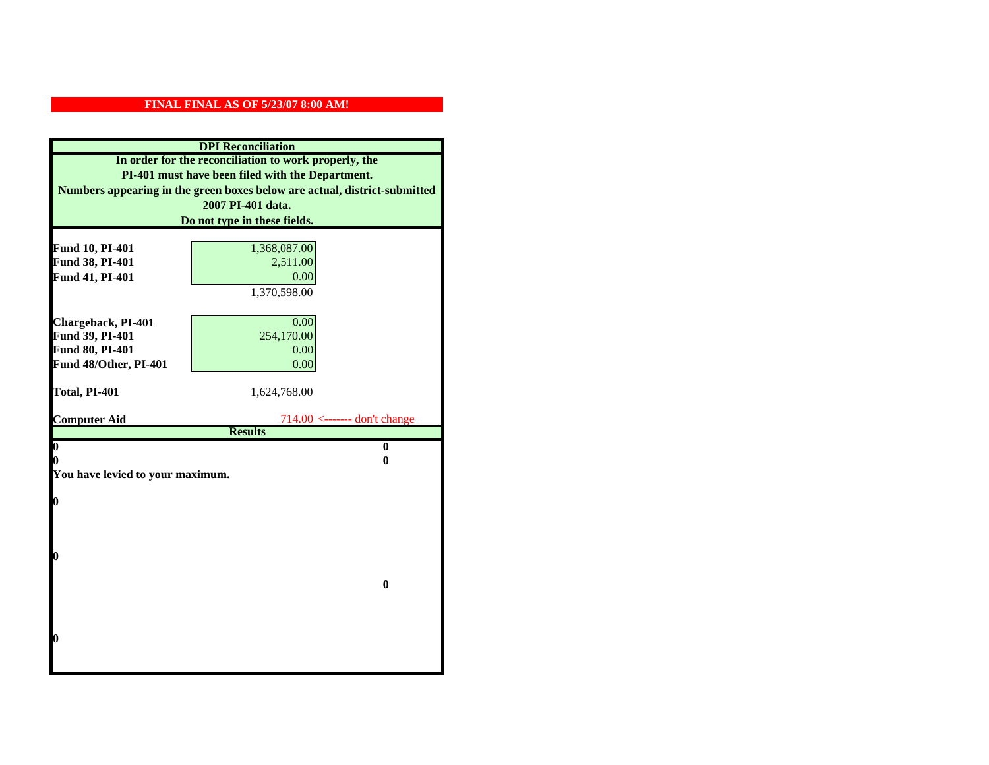| <b>DPI</b> Reconciliation<br>In order for the reconciliation to work properly, the<br>PI-401 must have been filed with the Department. |                                |  |  |                                                                           |
|----------------------------------------------------------------------------------------------------------------------------------------|--------------------------------|--|--|---------------------------------------------------------------------------|
|                                                                                                                                        |                                |  |  | Numbers appearing in the green boxes below are actual, district-submitted |
|                                                                                                                                        |                                |  |  | 2007 PI-401 data.                                                         |
|                                                                                                                                        | Do not type in these fields.   |  |  |                                                                           |
|                                                                                                                                        |                                |  |  |                                                                           |
| Fund 10, PI-401                                                                                                                        | 1,368,087.00                   |  |  |                                                                           |
| Fund 38, PI-401                                                                                                                        | 2,511.00                       |  |  |                                                                           |
| Fund 41, PI-401                                                                                                                        | 0.00                           |  |  |                                                                           |
|                                                                                                                                        | 1,370,598.00                   |  |  |                                                                           |
|                                                                                                                                        |                                |  |  |                                                                           |
| Chargeback, PI-401                                                                                                                     | 0.00                           |  |  |                                                                           |
| Fund 39, PI-401                                                                                                                        | 254,170.00                     |  |  |                                                                           |
| <b>Fund 80, PI-401</b><br>Fund 48/Other, PI-401                                                                                        | 0.00                           |  |  |                                                                           |
|                                                                                                                                        | 0.00                           |  |  |                                                                           |
| Total, PI-401                                                                                                                          | 1,624,768.00                   |  |  |                                                                           |
|                                                                                                                                        |                                |  |  |                                                                           |
| <b>Computer Aid</b>                                                                                                                    | $714.00$ <------- don't change |  |  |                                                                           |
|                                                                                                                                        | <b>Results</b>                 |  |  |                                                                           |
| $\overline{\mathbf{0}}$                                                                                                                | $\bf{0}$                       |  |  |                                                                           |
| 0                                                                                                                                      | 0                              |  |  |                                                                           |
| You have levied to your maximum.                                                                                                       |                                |  |  |                                                                           |
| $\bf{0}$                                                                                                                               |                                |  |  |                                                                           |
|                                                                                                                                        |                                |  |  |                                                                           |
|                                                                                                                                        |                                |  |  |                                                                           |
|                                                                                                                                        |                                |  |  |                                                                           |
| l0                                                                                                                                     |                                |  |  |                                                                           |
|                                                                                                                                        |                                |  |  |                                                                           |
| $\bf{0}$                                                                                                                               |                                |  |  |                                                                           |
|                                                                                                                                        |                                |  |  |                                                                           |
|                                                                                                                                        |                                |  |  |                                                                           |
| $\boldsymbol{0}$                                                                                                                       |                                |  |  |                                                                           |
|                                                                                                                                        |                                |  |  |                                                                           |
|                                                                                                                                        |                                |  |  |                                                                           |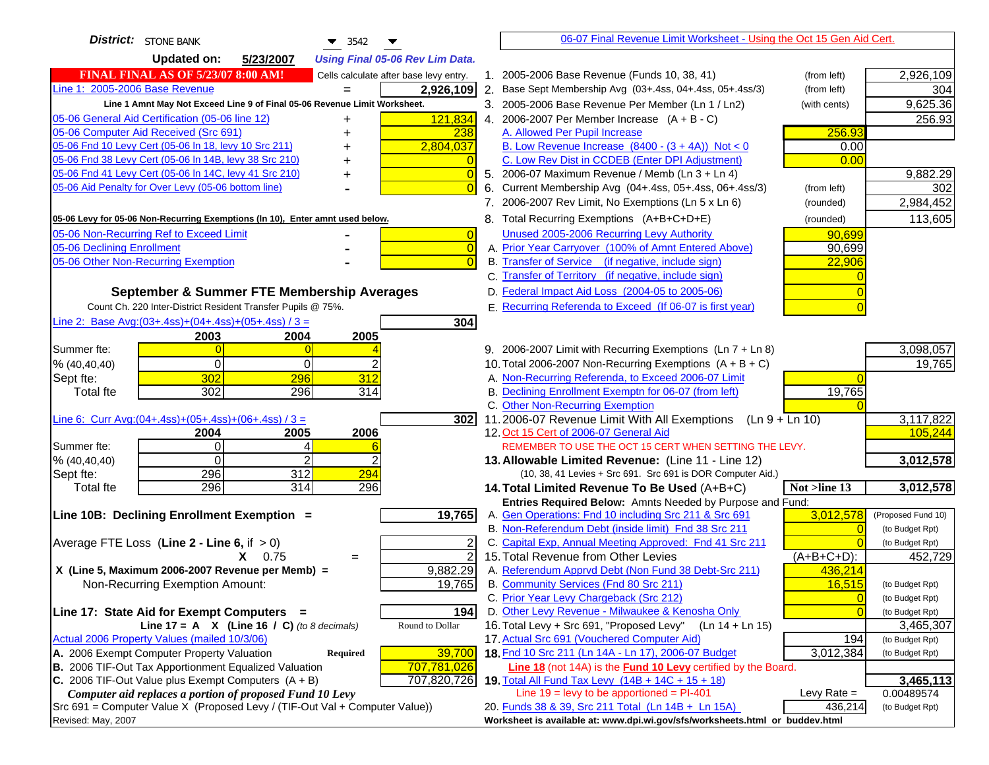| <b>District:</b> STONE BANK<br>$\blacktriangledown$ 3542                                                         | 06-07 Final Revenue Limit Worksheet - Using the Oct 15 Gen Aid Cert.                                                       |                      |
|------------------------------------------------------------------------------------------------------------------|----------------------------------------------------------------------------------------------------------------------------|----------------------|
| <b>Updated on:</b><br>5/23/2007<br><b>Using Final 05-06 Rev Lim Data.</b>                                        |                                                                                                                            |                      |
| <b>FINAL FINAL AS OF 5/23/07 8:00 AM!</b><br>Cells calculate after base levy entry.                              | 1. 2005-2006 Base Revenue (Funds 10, 38, 41)<br>(from left)                                                                | 2,926,109            |
| Line 1: 2005-2006 Base Revenue<br>2,926,109                                                                      | 2. Base Sept Membership Avg (03+.4ss, 04+.4ss, 05+.4ss/3)<br>(from left)                                                   | 304                  |
| Line 1 Amnt May Not Exceed Line 9 of Final 05-06 Revenue Limit Worksheet.                                        | 3. 2005-2006 Base Revenue Per Member (Ln 1 / Ln2)<br>(with cents)                                                          | 9,625.36             |
| 121,834<br>05-06 General Aid Certification (05-06 line 12)<br>+                                                  | 4. 2006-2007 Per Member Increase $(A + B - C)$                                                                             | 256.93               |
| 05-06 Computer Aid Received (Src 691)<br>238<br>+                                                                | A. Allowed Per Pupil Increase<br>256.93                                                                                    |                      |
| 05-06 Fnd 10 Levy Cert (05-06 ln 18, levy 10 Src 211)<br>2,804,037                                               | B. Low Revenue Increase $(8400 - (3 + 4A))$ Not < 0<br>0.00                                                                |                      |
| 05-06 Fnd 38 Levy Cert (05-06 In 14B, levy 38 Src 210)                                                           | C. Low Rev Dist in CCDEB (Enter DPI Adjustment)<br>0.00                                                                    |                      |
| 05-06 Fnd 41 Levy Cert (05-06 In 14C, levy 41 Src 210)<br>$\overline{0}$<br>+                                    | 5. 2006-07 Maximum Revenue / Memb (Ln 3 + Ln 4)                                                                            | 9,882.29             |
| 05-06 Aid Penalty for Over Levy (05-06 bottom line)                                                              | 6. Current Membership Avg (04+.4ss, 05+.4ss, 06+.4ss/3)<br>(from left)                                                     | 302                  |
|                                                                                                                  | 7. 2006-2007 Rev Limit, No Exemptions (Ln 5 x Ln 6)<br>(rounded)                                                           | 2,984,452            |
| 05-06 Levy for 05-06 Non-Recurring Exemptions (In 10), Enter amnt used below.                                    | 8. Total Recurring Exemptions (A+B+C+D+E)<br>(rounded)                                                                     | 113,605              |
| 05-06 Non-Recurring Ref to Exceed Limit<br>$\overline{0}$                                                        | Unused 2005-2006 Recurring Levy Authority<br>90,699                                                                        |                      |
| 05-06 Declining Enrollment<br>$\overline{0}$                                                                     | A. Prior Year Carryover (100% of Amnt Entered Above)<br>90,699                                                             |                      |
| 05-06 Other Non-Recurring Exemption                                                                              | B. Transfer of Service (if negative, include sign)<br>22,906                                                               |                      |
|                                                                                                                  | C. Transfer of Territory (if negative, include sign)                                                                       |                      |
| September & Summer FTE Membership Averages                                                                       | D. Federal Impact Aid Loss (2004-05 to 2005-06)                                                                            |                      |
| Count Ch. 220 Inter-District Resident Transfer Pupils @ 75%.                                                     | E. Recurring Referenda to Exceed (If 06-07 is first year)                                                                  |                      |
| Line 2: Base Avg: $(03+.4ss)+(04+.4ss)+(05+.4ss)/3 =$<br>304                                                     |                                                                                                                            |                      |
| 2003<br>2004<br>2005                                                                                             |                                                                                                                            |                      |
| Summer fte:<br>$\Omega$                                                                                          | 9. 2006-2007 Limit with Recurring Exemptions (Ln 7 + Ln 8)                                                                 | 3,098,057            |
| $\Omega$<br>0<br>% (40, 40, 40)                                                                                  | 10. Total 2006-2007 Non-Recurring Exemptions $(A + B + C)$                                                                 | 19,765               |
| 302<br>312<br>296<br>Sept fte:                                                                                   | A. Non-Recurring Referenda, to Exceed 2006-07 Limit                                                                        |                      |
| 302<br>296<br>314<br><b>Total fte</b>                                                                            | B. Declining Enrollment Exemptn for 06-07 (from left)<br>19,765                                                            |                      |
|                                                                                                                  | C. Other Non-Recurring Exemption                                                                                           |                      |
| Line 6: Curr Avg: $(04+.4ss)+(05+.4ss)+(06+.4ss)/3 =$<br>302 <sub>1</sub><br>2006                                | 11.2006-07 Revenue Limit With All Exemptions (Ln $9 + \overline{\text{Ln }10}$ )<br>12. Oct 15 Cert of 2006-07 General Aid | 3,117,822<br>105,244 |
| 2004<br>2005<br>Summer fte:<br>$\Omega$<br>4                                                                     | REMEMBER TO USE THE OCT 15 CERT WHEN SETTING THE LEVY.                                                                     |                      |
| $\Omega$<br>$\mathfrak{p}$<br>% (40, 40, 40)                                                                     | 13. Allowable Limited Revenue: (Line 11 - Line 12)                                                                         | 3,012,578            |
| 296<br>312<br>294<br>Sept fte:                                                                                   | (10, 38, 41 Levies + Src 691. Src 691 is DOR Computer Aid.)                                                                |                      |
| 296<br>314<br>296<br><b>Total fte</b>                                                                            | 14. Total Limited Revenue To Be Used (A+B+C)<br>Not >line 13                                                               | 3,012,578            |
|                                                                                                                  | Entries Required Below: Amnts Needed by Purpose and Fund:                                                                  |                      |
| 19,765<br>Line 10B: Declining Enrollment Exemption =                                                             | 3,012,578<br>A. Gen Operations: Fnd 10 including Src 211 & Src 691                                                         | (Proposed Fund 10)   |
|                                                                                                                  | B. Non-Referendum Debt (inside limit) Fnd 38 Src 211<br>$\sqrt{ }$                                                         | (to Budget Rpt)      |
| Average FTE Loss (Line $2 -$ Line 6, if $> 0$ )                                                                  | C. Capital Exp, Annual Meeting Approved: Fnd 41 Src 211                                                                    | (to Budget Rpt)      |
| $\overline{2}$<br>$X = 0.75$<br>$=$                                                                              | 15. Total Revenue from Other Levies<br>$(A+B+C+D)$ :                                                                       | 452,729              |
| X (Line 5, Maximum 2006-2007 Revenue per Memb) =<br>9,882.29                                                     | A. Referendum Apprvd Debt (Non Fund 38 Debt-Src 211)<br>436,214                                                            |                      |
| Non-Recurring Exemption Amount:<br>19,765                                                                        | B. Community Services (Fnd 80 Src 211)<br>16,515                                                                           | (to Budget Rpt)      |
|                                                                                                                  | C. Prior Year Levy Chargeback (Src 212)<br>$\overline{0}$                                                                  | (to Budget Rpt)      |
| Line 17: State Aid for Exempt Computers =<br>194                                                                 | D. Other Levy Revenue - Milwaukee & Kenosha Only                                                                           | (to Budget Rpt)      |
| Line 17 = A $X$ (Line 16 / C) (to 8 decimals)<br>Round to Dollar<br>Actual 2006 Property Values (mailed 10/3/06) | 16. Total Levy + Src 691, "Proposed Levy"<br>(Ln 14 + Ln 15)                                                               | 3,465,307            |
| A. 2006 Exempt Computer Property Valuation                                                                       | 17. Actual Src 691 (Vouchered Computer Aid)<br>194<br>18. Fnd 10 Src 211 (Ln 14A - Ln 17), 2006-07 Budget<br>3,012,384     | (to Budget Rpt)      |
| 39,700<br>Required<br>B. 2006 TIF-Out Tax Apportionment Equalized Valuation<br>707,781,026                       | <b>Line 18</b> (not 14A) is the <b>Fund 10 Levy</b> certified by the Board.                                                | (to Budget Rpt)      |
| C. 2006 TIF-Out Value plus Exempt Computers $(A + B)$<br>707,820,726                                             | 19. Total All Fund Tax Levy (14B + 14C + 15 + 18)                                                                          | 3,465,113            |
| Computer aid replaces a portion of proposed Fund 10 Levy                                                         | Line $19 = \text{levy}$ to be apportioned = PI-401<br>Levy Rate $=$                                                        | 0.00489574           |
| Src 691 = Computer Value X (Proposed Levy / (TIF-Out Val + Computer Value))                                      | 436,214<br>20. Funds 38 & 39, Src 211 Total (Ln 14B + Ln 15A)                                                              | (to Budget Rpt)      |
| Revised: May, 2007                                                                                               | Worksheet is available at: www.dpi.wi.gov/sfs/worksheets.html or buddev.html                                               |                      |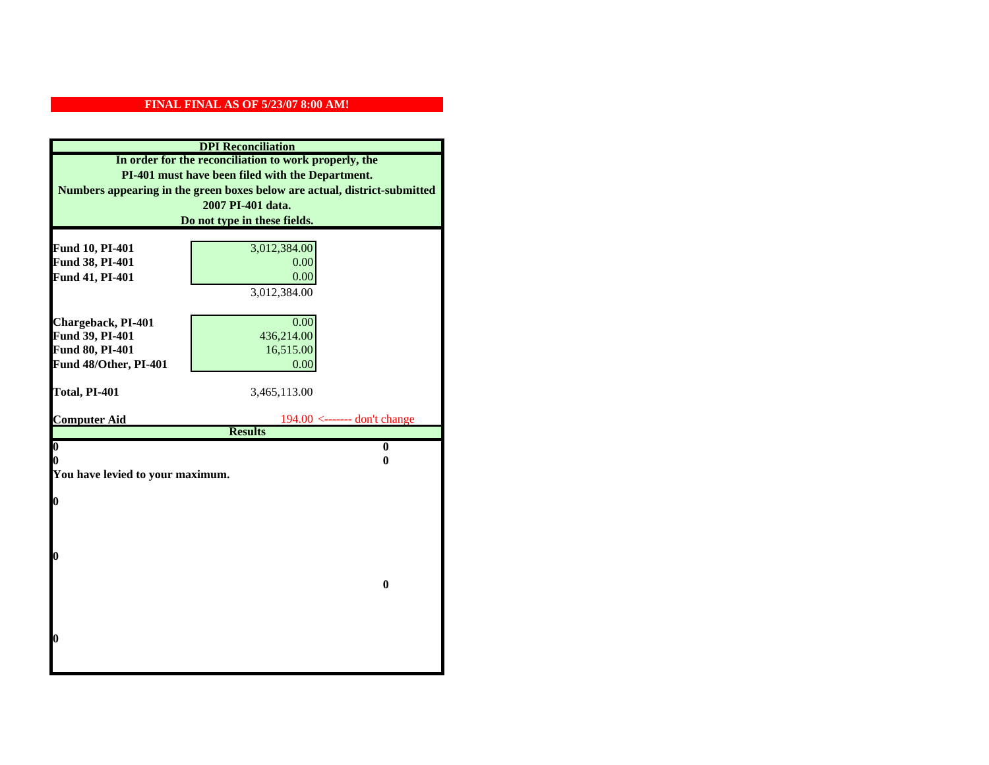| <b>DPI</b> Reconciliation<br>In order for the reconciliation to work properly, the |                                                                           |  |
|------------------------------------------------------------------------------------|---------------------------------------------------------------------------|--|
|                                                                                    |                                                                           |  |
|                                                                                    | Numbers appearing in the green boxes below are actual, district-submitted |  |
|                                                                                    | 2007 PI-401 data.                                                         |  |
|                                                                                    | Do not type in these fields.                                              |  |
|                                                                                    |                                                                           |  |
| Fund 10, PI-401                                                                    | 3,012,384.00                                                              |  |
| Fund 38, PI-401                                                                    | 0.00<br>0.00                                                              |  |
| Fund 41, PI-401                                                                    | 3,012,384.00                                                              |  |
|                                                                                    |                                                                           |  |
| Chargeback, PI-401                                                                 | 0.00                                                                      |  |
| Fund 39, PI-401                                                                    | 436,214.00                                                                |  |
| Fund 80, PI-401                                                                    | 16,515.00                                                                 |  |
| Fund 48/Other, PI-401                                                              | 0.00                                                                      |  |
|                                                                                    |                                                                           |  |
| Total, PI-401                                                                      | 3,465,113.00                                                              |  |
|                                                                                    |                                                                           |  |
| <b>Computer Aid</b>                                                                | $194.00$ <------- don't change<br><b>Results</b>                          |  |
| $\boldsymbol{0}$                                                                   | $\bf{0}$                                                                  |  |
| 0                                                                                  | 0                                                                         |  |
| You have levied to your maximum.                                                   |                                                                           |  |
|                                                                                    |                                                                           |  |
| $\bf{0}$                                                                           |                                                                           |  |
|                                                                                    |                                                                           |  |
|                                                                                    |                                                                           |  |
|                                                                                    |                                                                           |  |
| 0                                                                                  |                                                                           |  |
|                                                                                    | $\bf{0}$                                                                  |  |
|                                                                                    |                                                                           |  |
|                                                                                    |                                                                           |  |
|                                                                                    |                                                                           |  |
| 0                                                                                  |                                                                           |  |
|                                                                                    |                                                                           |  |
|                                                                                    |                                                                           |  |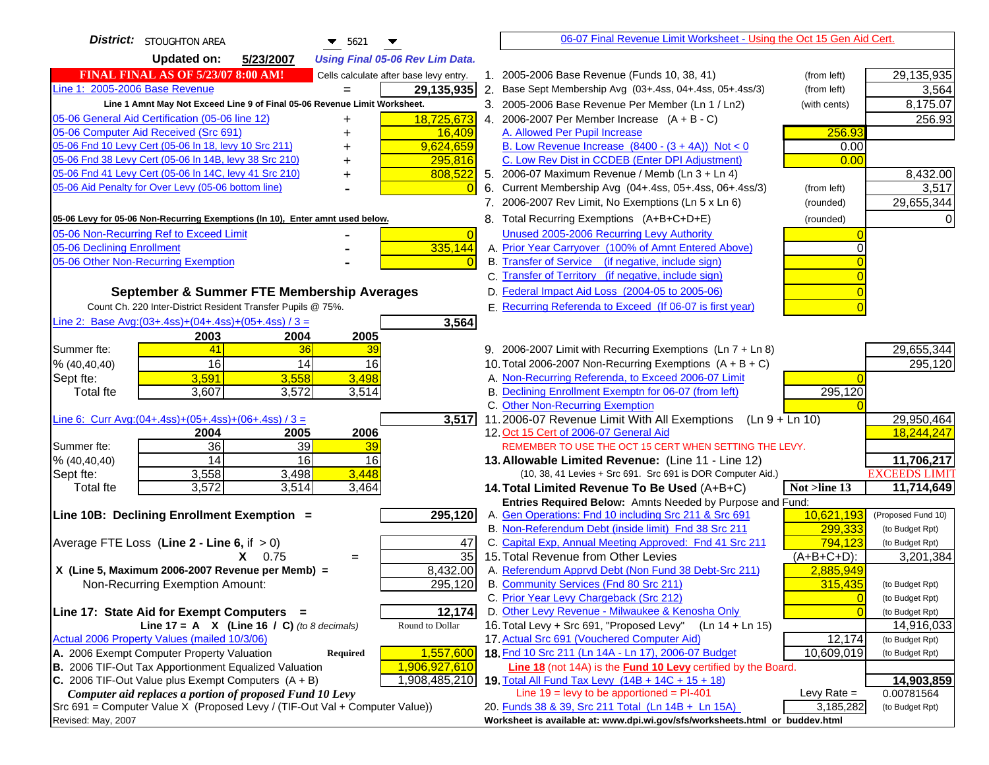| <b>District:</b> STOUGHTON AREA<br>$\blacktriangledown$ 5621<br>▼                                                       | 06-07 Final Revenue Limit Worksheet - Using the Oct 15 Gen Aid Cert.                                             |                               |
|-------------------------------------------------------------------------------------------------------------------------|------------------------------------------------------------------------------------------------------------------|-------------------------------|
| <b>Updated on:</b><br>5/23/2007<br><b>Using Final 05-06 Rev Lim Data.</b>                                               |                                                                                                                  |                               |
| <b>FINAL FINAL AS OF 5/23/07 8:00 AM!</b><br>Cells calculate after base levy entry.                                     | 1. 2005-2006 Base Revenue (Funds 10, 38, 41)<br>(from left)                                                      | 29,135,935                    |
| Line 1: 2005-2006 Base Revenue<br>29,135,935<br>$=$                                                                     | 2. Base Sept Membership Avg (03+.4ss, 04+.4ss, 05+.4ss/3)<br>(from left)                                         | 3,564                         |
| Line 1 Amnt May Not Exceed Line 9 of Final 05-06 Revenue Limit Worksheet.                                               | 3. 2005-2006 Base Revenue Per Member (Ln 1 / Ln2)<br>(with cents)                                                | 8,175.07                      |
| 18,725,673<br>05-06 General Aid Certification (05-06 line 12)                                                           | 4. 2006-2007 Per Member Increase $(A + B - C)$                                                                   | 256.93                        |
| 05-06 Computer Aid Received (Src 691)<br>16,409                                                                         | A. Allowed Per Pupil Increase<br>256.93                                                                          |                               |
| 05-06 Fnd 10 Levy Cert (05-06 ln 18, levy 10 Src 211)<br>9,624,659                                                      | B. Low Revenue Increase $(8400 - (3 + 4A))$ Not < 0<br>0.00                                                      |                               |
| 05-06 Fnd 38 Levy Cert (05-06 In 14B, levy 38 Src 210)<br>295,816                                                       | C. Low Rev Dist in CCDEB (Enter DPI Adjustment)<br>0.00                                                          |                               |
| 05-06 Fnd 41 Levy Cert (05-06 In 14C, levy 41 Src 210)<br>808,522<br>+                                                  | 5. 2006-07 Maximum Revenue / Memb (Ln 3 + Ln 4)                                                                  | 8,432.00                      |
| 05-06 Aid Penalty for Over Levy (05-06 bottom line)<br>$\Omega$                                                         | 6. Current Membership Avg (04+.4ss, 05+.4ss, 06+.4ss/3)<br>(from left)                                           | 3,517                         |
|                                                                                                                         | 7. 2006-2007 Rev Limit, No Exemptions (Ln 5 x Ln 6)<br>(rounded)                                                 | 29,655,344                    |
| 05-06 Levy for 05-06 Non-Recurring Exemptions (In 10), Enter amnt used below.                                           | 8. Total Recurring Exemptions (A+B+C+D+E)<br>(rounded)                                                           |                               |
| 05-06 Non-Recurring Ref to Exceed Limit<br>$\overline{0}$                                                               | Unused 2005-2006 Recurring Levy Authority                                                                        |                               |
| 335,144<br>05-06 Declining Enrollment                                                                                   | A. Prior Year Carryover (100% of Amnt Entered Above)                                                             |                               |
| 05-06 Other Non-Recurring Exemption                                                                                     | B. Transfer of Service (if negative, include sign)                                                               |                               |
|                                                                                                                         | C. Transfer of Territory (if negative, include sign)                                                             |                               |
| September & Summer FTE Membership Averages                                                                              | D. Federal Impact Aid Loss (2004-05 to 2005-06)                                                                  |                               |
| Count Ch. 220 Inter-District Resident Transfer Pupils @ 75%.                                                            | E. Recurring Referenda to Exceed (If 06-07 is first year)                                                        |                               |
| Line 2: Base Avg: $(03+.4ss)+(04+.4ss)+(05+.4ss)/3 =$<br>3,564                                                          |                                                                                                                  |                               |
| 2003<br>2004<br>2005                                                                                                    |                                                                                                                  |                               |
| 41<br>Summer fte:<br>36<br>39                                                                                           | 9. 2006-2007 Limit with Recurring Exemptions (Ln 7 + Ln 8)                                                       | 29,655,344                    |
| 16<br>14<br>16<br>% (40, 40, 40)                                                                                        | 10. Total 2006-2007 Non-Recurring Exemptions $(A + B + C)$                                                       | 295,120                       |
| 3,591<br>3,498<br>3,558<br>Sept fte:                                                                                    | A. Non-Recurring Referenda, to Exceed 2006-07 Limit                                                              |                               |
| 3,607<br>3,572<br>3,514<br><b>Total fte</b>                                                                             | B. Declining Enrollment Exemptn for 06-07 (from left)<br>295,120                                                 |                               |
|                                                                                                                         | C. Other Non-Recurring Exemption                                                                                 |                               |
| Line 6: Curr Avg: $(04+.4ss)+(05+.4ss)+(06+.4ss)/3 =$<br>3,517<br>2006<br>2004<br>2005                                  | 11.2006-07 Revenue Limit With All Exemptions<br>$(Ln 9 + Ln 10)$<br>12. Oct 15 Cert of 2006-07 General Aid       | 29,950,464<br>18,244,247      |
| 36<br>39<br>Summer fte:<br>39                                                                                           | REMEMBER TO USE THE OCT 15 CERT WHEN SETTING THE LEVY.                                                           |                               |
| 14<br>16<br>16<br>% (40, 40, 40)                                                                                        | 13. Allowable Limited Revenue: (Line 11 - Line 12)                                                               | 11,706,217                    |
| 3,448<br>3,558<br>3,498<br>Sept fte:                                                                                    | (10, 38, 41 Levies + Src 691. Src 691 is DOR Computer Aid.)                                                      | <b>EXCEEDS LIMIT</b>          |
| 3,572<br>3,514<br>3,464<br><b>Total fte</b>                                                                             | Not >line 13<br>14. Total Limited Revenue To Be Used (A+B+C)                                                     | 11,714,649                    |
|                                                                                                                         | Entries Required Below: Amnts Needed by Purpose and Fund:                                                        |                               |
| Line 10B: Declining Enrollment Exemption =<br>295,120                                                                   | A. Gen Operations: Fnd 10 including Src 211 & Src 691<br>10,621,193                                              | (Proposed Fund 10)            |
|                                                                                                                         | B. Non-Referendum Debt (inside limit) Fnd 38 Src 211<br>299,333                                                  | (to Budget Rpt)               |
| Average FTE Loss (Line $2 -$ Line 6, if $> 0$ )<br>47                                                                   | C. Capital Exp, Annual Meeting Approved: Fnd 41 Src 211<br>794,123                                               | (to Budget Rpt)               |
| $\overline{35}$<br>$X = 0.75$<br>$=$                                                                                    | 15. Total Revenue from Other Levies<br>$(A+B+C+D)$ :                                                             | 3,201,384                     |
| X (Line 5, Maximum 2006-2007 Revenue per Memb) =<br>8,432.00                                                            | A. Referendum Apprvd Debt (Non Fund 38 Debt-Src 211)<br>2,885,949                                                |                               |
| 295,120<br>Non-Recurring Exemption Amount:                                                                              | B. Community Services (Fnd 80 Src 211)<br>315,435                                                                | (to Budget Rpt)               |
|                                                                                                                         | C. Prior Year Levy Chargeback (Src 212)<br>$\overline{0}$<br>$\Omega$                                            | (to Budget Rpt)               |
| 12,174<br>Line 17: State Aid for Exempt Computers =<br>Line 17 = A $X$ (Line 16 / C) (to 8 decimals)<br>Round to Dollar | D. Other Levy Revenue - Milwaukee & Kenosha Only<br>16. Total Levy + Src 691, "Proposed Levy"<br>(Ln 14 + Ln 15) | (to Budget Rpt)<br>14,916,033 |
| Actual 2006 Property Values (mailed 10/3/06)                                                                            | 17. Actual Src 691 (Vouchered Computer Aid)<br>12,174                                                            | (to Budget Rpt)               |
| A. 2006 Exempt Computer Property Valuation<br>1,557,600<br>Required                                                     | 18. Fnd 10 Src 211 (Ln 14A - Ln 17), 2006-07 Budget<br>10,609,019                                                | (to Budget Rpt)               |
| B. 2006 TIF-Out Tax Apportionment Equalized Valuation<br>1,906,927,610                                                  | Line 18 (not 14A) is the Fund 10 Levy certified by the Board.                                                    |                               |
| C. 2006 TIF-Out Value plus Exempt Computers $(A + B)$<br>1,908,485,210                                                  | 19. Total All Fund Tax Levy (14B + 14C + 15 + 18)                                                                | 14,903,859                    |
| Computer aid replaces a portion of proposed Fund 10 Levy                                                                | Line $19 = \text{levy}$ to be apportioned = PI-401<br>Levy Rate $=$                                              | 0.00781564                    |
| Src 691 = Computer Value X (Proposed Levy / (TIF-Out Val + Computer Value))                                             | 3,185,282<br>20. Funds 38 & 39, Src 211 Total (Ln 14B + Ln 15A)                                                  | (to Budget Rpt)               |
| Revised: May, 2007                                                                                                      | Worksheet is available at: www.dpi.wi.gov/sfs/worksheets.html or buddev.html                                     |                               |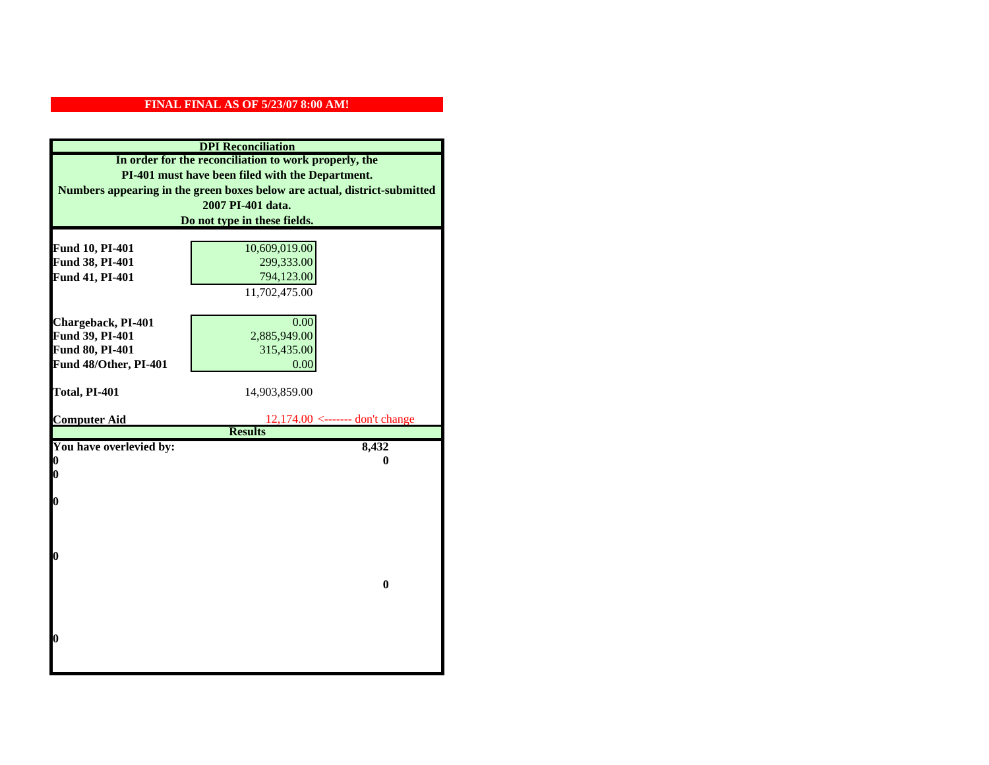| <b>DPI</b> Reconciliation                                                                                                     |                                                     |  |
|-------------------------------------------------------------------------------------------------------------------------------|-----------------------------------------------------|--|
| In order for the reconciliation to work properly, the                                                                         |                                                     |  |
| PI-401 must have been filed with the Department.<br>Numbers appearing in the green boxes below are actual, district-submitted |                                                     |  |
|                                                                                                                               |                                                     |  |
|                                                                                                                               | Do not type in these fields.                        |  |
|                                                                                                                               |                                                     |  |
| Fund 10, PI-401                                                                                                               | 10,609,019.00                                       |  |
| Fund 38, PI-401                                                                                                               | 299,333.00                                          |  |
| Fund 41, PI-401                                                                                                               | 794,123.00                                          |  |
|                                                                                                                               | 11,702,475.00                                       |  |
|                                                                                                                               |                                                     |  |
| Chargeback, PI-401                                                                                                            | 0.00                                                |  |
| Fund 39, PI-401                                                                                                               | 2,885,949.00                                        |  |
| Fund 80, PI-401                                                                                                               | 315,435.00                                          |  |
| Fund 48/Other, PI-401                                                                                                         | 0.00                                                |  |
|                                                                                                                               |                                                     |  |
| Total, PI-401                                                                                                                 | 14,903,859.00                                       |  |
|                                                                                                                               |                                                     |  |
| <b>Computer Aid</b>                                                                                                           | $12,174.00$ <------- don't change<br><b>Results</b> |  |
| You have overlevied by:                                                                                                       | 8,432                                               |  |
| N                                                                                                                             | 0                                                   |  |
| 0                                                                                                                             |                                                     |  |
|                                                                                                                               |                                                     |  |
| 0                                                                                                                             |                                                     |  |
|                                                                                                                               |                                                     |  |
|                                                                                                                               |                                                     |  |
|                                                                                                                               |                                                     |  |
| 0                                                                                                                             |                                                     |  |
|                                                                                                                               |                                                     |  |
|                                                                                                                               | $\bf{0}$                                            |  |
|                                                                                                                               |                                                     |  |
|                                                                                                                               |                                                     |  |
| 0                                                                                                                             |                                                     |  |
|                                                                                                                               |                                                     |  |
|                                                                                                                               |                                                     |  |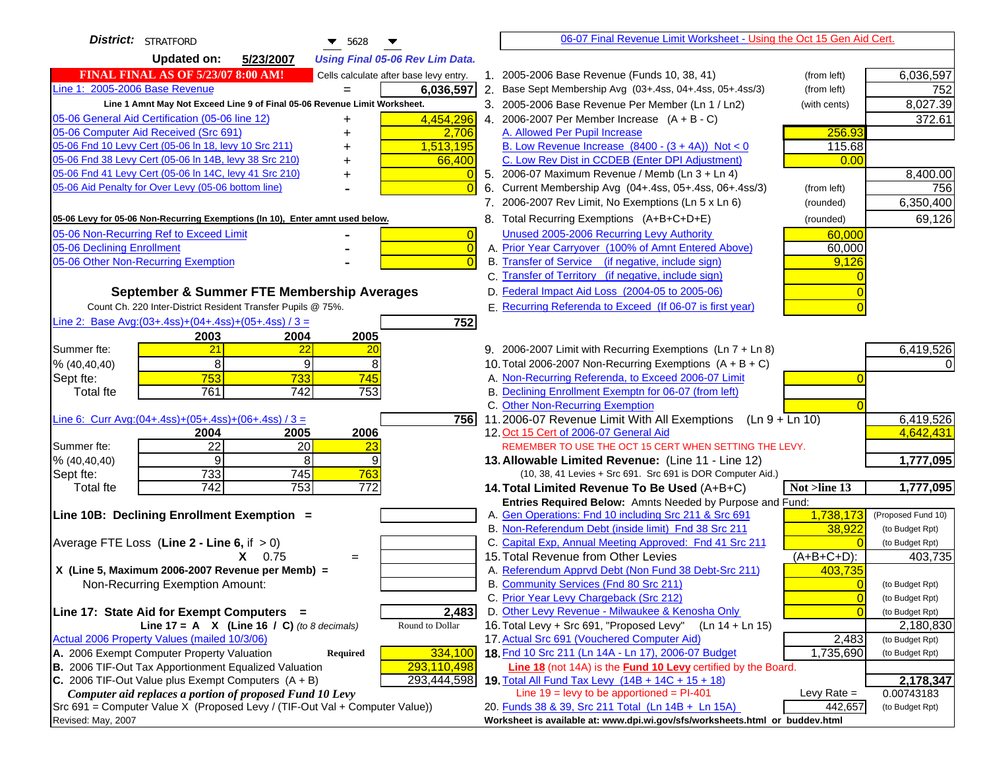| <b>District:</b> STRATFORD<br>$\blacktriangledown$ 5628                               | 06-07 Final Revenue Limit Worksheet - Using the Oct 15 Gen Aid Cert.                                                        |                                    |
|---------------------------------------------------------------------------------------|-----------------------------------------------------------------------------------------------------------------------------|------------------------------------|
| <b>Updated on:</b><br>5/23/2007<br><b>Using Final 05-06 Rev Lim Data.</b>             |                                                                                                                             |                                    |
| <b>FINAL FINAL AS OF 5/23/07 8:00 AM!</b><br>Cells calculate after base levy entry.   | 1. 2005-2006 Base Revenue (Funds 10, 38, 41)<br>(from left)                                                                 | 6,036,597                          |
| Line 1: 2005-2006 Base Revenue<br>6,036,597                                           | 2. Base Sept Membership Avg (03+.4ss, 04+.4ss, 05+.4ss/3)<br>(from left)                                                    | 752                                |
| Line 1 Amnt May Not Exceed Line 9 of Final 05-06 Revenue Limit Worksheet.             | 3. 2005-2006 Base Revenue Per Member (Ln 1 / Ln2)<br>(with cents)                                                           | 8,027.39                           |
| 4,454,296<br>05-06 General Aid Certification (05-06 line 12)<br>+                     | 4. 2006-2007 Per Member Increase $(A + B - C)$                                                                              | 372.61                             |
| 05-06 Computer Aid Received (Src 691)<br>2,706                                        | 256.93<br>A. Allowed Per Pupil Increase                                                                                     |                                    |
| 05-06 Fnd 10 Levy Cert (05-06 ln 18, levy 10 Src 211)<br>1,513,195                    | B. Low Revenue Increase $(8400 - (3 + 4A))$ Not < 0<br>115.68                                                               |                                    |
| 05-06 Fnd 38 Levy Cert (05-06 In 14B, levy 38 Src 210)<br>66,400<br>+                 | C. Low Rev Dist in CCDEB (Enter DPI Adjustment)<br>0.00                                                                     |                                    |
| 05-06 Fnd 41 Levy Cert (05-06 In 14C, levy 41 Src 210)<br>+                           | 5. 2006-07 Maximum Revenue / Memb (Ln 3 + Ln 4)                                                                             | 8,400.00                           |
| 05-06 Aid Penalty for Over Levy (05-06 bottom line)                                   | 6. Current Membership Avg (04+.4ss, 05+.4ss, 06+.4ss/3)<br>(from left)                                                      | 756                                |
|                                                                                       | 7. 2006-2007 Rev Limit, No Exemptions (Ln 5 x Ln 6)<br>(rounded)                                                            | 6,350,400                          |
| 05-06 Levy for 05-06 Non-Recurring Exemptions (In 10), Enter amnt used below.         | 8. Total Recurring Exemptions (A+B+C+D+E)<br>(rounded)                                                                      | 69,126                             |
| 05-06 Non-Recurring Ref to Exceed Limit<br>$\overline{0}$                             | Unused 2005-2006 Recurring Levy Authority<br>60,000                                                                         |                                    |
| 05-06 Declining Enrollment<br>$\Omega$                                                | A. Prior Year Carryover (100% of Amnt Entered Above)<br>60,000                                                              |                                    |
| 05-06 Other Non-Recurring Exemption                                                   | B. Transfer of Service (if negative, include sign)<br>9,126                                                                 |                                    |
|                                                                                       | C. Transfer of Territory (if negative, include sign)                                                                        |                                    |
| September & Summer FTE Membership Averages                                            | D. Federal Impact Aid Loss (2004-05 to 2005-06)                                                                             |                                    |
| Count Ch. 220 Inter-District Resident Transfer Pupils @ 75%.                          | E. Recurring Referenda to Exceed (If 06-07 is first year)                                                                   |                                    |
| Line 2: Base Avg: $(03+.4ss)+(04+.4ss)+(05+.4ss)/3 =$<br>752                          |                                                                                                                             |                                    |
| 2004<br>2005<br>2003                                                                  |                                                                                                                             |                                    |
| 21<br>Summer fte:<br>$\overline{22}$<br>20                                            | 9. 2006-2007 Limit with Recurring Exemptions (Ln 7 + Ln 8)                                                                  | 6,419,526                          |
| 8<br>9<br>8<br>% (40, 40, 40)                                                         | 10. Total 2006-2007 Non-Recurring Exemptions $(A + B + C)$                                                                  |                                    |
| 753<br>745<br>733<br>Sept fte:                                                        | A. Non-Recurring Referenda, to Exceed 2006-07 Limit                                                                         |                                    |
| 761<br>742<br>753<br><b>Total fte</b>                                                 | B. Declining Enrollment Exemptn for 06-07 (from left)                                                                       |                                    |
|                                                                                       | C. Other Non-Recurring Exemption                                                                                            |                                    |
| Line 6: Curr Avg: $(04+.4ss)+(05+.4ss)+(06+.4ss)/3 =$<br>7561<br>2004<br>2005<br>2006 | 11.2006-07 Revenue Limit With All Exemptions (Ln 9 + Ln 10)<br>12. Oct 15 Cert of 2006-07 General Aid                       | 6,419,526<br>4,642,431             |
| $\overline{22}$<br>20<br>Summer fte:<br>23                                            | REMEMBER TO USE THE OCT 15 CERT WHEN SETTING THE LEVY.                                                                      |                                    |
| 9<br>8<br>9<br>% (40, 40, 40)                                                         | 13. Allowable Limited Revenue: (Line 11 - Line 12)                                                                          | 1,777,095                          |
| 733<br>745<br>763<br>Sept fte:                                                        | (10, 38, 41 Levies + Src 691. Src 691 is DOR Computer Aid.)                                                                 |                                    |
| 753<br>$\overline{742}$<br>$\overline{772}$<br><b>Total fte</b>                       | 14. Total Limited Revenue To Be Used (A+B+C)<br>Not >line 13                                                                | 1,777,095                          |
|                                                                                       | Entries Required Below: Amnts Needed by Purpose and Fund:                                                                   |                                    |
| Line 10B: Declining Enrollment Exemption =                                            | A. Gen Operations: Fnd 10 including Src 211 & Src 691<br>1,738,173                                                          | (Proposed Fund 10)                 |
|                                                                                       | B. Non-Referendum Debt (inside limit) Fnd 38 Src 211<br>38,922                                                              | (to Budget Rpt)                    |
| Average FTE Loss (Line $2 -$ Line 6, if $> 0$ )                                       | C. Capital Exp, Annual Meeting Approved: Fnd 41 Src 211                                                                     | (to Budget Rpt)                    |
| $X = 0.75$<br>$=$                                                                     | 15. Total Revenue from Other Levies<br>(A+B+C+D):                                                                           | 403,735                            |
| X (Line 5, Maximum 2006-2007 Revenue per Memb) =                                      | A. Referendum Apprvd Debt (Non Fund 38 Debt-Src 211)<br>403,735                                                             |                                    |
| Non-Recurring Exemption Amount:                                                       | B. Community Services (Fnd 80 Src 211)                                                                                      | (to Budget Rpt)                    |
| 2,483<br>Line 17: State Aid for Exempt Computers =                                    | C. Prior Year Levy Chargeback (Src 212)<br>$\overline{0}$<br>D. Other Levy Revenue - Milwaukee & Kenosha Only<br>$\sqrt{ }$ | (to Budget Rpt)<br>(to Budget Rpt) |
| Line 17 = A $X$ (Line 16 / C) (to 8 decimals)<br>Round to Dollar                      | 16. Total Levy + Src 691, "Proposed Levy"<br>$(Ln 14 + Ln 15)$                                                              | 2,180,830                          |
| Actual 2006 Property Values (mailed 10/3/06)                                          | 17. Actual Src 691 (Vouchered Computer Aid)<br>2,483                                                                        | (to Budget Rpt)                    |
| A. 2006 Exempt Computer Property Valuation<br>Required<br>334,100                     | 18. Fnd 10 Src 211 (Ln 14A - Ln 17), 2006-07 Budget<br>1,735,690                                                            | (to Budget Rpt)                    |
| B. 2006 TIF-Out Tax Apportionment Equalized Valuation<br>293,110,498                  | <b>Line 18</b> (not 14A) is the <b>Fund 10 Levy</b> certified by the Board.                                                 |                                    |
| C. 2006 TIF-Out Value plus Exempt Computers $(A + B)$<br>293,444,598                  | 19. Total All Fund Tax Levy (14B + 14C + 15 + 18)                                                                           | 2,178,347                          |
| Computer aid replaces a portion of proposed Fund 10 Levy                              | Line $19 = \text{levy}$ to be apportioned = PI-401<br>Levy Rate $=$                                                         | 0.00743183                         |
| Src 691 = Computer Value X (Proposed Levy / (TIF-Out Val + Computer Value))           | 20. Funds 38 & 39, Src 211 Total (Ln 14B + Ln 15A)<br>442,657                                                               | (to Budget Rpt)                    |
| Revised: May, 2007                                                                    | Worksheet is available at: www.dpi.wi.gov/sfs/worksheets.html or buddev.html                                                |                                    |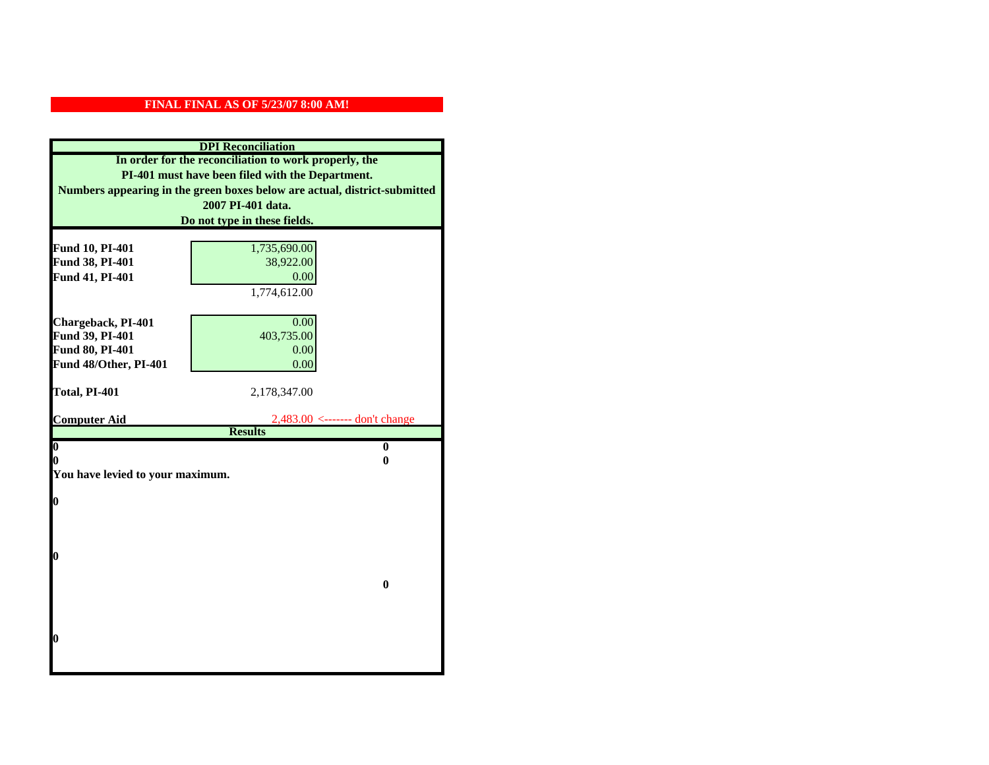| <b>DPI</b> Reconciliation                             |                                                                           |  |
|-------------------------------------------------------|---------------------------------------------------------------------------|--|
| In order for the reconciliation to work properly, the |                                                                           |  |
| PI-401 must have been filed with the Department.      |                                                                           |  |
|                                                       | Numbers appearing in the green boxes below are actual, district-submitted |  |
|                                                       | 2007 PI-401 data.                                                         |  |
|                                                       | Do not type in these fields.                                              |  |
|                                                       |                                                                           |  |
| Fund 10, PI-401                                       | 1,735,690.00                                                              |  |
| Fund 38, PI-401                                       | 38,922.00                                                                 |  |
| Fund 41, PI-401                                       | 0.00                                                                      |  |
|                                                       | 1,774,612.00                                                              |  |
|                                                       |                                                                           |  |
| Chargeback, PI-401                                    | 0.00                                                                      |  |
| Fund 39, PI-401                                       | 403,735.00                                                                |  |
| Fund 80, PI-401                                       | 0.00                                                                      |  |
| Fund 48/Other, PI-401                                 | 0.00                                                                      |  |
| Total, PI-401                                         | 2,178,347.00                                                              |  |
|                                                       |                                                                           |  |
| <b>Computer Aid</b>                                   | $2,483.00$ <------- don't change                                          |  |
|                                                       | <b>Results</b>                                                            |  |
| $\overline{\mathbf{0}}$                               | $\mathbf{0}$                                                              |  |
| 0                                                     | 0                                                                         |  |
| You have levied to your maximum.                      |                                                                           |  |
| $\bf{0}$                                              |                                                                           |  |
|                                                       |                                                                           |  |
|                                                       |                                                                           |  |
|                                                       |                                                                           |  |
|                                                       |                                                                           |  |
| 0                                                     |                                                                           |  |
|                                                       |                                                                           |  |
|                                                       | $\bf{0}$                                                                  |  |
|                                                       |                                                                           |  |
|                                                       |                                                                           |  |
|                                                       |                                                                           |  |
| 0                                                     |                                                                           |  |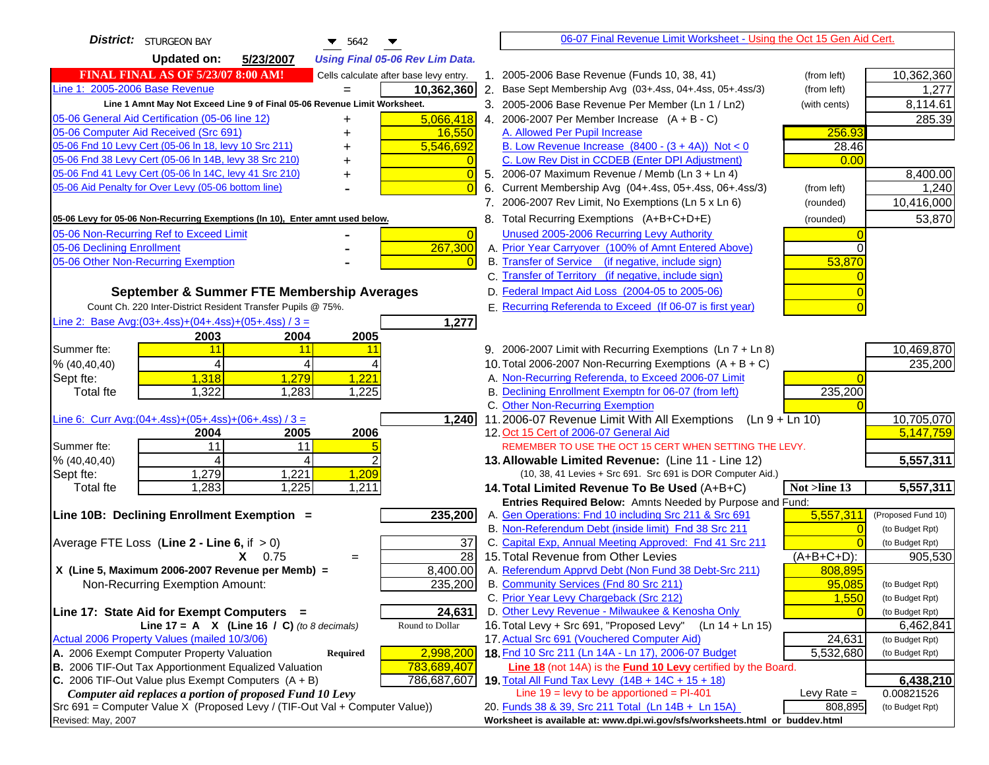| <b>District:</b> STURGEON BAY<br>$\blacktriangledown$ 5642                                                                            |                | 06-07 Final Revenue Limit Worksheet - Using the Oct 15 Gen Aid Cert.                               |               |                    |
|---------------------------------------------------------------------------------------------------------------------------------------|----------------|----------------------------------------------------------------------------------------------------|---------------|--------------------|
| <b>Updated on:</b><br>5/23/2007<br><b>Using Final 05-06 Rev Lim Data.</b>                                                             |                |                                                                                                    |               |                    |
| <b>FINAL FINAL AS OF 5/23/07 8:00 AM!</b><br>Cells calculate after base levy entry.                                                   |                | 1. 2005-2006 Base Revenue (Funds 10, 38, 41)                                                       | (from left)   | 10,362,360         |
| Line 1: 2005-2006 Base Revenue<br>10,362,360                                                                                          |                | 2. Base Sept Membership Avg (03+.4ss, 04+.4ss, 05+.4ss/3)                                          | (from left)   | 1,277              |
| Line 1 Amnt May Not Exceed Line 9 of Final 05-06 Revenue Limit Worksheet.                                                             |                | 3. 2005-2006 Base Revenue Per Member (Ln 1 / Ln2)                                                  | (with cents)  | 8,114.61           |
| 5,066,418<br>05-06 General Aid Certification (05-06 line 12)                                                                          |                | 4. 2006-2007 Per Member Increase $(A + B - C)$                                                     |               | 285.39             |
| 05-06 Computer Aid Received (Src 691)<br>16,550                                                                                       |                | A. Allowed Per Pupil Increase                                                                      | 256.93        |                    |
| 05-06 Fnd 10 Levy Cert (05-06 In 18, levy 10 Src 211)<br>5,546,692                                                                    |                | B. Low Revenue Increase $(8400 - (3 + 4A))$ Not < 0                                                | 28.46         |                    |
| 05-06 Fnd 38 Levy Cert (05-06 In 14B, levy 38 Src 210)                                                                                |                | C. Low Rev Dist in CCDEB (Enter DPI Adjustment)                                                    | 0.00          |                    |
| 05-06 Fnd 41 Levy Cert (05-06 In 14C, levy 41 Src 210)<br>+                                                                           | $\overline{0}$ | 5. 2006-07 Maximum Revenue / Memb (Ln 3 + Ln 4)                                                    |               | 8,400.00           |
| 05-06 Aid Penalty for Over Levy (05-06 bottom line)                                                                                   | $\Omega$<br>6. | Current Membership Avg (04+.4ss, 05+.4ss, 06+.4ss/3)                                               | (from left)   | 1,240              |
|                                                                                                                                       |                | 7. 2006-2007 Rev Limit, No Exemptions (Ln 5 x Ln 6)                                                | (rounded)     | 10,416,000         |
| 05-06 Levy for 05-06 Non-Recurring Exemptions (In 10), Enter amnt used below.                                                         |                | 8. Total Recurring Exemptions (A+B+C+D+E)                                                          | (rounded)     | 53,870             |
| 05-06 Non-Recurring Ref to Exceed Limit                                                                                               | $\overline{0}$ | Unused 2005-2006 Recurring Levy Authority                                                          |               |                    |
| 267,300<br>05-06 Declining Enrollment                                                                                                 |                | A. Prior Year Carryover (100% of Amnt Entered Above)                                               | ∩             |                    |
| 05-06 Other Non-Recurring Exemption                                                                                                   |                | B. Transfer of Service (if negative, include sign)                                                 | 53,870        |                    |
|                                                                                                                                       |                | C. Transfer of Territory (if negative, include sign)                                               |               |                    |
| September & Summer FTE Membership Averages                                                                                            |                | D. Federal Impact Aid Loss (2004-05 to 2005-06)                                                    |               |                    |
| Count Ch. 220 Inter-District Resident Transfer Pupils @ 75%.                                                                          |                | E. Recurring Referenda to Exceed (If 06-07 is first year)                                          |               |                    |
| Line 2: Base Avg: (03+.4ss) + (04+.4ss) + (05+.4ss) / 3 =<br>1,277                                                                    |                |                                                                                                    |               |                    |
| 2003<br>2004<br>2005                                                                                                                  |                |                                                                                                    |               |                    |
| Summer fte:<br>11<br>11<br>11                                                                                                         |                | 9. 2006-2007 Limit with Recurring Exemptions (Ln 7 + Ln 8)                                         |               | 10,469,870         |
| 4<br>4<br>% (40, 40, 40)                                                                                                              |                | 10. Total 2006-2007 Non-Recurring Exemptions $(A + B + C)$                                         |               | 235,200            |
| 1,221<br>1,318<br>1,279<br>Sept fte:                                                                                                  |                | A. Non-Recurring Referenda, to Exceed 2006-07 Limit                                                |               |                    |
| Total fte<br>1,322<br>1,283<br>1,225                                                                                                  |                | B. Declining Enrollment Exemptn for 06-07 (from left)                                              | 235,200       |                    |
|                                                                                                                                       |                | C. Other Non-Recurring Exemption                                                                   |               |                    |
| Line 6: Curr Avg: $(04+.4ss)+(05+.4ss)+(06+.4ss)/3 =$<br>1,240                                                                        |                | 11.2006-07 Revenue Limit With All Exemptions<br>$(Ln 9 + Ln 10)$                                   |               | 10,705,070         |
| 2006<br>2005<br>2004<br>Summer fte:<br>11<br>11                                                                                       |                | 12. Oct 15 Cert of 2006-07 General Aid<br>REMEMBER TO USE THE OCT 15 CERT WHEN SETTING THE LEVY.   |               | 5,147,759          |
| % (40, 40, 40)<br>4<br>4                                                                                                              |                | 13. Allowable Limited Revenue: (Line 11 - Line 12)                                                 |               | 5,557,311          |
| 1,221<br>1,209<br>1,279<br>Sept fte:                                                                                                  |                | (10, 38, 41 Levies + Src 691. Src 691 is DOR Computer Aid.)                                        |               |                    |
| 1,283<br>1,225<br>1,211<br><b>Total fte</b>                                                                                           |                | 14. Total Limited Revenue To Be Used (A+B+C)                                                       | Not >line 13  | 5,557,311          |
|                                                                                                                                       |                | Entries Required Below: Amnts Needed by Purpose and Fund:                                          |               |                    |
| 235,200<br>Line 10B: Declining Enrollment Exemption =                                                                                 |                | A. Gen Operations: Fnd 10 including Src 211 & Src 691                                              | 5,557,311     | (Proposed Fund 10) |
|                                                                                                                                       |                | B. Non-Referendum Debt (inside limit) Fnd 38 Src 211                                               | $\Omega$      | (to Budget Rpt)    |
| 37<br>Average FTE Loss (Line $2 -$ Line 6, if $> 0$ )                                                                                 |                | C. Capital Exp, Annual Meeting Approved: Fnd 41 Src 211                                            |               | (to Budget Rpt)    |
| 28<br>$X = 0.75$<br>$=$                                                                                                               |                | 15. Total Revenue from Other Levies                                                                | $(A+B+C+D)$ : | 905,530            |
| X (Line 5, Maximum 2006-2007 Revenue per Memb) =<br>8,400.00                                                                          |                | A. Referendum Apprvd Debt (Non Fund 38 Debt-Src 211)                                               | 808,895       |                    |
| 235,200<br>Non-Recurring Exemption Amount:                                                                                            |                | B. Community Services (Fnd 80 Src 211)                                                             | 95,085        | (to Budget Rpt)    |
|                                                                                                                                       |                | C. Prior Year Levy Chargeback (Src 212)                                                            | 1,550         | (to Budget Rpt)    |
| 24,631<br>Line 17: State Aid for Exempt Computers =                                                                                   |                | D. Other Levy Revenue - Milwaukee & Kenosha Only                                                   |               | (to Budget Rpt)    |
| Round to Dollar<br>Line 17 = A $X$ (Line 16 / C) (to 8 decimals)                                                                      |                | 16. Total Levy + Src 691, "Proposed Levy"<br>(Ln 14 + Ln 15)                                       |               | 6,462,841          |
| Actual 2006 Property Values (mailed 10/3/06)<br>2,998,200                                                                             |                | 17. Actual Src 691 (Vouchered Computer Aid)<br>18. Fnd 10 Src 211 (Ln 14A - Ln 17), 2006-07 Budget | 24,631        | (to Budget Rpt)    |
| A. 2006 Exempt Computer Property Valuation<br><b>Required</b><br>B. 2006 TIF-Out Tax Apportionment Equalized Valuation<br>783,689,407 |                | Line 18 (not 14A) is the Fund 10 Levy certified by the Board.                                      | 5,532,680     | (to Budget Rpt)    |
| C. 2006 TIF-Out Value plus Exempt Computers $(A + B)$<br>786,687,607                                                                  |                | 19. Total All Fund Tax Levy (14B + 14C + 15 + 18)                                                  |               | 6,438,210          |
| Computer aid replaces a portion of proposed Fund 10 Levy                                                                              |                | Line $19$ = levy to be apportioned = PI-401                                                        | Levy Rate $=$ | 0.00821526         |
| Src 691 = Computer Value X (Proposed Levy / (TIF-Out Val + Computer Value))                                                           |                | 20. Funds 38 & 39, Src 211 Total (Ln 14B + Ln 15A)                                                 | 808,895       | (to Budget Rpt)    |
| Revised: May, 2007                                                                                                                    |                | Worksheet is available at: www.dpi.wi.gov/sfs/worksheets.html or buddev.html                       |               |                    |
|                                                                                                                                       |                |                                                                                                    |               |                    |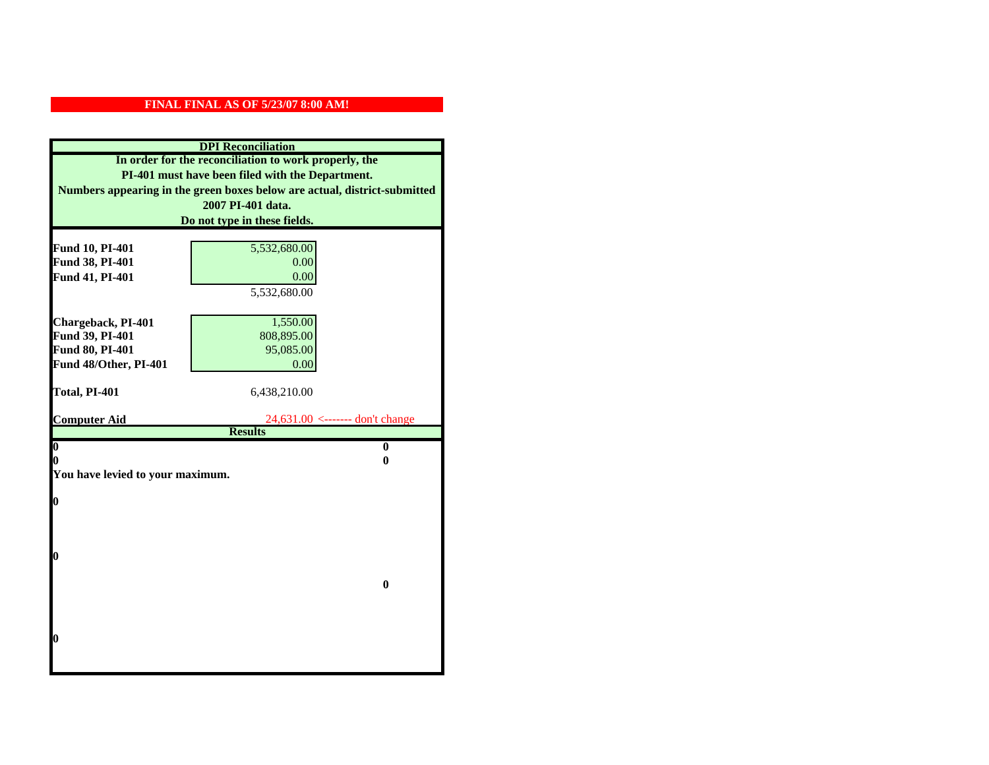| <b>DPI</b> Reconciliation                                                                                                     |                                   |  |                   |
|-------------------------------------------------------------------------------------------------------------------------------|-----------------------------------|--|-------------------|
| In order for the reconciliation to work properly, the                                                                         |                                   |  |                   |
| PI-401 must have been filed with the Department.<br>Numbers appearing in the green boxes below are actual, district-submitted |                                   |  |                   |
|                                                                                                                               |                                   |  | 2007 PI-401 data. |
|                                                                                                                               | Do not type in these fields.      |  |                   |
|                                                                                                                               |                                   |  |                   |
| Fund 10, PI-401                                                                                                               | 5,532,680.00                      |  |                   |
| Fund 38, PI-401                                                                                                               | 0.00                              |  |                   |
| Fund 41, PI-401                                                                                                               | 0.00                              |  |                   |
|                                                                                                                               | 5,532,680.00                      |  |                   |
|                                                                                                                               |                                   |  |                   |
| Chargeback, PI-401                                                                                                            | 1,550.00                          |  |                   |
| Fund 39, PI-401                                                                                                               | 808,895.00                        |  |                   |
| Fund 80, PI-401                                                                                                               | 95,085.00                         |  |                   |
| Fund 48/Other, PI-401                                                                                                         | 0.00                              |  |                   |
| Total, PI-401                                                                                                                 | 6,438,210.00                      |  |                   |
|                                                                                                                               |                                   |  |                   |
| <b>Computer Aid</b>                                                                                                           | $24,631.00$ <------- don't change |  |                   |
|                                                                                                                               | <b>Results</b>                    |  |                   |
| $\overline{\mathbf{0}}$                                                                                                       | $\mathbf{0}$                      |  |                   |
| 0                                                                                                                             | 0                                 |  |                   |
| You have levied to your maximum.                                                                                              |                                   |  |                   |
| $\bf{0}$                                                                                                                      |                                   |  |                   |
|                                                                                                                               |                                   |  |                   |
|                                                                                                                               |                                   |  |                   |
|                                                                                                                               |                                   |  |                   |
| 0                                                                                                                             |                                   |  |                   |
|                                                                                                                               |                                   |  |                   |
|                                                                                                                               | $\bf{0}$                          |  |                   |
|                                                                                                                               |                                   |  |                   |
|                                                                                                                               |                                   |  |                   |
|                                                                                                                               |                                   |  |                   |
|                                                                                                                               |                                   |  |                   |
| 0                                                                                                                             |                                   |  |                   |
|                                                                                                                               |                                   |  |                   |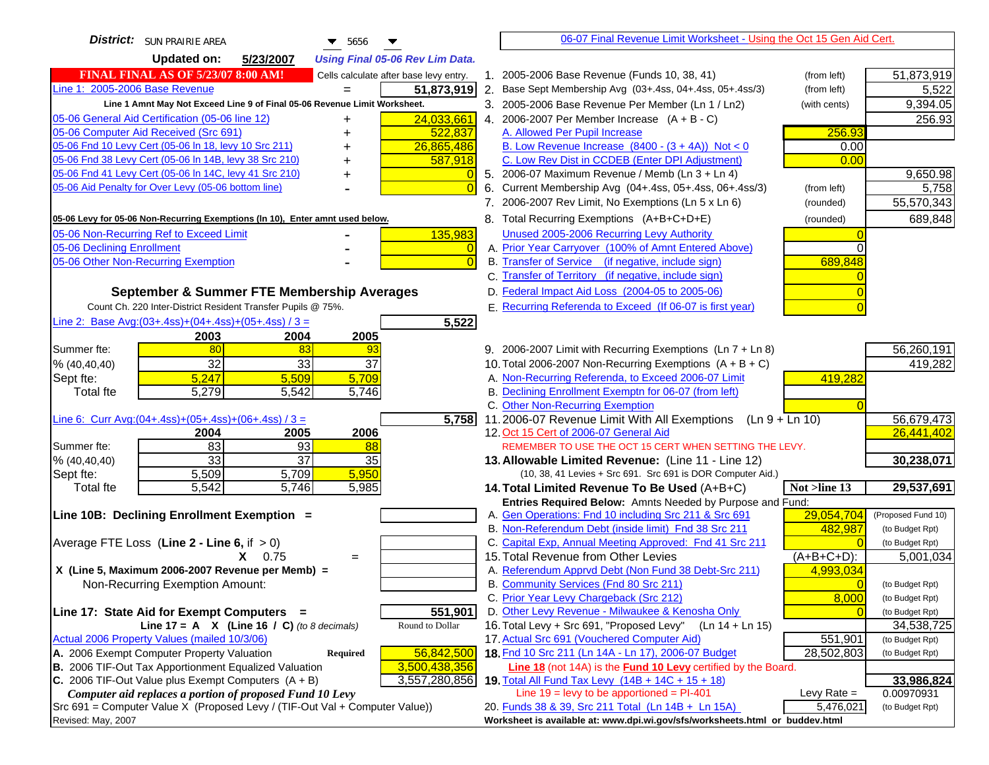| <b>Updated on:</b><br>5/23/2007<br><b>Using Final 05-06 Rev Lim Data.</b><br><b>FINAL FINAL AS OF 5/23/07 8:00 AM!</b><br>51,873,919<br>Cells calculate after base levy entry.<br>1. 2005-2006 Base Revenue (Funds 10, 38, 41)<br>(from left)<br>Line 1: 2005-2006 Base Revenue<br>51,873,919<br>2. Base Sept Membership Avg (03+.4ss, 04+.4ss, 05+.4ss/3)<br>5,522<br>(from left)<br>Line 1 Amnt May Not Exceed Line 9 of Final 05-06 Revenue Limit Worksheet.<br>9,394.05<br>3. 2005-2006 Base Revenue Per Member (Ln 1 / Ln2)<br>(with cents)<br>24,033,661<br>05-06 General Aid Certification (05-06 line 12)<br>4. 2006-2007 Per Member Increase $(A + B - C)$<br>256.93<br>+<br>05-06 Computer Aid Received (Src 691)<br>A. Allowed Per Pupil Increase<br>256.93<br>522,837<br>05-06 Fnd 10 Levy Cert (05-06 ln 18, levy 10 Src 211)<br>26,865,486<br>B. Low Revenue Increase $(8400 - (3 + 4A))$ Not < 0<br>0.00<br>05-06 Fnd 38 Levy Cert (05-06 In 14B, levy 38 Src 210)<br>C. Low Rev Dist in CCDEB (Enter DPI Adjustment)<br>0.00<br>587,918<br>05-06 Fnd 41 Levy Cert (05-06 In 14C, levy 41 Src 210)<br>9,650.98<br>5. 2006-07 Maximum Revenue / Memb (Ln 3 + Ln 4)<br>$\overline{0}$<br>05-06 Aid Penalty for Over Levy (05-06 bottom line)<br>6. Current Membership Avg (04+.4ss, 05+.4ss, 06+.4ss/3)<br>(from left)<br>5,758<br>$\Omega$<br>7. 2006-2007 Rev Limit, No Exemptions (Ln 5 x Ln 6)<br>55,570,343<br>(rounded)<br>689,848<br>8. Total Recurring Exemptions (A+B+C+D+E)<br>(rounded)<br>05-06 Non-Recurring Ref to Exceed Limit<br>135,983<br>Unused 2005-2006 Recurring Levy Authority<br>05-06 Declining Enrollment<br>A. Prior Year Carryover (100% of Amnt Entered Above)<br>$\overline{0}$<br>05-06 Other Non-Recurring Exemption<br>B. Transfer of Service (if negative, include sign)<br>689,848<br>$\Omega$<br>C. Transfer of Territory (if negative, include sign)<br>D. Federal Impact Aid Loss (2004-05 to 2005-06)<br>September & Summer FTE Membership Averages<br>E. Recurring Referenda to Exceed (If 06-07 is first year)<br>Count Ch. 220 Inter-District Resident Transfer Pupils @ 75%.<br>Line 2: Base Avg: $(03+.4ss)+(04+.4ss)+(05+.4ss)/3 =$<br>5,522<br>2003<br>2004<br>2005<br>56,260,191<br>80<br>83<br>93<br>9. 2006-2007 Limit with Recurring Exemptions (Ln 7 + Ln 8)<br>32<br>33<br>37<br>419,282<br>10. Total 2006-2007 Non-Recurring Exemptions $(A + B + C)$<br>% (40, 40, 40)<br>5,709<br>A. Non-Recurring Referenda, to Exceed 2006-07 Limit<br>5,247<br>5,509<br>419,282<br>Sept fte:<br>B. Declining Enrollment Exemptn for 06-07 (from left)<br><b>Total</b> fte<br>5,279<br>5,542<br>5,746<br>C. Other Non-Recurring Exemption<br>56,679,473<br>5,758<br>11.2006-07 Revenue Limit With All Exemptions (Ln $9 + \overline{\text{Ln }10}$ )<br>Line 6: Curr Avg: $(04+.4ss)+(05+.4ss)+(06+.4ss)/3=$<br>26,441,402<br>2006<br>12. Oct 15 Cert of 2006-07 General Aid<br>2004<br>2005<br>83<br>93<br>Summer fte:<br>88<br>REMEMBER TO USE THE OCT 15 CERT WHEN SETTING THE LEVY.<br>$\overline{37}$<br>33<br>35<br>30,238,071<br>% (40, 40, 40)<br>13. Allowable Limited Revenue: (Line 11 - Line 12)<br>5,950<br>5,509<br>5,709<br>Sept fte:<br>(10, 38, 41 Levies + Src 691. Src 691 is DOR Computer Aid.)<br>$\overline{5,746}$<br>29,537,691<br>5,542<br>5,985<br><b>Total fte</b><br>14. Total Limited Revenue To Be Used (A+B+C)<br>Not >line 13<br>Entries Required Below: Amnts Needed by Purpose and Fund:<br>29,054,704<br>A. Gen Operations: Fnd 10 including Src 211 & Src 691<br>Line 10B: Declining Enrollment Exemption =<br>(Proposed Fund 10)<br>B. Non-Referendum Debt (inside limit) Fnd 38 Src 211<br>482,987<br>(to Budget Rpt)<br>C. Capital Exp, Annual Meeting Approved: Fnd 41 Src 211<br>(to Budget Rpt)<br>15. Total Revenue from Other Levies<br>$X = 0.75$<br>$(A+B+C+D)$ :<br>5,001,034<br>$=$<br>X (Line 5, Maximum 2006-2007 Revenue per Memb) =<br>A. Referendum Apprvd Debt (Non Fund 38 Debt-Src 211)<br>4,993,034<br>B. Community Services (Fnd 80 Src 211)<br>Non-Recurring Exemption Amount:<br>(to Budget Rpt)<br>C. Prior Year Levy Chargeback (Src 212)<br>8,000<br>(to Budget Rpt)<br>D. Other Levy Revenue - Milwaukee & Kenosha Only<br>Line 17: State Aid for Exempt Computers =<br>551,901<br>(to Budget Rpt)<br>16. Total Levy + Src 691, "Proposed Levy"<br>Line 17 = A $X$ (Line 16 / C) (to 8 decimals)<br>Round to Dollar<br>$(Ln 14 + Ln 15)$<br>34,538,725<br>Actual 2006 Property Values (mailed 10/3/06)<br>17. Actual Src 691 (Vouchered Computer Aid)<br>551,901<br>(to Budget Rpt)<br>18. Fnd 10 Src 211 (Ln 14A - Ln 17), 2006-07 Budget<br>A. 2006 Exempt Computer Property Valuation<br>56,842,500<br>28,502,803<br>Required<br>(to Budget Rpt)<br>B. 2006 TIF-Out Tax Apportionment Equalized Valuation<br>3,500,438,356<br><b>Line 18</b> (not 14A) is the <b>Fund 10 Levy</b> certified by the Board.<br>C. 2006 TIF-Out Value plus Exempt Computers $(A + B)$<br>3,557,280,856<br>19. Total All Fund Tax Levy (14B + 14C + 15 + 18)<br>33,986,824<br>Line $19 = \text{levy}$ to be apportioned = PI-401<br>Computer aid replaces a portion of proposed Fund 10 Levy<br>Levy Rate $=$<br>0.00970931<br>5,476,021<br>20. Funds 38 & 39, Src 211 Total (Ln 14B + Ln 15A)<br>(to Budget Rpt) | District:<br><b>SUN PRAIRIE AREA</b><br>$\blacktriangledown$ 5656             | 06-07 Final Revenue Limit Worksheet - Using the Oct 15 Gen Aid Cert.         |  |
|------------------------------------------------------------------------------------------------------------------------------------------------------------------------------------------------------------------------------------------------------------------------------------------------------------------------------------------------------------------------------------------------------------------------------------------------------------------------------------------------------------------------------------------------------------------------------------------------------------------------------------------------------------------------------------------------------------------------------------------------------------------------------------------------------------------------------------------------------------------------------------------------------------------------------------------------------------------------------------------------------------------------------------------------------------------------------------------------------------------------------------------------------------------------------------------------------------------------------------------------------------------------------------------------------------------------------------------------------------------------------------------------------------------------------------------------------------------------------------------------------------------------------------------------------------------------------------------------------------------------------------------------------------------------------------------------------------------------------------------------------------------------------------------------------------------------------------------------------------------------------------------------------------------------------------------------------------------------------------------------------------------------------------------------------------------------------------------------------------------------------------------------------------------------------------------------------------------------------------------------------------------------------------------------------------------------------------------------------------------------------------------------------------------------------------------------------------------------------------------------------------------------------------------------------------------------------------------------------------------------------------------------------------------------------------------------------------------------------------------------------------------------------------------------------------------------------------------------------------------------------------------------------------------------------------------------------------------------------------------------------------------------------------------------------------------------------------------------------------------------------------------------------------------------------------------------------------------------------------------------------------------------------------------------------------------------------------------------------------------------------------------------------------------------------------------------------------------------------------------------------------------------------------------------------------------------------------------------------------------------------------------------------------------------------------------------------------------------------------------------------------------------------------------------------------------------------------------------------------------------------------------------------------------------------------------------------------------------------------------------------------------------------------------------------------------------------------------------------------------------------------------------------------------------------------------------------------------------------------------------------------------------------------------------------------------------------------------------------------------------------------------------------------------------------------------------------------------------------------------------------------------------------------------------------------------------------------------------------------------------------------------------------------------------------------------------------------------------------------------------------------------------------------------------------------------------------------------------------------------------------------------------------------------------------------------------------------------------------------------------------------------------------------------------------------------------------------------------------------------------------------------------------------------------------------------------------------------------------------------------------------------------------------------------------------------------|-------------------------------------------------------------------------------|------------------------------------------------------------------------------|--|
|                                                                                                                                                                                                                                                                                                                                                                                                                                                                                                                                                                                                                                                                                                                                                                                                                                                                                                                                                                                                                                                                                                                                                                                                                                                                                                                                                                                                                                                                                                                                                                                                                                                                                                                                                                                                                                                                                                                                                                                                                                                                                                                                                                                                                                                                                                                                                                                                                                                                                                                                                                                                                                                                                                                                                                                                                                                                                                                                                                                                                                                                                                                                                                                                                                                                                                                                                                                                                                                                                                                                                                                                                                                                                                                                                                                                                                                                                                                                                                                                                                                                                                                                                                                                                                                                                                                                                                                                                                                                                                                                                                                                                                                                                                                                                                                                                                                                                                                                                                                                                                                                                                                                                                                                                                                                                                                        |                                                                               |                                                                              |  |
|                                                                                                                                                                                                                                                                                                                                                                                                                                                                                                                                                                                                                                                                                                                                                                                                                                                                                                                                                                                                                                                                                                                                                                                                                                                                                                                                                                                                                                                                                                                                                                                                                                                                                                                                                                                                                                                                                                                                                                                                                                                                                                                                                                                                                                                                                                                                                                                                                                                                                                                                                                                                                                                                                                                                                                                                                                                                                                                                                                                                                                                                                                                                                                                                                                                                                                                                                                                                                                                                                                                                                                                                                                                                                                                                                                                                                                                                                                                                                                                                                                                                                                                                                                                                                                                                                                                                                                                                                                                                                                                                                                                                                                                                                                                                                                                                                                                                                                                                                                                                                                                                                                                                                                                                                                                                                                                        |                                                                               |                                                                              |  |
|                                                                                                                                                                                                                                                                                                                                                                                                                                                                                                                                                                                                                                                                                                                                                                                                                                                                                                                                                                                                                                                                                                                                                                                                                                                                                                                                                                                                                                                                                                                                                                                                                                                                                                                                                                                                                                                                                                                                                                                                                                                                                                                                                                                                                                                                                                                                                                                                                                                                                                                                                                                                                                                                                                                                                                                                                                                                                                                                                                                                                                                                                                                                                                                                                                                                                                                                                                                                                                                                                                                                                                                                                                                                                                                                                                                                                                                                                                                                                                                                                                                                                                                                                                                                                                                                                                                                                                                                                                                                                                                                                                                                                                                                                                                                                                                                                                                                                                                                                                                                                                                                                                                                                                                                                                                                                                                        |                                                                               |                                                                              |  |
|                                                                                                                                                                                                                                                                                                                                                                                                                                                                                                                                                                                                                                                                                                                                                                                                                                                                                                                                                                                                                                                                                                                                                                                                                                                                                                                                                                                                                                                                                                                                                                                                                                                                                                                                                                                                                                                                                                                                                                                                                                                                                                                                                                                                                                                                                                                                                                                                                                                                                                                                                                                                                                                                                                                                                                                                                                                                                                                                                                                                                                                                                                                                                                                                                                                                                                                                                                                                                                                                                                                                                                                                                                                                                                                                                                                                                                                                                                                                                                                                                                                                                                                                                                                                                                                                                                                                                                                                                                                                                                                                                                                                                                                                                                                                                                                                                                                                                                                                                                                                                                                                                                                                                                                                                                                                                                                        |                                                                               |                                                                              |  |
|                                                                                                                                                                                                                                                                                                                                                                                                                                                                                                                                                                                                                                                                                                                                                                                                                                                                                                                                                                                                                                                                                                                                                                                                                                                                                                                                                                                                                                                                                                                                                                                                                                                                                                                                                                                                                                                                                                                                                                                                                                                                                                                                                                                                                                                                                                                                                                                                                                                                                                                                                                                                                                                                                                                                                                                                                                                                                                                                                                                                                                                                                                                                                                                                                                                                                                                                                                                                                                                                                                                                                                                                                                                                                                                                                                                                                                                                                                                                                                                                                                                                                                                                                                                                                                                                                                                                                                                                                                                                                                                                                                                                                                                                                                                                                                                                                                                                                                                                                                                                                                                                                                                                                                                                                                                                                                                        |                                                                               |                                                                              |  |
|                                                                                                                                                                                                                                                                                                                                                                                                                                                                                                                                                                                                                                                                                                                                                                                                                                                                                                                                                                                                                                                                                                                                                                                                                                                                                                                                                                                                                                                                                                                                                                                                                                                                                                                                                                                                                                                                                                                                                                                                                                                                                                                                                                                                                                                                                                                                                                                                                                                                                                                                                                                                                                                                                                                                                                                                                                                                                                                                                                                                                                                                                                                                                                                                                                                                                                                                                                                                                                                                                                                                                                                                                                                                                                                                                                                                                                                                                                                                                                                                                                                                                                                                                                                                                                                                                                                                                                                                                                                                                                                                                                                                                                                                                                                                                                                                                                                                                                                                                                                                                                                                                                                                                                                                                                                                                                                        |                                                                               |                                                                              |  |
|                                                                                                                                                                                                                                                                                                                                                                                                                                                                                                                                                                                                                                                                                                                                                                                                                                                                                                                                                                                                                                                                                                                                                                                                                                                                                                                                                                                                                                                                                                                                                                                                                                                                                                                                                                                                                                                                                                                                                                                                                                                                                                                                                                                                                                                                                                                                                                                                                                                                                                                                                                                                                                                                                                                                                                                                                                                                                                                                                                                                                                                                                                                                                                                                                                                                                                                                                                                                                                                                                                                                                                                                                                                                                                                                                                                                                                                                                                                                                                                                                                                                                                                                                                                                                                                                                                                                                                                                                                                                                                                                                                                                                                                                                                                                                                                                                                                                                                                                                                                                                                                                                                                                                                                                                                                                                                                        |                                                                               |                                                                              |  |
|                                                                                                                                                                                                                                                                                                                                                                                                                                                                                                                                                                                                                                                                                                                                                                                                                                                                                                                                                                                                                                                                                                                                                                                                                                                                                                                                                                                                                                                                                                                                                                                                                                                                                                                                                                                                                                                                                                                                                                                                                                                                                                                                                                                                                                                                                                                                                                                                                                                                                                                                                                                                                                                                                                                                                                                                                                                                                                                                                                                                                                                                                                                                                                                                                                                                                                                                                                                                                                                                                                                                                                                                                                                                                                                                                                                                                                                                                                                                                                                                                                                                                                                                                                                                                                                                                                                                                                                                                                                                                                                                                                                                                                                                                                                                                                                                                                                                                                                                                                                                                                                                                                                                                                                                                                                                                                                        |                                                                               |                                                                              |  |
|                                                                                                                                                                                                                                                                                                                                                                                                                                                                                                                                                                                                                                                                                                                                                                                                                                                                                                                                                                                                                                                                                                                                                                                                                                                                                                                                                                                                                                                                                                                                                                                                                                                                                                                                                                                                                                                                                                                                                                                                                                                                                                                                                                                                                                                                                                                                                                                                                                                                                                                                                                                                                                                                                                                                                                                                                                                                                                                                                                                                                                                                                                                                                                                                                                                                                                                                                                                                                                                                                                                                                                                                                                                                                                                                                                                                                                                                                                                                                                                                                                                                                                                                                                                                                                                                                                                                                                                                                                                                                                                                                                                                                                                                                                                                                                                                                                                                                                                                                                                                                                                                                                                                                                                                                                                                                                                        |                                                                               |                                                                              |  |
|                                                                                                                                                                                                                                                                                                                                                                                                                                                                                                                                                                                                                                                                                                                                                                                                                                                                                                                                                                                                                                                                                                                                                                                                                                                                                                                                                                                                                                                                                                                                                                                                                                                                                                                                                                                                                                                                                                                                                                                                                                                                                                                                                                                                                                                                                                                                                                                                                                                                                                                                                                                                                                                                                                                                                                                                                                                                                                                                                                                                                                                                                                                                                                                                                                                                                                                                                                                                                                                                                                                                                                                                                                                                                                                                                                                                                                                                                                                                                                                                                                                                                                                                                                                                                                                                                                                                                                                                                                                                                                                                                                                                                                                                                                                                                                                                                                                                                                                                                                                                                                                                                                                                                                                                                                                                                                                        |                                                                               |                                                                              |  |
|                                                                                                                                                                                                                                                                                                                                                                                                                                                                                                                                                                                                                                                                                                                                                                                                                                                                                                                                                                                                                                                                                                                                                                                                                                                                                                                                                                                                                                                                                                                                                                                                                                                                                                                                                                                                                                                                                                                                                                                                                                                                                                                                                                                                                                                                                                                                                                                                                                                                                                                                                                                                                                                                                                                                                                                                                                                                                                                                                                                                                                                                                                                                                                                                                                                                                                                                                                                                                                                                                                                                                                                                                                                                                                                                                                                                                                                                                                                                                                                                                                                                                                                                                                                                                                                                                                                                                                                                                                                                                                                                                                                                                                                                                                                                                                                                                                                                                                                                                                                                                                                                                                                                                                                                                                                                                                                        |                                                                               |                                                                              |  |
|                                                                                                                                                                                                                                                                                                                                                                                                                                                                                                                                                                                                                                                                                                                                                                                                                                                                                                                                                                                                                                                                                                                                                                                                                                                                                                                                                                                                                                                                                                                                                                                                                                                                                                                                                                                                                                                                                                                                                                                                                                                                                                                                                                                                                                                                                                                                                                                                                                                                                                                                                                                                                                                                                                                                                                                                                                                                                                                                                                                                                                                                                                                                                                                                                                                                                                                                                                                                                                                                                                                                                                                                                                                                                                                                                                                                                                                                                                                                                                                                                                                                                                                                                                                                                                                                                                                                                                                                                                                                                                                                                                                                                                                                                                                                                                                                                                                                                                                                                                                                                                                                                                                                                                                                                                                                                                                        | 05-06 Levy for 05-06 Non-Recurring Exemptions (In 10), Enter amnt used below. |                                                                              |  |
|                                                                                                                                                                                                                                                                                                                                                                                                                                                                                                                                                                                                                                                                                                                                                                                                                                                                                                                                                                                                                                                                                                                                                                                                                                                                                                                                                                                                                                                                                                                                                                                                                                                                                                                                                                                                                                                                                                                                                                                                                                                                                                                                                                                                                                                                                                                                                                                                                                                                                                                                                                                                                                                                                                                                                                                                                                                                                                                                                                                                                                                                                                                                                                                                                                                                                                                                                                                                                                                                                                                                                                                                                                                                                                                                                                                                                                                                                                                                                                                                                                                                                                                                                                                                                                                                                                                                                                                                                                                                                                                                                                                                                                                                                                                                                                                                                                                                                                                                                                                                                                                                                                                                                                                                                                                                                                                        |                                                                               |                                                                              |  |
|                                                                                                                                                                                                                                                                                                                                                                                                                                                                                                                                                                                                                                                                                                                                                                                                                                                                                                                                                                                                                                                                                                                                                                                                                                                                                                                                                                                                                                                                                                                                                                                                                                                                                                                                                                                                                                                                                                                                                                                                                                                                                                                                                                                                                                                                                                                                                                                                                                                                                                                                                                                                                                                                                                                                                                                                                                                                                                                                                                                                                                                                                                                                                                                                                                                                                                                                                                                                                                                                                                                                                                                                                                                                                                                                                                                                                                                                                                                                                                                                                                                                                                                                                                                                                                                                                                                                                                                                                                                                                                                                                                                                                                                                                                                                                                                                                                                                                                                                                                                                                                                                                                                                                                                                                                                                                                                        |                                                                               |                                                                              |  |
|                                                                                                                                                                                                                                                                                                                                                                                                                                                                                                                                                                                                                                                                                                                                                                                                                                                                                                                                                                                                                                                                                                                                                                                                                                                                                                                                                                                                                                                                                                                                                                                                                                                                                                                                                                                                                                                                                                                                                                                                                                                                                                                                                                                                                                                                                                                                                                                                                                                                                                                                                                                                                                                                                                                                                                                                                                                                                                                                                                                                                                                                                                                                                                                                                                                                                                                                                                                                                                                                                                                                                                                                                                                                                                                                                                                                                                                                                                                                                                                                                                                                                                                                                                                                                                                                                                                                                                                                                                                                                                                                                                                                                                                                                                                                                                                                                                                                                                                                                                                                                                                                                                                                                                                                                                                                                                                        |                                                                               |                                                                              |  |
|                                                                                                                                                                                                                                                                                                                                                                                                                                                                                                                                                                                                                                                                                                                                                                                                                                                                                                                                                                                                                                                                                                                                                                                                                                                                                                                                                                                                                                                                                                                                                                                                                                                                                                                                                                                                                                                                                                                                                                                                                                                                                                                                                                                                                                                                                                                                                                                                                                                                                                                                                                                                                                                                                                                                                                                                                                                                                                                                                                                                                                                                                                                                                                                                                                                                                                                                                                                                                                                                                                                                                                                                                                                                                                                                                                                                                                                                                                                                                                                                                                                                                                                                                                                                                                                                                                                                                                                                                                                                                                                                                                                                                                                                                                                                                                                                                                                                                                                                                                                                                                                                                                                                                                                                                                                                                                                        |                                                                               |                                                                              |  |
|                                                                                                                                                                                                                                                                                                                                                                                                                                                                                                                                                                                                                                                                                                                                                                                                                                                                                                                                                                                                                                                                                                                                                                                                                                                                                                                                                                                                                                                                                                                                                                                                                                                                                                                                                                                                                                                                                                                                                                                                                                                                                                                                                                                                                                                                                                                                                                                                                                                                                                                                                                                                                                                                                                                                                                                                                                                                                                                                                                                                                                                                                                                                                                                                                                                                                                                                                                                                                                                                                                                                                                                                                                                                                                                                                                                                                                                                                                                                                                                                                                                                                                                                                                                                                                                                                                                                                                                                                                                                                                                                                                                                                                                                                                                                                                                                                                                                                                                                                                                                                                                                                                                                                                                                                                                                                                                        |                                                                               |                                                                              |  |
|                                                                                                                                                                                                                                                                                                                                                                                                                                                                                                                                                                                                                                                                                                                                                                                                                                                                                                                                                                                                                                                                                                                                                                                                                                                                                                                                                                                                                                                                                                                                                                                                                                                                                                                                                                                                                                                                                                                                                                                                                                                                                                                                                                                                                                                                                                                                                                                                                                                                                                                                                                                                                                                                                                                                                                                                                                                                                                                                                                                                                                                                                                                                                                                                                                                                                                                                                                                                                                                                                                                                                                                                                                                                                                                                                                                                                                                                                                                                                                                                                                                                                                                                                                                                                                                                                                                                                                                                                                                                                                                                                                                                                                                                                                                                                                                                                                                                                                                                                                                                                                                                                                                                                                                                                                                                                                                        |                                                                               |                                                                              |  |
|                                                                                                                                                                                                                                                                                                                                                                                                                                                                                                                                                                                                                                                                                                                                                                                                                                                                                                                                                                                                                                                                                                                                                                                                                                                                                                                                                                                                                                                                                                                                                                                                                                                                                                                                                                                                                                                                                                                                                                                                                                                                                                                                                                                                                                                                                                                                                                                                                                                                                                                                                                                                                                                                                                                                                                                                                                                                                                                                                                                                                                                                                                                                                                                                                                                                                                                                                                                                                                                                                                                                                                                                                                                                                                                                                                                                                                                                                                                                                                                                                                                                                                                                                                                                                                                                                                                                                                                                                                                                                                                                                                                                                                                                                                                                                                                                                                                                                                                                                                                                                                                                                                                                                                                                                                                                                                                        |                                                                               |                                                                              |  |
|                                                                                                                                                                                                                                                                                                                                                                                                                                                                                                                                                                                                                                                                                                                                                                                                                                                                                                                                                                                                                                                                                                                                                                                                                                                                                                                                                                                                                                                                                                                                                                                                                                                                                                                                                                                                                                                                                                                                                                                                                                                                                                                                                                                                                                                                                                                                                                                                                                                                                                                                                                                                                                                                                                                                                                                                                                                                                                                                                                                                                                                                                                                                                                                                                                                                                                                                                                                                                                                                                                                                                                                                                                                                                                                                                                                                                                                                                                                                                                                                                                                                                                                                                                                                                                                                                                                                                                                                                                                                                                                                                                                                                                                                                                                                                                                                                                                                                                                                                                                                                                                                                                                                                                                                                                                                                                                        |                                                                               |                                                                              |  |
|                                                                                                                                                                                                                                                                                                                                                                                                                                                                                                                                                                                                                                                                                                                                                                                                                                                                                                                                                                                                                                                                                                                                                                                                                                                                                                                                                                                                                                                                                                                                                                                                                                                                                                                                                                                                                                                                                                                                                                                                                                                                                                                                                                                                                                                                                                                                                                                                                                                                                                                                                                                                                                                                                                                                                                                                                                                                                                                                                                                                                                                                                                                                                                                                                                                                                                                                                                                                                                                                                                                                                                                                                                                                                                                                                                                                                                                                                                                                                                                                                                                                                                                                                                                                                                                                                                                                                                                                                                                                                                                                                                                                                                                                                                                                                                                                                                                                                                                                                                                                                                                                                                                                                                                                                                                                                                                        | Summer fte:                                                                   |                                                                              |  |
|                                                                                                                                                                                                                                                                                                                                                                                                                                                                                                                                                                                                                                                                                                                                                                                                                                                                                                                                                                                                                                                                                                                                                                                                                                                                                                                                                                                                                                                                                                                                                                                                                                                                                                                                                                                                                                                                                                                                                                                                                                                                                                                                                                                                                                                                                                                                                                                                                                                                                                                                                                                                                                                                                                                                                                                                                                                                                                                                                                                                                                                                                                                                                                                                                                                                                                                                                                                                                                                                                                                                                                                                                                                                                                                                                                                                                                                                                                                                                                                                                                                                                                                                                                                                                                                                                                                                                                                                                                                                                                                                                                                                                                                                                                                                                                                                                                                                                                                                                                                                                                                                                                                                                                                                                                                                                                                        |                                                                               |                                                                              |  |
|                                                                                                                                                                                                                                                                                                                                                                                                                                                                                                                                                                                                                                                                                                                                                                                                                                                                                                                                                                                                                                                                                                                                                                                                                                                                                                                                                                                                                                                                                                                                                                                                                                                                                                                                                                                                                                                                                                                                                                                                                                                                                                                                                                                                                                                                                                                                                                                                                                                                                                                                                                                                                                                                                                                                                                                                                                                                                                                                                                                                                                                                                                                                                                                                                                                                                                                                                                                                                                                                                                                                                                                                                                                                                                                                                                                                                                                                                                                                                                                                                                                                                                                                                                                                                                                                                                                                                                                                                                                                                                                                                                                                                                                                                                                                                                                                                                                                                                                                                                                                                                                                                                                                                                                                                                                                                                                        |                                                                               |                                                                              |  |
|                                                                                                                                                                                                                                                                                                                                                                                                                                                                                                                                                                                                                                                                                                                                                                                                                                                                                                                                                                                                                                                                                                                                                                                                                                                                                                                                                                                                                                                                                                                                                                                                                                                                                                                                                                                                                                                                                                                                                                                                                                                                                                                                                                                                                                                                                                                                                                                                                                                                                                                                                                                                                                                                                                                                                                                                                                                                                                                                                                                                                                                                                                                                                                                                                                                                                                                                                                                                                                                                                                                                                                                                                                                                                                                                                                                                                                                                                                                                                                                                                                                                                                                                                                                                                                                                                                                                                                                                                                                                                                                                                                                                                                                                                                                                                                                                                                                                                                                                                                                                                                                                                                                                                                                                                                                                                                                        |                                                                               |                                                                              |  |
|                                                                                                                                                                                                                                                                                                                                                                                                                                                                                                                                                                                                                                                                                                                                                                                                                                                                                                                                                                                                                                                                                                                                                                                                                                                                                                                                                                                                                                                                                                                                                                                                                                                                                                                                                                                                                                                                                                                                                                                                                                                                                                                                                                                                                                                                                                                                                                                                                                                                                                                                                                                                                                                                                                                                                                                                                                                                                                                                                                                                                                                                                                                                                                                                                                                                                                                                                                                                                                                                                                                                                                                                                                                                                                                                                                                                                                                                                                                                                                                                                                                                                                                                                                                                                                                                                                                                                                                                                                                                                                                                                                                                                                                                                                                                                                                                                                                                                                                                                                                                                                                                                                                                                                                                                                                                                                                        |                                                                               |                                                                              |  |
|                                                                                                                                                                                                                                                                                                                                                                                                                                                                                                                                                                                                                                                                                                                                                                                                                                                                                                                                                                                                                                                                                                                                                                                                                                                                                                                                                                                                                                                                                                                                                                                                                                                                                                                                                                                                                                                                                                                                                                                                                                                                                                                                                                                                                                                                                                                                                                                                                                                                                                                                                                                                                                                                                                                                                                                                                                                                                                                                                                                                                                                                                                                                                                                                                                                                                                                                                                                                                                                                                                                                                                                                                                                                                                                                                                                                                                                                                                                                                                                                                                                                                                                                                                                                                                                                                                                                                                                                                                                                                                                                                                                                                                                                                                                                                                                                                                                                                                                                                                                                                                                                                                                                                                                                                                                                                                                        |                                                                               |                                                                              |  |
|                                                                                                                                                                                                                                                                                                                                                                                                                                                                                                                                                                                                                                                                                                                                                                                                                                                                                                                                                                                                                                                                                                                                                                                                                                                                                                                                                                                                                                                                                                                                                                                                                                                                                                                                                                                                                                                                                                                                                                                                                                                                                                                                                                                                                                                                                                                                                                                                                                                                                                                                                                                                                                                                                                                                                                                                                                                                                                                                                                                                                                                                                                                                                                                                                                                                                                                                                                                                                                                                                                                                                                                                                                                                                                                                                                                                                                                                                                                                                                                                                                                                                                                                                                                                                                                                                                                                                                                                                                                                                                                                                                                                                                                                                                                                                                                                                                                                                                                                                                                                                                                                                                                                                                                                                                                                                                                        |                                                                               |                                                                              |  |
|                                                                                                                                                                                                                                                                                                                                                                                                                                                                                                                                                                                                                                                                                                                                                                                                                                                                                                                                                                                                                                                                                                                                                                                                                                                                                                                                                                                                                                                                                                                                                                                                                                                                                                                                                                                                                                                                                                                                                                                                                                                                                                                                                                                                                                                                                                                                                                                                                                                                                                                                                                                                                                                                                                                                                                                                                                                                                                                                                                                                                                                                                                                                                                                                                                                                                                                                                                                                                                                                                                                                                                                                                                                                                                                                                                                                                                                                                                                                                                                                                                                                                                                                                                                                                                                                                                                                                                                                                                                                                                                                                                                                                                                                                                                                                                                                                                                                                                                                                                                                                                                                                                                                                                                                                                                                                                                        |                                                                               |                                                                              |  |
|                                                                                                                                                                                                                                                                                                                                                                                                                                                                                                                                                                                                                                                                                                                                                                                                                                                                                                                                                                                                                                                                                                                                                                                                                                                                                                                                                                                                                                                                                                                                                                                                                                                                                                                                                                                                                                                                                                                                                                                                                                                                                                                                                                                                                                                                                                                                                                                                                                                                                                                                                                                                                                                                                                                                                                                                                                                                                                                                                                                                                                                                                                                                                                                                                                                                                                                                                                                                                                                                                                                                                                                                                                                                                                                                                                                                                                                                                                                                                                                                                                                                                                                                                                                                                                                                                                                                                                                                                                                                                                                                                                                                                                                                                                                                                                                                                                                                                                                                                                                                                                                                                                                                                                                                                                                                                                                        |                                                                               |                                                                              |  |
|                                                                                                                                                                                                                                                                                                                                                                                                                                                                                                                                                                                                                                                                                                                                                                                                                                                                                                                                                                                                                                                                                                                                                                                                                                                                                                                                                                                                                                                                                                                                                                                                                                                                                                                                                                                                                                                                                                                                                                                                                                                                                                                                                                                                                                                                                                                                                                                                                                                                                                                                                                                                                                                                                                                                                                                                                                                                                                                                                                                                                                                                                                                                                                                                                                                                                                                                                                                                                                                                                                                                                                                                                                                                                                                                                                                                                                                                                                                                                                                                                                                                                                                                                                                                                                                                                                                                                                                                                                                                                                                                                                                                                                                                                                                                                                                                                                                                                                                                                                                                                                                                                                                                                                                                                                                                                                                        |                                                                               |                                                                              |  |
|                                                                                                                                                                                                                                                                                                                                                                                                                                                                                                                                                                                                                                                                                                                                                                                                                                                                                                                                                                                                                                                                                                                                                                                                                                                                                                                                                                                                                                                                                                                                                                                                                                                                                                                                                                                                                                                                                                                                                                                                                                                                                                                                                                                                                                                                                                                                                                                                                                                                                                                                                                                                                                                                                                                                                                                                                                                                                                                                                                                                                                                                                                                                                                                                                                                                                                                                                                                                                                                                                                                                                                                                                                                                                                                                                                                                                                                                                                                                                                                                                                                                                                                                                                                                                                                                                                                                                                                                                                                                                                                                                                                                                                                                                                                                                                                                                                                                                                                                                                                                                                                                                                                                                                                                                                                                                                                        |                                                                               |                                                                              |  |
|                                                                                                                                                                                                                                                                                                                                                                                                                                                                                                                                                                                                                                                                                                                                                                                                                                                                                                                                                                                                                                                                                                                                                                                                                                                                                                                                                                                                                                                                                                                                                                                                                                                                                                                                                                                                                                                                                                                                                                                                                                                                                                                                                                                                                                                                                                                                                                                                                                                                                                                                                                                                                                                                                                                                                                                                                                                                                                                                                                                                                                                                                                                                                                                                                                                                                                                                                                                                                                                                                                                                                                                                                                                                                                                                                                                                                                                                                                                                                                                                                                                                                                                                                                                                                                                                                                                                                                                                                                                                                                                                                                                                                                                                                                                                                                                                                                                                                                                                                                                                                                                                                                                                                                                                                                                                                                                        |                                                                               |                                                                              |  |
|                                                                                                                                                                                                                                                                                                                                                                                                                                                                                                                                                                                                                                                                                                                                                                                                                                                                                                                                                                                                                                                                                                                                                                                                                                                                                                                                                                                                                                                                                                                                                                                                                                                                                                                                                                                                                                                                                                                                                                                                                                                                                                                                                                                                                                                                                                                                                                                                                                                                                                                                                                                                                                                                                                                                                                                                                                                                                                                                                                                                                                                                                                                                                                                                                                                                                                                                                                                                                                                                                                                                                                                                                                                                                                                                                                                                                                                                                                                                                                                                                                                                                                                                                                                                                                                                                                                                                                                                                                                                                                                                                                                                                                                                                                                                                                                                                                                                                                                                                                                                                                                                                                                                                                                                                                                                                                                        |                                                                               |                                                                              |  |
|                                                                                                                                                                                                                                                                                                                                                                                                                                                                                                                                                                                                                                                                                                                                                                                                                                                                                                                                                                                                                                                                                                                                                                                                                                                                                                                                                                                                                                                                                                                                                                                                                                                                                                                                                                                                                                                                                                                                                                                                                                                                                                                                                                                                                                                                                                                                                                                                                                                                                                                                                                                                                                                                                                                                                                                                                                                                                                                                                                                                                                                                                                                                                                                                                                                                                                                                                                                                                                                                                                                                                                                                                                                                                                                                                                                                                                                                                                                                                                                                                                                                                                                                                                                                                                                                                                                                                                                                                                                                                                                                                                                                                                                                                                                                                                                                                                                                                                                                                                                                                                                                                                                                                                                                                                                                                                                        | Average FTE Loss (Line $2 -$ Line 6, if $> 0$ )                               |                                                                              |  |
|                                                                                                                                                                                                                                                                                                                                                                                                                                                                                                                                                                                                                                                                                                                                                                                                                                                                                                                                                                                                                                                                                                                                                                                                                                                                                                                                                                                                                                                                                                                                                                                                                                                                                                                                                                                                                                                                                                                                                                                                                                                                                                                                                                                                                                                                                                                                                                                                                                                                                                                                                                                                                                                                                                                                                                                                                                                                                                                                                                                                                                                                                                                                                                                                                                                                                                                                                                                                                                                                                                                                                                                                                                                                                                                                                                                                                                                                                                                                                                                                                                                                                                                                                                                                                                                                                                                                                                                                                                                                                                                                                                                                                                                                                                                                                                                                                                                                                                                                                                                                                                                                                                                                                                                                                                                                                                                        |                                                                               |                                                                              |  |
|                                                                                                                                                                                                                                                                                                                                                                                                                                                                                                                                                                                                                                                                                                                                                                                                                                                                                                                                                                                                                                                                                                                                                                                                                                                                                                                                                                                                                                                                                                                                                                                                                                                                                                                                                                                                                                                                                                                                                                                                                                                                                                                                                                                                                                                                                                                                                                                                                                                                                                                                                                                                                                                                                                                                                                                                                                                                                                                                                                                                                                                                                                                                                                                                                                                                                                                                                                                                                                                                                                                                                                                                                                                                                                                                                                                                                                                                                                                                                                                                                                                                                                                                                                                                                                                                                                                                                                                                                                                                                                                                                                                                                                                                                                                                                                                                                                                                                                                                                                                                                                                                                                                                                                                                                                                                                                                        |                                                                               |                                                                              |  |
|                                                                                                                                                                                                                                                                                                                                                                                                                                                                                                                                                                                                                                                                                                                                                                                                                                                                                                                                                                                                                                                                                                                                                                                                                                                                                                                                                                                                                                                                                                                                                                                                                                                                                                                                                                                                                                                                                                                                                                                                                                                                                                                                                                                                                                                                                                                                                                                                                                                                                                                                                                                                                                                                                                                                                                                                                                                                                                                                                                                                                                                                                                                                                                                                                                                                                                                                                                                                                                                                                                                                                                                                                                                                                                                                                                                                                                                                                                                                                                                                                                                                                                                                                                                                                                                                                                                                                                                                                                                                                                                                                                                                                                                                                                                                                                                                                                                                                                                                                                                                                                                                                                                                                                                                                                                                                                                        |                                                                               |                                                                              |  |
|                                                                                                                                                                                                                                                                                                                                                                                                                                                                                                                                                                                                                                                                                                                                                                                                                                                                                                                                                                                                                                                                                                                                                                                                                                                                                                                                                                                                                                                                                                                                                                                                                                                                                                                                                                                                                                                                                                                                                                                                                                                                                                                                                                                                                                                                                                                                                                                                                                                                                                                                                                                                                                                                                                                                                                                                                                                                                                                                                                                                                                                                                                                                                                                                                                                                                                                                                                                                                                                                                                                                                                                                                                                                                                                                                                                                                                                                                                                                                                                                                                                                                                                                                                                                                                                                                                                                                                                                                                                                                                                                                                                                                                                                                                                                                                                                                                                                                                                                                                                                                                                                                                                                                                                                                                                                                                                        |                                                                               |                                                                              |  |
|                                                                                                                                                                                                                                                                                                                                                                                                                                                                                                                                                                                                                                                                                                                                                                                                                                                                                                                                                                                                                                                                                                                                                                                                                                                                                                                                                                                                                                                                                                                                                                                                                                                                                                                                                                                                                                                                                                                                                                                                                                                                                                                                                                                                                                                                                                                                                                                                                                                                                                                                                                                                                                                                                                                                                                                                                                                                                                                                                                                                                                                                                                                                                                                                                                                                                                                                                                                                                                                                                                                                                                                                                                                                                                                                                                                                                                                                                                                                                                                                                                                                                                                                                                                                                                                                                                                                                                                                                                                                                                                                                                                                                                                                                                                                                                                                                                                                                                                                                                                                                                                                                                                                                                                                                                                                                                                        |                                                                               |                                                                              |  |
|                                                                                                                                                                                                                                                                                                                                                                                                                                                                                                                                                                                                                                                                                                                                                                                                                                                                                                                                                                                                                                                                                                                                                                                                                                                                                                                                                                                                                                                                                                                                                                                                                                                                                                                                                                                                                                                                                                                                                                                                                                                                                                                                                                                                                                                                                                                                                                                                                                                                                                                                                                                                                                                                                                                                                                                                                                                                                                                                                                                                                                                                                                                                                                                                                                                                                                                                                                                                                                                                                                                                                                                                                                                                                                                                                                                                                                                                                                                                                                                                                                                                                                                                                                                                                                                                                                                                                                                                                                                                                                                                                                                                                                                                                                                                                                                                                                                                                                                                                                                                                                                                                                                                                                                                                                                                                                                        |                                                                               |                                                                              |  |
|                                                                                                                                                                                                                                                                                                                                                                                                                                                                                                                                                                                                                                                                                                                                                                                                                                                                                                                                                                                                                                                                                                                                                                                                                                                                                                                                                                                                                                                                                                                                                                                                                                                                                                                                                                                                                                                                                                                                                                                                                                                                                                                                                                                                                                                                                                                                                                                                                                                                                                                                                                                                                                                                                                                                                                                                                                                                                                                                                                                                                                                                                                                                                                                                                                                                                                                                                                                                                                                                                                                                                                                                                                                                                                                                                                                                                                                                                                                                                                                                                                                                                                                                                                                                                                                                                                                                                                                                                                                                                                                                                                                                                                                                                                                                                                                                                                                                                                                                                                                                                                                                                                                                                                                                                                                                                                                        |                                                                               |                                                                              |  |
|                                                                                                                                                                                                                                                                                                                                                                                                                                                                                                                                                                                                                                                                                                                                                                                                                                                                                                                                                                                                                                                                                                                                                                                                                                                                                                                                                                                                                                                                                                                                                                                                                                                                                                                                                                                                                                                                                                                                                                                                                                                                                                                                                                                                                                                                                                                                                                                                                                                                                                                                                                                                                                                                                                                                                                                                                                                                                                                                                                                                                                                                                                                                                                                                                                                                                                                                                                                                                                                                                                                                                                                                                                                                                                                                                                                                                                                                                                                                                                                                                                                                                                                                                                                                                                                                                                                                                                                                                                                                                                                                                                                                                                                                                                                                                                                                                                                                                                                                                                                                                                                                                                                                                                                                                                                                                                                        |                                                                               |                                                                              |  |
|                                                                                                                                                                                                                                                                                                                                                                                                                                                                                                                                                                                                                                                                                                                                                                                                                                                                                                                                                                                                                                                                                                                                                                                                                                                                                                                                                                                                                                                                                                                                                                                                                                                                                                                                                                                                                                                                                                                                                                                                                                                                                                                                                                                                                                                                                                                                                                                                                                                                                                                                                                                                                                                                                                                                                                                                                                                                                                                                                                                                                                                                                                                                                                                                                                                                                                                                                                                                                                                                                                                                                                                                                                                                                                                                                                                                                                                                                                                                                                                                                                                                                                                                                                                                                                                                                                                                                                                                                                                                                                                                                                                                                                                                                                                                                                                                                                                                                                                                                                                                                                                                                                                                                                                                                                                                                                                        |                                                                               |                                                                              |  |
|                                                                                                                                                                                                                                                                                                                                                                                                                                                                                                                                                                                                                                                                                                                                                                                                                                                                                                                                                                                                                                                                                                                                                                                                                                                                                                                                                                                                                                                                                                                                                                                                                                                                                                                                                                                                                                                                                                                                                                                                                                                                                                                                                                                                                                                                                                                                                                                                                                                                                                                                                                                                                                                                                                                                                                                                                                                                                                                                                                                                                                                                                                                                                                                                                                                                                                                                                                                                                                                                                                                                                                                                                                                                                                                                                                                                                                                                                                                                                                                                                                                                                                                                                                                                                                                                                                                                                                                                                                                                                                                                                                                                                                                                                                                                                                                                                                                                                                                                                                                                                                                                                                                                                                                                                                                                                                                        |                                                                               |                                                                              |  |
|                                                                                                                                                                                                                                                                                                                                                                                                                                                                                                                                                                                                                                                                                                                                                                                                                                                                                                                                                                                                                                                                                                                                                                                                                                                                                                                                                                                                                                                                                                                                                                                                                                                                                                                                                                                                                                                                                                                                                                                                                                                                                                                                                                                                                                                                                                                                                                                                                                                                                                                                                                                                                                                                                                                                                                                                                                                                                                                                                                                                                                                                                                                                                                                                                                                                                                                                                                                                                                                                                                                                                                                                                                                                                                                                                                                                                                                                                                                                                                                                                                                                                                                                                                                                                                                                                                                                                                                                                                                                                                                                                                                                                                                                                                                                                                                                                                                                                                                                                                                                                                                                                                                                                                                                                                                                                                                        | Src 691 = Computer Value X (Proposed Levy / (TIF-Out Val + Computer Value))   |                                                                              |  |
|                                                                                                                                                                                                                                                                                                                                                                                                                                                                                                                                                                                                                                                                                                                                                                                                                                                                                                                                                                                                                                                                                                                                                                                                                                                                                                                                                                                                                                                                                                                                                                                                                                                                                                                                                                                                                                                                                                                                                                                                                                                                                                                                                                                                                                                                                                                                                                                                                                                                                                                                                                                                                                                                                                                                                                                                                                                                                                                                                                                                                                                                                                                                                                                                                                                                                                                                                                                                                                                                                                                                                                                                                                                                                                                                                                                                                                                                                                                                                                                                                                                                                                                                                                                                                                                                                                                                                                                                                                                                                                                                                                                                                                                                                                                                                                                                                                                                                                                                                                                                                                                                                                                                                                                                                                                                                                                        | Revised: May, 2007                                                            | Worksheet is available at: www.dpi.wi.gov/sfs/worksheets.html or buddev.html |  |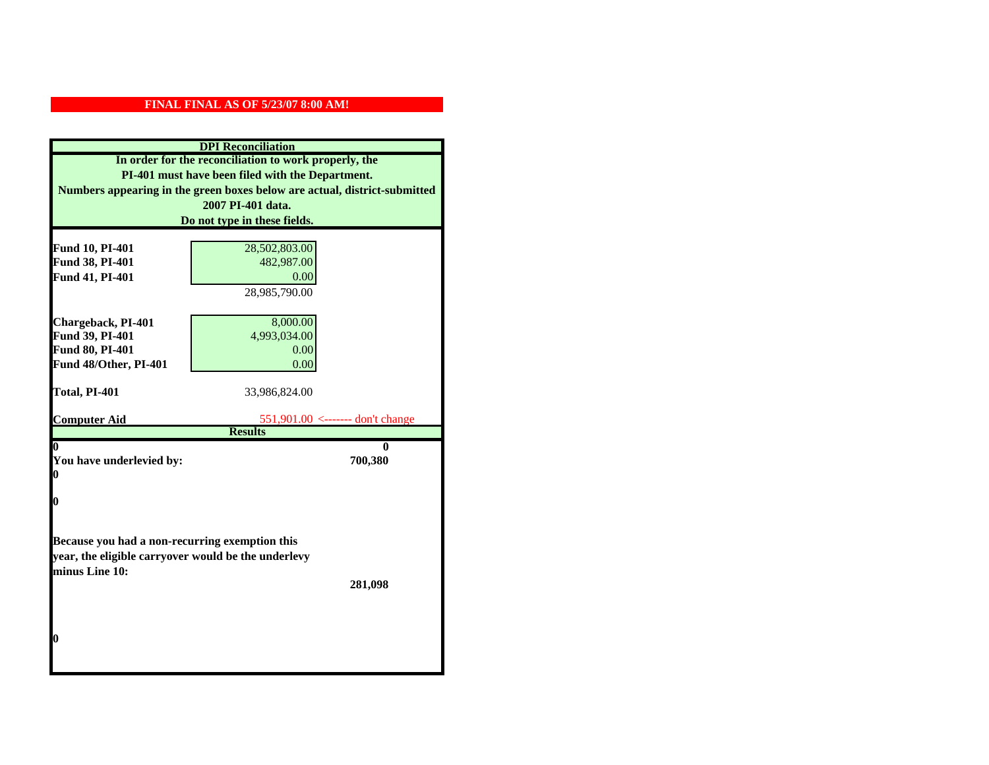|                                                     | <b>DPI</b> Reconciliation                                                 |  |  |  |  |
|-----------------------------------------------------|---------------------------------------------------------------------------|--|--|--|--|
|                                                     | In order for the reconciliation to work properly, the                     |  |  |  |  |
|                                                     | PI-401 must have been filed with the Department.                          |  |  |  |  |
|                                                     | Numbers appearing in the green boxes below are actual, district-submitted |  |  |  |  |
|                                                     | 2007 PI-401 data.                                                         |  |  |  |  |
|                                                     | Do not type in these fields.                                              |  |  |  |  |
|                                                     |                                                                           |  |  |  |  |
| Fund 10, PI-401<br>Fund 38, PI-401                  | 28,502,803.00<br>482,987.00                                               |  |  |  |  |
| Fund 41, PI-401                                     | 0.00                                                                      |  |  |  |  |
|                                                     | 28,985,790.00                                                             |  |  |  |  |
|                                                     |                                                                           |  |  |  |  |
| Chargeback, PI-401                                  | 8,000.00                                                                  |  |  |  |  |
| Fund 39, PI-401                                     | 4,993,034.00                                                              |  |  |  |  |
| Fund 80, PI-401                                     | 0.00                                                                      |  |  |  |  |
| Fund 48/Other, PI-401                               | 0.00                                                                      |  |  |  |  |
|                                                     |                                                                           |  |  |  |  |
| Total, PI-401                                       | 33,986,824.00                                                             |  |  |  |  |
| <b>Computer Aid</b>                                 | 551,901.00 <------- don't change                                          |  |  |  |  |
|                                                     | <b>Results</b>                                                            |  |  |  |  |
|                                                     | 0                                                                         |  |  |  |  |
| You have underlevied by:                            | 700,380                                                                   |  |  |  |  |
| 0                                                   |                                                                           |  |  |  |  |
| 0                                                   |                                                                           |  |  |  |  |
|                                                     |                                                                           |  |  |  |  |
|                                                     |                                                                           |  |  |  |  |
| Because you had a non-recurring exemption this      |                                                                           |  |  |  |  |
| year, the eligible carryover would be the underlevy |                                                                           |  |  |  |  |
| minus Line 10:                                      |                                                                           |  |  |  |  |
|                                                     | 281,098                                                                   |  |  |  |  |
|                                                     |                                                                           |  |  |  |  |
|                                                     |                                                                           |  |  |  |  |
| 0                                                   |                                                                           |  |  |  |  |
|                                                     |                                                                           |  |  |  |  |
|                                                     |                                                                           |  |  |  |  |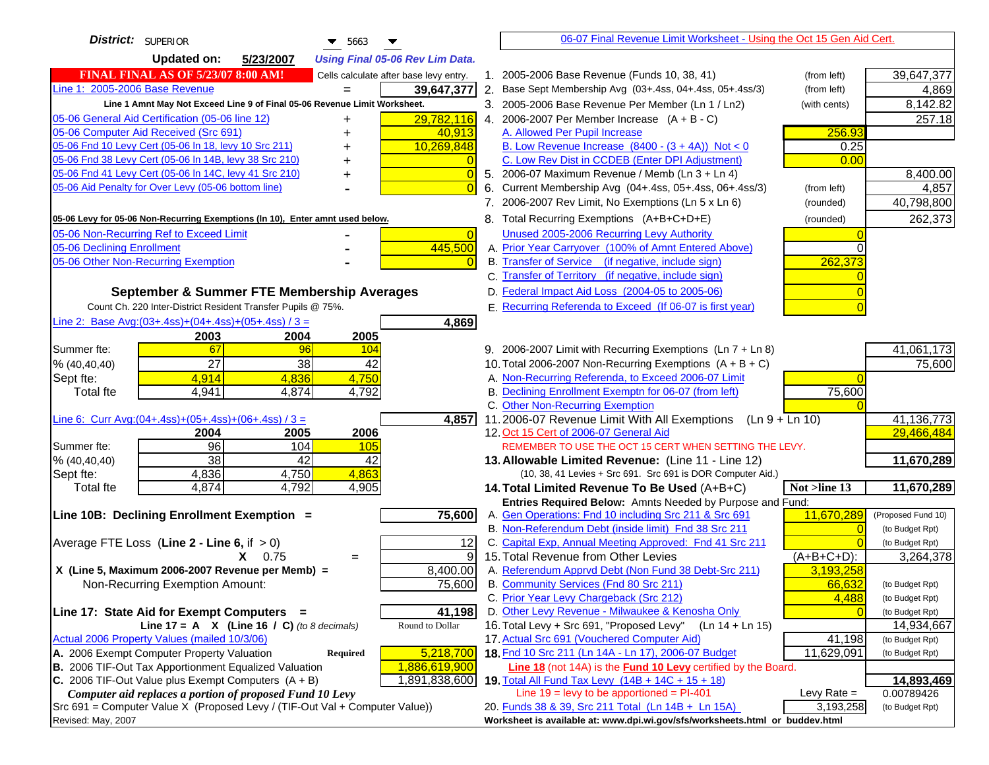| District: SUPERIOR<br>$\blacktriangledown$ 5663                                                                                         |                | 06-07 Final Revenue Limit Worksheet - Using the Oct 15 Gen Aid Cert.                                        |                            |                          |
|-----------------------------------------------------------------------------------------------------------------------------------------|----------------|-------------------------------------------------------------------------------------------------------------|----------------------------|--------------------------|
| <b>Updated on:</b><br>5/23/2007<br><b>Using Final 05-06 Rev Lim Data.</b>                                                               |                |                                                                                                             |                            |                          |
| <b>FINAL FINAL AS OF 5/23/07 8:00 AM!</b><br>Cells calculate after base levy entry.                                                     |                | 1. 2005-2006 Base Revenue (Funds 10, 38, 41)                                                                | (from left)                | 39,647,377               |
| Line 1: 2005-2006 Base Revenue<br>39,647,377                                                                                            |                | 2. Base Sept Membership Avg (03+.4ss, 04+.4ss, 05+.4ss/3)                                                   | (from left)                | 4,869                    |
| Line 1 Amnt May Not Exceed Line 9 of Final 05-06 Revenue Limit Worksheet.                                                               |                | 3. 2005-2006 Base Revenue Per Member (Ln 1 / Ln2)                                                           | (with cents)               | 8,142.82                 |
| 29,782,116<br>05-06 General Aid Certification (05-06 line 12)<br>+                                                                      |                | 4. 2006-2007 Per Member Increase $(A + B - C)$                                                              |                            | 257.18                   |
| 05-06 Computer Aid Received (Src 691)<br>40,913                                                                                         |                | A. Allowed Per Pupil Increase                                                                               | 256.93                     |                          |
| 05-06 Fnd 10 Levy Cert (05-06 ln 18, levy 10 Src 211)<br>10,269,848                                                                     |                | B. Low Revenue Increase $(8400 - (3 + 4A))$ Not < 0                                                         | 0.25                       |                          |
| 05-06 Fnd 38 Levy Cert (05-06 In 14B, levy 38 Src 210)                                                                                  |                | C. Low Rev Dist in CCDEB (Enter DPI Adjustment)                                                             | 0.00                       |                          |
| 05-06 Fnd 41 Levy Cert (05-06 In 14C, levy 41 Src 210)                                                                                  | $\overline{0}$ | 5. 2006-07 Maximum Revenue / Memb (Ln 3 + Ln 4)                                                             |                            | 8,400.00                 |
| 05-06 Aid Penalty for Over Levy (05-06 bottom line)                                                                                     | $\Omega$<br>6. | Current Membership Avg (04+.4ss, 05+.4ss, 06+.4ss/3)                                                        | (from left)                | 4,857                    |
|                                                                                                                                         |                | 7. 2006-2007 Rev Limit, No Exemptions (Ln 5 x Ln 6)                                                         | (rounded)                  | 40,798,800               |
| 05-06 Levy for 05-06 Non-Recurring Exemptions (In 10), Enter amnt used below.                                                           |                | 8. Total Recurring Exemptions (A+B+C+D+E)                                                                   | (rounded)                  | 262,373                  |
| 05-06 Non-Recurring Ref to Exceed Limit                                                                                                 | $\overline{0}$ | Unused 2005-2006 Recurring Levy Authority                                                                   |                            |                          |
| 05-06 Declining Enrollment<br>445,500                                                                                                   |                | A. Prior Year Carryover (100% of Amnt Entered Above)                                                        |                            |                          |
| 05-06 Other Non-Recurring Exemption                                                                                                     |                | B. Transfer of Service (if negative, include sign)                                                          | 262,373                    |                          |
|                                                                                                                                         |                | C. Transfer of Territory (if negative, include sign)                                                        |                            |                          |
| September & Summer FTE Membership Averages                                                                                              |                | D. Federal Impact Aid Loss (2004-05 to 2005-06)                                                             |                            |                          |
| Count Ch. 220 Inter-District Resident Transfer Pupils @ 75%.                                                                            |                | E. Recurring Referenda to Exceed (If 06-07 is first year)                                                   |                            |                          |
| Line 2: Base Avg: $(03+.4ss)+(04+.4ss)+(05+.4ss)/3 =$<br>4,869                                                                          |                |                                                                                                             |                            |                          |
| 2003<br>2004<br>2005                                                                                                                    |                |                                                                                                             |                            |                          |
| Summer fte:<br>67<br>96<br>104                                                                                                          |                | 9. 2006-2007 Limit with Recurring Exemptions (Ln 7 + Ln 8)                                                  |                            | 41,061,173               |
| 27<br>42<br>38<br>% (40, 40, 40)                                                                                                        |                | 10. Total 2006-2007 Non-Recurring Exemptions $(A + B + C)$                                                  |                            | 75,600                   |
| 4,914<br>4,836<br>4,750<br>Sept fte:                                                                                                    |                | A. Non-Recurring Referenda, to Exceed 2006-07 Limit                                                         |                            |                          |
| <b>Total</b> fte<br>4,941<br>4,874<br>4,792                                                                                             |                | B. Declining Enrollment Exemptn for 06-07 (from left)                                                       | 75,600                     |                          |
|                                                                                                                                         |                | C. Other Non-Recurring Exemption                                                                            |                            |                          |
| Line 6: Curr Avg: $(04+.4ss)+(05+.4ss)+(06+.4ss)/3=$                                                                                    | 4,857          | 11.2006-07 Revenue Limit With All Exemptions (Ln $9 + \overline{\text{Ln }10}$ )                            |                            | 41,136,773               |
| 2004<br>2005<br>2006                                                                                                                    |                | 12. Oct 15 Cert of 2006-07 General Aid                                                                      |                            | 29,466,484               |
| 96<br>104<br>Summer fte:<br>105                                                                                                         |                | REMEMBER TO USE THE OCT 15 CERT WHEN SETTING THE LEVY.                                                      |                            |                          |
| $\overline{38}$<br>42<br>42<br>% (40, 40, 40)<br>$\overline{4,863}$                                                                     |                | 13. Allowable Limited Revenue: (Line 11 - Line 12)                                                          |                            | 11,670,289               |
| 4,750<br>4,836<br>Sept fte:<br>4,874<br>4,792<br>4,905<br><b>Total fte</b>                                                              |                | (10, 38, 41 Levies + Src 691. Src 691 is DOR Computer Aid.)<br>14. Total Limited Revenue To Be Used (A+B+C) | Not >line 13               | 11,670,289               |
|                                                                                                                                         |                | Entries Required Below: Amnts Needed by Purpose and Fund:                                                   |                            |                          |
| 75,600<br>Line 10B: Declining Enrollment Exemption =                                                                                    |                | A. Gen Operations: Fnd 10 including Src 211 & Src 691                                                       | 11,670,289                 | (Proposed Fund 10)       |
|                                                                                                                                         |                | B. Non-Referendum Debt (inside limit) Fnd 38 Src 211                                                        | $\Omega$                   | (to Budget Rpt)          |
| Average FTE Loss (Line $2 -$ Line 6, if $> 0$ )                                                                                         | 12             | C. Capital Exp, Annual Meeting Approved: Fnd 41 Src 211                                                     |                            | (to Budget Rpt)          |
| 0.75<br>X.<br>$=$                                                                                                                       | 9              | 15. Total Revenue from Other Levies                                                                         | $(A+B+C+D)$ :              | 3,264,378                |
| X (Line 5, Maximum 2006-2007 Revenue per Memb) =<br>8,400.00                                                                            |                | A. Referendum Apprvd Debt (Non Fund 38 Debt-Src 211)                                                        | 3,193,258                  |                          |
| Non-Recurring Exemption Amount:<br>75,600                                                                                               |                | B. Community Services (Fnd 80 Src 211)                                                                      | 66,632                     | (to Budget Rpt)          |
|                                                                                                                                         |                | C. Prior Year Levy Chargeback (Src 212)                                                                     | 4,488                      | (to Budget Rpt)          |
| 41,198<br>Line 17: State Aid for Exempt Computers =                                                                                     |                | D. Other Levy Revenue - Milwaukee & Kenosha Only                                                            |                            | (to Budget Rpt)          |
| Line 17 = A $X$ (Line 16 / C) (to 8 decimals)<br>Round to Dollar                                                                        |                | 16. Total Levy + Src 691, "Proposed Levy"<br>$(Ln 14 + Ln 15)$                                              |                            | 14,934,667               |
| Actual 2006 Property Values (mailed 10/3/06)                                                                                            |                | 17. Actual Src 691 (Vouchered Computer Aid)                                                                 | 41,198                     | (to Budget Rpt)          |
| A. 2006 Exempt Computer Property Valuation<br>5,218,700<br>Required                                                                     |                | 18. Fnd 10 Src 211 (Ln 14A - Ln 17), 2006-07 Budget                                                         | 11,629,091                 | (to Budget Rpt)          |
| B. 2006 TIF-Out Tax Apportionment Equalized Valuation<br>1,886,619,900                                                                  |                | <b>Line 18</b> (not 14A) is the <b>Fund 10 Levy</b> certified by the Board.                                 |                            |                          |
| C. 2006 TIF-Out Value plus Exempt Computers $(A + B)$<br>1,891,838,600                                                                  |                | 19. Total All Fund Tax Levy (14B + 14C + 15 + 18)<br>Line $19$ = levy to be apportioned = PI-401            |                            | 14,893,469<br>0.00789426 |
| Computer aid replaces a portion of proposed Fund 10 Levy<br>Src 691 = Computer Value X (Proposed Levy / (TIF-Out Val + Computer Value)) |                | 20. Funds 38 & 39, Src 211 Total (Ln 14B + Ln 15A)                                                          | Levy Rate $=$<br>3,193,258 | (to Budget Rpt)          |
| Revised: May, 2007                                                                                                                      |                | Worksheet is available at: www.dpi.wi.gov/sfs/worksheets.html or buddev.html                                |                            |                          |
|                                                                                                                                         |                |                                                                                                             |                            |                          |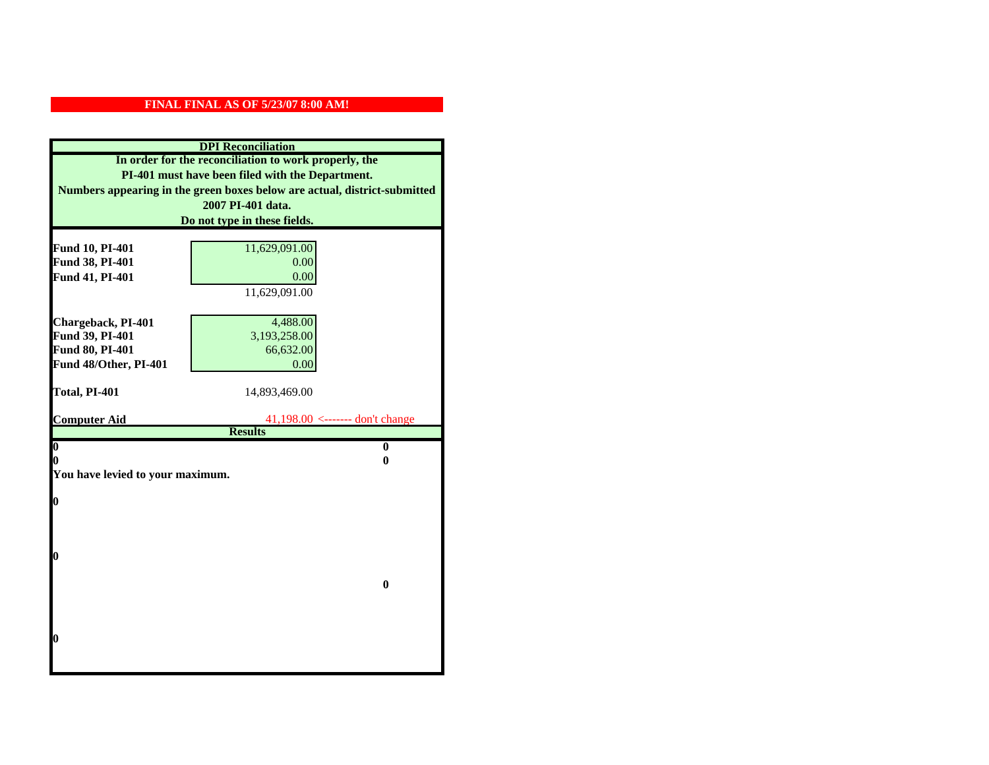| <b>DPI</b> Reconciliation                                                 |                                                   |  |  |  |
|---------------------------------------------------------------------------|---------------------------------------------------|--|--|--|
| In order for the reconciliation to work properly, the                     |                                                   |  |  |  |
| PI-401 must have been filed with the Department.                          |                                                   |  |  |  |
| Numbers appearing in the green boxes below are actual, district-submitted |                                                   |  |  |  |
|                                                                           | 2007 PI-401 data.                                 |  |  |  |
|                                                                           | Do not type in these fields.                      |  |  |  |
|                                                                           |                                                   |  |  |  |
| Fund 10, PI-401                                                           | 11,629,091.00                                     |  |  |  |
| Fund 38, PI-401                                                           | 0.00                                              |  |  |  |
| Fund 41, PI-401                                                           | 0.00                                              |  |  |  |
|                                                                           | 11,629,091.00                                     |  |  |  |
| Chargeback, PI-401                                                        | 4,488.00                                          |  |  |  |
| Fund 39, PI-401                                                           | 3,193,258.00                                      |  |  |  |
| Fund 80, PI-401                                                           | 66,632.00                                         |  |  |  |
| Fund 48/Other, PI-401                                                     | 0.00                                              |  |  |  |
|                                                                           |                                                   |  |  |  |
| Total, PI-401                                                             | 14,893,469.00                                     |  |  |  |
|                                                                           |                                                   |  |  |  |
| <b>Computer Aid</b>                                                       | 41,198.00 <------- don't change<br><b>Results</b> |  |  |  |
| $\overline{\mathbf{0}}$                                                   | $\bf{0}$                                          |  |  |  |
| 0                                                                         | 0                                                 |  |  |  |
| You have levied to your maximum.                                          |                                                   |  |  |  |
|                                                                           |                                                   |  |  |  |
| $\bf{0}$                                                                  |                                                   |  |  |  |
|                                                                           |                                                   |  |  |  |
|                                                                           |                                                   |  |  |  |
| l0                                                                        |                                                   |  |  |  |
|                                                                           |                                                   |  |  |  |
|                                                                           | $\bf{0}$                                          |  |  |  |
|                                                                           |                                                   |  |  |  |
|                                                                           |                                                   |  |  |  |
|                                                                           |                                                   |  |  |  |
| $\boldsymbol{0}$                                                          |                                                   |  |  |  |
|                                                                           |                                                   |  |  |  |
|                                                                           |                                                   |  |  |  |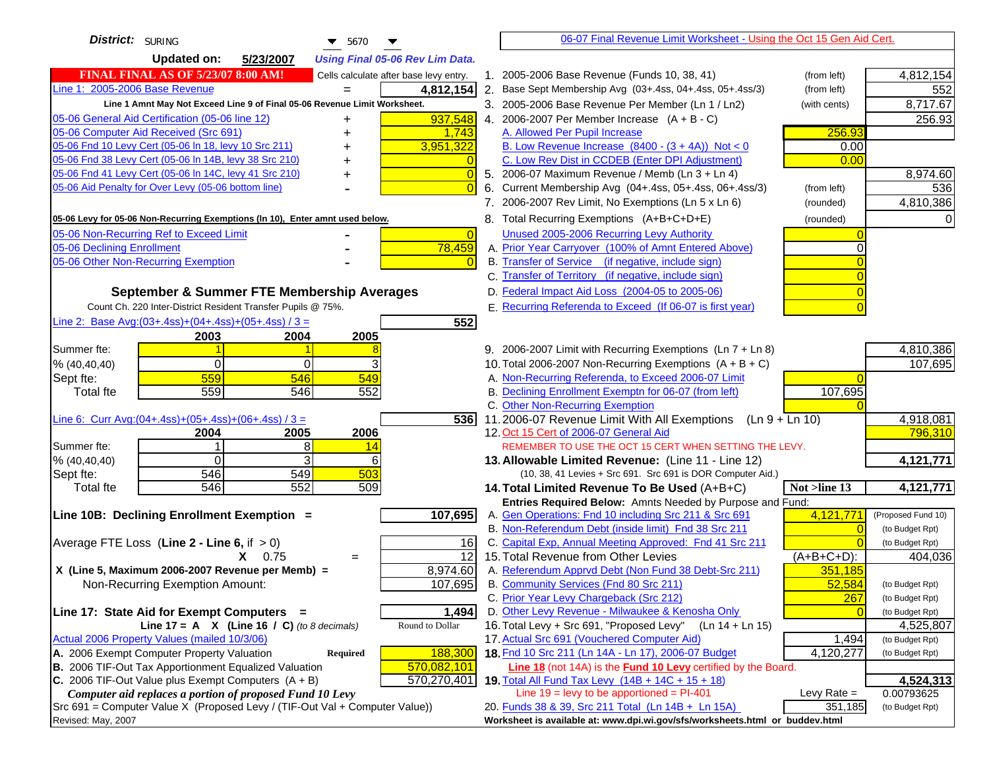| District: SURING<br>$\blacktriangledown$ 5670                                                 |                | 06-07 Final Revenue Limit Worksheet - Using the Oct 15 Gen Aid Cert.                                                               |               |                                    |
|-----------------------------------------------------------------------------------------------|----------------|------------------------------------------------------------------------------------------------------------------------------------|---------------|------------------------------------|
| <b>Updated on:</b><br>5/23/2007<br><b>Using Final 05-06 Rev Lim Data.</b>                     |                |                                                                                                                                    |               |                                    |
| <b>FINAL FINAL AS OF 5/23/07 8:00 AM!</b><br>Cells calculate after base levy entry.           |                | 1. 2005-2006 Base Revenue (Funds 10, 38, 41)                                                                                       | (from left)   | 4,812,154                          |
| Line 1: 2005-2006 Base Revenue<br>4,812,154                                                   |                | 2. Base Sept Membership Avg (03+.4ss, 04+.4ss, 05+.4ss/3)                                                                          | (from left)   | 552                                |
| Line 1 Amnt May Not Exceed Line 9 of Final 05-06 Revenue Limit Worksheet.                     |                | 3. 2005-2006 Base Revenue Per Member (Ln 1 / Ln2)                                                                                  | (with cents)  | 8,717.67                           |
| 937,548<br>05-06 General Aid Certification (05-06 line 12)<br>+                               |                | 4. 2006-2007 Per Member Increase $(A + B - C)$                                                                                     |               | 256.93                             |
| 05-06 Computer Aid Received (Src 691)<br>1,743                                                |                | A. Allowed Per Pupil Increase                                                                                                      | 256.93        |                                    |
| 05-06 Fnd 10 Levy Cert (05-06 ln 18, levy 10 Src 211)<br>3,951,322                            |                | B. Low Revenue Increase $(8400 - (3 + 4A))$ Not < 0                                                                                | 0.00          |                                    |
| 05-06 Fnd 38 Levy Cert (05-06 In 14B, levy 38 Src 210)<br>+                                   |                | C. Low Rev Dist in CCDEB (Enter DPI Adjustment)                                                                                    | 0.00          |                                    |
| 05-06 Fnd 41 Levy Cert (05-06 In 14C, levy 41 Src 210)<br>+                                   | $\Omega$       | 5. 2006-07 Maximum Revenue / Memb (Ln 3 + Ln 4)                                                                                    |               | 8,974.60                           |
| 05-06 Aid Penalty for Over Levy (05-06 bottom line)                                           |                | 6. Current Membership Avg (04+.4ss, 05+.4ss, 06+.4ss/3)                                                                            | (from left)   | 536                                |
|                                                                                               |                | 7. 2006-2007 Rev Limit, No Exemptions (Ln 5 x Ln 6)                                                                                | (rounded)     | 4,810,386                          |
| 05-06 Levy for 05-06 Non-Recurring Exemptions (In 10), Enter amnt used below.                 |                | 8. Total Recurring Exemptions (A+B+C+D+E)                                                                                          | (rounded)     |                                    |
| 05-06 Non-Recurring Ref to Exceed Limit                                                       | $\overline{0}$ | Unused 2005-2006 Recurring Levy Authority                                                                                          |               |                                    |
| 78,459<br>05-06 Declining Enrollment                                                          |                | A. Prior Year Carryover (100% of Amnt Entered Above)                                                                               |               |                                    |
| 05-06 Other Non-Recurring Exemption                                                           |                | B. Transfer of Service (if negative, include sign)                                                                                 |               |                                    |
|                                                                                               |                | C. Transfer of Territory (if negative, include sign)                                                                               |               |                                    |
| September & Summer FTE Membership Averages                                                    |                | D. Federal Impact Aid Loss (2004-05 to 2005-06)                                                                                    |               |                                    |
| Count Ch. 220 Inter-District Resident Transfer Pupils @ 75%.                                  |                | E. Recurring Referenda to Exceed (If 06-07 is first year)                                                                          |               |                                    |
| Line 2: Base Avg: (03+.4ss) + (04+.4ss) + (05+.4ss) / 3 =<br>552                              |                |                                                                                                                                    |               |                                    |
| 2004<br>2005<br>2003                                                                          |                |                                                                                                                                    |               |                                    |
| Summer fte:                                                                                   |                | 9. 2006-2007 Limit with Recurring Exemptions (Ln 7 + Ln 8)                                                                         |               | 4,810,386                          |
| % (40, 40, 40)<br>0<br>0                                                                      |                | 10. Total 2006-2007 Non-Recurring Exemptions $(A + B + C)$                                                                         |               | 107,695                            |
| 559<br>549<br>546<br>Sept fte:                                                                |                | A. Non-Recurring Referenda, to Exceed 2006-07 Limit<br>B. Declining Enrollment Exemptn for 06-07 (from left)                       |               |                                    |
| 559<br>552<br>546<br><b>Total fte</b>                                                         |                | C. Other Non-Recurring Exemption                                                                                                   | 107,695       |                                    |
| Line 6: Curr Avg: $(04+.4ss)+(05+.4ss)+(06+.4ss)/3 =$<br>5361                                 |                | 11.2006-07 Revenue Limit With All Exemptions (Ln $9 + \overline{\text{Ln }10}$ )                                                   |               | 4,918,081                          |
| 2004<br>2005<br>2006                                                                          |                | 12. Oct 15 Cert of 2006-07 General Aid                                                                                             |               | 796,310                            |
| 8<br>Summer fte:<br>14                                                                        |                | REMEMBER TO USE THE OCT 15 CERT WHEN SETTING THE LEVY.                                                                             |               |                                    |
| 3<br>$\Omega$<br>% (40, 40, 40)<br>6                                                          |                | 13. Allowable Limited Revenue: (Line 11 - Line 12)                                                                                 |               | 4,121,771                          |
| 546<br>549<br>503<br>Sept fte:                                                                |                | (10, 38, 41 Levies + Src 691. Src 691 is DOR Computer Aid.)                                                                        |               |                                    |
| 546<br>552<br>509<br><b>Total fte</b>                                                         |                | 14. Total Limited Revenue To Be Used (A+B+C)<br>Not >line 13                                                                       |               | 4,121,771                          |
|                                                                                               |                | Entries Required Below: Amnts Needed by Purpose and Fund:                                                                          |               |                                    |
| Line 10B: Declining Enrollment Exemption =<br>107,695                                         |                | A. Gen Operations: Fnd 10 including Src 211 & Src 691                                                                              | 4,121,771     | (Proposed Fund 10)                 |
|                                                                                               |                | B. Non-Referendum Debt (inside limit) Fnd 38 Src 211<br>C. Capital Exp, Annual Meeting Approved: Fnd 41 Src 211                    |               | (to Budget Rpt)<br>(to Budget Rpt) |
| Average FTE Loss (Line $2 -$ Line 6, if $> 0$ )<br>16<br>$\overline{12}$<br>$X = 0.75$<br>$=$ |                | 15. Total Revenue from Other Levies                                                                                                | $(A+B+C+D)$ : | 404,036                            |
| X (Line 5, Maximum 2006-2007 Revenue per Memb) =<br>8,974.60                                  |                | A. Referendum Apprvd Debt (Non Fund 38 Debt-Src 211)                                                                               | 351.185       |                                    |
| Non-Recurring Exemption Amount:<br>107,695                                                    |                | B. Community Services (Fnd 80 Src 211)                                                                                             | 52,584        | (to Budget Rpt)                    |
|                                                                                               |                | C. Prior Year Levy Chargeback (Src 212)                                                                                            | 267           | (to Budget Rpt)                    |
| Line 17: State Aid for Exempt Computers =<br>1,494                                            |                | D. Other Levy Revenue - Milwaukee & Kenosha Only                                                                                   |               | (to Budget Rpt)                    |
| Line $17 = A \times (Line 16 / C)$ (to 8 decimals)<br>Round to Dollar                         |                | 16. Total Levy + Src 691, "Proposed Levy"<br>$(Ln 14 + Ln 15)$                                                                     |               | 4,525,807                          |
| Actual 2006 Property Values (mailed 10/3/06)                                                  |                | 17. Actual Src 691 (Vouchered Computer Aid)                                                                                        | 1,494         | (to Budget Rpt)                    |
| A. 2006 Exempt Computer Property Valuation<br>Required<br>188,300                             |                | 18. Fnd 10 Src 211 (Ln 14A - Ln 17), 2006-07 Budget                                                                                | 4,120,277     | (to Budget Rpt)                    |
| B. 2006 TIF-Out Tax Apportionment Equalized Valuation<br>570,082,101                          |                | <b>Line 18</b> (not 14A) is the <b>Fund 10 Levy</b> certified by the Board.                                                        |               |                                    |
| C. 2006 TIF-Out Value plus Exempt Computers $(A + B)$<br>570,270,401                          |                | 19. Total All Fund Tax Levy (14B + 14C + 15 + 18)                                                                                  |               | 4,524,313                          |
| Computer aid replaces a portion of proposed Fund 10 Levy                                      |                | Line $19 = \text{levy}$ to be apportioned = PI-401                                                                                 | Levy Rate $=$ | 0.00793625                         |
| Src 691 = Computer Value X (Proposed Levy / (TIF-Out Val + Computer Value))                   |                | 20. Funds 38 & 39, Src 211 Total (Ln 14B + Ln 15A)<br>Worksheet is available at: www.dpi.wi.gov/sfs/worksheets.html or buddev.html | 351,185       | (to Budget Rpt)                    |
| Revised: May, 2007                                                                            |                |                                                                                                                                    |               |                                    |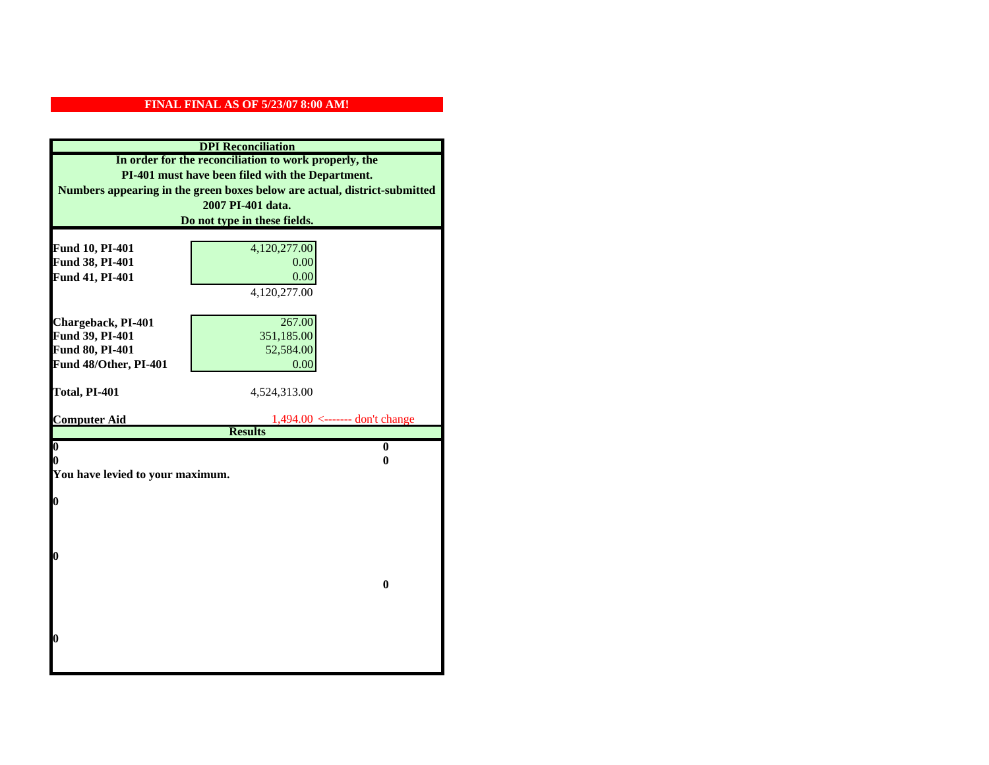| <b>DPI</b> Reconciliation                                                 |                                                    |  |  |  |  |
|---------------------------------------------------------------------------|----------------------------------------------------|--|--|--|--|
| In order for the reconciliation to work properly, the                     |                                                    |  |  |  |  |
| PI-401 must have been filed with the Department.                          |                                                    |  |  |  |  |
| Numbers appearing in the green boxes below are actual, district-submitted |                                                    |  |  |  |  |
|                                                                           | 2007 PI-401 data.                                  |  |  |  |  |
|                                                                           | Do not type in these fields.                       |  |  |  |  |
|                                                                           |                                                    |  |  |  |  |
| Fund 10, PI-401<br>Fund 38, PI-401                                        | 4,120,277.00<br>0.00                               |  |  |  |  |
| Fund 41, PI-401                                                           | 0.00                                               |  |  |  |  |
|                                                                           | 4,120,277.00                                       |  |  |  |  |
|                                                                           |                                                    |  |  |  |  |
| Chargeback, PI-401                                                        | 267.00                                             |  |  |  |  |
| Fund 39, PI-401                                                           | 351,185.00                                         |  |  |  |  |
| Fund 80, PI-401                                                           | 52,584.00                                          |  |  |  |  |
| Fund 48/Other, PI-401                                                     | 0.00                                               |  |  |  |  |
|                                                                           |                                                    |  |  |  |  |
| Total, PI-401                                                             | 4,524,313.00                                       |  |  |  |  |
|                                                                           |                                                    |  |  |  |  |
| <b>Computer Aid</b>                                                       | $1,494.00$ <------- don't change<br><b>Results</b> |  |  |  |  |
| $\boldsymbol{0}$                                                          | $\mathbf{0}$                                       |  |  |  |  |
| 0                                                                         | 0                                                  |  |  |  |  |
|                                                                           | You have levied to your maximum.                   |  |  |  |  |
|                                                                           |                                                    |  |  |  |  |
| 0                                                                         |                                                    |  |  |  |  |
|                                                                           |                                                    |  |  |  |  |
|                                                                           |                                                    |  |  |  |  |
| 0                                                                         |                                                    |  |  |  |  |
|                                                                           |                                                    |  |  |  |  |
|                                                                           | $\bf{0}$                                           |  |  |  |  |
|                                                                           |                                                    |  |  |  |  |
|                                                                           |                                                    |  |  |  |  |
|                                                                           |                                                    |  |  |  |  |
| 0                                                                         |                                                    |  |  |  |  |
|                                                                           |                                                    |  |  |  |  |
|                                                                           |                                                    |  |  |  |  |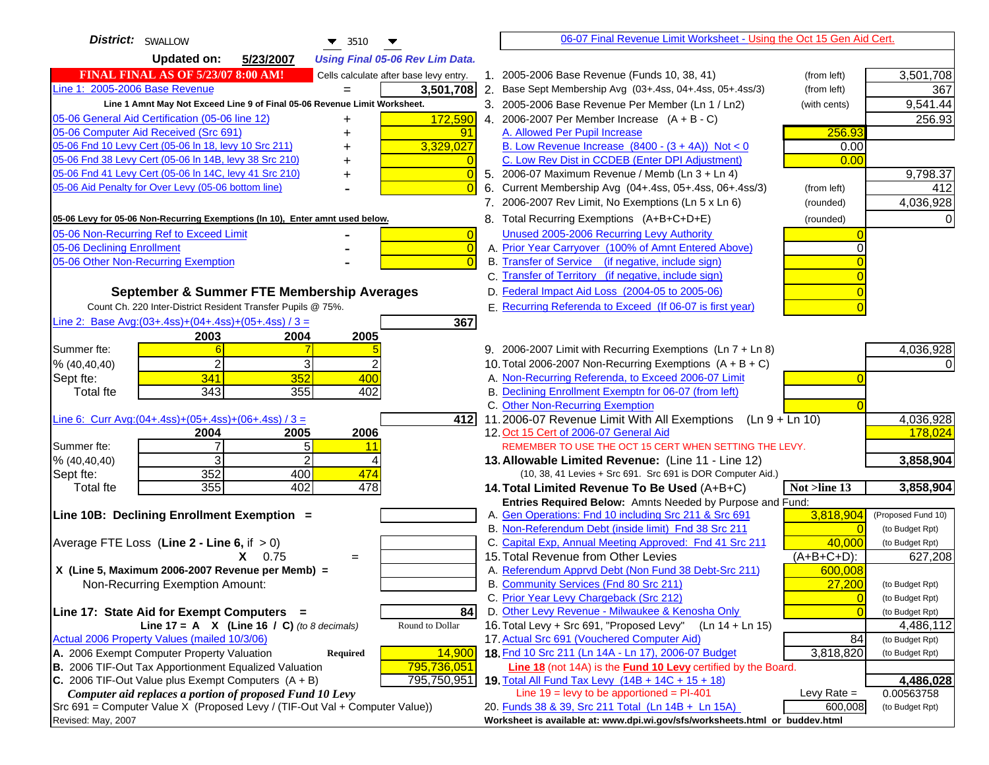| <b>District:</b> SWALLOW<br>$\blacktriangledown$ 3510                                                                            |    | 06-07 Final Revenue Limit Worksheet - Using the Oct 15 Gen Aid Cert.                                              |                          |                         |
|----------------------------------------------------------------------------------------------------------------------------------|----|-------------------------------------------------------------------------------------------------------------------|--------------------------|-------------------------|
| <b>Updated on:</b><br>5/23/2007<br><b>Using Final 05-06 Rev Lim Data.</b>                                                        |    |                                                                                                                   |                          |                         |
| <b>FINAL FINAL AS OF 5/23/07 8:00 AM!</b><br>Cells calculate after base levy entry.                                              |    | 1. 2005-2006 Base Revenue (Funds 10, 38, 41)                                                                      | (from left)              | 3,501,708               |
| Line 1: 2005-2006 Base Revenue<br>3,501,708                                                                                      |    | 2. Base Sept Membership Avg (03+.4ss, 04+.4ss, 05+.4ss/3)                                                         | (from left)              | 367                     |
| Line 1 Amnt May Not Exceed Line 9 of Final 05-06 Revenue Limit Worksheet.                                                        |    | 3. 2005-2006 Base Revenue Per Member (Ln 1 / Ln2)                                                                 | (with cents)             | 9,541.44                |
| 172,590<br>05-06 General Aid Certification (05-06 line 12)<br>+                                                                  |    | 4. 2006-2007 Per Member Increase $(A + B - C)$                                                                    |                          | 256.93                  |
| 05-06 Computer Aid Received (Src 691)<br>91                                                                                      |    | A. Allowed Per Pupil Increase                                                                                     | 256.93                   |                         |
| 05-06 Fnd 10 Levy Cert (05-06 In 18, levy 10 Src 211)<br>3,329,027                                                               |    | B. Low Revenue Increase $(8400 - (3 + 4A))$ Not < 0                                                               | 0.00                     |                         |
| 05-06 Fnd 38 Levy Cert (05-06 In 14B, levy 38 Src 210)                                                                           |    | C. Low Rev Dist in CCDEB (Enter DPI Adjustment)                                                                   | 0.00                     |                         |
| 05-06 Fnd 41 Levy Cert (05-06 In 14C, levy 41 Src 210)<br>$\overline{0}$<br>+                                                    |    | 5. 2006-07 Maximum Revenue / Memb (Ln 3 + Ln 4)                                                                   |                          | 9,798.37                |
| 05-06 Aid Penalty for Over Levy (05-06 bottom line)                                                                              | 6. | Current Membership Avg (04+.4ss, 05+.4ss, 06+.4ss/3)                                                              | (from left)              | 412                     |
|                                                                                                                                  |    | 7. 2006-2007 Rev Limit, No Exemptions (Ln 5 x Ln 6)                                                               | (rounded)                | 4,036,928               |
| 05-06 Levy for 05-06 Non-Recurring Exemptions (In 10), Enter amnt used below.                                                    |    | 8. Total Recurring Exemptions (A+B+C+D+E)                                                                         | (rounded)                |                         |
| 05-06 Non-Recurring Ref to Exceed Limit<br>$\overline{0}$                                                                        |    | Unused 2005-2006 Recurring Levy Authority                                                                         |                          |                         |
| 05-06 Declining Enrollment<br>$\overline{0}$                                                                                     |    | A. Prior Year Carryover (100% of Amnt Entered Above)                                                              | ∩                        |                         |
| 05-06 Other Non-Recurring Exemption<br>$\Omega$                                                                                  |    | B. Transfer of Service (if negative, include sign)                                                                |                          |                         |
|                                                                                                                                  |    | C. Transfer of Territory (if negative, include sign)                                                              |                          |                         |
| September & Summer FTE Membership Averages                                                                                       |    | D. Federal Impact Aid Loss (2004-05 to 2005-06)                                                                   |                          |                         |
| Count Ch. 220 Inter-District Resident Transfer Pupils @ 75%.                                                                     |    | E. Recurring Referenda to Exceed (If 06-07 is first year)                                                         |                          |                         |
| Line 2: Base Avg: (03+.4ss) + (04+.4ss) + (05+.4ss) / 3 =<br>367                                                                 |    |                                                                                                                   |                          |                         |
| 2003<br>2004<br>2005                                                                                                             |    |                                                                                                                   |                          |                         |
| Summer fte:                                                                                                                      |    | 9. 2006-2007 Limit with Recurring Exemptions (Ln 7 + Ln 8)                                                        |                          | 4,036,928               |
| 2<br>3<br>2<br>% (40, 40, 40)                                                                                                    |    | 10. Total 2006-2007 Non-Recurring Exemptions $(A + B + C)$                                                        |                          |                         |
| 341<br>352<br>400<br>Sept fte:                                                                                                   |    | A. Non-Recurring Referenda, to Exceed 2006-07 Limit                                                               |                          |                         |
| 343<br>355<br>402<br>Total fte                                                                                                   |    | B. Declining Enrollment Exemptn for 06-07 (from left)                                                             |                          |                         |
|                                                                                                                                  |    | C. Other Non-Recurring Exemption                                                                                  |                          |                         |
| Line 6: Curr Avg: $(04+.4ss)+(05+.4ss)+(06+.4ss)$ / 3 =<br>412I                                                                  |    | 11.2006-07 Revenue Limit With All Exemptions (Ln $9 + \overline{\text{Ln }10}$ )                                  |                          | 4,036,928               |
| 2005<br>2006<br>2004                                                                                                             |    | 12. Oct 15 Cert of 2006-07 General Aid                                                                            |                          | 178,024                 |
| 5<br>Summer fte:<br>7<br>11<br>$\overline{2}$<br>3                                                                               |    | REMEMBER TO USE THE OCT 15 CERT WHEN SETTING THE LEVY.                                                            |                          |                         |
| % (40, 40, 40)<br>352<br>400<br>474<br>Sept fte:                                                                                 |    | 13. Allowable Limited Revenue: (Line 11 - Line 12)<br>(10, 38, 41 Levies + Src 691. Src 691 is DOR Computer Aid.) |                          | 3,858,904               |
| 355<br>402<br>478<br><b>Total fte</b>                                                                                            |    | 14. Total Limited Revenue To Be Used (A+B+C)                                                                      | Not >line 13             | 3,858,904               |
|                                                                                                                                  |    | Entries Required Below: Amnts Needed by Purpose and Fund:                                                         |                          |                         |
| Line 10B: Declining Enrollment Exemption =                                                                                       |    | A. Gen Operations: Fnd 10 including Src 211 & Src 691                                                             | 3,818,904                | (Proposed Fund 10)      |
|                                                                                                                                  |    | B. Non-Referendum Debt (inside limit) Fnd 38 Src 211                                                              | $\Omega$                 | (to Budget Rpt)         |
| Average FTE Loss (Line $2 -$ Line 6, if $> 0$ )                                                                                  |    | C. Capital Exp, Annual Meeting Approved: Fnd 41 Src 211                                                           | 40,000                   | (to Budget Rpt)         |
| $X = 0.75$<br>$=$                                                                                                                |    | 15. Total Revenue from Other Levies                                                                               | $(A+B+C+D)$ :            | 627,208                 |
| X (Line 5, Maximum 2006-2007 Revenue per Memb) =                                                                                 |    | A. Referendum Apprvd Debt (Non Fund 38 Debt-Src 211)                                                              | 600,008                  |                         |
| Non-Recurring Exemption Amount:                                                                                                  |    | B. Community Services (Fnd 80 Src 211)                                                                            | 27,200                   | (to Budget Rpt)         |
|                                                                                                                                  |    | C. Prior Year Levy Chargeback (Src 212)                                                                           | $\overline{0}$           | (to Budget Rpt)         |
| Line 17: State Aid for Exempt Computers =<br>84                                                                                  |    | D. Other Levy Revenue - Milwaukee & Kenosha Only                                                                  | $\Omega$                 | (to Budget Rpt)         |
| Round to Dollar<br>Line 17 = A $X$ (Line 16 / C) (to 8 decimals)                                                                 |    | 16. Total Levy + Src 691, "Proposed Levy"<br>(Ln 14 + Ln 15)                                                      |                          | 4,486,112               |
| Actual 2006 Property Values (mailed 10/3/06)                                                                                     |    | 17. Actual Src 691 (Vouchered Computer Aid)                                                                       | 84                       | (to Budget Rpt)         |
| A. 2006 Exempt Computer Property Valuation<br>14,900<br><b>Required</b>                                                          |    | 18. Fnd 10 Src 211 (Ln 14A - Ln 17), 2006-07 Budget                                                               | 3,818,820                | (to Budget Rpt)         |
| 795,736,051<br>B. 2006 TIF-Out Tax Apportionment Equalized Valuation                                                             |    | Line 18 (not 14A) is the Fund 10 Levy certified by the Board.                                                     |                          |                         |
| C. 2006 TIF-Out Value plus Exempt Computers $(A + B)$<br>795,750,951<br>Computer aid replaces a portion of proposed Fund 10 Levy |    | 19. Total All Fund Tax Levy (14B + 14C + 15 + 18)<br>Line $19 = \text{levy}$ to be apportioned = PI-401           |                          | 4,486,028<br>0.00563758 |
| Src 691 = Computer Value X (Proposed Levy / (TIF-Out Val + Computer Value))                                                      |    | 20. Funds 38 & 39, Src 211 Total (Ln 14B + Ln 15A)                                                                | Levy Rate $=$<br>600,008 | (to Budget Rpt)         |
| Revised: May, 2007                                                                                                               |    | Worksheet is available at: www.dpi.wi.gov/sfs/worksheets.html or buddev.html                                      |                          |                         |
|                                                                                                                                  |    |                                                                                                                   |                          |                         |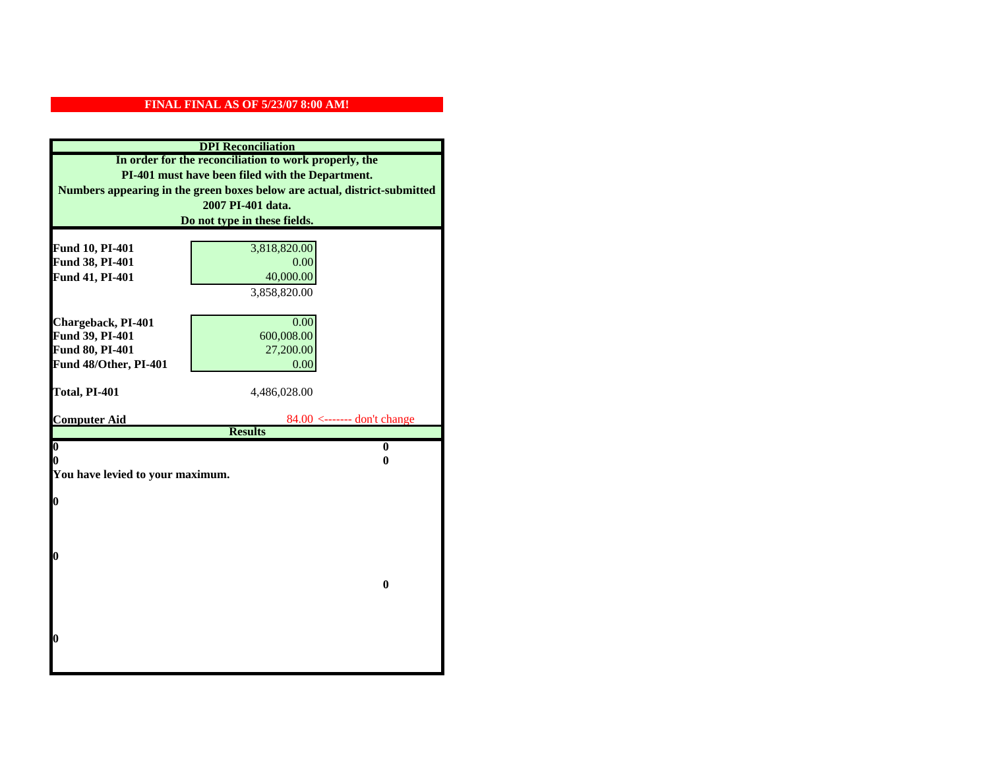| <b>DPI</b> Reconciliation                                                 |                                                 |  |  |  |  |
|---------------------------------------------------------------------------|-------------------------------------------------|--|--|--|--|
| In order for the reconciliation to work properly, the                     |                                                 |  |  |  |  |
| PI-401 must have been filed with the Department.                          |                                                 |  |  |  |  |
| Numbers appearing in the green boxes below are actual, district-submitted |                                                 |  |  |  |  |
|                                                                           | 2007 PI-401 data.                               |  |  |  |  |
|                                                                           | Do not type in these fields.                    |  |  |  |  |
|                                                                           |                                                 |  |  |  |  |
| Fund 10, PI-401<br>Fund 38, PI-401                                        | 3,818,820.00<br>0.00                            |  |  |  |  |
| Fund 41, PI-401                                                           | 40,000.00                                       |  |  |  |  |
|                                                                           | 3,858,820.00                                    |  |  |  |  |
|                                                                           |                                                 |  |  |  |  |
| Chargeback, PI-401                                                        | 0.00                                            |  |  |  |  |
| Fund 39, PI-401                                                           | 600,008.00                                      |  |  |  |  |
| Fund 80, PI-401                                                           | 27,200.00                                       |  |  |  |  |
| Fund 48/Other, PI-401                                                     | 0.00                                            |  |  |  |  |
|                                                                           |                                                 |  |  |  |  |
| Total, PI-401                                                             | 4,486,028.00                                    |  |  |  |  |
|                                                                           |                                                 |  |  |  |  |
| <b>Computer Aid</b>                                                       | $84.00$ <------- don't change<br><b>Results</b> |  |  |  |  |
| $\overline{\mathbf{0}}$                                                   | $\bf{0}$                                        |  |  |  |  |
| 0                                                                         | 0                                               |  |  |  |  |
| You have levied to your maximum.                                          |                                                 |  |  |  |  |
|                                                                           |                                                 |  |  |  |  |
| $\bf{0}$                                                                  |                                                 |  |  |  |  |
|                                                                           |                                                 |  |  |  |  |
|                                                                           |                                                 |  |  |  |  |
| l0                                                                        |                                                 |  |  |  |  |
|                                                                           |                                                 |  |  |  |  |
|                                                                           | $\bf{0}$                                        |  |  |  |  |
|                                                                           |                                                 |  |  |  |  |
|                                                                           |                                                 |  |  |  |  |
|                                                                           |                                                 |  |  |  |  |
| $\boldsymbol{0}$                                                          |                                                 |  |  |  |  |
|                                                                           |                                                 |  |  |  |  |
|                                                                           |                                                 |  |  |  |  |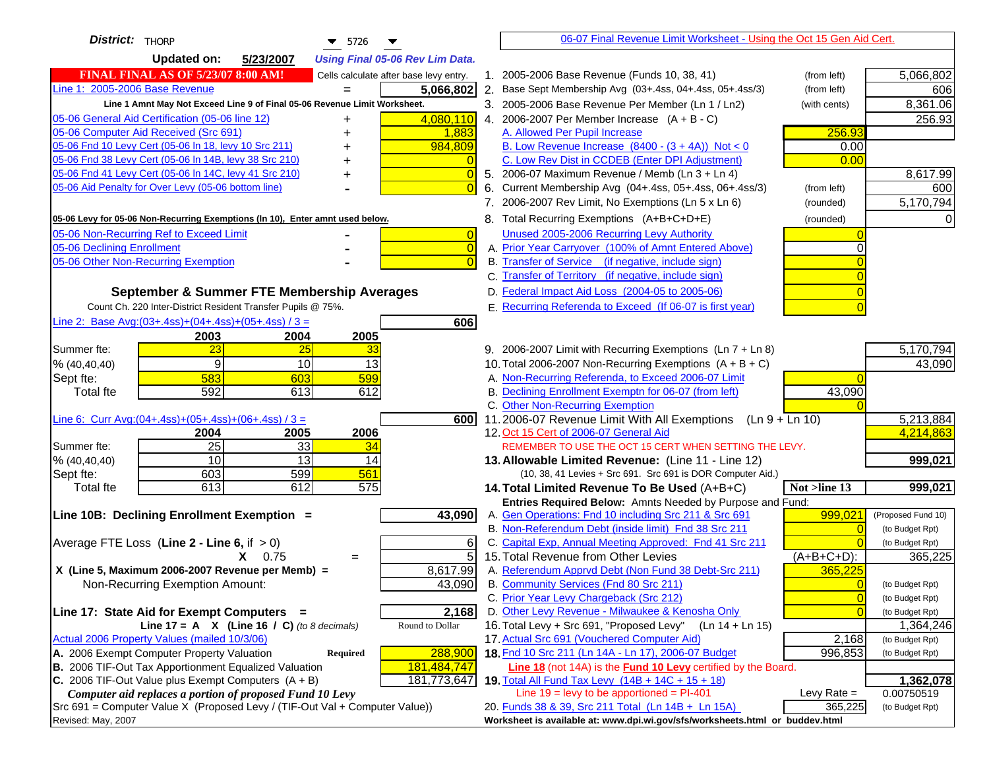| District:   THORP<br>$\blacktriangledown$ 5726                                                                                               |                | 06-07 Final Revenue Limit Worksheet - Using the Oct 15 Gen Aid Cert.                                                 |                |                    |
|----------------------------------------------------------------------------------------------------------------------------------------------|----------------|----------------------------------------------------------------------------------------------------------------------|----------------|--------------------|
| <b>Updated on:</b><br>5/23/2007<br><b>Using Final 05-06 Rev Lim Data.</b>                                                                    |                |                                                                                                                      |                |                    |
| <b>FINAL FINAL AS OF 5/23/07 8:00 AM!</b><br>Cells calculate after base levy entry.                                                          |                | 1. 2005-2006 Base Revenue (Funds 10, 38, 41)                                                                         | (from left)    | 5,066,802          |
| Line 1: 2005-2006 Base Revenue<br>5,066,802<br>$=$                                                                                           |                | 2. Base Sept Membership Avg (03+.4ss, 04+.4ss, 05+.4ss/3)                                                            | (from left)    | 606                |
| Line 1 Amnt May Not Exceed Line 9 of Final 05-06 Revenue Limit Worksheet.                                                                    |                | 3. 2005-2006 Base Revenue Per Member (Ln 1 / Ln2)                                                                    | (with cents)   | 8,361.06           |
| 4,080,110<br>05-06 General Aid Certification (05-06 line 12)                                                                                 |                | 4. 2006-2007 Per Member Increase $(A + B - C)$                                                                       |                | 256.93             |
| 05-06 Computer Aid Received (Src 691)<br>1,883                                                                                               |                | A. Allowed Per Pupil Increase                                                                                        | 256.93         |                    |
| 05-06 Fnd 10 Levy Cert (05-06 In 18, levy 10 Src 211)<br>984,809                                                                             |                | B. Low Revenue Increase $(8400 - (3 + 4A))$ Not < 0                                                                  | 0.00           |                    |
| 05-06 Fnd 38 Levy Cert (05-06 In 14B, levy 38 Src 210)                                                                                       |                | C. Low Rev Dist in CCDEB (Enter DPI Adjustment)                                                                      | 0.00           |                    |
| 05-06 Fnd 41 Levy Cert (05-06 In 14C, levy 41 Src 210)<br>+                                                                                  | $\Omega$       | 5. 2006-07 Maximum Revenue / Memb (Ln 3 + Ln 4)                                                                      |                | 8,617.99           |
| 05-06 Aid Penalty for Over Levy (05-06 bottom line)                                                                                          | $\Omega$<br>6. | Current Membership Avg (04+.4ss, 05+.4ss, 06+.4ss/3)                                                                 | (from left)    | 600                |
|                                                                                                                                              |                | 7. 2006-2007 Rev Limit, No Exemptions (Ln 5 x Ln 6)                                                                  | (rounded)      | 5,170,794          |
| 05-06 Levy for 05-06 Non-Recurring Exemptions (In 10), Enter amnt used below.                                                                |                | 8. Total Recurring Exemptions (A+B+C+D+E)                                                                            | (rounded)      |                    |
| 05-06 Non-Recurring Ref to Exceed Limit                                                                                                      | $\overline{0}$ | Unused 2005-2006 Recurring Levy Authority                                                                            |                |                    |
| 05-06 Declining Enrollment                                                                                                                   | $\overline{0}$ | A. Prior Year Carryover (100% of Amnt Entered Above)                                                                 | 0              |                    |
| 05-06 Other Non-Recurring Exemption                                                                                                          | $\Omega$       | B. Transfer of Service (if negative, include sign)                                                                   |                |                    |
|                                                                                                                                              |                | C. Transfer of Territory (if negative, include sign)                                                                 |                |                    |
| September & Summer FTE Membership Averages                                                                                                   |                | D. Federal Impact Aid Loss (2004-05 to 2005-06)                                                                      |                |                    |
| Count Ch. 220 Inter-District Resident Transfer Pupils @ 75%.                                                                                 |                | E. Recurring Referenda to Exceed (If 06-07 is first year)                                                            |                |                    |
| Line 2: Base Avg: (03+.4ss) + (04+.4ss) + (05+.4ss) / 3 =<br>606                                                                             |                |                                                                                                                      |                |                    |
| 2003<br>2004<br>2005                                                                                                                         |                |                                                                                                                      |                |                    |
| 23<br>25<br>Summer fte:<br>33                                                                                                                |                | 9. 2006-2007 Limit with Recurring Exemptions (Ln 7 + Ln 8)                                                           |                | 5,170,794          |
| 9<br>10<br>13<br>% (40, 40, 40)                                                                                                              |                | 10. Total 2006-2007 Non-Recurring Exemptions $(A + B + C)$                                                           |                | 43,090             |
| 583<br>603<br>599<br>Sept fte:                                                                                                               |                | A. Non-Recurring Referenda, to Exceed 2006-07 Limit                                                                  |                |                    |
| 592<br>613<br>612<br>Total fte                                                                                                               |                | B. Declining Enrollment Exemptn for 06-07 (from left)                                                                | 43,090         |                    |
|                                                                                                                                              |                | C. Other Non-Recurring Exemption                                                                                     |                |                    |
| Line 6: Curr Avg: $(04+.4ss)+(05+.4ss)+(06+.4ss)$ / 3 =<br>6001                                                                              |                | 11.2006-07 Revenue Limit With All Exemptions (Ln $9 + \overline{\text{Ln }10}$ )                                     |                | 5,213,884          |
| 2006<br>2004<br>2005<br>25<br>33<br>Summer fte:<br>34                                                                                        |                | 12. Oct 15 Cert of 2006-07 General Aid<br>REMEMBER TO USE THE OCT 15 CERT WHEN SETTING THE LEVY.                     |                | 4,214,863          |
| 10<br>13<br>% (40, 40, 40)<br>14                                                                                                             |                | 13. Allowable Limited Revenue: (Line 11 - Line 12)                                                                   |                | 999,021            |
| 599<br>561<br>603<br>Sept fte:                                                                                                               |                | (10, 38, 41 Levies + Src 691. Src 691 is DOR Computer Aid.)                                                          |                |                    |
| 613<br>612<br>575<br><b>Total fte</b>                                                                                                        |                | 14. Total Limited Revenue To Be Used (A+B+C)                                                                         | Not >line 13   | 999,021            |
|                                                                                                                                              |                | Entries Required Below: Amnts Needed by Purpose and Fund:                                                            |                |                    |
| Line 10B: Declining Enrollment Exemption =<br>43,090                                                                                         |                | A. Gen Operations: Fnd 10 including Src 211 & Src 691                                                                | 999,021        | (Proposed Fund 10) |
|                                                                                                                                              |                | B. Non-Referendum Debt (inside limit) Fnd 38 Src 211                                                                 | $\Omega$       | (to Budget Rpt)    |
| Average FTE Loss (Line $2 -$ Line 6, if $> 0$ )                                                                                              | 6              | C. Capital Exp, Annual Meeting Approved: Fnd 41 Src 211                                                              |                | (to Budget Rpt)    |
| $X = 0.75$<br>$=$                                                                                                                            | 5              | 15. Total Revenue from Other Levies                                                                                  | (A+B+C+D):     | 365,225            |
| X (Line 5, Maximum 2006-2007 Revenue per Memb) =<br>8,617.99                                                                                 |                | A. Referendum Apprvd Debt (Non Fund 38 Debt-Src 211)                                                                 | 365,225        |                    |
| 43,090<br>Non-Recurring Exemption Amount:                                                                                                    |                | B. Community Services (Fnd 80 Src 211)                                                                               | $\overline{0}$ | (to Budget Rpt)    |
|                                                                                                                                              |                | C. Prior Year Levy Chargeback (Src 212)                                                                              | $\overline{0}$ | (to Budget Rpt)    |
| 2,168<br>Line 17: State Aid for Exempt Computers =                                                                                           |                | D. Other Levy Revenue - Milwaukee & Kenosha Only                                                                     | $\Omega$       | (to Budget Rpt)    |
| Round to Dollar<br>Line 17 = A $X$ (Line 16 / C) (to 8 decimals)                                                                             |                | 16. Total Levy + Src 691, "Proposed Levy"<br>(Ln 14 + Ln 15)                                                         |                | 1,364,246          |
| Actual 2006 Property Values (mailed 10/3/06)                                                                                                 |                | 17. Actual Src 691 (Vouchered Computer Aid)                                                                          | 2,168          | (to Budget Rpt)    |
| A. 2006 Exempt Computer Property Valuation<br>288,900<br>Required                                                                            |                | 18. Fnd 10 Src 211 (Ln 14A - Ln 17), 2006-07 Budget                                                                  | 996,853        | (to Budget Rpt)    |
| B. 2006 TIF-Out Tax Apportionment Equalized Valuation<br>181,484,747<br>C. 2006 TIF-Out Value plus Exempt Computers $(A + B)$<br>181,773,647 |                | Line 18 (not 14A) is the Fund 10 Levy certified by the Board.<br>19. Total All Fund Tax Levy $(14B + 14C + 15 + 18)$ |                | 1,362,078          |
| Computer aid replaces a portion of proposed Fund 10 Levy                                                                                     |                | Line $19 = \text{levy}$ to be apportioned = PI-401                                                                   | Levy Rate $=$  | 0.00750519         |
| Src 691 = Computer Value X (Proposed Levy / (TIF-Out Val + Computer Value))                                                                  |                | 20. Funds 38 & 39, Src 211 Total (Ln 14B + Ln 15A)                                                                   | 365,225        | (to Budget Rpt)    |
| Revised: May, 2007                                                                                                                           |                | Worksheet is available at: www.dpi.wi.gov/sfs/worksheets.html or buddev.html                                         |                |                    |
|                                                                                                                                              |                |                                                                                                                      |                |                    |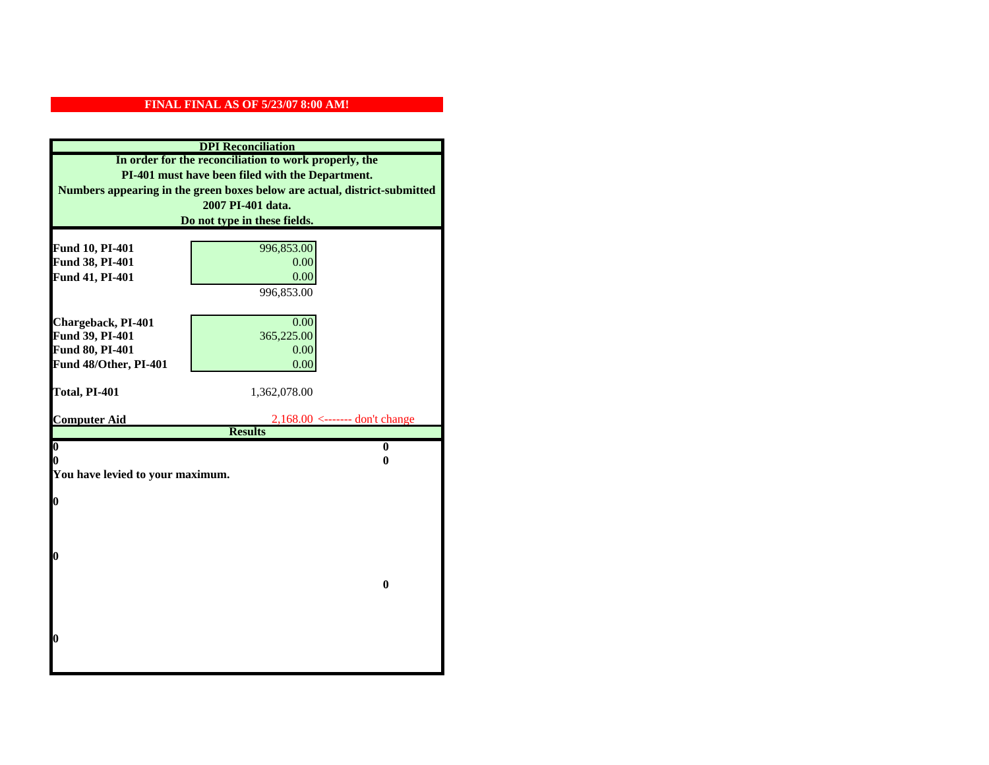| <b>DPI</b> Reconciliation                             |                                                                           |  |  |  |  |
|-------------------------------------------------------|---------------------------------------------------------------------------|--|--|--|--|
| In order for the reconciliation to work properly, the |                                                                           |  |  |  |  |
| PI-401 must have been filed with the Department.      |                                                                           |  |  |  |  |
|                                                       | Numbers appearing in the green boxes below are actual, district-submitted |  |  |  |  |
|                                                       | 2007 PI-401 data.                                                         |  |  |  |  |
|                                                       | Do not type in these fields.                                              |  |  |  |  |
|                                                       |                                                                           |  |  |  |  |
| Fund 10, PI-401<br>Fund 38, PI-401                    | 996,853.00<br>0.00                                                        |  |  |  |  |
| Fund 41, PI-401                                       | 0.00                                                                      |  |  |  |  |
|                                                       | 996,853.00                                                                |  |  |  |  |
|                                                       |                                                                           |  |  |  |  |
| Chargeback, PI-401                                    | 0.00                                                                      |  |  |  |  |
| Fund 39, PI-401                                       | 365,225.00                                                                |  |  |  |  |
| Fund 80, PI-401                                       | 0.00                                                                      |  |  |  |  |
| Fund 48/Other, PI-401                                 | 0.00                                                                      |  |  |  |  |
|                                                       |                                                                           |  |  |  |  |
| Total, PI-401                                         | 1,362,078.00                                                              |  |  |  |  |
|                                                       |                                                                           |  |  |  |  |
|                                                       |                                                                           |  |  |  |  |
| <b>Computer Aid</b>                                   | $2,168.00 \le$ ------- don't change                                       |  |  |  |  |
| $\boldsymbol{0}$                                      | <b>Results</b><br>$\mathbf{0}$                                            |  |  |  |  |
| 0                                                     | 0                                                                         |  |  |  |  |
| You have levied to your maximum.                      |                                                                           |  |  |  |  |
|                                                       |                                                                           |  |  |  |  |
| $\bf{0}$                                              |                                                                           |  |  |  |  |
|                                                       |                                                                           |  |  |  |  |
|                                                       |                                                                           |  |  |  |  |
| 0                                                     |                                                                           |  |  |  |  |
|                                                       |                                                                           |  |  |  |  |
|                                                       | $\bf{0}$                                                                  |  |  |  |  |
|                                                       |                                                                           |  |  |  |  |
|                                                       |                                                                           |  |  |  |  |
|                                                       |                                                                           |  |  |  |  |
| 0                                                     |                                                                           |  |  |  |  |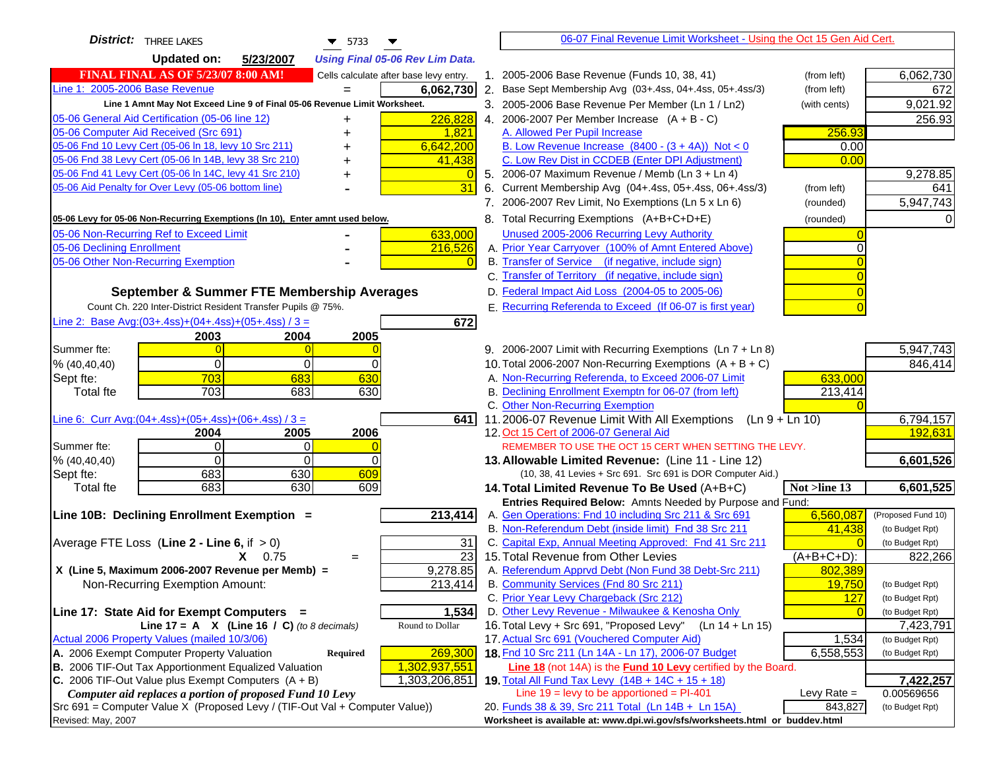| <b>District:</b> THREE LAKES<br>$\blacktriangledown$ 5733                                     | 06-07 Final Revenue Limit Worksheet - Using the Oct 15 Gen Aid Cert.                                    |               |                              |
|-----------------------------------------------------------------------------------------------|---------------------------------------------------------------------------------------------------------|---------------|------------------------------|
| <b>Updated on:</b><br>5/23/2007<br><b>Using Final 05-06 Rev Lim Data.</b>                     |                                                                                                         |               |                              |
| <b>FINAL FINAL AS OF 5/23/07 8:00 AM!</b><br>Cells calculate after base levy entry.           | 1. 2005-2006 Base Revenue (Funds 10, 38, 41)                                                            | (from left)   | 6,062,730                    |
| Line 1: 2005-2006 Base Revenue<br>6,062,730                                                   | 2. Base Sept Membership Avg (03+.4ss, 04+.4ss, 05+.4ss/3)                                               | (from left)   | 672                          |
| Line 1 Amnt May Not Exceed Line 9 of Final 05-06 Revenue Limit Worksheet.                     | 3. 2005-2006 Base Revenue Per Member (Ln 1 / Ln2)                                                       | (with cents)  | 9,021.92                     |
| 226,828<br>05-06 General Aid Certification (05-06 line 12)<br>+                               | 4. 2006-2007 Per Member Increase $(A + B - C)$                                                          |               | 256.93                       |
| 05-06 Computer Aid Received (Src 691)<br>1,821                                                | A. Allowed Per Pupil Increase                                                                           | 256.93        |                              |
| 05-06 Fnd 10 Levy Cert (05-06 In 18, levy 10 Src 211)<br>6,642,200                            | B. Low Revenue Increase $(8400 - (3 + 4A))$ Not < 0                                                     | 0.00          |                              |
| 05-06 Fnd 38 Levy Cert (05-06 In 14B, levy 38 Src 210)<br>41,438                              | C. Low Rev Dist in CCDEB (Enter DPI Adjustment)                                                         | 0.00          |                              |
| 05-06 Fnd 41 Levy Cert (05-06 In 14C, levy 41 Src 210)                                        | 5. 2006-07 Maximum Revenue / Memb (Ln 3 + Ln 4)                                                         |               | 9,278.85                     |
| 05-06 Aid Penalty for Over Levy (05-06 bottom line)<br>31                                     | 6. Current Membership Avg (04+.4ss, 05+.4ss, 06+.4ss/3)                                                 | (from left)   | 641                          |
|                                                                                               | 7. 2006-2007 Rev Limit, No Exemptions (Ln 5 x Ln 6)                                                     | (rounded)     | 5,947,743                    |
| 05-06 Levy for 05-06 Non-Recurring Exemptions (In 10), Enter amnt used below.                 | 8. Total Recurring Exemptions (A+B+C+D+E)                                                               | (rounded)     |                              |
| 05-06 Non-Recurring Ref to Exceed Limit<br>633,000                                            | Unused 2005-2006 Recurring Levy Authority                                                               |               |                              |
| 216,526<br>05-06 Declining Enrollment                                                         | A. Prior Year Carryover (100% of Amnt Entered Above)                                                    |               |                              |
| 05-06 Other Non-Recurring Exemption                                                           | B. Transfer of Service (if negative, include sign)                                                      |               |                              |
|                                                                                               | C. Transfer of Territory (if negative, include sign)                                                    |               |                              |
| September & Summer FTE Membership Averages                                                    | D. Federal Impact Aid Loss (2004-05 to 2005-06)                                                         |               |                              |
| Count Ch. 220 Inter-District Resident Transfer Pupils @ 75%.                                  | E. Recurring Referenda to Exceed (If 06-07 is first year)                                               |               |                              |
| Line 2: Base Avg: $(03+.4ss)+(04+.4ss)+(05+.4ss)/3 =$<br>672                                  |                                                                                                         |               |                              |
| 2003<br>2004<br>2005                                                                          |                                                                                                         |               |                              |
| Summer fte:<br>$\overline{0}$                                                                 | 9. 2006-2007 Limit with Recurring Exemptions (Ln 7 + Ln 8)                                              |               | 5,947,743                    |
| $\Omega$<br>% (40, 40, 40)<br>0<br>$\Omega$                                                   | 10. Total 2006-2007 Non-Recurring Exemptions $(A + B + C)$                                              |               | 846,414                      |
| 703<br>683<br>630<br>Sept fte:                                                                | A. Non-Recurring Referenda, to Exceed 2006-07 Limit                                                     | 633.000       |                              |
| 703<br>683<br>630<br><b>Total fte</b>                                                         | B. Declining Enrollment Exemptn for 06-07 (from left)                                                   | 213,414       |                              |
|                                                                                               | C. Other Non-Recurring Exemption                                                                        |               | 6,794,157                    |
| Line 6: Curr Avg: $(04+.4ss)+(05+.4ss)+(06+.4ss)/3 =$<br>6411<br>2006<br>2005<br>2004         | 11.2006-07 Revenue Limit With All Exemptions $(Ln 9 + Ln 10)$<br>12. Oct 15 Cert of 2006-07 General Aid |               | 192,631                      |
| $\overline{0}$<br>Summer fte:<br>0                                                            | REMEMBER TO USE THE OCT 15 CERT WHEN SETTING THE LEVY.                                                  |               |                              |
| $\Omega$<br>$\Omega$<br>% (40, 40, 40)<br>0                                                   | 13. Allowable Limited Revenue: (Line 11 - Line 12)                                                      |               | 6,601,526                    |
| 683<br>630<br>609<br>Sept fte:                                                                | (10, 38, 41 Levies + Src 691. Src 691 is DOR Computer Aid.)                                             |               |                              |
| 683<br>630<br>609<br><b>Total fte</b>                                                         | 14. Total Limited Revenue To Be Used (A+B+C)                                                            | Not >line 13  | 6,601,525                    |
|                                                                                               | Entries Required Below: Amnts Needed by Purpose and Fund:                                               |               |                              |
| 213,414<br>Line 10B: Declining Enrollment Exemption =                                         | A. Gen Operations: Fnd 10 including Src 211 & Src 691                                                   | 6,560,087     | (Proposed Fund 10)           |
|                                                                                               | B. Non-Referendum Debt (inside limit) Fnd 38 Src 211                                                    | 41,438        | (to Budget Rpt)              |
| Average FTE Loss (Line $2 -$ Line 6, if $> 0$ )<br>31                                         | C. Capital Exp, Annual Meeting Approved: Fnd 41 Src 211                                                 |               | (to Budget Rpt)              |
| $\overline{23}$<br>$X = 0.75$<br>$=$                                                          | 15. Total Revenue from Other Levies                                                                     | $(A+B+C+D)$ : | 822,266                      |
| X (Line 5, Maximum 2006-2007 Revenue per Memb) =<br>9,278.85                                  | A. Referendum Apprvd Debt (Non Fund 38 Debt-Src 211)                                                    | 802,389       |                              |
| 213,414<br>Non-Recurring Exemption Amount:                                                    | B. Community Services (Fnd 80 Src 211)                                                                  | 19,750        | (to Budget Rpt)              |
|                                                                                               | C. Prior Year Levy Chargeback (Src 212)<br>D. Other Levy Revenue - Milwaukee & Kenosha Only             | 127           | (to Budget Rpt)              |
| 1,534<br>Line 17: State Aid for Exempt Computers =<br>Round to Dollar                         | 16. Total Levy + Src 691, "Proposed Levy"<br>(Ln 14 + Ln 15)                                            |               | (to Budget Rpt)              |
| Line 17 = A $X$ (Line 16 / C) (to 8 decimals)<br>Actual 2006 Property Values (mailed 10/3/06) | 17. Actual Src 691 (Vouchered Computer Aid)                                                             | 1,534         | 7,423,791<br>(to Budget Rpt) |
| A. 2006 Exempt Computer Property Valuation<br>269,300<br>Required                             | 18. Fnd 10 Src 211 (Ln 14A - Ln 17), 2006-07 Budget                                                     | 6,558,553     | (to Budget Rpt)              |
| B. 2006 TIF-Out Tax Apportionment Equalized Valuation<br>1,302,937,551                        | Line 18 (not 14A) is the <b>Fund 10 Levy</b> certified by the Board.                                    |               |                              |
| C. 2006 TIF-Out Value plus Exempt Computers $(A + B)$<br>1,303,206,851                        | 19. Total All Fund Tax Levy (14B + 14C + 15 + 18)                                                       |               | 7,422,257                    |
| Computer aid replaces a portion of proposed Fund 10 Levy                                      | Line $19 = \text{levy}$ to be apportioned = PI-401                                                      | Levy Rate $=$ | 0.00569656                   |
| Src 691 = Computer Value X (Proposed Levy / (TIF-Out Val + Computer Value))                   | 20. Funds 38 & 39, Src 211 Total (Ln 14B + Ln 15A)                                                      | 843,827       | (to Budget Rpt)              |
| Revised: May, 2007                                                                            | Worksheet is available at: www.dpi.wi.gov/sfs/worksheets.html or buddev.html                            |               |                              |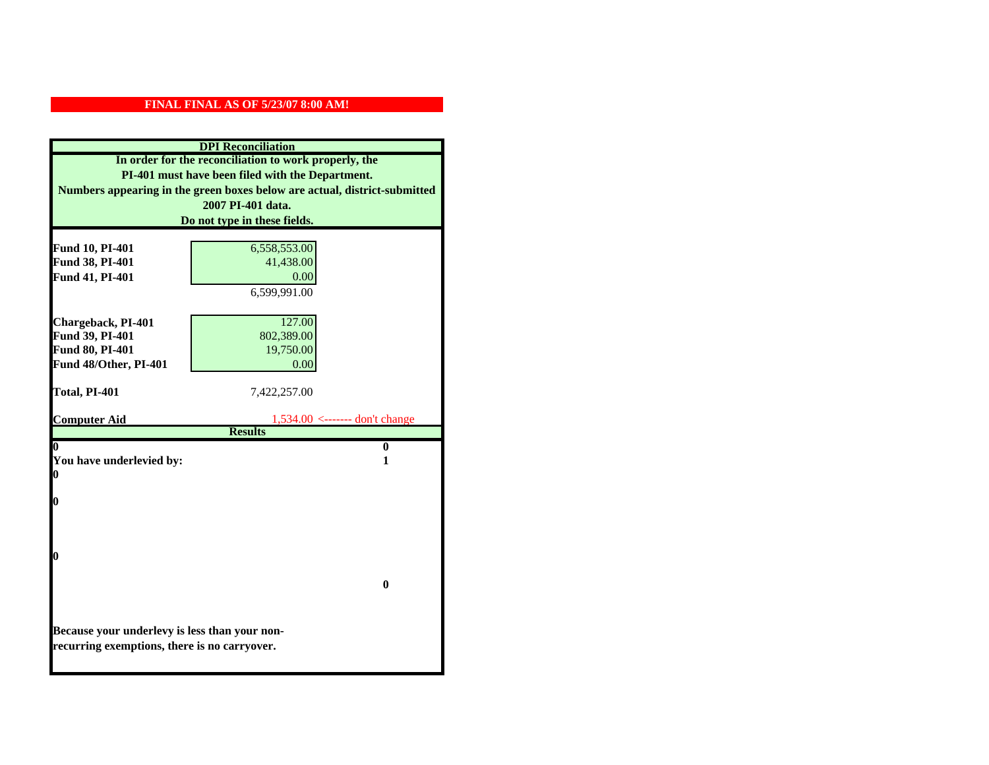| <b>DPI</b> Reconciliation                                                 |                                                       |  |  |  |
|---------------------------------------------------------------------------|-------------------------------------------------------|--|--|--|
|                                                                           | In order for the reconciliation to work properly, the |  |  |  |
| PI-401 must have been filed with the Department.                          |                                                       |  |  |  |
| Numbers appearing in the green boxes below are actual, district-submitted |                                                       |  |  |  |
|                                                                           | 2007 PI-401 data.                                     |  |  |  |
|                                                                           | Do not type in these fields.                          |  |  |  |
|                                                                           |                                                       |  |  |  |
| <b>Fund 10, PI-401</b>                                                    | 6,558,553.00<br>41,438.00                             |  |  |  |
| Fund 38, PI-401                                                           | 0.00                                                  |  |  |  |
| Fund 41, PI-401                                                           |                                                       |  |  |  |
|                                                                           | 6,599,991.00                                          |  |  |  |
|                                                                           |                                                       |  |  |  |
| Chargeback, PI-401<br>Fund 39, PI-401                                     | 127.00<br>802,389.00                                  |  |  |  |
| Fund 80, PI-401                                                           | 19,750.00                                             |  |  |  |
| Fund 48/Other, PI-401                                                     | 0.00                                                  |  |  |  |
|                                                                           |                                                       |  |  |  |
| Total, PI-401                                                             | 7,422,257.00                                          |  |  |  |
|                                                                           |                                                       |  |  |  |
| <b>Computer Aid</b>                                                       | $1,534.00$ <------- don't change                      |  |  |  |
|                                                                           | <b>Results</b>                                        |  |  |  |
| $\overline{\mathbf{0}}$                                                   | $\bf{0}$                                              |  |  |  |
| You have underlevied by:<br>1                                             |                                                       |  |  |  |
| 0                                                                         |                                                       |  |  |  |
| 0                                                                         |                                                       |  |  |  |
|                                                                           |                                                       |  |  |  |
|                                                                           |                                                       |  |  |  |
|                                                                           |                                                       |  |  |  |
| 0                                                                         |                                                       |  |  |  |
|                                                                           |                                                       |  |  |  |
|                                                                           | 0                                                     |  |  |  |
|                                                                           |                                                       |  |  |  |
|                                                                           |                                                       |  |  |  |
| Because your underlevy is less than your non-                             |                                                       |  |  |  |
| recurring exemptions, there is no carryover.                              |                                                       |  |  |  |
|                                                                           |                                                       |  |  |  |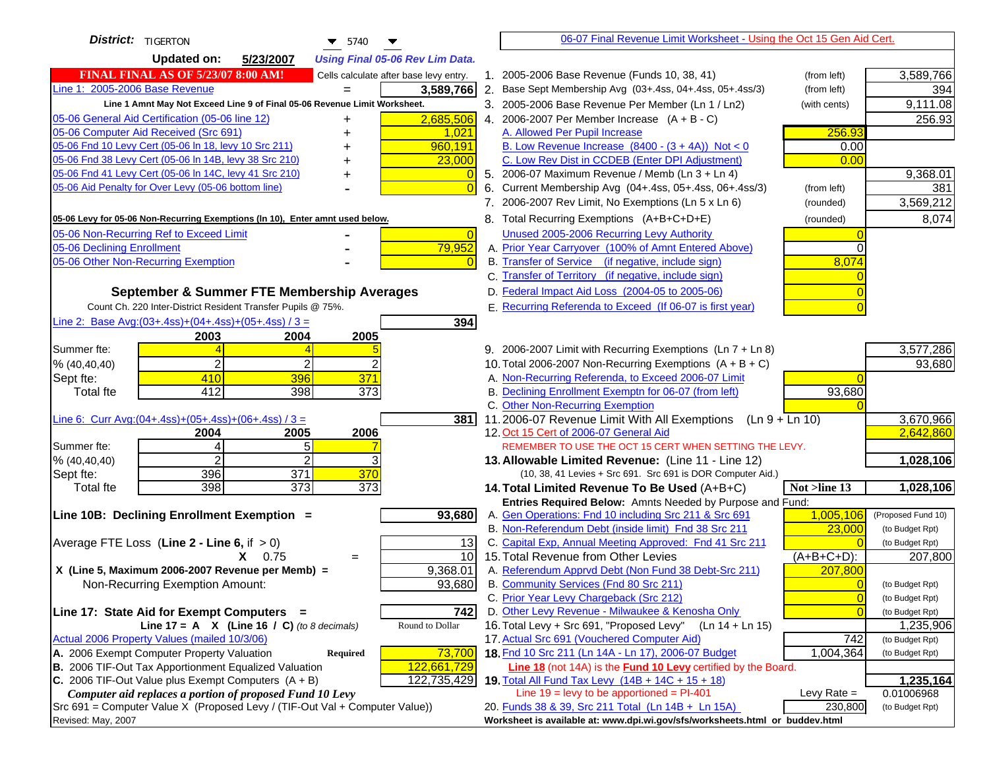| <b>District:</b>   TIGERTON<br>$\blacktriangledown$ 5740<br>▼                                                                                |                | 06-07 Final Revenue Limit Worksheet - Using the Oct 15 Gen Aid Cert.                                                      |                |                         |
|----------------------------------------------------------------------------------------------------------------------------------------------|----------------|---------------------------------------------------------------------------------------------------------------------------|----------------|-------------------------|
| <b>Updated on:</b><br>5/23/2007<br><b>Using Final 05-06 Rev Lim Data.</b>                                                                    |                |                                                                                                                           |                |                         |
| <b>FINAL FINAL AS OF 5/23/07 8:00 AM!</b><br>Cells calculate after base levy entry.                                                          |                | 1. 2005-2006 Base Revenue (Funds 10, 38, 41)                                                                              | (from left)    | 3,589,766               |
| Line 1: 2005-2006 Base Revenue<br>3,589,766                                                                                                  |                | 2. Base Sept Membership Avg (03+.4ss, 04+.4ss, 05+.4ss/3)                                                                 | (from left)    | 394                     |
| Line 1 Amnt May Not Exceed Line 9 of Final 05-06 Revenue Limit Worksheet.                                                                    |                | 3. 2005-2006 Base Revenue Per Member (Ln 1 / Ln2)                                                                         | (with cents)   | 9,111.08                |
| 2,685,506<br>05-06 General Aid Certification (05-06 line 12)<br>+                                                                            |                | 4. 2006-2007 Per Member Increase $(A + B - C)$                                                                            |                | 256.93                  |
| 05-06 Computer Aid Received (Src 691)<br>1,021                                                                                               |                | A. Allowed Per Pupil Increase                                                                                             | 256.93         |                         |
| 05-06 Fnd 10 Levy Cert (05-06 In 18, levy 10 Src 211)<br>960,191                                                                             |                | B. Low Revenue Increase $(8400 - (3 + 4A))$ Not < 0                                                                       | 0.00           |                         |
| 05-06 Fnd 38 Levy Cert (05-06 In 14B, levy 38 Src 210)<br>23,000                                                                             |                | C. Low Rev Dist in CCDEB (Enter DPI Adjustment)                                                                           | 0.00           |                         |
| 05-06 Fnd 41 Levy Cert (05-06 In 14C, levy 41 Src 210)                                                                                       |                | 5. 2006-07 Maximum Revenue / Memb (Ln 3 + Ln 4)                                                                           |                | 9,368.01                |
| 05-06 Aid Penalty for Over Levy (05-06 bottom line)                                                                                          |                | 6. Current Membership Avg (04+.4ss, 05+.4ss, 06+.4ss/3)                                                                   | (from left)    | 381                     |
|                                                                                                                                              |                | 7. 2006-2007 Rev Limit, No Exemptions (Ln 5 x Ln 6)                                                                       | (rounded)      | 3,569,212               |
| 05-06 Levy for 05-06 Non-Recurring Exemptions (In 10), Enter amnt used below.                                                                |                | 8. Total Recurring Exemptions (A+B+C+D+E)                                                                                 | (rounded)      | 8,074                   |
| 05-06 Non-Recurring Ref to Exceed Limit                                                                                                      | $\overline{0}$ | Unused 2005-2006 Recurring Levy Authority                                                                                 |                |                         |
| 79,952<br>05-06 Declining Enrollment                                                                                                         |                | A. Prior Year Carryover (100% of Amnt Entered Above)                                                                      |                |                         |
| 05-06 Other Non-Recurring Exemption                                                                                                          |                | B. Transfer of Service (if negative, include sign)                                                                        | 8,074          |                         |
|                                                                                                                                              |                | C. Transfer of Territory (if negative, include sign)                                                                      |                |                         |
| September & Summer FTE Membership Averages                                                                                                   |                | D. Federal Impact Aid Loss (2004-05 to 2005-06)                                                                           |                |                         |
| Count Ch. 220 Inter-District Resident Transfer Pupils @ 75%.                                                                                 |                | E. Recurring Referenda to Exceed (If 06-07 is first year)                                                                 |                |                         |
| Line 2: Base Avg: $(03+.4ss)+(04+.4ss)+(05+.4ss)/3 =$<br>394                                                                                 |                |                                                                                                                           |                |                         |
| 2003<br>2004<br>2005                                                                                                                         |                |                                                                                                                           |                |                         |
| Summer fte:                                                                                                                                  |                | 9. 2006-2007 Limit with Recurring Exemptions (Ln 7 + Ln 8)                                                                |                | 3,577,286               |
| $\overline{2}$<br>2<br>% (40, 40, 40)                                                                                                        |                | 10. Total 2006-2007 Non-Recurring Exemptions (A + B + C)                                                                  |                | 93,680                  |
| 371<br>410<br>396<br>Sept fte:                                                                                                               |                | A. Non-Recurring Referenda, to Exceed 2006-07 Limit                                                                       |                |                         |
| 412<br>398<br>373<br><b>Total fte</b>                                                                                                        |                | B. Declining Enrollment Exemptn for 06-07 (from left)                                                                     | 93,680         |                         |
|                                                                                                                                              |                | C. Other Non-Recurring Exemption                                                                                          |                |                         |
| Line 6: Curr Avg: $(04+.4ss)+(05+.4ss)+(06+.4ss)/3 =$                                                                                        | 381            | 11.2006-07 Revenue Limit With All Exemptions $(Ln 9 + Ln 10)$                                                             |                | 3,670,966               |
| 2006<br>2005<br>2004<br>Summer fte:<br>$\overline{4}$<br>5                                                                                   |                | 12. Oct 15 Cert of 2006-07 General Aid<br>REMEMBER TO USE THE OCT 15 CERT WHEN SETTING THE LEVY.                          |                | 2,642,860               |
| $\overline{2}$<br>2<br>% (40, 40, 40)                                                                                                        |                | 13. Allowable Limited Revenue: (Line 11 - Line 12)                                                                        |                | 1,028,106               |
| 396<br>371<br>370<br>Sept fte:                                                                                                               |                | (10, 38, 41 Levies + Src 691. Src 691 is DOR Computer Aid.)                                                               |                |                         |
| $\overline{373}$<br>$\overline{373}$<br>398<br><b>Total fte</b>                                                                              |                | 14. Total Limited Revenue To Be Used (A+B+C)                                                                              | Not >line 13   | 1,028,106               |
|                                                                                                                                              |                | Entries Required Below: Amnts Needed by Purpose and Fund:                                                                 |                |                         |
| 93,680<br>Line 10B: Declining Enrollment Exemption =                                                                                         |                | A. Gen Operations: Fnd 10 including Src 211 & Src 691                                                                     | 1,005,106      | (Proposed Fund 10)      |
|                                                                                                                                              |                | B. Non-Referendum Debt (inside limit) Fnd 38 Src 211                                                                      | 23,000         | (to Budget Rpt)         |
| Average FTE Loss (Line $2 -$ Line 6, if $> 0$ )                                                                                              | 13             | C. Capital Exp, Annual Meeting Approved: Fnd 41 Src 211                                                                   |                | (to Budget Rpt)         |
| $X = 0.75$<br>$=$                                                                                                                            | 10             | 15. Total Revenue from Other Levies                                                                                       | $(A+B+C+D)$ :  | 207,800                 |
| X (Line 5, Maximum 2006-2007 Revenue per Memb) =<br>9,368.01                                                                                 |                | A. Referendum Apprvd Debt (Non Fund 38 Debt-Src 211)                                                                      | 207,800        |                         |
| 93,680<br>Non-Recurring Exemption Amount:                                                                                                    |                | B. Community Services (Fnd 80 Src 211)                                                                                    |                | (to Budget Rpt)         |
|                                                                                                                                              |                | C. Prior Year Levy Chargeback (Src 212)                                                                                   | $\overline{0}$ | (to Budget Rpt)         |
| 742<br>Line 17: State Aid for Exempt Computers =                                                                                             |                | D. Other Levy Revenue - Milwaukee & Kenosha Only                                                                          |                | (to Budget Rpt)         |
| Line 17 = A $X$ (Line 16 / C) (to 8 decimals)<br>Round to Dollar                                                                             |                | 16. Total Levy + Src 691, "Proposed Levy"<br>(Ln 14 + Ln 15)                                                              |                | 1,235,906               |
| Actual 2006 Property Values (mailed 10/3/06)                                                                                                 |                | 17. Actual Src 691 (Vouchered Computer Aid)                                                                               | 742            | (to Budget Rpt)         |
| A. 2006 Exempt Computer Property Valuation<br>73,700<br>Required                                                                             |                | 18. Fnd 10 Src 211 (Ln 14A - Ln 17), 2006-07 Budget                                                                       | 1,004,364      | (to Budget Rpt)         |
| B. 2006 TIF-Out Tax Apportionment Equalized Valuation<br>122,661,729<br>C. 2006 TIF-Out Value plus Exempt Computers $(A + B)$<br>122,735,429 |                | Line 18 (not 14A) is the <b>Fund 10 Levy</b> certified by the Board.<br>19. Total All Fund Tax Levy (14B + 14C + 15 + 18) |                |                         |
| Computer aid replaces a portion of proposed Fund 10 Levy                                                                                     |                | Line $19 = \text{levy}$ to be apportioned = PI-401                                                                        | Levy Rate $=$  | 1,235,164<br>0.01006968 |
| Src 691 = Computer Value X (Proposed Levy / (TIF-Out Val + Computer Value))                                                                  |                | 20. Funds 38 & 39, Src 211 Total (Ln 14B + Ln 15A)                                                                        | 230,800        | (to Budget Rpt)         |
| Revised: May, 2007                                                                                                                           |                | Worksheet is available at: www.dpi.wi.gov/sfs/worksheets.html or buddev.html                                              |                |                         |
|                                                                                                                                              |                |                                                                                                                           |                |                         |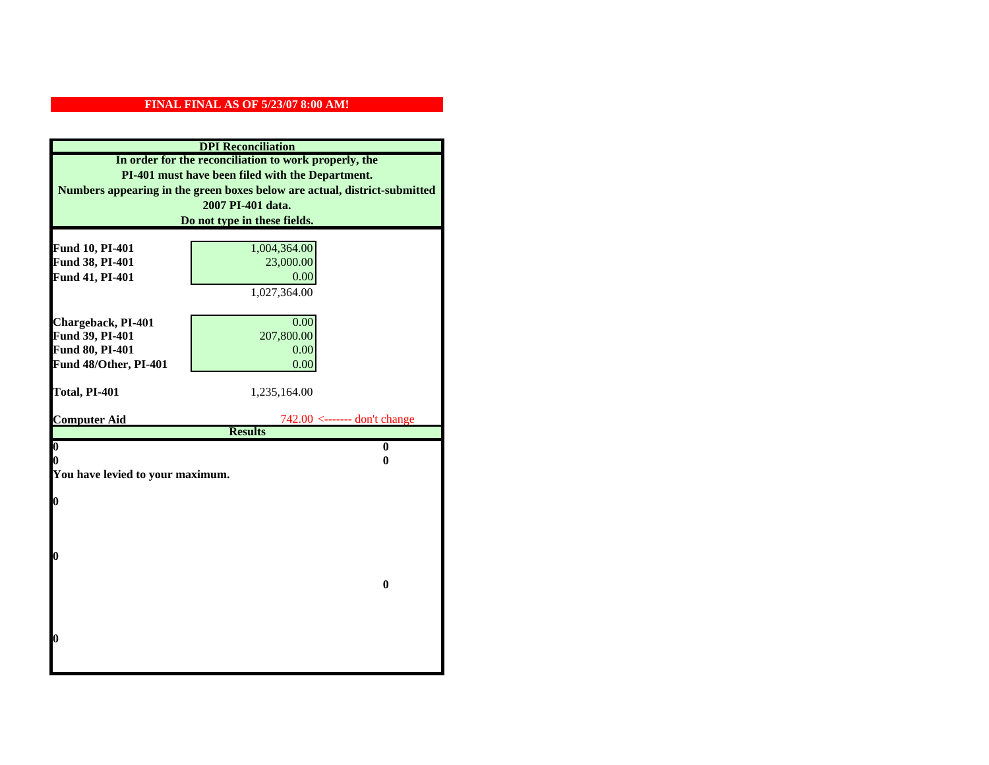| <b>DPI</b> Reconciliation<br>In order for the reconciliation to work properly, the<br>PI-401 must have been filed with the Department.<br>Numbers appearing in the green boxes below are actual, district-submitted |                                                  |  |  |                              |
|---------------------------------------------------------------------------------------------------------------------------------------------------------------------------------------------------------------------|--------------------------------------------------|--|--|------------------------------|
|                                                                                                                                                                                                                     |                                                  |  |  | 2007 PI-401 data.            |
|                                                                                                                                                                                                                     |                                                  |  |  | Do not type in these fields. |
|                                                                                                                                                                                                                     |                                                  |  |  |                              |
| Fund 10, PI-401<br>Fund 38, PI-401                                                                                                                                                                                  | 1,004,364.00<br>23,000.00                        |  |  |                              |
| Fund 41, PI-401                                                                                                                                                                                                     | 0.00                                             |  |  |                              |
|                                                                                                                                                                                                                     | 1,027,364.00                                     |  |  |                              |
|                                                                                                                                                                                                                     |                                                  |  |  |                              |
| Chargeback, PI-401                                                                                                                                                                                                  | 0.00                                             |  |  |                              |
| Fund 39, PI-401                                                                                                                                                                                                     | 207,800.00                                       |  |  |                              |
| Fund 80, PI-401                                                                                                                                                                                                     | 0.00                                             |  |  |                              |
| Fund 48/Other, PI-401                                                                                                                                                                                               | 0.00                                             |  |  |                              |
|                                                                                                                                                                                                                     |                                                  |  |  |                              |
| Total, PI-401                                                                                                                                                                                                       | 1,235,164.00                                     |  |  |                              |
|                                                                                                                                                                                                                     |                                                  |  |  |                              |
| <b>Computer Aid</b>                                                                                                                                                                                                 | $742.00$ <------- don't change<br><b>Results</b> |  |  |                              |
| $\boldsymbol{0}$                                                                                                                                                                                                    | $\bf{0}$                                         |  |  |                              |
| 0                                                                                                                                                                                                                   | 0                                                |  |  |                              |
| You have levied to your maximum.                                                                                                                                                                                    |                                                  |  |  |                              |
|                                                                                                                                                                                                                     |                                                  |  |  |                              |
| $\bf{0}$                                                                                                                                                                                                            |                                                  |  |  |                              |
|                                                                                                                                                                                                                     |                                                  |  |  |                              |
|                                                                                                                                                                                                                     |                                                  |  |  |                              |
|                                                                                                                                                                                                                     |                                                  |  |  |                              |
| 0                                                                                                                                                                                                                   |                                                  |  |  |                              |
|                                                                                                                                                                                                                     | $\bf{0}$                                         |  |  |                              |
|                                                                                                                                                                                                                     |                                                  |  |  |                              |
|                                                                                                                                                                                                                     |                                                  |  |  |                              |
|                                                                                                                                                                                                                     |                                                  |  |  |                              |
| 0                                                                                                                                                                                                                   |                                                  |  |  |                              |
|                                                                                                                                                                                                                     |                                                  |  |  |                              |
|                                                                                                                                                                                                                     |                                                  |  |  |                              |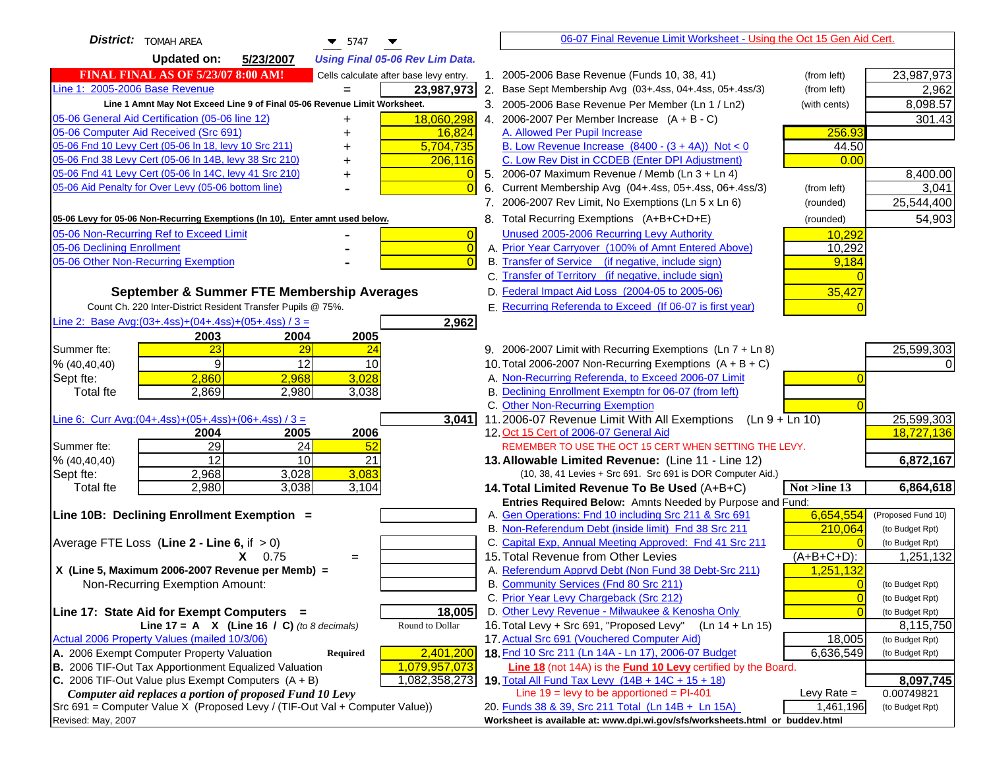| <b>District:</b>   TOMAH AREA<br>$\blacktriangledown$ 5747<br>▼                     |                | 06-07 Final Revenue Limit Worksheet - Using the Oct 15 Gen Aid Cert.                                               |                                   |
|-------------------------------------------------------------------------------------|----------------|--------------------------------------------------------------------------------------------------------------------|-----------------------------------|
| <b>Updated on:</b><br>5/23/2007<br><b>Using Final 05-06 Rev Lim Data.</b>           |                |                                                                                                                    |                                   |
| <b>FINAL FINAL AS OF 5/23/07 8:00 AM!</b><br>Cells calculate after base levy entry. |                | 1. 2005-2006 Base Revenue (Funds 10, 38, 41)                                                                       | 23,987,973<br>(from left)         |
| Line 1: 2005-2006 Base Revenue<br>23,987,973                                        |                | 2. Base Sept Membership Avg (03+.4ss, 04+.4ss, 05+.4ss/3)                                                          | (from left)<br>2,962              |
| Line 1 Amnt May Not Exceed Line 9 of Final 05-06 Revenue Limit Worksheet.           |                | 3. 2005-2006 Base Revenue Per Member (Ln 1 / Ln2)                                                                  | 8,098.57<br>(with cents)          |
| 05-06 General Aid Certification (05-06 line 12)<br>18,060,298<br>+                  |                | 4. 2006-2007 Per Member Increase $(A + B - C)$                                                                     | 301.43                            |
| 05-06 Computer Aid Received (Src 691)                                               | 16,824         | A. Allowed Per Pupil Increase                                                                                      | 256.93                            |
| 05-06 Fnd 10 Levy Cert (05-06 In 18, levy 10 Src 211)<br>5,704,735                  |                | B. Low Revenue Increase $(8400 - (3 + 4A))$ Not < 0                                                                | 44.50                             |
| 05-06 Fnd 38 Levy Cert (05-06 In 14B, levy 38 Src 210)<br>206,116                   |                | C. Low Rev Dist in CCDEB (Enter DPI Adjustment)                                                                    | 0.00                              |
| 05-06 Fnd 41 Levy Cert (05-06 In 14C, levy 41 Src 210)                              |                | 5. 2006-07 Maximum Revenue / Memb (Ln 3 + Ln 4)                                                                    | 8,400.00                          |
| 05-06 Aid Penalty for Over Levy (05-06 bottom line)                                 | $\Omega$       | Current Membership Avg (04+.4ss, 05+.4ss, 06+.4ss/3)<br>6.                                                         | 3,041<br>(from left)              |
|                                                                                     |                | 7. 2006-2007 Rev Limit, No Exemptions (Ln 5 x Ln 6)                                                                | 25,544,400<br>(rounded)           |
| 05-06 Levy for 05-06 Non-Recurring Exemptions (In 10), Enter amnt used below.       |                | 8. Total Recurring Exemptions (A+B+C+D+E)                                                                          | 54,903<br>(rounded)               |
| 05-06 Non-Recurring Ref to Exceed Limit                                             | $\overline{0}$ | Unused 2005-2006 Recurring Levy Authority                                                                          | 10,292                            |
| 05-06 Declining Enrollment                                                          | $\overline{0}$ | A. Prior Year Carryover (100% of Amnt Entered Above)                                                               | 10,292                            |
| 05-06 Other Non-Recurring Exemption                                                 | $\Omega$       | B. Transfer of Service (if negative, include sign)                                                                 | 9,184                             |
|                                                                                     |                | C. Transfer of Territory (if negative, include sign)                                                               |                                   |
| September & Summer FTE Membership Averages                                          |                | D. Federal Impact Aid Loss (2004-05 to 2005-06)                                                                    | 35,427                            |
| Count Ch. 220 Inter-District Resident Transfer Pupils @ 75%.                        |                | E. Recurring Referenda to Exceed (If 06-07 is first year)                                                          |                                   |
| Line 2: Base Avg:(03+.4ss)+(04+.4ss)+(05+.4ss) / 3 =                                | 2,962          |                                                                                                                    |                                   |
| 2003<br>2004<br>2005                                                                |                |                                                                                                                    |                                   |
| 23<br>29<br>Summer fte:<br>24                                                       |                | 9. 2006-2007 Limit with Recurring Exemptions (Ln 7 + Ln 8)                                                         | 25,599,303                        |
| 9<br>12<br>10<br>% (40, 40, 40)                                                     |                | 10. Total 2006-2007 Non-Recurring Exemptions (A + B + C)                                                           |                                   |
| 2,860<br>3,028<br>2,968<br>Sept fte:                                                |                | A. Non-Recurring Referenda, to Exceed 2006-07 Limit                                                                |                                   |
| 2,869<br>3,038<br><b>Total fte</b><br>2,980                                         |                | B. Declining Enrollment Exemptn for 06-07 (from left)                                                              |                                   |
|                                                                                     |                | C. Other Non-Recurring Exemption                                                                                   |                                   |
| Line 6: Curr Avg: $(04+.4ss)+(05+.4ss)+(06+.4ss)/3=$                                | 3,041          | 11.2006-07 Revenue Limit With All Exemptions<br>$(Ln 9 + Ln 10)$                                                   | 25,599,303                        |
| 2005<br>2006<br>2004                                                                |                | 12. Oct 15 Cert of 2006-07 General Aid                                                                             | 18,727,136                        |
| 29<br>$\overline{24}$<br>52<br>Summer fte:                                          |                | REMEMBER TO USE THE OCT 15 CERT WHEN SETTING THE LEVY.                                                             |                                   |
| $\overline{12}$<br>10<br>21<br>% (40, 40, 40)                                       |                | 13. Allowable Limited Revenue: (Line 11 - Line 12)                                                                 | 6,872,167                         |
| 3,083<br>2,968<br>3,028<br>Sept fte:                                                |                | (10, 38, 41 Levies + Src 691. Src 691 is DOR Computer Aid.)                                                        |                                   |
| 2,980<br>3,038<br>3,104<br><b>Total fte</b>                                         |                | 14. Total Limited Revenue To Be Used (A+B+C)                                                                       | 6,864,618<br>Not >line 13         |
| Line 10B: Declining Enrollment Exemption =                                          |                | Entries Required Below: Amnts Needed by Purpose and Fund:<br>A. Gen Operations: Fnd 10 including Src 211 & Src 691 | 6,654,554<br>(Proposed Fund 10)   |
|                                                                                     |                | B. Non-Referendum Debt (inside limit) Fnd 38 Src 211                                                               | 210,064<br>(to Budget Rpt)        |
| Average FTE Loss (Line $2 -$ Line 6, if $> 0$ )                                     |                | C. Capital Exp, Annual Meeting Approved: Fnd 41 Src 211                                                            | (to Budget Rpt)                   |
| $X = 0.75$<br>$=$                                                                   |                | 15. Total Revenue from Other Levies                                                                                | $(A+B+C+D)$ :<br>1,251,132        |
| X (Line 5, Maximum 2006-2007 Revenue per Memb) =                                    |                | A. Referendum Apprvd Debt (Non Fund 38 Debt-Src 211)                                                               | 1,251,132                         |
| Non-Recurring Exemption Amount:                                                     |                | B. Community Services (Fnd 80 Src 211)                                                                             | $\Omega$<br>(to Budget Rpt)       |
|                                                                                     |                | C. Prior Year Levy Chargeback (Src 212)                                                                            | $\overline{0}$<br>(to Budget Rpt) |
| Line 17: State Aid for Exempt Computers =                                           | 18,005         | D. Other Levy Revenue - Milwaukee & Kenosha Only                                                                   | $\Omega$<br>(to Budget Rpt)       |
| Round to Dollar<br>Line 17 = A $X$ (Line 16 / C) (to 8 decimals)                    |                | 16. Total Levy + Src 691, "Proposed Levy"<br>$(Ln 14 + Ln 15)$                                                     | 8,115,750                         |
| Actual 2006 Property Values (mailed 10/3/06)                                        |                | 17. Actual Src 691 (Vouchered Computer Aid)                                                                        | 18,005<br>(to Budget Rpt)         |
| A. 2006 Exempt Computer Property Valuation<br>2,401,200<br><b>Required</b>          |                | 18. Fnd 10 Src 211 (Ln 14A - Ln 17), 2006-07 Budget                                                                | 6,636,549<br>(to Budget Rpt)      |
| B. 2006 TIF-Out Tax Apportionment Equalized Valuation<br>1,079,957,073              |                | Line 18 (not 14A) is the <b>Fund 10 Levy</b> certified by the Board.                                               |                                   |
| C. 2006 TIF-Out Value plus Exempt Computers $(A + B)$<br>1,082,358,273              |                | 19. Total All Fund Tax Levy (14B + 14C + 15 + 18)                                                                  | 8,097,745                         |
| Computer aid replaces a portion of proposed Fund 10 Levy                            |                | Line $19 = \text{levy}$ to be apportioned = PI-401                                                                 | 0.00749821<br>Levy Rate $=$       |
| Src 691 = Computer Value X (Proposed Levy / (TIF-Out Val + Computer Value))         |                | 20. Funds 38 & 39, Src 211 Total (Ln 14B + Ln 15A)                                                                 | 1,461,196<br>(to Budget Rpt)      |
| Revised: May, 2007                                                                  |                | Worksheet is available at: www.dpi.wi.gov/sfs/worksheets.html or buddev.html                                       |                                   |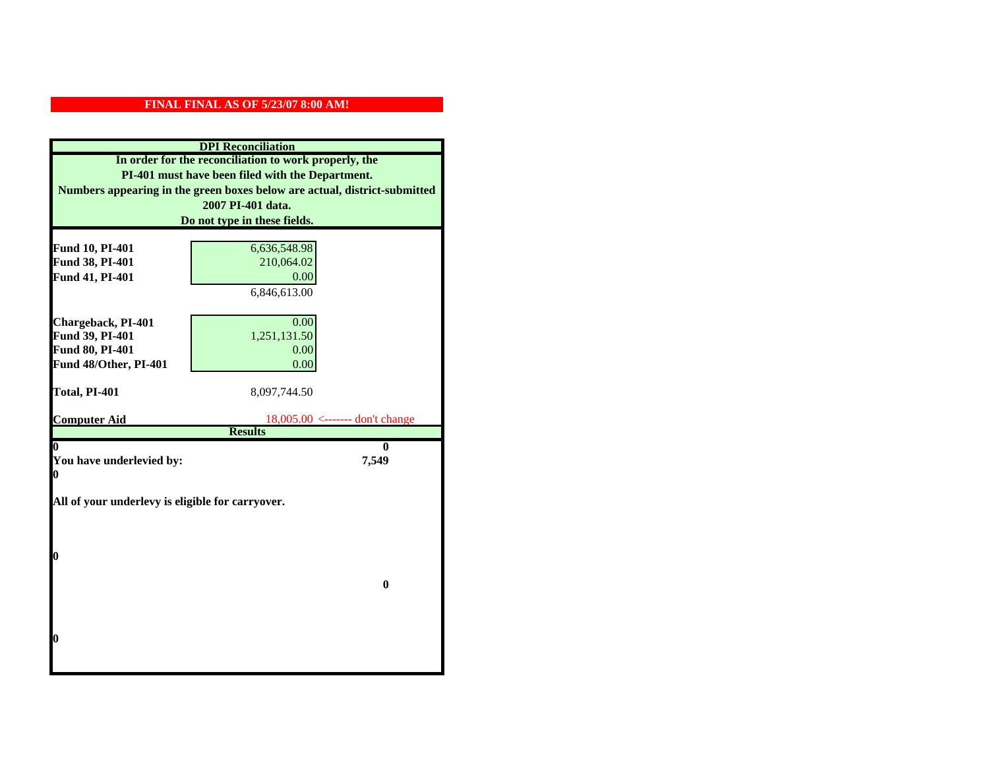| <b>DPI</b> Reconciliation                                                                                 |                                   |  |
|-----------------------------------------------------------------------------------------------------------|-----------------------------------|--|
| In order for the reconciliation to work properly, the<br>PI-401 must have been filed with the Department. |                                   |  |
|                                                                                                           |                                   |  |
|                                                                                                           | 2007 PI-401 data.                 |  |
|                                                                                                           | Do not type in these fields.      |  |
|                                                                                                           |                                   |  |
| Fund 10, PI-401                                                                                           | 6,636,548.98                      |  |
| Fund 38, PI-401                                                                                           | 210,064.02                        |  |
| Fund 41, PI-401                                                                                           | 0.00                              |  |
|                                                                                                           | 6,846,613.00                      |  |
|                                                                                                           |                                   |  |
| Chargeback, PI-401                                                                                        | 0.00                              |  |
| Fund 39, PI-401                                                                                           | 1,251,131.50                      |  |
| <b>Fund 80, PI-401</b>                                                                                    | 0.00                              |  |
| Fund 48/Other, PI-401                                                                                     | 0.00                              |  |
| Total, PI-401                                                                                             | 8,097,744.50                      |  |
|                                                                                                           |                                   |  |
| <b>Computer Aid</b>                                                                                       | $18,005.00$ <------- don't change |  |
|                                                                                                           | <b>Results</b>                    |  |
| 0                                                                                                         | 0<br>7,549                        |  |
| You have underlevied by:                                                                                  |                                   |  |
| 0                                                                                                         |                                   |  |
| All of your underlevy is eligible for carryover.                                                          |                                   |  |
|                                                                                                           |                                   |  |
|                                                                                                           |                                   |  |
|                                                                                                           |                                   |  |
|                                                                                                           |                                   |  |
| 0                                                                                                         |                                   |  |
|                                                                                                           |                                   |  |
|                                                                                                           | $\mathbf{0}$                      |  |
|                                                                                                           |                                   |  |
|                                                                                                           |                                   |  |
|                                                                                                           |                                   |  |
| 0                                                                                                         |                                   |  |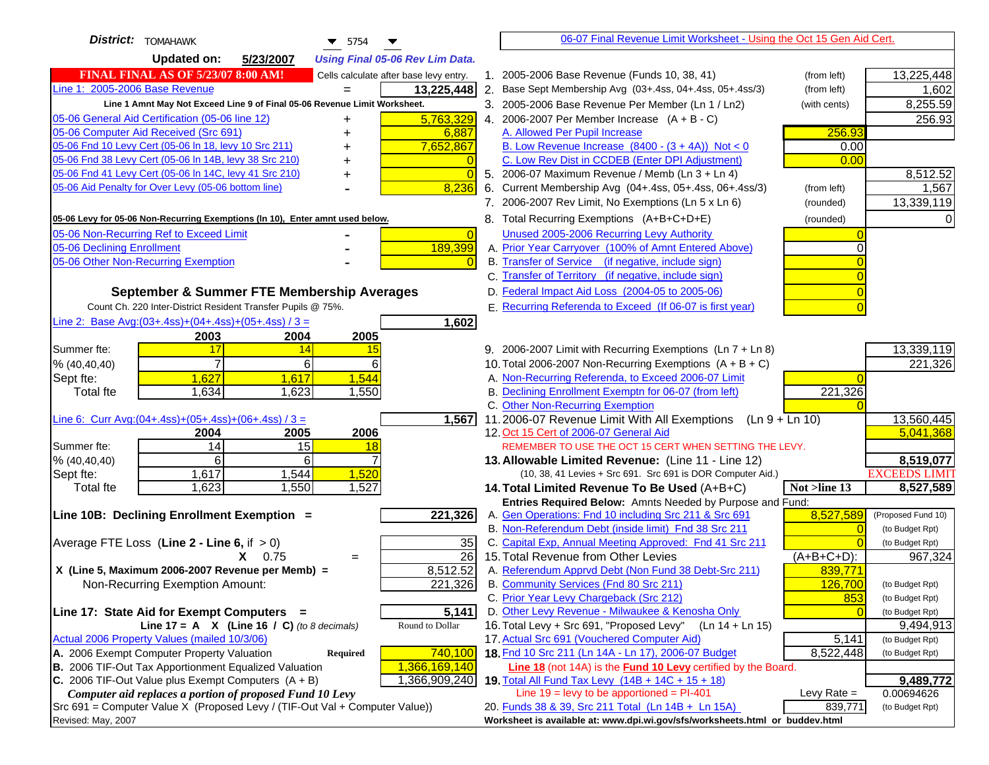| District:<br><b>TOMAHAWK</b><br>$\blacktriangledown$ 5754                                     | 06-07 Final Revenue Limit Worksheet - Using the Oct 15 Gen Aid Cert.                                       |                                    |
|-----------------------------------------------------------------------------------------------|------------------------------------------------------------------------------------------------------------|------------------------------------|
| <b>Updated on:</b><br>5/23/2007<br><b>Using Final 05-06 Rev Lim Data.</b>                     |                                                                                                            |                                    |
| <b>FINAL FINAL AS OF 5/23/07 8:00 AM!</b><br>Cells calculate after base levy entry.           | 1. 2005-2006 Base Revenue (Funds 10, 38, 41)<br>(from left)                                                | 13,225,448                         |
| Line 1: 2005-2006 Base Revenue<br>13,225,448<br>$=$                                           | 2. Base Sept Membership Avg (03+.4ss, 04+.4ss, 05+.4ss/3)<br>(from left)                                   | 1,602                              |
| Line 1 Amnt May Not Exceed Line 9 of Final 05-06 Revenue Limit Worksheet.                     | 3. 2005-2006 Base Revenue Per Member (Ln 1 / Ln2)<br>(with cents)                                          | 8,255.59                           |
| 5,763,329<br>05-06 General Aid Certification (05-06 line 12)                                  | 4. 2006-2007 Per Member Increase $(A + B - C)$                                                             | 256.93                             |
| 05-06 Computer Aid Received (Src 691)<br>6,887                                                | A. Allowed Per Pupil Increase<br>256.93                                                                    |                                    |
| 05-06 Fnd 10 Levy Cert (05-06 ln 18, levy 10 Src 211)<br>7,652,867                            | B. Low Revenue Increase $(8400 - (3 + 4A))$ Not < 0<br>0.00                                                |                                    |
| 05-06 Fnd 38 Levy Cert (05-06 In 14B, levy 38 Src 210)                                        | C. Low Rev Dist in CCDEB (Enter DPI Adjustment)<br>0.00                                                    |                                    |
| 05-06 Fnd 41 Levy Cert (05-06 In 14C, levy 41 Src 210)<br>$\overline{0}$<br>+                 | 5. 2006-07 Maximum Revenue / Memb (Ln 3 + Ln 4)                                                            | 8,512.52                           |
| 05-06 Aid Penalty for Over Levy (05-06 bottom line)<br>8,236                                  | 6. Current Membership Avg (04+.4ss, 05+.4ss, 06+.4ss/3)<br>(from left)                                     | 1,567                              |
|                                                                                               | 7. 2006-2007 Rev Limit, No Exemptions (Ln 5 x Ln 6)<br>(rounded)                                           | 13,339,119                         |
| 05-06 Levy for 05-06 Non-Recurring Exemptions (In 10), Enter amnt used below.                 | 8. Total Recurring Exemptions (A+B+C+D+E)<br>(rounded)                                                     |                                    |
| 05-06 Non-Recurring Ref to Exceed Limit<br>$\overline{0}$                                     | Unused 2005-2006 Recurring Levy Authority                                                                  |                                    |
| 189,399<br>05-06 Declining Enrollment                                                         | A. Prior Year Carryover (100% of Amnt Entered Above)                                                       |                                    |
| 05-06 Other Non-Recurring Exemption                                                           | B. Transfer of Service (if negative, include sign)                                                         |                                    |
|                                                                                               | C. Transfer of Territory (if negative, include sign)                                                       |                                    |
| September & Summer FTE Membership Averages                                                    | D. Federal Impact Aid Loss (2004-05 to 2005-06)                                                            |                                    |
| Count Ch. 220 Inter-District Resident Transfer Pupils @ 75%.                                  | E. Recurring Referenda to Exceed (If 06-07 is first year)                                                  |                                    |
| Line 2: Base Avg: $(03+.4ss)+(04+.4ss)+(05+.4ss)/3 =$<br>1,602                                |                                                                                                            |                                    |
| 2003<br>2004<br>2005                                                                          |                                                                                                            |                                    |
| 17<br>Summer fte:<br>14<br>15                                                                 | 9. 2006-2007 Limit with Recurring Exemptions (Ln 7 + Ln 8)                                                 | 13,339,119                         |
| 7<br>6<br>6<br>% (40, 40, 40)                                                                 | 10. Total 2006-2007 Non-Recurring Exemptions $(A + B + C)$                                                 | 221,326                            |
| 1,627<br>1,544<br>1,617<br>Sept fte:                                                          | A. Non-Recurring Referenda, to Exceed 2006-07 Limit                                                        |                                    |
| <b>Total fte</b><br>1,634<br>1,623<br>1,550                                                   | B. Declining Enrollment Exemptn for 06-07 (from left)<br>221,326                                           |                                    |
|                                                                                               | C. Other Non-Recurring Exemption                                                                           |                                    |
| Line 6: Curr Avg: $(04+.4ss)+(05+.4ss)+(06+.4ss)/3 =$<br>1,567<br>2006<br>2004<br>2005        | 11.2006-07 Revenue Limit With All Exemptions<br>$(Ln 9 + Ln 10)$<br>12. Oct 15 Cert of 2006-07 General Aid | 13,560,445<br>5,041,368            |
| 14<br>15<br>Summer fte:<br>18                                                                 | REMEMBER TO USE THE OCT 15 CERT WHEN SETTING THE LEVY.                                                     |                                    |
| % (40, 40, 40)<br>6<br>6                                                                      | 13. Allowable Limited Revenue: (Line 11 - Line 12)                                                         | 8,519,077                          |
| 1,544<br>1,520<br>1,617<br>Sept fte:                                                          | (10, 38, 41 Levies + Src 691. Src 691 is DOR Computer Aid.)                                                | <b>EXCEEDS LIMIT</b>               |
| 1,623<br>1,550<br>1,527<br><b>Total fte</b>                                                   | Not >line 13<br>14. Total Limited Revenue To Be Used (A+B+C)                                               | 8,527,589                          |
|                                                                                               | Entries Required Below: Amnts Needed by Purpose and Fund:                                                  |                                    |
| 221,326<br>Line 10B: Declining Enrollment Exemption =                                         | A. Gen Operations: Fnd 10 including Src 211 & Src 691<br>8,527,589                                         | (Proposed Fund 10)                 |
|                                                                                               | B. Non-Referendum Debt (inside limit) Fnd 38 Src 211<br>$\Omega$                                           | (to Budget Rpt)                    |
| Average FTE Loss (Line $2 -$ Line 6, if $> 0$ )<br>35                                         | C. Capital Exp, Annual Meeting Approved: Fnd 41 Src 211                                                    | (to Budget Rpt)                    |
| $\overline{26}$<br>$X = 0.75$<br>$=$                                                          | 15. Total Revenue from Other Levies<br>$(A+B+C+D)$ :                                                       | 967,324                            |
| X (Line 5, Maximum 2006-2007 Revenue per Memb) =<br>8,512.52                                  | A. Referendum Apprvd Debt (Non Fund 38 Debt-Src 211)<br>839,771                                            |                                    |
| 221,326<br>Non-Recurring Exemption Amount:                                                    | B. Community Services (Fnd 80 Src 211)<br>126,700                                                          | (to Budget Rpt)                    |
|                                                                                               | 853<br>C. Prior Year Levy Chargeback (Src 212)                                                             | (to Budget Rpt)                    |
| 5,141<br>Line 17: State Aid for Exempt Computers =<br>Round to Dollar                         | D. Other Levy Revenue - Milwaukee & Kenosha Only<br>16. Total Levy + Src 691, "Proposed Levy"              | (to Budget Rpt)                    |
| Line 17 = A $X$ (Line 16 / C) (to 8 decimals)<br>Actual 2006 Property Values (mailed 10/3/06) | (Ln 14 + Ln 15)<br>17. Actual Src 691 (Vouchered Computer Aid)                                             | 9,494,913                          |
| A. 2006 Exempt Computer Property Valuation<br>740,100<br>Required                             | 5,141<br>18. Fnd 10 Src 211 (Ln 14A - Ln 17), 2006-07 Budget<br>8,522,448                                  | (to Budget Rpt)<br>(to Budget Rpt) |
| B. 2006 TIF-Out Tax Apportionment Equalized Valuation<br>1,366,169,140                        | Line 18 (not 14A) is the Fund 10 Levy certified by the Board.                                              |                                    |
| C. 2006 TIF-Out Value plus Exempt Computers $(A + B)$<br>1,366,909,240                        | 19. Total All Fund Tax Levy (14B + 14C + 15 + 18)                                                          | 9,489,772                          |
| Computer aid replaces a portion of proposed Fund 10 Levy                                      | Line $19 = \text{levy}$ to be apportioned = PI-401<br>Levy Rate $=$                                        | 0.00694626                         |
| Src 691 = Computer Value X (Proposed Levy / (TIF-Out Val + Computer Value))                   | 20. Funds 38 & 39, Src 211 Total (Ln 14B + Ln 15A)<br>839,771                                              | (to Budget Rpt)                    |
| Revised: May, 2007                                                                            | Worksheet is available at: www.dpi.wi.gov/sfs/worksheets.html or buddev.html                               |                                    |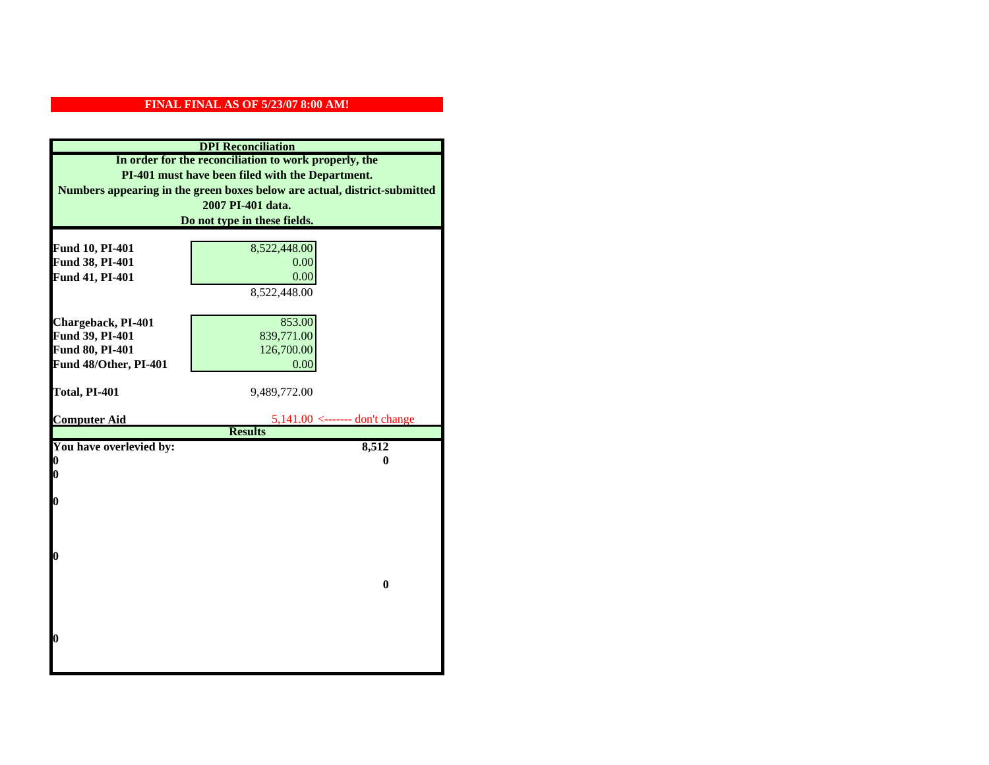| <b>DPI</b> Reconciliation                                                                                 |                                |                                                                           |
|-----------------------------------------------------------------------------------------------------------|--------------------------------|---------------------------------------------------------------------------|
| In order for the reconciliation to work properly, the<br>PI-401 must have been filed with the Department. |                                |                                                                           |
|                                                                                                           |                                | Numbers appearing in the green boxes below are actual, district-submitted |
|                                                                                                           | 2007 PI-401 data.              |                                                                           |
|                                                                                                           | Do not type in these fields.   |                                                                           |
|                                                                                                           |                                |                                                                           |
| Fund 10, PI-401                                                                                           | 8,522,448.00                   |                                                                           |
| Fund 38, PI-401                                                                                           | 0.00                           |                                                                           |
| Fund 41, PI-401                                                                                           | 0.00                           |                                                                           |
|                                                                                                           | 8,522,448.00                   |                                                                           |
|                                                                                                           |                                |                                                                           |
| Chargeback, PI-401                                                                                        | 853.00                         |                                                                           |
| Fund 39, PI-401                                                                                           | 839,771.00                     |                                                                           |
| Fund 80, PI-401                                                                                           | 126,700.00                     |                                                                           |
| Fund 48/Other, PI-401                                                                                     | 0.00                           |                                                                           |
| Total, PI-401                                                                                             | 9,489,772.00                   |                                                                           |
|                                                                                                           |                                |                                                                           |
| <b>Computer Aid</b>                                                                                       | 5,141.00 <------- don't change |                                                                           |
|                                                                                                           | <b>Results</b>                 |                                                                           |
| You have overlevied by:                                                                                   | 8,512                          |                                                                           |
| 0                                                                                                         | 0                              |                                                                           |
| 0                                                                                                         |                                |                                                                           |
| 0                                                                                                         |                                |                                                                           |
|                                                                                                           |                                |                                                                           |
|                                                                                                           |                                |                                                                           |
|                                                                                                           |                                |                                                                           |
| 0                                                                                                         |                                |                                                                           |
|                                                                                                           |                                |                                                                           |
|                                                                                                           | $\bf{0}$                       |                                                                           |
|                                                                                                           |                                |                                                                           |
|                                                                                                           |                                |                                                                           |
|                                                                                                           |                                |                                                                           |
| 0                                                                                                         |                                |                                                                           |
|                                                                                                           |                                |                                                                           |
|                                                                                                           |                                |                                                                           |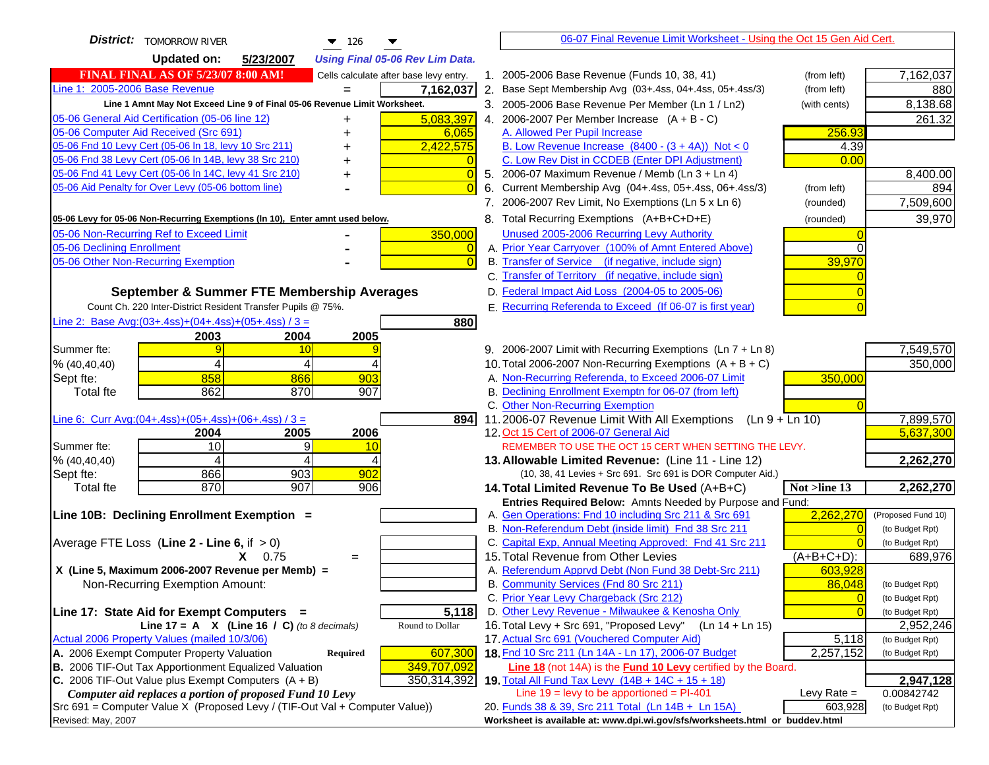| <b>District:</b>   TOMORROW RIVER<br>$\blacktriangledown$ 126                                                                    | 06-07 Final Revenue Limit Worksheet - Using the Oct 15 Gen Aid Cert.                                                     |                               |
|----------------------------------------------------------------------------------------------------------------------------------|--------------------------------------------------------------------------------------------------------------------------|-------------------------------|
| <b>Updated on:</b><br>5/23/2007<br><b>Using Final 05-06 Rev Lim Data.</b>                                                        |                                                                                                                          |                               |
| <b>FINAL FINAL AS OF 5/23/07 8:00 AM!</b><br>Cells calculate after base levy entry.                                              | 1. 2005-2006 Base Revenue (Funds 10, 38, 41)<br>(from left)                                                              | 7,162,037                     |
| Line 1: 2005-2006 Base Revenue<br>7,162,037                                                                                      | 2. Base Sept Membership Avg (03+.4ss, 04+.4ss, 05+.4ss/3)<br>(from left)                                                 | 880                           |
| Line 1 Amnt May Not Exceed Line 9 of Final 05-06 Revenue Limit Worksheet.                                                        | 3. 2005-2006 Base Revenue Per Member (Ln 1 / Ln2)<br>(with cents)                                                        | 8,138.68                      |
| 5,083,397<br>05-06 General Aid Certification (05-06 line 12)<br>+                                                                | 4. 2006-2007 Per Member Increase $(A + B - C)$                                                                           | 261.32                        |
| 05-06 Computer Aid Received (Src 691)<br>6,065                                                                                   | 256.93<br>A. Allowed Per Pupil Increase                                                                                  |                               |
| 05-06 Fnd 10 Levy Cert (05-06 In 18, levy 10 Src 211)<br>2,422,575                                                               | B. Low Revenue Increase $(8400 - (3 + 4A))$ Not < 0<br>4.39                                                              |                               |
| 05-06 Fnd 38 Levy Cert (05-06 In 14B, levy 38 Src 210)                                                                           | C. Low Rev Dist in CCDEB (Enter DPI Adjustment)<br>0.00                                                                  |                               |
| 05-06 Fnd 41 Levy Cert (05-06 In 14C, levy 41 Src 210)<br>$\bigcap$                                                              | 5. 2006-07 Maximum Revenue / Memb (Ln 3 + Ln 4)                                                                          | 8,400.00                      |
| 05-06 Aid Penalty for Over Levy (05-06 bottom line)                                                                              | Current Membership Avg (04+.4ss, 05+.4ss, 06+.4ss/3)<br>(from left)<br>6.                                                | 894                           |
|                                                                                                                                  | 7. 2006-2007 Rev Limit, No Exemptions (Ln 5 x Ln 6)<br>(rounded)                                                         | 7,509,600                     |
| 05-06 Levy for 05-06 Non-Recurring Exemptions (In 10), Enter amnt used below.                                                    | 8. Total Recurring Exemptions (A+B+C+D+E)<br>(rounded)                                                                   | 39,970                        |
| 05-06 Non-Recurring Ref to Exceed Limit<br>350,000                                                                               | Unused 2005-2006 Recurring Levy Authority                                                                                |                               |
| 05-06 Declining Enrollment<br>0                                                                                                  | A. Prior Year Carryover (100% of Amnt Entered Above)                                                                     |                               |
| 05-06 Other Non-Recurring Exemption                                                                                              | B. Transfer of Service (if negative, include sign)<br>39,970                                                             |                               |
|                                                                                                                                  | C. Transfer of Territory (if negative, include sign)                                                                     |                               |
| September & Summer FTE Membership Averages                                                                                       | D. Federal Impact Aid Loss (2004-05 to 2005-06)                                                                          |                               |
| Count Ch. 220 Inter-District Resident Transfer Pupils @ 75%.                                                                     | E. Recurring Referenda to Exceed (If 06-07 is first year)                                                                |                               |
| Line 2: Base Avg: $(03+.4ss)+(04+.4ss)+(05+.4ss)/3 =$<br>880                                                                     |                                                                                                                          |                               |
| 2003<br>2004<br>2005                                                                                                             |                                                                                                                          |                               |
| Summer fte:<br>10<br>g                                                                                                           | 9. 2006-2007 Limit with Recurring Exemptions (Ln 7 + Ln 8)                                                               | 7,549,570                     |
| 4<br>% (40, 40, 40)<br>4                                                                                                         | 10. Total 2006-2007 Non-Recurring Exemptions $(A + B + C)$                                                               | 350,000                       |
| 858<br>Sept fte:<br>903<br>866                                                                                                   | A. Non-Recurring Referenda, to Exceed 2006-07 Limit<br>350,000                                                           |                               |
| 862<br>870<br>907<br><b>Total fte</b>                                                                                            | B. Declining Enrollment Exemptn for 06-07 (from left)                                                                    |                               |
|                                                                                                                                  | C. Other Non-Recurring Exemption                                                                                         |                               |
| Line 6: Curr Avg: $(04+.4ss)+(05+.4ss)+(06+.4ss)/3 =$<br>894                                                                     | 11.2006-07 Revenue Limit With All Exemptions $(Ln 9 + Ln 10)$                                                            | 7,899,570                     |
| 2006<br>2005<br>2004                                                                                                             | 12. Oct 15 Cert of 2006-07 General Aid                                                                                   | 5,637,300                     |
| 10<br>Summer fte:<br>9<br>10<br>4                                                                                                | REMEMBER TO USE THE OCT 15 CERT WHEN SETTING THE LEVY.                                                                   |                               |
| % (40, 40, 40)<br>4<br>903<br>902<br>866<br>Sept fte:                                                                            | 13. Allowable Limited Revenue: (Line 11 - Line 12)<br>(10, 38, 41 Levies + Src 691. Src 691 is DOR Computer Aid.)        | 2,262,270                     |
| 870<br>907<br>906<br><b>Total fte</b>                                                                                            | 14. Total Limited Revenue To Be Used (A+B+C)<br>Not >line 13                                                             | 2,262,270                     |
|                                                                                                                                  | Entries Required Below: Amnts Needed by Purpose and Fund:                                                                |                               |
| Line 10B: Declining Enrollment Exemption =                                                                                       | 2,262,270<br>A. Gen Operations: Fnd 10 including Src 211 & Src 691                                                       | (Proposed Fund 10)            |
|                                                                                                                                  | B. Non-Referendum Debt (inside limit) Fnd 38 Src 211                                                                     | (to Budget Rpt)               |
| Average FTE Loss (Line $2 -$ Line 6, if $> 0$ )                                                                                  | C. Capital Exp, Annual Meeting Approved: Fnd 41 Src 211                                                                  | (to Budget Rpt)               |
| $X = 0.75$<br>$=$                                                                                                                | 15. Total Revenue from Other Levies<br>$(A+B+C+D)$ :                                                                     | 689,976                       |
| X (Line 5, Maximum 2006-2007 Revenue per Memb) =                                                                                 | A. Referendum Apprvd Debt (Non Fund 38 Debt-Src 211)<br>603,928                                                          |                               |
| Non-Recurring Exemption Amount:                                                                                                  | B. Community Services (Fnd 80 Src 211)<br>86,048                                                                         | (to Budget Rpt)               |
|                                                                                                                                  | C. Prior Year Levy Chargeback (Src 212)<br>$\overline{0}$                                                                | (to Budget Rpt)               |
| 5,118<br>Line 17: State Aid for Exempt Computers =                                                                               | D. Other Levy Revenue - Milwaukee & Kenosha Only                                                                         | (to Budget Rpt)               |
| Line 17 = A $X$ (Line 16 / C) (to 8 decimals)<br>Round to Dollar                                                                 | 16. Total Levy + Src 691, "Proposed Levy"<br>(Ln 14 + Ln 15)                                                             | 2,952,246                     |
| Actual 2006 Property Values (mailed 10/3/06)                                                                                     | 17. Actual Src 691 (Vouchered Computer Aid)<br>5,118                                                                     | (to Budget Rpt)               |
| A. 2006 Exempt Computer Property Valuation<br>607,300<br>Required                                                                | 18. Fnd 10 Src 211 (Ln 14A - Ln 17), 2006-07 Budget<br>2,257,152                                                         | (to Budget Rpt)               |
| B. 2006 TIF-Out Tax Apportionment Equalized Valuation<br>349,707,092                                                             | Line 18 (not 14A) is the <b>Fund 10 Levy</b> certified by the Board.                                                     |                               |
| C. 2006 TIF-Out Value plus Exempt Computers $(A + B)$<br>350,314,392<br>Computer aid replaces a portion of proposed Fund 10 Levy | 19. Total All Fund Tax Levy (14B + 14C + 15 + 18)<br>Line $19 = \text{levy}$ to be apportioned = PI-401<br>Levy Rate $=$ | 2,947,128                     |
| Src 691 = Computer Value X (Proposed Levy / (TIF-Out Val + Computer Value))                                                      | 20. Funds 38 & 39, Src 211 Total (Ln 14B + Ln 15A)<br>603,928                                                            | 0.00842742<br>(to Budget Rpt) |
| Revised: May, 2007                                                                                                               | Worksheet is available at: www.dpi.wi.gov/sfs/worksheets.html or buddev.html                                             |                               |
|                                                                                                                                  |                                                                                                                          |                               |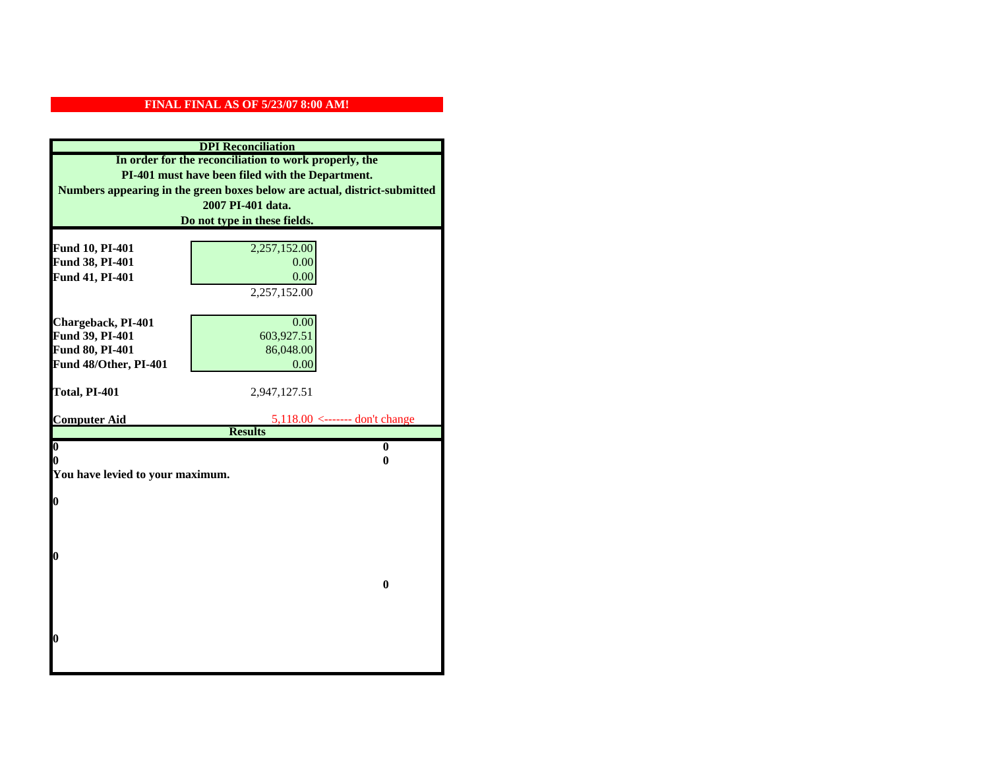| <b>DPI</b> Reconciliation                                                 |                                |  |  |
|---------------------------------------------------------------------------|--------------------------------|--|--|
| In order for the reconciliation to work properly, the                     |                                |  |  |
| PI-401 must have been filed with the Department.                          |                                |  |  |
| Numbers appearing in the green boxes below are actual, district-submitted |                                |  |  |
|                                                                           | 2007 PI-401 data.              |  |  |
|                                                                           | Do not type in these fields.   |  |  |
|                                                                           |                                |  |  |
| Fund 10, PI-401                                                           | 2,257,152.00                   |  |  |
| Fund 38, PI-401                                                           | 0.00                           |  |  |
| Fund 41, PI-401                                                           | 0.00                           |  |  |
|                                                                           | 2,257,152.00                   |  |  |
|                                                                           |                                |  |  |
| Chargeback, PI-401                                                        | 0.00                           |  |  |
| Fund 39, PI-401                                                           | 603,927.51                     |  |  |
| Fund 80, PI-401                                                           | 86,048.00                      |  |  |
| Fund 48/Other, PI-401                                                     | 0.00                           |  |  |
| Total, PI-401                                                             | 2,947,127.51                   |  |  |
|                                                                           |                                |  |  |
|                                                                           |                                |  |  |
| <b>Computer Aid</b>                                                       | 5,118.00 <------- don't change |  |  |
|                                                                           | <b>Results</b>                 |  |  |
| $\overline{\mathbf{0}}$                                                   | $\mathbf{0}$                   |  |  |
| 0                                                                         | 0                              |  |  |
| You have levied to your maximum.                                          |                                |  |  |
|                                                                           |                                |  |  |
| $\bf{0}$                                                                  |                                |  |  |
|                                                                           |                                |  |  |
|                                                                           |                                |  |  |
| 0                                                                         |                                |  |  |
|                                                                           |                                |  |  |
|                                                                           | $\bf{0}$                       |  |  |
|                                                                           |                                |  |  |
|                                                                           |                                |  |  |
|                                                                           |                                |  |  |
| 0                                                                         |                                |  |  |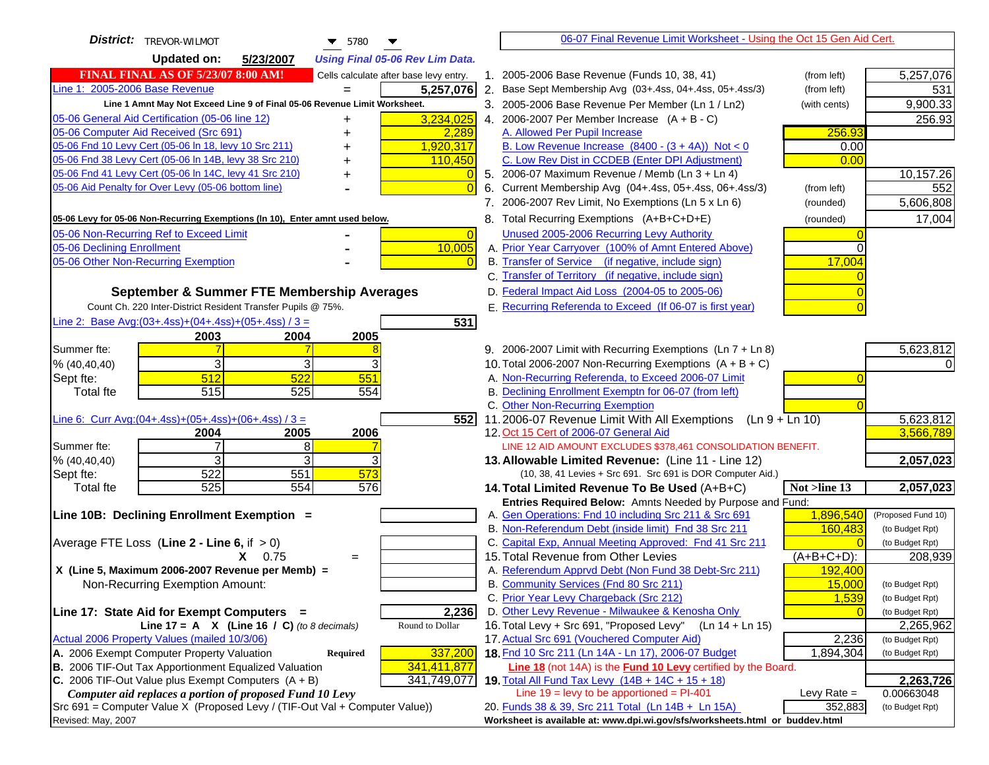| District:<br>TREVOR-WILMOT<br>$\blacktriangledown$ 5780                             | 06-07 Final Revenue Limit Worksheet - Using the Oct 15 Gen Aid Cert.                                                       |                                    |
|-------------------------------------------------------------------------------------|----------------------------------------------------------------------------------------------------------------------------|------------------------------------|
| <b>Updated on:</b><br>5/23/2007<br><b>Using Final 05-06 Rev Lim Data.</b>           |                                                                                                                            |                                    |
| <b>FINAL FINAL AS OF 5/23/07 8:00 AM!</b><br>Cells calculate after base levy entry. | 1. 2005-2006 Base Revenue (Funds 10, 38, 41)<br>(from left)                                                                | 5,257,076                          |
| Line 1: 2005-2006 Base Revenue<br>5,257,076<br>$=$                                  | 2. Base Sept Membership Avg (03+.4ss, 04+.4ss, 05+.4ss/3)<br>(from left)                                                   | 531                                |
| Line 1 Amnt May Not Exceed Line 9 of Final 05-06 Revenue Limit Worksheet.           | 3. 2005-2006 Base Revenue Per Member (Ln 1 / Ln2)<br>(with cents)                                                          | 9,900.33                           |
| 3,234,025<br>05-06 General Aid Certification (05-06 line 12)<br>+                   | 4. 2006-2007 Per Member Increase $(A + B - C)$                                                                             | 256.93                             |
| 05-06 Computer Aid Received (Src 691)<br>2,289                                      | A. Allowed Per Pupil Increase<br>256.93                                                                                    |                                    |
| 05-06 Fnd 10 Levy Cert (05-06 In 18, levy 10 Src 211)<br>1,920,317                  | B. Low Revenue Increase $(8400 - (3 + 4A))$ Not < 0<br>0.00                                                                |                                    |
| 05-06 Fnd 38 Levy Cert (05-06 In 14B, levy 38 Src 210)<br>110,450                   | C. Low Rev Dist in CCDEB (Enter DPI Adjustment)<br>0.00                                                                    |                                    |
| 05-06 Fnd 41 Levy Cert (05-06 In 14C, levy 41 Src 210)<br>+                         | 5. 2006-07 Maximum Revenue / Memb (Ln 3 + Ln 4)                                                                            | 10,157.26                          |
| 05-06 Aid Penalty for Over Levy (05-06 bottom line)                                 | 6. Current Membership Avg (04+.4ss, 05+.4ss, 06+.4ss/3)<br>(from left)                                                     | 552                                |
|                                                                                     | 7. 2006-2007 Rev Limit, No Exemptions (Ln 5 x Ln 6)<br>(rounded)                                                           | 5,606,808                          |
| 05-06 Levy for 05-06 Non-Recurring Exemptions (In 10), Enter amnt used below.       | 8. Total Recurring Exemptions (A+B+C+D+E)<br>(rounded)                                                                     | 17,004                             |
| 05-06 Non-Recurring Ref to Exceed Limit<br>$\overline{0}$                           | Unused 2005-2006 Recurring Levy Authority                                                                                  |                                    |
| 10,005<br>05-06 Declining Enrollment                                                | A. Prior Year Carryover (100% of Amnt Entered Above)                                                                       |                                    |
| 05-06 Other Non-Recurring Exemption                                                 | B. Transfer of Service (if negative, include sign)<br>17,004                                                               |                                    |
|                                                                                     | C. Transfer of Territory (if negative, include sign)                                                                       |                                    |
| September & Summer FTE Membership Averages                                          | D. Federal Impact Aid Loss (2004-05 to 2005-06)                                                                            |                                    |
| Count Ch. 220 Inter-District Resident Transfer Pupils @ 75%.                        | E. Recurring Referenda to Exceed (If 06-07 is first year)                                                                  |                                    |
| Line 2: Base Avg: $(03+.4ss)+(04+.4ss)+(05+.4ss)/3 =$<br>531                        |                                                                                                                            |                                    |
| 2003<br>2004<br>2005                                                                |                                                                                                                            |                                    |
| Summer fte:                                                                         | 9. 2006-2007 Limit with Recurring Exemptions (Ln 7 + Ln 8)                                                                 | 5,623,812                          |
| 3<br>3<br>% (40, 40, 40)<br>512<br>551                                              | 10. Total 2006-2007 Non-Recurring Exemptions $(A + B + C)$<br>A. Non-Recurring Referenda, to Exceed 2006-07 Limit          |                                    |
| 522<br>Sept fte:<br>515<br>554<br><b>Total fte</b><br>525                           | B. Declining Enrollment Exemptn for 06-07 (from left)                                                                      |                                    |
|                                                                                     | C. Other Non-Recurring Exemption                                                                                           |                                    |
| Line 6: Curr Avg: $(04+.4ss)+(05+.4ss)+(06+.4ss)/3=$<br>5521                        | 11.2006-07 Revenue Limit With All Exemptions (Ln $9 + \overline{\text{Ln }10}$ )                                           | 5,623,812                          |
| 2005<br>2006<br>2004                                                                | 12. Oct 15 Cert of 2006-07 General Aid                                                                                     | 3,566,789                          |
| 7<br>8<br>Summer fte:                                                               | LINE 12 AID AMOUNT EXCLUDES \$378,461 CONSOLIDATION BENEFIT.                                                               |                                    |
| 3<br>3<br>% (40, 40, 40)                                                            | 13. Allowable Limited Revenue: (Line 11 - Line 12)                                                                         | 2,057,023                          |
| 522<br>573<br>551<br>Sept fte:                                                      | (10, 38, 41 Levies + Src 691. Src 691 is DOR Computer Aid.)                                                                |                                    |
| 525<br>554<br>576<br><b>Total fte</b>                                               | 14. Total Limited Revenue To Be Used (A+B+C)<br>Not >line 13                                                               | 2,057,023                          |
|                                                                                     | Entries Required Below: Amnts Needed by Purpose and Fund:                                                                  |                                    |
| Line 10B: Declining Enrollment Exemption =                                          | A. Gen Operations: Fnd 10 including Src 211 & Src 691<br>1,896,540                                                         | (Proposed Fund 10)                 |
|                                                                                     | B. Non-Referendum Debt (inside limit) Fnd 38 Src 211<br>160,483<br>C. Capital Exp, Annual Meeting Approved: Fnd 41 Src 211 | (to Budget Rpt)<br>(to Budget Rpt) |
| Average FTE Loss (Line $2 -$ Line 6, if $> 0$ )<br>$X = 0.75$<br>$=$                | 15. Total Revenue from Other Levies<br>(A+B+C+D):                                                                          | 208,939                            |
| X (Line 5, Maximum 2006-2007 Revenue per Memb) =                                    | A. Referendum Apprvd Debt (Non Fund 38 Debt-Src 211)<br>192,400                                                            |                                    |
| Non-Recurring Exemption Amount:                                                     | B. Community Services (Fnd 80 Src 211)<br>15,000                                                                           | (to Budget Rpt)                    |
|                                                                                     | C. Prior Year Levy Chargeback (Src 212)<br>1,539                                                                           | (to Budget Rpt)                    |
| 2,236<br>Line 17: State Aid for Exempt Computers =                                  | D. Other Levy Revenue - Milwaukee & Kenosha Only                                                                           | (to Budget Rpt)                    |
| Round to Dollar<br>Line 17 = A $X$ (Line 16 / C) (to 8 decimals)                    | 16. Total Levy + Src 691, "Proposed Levy"<br>$(Ln 14 + Ln 15)$                                                             | 2,265,962                          |
| Actual 2006 Property Values (mailed 10/3/06)                                        | 17. Actual Src 691 (Vouchered Computer Aid)<br>2,236                                                                       | (to Budget Rpt)                    |
| A. 2006 Exempt Computer Property Valuation<br>337,200<br>Required                   | 18. Fnd 10 Src 211 (Ln 14A - Ln 17), 2006-07 Budget<br>1,894,304                                                           | (to Budget Rpt)                    |
| B. 2006 TIF-Out Tax Apportionment Equalized Valuation<br>341,411,877                | <b>Line 18</b> (not 14A) is the <b>Fund 10 Levy</b> certified by the Board.                                                |                                    |
| C. 2006 TIF-Out Value plus Exempt Computers $(A + B)$<br>341,749,077                | 19. Total All Fund Tax Levy $(14B + 14C + 15 + 18)$                                                                        | 2,263,726                          |
| Computer aid replaces a portion of proposed Fund 10 Levy                            | Line $19 = \text{levy}$ to be apportioned = PI-401<br>Levy Rate $=$                                                        | 0.00663048                         |
| Src 691 = Computer Value X (Proposed Levy / (TIF-Out Val + Computer Value))         | 20. Funds 38 & 39, Src 211 Total (Ln 14B + Ln 15A)<br>352,883                                                              | (to Budget Rpt)                    |
| Revised: May, 2007                                                                  | Worksheet is available at: www.dpi.wi.gov/sfs/worksheets.html or buddev.html                                               |                                    |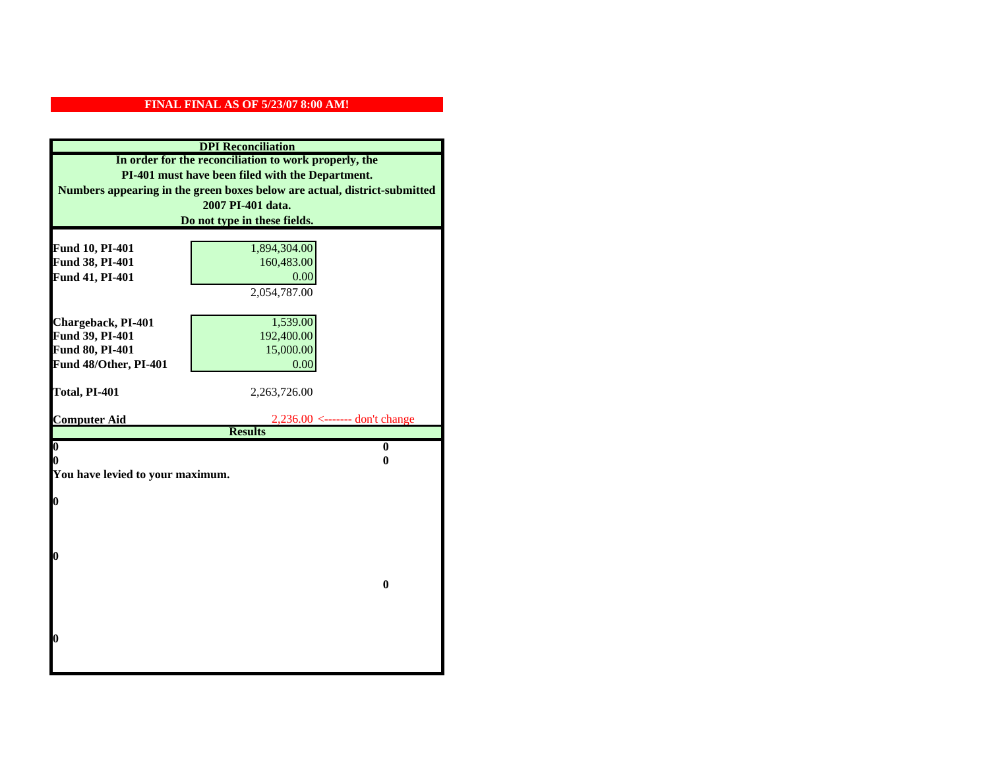| <b>DPI</b> Reconciliation                                                 |                                               |  |
|---------------------------------------------------------------------------|-----------------------------------------------|--|
| In order for the reconciliation to work properly, the                     |                                               |  |
| PI-401 must have been filed with the Department.                          |                                               |  |
| Numbers appearing in the green boxes below are actual, district-submitted |                                               |  |
| 2007 PI-401 data.                                                         |                                               |  |
|                                                                           | Do not type in these fields.                  |  |
|                                                                           |                                               |  |
| Fund 10, PI-401                                                           | 1,894,304.00                                  |  |
| Fund 38, PI-401                                                           | 160,483.00                                    |  |
| Fund 41, PI-401                                                           | 0.00                                          |  |
|                                                                           | 2,054,787.00                                  |  |
|                                                                           |                                               |  |
| Chargeback, PI-401                                                        | 1,539.00                                      |  |
| Fund 39, PI-401                                                           | 192,400.00                                    |  |
| Fund 80, PI-401                                                           | 15,000.00                                     |  |
| Fund 48/Other, PI-401                                                     | 0.00                                          |  |
| Total, PI-401                                                             | 2,263,726.00                                  |  |
|                                                                           |                                               |  |
| <b>Computer Aid</b>                                                       | $2,236.00 \leftarrow \text{---}$ don't change |  |
|                                                                           | <b>Results</b>                                |  |
| $\overline{\mathbf{0}}$                                                   | $\bf{0}$                                      |  |
| 0<br>0                                                                    |                                               |  |
| You have levied to your maximum.                                          |                                               |  |
| $\bf{0}$                                                                  |                                               |  |
|                                                                           |                                               |  |
|                                                                           |                                               |  |
|                                                                           |                                               |  |
| 0                                                                         |                                               |  |
|                                                                           |                                               |  |
|                                                                           | $\bf{0}$                                      |  |
|                                                                           |                                               |  |
|                                                                           |                                               |  |
|                                                                           |                                               |  |
| 0                                                                         |                                               |  |
|                                                                           |                                               |  |
|                                                                           |                                               |  |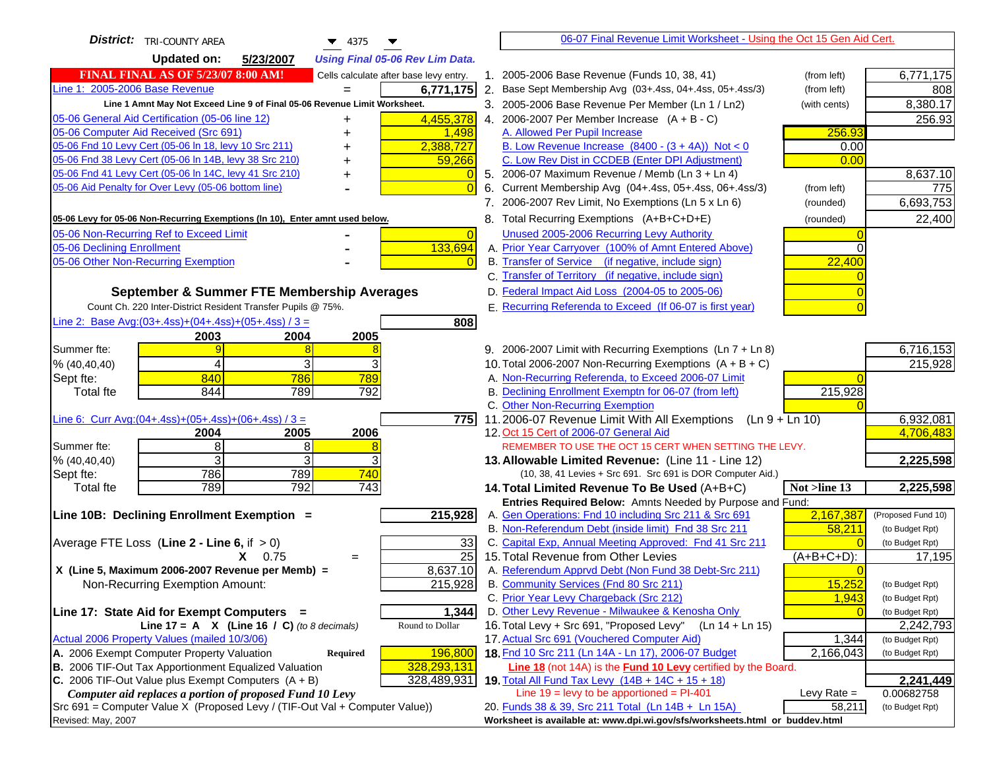| <b>District:</b> TRI-COUNTY AREA<br>▼<br>4375                                                 |          | 06-07 Final Revenue Limit Worksheet - Using the Oct 15 Gen Aid Cert.                                             |               |                              |
|-----------------------------------------------------------------------------------------------|----------|------------------------------------------------------------------------------------------------------------------|---------------|------------------------------|
| <b>Updated on:</b><br>5/23/2007<br><b>Using Final 05-06 Rev Lim Data.</b>                     |          |                                                                                                                  |               |                              |
| <b>FINAL FINAL AS OF 5/23/07 8:00 AM!</b><br>Cells calculate after base levy entry.           |          | 1. 2005-2006 Base Revenue (Funds 10, 38, 41)                                                                     | (from left)   | 6,771,175                    |
| Line 1: 2005-2006 Base Revenue<br>6,771,175                                                   |          | 2. Base Sept Membership Avg (03+.4ss, 04+.4ss, 05+.4ss/3)                                                        | (from left)   | 808                          |
| Line 1 Amnt May Not Exceed Line 9 of Final 05-06 Revenue Limit Worksheet.                     |          | 3. 2005-2006 Base Revenue Per Member (Ln 1 / Ln2)                                                                | (with cents)  | 8,380.17                     |
| 4,455,378<br>05-06 General Aid Certification (05-06 line 12)<br>+                             |          | 4. 2006-2007 Per Member Increase $(A + B - C)$                                                                   |               | 256.93                       |
| 05-06 Computer Aid Received (Src 691)<br>1,498                                                |          | A. Allowed Per Pupil Increase                                                                                    | 256.93        |                              |
| 05-06 Fnd 10 Levy Cert (05-06 In 18, levy 10 Src 211)<br>2,388,727                            |          | B. Low Revenue Increase $(8400 - (3 + 4A))$ Not < 0                                                              | 0.00          |                              |
| 05-06 Fnd 38 Levy Cert (05-06 In 14B, levy 38 Src 210)<br>59,266                              |          | C. Low Rev Dist in CCDEB (Enter DPI Adjustment)                                                                  | 0.00          |                              |
| 05-06 Fnd 41 Levy Cert (05-06 In 14C, levy 41 Src 210)<br>+                                   |          | 5. 2006-07 Maximum Revenue / Memb (Ln 3 + Ln 4)                                                                  |               | 8,637.10                     |
| 05-06 Aid Penalty for Over Levy (05-06 bottom line)                                           |          | 6. Current Membership Avg (04+.4ss, 05+.4ss, 06+.4ss/3)                                                          | (from left)   | 775                          |
|                                                                                               |          | 7. 2006-2007 Rev Limit, No Exemptions (Ln 5 x Ln 6)                                                              | (rounded)     | 6,693,753                    |
| 05-06 Levy for 05-06 Non-Recurring Exemptions (In 10), Enter amnt used below.                 |          | 8. Total Recurring Exemptions (A+B+C+D+E)                                                                        | (rounded)     | 22,400                       |
| 05-06 Non-Recurring Ref to Exceed Limit                                                       | $\Omega$ | Unused 2005-2006 Recurring Levy Authority                                                                        |               |                              |
| 133,694<br>05-06 Declining Enrollment                                                         |          | A. Prior Year Carryover (100% of Amnt Entered Above)                                                             |               |                              |
| 05-06 Other Non-Recurring Exemption                                                           |          | B. Transfer of Service (if negative, include sign)                                                               | 22,400        |                              |
|                                                                                               |          | C. Transfer of Territory (if negative, include sign)                                                             |               |                              |
| September & Summer FTE Membership Averages                                                    |          | D. Federal Impact Aid Loss (2004-05 to 2005-06)                                                                  |               |                              |
| Count Ch. 220 Inter-District Resident Transfer Pupils @ 75%.                                  |          | E. Recurring Referenda to Exceed (If 06-07 is first year)                                                        |               |                              |
| Line 2: Base Avg: $(03+.4ss)+(04+.4ss)+(05+.4ss)/3 =$<br>808                                  |          |                                                                                                                  |               |                              |
| 2003<br>2004<br>2005                                                                          |          |                                                                                                                  |               |                              |
| Summer fte:<br>q                                                                              |          | 9. 2006-2007 Limit with Recurring Exemptions (Ln 7 + Ln 8)                                                       |               | 6,716,153                    |
| 3<br>% (40, 40, 40)<br>4                                                                      |          | 10. Total 2006-2007 Non-Recurring Exemptions (A + B + C)                                                         |               | 215,928                      |
| 840<br>786<br>789<br>Sept fte:                                                                |          | A. Non-Recurring Referenda, to Exceed 2006-07 Limit                                                              |               |                              |
| 844<br>789<br>792<br><b>Total fte</b>                                                         |          | B. Declining Enrollment Exemptn for 06-07 (from left)                                                            | 215,928       |                              |
|                                                                                               |          | C. Other Non-Recurring Exemption                                                                                 |               | 6,932,081                    |
| Line 6: Curr Avg: $(04+.4ss)+(05+.4ss)+(06+.4ss)/3 =$<br>2006<br>2005<br>2004                 | 775I     | 11.2006-07 Revenue Limit With All Exemptions $(Ln 9 + Ln 10)$<br>12. Oct 15 Cert of 2006-07 General Aid          |               | 4,706,483                    |
| 8<br>Summer fte:<br>8                                                                         |          | REMEMBER TO USE THE OCT 15 CERT WHEN SETTING THE LEVY.                                                           |               |                              |
| 3<br>3<br>% (40, 40, 40)                                                                      |          | 13. Allowable Limited Revenue: (Line 11 - Line 12)                                                               |               | 2,225,598                    |
| 786<br>789<br>740<br>Sept fte:                                                                |          | (10, 38, 41 Levies + Src 691. Src 691 is DOR Computer Aid.)                                                      |               |                              |
| 789<br>792<br>743<br><b>Total fte</b>                                                         |          | 14. Total Limited Revenue To Be Used (A+B+C)                                                                     | Not >line 13  | 2,225,598                    |
|                                                                                               |          | Entries Required Below: Amnts Needed by Purpose and Fund:                                                        |               |                              |
| 215,928<br>Line 10B: Declining Enrollment Exemption =                                         |          | A. Gen Operations: Fnd 10 including Src 211 & Src 691                                                            | 2,167,387     | (Proposed Fund 10)           |
|                                                                                               |          | B. Non-Referendum Debt (inside limit) Fnd 38 Src 211                                                             | 58,211        | (to Budget Rpt)              |
| Average FTE Loss (Line $2 -$ Line 6, if $> 0$ )                                               | 33       | C. Capital Exp, Annual Meeting Approved: Fnd 41 Src 211                                                          |               | (to Budget Rpt)              |
| $\overline{25}$<br>$X = 0.75$<br>$=$                                                          |          | 15. Total Revenue from Other Levies                                                                              | $(A+B+C+D)$ : | 17,195                       |
| X (Line 5, Maximum 2006-2007 Revenue per Memb) =<br>8,637.10                                  |          | A. Referendum Apprvd Debt (Non Fund 38 Debt-Src 211)                                                             |               |                              |
| 215,928<br>Non-Recurring Exemption Amount:                                                    |          | B. Community Services (Fnd 80 Src 211)                                                                           | 15,252        | (to Budget Rpt)              |
|                                                                                               |          | C. Prior Year Levy Chargeback (Src 212)                                                                          | 1,943         | (to Budget Rpt)              |
| 1,344<br>Line 17: State Aid for Exempt Computers =<br>Round to Dollar                         |          | D. Other Levy Revenue - Milwaukee & Kenosha Only<br>16. Total Levy + Src 691, "Proposed Levy"<br>(Ln 14 + Ln 15) |               | (to Budget Rpt)              |
| Line 17 = A $X$ (Line 16 / C) (to 8 decimals)<br>Actual 2006 Property Values (mailed 10/3/06) |          | 17. Actual Src 691 (Vouchered Computer Aid)                                                                      | 1,344         | 2,242,793<br>(to Budget Rpt) |
| A. 2006 Exempt Computer Property Valuation<br>196,800<br>Required                             |          | 18. Fnd 10 Src 211 (Ln 14A - Ln 17), 2006-07 Budget                                                              | 2,166,043     | (to Budget Rpt)              |
| B. 2006 TIF-Out Tax Apportionment Equalized Valuation<br>328,293,131                          |          | Line 18 (not 14A) is the <b>Fund 10 Levy</b> certified by the Board.                                             |               |                              |
| C. 2006 TIF-Out Value plus Exempt Computers $(A + B)$<br>328,489,931                          |          | 19. Total All Fund Tax Levy (14B + 14C + 15 + 18)                                                                |               | 2,241,449                    |
| Computer aid replaces a portion of proposed Fund 10 Levy                                      |          | Line $19 = \text{levy}$ to be apportioned = PI-401                                                               | Levy Rate $=$ | 0.00682758                   |
| Src 691 = Computer Value X (Proposed Levy / (TIF-Out Val + Computer Value))                   |          | 20. Funds 38 & 39, Src 211 Total (Ln 14B + Ln 15A)                                                               | 58,211        | (to Budget Rpt)              |
| Revised: May, 2007                                                                            |          | Worksheet is available at: www.dpi.wi.gov/sfs/worksheets.html or buddev.html                                     |               |                              |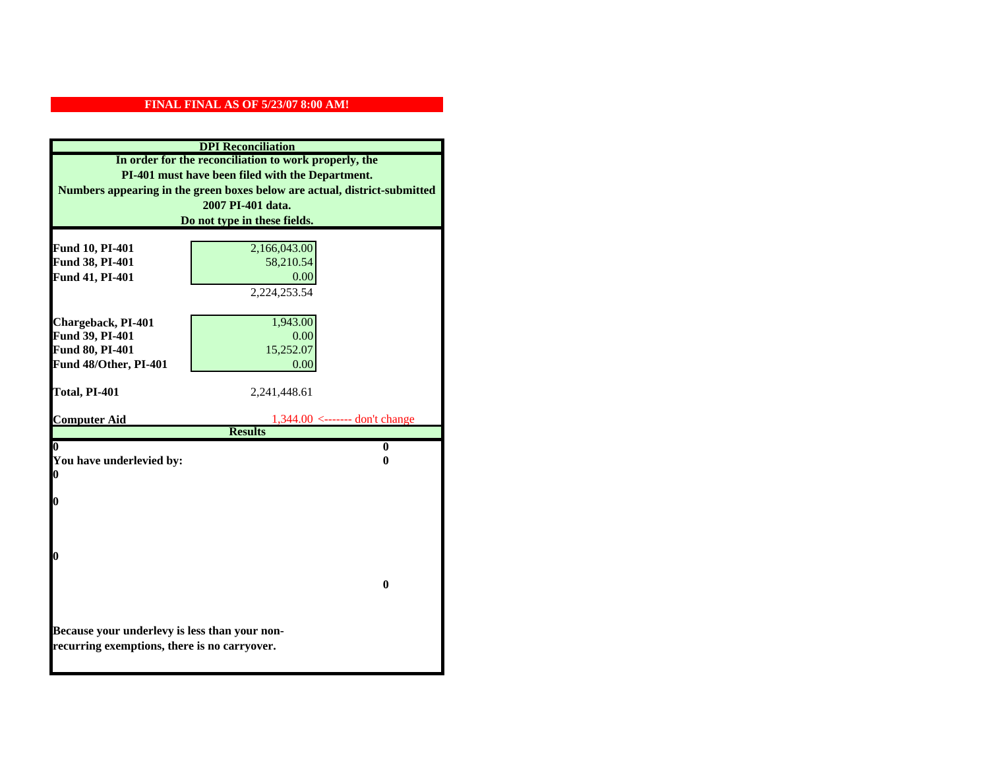| <b>DPI</b> Reconciliation                                                                                                                                                              |                                  |  |  |                              |  |  |
|----------------------------------------------------------------------------------------------------------------------------------------------------------------------------------------|----------------------------------|--|--|------------------------------|--|--|
| In order for the reconciliation to work properly, the<br>PI-401 must have been filed with the Department.<br>Numbers appearing in the green boxes below are actual, district-submitted |                                  |  |  |                              |  |  |
|                                                                                                                                                                                        |                                  |  |  | 2007 PI-401 data.            |  |  |
|                                                                                                                                                                                        |                                  |  |  | Do not type in these fields. |  |  |
|                                                                                                                                                                                        |                                  |  |  |                              |  |  |
| Fund 10, PI-401                                                                                                                                                                        | 2,166,043.00                     |  |  |                              |  |  |
| Fund 38, PI-401                                                                                                                                                                        | 58,210.54                        |  |  |                              |  |  |
| Fund 41, PI-401                                                                                                                                                                        | 0.00                             |  |  |                              |  |  |
|                                                                                                                                                                                        | 2,224,253.54                     |  |  |                              |  |  |
|                                                                                                                                                                                        |                                  |  |  |                              |  |  |
| Chargeback, PI-401                                                                                                                                                                     | 1,943.00                         |  |  |                              |  |  |
| Fund 39, PI-401<br>Fund 80, PI-401                                                                                                                                                     | 0.00<br>15,252.07                |  |  |                              |  |  |
| Fund 48/Other, PI-401                                                                                                                                                                  | 0.00                             |  |  |                              |  |  |
|                                                                                                                                                                                        |                                  |  |  |                              |  |  |
| Total, PI-401                                                                                                                                                                          | 2,241,448.61                     |  |  |                              |  |  |
|                                                                                                                                                                                        |                                  |  |  |                              |  |  |
| <b>Computer Aid</b>                                                                                                                                                                    | $1,344.00$ <------- don't change |  |  |                              |  |  |
|                                                                                                                                                                                        | <b>Results</b>                   |  |  |                              |  |  |
| 0                                                                                                                                                                                      | $\bf{0}$                         |  |  |                              |  |  |
| You have underlevied by:<br>0                                                                                                                                                          |                                  |  |  |                              |  |  |
| 0                                                                                                                                                                                      |                                  |  |  |                              |  |  |
| 0                                                                                                                                                                                      |                                  |  |  |                              |  |  |
|                                                                                                                                                                                        |                                  |  |  |                              |  |  |
|                                                                                                                                                                                        |                                  |  |  |                              |  |  |
|                                                                                                                                                                                        |                                  |  |  |                              |  |  |
| 0                                                                                                                                                                                      |                                  |  |  |                              |  |  |
|                                                                                                                                                                                        |                                  |  |  |                              |  |  |
|                                                                                                                                                                                        | 0                                |  |  |                              |  |  |
|                                                                                                                                                                                        |                                  |  |  |                              |  |  |
|                                                                                                                                                                                        |                                  |  |  |                              |  |  |
| Because your underlevy is less than your non-                                                                                                                                          |                                  |  |  |                              |  |  |
| recurring exemptions, there is no carryover.                                                                                                                                           |                                  |  |  |                              |  |  |
|                                                                                                                                                                                        |                                  |  |  |                              |  |  |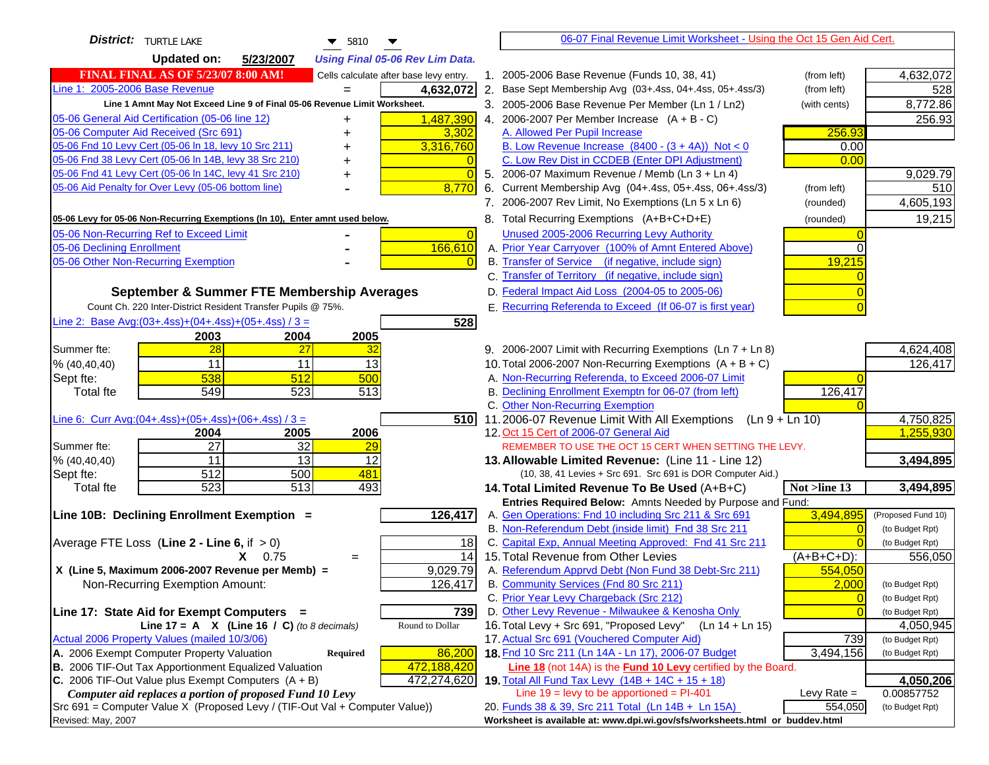| <b>District:</b> TURTLE LAKE<br>▼<br>5810                                           |                     | 06-07 Final Revenue Limit Worksheet - Using the Oct 15 Gen Aid Cert.                                         |                    |
|-------------------------------------------------------------------------------------|---------------------|--------------------------------------------------------------------------------------------------------------|--------------------|
| <b>Updated on:</b><br>5/23/2007<br><b>Using Final 05-06 Rev Lim Data.</b>           |                     |                                                                                                              |                    |
| <b>FINAL FINAL AS OF 5/23/07 8:00 AM!</b><br>Cells calculate after base levy entry. |                     | 1. 2005-2006 Base Revenue (Funds 10, 38, 41)<br>(from left)                                                  | 4,632,072          |
| Line 1: 2005-2006 Base Revenue<br>4,632,072                                         |                     | 2. Base Sept Membership Avg (03+.4ss, 04+.4ss, 05+.4ss/3)<br>(from left)                                     | 528                |
| Line 1 Amnt May Not Exceed Line 9 of Final 05-06 Revenue Limit Worksheet.           |                     | 3. 2005-2006 Base Revenue Per Member (Ln 1 / Ln2)<br>(with cents)                                            | 8,772.86           |
| 1,487,390<br>05-06 General Aid Certification (05-06 line 12)<br>+                   |                     | 4. 2006-2007 Per Member Increase $(A + B - C)$                                                               | 256.93             |
| 05-06 Computer Aid Received (Src 691)                                               | 3,302               | 256.93<br>A. Allowed Per Pupil Increase                                                                      |                    |
| 05-06 Fnd 10 Levy Cert (05-06 In 18, levy 10 Src 211)<br>3,316,760                  |                     | B. Low Revenue Increase $(8400 - (3 + 4A))$ Not < 0<br>0.00                                                  |                    |
| 05-06 Fnd 38 Levy Cert (05-06 In 14B, levy 38 Src 210)                              |                     | C. Low Rev Dist in CCDEB (Enter DPI Adjustment)<br>0.00                                                      |                    |
| 05-06 Fnd 41 Levy Cert (05-06 In 14C, levy 41 Src 210)                              | $\bigcap$           | 5. 2006-07 Maximum Revenue / Memb (Ln 3 + Ln 4)                                                              | 9,029.79           |
| 05-06 Aid Penalty for Over Levy (05-06 bottom line)                                 | 8,770               | 6. Current Membership Avg (04+.4ss, 05+.4ss, 06+.4ss/3)<br>(from left)                                       | 510                |
|                                                                                     |                     | 7. 2006-2007 Rev Limit, No Exemptions (Ln 5 x Ln 6)<br>(rounded)                                             | 4,605,193          |
| 05-06 Levy for 05-06 Non-Recurring Exemptions (In 10), Enter amnt used below.       |                     | 8. Total Recurring Exemptions (A+B+C+D+E)<br>(rounded)                                                       | 19,215             |
| 05-06 Non-Recurring Ref to Exceed Limit                                             | $\overline{0}$      | Unused 2005-2006 Recurring Levy Authority                                                                    |                    |
| 05-06 Declining Enrollment                                                          | 166,610             | A. Prior Year Carryover (100% of Amnt Entered Above)                                                         |                    |
| 05-06 Other Non-Recurring Exemption                                                 |                     | B. Transfer of Service (if negative, include sign)<br>19,215                                                 |                    |
|                                                                                     |                     | C. Transfer of Territory (if negative, include sign)                                                         |                    |
| September & Summer FTE Membership Averages                                          |                     | D. Federal Impact Aid Loss (2004-05 to 2005-06)                                                              |                    |
| Count Ch. 220 Inter-District Resident Transfer Pupils @ 75%.                        |                     | E. Recurring Referenda to Exceed (If 06-07 is first year)                                                    |                    |
| Line 2: Base Avg: $(03+.4ss)+(04+.4ss)+(05+.4ss)/3 =$                               | 528                 |                                                                                                              |                    |
| 2003<br>2004<br>2005                                                                |                     |                                                                                                              |                    |
| 28<br>27<br>Summer fte:<br>32                                                       |                     | 9. 2006-2007 Limit with Recurring Exemptions (Ln 7 + Ln 8)                                                   | 4,624,408          |
| 11<br>11<br>13<br>% (40, 40, 40)                                                    |                     | 10. Total 2006-2007 Non-Recurring Exemptions (A + B + C)                                                     | 126,417            |
| 538<br>512<br>500<br>Sept fte:                                                      |                     | A. Non-Recurring Referenda, to Exceed 2006-07 Limit                                                          |                    |
| 549<br>523<br>513<br><b>Total fte</b>                                               |                     | B. Declining Enrollment Exemptn for 06-07 (from left)<br>126,417<br>C. Other Non-Recurring Exemption         |                    |
| Line 6: Curr Avg: $(04+.4ss)+(05+.4ss)+(06+.4ss)/3 =$                               | 510I                | 11.2006-07 Revenue Limit With All Exemptions $(Ln 9 + Ln 10)$                                                | 4,750,825          |
| 2006<br>2005<br>2004                                                                |                     | 12. Oct 15 Cert of 2006-07 General Aid                                                                       | 1,255,930          |
| $\overline{27}$<br>32<br>Summer fte:<br>29                                          |                     | REMEMBER TO USE THE OCT 15 CERT WHEN SETTING THE LEVY.                                                       |                    |
| $\overline{13}$<br>11<br>12<br>% (40, 40, 40)                                       |                     | 13. Allowable Limited Revenue: (Line 11 - Line 12)                                                           | 3,494,895          |
| 481<br>512<br>500<br>Sept fte:                                                      |                     | (10, 38, 41 Levies + Src 691. Src 691 is DOR Computer Aid.)                                                  |                    |
| 523<br>$\overline{513}$<br>493<br><b>Total fte</b>                                  |                     | 14. Total Limited Revenue To Be Used (A+B+C)<br>Not >line 13                                                 | 3,494,895          |
|                                                                                     |                     | Entries Required Below: Amnts Needed by Purpose and Fund:                                                    |                    |
| Line 10B: Declining Enrollment Exemption =                                          | 126,417             | A. Gen Operations: Fnd 10 including Src 211 & Src 691<br>3,494,895                                           | (Proposed Fund 10) |
|                                                                                     |                     | B. Non-Referendum Debt (inside limit) Fnd 38 Src 211<br>C                                                    | (to Budget Rpt)    |
| Average FTE Loss (Line $2 -$ Line 6, if $> 0$ )                                     | 18                  | C. Capital Exp, Annual Meeting Approved: Fnd 41 Src 211                                                      | (to Budget Rpt)    |
| $X = 0.75$<br>$=$                                                                   | 14                  | 15. Total Revenue from Other Levies<br>$(A+B+C+D)$ :<br>A. Referendum Apprvd Debt (Non Fund 38 Debt-Src 211) | 556,050            |
| X (Line 5, Maximum 2006-2007 Revenue per Memb) =<br>Non-Recurring Exemption Amount: | 9,029.79<br>126,417 | 554,050<br>B. Community Services (Fnd 80 Src 211)<br>2,000                                                   | (to Budget Rpt)    |
|                                                                                     |                     | C. Prior Year Levy Chargeback (Src 212)<br>$\overline{0}$                                                    | (to Budget Rpt)    |
| Line 17: State Aid for Exempt Computers =                                           | 739                 | D. Other Levy Revenue - Milwaukee & Kenosha Only                                                             | (to Budget Rpt)    |
| Line 17 = A $X$ (Line 16 / C) (to 8 decimals)<br>Round to Dollar                    |                     | 16. Total Levy + Src 691, "Proposed Levy"<br>(Ln 14 + Ln 15)                                                 | 4,050,945          |
| Actual 2006 Property Values (mailed 10/3/06)                                        |                     | 17. Actual Src 691 (Vouchered Computer Aid)<br>739                                                           | (to Budget Rpt)    |
| A. 2006 Exempt Computer Property Valuation<br>Required                              | 86,200              | 18. Fnd 10 Src 211 (Ln 14A - Ln 17), 2006-07 Budget<br>3,494,156                                             | (to Budget Rpt)    |
| B. 2006 TIF-Out Tax Apportionment Equalized Valuation<br>472,188,420                |                     | Line 18 (not 14A) is the <b>Fund 10 Levy</b> certified by the Board.                                         |                    |
| C. 2006 TIF-Out Value plus Exempt Computers $(A + B)$<br>472,274,620                |                     | 19. Total All Fund Tax Levy (14B + 14C + 15 + 18)                                                            | 4,050,206          |
| Computer aid replaces a portion of proposed Fund 10 Levy                            |                     | Line $19 = \text{levy}$ to be apportioned = PI-401<br>Levy Rate $=$                                          | 0.00857752         |
| Src 691 = Computer Value X (Proposed Levy / (TIF-Out Val + Computer Value))         |                     | 20. Funds 38 & 39, Src 211 Total (Ln 14B + Ln 15A)<br>554,050                                                | (to Budget Rpt)    |
| Revised: May, 2007                                                                  |                     | Worksheet is available at: www.dpi.wi.gov/sfs/worksheets.html or buddev.html                                 |                    |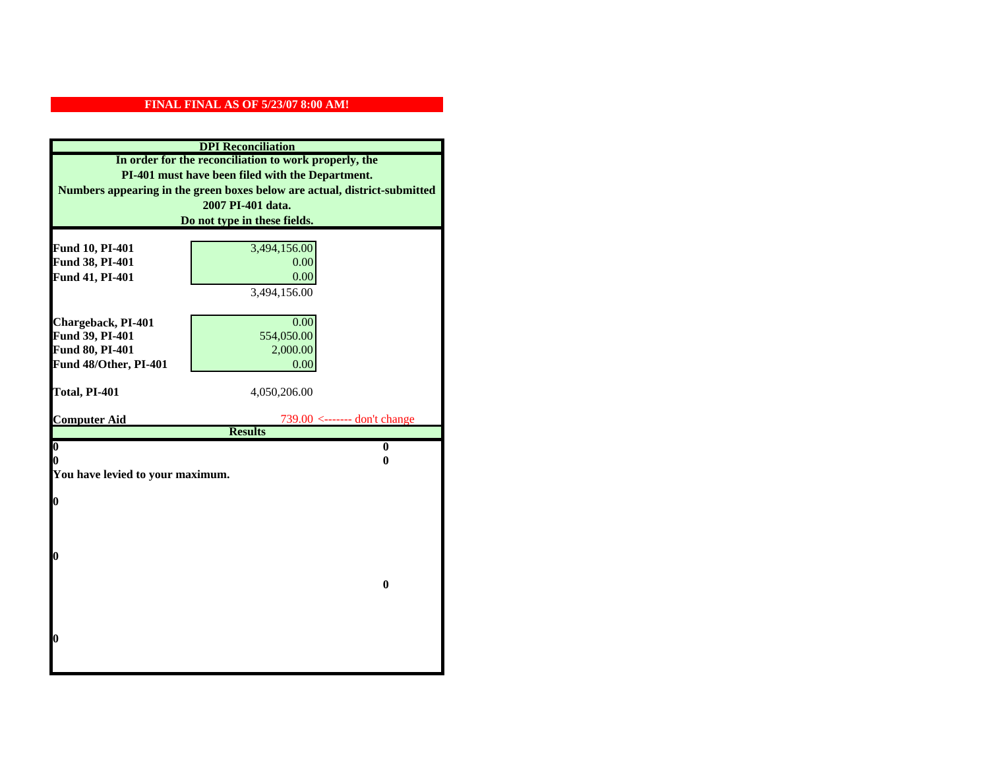| <b>DPI</b> Reconciliation          |                                                                           |  |  |
|------------------------------------|---------------------------------------------------------------------------|--|--|
|                                    | In order for the reconciliation to work properly, the                     |  |  |
|                                    | PI-401 must have been filed with the Department.                          |  |  |
|                                    | Numbers appearing in the green boxes below are actual, district-submitted |  |  |
|                                    | 2007 PI-401 data.                                                         |  |  |
|                                    | Do not type in these fields.                                              |  |  |
|                                    |                                                                           |  |  |
| Fund 10, PI-401<br>Fund 38, PI-401 | 3,494,156.00<br>0.00                                                      |  |  |
| Fund 41, PI-401                    | 0.00                                                                      |  |  |
|                                    | 3,494,156.00                                                              |  |  |
|                                    |                                                                           |  |  |
| Chargeback, PI-401                 | 0.00                                                                      |  |  |
| Fund 39, PI-401                    | 554,050.00                                                                |  |  |
| Fund 80, PI-401                    | 2,000.00                                                                  |  |  |
| Fund 48/Other, PI-401              | 0.00                                                                      |  |  |
|                                    |                                                                           |  |  |
| Total, PI-401                      | 4,050,206.00                                                              |  |  |
|                                    |                                                                           |  |  |
| <b>Computer Aid</b>                | $739.00$ <------- don't change<br><b>Results</b>                          |  |  |
| $\overline{\mathbf{0}}$            | $\bf{0}$                                                                  |  |  |
| 0                                  | 0                                                                         |  |  |
| You have levied to your maximum.   |                                                                           |  |  |
|                                    |                                                                           |  |  |
| 0                                  |                                                                           |  |  |
|                                    |                                                                           |  |  |
|                                    |                                                                           |  |  |
|                                    |                                                                           |  |  |
| 0                                  |                                                                           |  |  |
|                                    | $\bf{0}$                                                                  |  |  |
|                                    |                                                                           |  |  |
|                                    |                                                                           |  |  |
|                                    |                                                                           |  |  |
| 0                                  |                                                                           |  |  |
|                                    |                                                                           |  |  |
|                                    |                                                                           |  |  |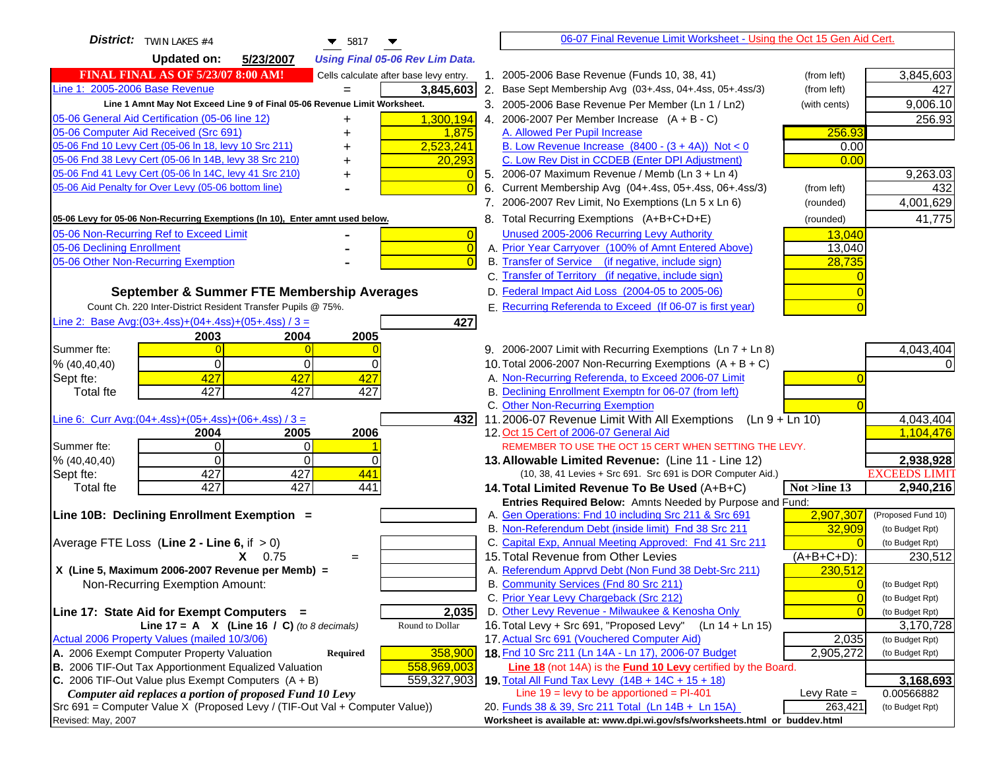| <b>District:</b> TWIN LAKES #4<br>$\blacktriangledown$ 5817                                                                                  |                                                                                                  | 06-07 Final Revenue Limit Worksheet - Using the Oct 15 Gen Aid Cert.         |                         |
|----------------------------------------------------------------------------------------------------------------------------------------------|--------------------------------------------------------------------------------------------------|------------------------------------------------------------------------------|-------------------------|
| <b>Updated on:</b><br>5/23/2007<br><b>Using Final 05-06 Rev Lim Data.</b>                                                                    |                                                                                                  |                                                                              |                         |
| <b>FINAL FINAL AS OF 5/23/07 8:00 AM!</b><br>Cells calculate after base levy entry.                                                          | 1. 2005-2006 Base Revenue (Funds 10, 38, 41)                                                     | (from left)                                                                  | 3,845,603               |
| Line 1: 2005-2006 Base Revenue<br>3,845,603                                                                                                  | 2. Base Sept Membership Avg (03+.4ss, 04+.4ss, 05+.4ss/3)                                        | (from left)                                                                  | 427                     |
| Line 1 Amnt May Not Exceed Line 9 of Final 05-06 Revenue Limit Worksheet.                                                                    | 3. 2005-2006 Base Revenue Per Member (Ln 1 / Ln2)                                                | (with cents)                                                                 | 9,006.10                |
| 05-06 General Aid Certification (05-06 line 12)<br>1,300,194                                                                                 | 4. 2006-2007 Per Member Increase $(A + B - C)$                                                   |                                                                              | 256.93                  |
| 05-06 Computer Aid Received (Src 691)<br>1,875                                                                                               | A. Allowed Per Pupil Increase                                                                    | 256.93                                                                       |                         |
| 05-06 Fnd 10 Levy Cert (05-06 In 18, levy 10 Src 211)<br>2,523,241                                                                           | B. Low Revenue Increase $(8400 - (3 + 4A))$ Not < 0                                              | 0.00                                                                         |                         |
| 05-06 Fnd 38 Levy Cert (05-06 In 14B, levy 38 Src 210)<br>20,293                                                                             | C. Low Rev Dist in CCDEB (Enter DPI Adjustment)                                                  | 0.00                                                                         |                         |
| 05-06 Fnd 41 Levy Cert (05-06 In 14C, levy 41 Src 210)<br>٠                                                                                  | 5. 2006-07 Maximum Revenue / Memb (Ln 3 + Ln 4)                                                  |                                                                              | 9,263.03                |
| 05-06 Aid Penalty for Over Levy (05-06 bottom line)                                                                                          | Current Membership Avg (04+.4ss, 05+.4ss, 06+.4ss/3)                                             | (from left)                                                                  | 432                     |
|                                                                                                                                              | 7. 2006-2007 Rev Limit, No Exemptions (Ln 5 x Ln 6)                                              | (rounded)                                                                    | 4,001,629               |
| 05-06 Levy for 05-06 Non-Recurring Exemptions (In 10), Enter amnt used below.                                                                | 8. Total Recurring Exemptions (A+B+C+D+E)                                                        | (rounded)                                                                    | 41,775                  |
| 05-06 Non-Recurring Ref to Exceed Limit<br>$\overline{0}$                                                                                    | Unused 2005-2006 Recurring Levy Authority                                                        | 13,040                                                                       |                         |
| $\overline{0}$<br>05-06 Declining Enrollment                                                                                                 | A. Prior Year Carryover (100% of Amnt Entered Above)                                             | 13,040                                                                       |                         |
| 05-06 Other Non-Recurring Exemption<br>$\Omega$                                                                                              | B. Transfer of Service (if negative, include sign)                                               | 28,735                                                                       |                         |
|                                                                                                                                              | C. Transfer of Territory (if negative, include sign)                                             |                                                                              |                         |
| September & Summer FTE Membership Averages                                                                                                   | D. Federal Impact Aid Loss (2004-05 to 2005-06)                                                  |                                                                              |                         |
| Count Ch. 220 Inter-District Resident Transfer Pupils @ 75%.                                                                                 | E. Recurring Referenda to Exceed (If 06-07 is first year)                                        |                                                                              |                         |
| Line 2: Base Avg: (03+.4ss) + (04+.4ss) + (05+.4ss) / 3 =<br>427                                                                             |                                                                                                  |                                                                              |                         |
| 2003<br>2004<br>2005                                                                                                                         |                                                                                                  |                                                                              |                         |
| Summer fte:<br>$\overline{0}$<br>$\Omega$                                                                                                    | 9. 2006-2007 Limit with Recurring Exemptions (Ln 7 + Ln 8)                                       |                                                                              | 4,043,404               |
| $\Omega$<br>0<br>$\overline{0}$<br>% (40, 40, 40)                                                                                            | 10. Total 2006-2007 Non-Recurring Exemptions $(A + B + C)$                                       |                                                                              |                         |
| 427<br>427<br>427<br>Sept fte:                                                                                                               | A. Non-Recurring Referenda, to Exceed 2006-07 Limit                                              |                                                                              |                         |
| 427<br>427<br>Total fte<br>427                                                                                                               | B. Declining Enrollment Exemptn for 06-07 (from left)                                            |                                                                              |                         |
|                                                                                                                                              | C. Other Non-Recurring Exemption                                                                 |                                                                              |                         |
| Line 6: Curr Avg: $(04+.4ss)+(05+.4ss)+(06+.4ss)/3 =$<br>4321                                                                                | 11.2006-07 Revenue Limit With All Exemptions $(Ln 9 + Ln 10)$                                    |                                                                              | 4,043,404               |
| 2006<br>2005<br>2004<br>Summer fte:<br>$\overline{0}$<br>0                                                                                   | 12. Oct 15 Cert of 2006-07 General Aid<br>REMEMBER TO USE THE OCT 15 CERT WHEN SETTING THE LEVY. |                                                                              | 1,104,476               |
| $\Omega$<br>$\mathbf 0$<br>% (40, 40, 40)                                                                                                    | 13. Allowable Limited Revenue: (Line 11 - Line 12)                                               |                                                                              | 2,938,928               |
| 427<br>427<br>441<br>Sept fte:                                                                                                               | (10, 38, 41 Levies + Src 691. Src 691 is DOR Computer Aid.)                                      |                                                                              | <b>EXCEEDS LIMIT</b>    |
| 427<br>427<br>441<br>Total fte                                                                                                               | 14. Total Limited Revenue To Be Used (A+B+C)                                                     | Not >line 13                                                                 | 2,940,216               |
|                                                                                                                                              | Entries Required Below: Amnts Needed by Purpose and Fund:                                        |                                                                              |                         |
| Line 10B: Declining Enrollment Exemption =                                                                                                   | A. Gen Operations: Fnd 10 including Src 211 & Src 691                                            | 2,907,307                                                                    | (Proposed Fund 10)      |
|                                                                                                                                              | B. Non-Referendum Debt (inside limit) Fnd 38 Src 211                                             | 32,909                                                                       | (to Budget Rpt)         |
| Average FTE Loss (Line $2 -$ Line 6, if $> 0$ )                                                                                              | C. Capital Exp, Annual Meeting Approved: Fnd 41 Src 211                                          |                                                                              | (to Budget Rpt)         |
| $X = 0.75$<br>$=$                                                                                                                            | 15. Total Revenue from Other Levies                                                              | $(A+B+C+D)$ :                                                                | 230,512                 |
| X (Line 5, Maximum 2006-2007 Revenue per Memb) =                                                                                             | A. Referendum Apprvd Debt (Non Fund 38 Debt-Src 211)                                             | 230,512                                                                      |                         |
| Non-Recurring Exemption Amount:                                                                                                              | B. Community Services (Fnd 80 Src 211)                                                           | $\Omega$                                                                     | (to Budget Rpt)         |
|                                                                                                                                              | C. Prior Year Levy Chargeback (Src 212)                                                          | $\overline{0}$                                                               | (to Budget Rpt)         |
| 2,035<br>Line 17: State Aid for Exempt Computers =                                                                                           | D. Other Levy Revenue - Milwaukee & Kenosha Only                                                 | $\Omega$                                                                     | (to Budget Rpt)         |
| Line 17 = A $X$ (Line 16 / C) (to 8 decimals)<br>Round to Dollar                                                                             | 16. Total Levy + Src 691, "Proposed Levy"                                                        | $(Ln 14 + Ln 15)$                                                            | 3,170,728               |
| Actual 2006 Property Values (mailed 10/3/06)                                                                                                 | 17. Actual Src 691 (Vouchered Computer Aid)                                                      | 2,035                                                                        | (to Budget Rpt)         |
| A. 2006 Exempt Computer Property Valuation<br>358,900<br><b>Required</b>                                                                     | 18. Fnd 10 Src 211 (Ln 14A - Ln 17), 2006-07 Budget                                              | 2,905,272                                                                    | (to Budget Rpt)         |
| B. 2006 TIF-Out Tax Apportionment Equalized Valuation<br>558,969,003<br>C. 2006 TIF-Out Value plus Exempt Computers $(A + B)$<br>559,327,903 | Line 18 (not 14A) is the Fund 10 Levy certified by the Board.                                    |                                                                              |                         |
| Computer aid replaces a portion of proposed Fund 10 Levy                                                                                     | 19. Total All Fund Tax Levy (14B + 14C + 15 + 18)<br>Line $19$ = levy to be apportioned = PI-401 | Levy Rate $=$                                                                | 3,168,693<br>0.00566882 |
| Src 691 = Computer Value X (Proposed Levy / (TIF-Out Val + Computer Value))                                                                  | 20. Funds 38 & 39, Src 211 Total (Ln 14B + Ln 15A)                                               | 263,421                                                                      | (to Budget Rpt)         |
| Revised: May, 2007                                                                                                                           |                                                                                                  | Worksheet is available at: www.dpi.wi.gov/sfs/worksheets.html or buddev.html |                         |
|                                                                                                                                              |                                                                                                  |                                                                              |                         |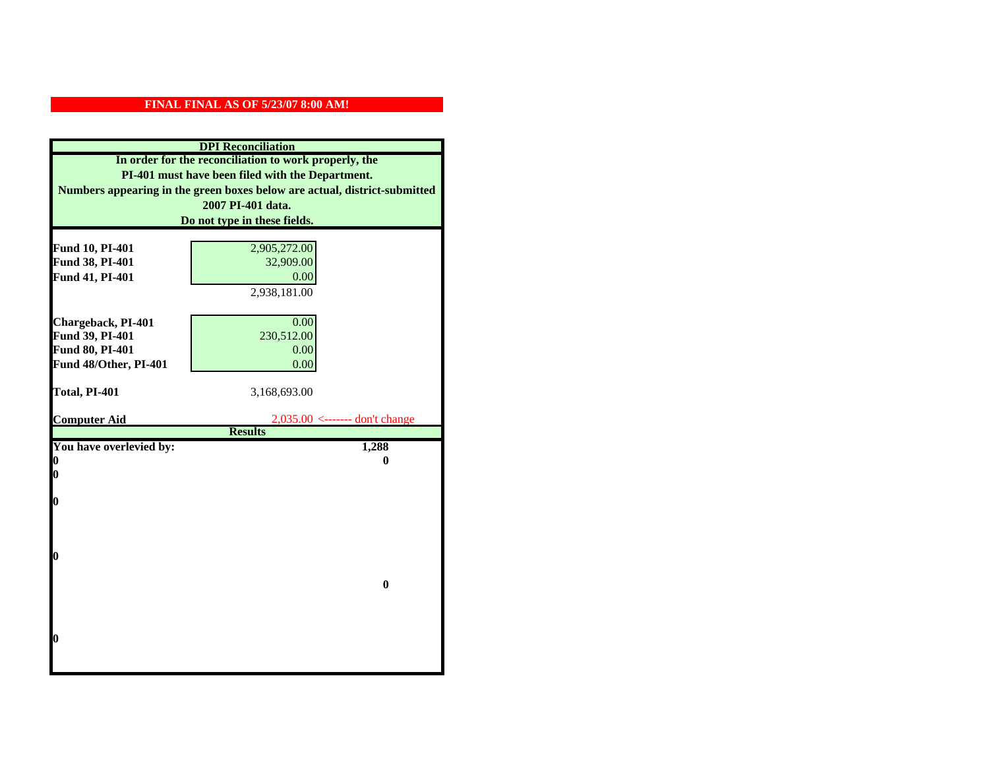| <b>DPI</b> Reconciliation |                                                                           |  |  |
|---------------------------|---------------------------------------------------------------------------|--|--|
|                           | In order for the reconciliation to work properly, the                     |  |  |
|                           | PI-401 must have been filed with the Department.                          |  |  |
|                           | Numbers appearing in the green boxes below are actual, district-submitted |  |  |
|                           | 2007 PI-401 data.                                                         |  |  |
|                           | Do not type in these fields.                                              |  |  |
|                           |                                                                           |  |  |
| Fund 10, PI-401           | 2,905,272.00                                                              |  |  |
| Fund 38, PI-401           | 32,909.00                                                                 |  |  |
| Fund 41, PI-401           | 0.00                                                                      |  |  |
|                           | 2,938,181.00                                                              |  |  |
|                           |                                                                           |  |  |
| Chargeback, PI-401        | 0.00                                                                      |  |  |
| Fund 39, PI-401           | 230,512.00                                                                |  |  |
| Fund 80, PI-401           | 0.00                                                                      |  |  |
| Fund 48/Other, PI-401     | 0.00                                                                      |  |  |
| Total, PI-401             | 3,168,693.00                                                              |  |  |
|                           |                                                                           |  |  |
| <b>Computer Aid</b>       | $2,035.00 \le$ ------- don't change                                       |  |  |
|                           | <b>Results</b>                                                            |  |  |
| You have overlevied by:   | 1,288                                                                     |  |  |
| 0                         | 0                                                                         |  |  |
| 0                         |                                                                           |  |  |
| 0                         |                                                                           |  |  |
|                           |                                                                           |  |  |
|                           |                                                                           |  |  |
|                           |                                                                           |  |  |
| 0                         |                                                                           |  |  |
|                           |                                                                           |  |  |
|                           | $\bf{0}$                                                                  |  |  |
|                           |                                                                           |  |  |
|                           |                                                                           |  |  |
| O                         |                                                                           |  |  |
|                           |                                                                           |  |  |
|                           |                                                                           |  |  |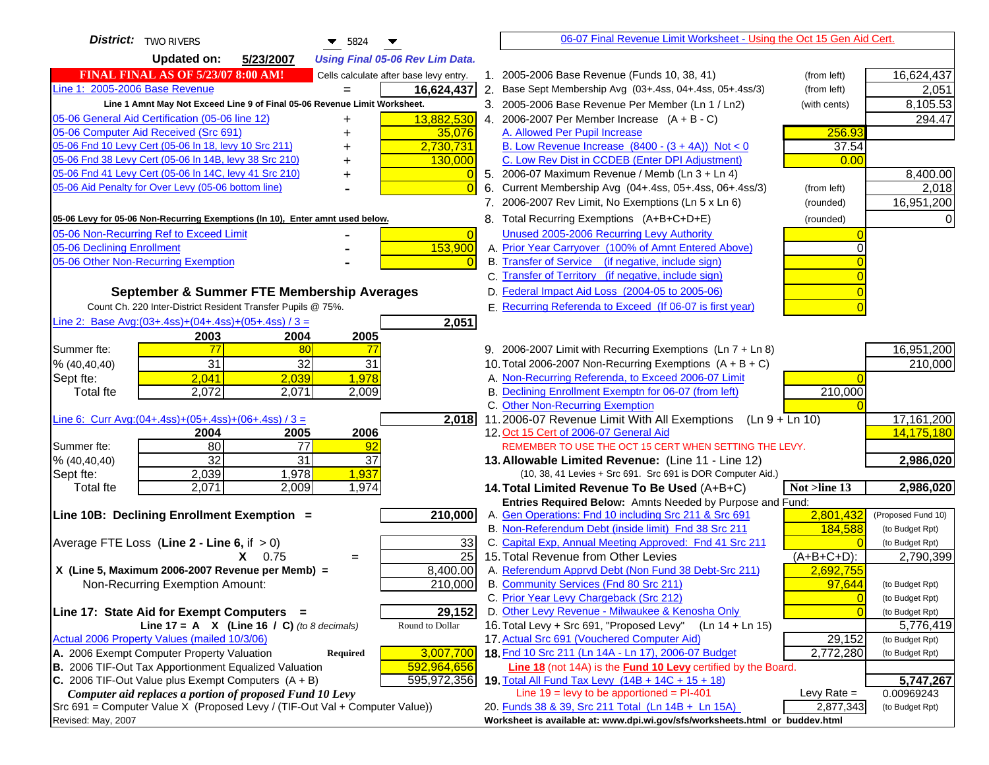| <b>District:</b> TWO RIVERS<br>$\blacktriangledown$ 5824                      |                | 06-07 Final Revenue Limit Worksheet - Using the Oct 15 Gen Aid Cert.                                                      |                        |                    |
|-------------------------------------------------------------------------------|----------------|---------------------------------------------------------------------------------------------------------------------------|------------------------|--------------------|
| <b>Updated on:</b><br>5/23/2007<br><b>Using Final 05-06 Rev Lim Data.</b>     |                |                                                                                                                           |                        |                    |
| FINAL FINAL AS OF 5/23/07 8:00 AM!<br>Cells calculate after base levy entry.  |                | 1. 2005-2006 Base Revenue (Funds 10, 38, 41)<br>(from left)                                                               |                        | 16,624,437         |
| Line 1: 2005-2006 Base Revenue<br>16,624,437                                  |                | 2. Base Sept Membership Avg (03+.4ss, 04+.4ss, 05+.4ss/3)<br>(from left)                                                  |                        | 2,051              |
| Line 1 Amnt May Not Exceed Line 9 of Final 05-06 Revenue Limit Worksheet.     |                | 3. 2005-2006 Base Revenue Per Member (Ln 1 / Ln2)<br>(with cents)                                                         |                        | 8,105.53           |
| 13,882,530<br>05-06 General Aid Certification (05-06 line 12)                 |                | 4. 2006-2007 Per Member Increase $(A + B - C)$                                                                            |                        | 294.47             |
| 05-06 Computer Aid Received (Src 691)<br>35,076                               |                | A. Allowed Per Pupil Increase                                                                                             | 256.93                 |                    |
| 05-06 Fnd 10 Levy Cert (05-06 ln 18, levy 10 Src 211)<br>2,730,731            |                | B. Low Revenue Increase $(8400 - (3 + 4A))$ Not < 0                                                                       | 37.54                  |                    |
| 05-06 Fnd 38 Levy Cert (05-06 In 14B, levy 38 Src 210)<br>130,000             |                | C. Low Rev Dist in CCDEB (Enter DPI Adjustment)                                                                           | 0.00                   |                    |
| 05-06 Fnd 41 Levy Cert (05-06 In 14C, levy 41 Src 210)                        |                | 5. 2006-07 Maximum Revenue / Memb (Ln $3 + \text{Ln } 4$ )                                                                |                        | 8,400.00           |
| 05-06 Aid Penalty for Over Levy (05-06 bottom line)                           | $\Omega$<br>6. | Current Membership Avg (04+.4ss, 05+.4ss, 06+.4ss/3)<br>(from left)                                                       |                        | 2,018              |
|                                                                               |                | 7. 2006-2007 Rev Limit, No Exemptions (Ln 5 x Ln 6)<br>(rounded)                                                          |                        | 16,951,200         |
| 05-06 Levy for 05-06 Non-Recurring Exemptions (In 10), Enter amnt used below. |                | 8. Total Recurring Exemptions (A+B+C+D+E)<br>(rounded)                                                                    |                        |                    |
| 05-06 Non-Recurring Ref to Exceed Limit                                       | $\overline{0}$ | Unused 2005-2006 Recurring Levy Authority                                                                                 |                        |                    |
| 153,900<br>05-06 Declining Enrollment                                         |                | A. Prior Year Carryover (100% of Amnt Entered Above)                                                                      |                        |                    |
| 05-06 Other Non-Recurring Exemption                                           |                | B. Transfer of Service (if negative, include sign)                                                                        |                        |                    |
|                                                                               |                | C. Transfer of Territory (if negative, include sign)                                                                      |                        |                    |
| September & Summer FTE Membership Averages                                    |                | D. Federal Impact Aid Loss (2004-05 to 2005-06)                                                                           |                        |                    |
| Count Ch. 220 Inter-District Resident Transfer Pupils @ 75%.                  |                | E. Recurring Referenda to Exceed (If 06-07 is first year)                                                                 |                        |                    |
| Line 2: Base Avg:(03+.4ss)+(04+.4ss)+(05+.4ss) / 3 =<br>2,051                 |                |                                                                                                                           |                        |                    |
| 2003<br>2004<br>2005                                                          |                |                                                                                                                           |                        |                    |
| Summer fte:<br>77<br>80<br>77                                                 |                | 9. 2006-2007 Limit with Recurring Exemptions (Ln 7 + Ln 8)                                                                |                        | 16,951,200         |
| $\overline{31}$<br>32<br>31<br>% (40, 40, 40)                                 |                | 10. Total 2006-2007 Non-Recurring Exemptions $(A + B + C)$                                                                |                        | 210,000            |
| 2,041<br>2,039<br>1,978<br>Sept fte:                                          |                | A. Non-Recurring Referenda, to Exceed 2006-07 Limit                                                                       |                        |                    |
| 2,009<br><b>Total fte</b><br>2,072<br>2,071                                   |                | B. Declining Enrollment Exemptn for 06-07 (from left)                                                                     | 210,000                |                    |
|                                                                               |                | C. Other Non-Recurring Exemption                                                                                          |                        |                    |
| Line 6: Curr Avg: $(04+.4ss)+(05+.4ss)+(06+.4ss)/3 =$<br>2,018                |                | 11.2006-07 Revenue Limit With All Exemptions<br>$(Ln 9 + Ln 10)$                                                          |                        | 17,161,200         |
| 2006<br>2005<br>2004                                                          |                | 12. Oct 15 Cert of 2006-07 General Aid                                                                                    |                        | 14,175,180         |
| 80<br>77<br>Summer fte:<br>92                                                 |                | REMEMBER TO USE THE OCT 15 CERT WHEN SETTING THE LEVY.                                                                    |                        |                    |
| $\overline{32}$<br>$\overline{31}$<br>37<br>% (40, 40, 40)                    |                | 13. Allowable Limited Revenue: (Line 11 - Line 12)                                                                        |                        | 2,986,020          |
| 1,978<br>1,937<br>2,039<br>Sept fte:                                          |                | (10, 38, 41 Levies + Src 691. Src 691 is DOR Computer Aid.)                                                               |                        |                    |
| 2,071<br>2,009<br><b>Total fte</b><br>1,974                                   |                | 14. Total Limited Revenue To Be Used (A+B+C)<br>Not >line 13<br>Entries Required Below: Amnts Needed by Purpose and Fund: |                        | 2,986,020          |
| 210,000<br>Line 10B: Declining Enrollment Exemption =                         |                | A. Gen Operations: Fnd 10 including Src 211 & Src 691                                                                     | 2,801,432              | (Proposed Fund 10) |
|                                                                               |                | B. Non-Referendum Debt (inside limit) Fnd 38 Src 211                                                                      | 184,588                | (to Budget Rpt)    |
| Average FTE Loss (Line $2 -$ Line 6, if $> 0$ )                               | 33             | C. Capital Exp, Annual Meeting Approved: Fnd 41 Src 211                                                                   |                        | (to Budget Rpt)    |
| $X = 0.75$<br>$=$                                                             | 25             | 15. Total Revenue from Other Levies<br>$(A+B+C+D)$ :                                                                      |                        | 2,790,399          |
| X (Line 5, Maximum 2006-2007 Revenue per Memb) =<br>8,400.00                  |                | A. Referendum Apprvd Debt (Non Fund 38 Debt-Src 211)                                                                      | 2,692,755              |                    |
| 210,000<br>Non-Recurring Exemption Amount:                                    |                | B. Community Services (Fnd 80 Src 211)                                                                                    | 97.644                 | (to Budget Rpt)    |
|                                                                               |                | C. Prior Year Levy Chargeback (Src 212)                                                                                   | $\overline{0}$         | (to Budget Rpt)    |
| 29,152<br>Line 17: State Aid for Exempt Computers =                           |                | D. Other Levy Revenue - Milwaukee & Kenosha Only                                                                          | $\Omega$               | (to Budget Rpt)    |
| Line 17 = A $X$ (Line 16 / C) (to 8 decimals)<br>Round to Dollar              |                | 16. Total Levy + Src 691, "Proposed Levy"<br>(Ln 14 + Ln 15)                                                              |                        | 5,776,419          |
| Actual 2006 Property Values (mailed 10/3/06)                                  |                | 17. Actual Src 691 (Vouchered Computer Aid)                                                                               | 29,152                 | (to Budget Rpt)    |
| 3,007,700<br>A. 2006 Exempt Computer Property Valuation<br>Required           |                | 18. Fnd 10 Src 211 (Ln 14A - Ln 17), 2006-07 Budget                                                                       | $\overline{2,772,280}$ | (to Budget Rpt)    |
| B. 2006 TIF-Out Tax Apportionment Equalized Valuation<br>592,964,656          |                | Line 18 (not 14A) is the Fund 10 Levy certified by the Board.                                                             |                        |                    |
| C. 2006 TIF-Out Value plus Exempt Computers $(A + B)$<br>595,972,356          |                | 19. Total All Fund Tax Levy (14B + 14C + 15 + 18)                                                                         |                        | 5,747,267          |
| Computer aid replaces a portion of proposed Fund 10 Levy                      |                | Line $19$ = levy to be apportioned = PI-401                                                                               | Levy Rate $=$          | 0.00969243         |
| Src 691 = Computer Value X (Proposed Levy / (TIF-Out Val + Computer Value))   |                | 20. Funds 38 & 39, Src 211 Total (Ln 14B + Ln 15A)                                                                        | 2,877,343              | (to Budget Rpt)    |
| Revised: May, 2007                                                            |                | Worksheet is available at: www.dpi.wi.gov/sfs/worksheets.html or buddev.html                                              |                        |                    |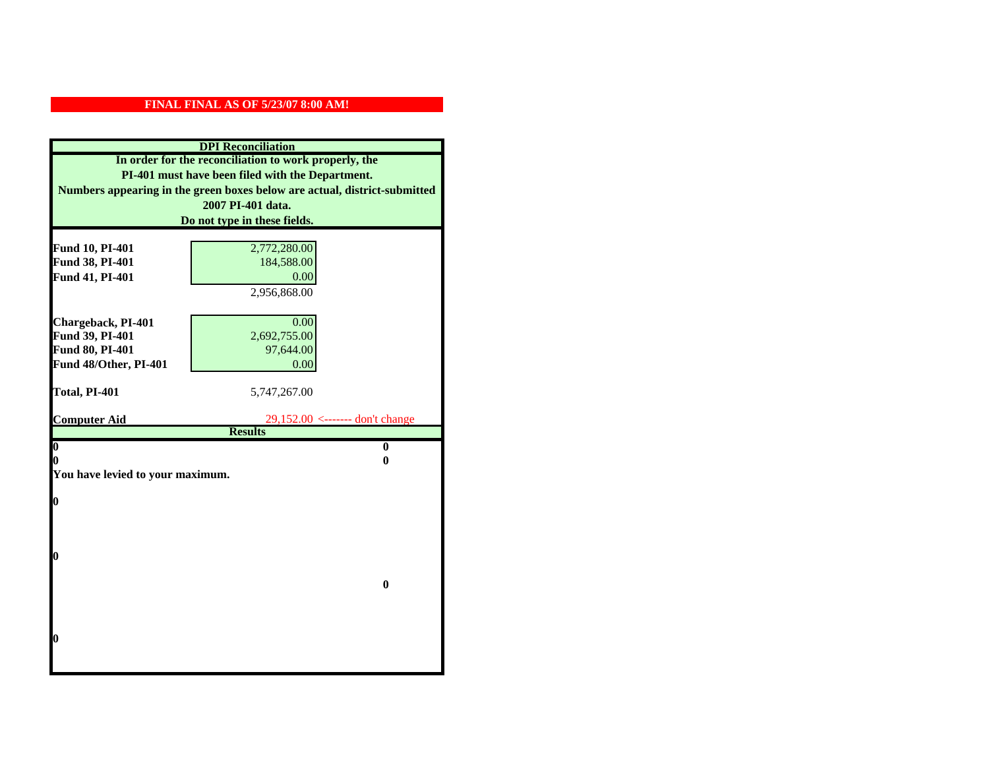| <b>DPI</b> Reconciliation                        |                                                                           |  |
|--------------------------------------------------|---------------------------------------------------------------------------|--|
|                                                  | In order for the reconciliation to work properly, the                     |  |
| PI-401 must have been filed with the Department. |                                                                           |  |
|                                                  | Numbers appearing in the green boxes below are actual, district-submitted |  |
|                                                  | 2007 PI-401 data.                                                         |  |
|                                                  | Do not type in these fields.                                              |  |
|                                                  |                                                                           |  |
| Fund 10, PI-401                                  | 2,772,280.00                                                              |  |
| Fund 38, PI-401                                  | 184,588.00                                                                |  |
| Fund 41, PI-401                                  | 0.00                                                                      |  |
|                                                  | 2,956,868.00                                                              |  |
|                                                  |                                                                           |  |
| Chargeback, PI-401                               | 0.00                                                                      |  |
| Fund 39, PI-401                                  | 2,692,755.00                                                              |  |
| Fund 80, PI-401                                  | 97,644.00                                                                 |  |
| Fund 48/Other, PI-401                            | 0.00                                                                      |  |
| Total, PI-401                                    | 5,747,267.00                                                              |  |
|                                                  |                                                                           |  |
| <b>Computer Aid</b>                              | 29,152.00 <------- don't change                                           |  |
|                                                  | <b>Results</b>                                                            |  |
| $\overline{\mathbf{0}}$                          | $\bf{0}$                                                                  |  |
| 0                                                | 0                                                                         |  |
| You have levied to your maximum.                 |                                                                           |  |
| $\bf{0}$                                         |                                                                           |  |
|                                                  |                                                                           |  |
|                                                  |                                                                           |  |
|                                                  |                                                                           |  |
| 0                                                |                                                                           |  |
|                                                  |                                                                           |  |
|                                                  | $\bf{0}$                                                                  |  |
|                                                  |                                                                           |  |
|                                                  |                                                                           |  |
|                                                  |                                                                           |  |
| 0                                                |                                                                           |  |
|                                                  |                                                                           |  |
|                                                  |                                                                           |  |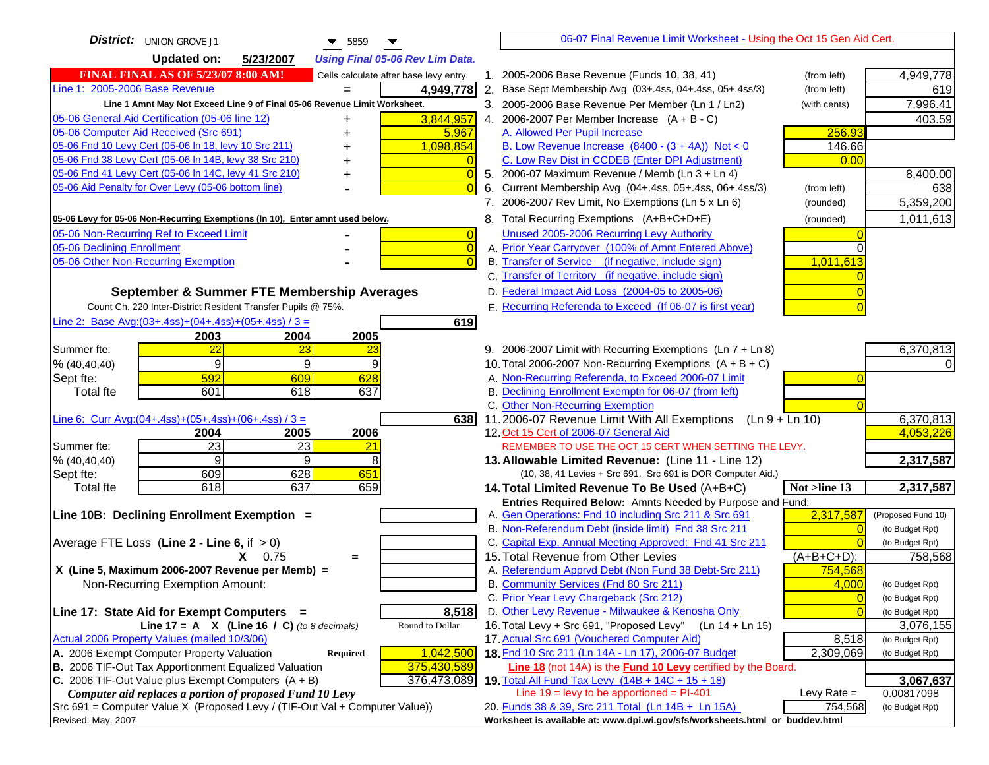| District: UNION GROVE J1<br>$\blacktriangledown$ 5859                                              | 06-07 Final Revenue Limit Worksheet - Using the Oct 15 Gen Aid Cert.                                                               |                              |
|----------------------------------------------------------------------------------------------------|------------------------------------------------------------------------------------------------------------------------------------|------------------------------|
| <b>Updated on:</b><br>5/23/2007<br><b>Using Final 05-06 Rev Lim Data.</b>                          |                                                                                                                                    |                              |
| <b>FINAL FINAL AS OF 5/23/07 8:00 AM!</b><br>Cells calculate after base levy entry.                | 1. 2005-2006 Base Revenue (Funds 10, 38, 41)<br>(from left)                                                                        | 4,949,778                    |
| Line 1: 2005-2006 Base Revenue<br>4,949,778                                                        | 2. Base Sept Membership Avg (03+.4ss, 04+.4ss, 05+.4ss/3)<br>(from left)                                                           | 619                          |
| Line 1 Amnt May Not Exceed Line 9 of Final 05-06 Revenue Limit Worksheet.                          | 3. 2005-2006 Base Revenue Per Member (Ln 1 / Ln2)<br>(with cents)                                                                  | 7,996.41                     |
| 3,844,957<br>05-06 General Aid Certification (05-06 line 12)<br>+                                  | 4. 2006-2007 Per Member Increase $(A + B - C)$                                                                                     | 403.59                       |
| 05-06 Computer Aid Received (Src 691)<br>5,967                                                     | 256.93<br>A. Allowed Per Pupil Increase                                                                                            |                              |
| 05-06 Fnd 10 Levy Cert (05-06 In 18, levy 10 Src 211)<br>1,098,854                                 | B. Low Revenue Increase $(8400 - (3 + 4A))$ Not < 0<br>146.66                                                                      |                              |
| 05-06 Fnd 38 Levy Cert (05-06 In 14B, levy 38 Src 210)                                             | C. Low Rev Dist in CCDEB (Enter DPI Adjustment)<br>0.00                                                                            |                              |
| 05-06 Fnd 41 Levy Cert (05-06 In 14C, levy 41 Src 210)<br>$\Omega$<br>+                            | 5. 2006-07 Maximum Revenue / Memb (Ln 3 + Ln 4)                                                                                    | 8,400.00                     |
| 05-06 Aid Penalty for Over Levy (05-06 bottom line)                                                | 6. Current Membership Avg (04+.4ss, 05+.4ss, 06+.4ss/3)<br>(from left)                                                             | 638                          |
|                                                                                                    | 7. 2006-2007 Rev Limit, No Exemptions (Ln 5 x Ln 6)<br>(rounded)                                                                   | 5,359,200                    |
| 05-06 Levy for 05-06 Non-Recurring Exemptions (In 10), Enter amnt used below.                      | 8. Total Recurring Exemptions (A+B+C+D+E)<br>(rounded)                                                                             | 1,011,613                    |
| 05-06 Non-Recurring Ref to Exceed Limit<br>$\overline{0}$                                          | Unused 2005-2006 Recurring Levy Authority                                                                                          |                              |
| 05-06 Declining Enrollment<br>$\overline{0}$                                                       | A. Prior Year Carryover (100% of Amnt Entered Above)                                                                               |                              |
| 05-06 Other Non-Recurring Exemption                                                                | B. Transfer of Service (if negative, include sign)<br>1,011,613                                                                    |                              |
|                                                                                                    | C. Transfer of Territory (if negative, include sign)                                                                               |                              |
| September & Summer FTE Membership Averages                                                         | D. Federal Impact Aid Loss (2004-05 to 2005-06)                                                                                    |                              |
| Count Ch. 220 Inter-District Resident Transfer Pupils @ 75%.                                       | E. Recurring Referenda to Exceed (If 06-07 is first year)                                                                          |                              |
| Line 2: Base Avg: (03+.4ss) + (04+.4ss) + (05+.4ss) / 3 =<br>619                                   |                                                                                                                                    |                              |
| 2004<br>2005<br>2003                                                                               |                                                                                                                                    |                              |
| 22<br>Summer fte:<br>23<br><u>23</u>                                                               | 9. 2006-2007 Limit with Recurring Exemptions (Ln 7 + Ln 8)                                                                         | 6,370,813                    |
| 9<br>9<br>% (40, 40, 40)<br>9                                                                      | 10. Total 2006-2007 Non-Recurring Exemptions $(A + B + C)$                                                                         |                              |
| 592<br>609<br>628<br>Sept fte:                                                                     | A. Non-Recurring Referenda, to Exceed 2006-07 Limit                                                                                |                              |
| 601<br>618<br>637<br>Total fte                                                                     | B. Declining Enrollment Exemptn for 06-07 (from left)                                                                              |                              |
|                                                                                                    | C. Other Non-Recurring Exemption                                                                                                   |                              |
| Line 6: Curr Avg: $(04+.4ss)+(05+.4ss)+(06+.4ss)/3 =$<br>638<br>2004<br>2005<br>2006               | 11.2006-07 Revenue Limit With All Exemptions (Ln 9 + Ln 10)<br>12. Oct 15 Cert of 2006-07 General Aid                              | 6,370,813<br>4,053,226       |
| 23<br>23<br>Summer fte:<br>21                                                                      | REMEMBER TO USE THE OCT 15 CERT WHEN SETTING THE LEVY.                                                                             |                              |
| 9<br>9<br>8 <sup>1</sup><br>% (40, 40, 40)                                                         | 13. Allowable Limited Revenue: (Line 11 - Line 12)                                                                                 | 2,317,587                    |
| 609<br>628<br>651<br>Sept fte:                                                                     | (10, 38, 41 Levies + Src 691. Src 691 is DOR Computer Aid.)                                                                        |                              |
| 618<br>637<br>659<br><b>Total fte</b>                                                              | 14. Total Limited Revenue To Be Used (A+B+C)<br>Not >line 13                                                                       | 2,317,587                    |
|                                                                                                    | Entries Required Below: Amnts Needed by Purpose and Fund:                                                                          |                              |
| Line 10B: Declining Enrollment Exemption =                                                         | A. Gen Operations: Fnd 10 including Src 211 & Src 691<br>2,317,587                                                                 | (Proposed Fund 10)           |
|                                                                                                    | B. Non-Referendum Debt (inside limit) Fnd 38 Src 211<br>$\overline{0}$                                                             | (to Budget Rpt)              |
| Average FTE Loss (Line $2 -$ Line 6, if $> 0$ )                                                    | C. Capital Exp, Annual Meeting Approved: Fnd 41 Src 211                                                                            | (to Budget Rpt)              |
| $X = 0.75$<br>$=$                                                                                  | 15. Total Revenue from Other Levies<br>$(A+B+C+D)$ :                                                                               | 758,568                      |
| X (Line 5, Maximum 2006-2007 Revenue per Memb) =                                                   | A. Referendum Apprvd Debt (Non Fund 38 Debt-Src 211)<br>754,568                                                                    |                              |
| Non-Recurring Exemption Amount:                                                                    | B. Community Services (Fnd 80 Src 211)<br>4,000                                                                                    | (to Budget Rpt)              |
|                                                                                                    | C. Prior Year Levy Chargeback (Src 212)<br>$\overline{0}$                                                                          | (to Budget Rpt)              |
| 8,518<br>Line 17: State Aid for Exempt Computers =<br>Round to Dollar                              | D. Other Levy Revenue - Milwaukee & Kenosha Only<br>$\overline{0}$<br>16. Total Levy + Src 691, "Proposed Levy"<br>(Ln 14 + Ln 15) | (to Budget Rpt)              |
| Line $17 = A \times (Line 16 / C)$ (to 8 decimals)<br>Actual 2006 Property Values (mailed 10/3/06) | 17. Actual Src 691 (Vouchered Computer Aid)<br>8,518                                                                               | 3,076,155<br>(to Budget Rpt) |
| A. 2006 Exempt Computer Property Valuation<br>1,042,500<br>Required                                | 18. Fnd 10 Src 211 (Ln 14A - Ln 17), 2006-07 Budget<br>2,309,069                                                                   | (to Budget Rpt)              |
| B. 2006 TIF-Out Tax Apportionment Equalized Valuation<br>375,430,589                               | Line 18 (not 14A) is the Fund 10 Levy certified by the Board.                                                                      |                              |
| C. 2006 TIF-Out Value plus Exempt Computers $(A + B)$<br>376,473,089                               | 19. Total All Fund Tax Levy (14B + 14C + 15 + 18)                                                                                  | 3,067,637                    |
| Computer aid replaces a portion of proposed Fund 10 Levy                                           | Line $19 = \text{levy}$ to be apportioned = PI-401<br>Levy Rate $=$                                                                | 0.00817098                   |
| Src 691 = Computer Value X (Proposed Levy / (TIF-Out Val + Computer Value))                        | 20. Funds 38 & 39, Src 211 Total (Ln 14B + Ln 15A)<br>754,568                                                                      | (to Budget Rpt)              |
| Revised: May, 2007                                                                                 | Worksheet is available at: www.dpi.wi.gov/sfs/worksheets.html or buddev.html                                                       |                              |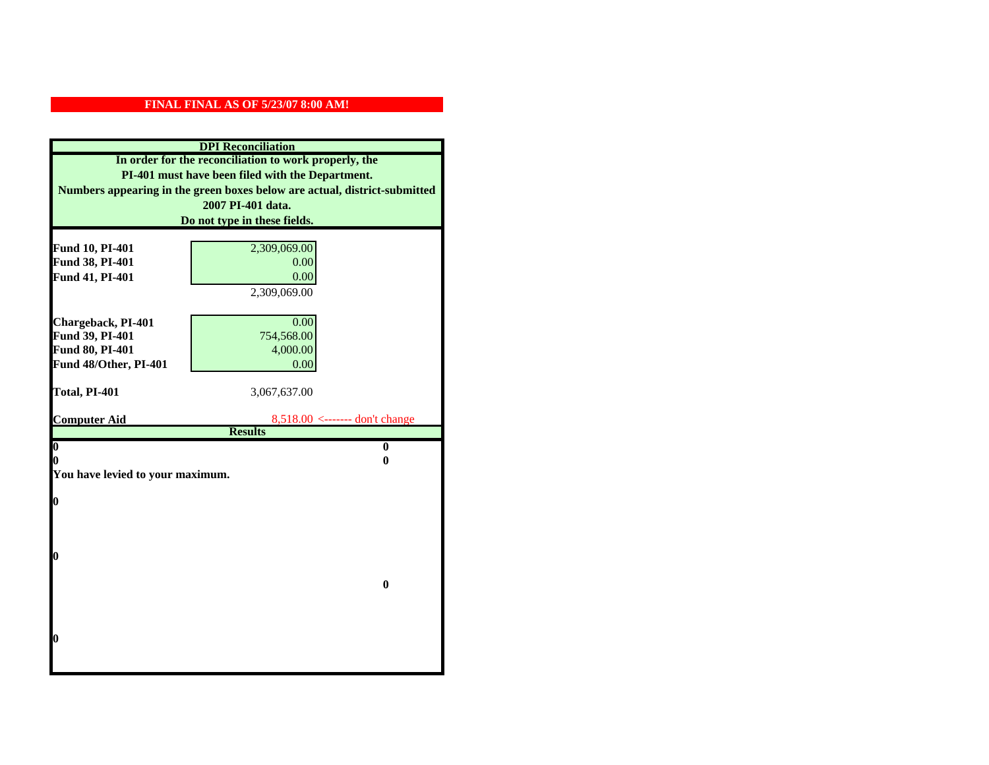| <b>DPI</b> Reconciliation        |                                                                           |  |  |
|----------------------------------|---------------------------------------------------------------------------|--|--|
|                                  | In order for the reconciliation to work properly, the                     |  |  |
|                                  | PI-401 must have been filed with the Department.                          |  |  |
|                                  | Numbers appearing in the green boxes below are actual, district-submitted |  |  |
|                                  | 2007 PI-401 data.                                                         |  |  |
|                                  | Do not type in these fields.                                              |  |  |
|                                  |                                                                           |  |  |
| Fund 10, PI-401                  | 2,309,069.00                                                              |  |  |
| Fund 38, PI-401                  | 0.00                                                                      |  |  |
| Fund 41, PI-401                  | 0.00                                                                      |  |  |
|                                  | 2,309,069.00                                                              |  |  |
| Chargeback, PI-401               | 0.00                                                                      |  |  |
| Fund 39, PI-401                  | 754,568.00                                                                |  |  |
| Fund 80, PI-401                  | 4,000.00                                                                  |  |  |
| Fund 48/Other, PI-401            | 0.00                                                                      |  |  |
|                                  |                                                                           |  |  |
| Total, PI-401                    | 3,067,637.00                                                              |  |  |
|                                  |                                                                           |  |  |
| <b>Computer Aid</b>              | $8,518.00 \leftarrow \text{---}$ don't change<br><b>Results</b>           |  |  |
| $\overline{\mathbf{0}}$          | $\bf{0}$                                                                  |  |  |
| 0                                | 0                                                                         |  |  |
| You have levied to your maximum. |                                                                           |  |  |
|                                  |                                                                           |  |  |
| $\bf{0}$                         |                                                                           |  |  |
|                                  |                                                                           |  |  |
|                                  |                                                                           |  |  |
| l0                               |                                                                           |  |  |
|                                  |                                                                           |  |  |
|                                  | $\bf{0}$                                                                  |  |  |
|                                  |                                                                           |  |  |
|                                  |                                                                           |  |  |
|                                  |                                                                           |  |  |
| $\boldsymbol{0}$                 |                                                                           |  |  |
|                                  |                                                                           |  |  |
|                                  |                                                                           |  |  |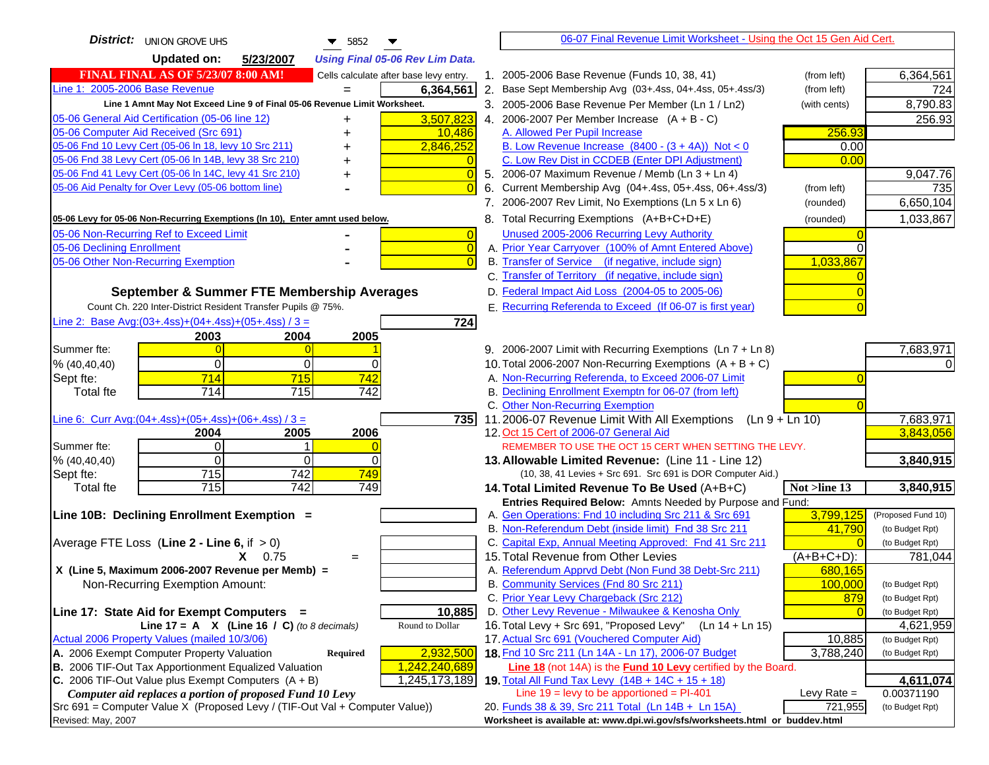| <b>District:</b> JUNION GROVE UHS<br>$\blacktriangledown$ 5852                                                                                   |                                                                                                                                  | 06-07 Final Revenue Limit Worksheet - Using the Oct 15 Gen Aid Cert. |                    |
|--------------------------------------------------------------------------------------------------------------------------------------------------|----------------------------------------------------------------------------------------------------------------------------------|----------------------------------------------------------------------|--------------------|
| <b>Updated on:</b><br>5/23/2007<br><b>Using Final 05-06 Rev Lim Data.</b>                                                                        |                                                                                                                                  |                                                                      |                    |
| <b>FINAL FINAL AS OF 5/23/07 8:00 AM!</b><br>Cells calculate after base levy entry.                                                              | 1. 2005-2006 Base Revenue (Funds 10, 38, 41)                                                                                     | (from left)                                                          | 6,364,561          |
| Line 1: 2005-2006 Base Revenue<br>6,364,561                                                                                                      | 2. Base Sept Membership Avg (03+.4ss, 04+.4ss, 05+.4ss/3)                                                                        | (from left)                                                          | 724                |
| Line 1 Amnt May Not Exceed Line 9 of Final 05-06 Revenue Limit Worksheet.                                                                        | 3. 2005-2006 Base Revenue Per Member (Ln 1 / Ln2)                                                                                | (with cents)                                                         | 8,790.83           |
| 3,507,823<br>05-06 General Aid Certification (05-06 line 12)<br>+                                                                                | 4. 2006-2007 Per Member Increase $(A + B - C)$                                                                                   |                                                                      | 256.93             |
| 05-06 Computer Aid Received (Src 691)<br>10,486                                                                                                  | A. Allowed Per Pupil Increase                                                                                                    | 256.93                                                               |                    |
| 05-06 Fnd 10 Levy Cert (05-06 In 18, levy 10 Src 211)<br>2,846,252                                                                               | B. Low Revenue Increase $(8400 - (3 + 4A))$ Not < 0                                                                              | 0.00                                                                 |                    |
| 05-06 Fnd 38 Levy Cert (05-06 In 14B, levy 38 Src 210)                                                                                           | C. Low Rev Dist in CCDEB (Enter DPI Adjustment)                                                                                  | 0.00                                                                 |                    |
| 05-06 Fnd 41 Levy Cert (05-06 In 14C, levy 41 Src 210)<br>$\overline{0}$<br>+                                                                    | 5. 2006-07 Maximum Revenue / Memb (Ln 3 + Ln 4)                                                                                  |                                                                      | 9,047.76           |
| 05-06 Aid Penalty for Over Levy (05-06 bottom line)                                                                                              | Current Membership Avg (04+.4ss, 05+.4ss, 06+.4ss/3)                                                                             | (from left)                                                          | 735                |
|                                                                                                                                                  | 7. 2006-2007 Rev Limit, No Exemptions (Ln 5 x Ln 6)                                                                              | (rounded)                                                            | 6,650,104          |
| 05-06 Levy for 05-06 Non-Recurring Exemptions (In 10), Enter amnt used below.                                                                    | 8. Total Recurring Exemptions (A+B+C+D+E)                                                                                        | (rounded)                                                            | 1,033,867          |
| 05-06 Non-Recurring Ref to Exceed Limit<br>$\overline{0}$                                                                                        | Unused 2005-2006 Recurring Levy Authority                                                                                        |                                                                      |                    |
| 05-06 Declining Enrollment<br>$\overline{0}$                                                                                                     | A. Prior Year Carryover (100% of Amnt Entered Above)                                                                             |                                                                      |                    |
| 05-06 Other Non-Recurring Exemption<br>$\Omega$                                                                                                  | B. Transfer of Service (if negative, include sign)                                                                               | 1,033,867                                                            |                    |
|                                                                                                                                                  | C. Transfer of Territory (if negative, include sign)                                                                             |                                                                      |                    |
| September & Summer FTE Membership Averages                                                                                                       | D. Federal Impact Aid Loss (2004-05 to 2005-06)                                                                                  |                                                                      |                    |
| Count Ch. 220 Inter-District Resident Transfer Pupils @ 75%.                                                                                     | E. Recurring Referenda to Exceed (If 06-07 is first year)                                                                        |                                                                      |                    |
| Line 2: Base Avg: (03+.4ss) + (04+.4ss) + (05+.4ss) / 3 =<br>724                                                                                 |                                                                                                                                  |                                                                      |                    |
| 2003<br>2004<br>2005                                                                                                                             |                                                                                                                                  |                                                                      |                    |
| Summer fte:<br>$\Omega$                                                                                                                          | 9. 2006-2007 Limit with Recurring Exemptions (Ln 7 + Ln 8)                                                                       |                                                                      | 7,683,971          |
| $\Omega$<br>0<br>$\Omega$<br>% (40, 40, 40)                                                                                                      | 10. Total 2006-2007 Non-Recurring Exemptions $(A + B + C)$                                                                       |                                                                      | ΩI                 |
| 714<br>715<br>742<br>Sept fte:                                                                                                                   | A. Non-Recurring Referenda, to Exceed 2006-07 Limit                                                                              |                                                                      |                    |
| 714<br>715<br>742<br>Total fte                                                                                                                   | B. Declining Enrollment Exemptn for 06-07 (from left)                                                                            |                                                                      |                    |
|                                                                                                                                                  | C. Other Non-Recurring Exemption                                                                                                 |                                                                      |                    |
| Line 6: Curr Avg: $(04+.4ss)+(05+.4ss)+(06+.4ss)/3 =$<br>7351                                                                                    | 11.2006-07 Revenue Limit With All Exemptions (Ln $9 + \overline{\text{Ln }10}$ )                                                 |                                                                      | 7,683,971          |
| 2005<br>2006<br>2004<br>Summer fte:<br>$\Omega$<br>1                                                                                             | 12. Oct 15 Cert of 2006-07 General Aid<br>REMEMBER TO USE THE OCT 15 CERT WHEN SETTING THE LEVY.                                 |                                                                      | 3,843,056          |
| $\Omega$<br>$\Omega$<br>$\Omega$<br>% (40, 40, 40)                                                                                               | 13. Allowable Limited Revenue: (Line 11 - Line 12)                                                                               |                                                                      | 3,840,915          |
| 715<br>742<br>749<br>Sept fte:                                                                                                                   | (10, 38, 41 Levies + Src 691. Src 691 is DOR Computer Aid.)                                                                      |                                                                      |                    |
| 715<br>742<br>749<br>Total fte                                                                                                                   | 14. Total Limited Revenue To Be Used (A+B+C)                                                                                     | Not >line 13                                                         | 3,840,915          |
|                                                                                                                                                  | Entries Required Below: Amnts Needed by Purpose and Fund:                                                                        |                                                                      |                    |
| Line 10B: Declining Enrollment Exemption =                                                                                                       | A. Gen Operations: Fnd 10 including Src 211 & Src 691                                                                            | 3,799,125                                                            | (Proposed Fund 10) |
|                                                                                                                                                  | B. Non-Referendum Debt (inside limit) Fnd 38 Src 211                                                                             | 41,790                                                               | (to Budget Rpt)    |
| Average FTE Loss (Line $2 -$ Line 6, if $> 0$ )                                                                                                  | C. Capital Exp, Annual Meeting Approved: Fnd 41 Src 211                                                                          |                                                                      | (to Budget Rpt)    |
| $X = 0.75$<br>$=$                                                                                                                                | 15. Total Revenue from Other Levies                                                                                              | $(A+B+C+D)$ :                                                        | 781,044            |
| X (Line 5, Maximum 2006-2007 Revenue per Memb) =                                                                                                 | A. Referendum Apprvd Debt (Non Fund 38 Debt-Src 211)                                                                             | 680,165                                                              |                    |
| Non-Recurring Exemption Amount:                                                                                                                  | B. Community Services (Fnd 80 Src 211)                                                                                           | 100,000                                                              | (to Budget Rpt)    |
|                                                                                                                                                  | C. Prior Year Levy Chargeback (Src 212)                                                                                          | 879                                                                  | (to Budget Rpt)    |
| 10,885<br>Line 17: State Aid for Exempt Computers =                                                                                              | D. Other Levy Revenue - Milwaukee & Kenosha Only                                                                                 |                                                                      | (to Budget Rpt)    |
| Line 17 = A $X$ (Line 16 / C) (to 8 decimals)<br>Round to Dollar                                                                                 | 16. Total Levy + Src 691, "Proposed Levy"                                                                                        | (Ln 14 + Ln 15)                                                      | 4,621,959          |
| Actual 2006 Property Values (mailed 10/3/06)                                                                                                     | 17. Actual Src 691 (Vouchered Computer Aid)                                                                                      | 10,885                                                               | (to Budget Rpt)    |
| A. 2006 Exempt Computer Property Valuation<br>2,932,500<br><b>Required</b>                                                                       | 18. Fnd 10 Src 211 (Ln 14A - Ln 17), 2006-07 Budget                                                                              | 3,788,240                                                            | (to Budget Rpt)    |
| B. 2006 TIF-Out Tax Apportionment Equalized Valuation<br>1,242,240,689<br>C. 2006 TIF-Out Value plus Exempt Computers $(A + B)$<br>1,245,173,189 | <b>Line 18</b> (not 14A) is the <b>Fund 10 Levy</b> certified by the Board.<br>19. Total All Fund Tax Levy (14B + 14C + 15 + 18) |                                                                      | 4,611,074          |
| Computer aid replaces a portion of proposed Fund 10 Levy                                                                                         | Line $19 = \text{levy}$ to be apportioned = PI-401                                                                               | Levy Rate $=$                                                        | 0.00371190         |
| Src 691 = Computer Value X (Proposed Levy / (TIF-Out Val + Computer Value))                                                                      | 20. Funds 38 & 39, Src 211 Total (Ln 14B + Ln 15A)                                                                               | 721,955                                                              | (to Budget Rpt)    |
| Revised: May, 2007                                                                                                                               | Worksheet is available at: www.dpi.wi.gov/sfs/worksheets.html or buddev.html                                                     |                                                                      |                    |
|                                                                                                                                                  |                                                                                                                                  |                                                                      |                    |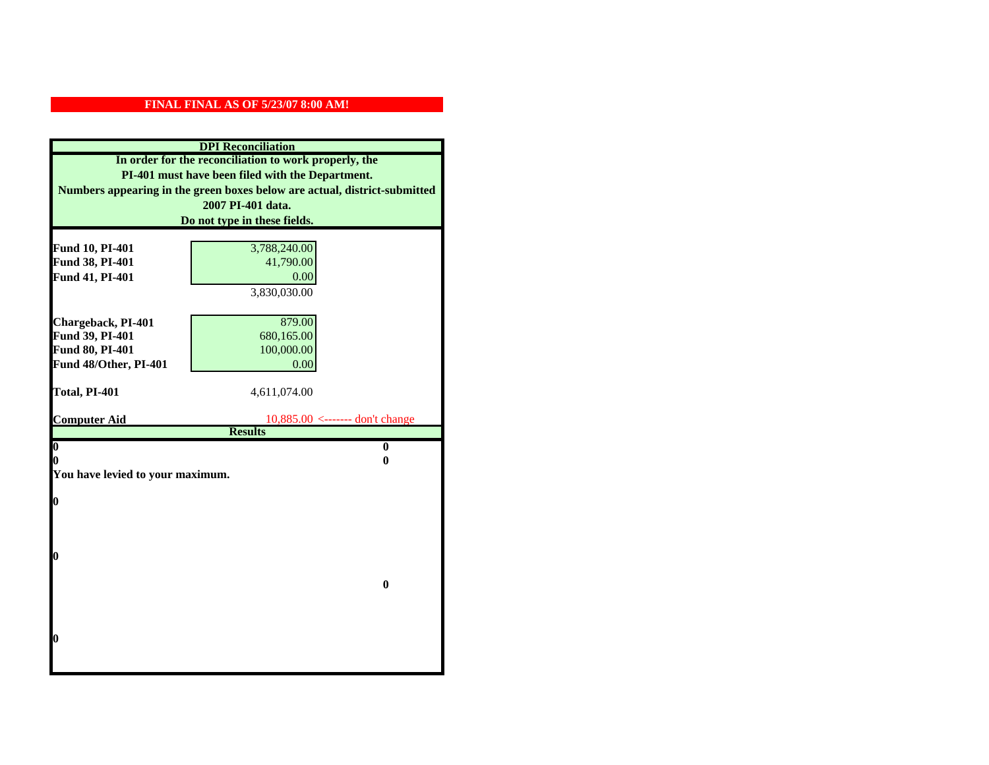| <b>DPI</b> Reconciliation          |                                                                           |  |  |
|------------------------------------|---------------------------------------------------------------------------|--|--|
|                                    | In order for the reconciliation to work properly, the                     |  |  |
|                                    | PI-401 must have been filed with the Department.                          |  |  |
|                                    | Numbers appearing in the green boxes below are actual, district-submitted |  |  |
|                                    | 2007 PI-401 data.                                                         |  |  |
|                                    | Do not type in these fields.                                              |  |  |
|                                    |                                                                           |  |  |
| Fund 10, PI-401<br>Fund 38, PI-401 | 3,788,240.00<br>41,790.00                                                 |  |  |
| Fund 41, PI-401                    | 0.00                                                                      |  |  |
|                                    | 3,830,030.00                                                              |  |  |
|                                    |                                                                           |  |  |
| Chargeback, PI-401                 | 879.00                                                                    |  |  |
| Fund 39, PI-401                    | 680,165.00                                                                |  |  |
| Fund 80, PI-401                    | 100,000.00                                                                |  |  |
| Fund 48/Other, PI-401              | 0.00                                                                      |  |  |
|                                    |                                                                           |  |  |
| Total, PI-401                      | 4,611,074.00                                                              |  |  |
|                                    |                                                                           |  |  |
| <b>Computer Aid</b>                | $10,885.00$ <------- don't change                                         |  |  |
|                                    | <b>Results</b>                                                            |  |  |
| $\overline{\mathbf{0}}$<br>0       | $\bf{0}$<br>0                                                             |  |  |
| You have levied to your maximum.   |                                                                           |  |  |
|                                    |                                                                           |  |  |
| 0                                  |                                                                           |  |  |
|                                    |                                                                           |  |  |
|                                    |                                                                           |  |  |
|                                    |                                                                           |  |  |
| 0                                  |                                                                           |  |  |
|                                    |                                                                           |  |  |
|                                    | $\bf{0}$                                                                  |  |  |
|                                    |                                                                           |  |  |
|                                    |                                                                           |  |  |
| 0                                  |                                                                           |  |  |
|                                    |                                                                           |  |  |
|                                    |                                                                           |  |  |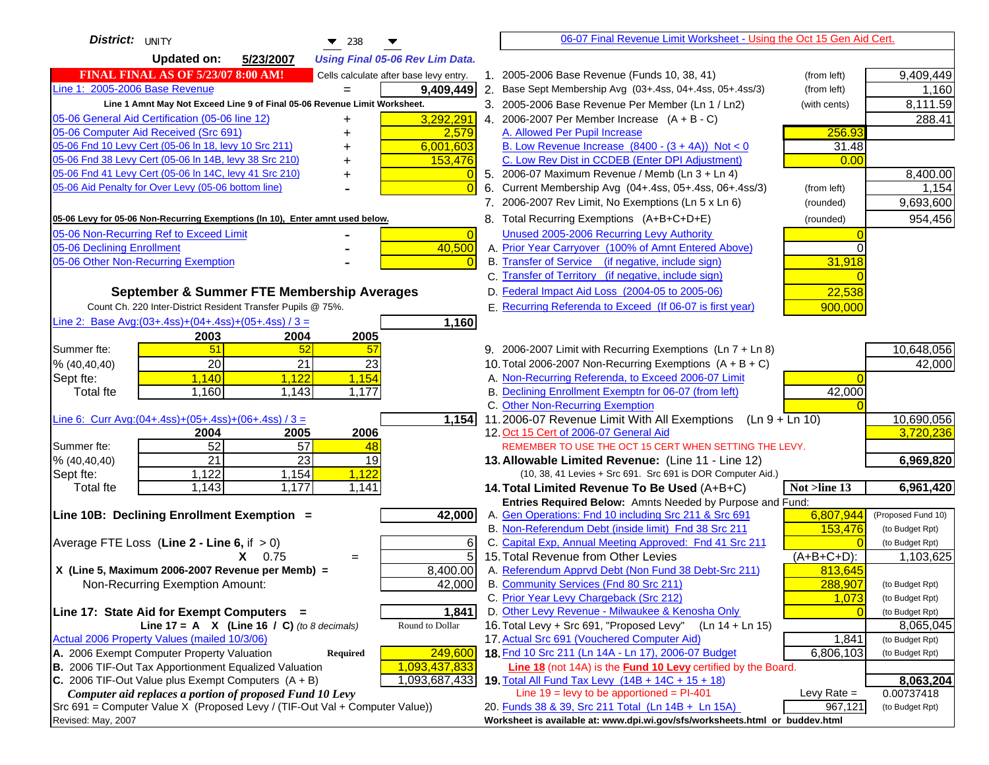| District: UNITY<br>238                                                                            |                 | 06-07 Final Revenue Limit Worksheet - Using the Oct 15 Gen Aid Cert.                                                               |                 |                    |
|---------------------------------------------------------------------------------------------------|-----------------|------------------------------------------------------------------------------------------------------------------------------------|-----------------|--------------------|
| <b>Updated on:</b><br>5/23/2007<br><b>Using Final 05-06 Rev Lim Data.</b>                         |                 |                                                                                                                                    |                 |                    |
| <b>FINAL FINAL AS OF 5/23/07 8:00 AM!</b><br>Cells calculate after base levy entry.               |                 | 1. 2005-2006 Base Revenue (Funds 10, 38, 41)                                                                                       | (from left)     | 9,409,449          |
| Line 1: 2005-2006 Base Revenue                                                                    | 9,409,449       | 2. Base Sept Membership Avg (03+.4ss, 04+.4ss, 05+.4ss/3)                                                                          | (from left)     | 1,160              |
| Line 1 Amnt May Not Exceed Line 9 of Final 05-06 Revenue Limit Worksheet.                         |                 | 3. 2005-2006 Base Revenue Per Member (Ln 1 / Ln2)                                                                                  | (with cents)    | 8,111.59           |
| 05-06 General Aid Certification (05-06 line 12)<br>+                                              | 3,292,291       | 4. 2006-2007 Per Member Increase $(A + B - C)$                                                                                     |                 | 288.41             |
| 05-06 Computer Aid Received (Src 691)                                                             | 2,579           | A. Allowed Per Pupil Increase                                                                                                      | 256.93          |                    |
| 05-06 Fnd 10 Levy Cert (05-06 In 18, levy 10 Src 211)                                             | 6,001,603       | B. Low Revenue Increase $(8400 - (3 + 4A))$ Not < 0                                                                                | 31.48           |                    |
| 05-06 Fnd 38 Levy Cert (05-06 In 14B, levy 38 Src 210)                                            | 153,476         | C. Low Rev Dist in CCDEB (Enter DPI Adjustment)                                                                                    | 0.00            |                    |
| 05-06 Fnd 41 Levy Cert (05-06 In 14C, levy 41 Src 210)                                            |                 | 5. 2006-07 Maximum Revenue / Memb (Ln 3 + Ln 4)                                                                                    |                 | 8,400.00           |
| 05-06 Aid Penalty for Over Levy (05-06 bottom line)                                               | $\Omega$        | Current Membership Avg (04+.4ss, 05+.4ss, 06+.4ss/3)<br>6.                                                                         | (from left)     | 1,154              |
|                                                                                                   |                 | 7. 2006-2007 Rev Limit, No Exemptions (Ln 5 x Ln 6)                                                                                | (rounded)       | 9,693,600          |
| 05-06 Levy for 05-06 Non-Recurring Exemptions (In 10), Enter amnt used below.                     |                 | 8. Total Recurring Exemptions (A+B+C+D+E)                                                                                          | (rounded)       | 954,456            |
| 05-06 Non-Recurring Ref to Exceed Limit                                                           | $\overline{0}$  | Unused 2005-2006 Recurring Levy Authority                                                                                          |                 |                    |
| 05-06 Declining Enrollment                                                                        | 40,500          | A. Prior Year Carryover (100% of Amnt Entered Above)                                                                               | 0               |                    |
| 05-06 Other Non-Recurring Exemption                                                               | $\overline{0}$  | B. Transfer of Service (if negative, include sign)                                                                                 | 31,918          |                    |
|                                                                                                   |                 | C. Transfer of Territory (if negative, include sign)                                                                               |                 |                    |
| September & Summer FTE Membership Averages                                                        |                 | D. Federal Impact Aid Loss (2004-05 to 2005-06)                                                                                    | 22,538          |                    |
| Count Ch. 220 Inter-District Resident Transfer Pupils @ 75%.                                      |                 | E. Recurring Referenda to Exceed (If 06-07 is first year)                                                                          | 900,000         |                    |
| Line 2: Base Avg: (03+.4ss) + (04+.4ss) + (05+.4ss) / 3 =                                         | 1,160           |                                                                                                                                    |                 |                    |
| 2003<br>2004<br>2005                                                                              |                 |                                                                                                                                    |                 |                    |
| 51<br>52<br>Summer fte:<br>57                                                                     |                 | 9. 2006-2007 Limit with Recurring Exemptions (Ln 7 + Ln 8)                                                                         |                 | 10,648,056         |
| $\overline{20}$<br>$\overline{21}$<br>23<br>% (40, 40, 40)                                        |                 | 10. Total 2006-2007 Non-Recurring Exemptions $(A + B + C)$                                                                         |                 | 42,000             |
| 1,140<br>1,122<br>1,154<br>Sept fte:                                                              |                 | A. Non-Recurring Referenda, to Exceed 2006-07 Limit                                                                                |                 |                    |
| 1,160<br>1,143<br>1,177<br><b>Total fte</b>                                                       |                 | B. Declining Enrollment Exemptn for 06-07 (from left)                                                                              | 42,000          |                    |
|                                                                                                   |                 | C. Other Non-Recurring Exemption                                                                                                   |                 |                    |
| Line 6: Curr Avg: $(04+.4ss)+(05+.4ss)+(06+.4ss)/3 =$                                             | 1,154           | 11.2006-07 Revenue Limit With All Exemptions<br>$(Ln 9 + Ln 10)$                                                                   |                 | 10,690,056         |
| 2006<br>2004<br>2005                                                                              |                 | 12. Oct 15 Cert of 2006-07 General Aid                                                                                             |                 | 3,720,236          |
| 52<br>$\overline{57}$<br>Summer fte:<br>48<br>$\overline{21}$<br>$\overline{23}$<br>19            |                 | REMEMBER TO USE THE OCT 15 CERT WHEN SETTING THE LEVY.                                                                             |                 |                    |
| % (40, 40, 40)<br>1,122<br>1,154<br>1,122<br>Sept fte:                                            |                 | 13. Allowable Limited Revenue: (Line 11 - Line 12)<br>(10, 38, 41 Levies + Src 691. Src 691 is DOR Computer Aid.)                  |                 | 6,969,820          |
| 1,177<br>1,143<br>1,141<br>Total fte                                                              |                 | 14. Total Limited Revenue To Be Used (A+B+C)                                                                                       | Not $>$ line 13 | 6,961,420          |
|                                                                                                   |                 | Entries Required Below: Amnts Needed by Purpose and Fund:                                                                          |                 |                    |
| Line 10B: Declining Enrollment Exemption =                                                        | 42,000          | A. Gen Operations: Fnd 10 including Src 211 & Src 691                                                                              | 6,807,944       | (Proposed Fund 10) |
|                                                                                                   |                 | B. Non-Referendum Debt (inside limit) Fnd 38 Src 211                                                                               | 153,476         | (to Budget Rpt)    |
| Average FTE Loss (Line $2 -$ Line 6, if $> 0$ )                                                   | 6               | C. Capital Exp, Annual Meeting Approved: Fnd 41 Src 211                                                                            |                 | (to Budget Rpt)    |
| $X = 0.75$<br>$=$                                                                                 | $\overline{5}$  | 15. Total Revenue from Other Levies                                                                                                | $(A+B+C+D)$ :   | 1,103,625          |
| X (Line 5, Maximum 2006-2007 Revenue per Memb) =                                                  | 8,400.00        | A. Referendum Apprvd Debt (Non Fund 38 Debt-Src 211)                                                                               | 813,645         |                    |
| Non-Recurring Exemption Amount:                                                                   | 42,000          | B. Community Services (Fnd 80 Src 211)                                                                                             | 288,907         | (to Budget Rpt)    |
|                                                                                                   |                 | C. Prior Year Levy Chargeback (Src 212)                                                                                            | 1,073           | (to Budget Rpt)    |
| Line 17: State Aid for Exempt Computers =                                                         | 1,841           | D. Other Levy Revenue - Milwaukee & Kenosha Only                                                                                   |                 | (to Budget Rpt)    |
| Line 17 = A $X$ (Line 16 / C) (to 8 decimals)                                                     | Round to Dollar | 16. Total Levy + Src 691, "Proposed Levy"<br>(Ln 14 + Ln 15)                                                                       |                 | 8,065,045          |
| Actual 2006 Property Values (mailed 10/3/06)                                                      |                 | 17. Actual Src 691 (Vouchered Computer Aid)                                                                                        | 1,841           | (to Budget Rpt)    |
| A. 2006 Exempt Computer Property Valuation<br><b>Required</b>                                     | 249,600         | 18. Fnd 10 Src 211 (Ln 14A - Ln 17), 2006-07 Budget                                                                                | 6,806,103       | (to Budget Rpt)    |
| B. 2006 TIF-Out Tax Apportionment Equalized Valuation                                             | 1,093,437,833   | Line 18 (not 14A) is the Fund 10 Levy certified by the Board.                                                                      |                 |                    |
| C. 2006 TIF-Out Value plus Exempt Computers $(A + B)$                                             | 1,093,687,433   | 19. Total All Fund Tax Levy (14B + 14C + 15 + 18)                                                                                  |                 | 8,063,204          |
| Computer aid replaces a portion of proposed Fund 10 Levy                                          |                 | Line $19 = \text{levy}$ to be apportioned = PI-401                                                                                 | Levy Rate $=$   | 0.00737418         |
| Src 691 = Computer Value X (Proposed Levy / (TIF-Out Val + Computer Value))<br>Revised: May, 2007 |                 | 20. Funds 38 & 39, Src 211 Total (Ln 14B + Ln 15A)<br>Worksheet is available at: www.dpi.wi.gov/sfs/worksheets.html or buddev.html | 967,121         | (to Budget Rpt)    |
|                                                                                                   |                 |                                                                                                                                    |                 |                    |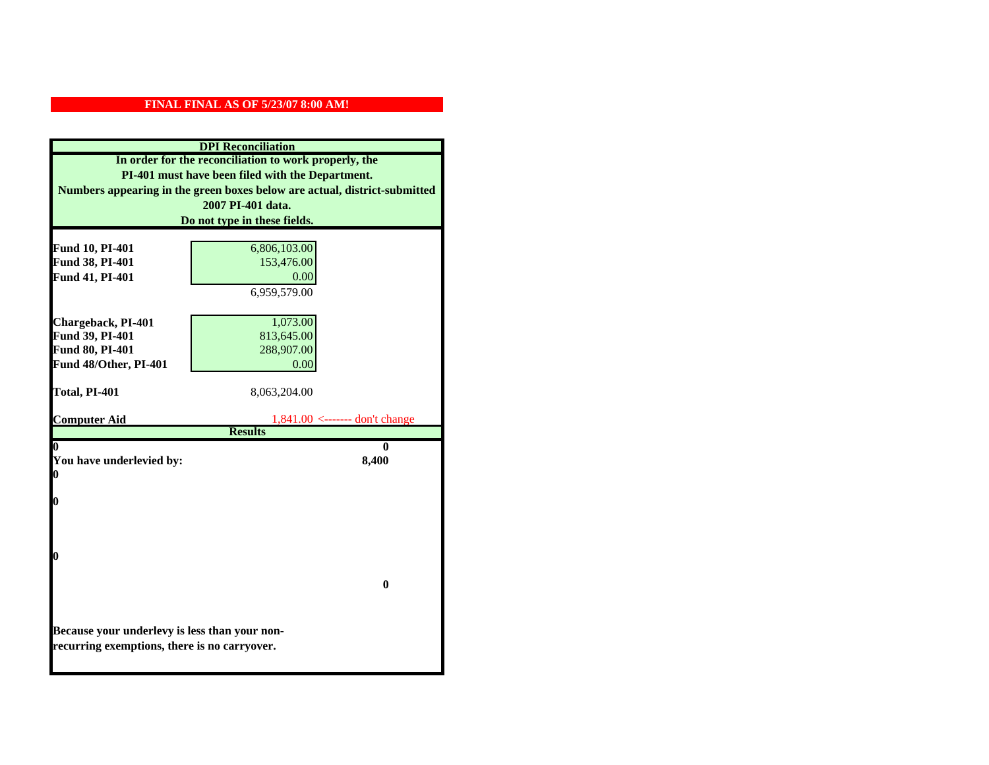|                                               | <b>DPI</b> Reconciliation                                                 |  |
|-----------------------------------------------|---------------------------------------------------------------------------|--|
|                                               | In order for the reconciliation to work properly, the                     |  |
|                                               | PI-401 must have been filed with the Department.                          |  |
|                                               | Numbers appearing in the green boxes below are actual, district-submitted |  |
|                                               | 2007 PI-401 data.                                                         |  |
|                                               | Do not type in these fields.                                              |  |
|                                               |                                                                           |  |
| Fund 10, PI-401                               | 6,806,103.00                                                              |  |
| Fund 38, PI-401                               | 153,476.00                                                                |  |
| Fund 41, PI-401                               | 0.00                                                                      |  |
|                                               | 6,959,579.00                                                              |  |
|                                               |                                                                           |  |
| Chargeback, PI-401                            | 1,073.00                                                                  |  |
| Fund 39, PI-401                               | 813,645.00                                                                |  |
| Fund 80, PI-401                               | 288,907.00                                                                |  |
| Fund 48/Other, PI-401                         | 0.00                                                                      |  |
|                                               |                                                                           |  |
| Total, PI-401                                 | 8,063,204.00                                                              |  |
| <b>Computer Aid</b>                           | $1,841.00$ <------- don't change                                          |  |
|                                               | <b>Results</b>                                                            |  |
|                                               | 0                                                                         |  |
| You have underlevied by:                      | 8,400                                                                     |  |
| 0                                             |                                                                           |  |
|                                               |                                                                           |  |
| 0                                             |                                                                           |  |
|                                               |                                                                           |  |
|                                               |                                                                           |  |
|                                               |                                                                           |  |
| 0                                             |                                                                           |  |
|                                               |                                                                           |  |
|                                               | $\bf{0}$                                                                  |  |
|                                               |                                                                           |  |
|                                               |                                                                           |  |
| Because your underlevy is less than your non- |                                                                           |  |
| recurring exemptions, there is no carryover.  |                                                                           |  |
|                                               |                                                                           |  |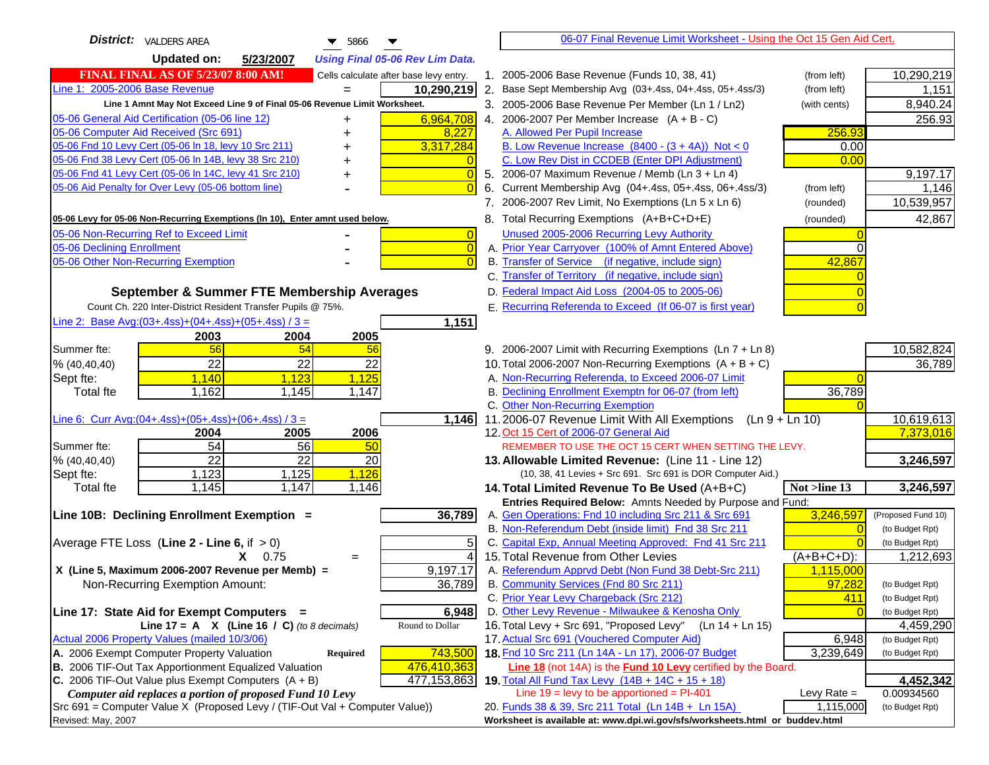| <b>District:</b> VALDERS AREA<br>$\blacktriangledown$ 5866                                                       | 06-07 Final Revenue Limit Worksheet - Using the Oct 15 Gen Aid Cert.                                                       |                    |                                    |
|------------------------------------------------------------------------------------------------------------------|----------------------------------------------------------------------------------------------------------------------------|--------------------|------------------------------------|
| <b>Updated on:</b><br>5/23/2007<br><b>Using Final 05-06 Rev Lim Data.</b>                                        |                                                                                                                            |                    |                                    |
| <b>FINAL FINAL AS OF 5/23/07 8:00 AM!</b><br>Cells calculate after base levy entry.                              | 1. 2005-2006 Base Revenue (Funds 10, 38, 41)                                                                               | (from left)        | 10,290,219                         |
| Line 1: 2005-2006 Base Revenue<br>10,290,219                                                                     | 2. Base Sept Membership Avg (03+.4ss, 04+.4ss, 05+.4ss/3)                                                                  | (from left)        | 1,151                              |
| Line 1 Amnt May Not Exceed Line 9 of Final 05-06 Revenue Limit Worksheet.                                        | 3. 2005-2006 Base Revenue Per Member (Ln 1 / Ln2)                                                                          | (with cents)       | 8,940.24                           |
| 6,964,708<br>05-06 General Aid Certification (05-06 line 12)<br>+                                                | 4. 2006-2007 Per Member Increase $(A + B - C)$                                                                             |                    | 256.93                             |
| 05-06 Computer Aid Received (Src 691)<br>8,227                                                                   | A. Allowed Per Pupil Increase                                                                                              | 256.93             |                                    |
| 05-06 Fnd 10 Levy Cert (05-06 In 18, levy 10 Src 211)<br>3,317,284                                               | B. Low Revenue Increase $(8400 - (3 + 4A))$ Not < 0                                                                        | 0.00               |                                    |
| 05-06 Fnd 38 Levy Cert (05-06 In 14B, levy 38 Src 210)<br>٠                                                      | C. Low Rev Dist in CCDEB (Enter DPI Adjustment)                                                                            | 0.00               |                                    |
| 05-06 Fnd 41 Levy Cert (05-06 In 14C, levy 41 Src 210)<br>$\overline{0}$<br>+                                    | 5. 2006-07 Maximum Revenue / Memb (Ln 3 + Ln 4)                                                                            |                    | 9,197.17                           |
| 05-06 Aid Penalty for Over Levy (05-06 bottom line)                                                              | 6. Current Membership Avg (04+.4ss, 05+.4ss, 06+.4ss/3)                                                                    | (from left)        | 1,146                              |
|                                                                                                                  | 7. 2006-2007 Rev Limit, No Exemptions (Ln 5 x Ln 6)                                                                        | (rounded)          | 10,539,957                         |
| 05-06 Levy for 05-06 Non-Recurring Exemptions (In 10), Enter amnt used below.                                    | 8. Total Recurring Exemptions (A+B+C+D+E)                                                                                  | (rounded)          | 42,867                             |
| 05-06 Non-Recurring Ref to Exceed Limit<br>$\overline{0}$                                                        | Unused 2005-2006 Recurring Levy Authority                                                                                  |                    |                                    |
| 05-06 Declining Enrollment<br>$\overline{0}$                                                                     | A. Prior Year Carryover (100% of Amnt Entered Above)                                                                       | $\Omega$           |                                    |
| 05-06 Other Non-Recurring Exemption<br>$\Omega$                                                                  | B. Transfer of Service (if negative, include sign)                                                                         | 42,867             |                                    |
|                                                                                                                  | C. Transfer of Territory (if negative, include sign)                                                                       |                    |                                    |
| September & Summer FTE Membership Averages                                                                       | D. Federal Impact Aid Loss (2004-05 to 2005-06)                                                                            |                    |                                    |
| Count Ch. 220 Inter-District Resident Transfer Pupils @ 75%.                                                     | E. Recurring Referenda to Exceed (If 06-07 is first year)                                                                  |                    |                                    |
| Line 2: Base Avg:(03+.4ss)+(04+.4ss)+(05+.4ss) / 3 =<br>1,151                                                    |                                                                                                                            |                    |                                    |
| 2003<br>2004<br>2005                                                                                             |                                                                                                                            |                    |                                    |
| 56<br>54<br>Summer fte:<br>56                                                                                    | 9. 2006-2007 Limit with Recurring Exemptions (Ln 7 + Ln 8)                                                                 |                    | 10,582,824                         |
| 22<br>22<br>22<br>% (40, 40, 40)                                                                                 | 10. Total 2006-2007 Non-Recurring Exemptions $(A + B + C)$                                                                 |                    | 36,789                             |
| 1,140<br>1,123<br>1,125<br>Sept fte:                                                                             | A. Non-Recurring Referenda, to Exceed 2006-07 Limit                                                                        |                    |                                    |
| 1,162<br>1,145<br>1,147<br>Total fte                                                                             | B. Declining Enrollment Exemptn for 06-07 (from left)                                                                      | 36,789             |                                    |
|                                                                                                                  | C. Other Non-Recurring Exemption                                                                                           |                    |                                    |
| Line 6: Curr Avg: $(04+.4ss)+(05+.4ss)+(06+.4ss)/3 =$<br>1,146<br>2005<br>2006                                   | 11.2006-07 Revenue Limit With All Exemptions (Ln $9 + \overline{\text{Ln }10}$ )<br>12. Oct 15 Cert of 2006-07 General Aid |                    | 10,619,613<br>7,373,016            |
| 2004<br>54<br>56<br>Summer fte:<br>50                                                                            | REMEMBER TO USE THE OCT 15 CERT WHEN SETTING THE LEVY.                                                                     |                    |                                    |
| $\overline{22}$<br>$\overline{22}$<br>$\overline{20}$<br>% (40, 40, 40)                                          | 13. Allowable Limited Revenue: (Line 11 - Line 12)                                                                         |                    | 3,246,597                          |
| 1,123<br>1,125<br>1,126<br>Sept fte:                                                                             | (10, 38, 41 Levies + Src 691. Src 691 is DOR Computer Aid.)                                                                |                    |                                    |
| 1,147<br><b>Total</b> fte<br>1,145<br>1,146                                                                      | 14. Total Limited Revenue To Be Used (A+B+C)                                                                               | Not >line 13       | 3,246,597                          |
|                                                                                                                  | Entries Required Below: Amnts Needed by Purpose and Fund:                                                                  |                    |                                    |
| 36,789<br>Line 10B: Declining Enrollment Exemption =                                                             | A. Gen Operations: Fnd 10 including Src 211 & Src 691                                                                      | 3,246,597          | (Proposed Fund 10)                 |
|                                                                                                                  | B. Non-Referendum Debt (inside limit) Fnd 38 Src 211                                                                       | $\Omega$           | (to Budget Rpt)                    |
| Average FTE Loss (Line $2 -$ Line 6, if $> 0$ )<br>5                                                             | C. Capital Exp, Annual Meeting Approved: Fnd 41 Src 211                                                                    |                    | (to Budget Rpt)                    |
| $X = 0.75$<br>$\overline{4}$<br>$=$                                                                              | 15. Total Revenue from Other Levies                                                                                        | $(A+B+C+D)$ :      | 1,212,693                          |
| X (Line 5, Maximum 2006-2007 Revenue per Memb) =<br>9,197.17                                                     | A. Referendum Apprvd Debt (Non Fund 38 Debt-Src 211)                                                                       | 1,115,000          |                                    |
| Non-Recurring Exemption Amount:<br>36,789                                                                        | B. Community Services (Fnd 80 Src 211)                                                                                     | 97,282             | (to Budget Rpt)                    |
|                                                                                                                  | C. Prior Year Levy Chargeback (Src 212)                                                                                    | 411                | (to Budget Rpt)                    |
| Line 17: State Aid for Exempt Computers =<br>6,948                                                               | D. Other Levy Revenue - Milwaukee & Kenosha Only                                                                           | $\Omega$           | (to Budget Rpt)                    |
| Line 17 = A $X$ (Line 16 / C) (to 8 decimals)<br>Round to Dollar<br>Actual 2006 Property Values (mailed 10/3/06) | 16. Total Levy + Src 691, "Proposed Levy"<br>(Ln 14 + Ln 15)<br>17. Actual Src 691 (Vouchered Computer Aid)                |                    | 4,459,290                          |
| A. 2006 Exempt Computer Property Valuation<br>Required<br>743,500                                                | 18. Fnd 10 Src 211 (Ln 14A - Ln 17), 2006-07 Budget                                                                        | 6,948<br>3,239,649 | (to Budget Rpt)<br>(to Budget Rpt) |
| B. 2006 TIF-Out Tax Apportionment Equalized Valuation<br>476,410,363                                             | Line 18 (not 14A) is the Fund 10 Levy certified by the Board.                                                              |                    |                                    |
| C. 2006 TIF-Out Value plus Exempt Computers $(A + B)$<br>477,153,863                                             | 19. Total All Fund Tax Levy (14B + 14C + 15 + 18)                                                                          |                    | 4,452,342                          |
| Computer aid replaces a portion of proposed Fund 10 Levy                                                         | Line $19$ = levy to be apportioned = PI-401                                                                                | Levy Rate $=$      | 0.00934560                         |
| Src 691 = Computer Value X (Proposed Levy / (TIF-Out Val + Computer Value))                                      | 20. Funds 38 & 39, Src 211 Total (Ln 14B + Ln 15A)                                                                         | 1,115,000          | (to Budget Rpt)                    |
| Revised: May, 2007                                                                                               | Worksheet is available at: www.dpi.wi.gov/sfs/worksheets.html or buddev.html                                               |                    |                                    |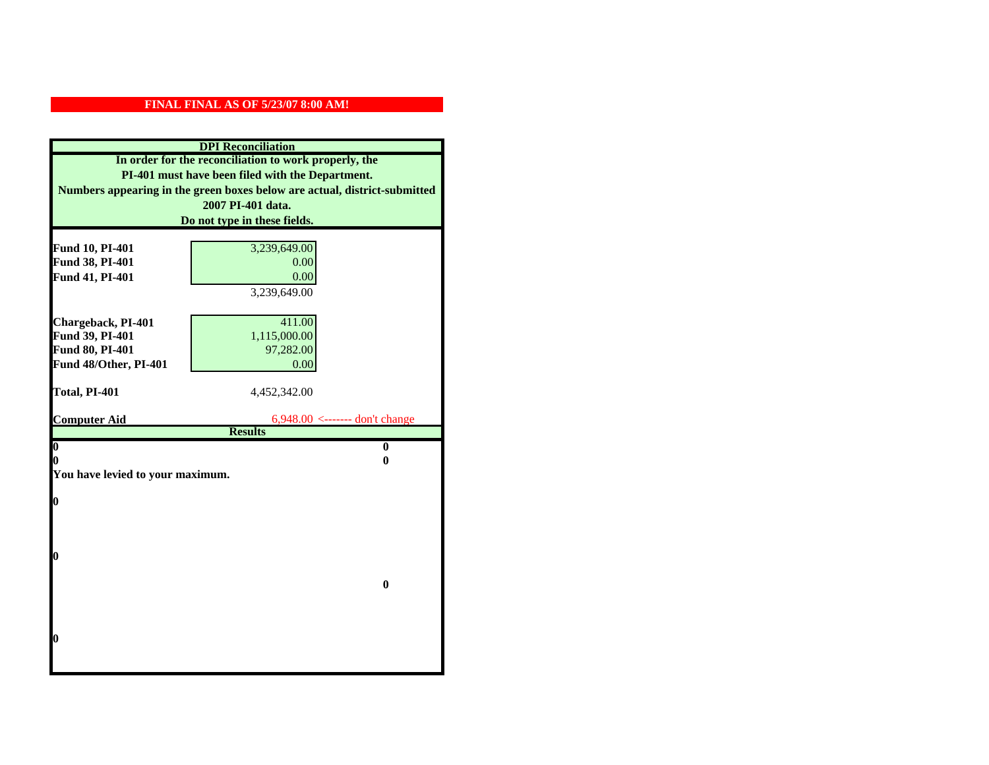## **FINAL FINAL AS OF 5/23/07 8:00 AM!**

| <b>DPI</b> Reconciliation                             |                                                                           |  |  |
|-------------------------------------------------------|---------------------------------------------------------------------------|--|--|
| In order for the reconciliation to work properly, the |                                                                           |  |  |
| PI-401 must have been filed with the Department.      |                                                                           |  |  |
|                                                       | Numbers appearing in the green boxes below are actual, district-submitted |  |  |
|                                                       | 2007 PI-401 data.                                                         |  |  |
|                                                       | Do not type in these fields.                                              |  |  |
|                                                       |                                                                           |  |  |
| Fund 10, PI-401                                       | 3,239,649.00                                                              |  |  |
| Fund 38, PI-401                                       | 0.00<br>0.00                                                              |  |  |
| Fund 41, PI-401                                       | 3,239,649.00                                                              |  |  |
|                                                       |                                                                           |  |  |
| Chargeback, PI-401                                    | 411.00                                                                    |  |  |
| Fund 39, PI-401                                       | 1,115,000.00                                                              |  |  |
| Fund 80, PI-401                                       | 97,282.00                                                                 |  |  |
| Fund 48/Other, PI-401                                 | 0.00                                                                      |  |  |
|                                                       |                                                                           |  |  |
| Total, PI-401                                         | 4,452,342.00                                                              |  |  |
|                                                       |                                                                           |  |  |
| <b>Computer Aid</b>                                   | 6,948.00 <------- don't change<br><b>Results</b>                          |  |  |
| $\boldsymbol{0}$                                      | $\mathbf{0}$                                                              |  |  |
| 0                                                     | 0                                                                         |  |  |
| You have levied to your maximum.                      |                                                                           |  |  |
|                                                       |                                                                           |  |  |
| 0                                                     |                                                                           |  |  |
|                                                       |                                                                           |  |  |
|                                                       |                                                                           |  |  |
| 0                                                     |                                                                           |  |  |
|                                                       |                                                                           |  |  |
|                                                       | $\bf{0}$                                                                  |  |  |
|                                                       |                                                                           |  |  |
|                                                       |                                                                           |  |  |
|                                                       |                                                                           |  |  |
| 0                                                     |                                                                           |  |  |
|                                                       |                                                                           |  |  |
|                                                       |                                                                           |  |  |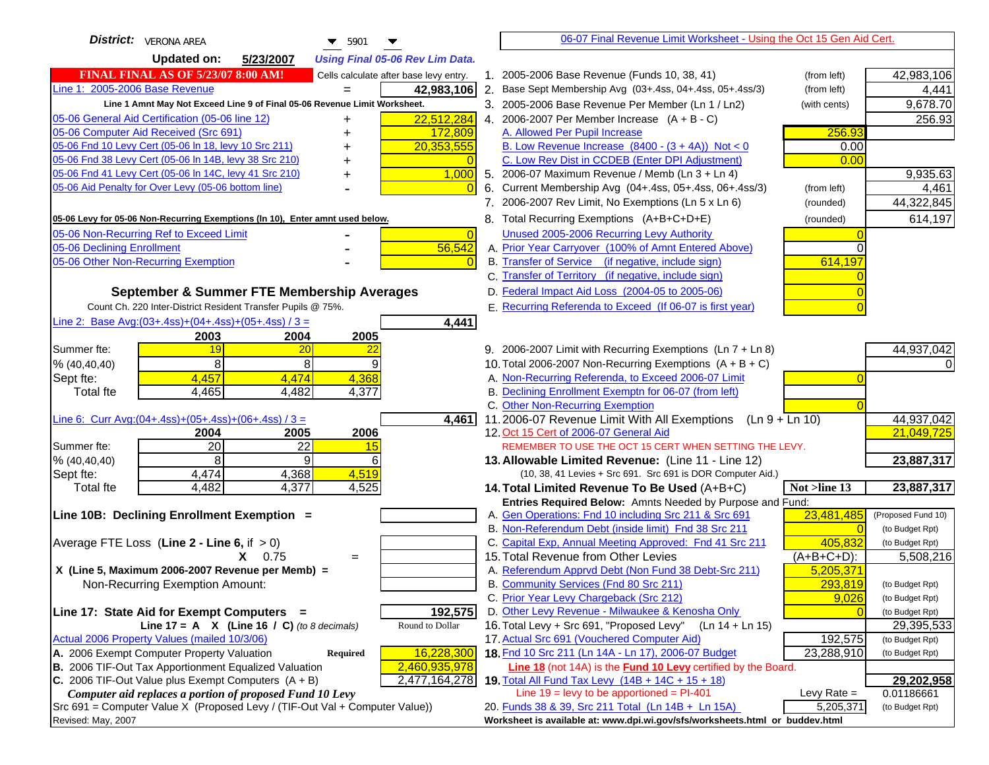| <b>District:</b> VERONA AREA<br>$\blacktriangledown$ 5901                                                                | 06-07 Final Revenue Limit Worksheet - Using the Oct 15 Gen Aid Cert.                                       |                               |
|--------------------------------------------------------------------------------------------------------------------------|------------------------------------------------------------------------------------------------------------|-------------------------------|
| <b>Updated on:</b><br>5/23/2007<br><b>Using Final 05-06 Rev Lim Data.</b>                                                |                                                                                                            |                               |
| <b>FINAL FINAL AS OF 5/23/07 8:00 AM!</b><br>Cells calculate after base levy entry.                                      | 1. 2005-2006 Base Revenue (Funds 10, 38, 41)<br>(from left)                                                | 42,983,106                    |
| Line 1: 2005-2006 Base Revenue<br>42,983,106                                                                             | 2. Base Sept Membership Avg (03+.4ss, 04+.4ss, 05+.4ss/3)<br>(from left)                                   | 4,441                         |
| Line 1 Amnt May Not Exceed Line 9 of Final 05-06 Revenue Limit Worksheet.                                                | 3. 2005-2006 Base Revenue Per Member (Ln 1 / Ln2)<br>(with cents)                                          | 9,678.70                      |
| 22,512,284<br>05-06 General Aid Certification (05-06 line 12)                                                            | 4. 2006-2007 Per Member Increase $(A + B - C)$                                                             | 256.93                        |
| 05-06 Computer Aid Received (Src 691)<br>172,809                                                                         | A. Allowed Per Pupil Increase<br>256.93                                                                    |                               |
| 05-06 Fnd 10 Levy Cert (05-06 ln 18, levy 10 Src 211)<br>20,353,555                                                      | B. Low Revenue Increase $(8400 - (3 + 4A))$ Not < 0<br>0.00                                                |                               |
| 05-06 Fnd 38 Levy Cert (05-06 In 14B, levy 38 Src 210)                                                                   | C. Low Rev Dist in CCDEB (Enter DPI Adjustment)<br>0.00                                                    |                               |
| 05-06 Fnd 41 Levy Cert (05-06 In 14C, levy 41 Src 210)<br>1,000<br>╉                                                     | 5. 2006-07 Maximum Revenue / Memb (Ln 3 + Ln 4)                                                            | 9,935.63                      |
| 05-06 Aid Penalty for Over Levy (05-06 bottom line)                                                                      | 6. Current Membership Avg (04+.4ss, 05+.4ss, 06+.4ss/3)<br>(from left)                                     | 4,461                         |
|                                                                                                                          | 7. 2006-2007 Rev Limit, No Exemptions (Ln 5 x Ln 6)<br>(rounded)                                           | 44,322,845                    |
| 05-06 Levy for 05-06 Non-Recurring Exemptions (In 10), Enter amnt used below.                                            | 8. Total Recurring Exemptions (A+B+C+D+E)<br>(rounded)                                                     | 614,197                       |
| 05-06 Non-Recurring Ref to Exceed Limit<br>$\overline{0}$                                                                | Unused 2005-2006 Recurring Levy Authority                                                                  |                               |
| 56,542<br>05-06 Declining Enrollment                                                                                     | A. Prior Year Carryover (100% of Amnt Entered Above)                                                       |                               |
| 05-06 Other Non-Recurring Exemption                                                                                      | B. Transfer of Service (if negative, include sign)<br>614,197                                              |                               |
|                                                                                                                          | C. Transfer of Territory (if negative, include sign)                                                       |                               |
| September & Summer FTE Membership Averages                                                                               | D. Federal Impact Aid Loss (2004-05 to 2005-06)                                                            |                               |
| Count Ch. 220 Inter-District Resident Transfer Pupils @ 75%.                                                             | E. Recurring Referenda to Exceed (If 06-07 is first year)                                                  |                               |
| Line 2: Base Avg: $(03+.4ss)+(04+.4ss)+(05+.4ss)/3 =$<br>4,441                                                           |                                                                                                            |                               |
| 2003<br>2004<br>2005                                                                                                     |                                                                                                            |                               |
| 19<br>20<br>Summer fte:<br>$\overline{22}$                                                                               | 9. 2006-2007 Limit with Recurring Exemptions (Ln 7 + Ln 8)                                                 | 44,937,042                    |
| 8<br>8<br>9<br>% (40, 40, 40)                                                                                            | 10. Total 2006-2007 Non-Recurring Exemptions $(A + B + C)$                                                 |                               |
| 4,457<br>4,474<br>4,368<br>Sept fte:                                                                                     | A. Non-Recurring Referenda, to Exceed 2006-07 Limit                                                        |                               |
| <b>Total fte</b><br>4,465<br>4,482<br>4,377                                                                              | B. Declining Enrollment Exemptn for 06-07 (from left)                                                      |                               |
|                                                                                                                          | C. Other Non-Recurring Exemption                                                                           |                               |
| Line 6: Curr Avg: $(04+.4ss)+(05+.4ss)+(06+.4ss)/3 =$<br>4,461<br>2006<br>2004<br>2005                                   | 11.2006-07 Revenue Limit With All Exemptions<br>$(Ln 9 + Ln 10)$<br>12. Oct 15 Cert of 2006-07 General Aid | 44,937,042<br>21,049,725      |
| $\overline{20}$<br>22<br>Summer fte:<br>15                                                                               | REMEMBER TO USE THE OCT 15 CERT WHEN SETTING THE LEVY.                                                     |                               |
| % (40, 40, 40)<br>8<br>9<br>6                                                                                            | 13. Allowable Limited Revenue: (Line 11 - Line 12)                                                         | 23,887,317                    |
| 4,474<br>4,368<br>4,519<br>Sept fte:                                                                                     | (10, 38, 41 Levies + Src 691. Src 691 is DOR Computer Aid.)                                                |                               |
| 4,482<br>4,525<br>4,377<br><b>Total fte</b>                                                                              | Not >line 13<br>14. Total Limited Revenue To Be Used (A+B+C)                                               | 23,887,317                    |
|                                                                                                                          | Entries Required Below: Amnts Needed by Purpose and Fund:                                                  |                               |
| Line 10B: Declining Enrollment Exemption =                                                                               | A. Gen Operations: Fnd 10 including Src 211 & Src 691<br>23,481,485                                        | (Proposed Fund 10)            |
|                                                                                                                          | B. Non-Referendum Debt (inside limit) Fnd 38 Src 211                                                       | (to Budget Rpt)               |
| Average FTE Loss (Line $2 -$ Line 6, if $> 0$ )                                                                          | C. Capital Exp, Annual Meeting Approved: Fnd 41 Src 211<br>405,832                                         | (to Budget Rpt)               |
| $X = 0.75$<br>$=$                                                                                                        | 15. Total Revenue from Other Levies<br>$(A+B+C+D)$ :                                                       | 5,508,216                     |
| X (Line 5, Maximum 2006-2007 Revenue per Memb) =                                                                         | A. Referendum Apprvd Debt (Non Fund 38 Debt-Src 211)<br>5,205,371                                          |                               |
| Non-Recurring Exemption Amount:                                                                                          | B. Community Services (Fnd 80 Src 211)<br>293,819                                                          | (to Budget Rpt)               |
|                                                                                                                          | 9,026<br>C. Prior Year Levy Chargeback (Src 212)<br>D. Other Levy Revenue - Milwaukee & Kenosha Only       | (to Budget Rpt)               |
| 192,575<br>Line 17: State Aid for Exempt Computers =<br>Round to Dollar<br>Line 17 = A $X$ (Line 16 / C) (to 8 decimals) | 16. Total Levy + Src 691, "Proposed Levy"<br>(Ln 14 + Ln 15)                                               | (to Budget Rpt)<br>29,395,533 |
| Actual 2006 Property Values (mailed 10/3/06)                                                                             | 17. Actual Src 691 (Vouchered Computer Aid)<br>192,575                                                     | (to Budget Rpt)               |
| A. 2006 Exempt Computer Property Valuation<br>16,228,300<br><b>Required</b>                                              | 18. Fnd 10 Src 211 (Ln 14A - Ln 17), 2006-07 Budget<br>23,288,910                                          | (to Budget Rpt)               |
| B. 2006 TIF-Out Tax Apportionment Equalized Valuation<br>2,460,935,978                                                   | Line 18 (not 14A) is the Fund 10 Levy certified by the Board.                                              |                               |
| C. 2006 TIF-Out Value plus Exempt Computers $(A + B)$<br>2,477,164,278                                                   | 19. Total All Fund Tax Levy $(14B + 14C + 15 + 18)$                                                        | 29,202,958                    |
| Computer aid replaces a portion of proposed Fund 10 Levy                                                                 | Line $19 = \text{levy}$ to be apportioned = PI-401<br>Levy Rate $=$                                        | 0.01186661                    |
| Src 691 = Computer Value X (Proposed Levy / (TIF-Out Val + Computer Value))                                              | 20. Funds 38 & 39, Src 211 Total (Ln 14B + Ln 15A)<br>5,205,371                                            | (to Budget Rpt)               |
| Revised: May, 2007                                                                                                       | Worksheet is available at: www.dpi.wi.gov/sfs/worksheets.html or buddev.html                               |                               |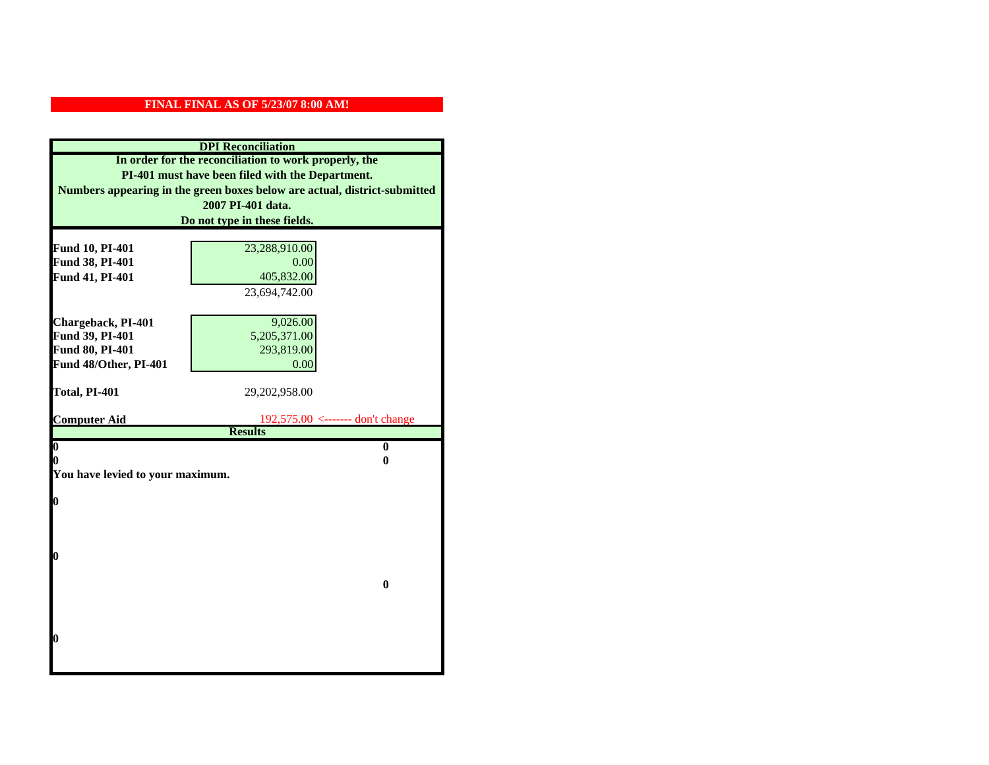## **FINAL FINAL AS OF 5/23/07 8:00 AM!**

| <b>DPI</b> Reconciliation                                                 |                                                    |  |  |
|---------------------------------------------------------------------------|----------------------------------------------------|--|--|
| In order for the reconciliation to work properly, the                     |                                                    |  |  |
| PI-401 must have been filed with the Department.                          |                                                    |  |  |
| Numbers appearing in the green boxes below are actual, district-submitted |                                                    |  |  |
|                                                                           | 2007 PI-401 data.                                  |  |  |
|                                                                           | Do not type in these fields.                       |  |  |
|                                                                           |                                                    |  |  |
| Fund 10, PI-401                                                           | 23,288,910.00                                      |  |  |
| Fund 38, PI-401                                                           | 0.00                                               |  |  |
| Fund 41, PI-401                                                           | 405,832.00                                         |  |  |
|                                                                           | 23,694,742.00                                      |  |  |
| Chargeback, PI-401                                                        | 9,026.00                                           |  |  |
| Fund 39, PI-401                                                           | 5,205,371.00                                       |  |  |
| Fund 80, PI-401                                                           | 293,819.00                                         |  |  |
| Fund 48/Other, PI-401                                                     | 0.00                                               |  |  |
|                                                                           |                                                    |  |  |
| Total, PI-401                                                             | 29,202,958.00                                      |  |  |
|                                                                           |                                                    |  |  |
| <b>Computer Aid</b>                                                       | 192,575.00 <------- don't change<br><b>Results</b> |  |  |
| $\overline{\mathbf{0}}$                                                   | $\bf{0}$                                           |  |  |
| 0                                                                         | 0                                                  |  |  |
| You have levied to your maximum.                                          |                                                    |  |  |
|                                                                           |                                                    |  |  |
| $\bf{0}$                                                                  |                                                    |  |  |
|                                                                           |                                                    |  |  |
|                                                                           |                                                    |  |  |
| l0                                                                        |                                                    |  |  |
|                                                                           |                                                    |  |  |
|                                                                           | $\bf{0}$                                           |  |  |
|                                                                           |                                                    |  |  |
|                                                                           |                                                    |  |  |
|                                                                           |                                                    |  |  |
| l0                                                                        |                                                    |  |  |
|                                                                           |                                                    |  |  |
|                                                                           |                                                    |  |  |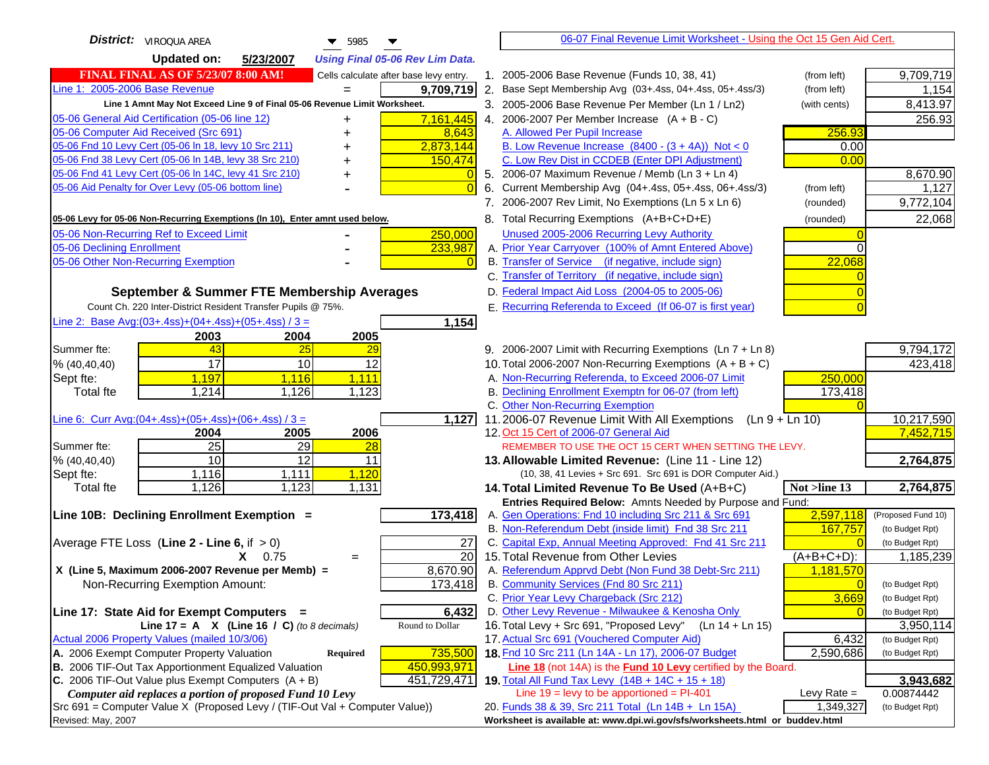| <b>District:</b> VIROQUA AREA<br>$\blacktriangledown$ 5985                                                                                   | 06-07 Final Revenue Limit Worksheet - Using the Oct 15 Gen Aid Cert.                                                      |                         |
|----------------------------------------------------------------------------------------------------------------------------------------------|---------------------------------------------------------------------------------------------------------------------------|-------------------------|
| <b>Updated on:</b><br>5/23/2007<br><b>Using Final 05-06 Rev Lim Data.</b>                                                                    |                                                                                                                           |                         |
| <b>FINAL FINAL AS OF 5/23/07 8:00 AM!</b><br>Cells calculate after base levy entry.                                                          | 1. 2005-2006 Base Revenue (Funds 10, 38, 41)<br>(from left)                                                               | 9,709,719               |
| Line 1: 2005-2006 Base Revenue<br>9,709,719                                                                                                  | 2. Base Sept Membership Avg (03+.4ss, 04+.4ss, 05+.4ss/3)<br>(from left)                                                  | 1,154                   |
| Line 1 Amnt May Not Exceed Line 9 of Final 05-06 Revenue Limit Worksheet.                                                                    | 3. 2005-2006 Base Revenue Per Member (Ln 1 / Ln2)<br>(with cents)                                                         | 8,413.97                |
| 7,161,445<br>05-06 General Aid Certification (05-06 line 12)                                                                                 | 4. 2006-2007 Per Member Increase $(A + B - C)$                                                                            | 256.93                  |
| 05-06 Computer Aid Received (Src 691)<br>8,643                                                                                               | 256.93<br>A. Allowed Per Pupil Increase                                                                                   |                         |
| 05-06 Fnd 10 Levy Cert (05-06 In 18, levy 10 Src 211)<br>2,873,144                                                                           | B. Low Revenue Increase $(8400 - (3 + 4A))$ Not < 0<br>0.00                                                               |                         |
| 05-06 Fnd 38 Levy Cert (05-06 In 14B, levy 38 Src 210)<br>150,474                                                                            | C. Low Rev Dist in CCDEB (Enter DPI Adjustment)<br>0.00                                                                   |                         |
| 05-06 Fnd 41 Levy Cert (05-06 In 14C, levy 41 Src 210)<br>+                                                                                  | 5. 2006-07 Maximum Revenue / Memb (Ln $3 + \text{Ln } 4$ )                                                                | 8,670.90                |
| 05-06 Aid Penalty for Over Levy (05-06 bottom line)<br>$\overline{0}$                                                                        | Current Membership Avg (04+.4ss, 05+.4ss, 06+.4ss/3)<br>6.<br>(from left)                                                 | 1,127                   |
|                                                                                                                                              | 7. 2006-2007 Rev Limit, No Exemptions (Ln 5 x Ln 6)<br>(rounded)                                                          | 9,772,104               |
| 05-06 Levy for 05-06 Non-Recurring Exemptions (In 10), Enter amnt used below.                                                                | 8. Total Recurring Exemptions (A+B+C+D+E)<br>(rounded)                                                                    | 22,068                  |
| 05-06 Non-Recurring Ref to Exceed Limit<br>250,000                                                                                           | Unused 2005-2006 Recurring Levy Authority                                                                                 |                         |
| 05-06 Declining Enrollment<br>233,987                                                                                                        | A. Prior Year Carryover (100% of Amnt Entered Above)<br>$\Omega$                                                          |                         |
| 05-06 Other Non-Recurring Exemption<br>$\Omega$                                                                                              | B. Transfer of Service (if negative, include sign)<br>22,068                                                              |                         |
|                                                                                                                                              | C. Transfer of Territory (if negative, include sign)                                                                      |                         |
| September & Summer FTE Membership Averages                                                                                                   | D. Federal Impact Aid Loss (2004-05 to 2005-06)                                                                           |                         |
| Count Ch. 220 Inter-District Resident Transfer Pupils @ 75%.                                                                                 | E. Recurring Referenda to Exceed (If 06-07 is first year)                                                                 |                         |
| Line 2: Base Avg: (03+.4ss) + (04+.4ss) + (05+.4ss) / 3 =<br>1,154                                                                           |                                                                                                                           |                         |
| 2003<br>2004<br>2005                                                                                                                         |                                                                                                                           |                         |
| 43<br>25<br>Summer fte:<br>$\overline{29}$                                                                                                   | 9. 2006-2007 Limit with Recurring Exemptions (Ln 7 + Ln 8)                                                                | 9,794,172               |
| $\overline{17}$<br>10<br>12<br>% (40, 40, 40)                                                                                                | 10. Total 2006-2007 Non-Recurring Exemptions $(A + B + C)$                                                                | 423,418                 |
| 1,197<br>1,111<br>Sept fte:<br>1.116                                                                                                         | A. Non-Recurring Referenda, to Exceed 2006-07 Limit<br>250,000                                                            |                         |
| Total fte<br>1,214<br>1,126<br>1,123                                                                                                         | B. Declining Enrollment Exemptn for 06-07 (from left)<br>173,418                                                          |                         |
|                                                                                                                                              | C. Other Non-Recurring Exemption                                                                                          |                         |
| Line 6: Curr Avg: $(04+.4ss)+(05+.4ss)+(06+.4ss)/3 =$<br>1,127                                                                               | 11.2006-07 Revenue Limit With All Exemptions<br>$(Ln 9 + Ln 10)$                                                          | 10,217,590              |
| 2006<br>2005<br>2004                                                                                                                         | 12. Oct 15 Cert of 2006-07 General Aid                                                                                    | 7,452,715               |
| 25<br>Summer fte:<br>29<br>28<br>10<br>$\overline{12}$<br>11<br>% (40, 40, 40)                                                               | REMEMBER TO USE THE OCT 15 CERT WHEN SETTING THE LEVY.<br>13. Allowable Limited Revenue: (Line 11 - Line 12)              | 2,764,875               |
| 1,116<br>1,111<br>1,120<br>Sept fte:                                                                                                         | (10, 38, 41 Levies + Src 691. Src 691 is DOR Computer Aid.)                                                               |                         |
| 1,123<br>Total fte<br>1,126<br>1,131                                                                                                         | 14. Total Limited Revenue To Be Used (A+B+C)<br>Not >line 13                                                              | 2,764,875               |
|                                                                                                                                              | Entries Required Below: Amnts Needed by Purpose and Fund:                                                                 |                         |
| 173,418<br>Line 10B: Declining Enrollment Exemption =                                                                                        | 2,597,118<br>A. Gen Operations: Fnd 10 including Src 211 & Src 691                                                        | (Proposed Fund 10)      |
|                                                                                                                                              | B. Non-Referendum Debt (inside limit) Fnd 38 Src 211<br>167,757                                                           | (to Budget Rpt)         |
| Average FTE Loss (Line $2 -$ Line 6, if $> 0$ )<br>27                                                                                        | C. Capital Exp, Annual Meeting Approved: Fnd 41 Src 211                                                                   | (to Budget Rpt)         |
| 20<br>$X = 0.75$<br>$=$                                                                                                                      | 15. Total Revenue from Other Levies<br>$(A+B+C+D)$ :                                                                      | 1,185,239               |
| X (Line 5, Maximum 2006-2007 Revenue per Memb) =<br>8,670.90                                                                                 | A. Referendum Apprvd Debt (Non Fund 38 Debt-Src 211)<br>1,181,570                                                         |                         |
| 173,418<br>Non-Recurring Exemption Amount:                                                                                                   | B. Community Services (Fnd 80 Src 211)<br>$\overline{0}$                                                                  | (to Budget Rpt)         |
|                                                                                                                                              | C. Prior Year Levy Chargeback (Src 212)<br>3,669                                                                          | (to Budget Rpt)         |
| Line 17: State Aid for Exempt Computers =<br>6,432                                                                                           | D. Other Levy Revenue - Milwaukee & Kenosha Only                                                                          | (to Budget Rpt)         |
| Line 17 = A $X$ (Line 16 / C) (to 8 decimals)<br>Round to Dollar                                                                             | 16. Total Levy + Src 691, "Proposed Levy"<br>$(Ln 14 + Ln 15)$                                                            | 3,950,114               |
| Actual 2006 Property Values (mailed 10/3/06)                                                                                                 | 17. Actual Src 691 (Vouchered Computer Aid)<br>6,432                                                                      | (to Budget Rpt)         |
| A. 2006 Exempt Computer Property Valuation<br>735,500<br>Required                                                                            | 18. Fnd 10 Src 211 (Ln 14A - Ln 17), 2006-07 Budget<br>2,590,686                                                          | (to Budget Rpt)         |
| B. 2006 TIF-Out Tax Apportionment Equalized Valuation<br>450,993,971<br>C. 2006 TIF-Out Value plus Exempt Computers $(A + B)$<br>451,729,471 | Line 18 (not 14A) is the <b>Fund 10 Levy</b> certified by the Board.<br>19. Total All Fund Tax Levy (14B + 14C + 15 + 18) |                         |
| Computer aid replaces a portion of proposed Fund 10 Levy                                                                                     | Line $19$ = levy to be apportioned = PI-401<br>Levy Rate $=$                                                              | 3,943,682<br>0.00874442 |
| Src 691 = Computer Value X (Proposed Levy / (TIF-Out Val + Computer Value))                                                                  | 20. Funds 38 & 39, Src 211 Total (Ln 14B + Ln 15A)<br>1,349,327                                                           | (to Budget Rpt)         |
| Revised: May, 2007                                                                                                                           | Worksheet is available at: www.dpi.wi.gov/sfs/worksheets.html or buddev.html                                              |                         |
|                                                                                                                                              |                                                                                                                           |                         |